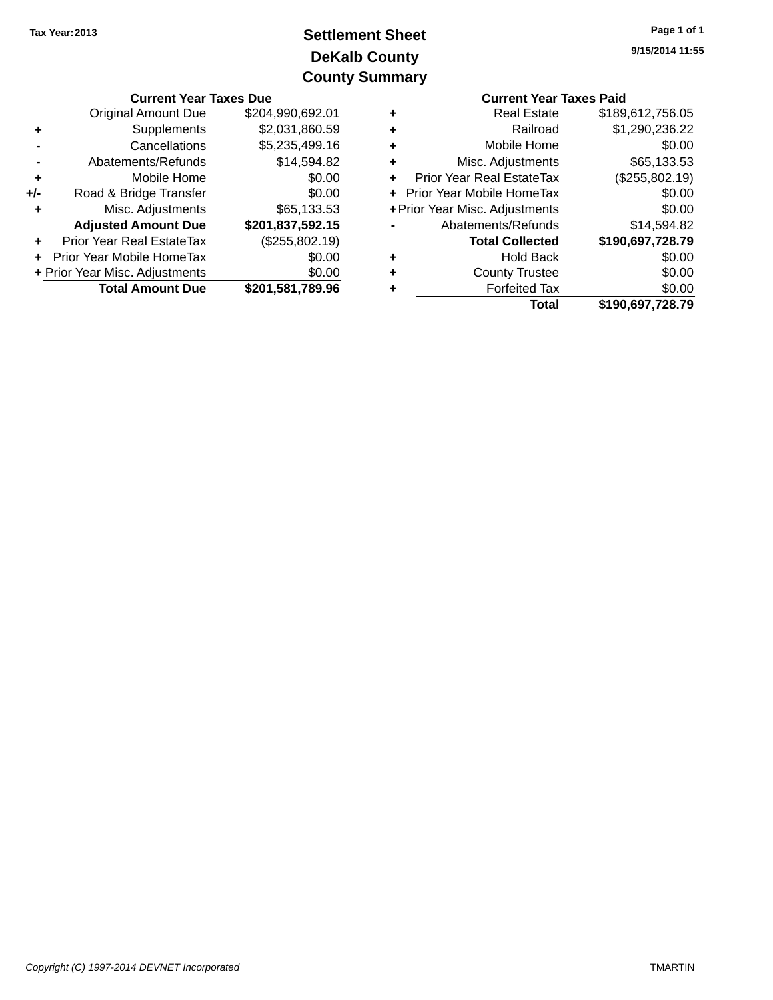# **DeKalb County Settlement Sheet Tax Year:2013 County Summary**

| <b>Current Year Taxes Due</b>                                                           |                             |                  | <b>Current Year Taxes Paid</b> |                                  |                  |  |
|-----------------------------------------------------------------------------------------|-----------------------------|------------------|--------------------------------|----------------------------------|------------------|--|
| Original Amount Due                                                                     |                             | \$204,990,692.01 | ٠                              | <b>Real Estate</b>               | \$189,612,756.05 |  |
| ٠                                                                                       | Supplements                 | \$2,031,860.59   | ÷                              | Railroad                         | \$1,290,236.22   |  |
|                                                                                         | Cancellations               | \$5,235,499.16   | ٠                              | Mobile Home                      | \$0.00           |  |
|                                                                                         | Abatements/Refunds          | \$14,594.82      | ٠                              | Misc. Adjustments                | \$65,133.53      |  |
| ٠                                                                                       | Mobile Home                 | \$0.00           | ٠                              | <b>Prior Year Real EstateTax</b> | (\$255,802.19)   |  |
| $+/-$                                                                                   | Road & Bridge Transfer      | \$0.00           |                                | + Prior Year Mobile HomeTax      | \$0.00           |  |
|                                                                                         | Misc. Adjustments           | \$65,133.53      |                                | + Prior Year Misc. Adjustments   | \$0.00           |  |
|                                                                                         | <b>Adjusted Amount Due</b>  | \$201,837,592.15 |                                | Abatements/Refunds               | \$14,594.82      |  |
| ÷.                                                                                      | Prior Year Real EstateTax   | (\$255,802.19)   |                                | <b>Total Collected</b>           | \$190,697,728.79 |  |
|                                                                                         | + Prior Year Mobile HomeTax | \$0.00           | ÷                              | <b>Hold Back</b>                 | \$0.00           |  |
| + Prior Year Misc. Adjustments<br>\$0.00<br><b>Total Amount Due</b><br>\$201,581,789.96 |                             |                  | ٠                              | <b>County Trustee</b>            | \$0.00           |  |
|                                                                                         |                             |                  | ٠                              | <b>Forfeited Tax</b>             | \$0.00           |  |
|                                                                                         |                             |                  |                                | Total                            | \$190,697,728,79 |  |

|   | <b>Current Year Taxes Paid</b> |                  |
|---|--------------------------------|------------------|
| ٠ | <b>Real Estate</b>             | \$189,612,756.05 |
|   | Railroad                       | \$1,290,236.22   |
|   | Mobile Home                    | \$0.00           |
| ٠ | Misc. Adjustments              | \$65,133.53      |
|   | Prior Year Real EstateTax      | (\$255,802.19)   |
|   | Prior Year Mobile HomeTax      | \$0.00           |
|   | + Prior Year Misc. Adjustments | \$0.00           |
|   | Abatements/Refunds             | \$14,594.82      |
|   | <b>Total Collected</b>         | \$190,697,728.79 |
|   | <b>Hold Back</b>               | \$0.00           |
|   | <b>County Trustee</b>          | \$0.00           |
|   | <b>Forfeited Tax</b>           | \$0.00           |
|   | Total                          | \$190,697,728.79 |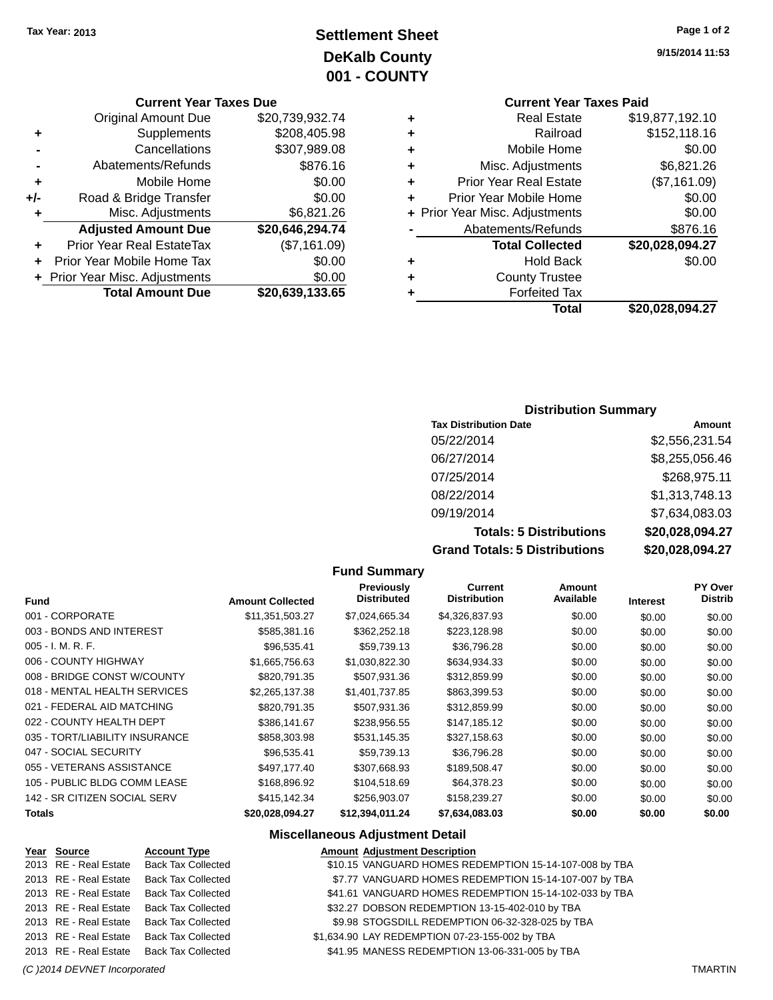# **Settlement Sheet Tax Year: 2013 Page 1 of 2 DeKalb County 001 - COUNTY**

|     | <b>Current Year Taxes Due</b>  |                 |  |
|-----|--------------------------------|-----------------|--|
|     | <b>Original Amount Due</b>     | \$20,739,932.74 |  |
| ٠   | Supplements                    | \$208,405.98    |  |
|     | Cancellations                  | \$307,989.08    |  |
|     | Abatements/Refunds             | \$876.16        |  |
| ٠   | Mobile Home                    | \$0.00          |  |
| +/- | Road & Bridge Transfer         | \$0.00          |  |
| ٠   | Misc. Adjustments              | \$6,821.26      |  |
|     | <b>Adjusted Amount Due</b>     | \$20,646,294.74 |  |
| ٠   | Prior Year Real EstateTax      | (\$7,161.09)    |  |
| ٠   | Prior Year Mobile Home Tax     | \$0.00          |  |
|     | + Prior Year Misc. Adjustments | \$0.00          |  |

|                 | <b>PER PROPERTY INTO A PROPERTY INC.</b> |
|-----------------|------------------------------------------|
| \$20,639,133.65 | <b>Total Amount Due</b>                  |

# **Current Year Taxes Paid**

|   | <b>Real Estate</b>             | \$19,877,192.10 |
|---|--------------------------------|-----------------|
| ٠ | Railroad                       | \$152,118.16    |
| ٠ | Mobile Home                    | \$0.00          |
| ٠ | Misc. Adjustments              | \$6,821.26      |
| ٠ | <b>Prior Year Real Estate</b>  | (\$7,161.09)    |
| ٠ | Prior Year Mobile Home         | \$0.00          |
|   | + Prior Year Misc. Adjustments | \$0.00          |
|   | Abatements/Refunds             | \$876.16        |
|   |                                |                 |
|   | <b>Total Collected</b>         | \$20,028,094.27 |
| ٠ | <b>Hold Back</b>               | \$0.00          |
| ٠ | <b>County Trustee</b>          |                 |
|   | <b>Forfeited Tax</b>           |                 |
|   | Total                          | \$20,028,094.27 |

#### **Distribution Summary**

| <b>Tax Distribution Date</b>         | Amount          |
|--------------------------------------|-----------------|
| 05/22/2014                           | \$2,556,231.54  |
| 06/27/2014                           | \$8,255,056.46  |
| 07/25/2014                           | \$268,975.11    |
| 08/22/2014                           | \$1,313,748.13  |
| 09/19/2014                           | \$7,634,083.03  |
| <b>Totals: 5 Distributions</b>       | \$20,028,094.27 |
| <b>Grand Totals: 5 Distributions</b> | \$20,028,094.27 |

#### **Fund Summary Fund Interest Amount Collected Distributed PY Over Distrib Amount Available Current Distribution Previously** 001 - CORPORATE \$11,351,503.27 \$7,024,665.34 \$4,326,837.93 \$0.00 \$0.00 \$0.00 003 - BONDS AND INTEREST 60.00 \$585,381.16 \$362,252.18 \$223,128.98 \$0.00 \$0.00 \$0.00 \$0.00 005 - I. M. R. F. \$96,535.41 \$59,739.13 \$36,796.28 \$0.00 \$0.00 \$0.00 006 - COUNTY HIGHWAY **\$1,665,756.63** \$1,030,822.30 \$634,934.33 \$0.00 \$0.00 \$0.00 008 - BRIDGE CONST W/COUNTY  $$820,791.35$   $$507,931.36$   $$312,859.99$  \$0.00 \$0.00 \$0.00 \$0.00 018 - MENTAL HEALTH SERVICES \$2,265,137.38 \$1,401,737.85 \$863,399.53 \$0.00 \$0.00 \$0.00 \$0.00 021 - FEDERAL AID MATCHING \$820,791.35 \$507,931.36 \$312,859.99 \$0.00 \$0.00 \$0.00 \$0.00 022 - COUNTY HEALTH DEPT \$386,141.67 \$238,956.55 \$147,185.12 \$0.00 \$0.00 \$0.00 \$0.00 035 - TORT/LIABILITY INSURANCE \$858,303.98 \$531,145.35 \$327,158.63 \$0.00 \$0.00 \$0.00 \$0.00 047 - SOCIAL SECURITY 66000 - \$96,535.41 \$59,739.13 \$36,796.28 \$0.00 \$0.00 \$0.00 \$0.00 055 - VETERANS ASSISTANCE \$497,177.40 \$307,668.93 \$189,508.47 \$0.00 \$0.00 \$0.00 \$0.00 105 - PUBLIC BLDG COMM LEASE \$168,896.92 \$104,518.69 \$64,378.23 \$0.00 \$0.00 \$0.00 142 - SR CITIZEN SOCIAL SERV \$415,142.34 \$256,903.07 \$158,239.27 \$0.00 \$0.00 \$0.00 \$0.00 **Totals \$20,028,094.27 \$12,394,011.24 \$7,634,083.03 \$0.00 \$0.00 \$0.00**

#### **Miscellaneous Adjustment Detail**

| Year Source           | <b>Account Type</b>                      | <b>Amount Adjustment Description</b>                   |
|-----------------------|------------------------------------------|--------------------------------------------------------|
| 2013 RE - Real Estate | <b>Back Tax Collected</b>                | \$10.15 VANGUARD HOMES REDEMPTION 15-14-107-008 by TBA |
| 2013 RE - Real Estate | <b>Back Tax Collected</b>                | \$7.77 VANGUARD HOMES REDEMPTION 15-14-107-007 by TBA  |
| 2013 RE - Real Estate | <b>Back Tax Collected</b>                | \$41.61 VANGUARD HOMES REDEMPTION 15-14-102-033 by TBA |
| 2013 RE - Real Estate | <b>Back Tax Collected</b>                | \$32.27 DOBSON REDEMPTION 13-15-402-010 by TBA         |
| 2013 RE - Real Estate | <b>Back Tax Collected</b>                | \$9.98 STOGSDILL REDEMPTION 06-32-328-025 by TBA       |
| 2013 RE - Real Estate | <b>Back Tax Collected</b>                | \$1,634.90 LAY REDEMPTION 07-23-155-002 by TBA         |
|                       | 2013 RE - Real Estate Back Tax Collected | \$41.95 MANESS REDEMPTION 13-06-331-005 by TBA         |
|                       |                                          |                                                        |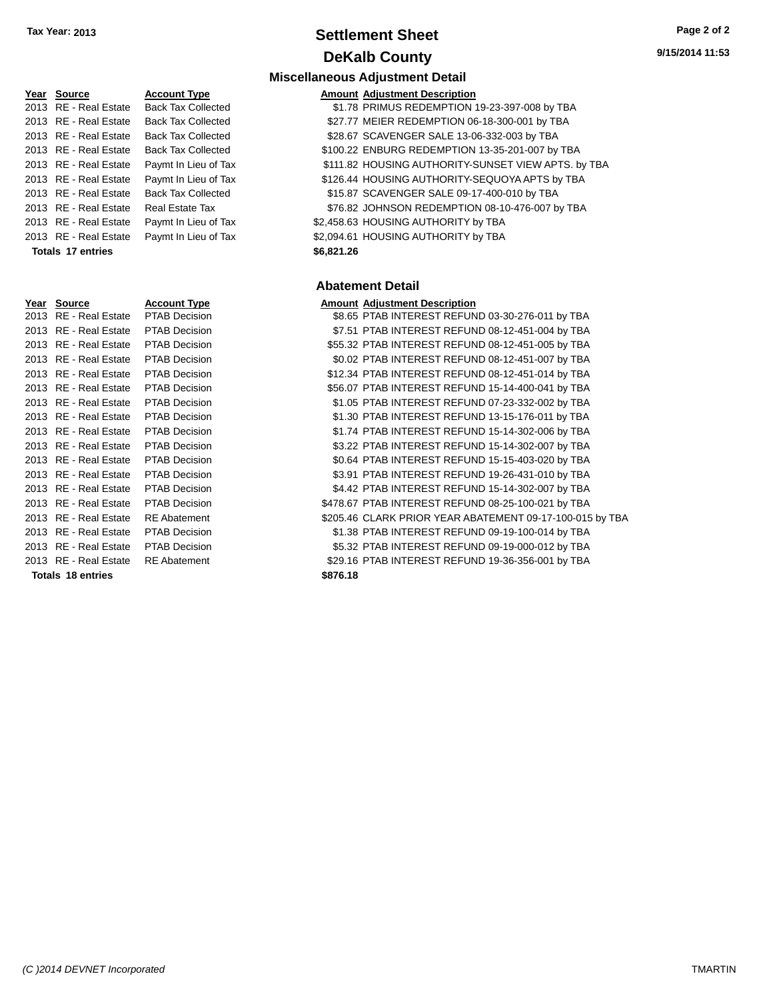# **Settlement Sheet Tax Year: 2013 Page 2 of 2 DeKalb County**

**9/15/2014 11:53**

| Year Source           | <b>Account Type</b>       |            | <b>Amount Adjustment Description</b> |
|-----------------------|---------------------------|------------|--------------------------------------|
| 2013 RE - Real Estate | <b>Back Tax Collected</b> |            | \$1.78 PRIMUS REDEMPTION 19-23-      |
| 2013 RE - Real Estate | <b>Back Tax Collected</b> |            | \$27.77 MEIER REDEMPTION 06-18-30    |
| 2013 RE - Real Estate | <b>Back Tax Collected</b> |            | \$28.67 SCAVENGER SALE 13-06-332-    |
| 2013 RE - Real Estate | <b>Back Tax Collected</b> |            | \$100.22 ENBURG REDEMPTION 13-35     |
| 2013 RE - Real Estate | Paymt In Lieu of Tax      |            | \$111.82 HOUSING AUTHORITY-SUNSE     |
| 2013 RE - Real Estate | Paymt In Lieu of Tax      |            | \$126.44 HOUSING AUTHORITY-SEQUO     |
| 2013 RE - Real Estate | <b>Back Tax Collected</b> |            | \$15.87 SCAVENGER SALE 09-17-400-    |
| 2013 RE - Real Estate | <b>Real Estate Tax</b>    |            | \$76.82 JOHNSON REDEMPTION 08-1      |
| 2013 RE - Real Estate | Paymt In Lieu of Tax      |            | \$2,458.63 HOUSING AUTHORITY by TBA  |
| 2013 RE - Real Estate | Paymt In Lieu of Tax      |            | \$2,094.61 HOUSING AUTHORITY by TBA  |
| Totals 17 entries     |                           | \$6,821.26 |                                      |
|                       |                           |            |                                      |
|                       |                           |            | <b>Abatement Detail</b>              |
| Year Source           | <b>Account Type</b>       |            | <b>Amount Adjustment Description</b> |
| 2013 RE - Real Estate | PTAB Decision             |            | \$8.65 PTAB INTEREST REFUND 03-3     |
| 2013 RE - Real Estate | <b>PTAB Decision</b>      |            | \$7.51 PTAB INTEREST REFUND 08-      |
| 2013 RE - Real Estate | <b>PTAB Decision</b>      |            | \$55.32 PTAB INTEREST REFUND 08-     |
| 2013 RE - Real Estate | PTAB Decision             |            | \$0.02 PTAB INTEREST REFUND 08-1     |
| 2013 RE - Real Estate | <b>PTAB Decision</b>      |            | \$12.34 PTAB INTEREST REFUND 08-     |
| 2013 RE - Real Estate | <b>PTAB Decision</b>      |            | \$56.07 PTAB INTEREST REFUND 15-     |
| 2013 RE - Real Estate | <b>PTAB Decision</b>      |            | \$1.05 PTAB INTEREST REFUND 07-2     |
| 2013 RE - Real Estate | PTAB Decision             |            | \$1.30 PTAB INTEREST REFUND 13-1     |
| 2013 RE - Real Estate | <b>PTAB Decision</b>      |            | \$1.74 PTAB INTEREST REFUND 15-      |
| 2013 RE - Real Estate | <b>PTAB Decision</b>      |            | \$3.22 PTAB INTEREST REFUND 15-'     |
| 2013 RE - Real Estate | <b>PTAB Decision</b>      |            | \$0.64 PTAB INTEREST REFUND 15-1     |
| 2013 RE - Real Estate | <b>PTAB Decision</b>      |            | \$3.91 PTAB INTEREST REFUND 19-2     |
| 2013 RE - Real Estate | <b>PTAB Decision</b>      |            | \$4.42 PTAB INTEREST REFUND 15-'     |
| 2013 RE - Real Estate | <b>PTAB Decision</b>      |            | \$478.67 PTAB INTEREST REFUND 08-2   |
| 2013 RE - Real Estate | <b>RE</b> Abatement       |            | \$205.46 CLARK PRIOR YEAR ABATEM     |
| 2013 RE - Real Estate | <b>PTAB Decision</b>      |            | \$1.38 PTAB INTEREST REFUND 09-'     |
| 2013 RE - Real Estate | <b>PTAB Decision</b>      |            | \$5.32 PTAB INTEREST REFUND 09-'     |
| 2013 RE - Real Estate | <b>RE</b> Abatement       |            | \$29.16 PTAB INTEREST REFUND 19-3    |

# **Miscellaneous Adjustment Detail**

| Year Source              | <b>Account Type</b>       | <b>Amount Adjustment Description</b>                |
|--------------------------|---------------------------|-----------------------------------------------------|
| 2013 RE - Real Estate    | <b>Back Tax Collected</b> | \$1.78 PRIMUS REDEMPTION 19-23-397-008 by TBA       |
| 2013 RE - Real Estate    | <b>Back Tax Collected</b> | \$27.77 MEIER REDEMPTION 06-18-300-001 by TBA       |
| 2013 RE - Real Estate    | <b>Back Tax Collected</b> | \$28.67 SCAVENGER SALE 13-06-332-003 by TBA         |
| 2013 RE - Real Estate    | <b>Back Tax Collected</b> | \$100.22 ENBURG REDEMPTION 13-35-201-007 by TBA     |
| 2013 RE - Real Estate    | Paymt In Lieu of Tax      | \$111.82 HOUSING AUTHORITY-SUNSET VIEW APTS. by TBA |
| 2013 RE - Real Estate    | Paymt In Lieu of Tax      | \$126.44 HOUSING AUTHORITY-SEQUOYA APTS by TBA      |
| 2013 RE - Real Estate    | <b>Back Tax Collected</b> | \$15.87 SCAVENGER SALE 09-17-400-010 by TBA         |
| 2013 RE - Real Estate    | Real Estate Tax           | \$76.82 JOHNSON REDEMPTION 08-10-476-007 by TBA     |
| 2013 RE - Real Estate    | Paymt In Lieu of Tax      | \$2,458.63 HOUSING AUTHORITY by TBA                 |
| 2013 RE - Real Estate    | Paymt In Lieu of Tax      | \$2,094.61 HOUSING AUTHORITY by TBA                 |
| <b>Totals 17 entries</b> |                           | \$6,821.26                                          |

#### **Abatement Detail**

#### **Amount Adjustment Description**

| 2013 RE - Real Estate    | PTAB Decision        | \$8.65 PTAB INTEREST REFUND 03-30-276-011 by TBA         |  |
|--------------------------|----------------------|----------------------------------------------------------|--|
| 2013 RE - Real Estate    | PTAB Decision        | \$7.51 PTAB INTEREST REFUND 08-12-451-004 by TBA         |  |
| 2013 RE - Real Estate    | PTAB Decision        | \$55.32 PTAB INTEREST REFUND 08-12-451-005 by TBA        |  |
| 2013 RE - Real Estate    | <b>PTAB Decision</b> | \$0.02 PTAB INTEREST REFUND 08-12-451-007 by TBA         |  |
| 2013 RE - Real Estate    | <b>PTAB Decision</b> | \$12.34 PTAB INTEREST REFUND 08-12-451-014 by TBA        |  |
| 2013 RE - Real Estate    | <b>PTAB Decision</b> | \$56.07 PTAB INTEREST REFUND 15-14-400-041 by TBA        |  |
| 2013 RE - Real Estate    | <b>PTAB Decision</b> | \$1.05 PTAB INTEREST REFUND 07-23-332-002 by TBA         |  |
| 2013 RE - Real Estate    | <b>PTAB Decision</b> | \$1.30 PTAB INTEREST REFUND 13-15-176-011 by TBA         |  |
| 2013 RE - Real Estate    | <b>PTAB Decision</b> | \$1.74 PTAB INTEREST REFUND 15-14-302-006 by TBA         |  |
| 2013 RE - Real Estate    | <b>PTAB Decision</b> | \$3.22 PTAB INTEREST REFUND 15-14-302-007 by TBA         |  |
| 2013 RE - Real Estate    | <b>PTAB Decision</b> | \$0.64 PTAB INTEREST REFUND 15-15-403-020 by TBA         |  |
| 2013 RE - Real Estate    | <b>PTAB Decision</b> | \$3.91 PTAB INTEREST REFUND 19-26-431-010 by TBA         |  |
| 2013 RE - Real Estate    | <b>PTAB Decision</b> | \$4.42 PTAB INTEREST REFUND 15-14-302-007 by TBA         |  |
| 2013 RE - Real Estate    | PTAB Decision        | \$478.67 PTAB INTEREST REFUND 08-25-100-021 by TBA       |  |
| 2013 RE - Real Estate    | <b>RE</b> Abatement  | \$205.46 CLARK PRIOR YEAR ABATEMENT 09-17-100-015 by TBA |  |
| 2013 RE - Real Estate    | PTAB Decision        | \$1.38 PTAB INTEREST REFUND 09-19-100-014 by TBA         |  |
| 2013 RE - Real Estate    | <b>PTAB Decision</b> | \$5.32 PTAB INTEREST REFUND 09-19-000-012 by TBA         |  |
| 2013 RE - Real Estate    | <b>RE</b> Abatement  | \$29.16 PTAB INTEREST REFUND 19-36-356-001 by TBA        |  |
| <b>Totals 18 entries</b> |                      | \$876.18                                                 |  |
|                          |                      |                                                          |  |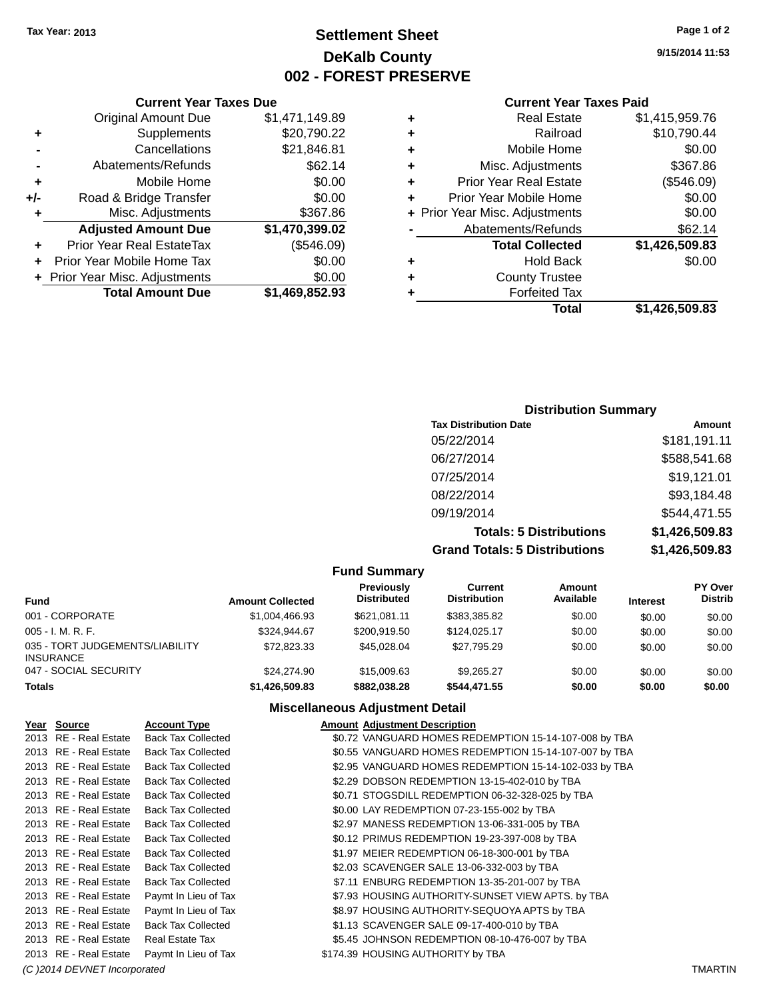# **Settlement Sheet Tax Year: 2013 Page 1 of 2 DeKalb County 002 - FOREST PRESERVE**

**9/15/2014 11:53**

#### **Current Year Taxes Paid**

| ٠ | <b>Real Estate</b>             | \$1,415,959.76 |
|---|--------------------------------|----------------|
| ٠ | Railroad                       | \$10,790.44    |
| ٠ | Mobile Home                    | \$0.00         |
| ٠ | Misc. Adjustments              | \$367.86       |
| ٠ | <b>Prior Year Real Estate</b>  | (\$546.09)     |
| ٠ | Prior Year Mobile Home         | \$0.00         |
|   | + Prior Year Misc. Adjustments | \$0.00         |
|   | Abatements/Refunds             | \$62.14        |
|   | <b>Total Collected</b>         | \$1,426,509.83 |
| ٠ | <b>Hold Back</b>               | \$0.00         |
| ÷ | <b>County Trustee</b>          |                |
| ٠ | <b>Forfeited Tax</b>           |                |
|   | Total                          | \$1.426.509.83 |

|     | <b>Current Year Taxes Due</b>    |                |  |
|-----|----------------------------------|----------------|--|
|     | <b>Original Amount Due</b>       | \$1,471,149.89 |  |
| ٠   | Supplements                      | \$20,790.22    |  |
|     | Cancellations                    | \$21,846.81    |  |
|     | Abatements/Refunds               | \$62.14        |  |
| ٠   | Mobile Home                      | \$0.00         |  |
| +/- | Road & Bridge Transfer           | \$0.00         |  |
| ٠   | Misc. Adjustments                | \$367.86       |  |
|     | <b>Adjusted Amount Due</b>       | \$1,470,399.02 |  |
|     | <b>Prior Year Real EstateTax</b> | (\$546.09)     |  |
|     | Prior Year Mobile Home Tax       | \$0.00         |  |
|     | + Prior Year Misc. Adjustments   | \$0.00         |  |
|     | <b>Total Amount Due</b>          | \$1,469,852.93 |  |

# **Distribution Summary**

| <b>Tax Distribution Date</b>         | <b>Amount</b>  |
|--------------------------------------|----------------|
| 05/22/2014                           | \$181,191.11   |
| 06/27/2014                           | \$588,541.68   |
| 07/25/2014                           | \$19,121.01    |
| 08/22/2014                           | \$93,184.48    |
| 09/19/2014                           | \$544,471.55   |
| <b>Totals: 5 Distributions</b>       | \$1,426,509.83 |
| <b>Grand Totals: 5 Distributions</b> | \$1,426,509.83 |

|                                                     |                         | <b>Fund Summary</b>                     |                                |                     |                 |                                  |
|-----------------------------------------------------|-------------------------|-----------------------------------------|--------------------------------|---------------------|-----------------|----------------------------------|
| <b>Fund</b>                                         | <b>Amount Collected</b> | <b>Previously</b><br><b>Distributed</b> | Current<br><b>Distribution</b> | Amount<br>Available | <b>Interest</b> | <b>PY Over</b><br><b>Distrib</b> |
| 001 - CORPORATE                                     | \$1,004,466.93          | \$621.081.11                            | \$383.385.82                   | \$0.00              | \$0.00          | \$0.00                           |
| $005 - I. M. R. F.$                                 | \$324.944.67            | \$200.919.50                            | \$124.025.17                   | \$0.00              | \$0.00          | \$0.00                           |
| 035 - TORT JUDGEMENTS/LIABILITY<br><b>INSURANCE</b> | \$72,823,33             | \$45,028,04                             | \$27.795.29                    | \$0.00              | \$0.00          | \$0.00                           |
| 047 - SOCIAL SECURITY                               | \$24,274.90             | \$15,009.63                             | \$9.265.27                     | \$0.00              | \$0.00          | \$0.00                           |
| <b>Totals</b>                                       | \$1,426,509.83          | \$882,038.28                            | \$544,471.55                   | \$0.00              | \$0.00          | \$0.00                           |

#### **Miscellaneous Adjustment Detail**

| 2013 RE - Real Estate<br><b>Back Tax Collected</b><br>\$0.72 VANGUARD HOMES REDEMPTION 15-14-107-008 by TBA<br>\$0.55 VANGUARD HOMES REDEMPTION 15-14-107-007 by TBA<br>2013 RE - Real Estate<br><b>Back Tax Collected</b> |  |
|----------------------------------------------------------------------------------------------------------------------------------------------------------------------------------------------------------------------------|--|
|                                                                                                                                                                                                                            |  |
|                                                                                                                                                                                                                            |  |
| \$2.95 VANGUARD HOMES REDEMPTION 15-14-102-033 by TBA<br><b>Back Tax Collected</b><br>2013 RE - Real Estate                                                                                                                |  |
| \$2.29 DOBSON REDEMPTION 13-15-402-010 by TBA<br>2013 RE - Real Estate<br><b>Back Tax Collected</b>                                                                                                                        |  |
| <b>Back Tax Collected</b><br>\$0.71 STOGSDILL REDEMPTION 06-32-328-025 by TBA<br>2013 RE - Real Estate                                                                                                                     |  |
| 2013 RE - Real Estate<br><b>Back Tax Collected</b><br>\$0.00 LAY REDEMPTION 07-23-155-002 by TBA                                                                                                                           |  |
| <b>Back Tax Collected</b><br>\$2.97 MANESS REDEMPTION 13-06-331-005 by TBA<br>2013 RE - Real Estate                                                                                                                        |  |
| 2013 RE - Real Estate<br><b>Back Tax Collected</b><br>\$0.12 PRIMUS REDEMPTION 19-23-397-008 by TBA                                                                                                                        |  |
| 2013 RE - Real Estate<br><b>Back Tax Collected</b><br>\$1.97 MEIER REDEMPTION 06-18-300-001 by TBA                                                                                                                         |  |
| <b>Back Tax Collected</b><br>\$2.03 SCAVENGER SALE 13-06-332-003 by TBA<br>2013 RE - Real Estate                                                                                                                           |  |
| 2013 RE - Real Estate<br><b>Back Tax Collected</b><br>\$7.11 ENBURG REDEMPTION 13-35-201-007 by TBA                                                                                                                        |  |
| \$7.93 HOUSING AUTHORITY-SUNSET VIEW APTS. by TBA<br>2013 RE - Real Estate<br>Paymt In Lieu of Tax                                                                                                                         |  |
| 2013 RE - Real Estate<br>Paymt In Lieu of Tax<br>\$8.97 HOUSING AUTHORITY-SEQUOYA APTS by TBA                                                                                                                              |  |
| 2013 RE - Real Estate<br><b>Back Tax Collected</b><br>\$1.13 SCAVENGER SALE 09-17-400-010 by TBA                                                                                                                           |  |
| \$5.45 JOHNSON REDEMPTION 08-10-476-007 by TBA<br>2013 RE - Real Estate<br>Real Estate Tax                                                                                                                                 |  |
| 2013 RE - Real Estate<br>Paymt In Lieu of Tax<br>\$174.39 HOUSING AUTHORITY by TBA                                                                                                                                         |  |

*(C )2014 DEVNET Incorporated* TMARTIN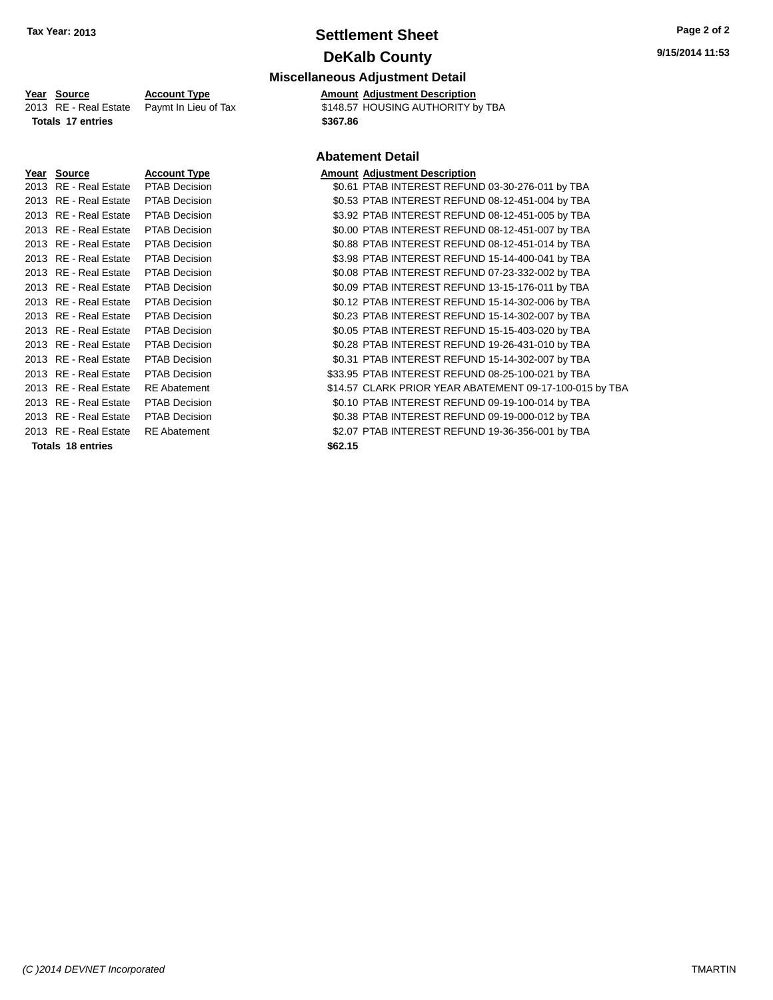# **Settlement Sheet Tax Year: 2013 Page 2 of 2 DeKalb County**

#### **Miscellaneous Adjustment Detail Year** Source **Account Type A**ccount **A**ppe **Amount** Adjustment Description

**Totals 17 entries \$367.86**

| Source                  | Account Ty        |
|-------------------------|-------------------|
| RE - Real Estate        | <b>PTAB Decis</b> |
| RE - Real Estate        | PTAB Decis        |
| RE - Real Estate        | <b>PTAB Decis</b> |
| RE - Real Estate        | PTAB Decis        |
| RE - Real Estate        | <b>PTAB Decis</b> |
| RE - Real Estate        | PTAB Decis        |
| RE - Real Estate        | PTAB Decis        |
| RE - Real Estate        | PTAB Decis        |
| RE - Real Estate        | PTAB Decis        |
| <b>RE</b> - Real Estate | <b>PTAB Decis</b> |
| RE - Real Estate        | <b>PTAB Decis</b> |
| RE - Real Estate        | <b>PTAB Decis</b> |
| RE - Real Estate        | PTAB Decis        |
| RE - Real Estate        | <b>PTAB Decis</b> |
| RE - Real Estate        | RE Abatem         |
| RF - Real Estate        | <b>PTAB Decis</b> |
| RE - Real Estate        | <b>PTAB Decis</b> |
| RE - Real Estate        | RE Abatem         |
|                         |                   |

2013 RE - Real Estate Paymt In Lieu of Tax \$148.57 HOUSING AUTHORITY by TBA

#### **Abatement Detail**

#### **Year Source Account Type Amount Adjustment Description**

2015 alson and 2014 PTAB INTEREST REFUND 03-30-276-011 by TBA 2015 and 2014 Space PTAB INTEREST REFUND 08-12-451-004 by TBA 2013 alson and 2013 State PTAB INTEREST REFUND 08-12-451-005 by TBA 2013 and 2013 Space TAB INTEREST REFUND 08-12-451-007 by TBA 2013 real Estate PTAB INTEREST REFUND 08-12-451-014 by TBA 2013 real Estate PTAB INTEREST REFUND 15-14-400-041 by TBA 2013 RE - Real Estate PTAB Decision \$0.08 PTAB INTEREST REFUND 07-23-332-002 by TBA 2013 alson and the Case of Solog PTAB INTEREST REFUND 13-15-176-011 by TBA 2012 PTAB INTEREST REFUND 15-14-302-006 by TBA 2013 REAL ESTATE REAL PTAB INTEREST REFUND 15-14-302-007 by TBA 2015 Bion \$0.05 PTAB INTEREST REFUND 15-15-403-020 by TBA 2013 Bion and Call Estate PTAB INTEREST REFUND 19-26-431-010 by TBA 2013 REAL ESTATE REAL EST REFUND 15-14-302-007 by TBA 2013 real Estate PTAB INTEREST REFUND 08-25-100-021 by TBA ent 314.57 CLARK PRIOR YEAR ABATEMENT 09-17-100-015 by TBA 2013 real Estate PTAB INTEREST REFUND 09-19-100-014 by TBA 20138 PTAB INTEREST REFUND 09-19-000-012 by TBA ent 62.07 PTAB INTEREST REFUND 19-36-356-001 by TBA **Totals 18 entries \$62.15**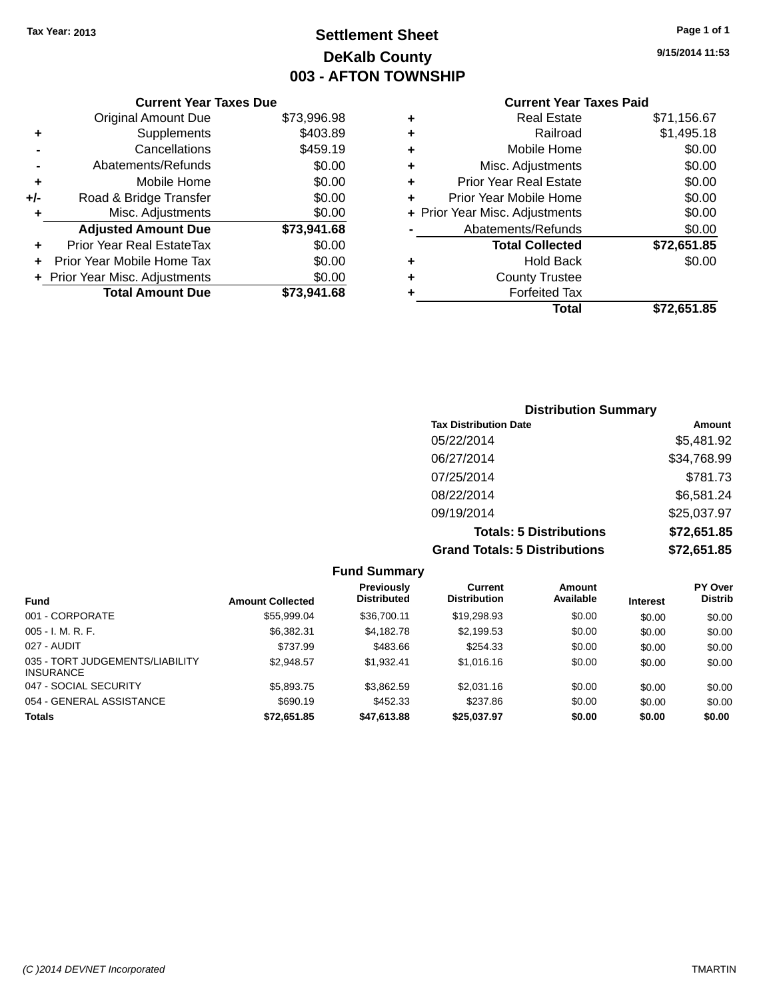# **Settlement Sheet Tax Year: 2013 Page 1 of 1 DeKalb County 003 - AFTON TOWNSHIP**

**9/15/2014 11:53**

|     | <b>Current Year Taxes Due</b>  |             |
|-----|--------------------------------|-------------|
|     | <b>Original Amount Due</b>     | \$73,996.98 |
| ٠   | Supplements                    | \$403.89    |
|     | Cancellations                  | \$459.19    |
|     | Abatements/Refunds             | \$0.00      |
| ٠   | Mobile Home                    | \$0.00      |
| +/- | Road & Bridge Transfer         | \$0.00      |
| ٠   | Misc. Adjustments              | \$0.00      |
|     | <b>Adjusted Amount Due</b>     | \$73,941.68 |
|     | Prior Year Real EstateTax      | \$0.00      |
|     | Prior Year Mobile Home Tax     | \$0.00      |
|     | + Prior Year Misc. Adjustments | \$0.00      |
|     | <b>Total Amount Due</b>        | \$73,941.68 |
|     |                                |             |

|   | <b>Total</b>                   | \$72,651.85 |
|---|--------------------------------|-------------|
|   | <b>Forfeited Tax</b>           |             |
| ٠ | <b>County Trustee</b>          |             |
| ٠ | <b>Hold Back</b>               | \$0.00      |
|   | <b>Total Collected</b>         | \$72,651.85 |
|   | Abatements/Refunds             | \$0.00      |
|   | + Prior Year Misc. Adjustments | \$0.00      |
| ٠ | Prior Year Mobile Home         | \$0.00      |
| ÷ | <b>Prior Year Real Estate</b>  | \$0.00      |
| ٠ | Misc. Adjustments              | \$0.00      |
| ٠ | Mobile Home                    | \$0.00      |
| ٠ | Railroad                       | \$1,495.18  |
| ٠ | <b>Real Estate</b>             | \$71,156.67 |
|   |                                |             |

| <b>Distribution Summary</b>          |             |  |  |  |  |
|--------------------------------------|-------------|--|--|--|--|
| <b>Tax Distribution Date</b>         | Amount      |  |  |  |  |
| 05/22/2014                           | \$5,481.92  |  |  |  |  |
| 06/27/2014                           | \$34,768.99 |  |  |  |  |
| 07/25/2014                           | \$781.73    |  |  |  |  |
| 08/22/2014                           | \$6,581.24  |  |  |  |  |
| 09/19/2014                           | \$25,037.97 |  |  |  |  |
| <b>Totals: 5 Distributions</b>       | \$72,651.85 |  |  |  |  |
| <b>Grand Totals: 5 Distributions</b> | \$72,651.85 |  |  |  |  |

|                                                     |                         | <b>Fund Summary</b>                     |                                |                     |                 |                                  |
|-----------------------------------------------------|-------------------------|-----------------------------------------|--------------------------------|---------------------|-----------------|----------------------------------|
| <b>Fund</b>                                         | <b>Amount Collected</b> | <b>Previously</b><br><b>Distributed</b> | Current<br><b>Distribution</b> | Amount<br>Available | <b>Interest</b> | <b>PY Over</b><br><b>Distrib</b> |
| 001 - CORPORATE                                     | \$55,999.04             | \$36,700.11                             | \$19,298.93                    | \$0.00              | \$0.00          | \$0.00                           |
| $005 - I. M. R. F.$                                 | \$6,382.31              | \$4.182.78                              | \$2,199.53                     | \$0.00              | \$0.00          | \$0.00                           |
| 027 - AUDIT                                         | \$737.99                | \$483.66                                | \$254.33                       | \$0.00              | \$0.00          | \$0.00                           |
| 035 - TORT JUDGEMENTS/LIABILITY<br><b>INSURANCE</b> | \$2,948.57              | \$1,932.41                              | \$1,016.16                     | \$0.00              | \$0.00          | \$0.00                           |
| 047 - SOCIAL SECURITY                               | \$5,893.75              | \$3,862.59                              | \$2,031.16                     | \$0.00              | \$0.00          | \$0.00                           |
| 054 - GENERAL ASSISTANCE                            | \$690.19                | \$452.33                                | \$237.86                       | \$0.00              | \$0.00          | \$0.00                           |
| <b>Totals</b>                                       | \$72,651.85             | \$47,613.88                             | \$25,037.97                    | \$0.00              | \$0.00          | \$0.00                           |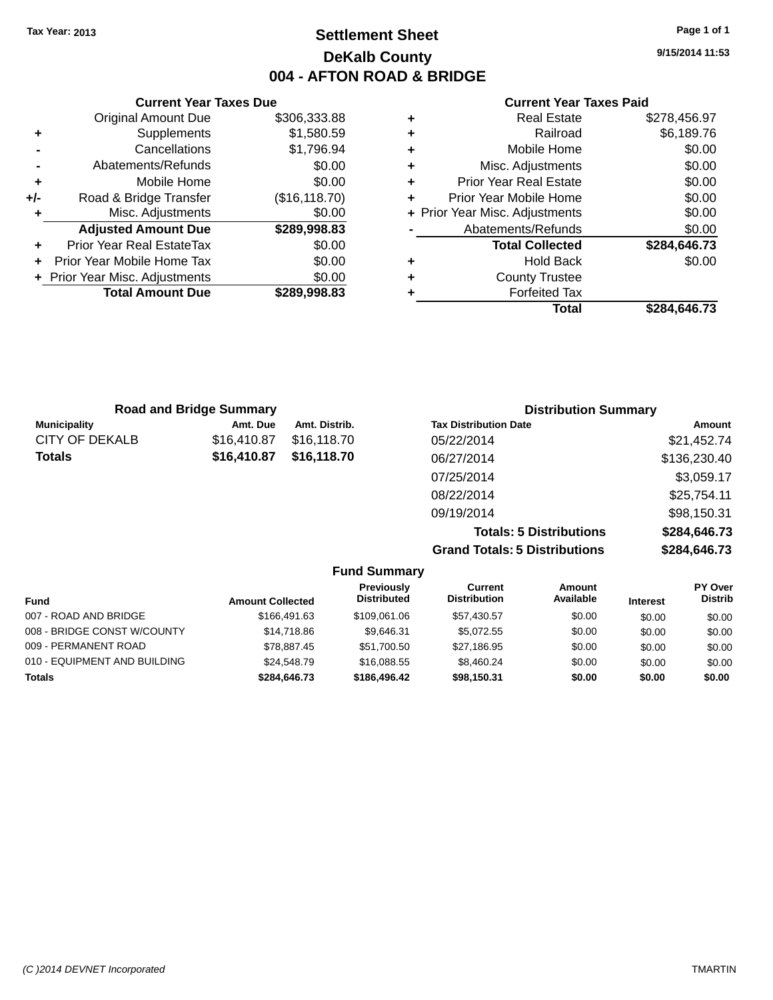# **Settlement Sheet Tax Year: 2013 Page 1 of 1 DeKalb County 004 - AFTON ROAD & BRIDGE**

**9/15/2014 11:53**

#### **Current Year Taxes Paid**

|     | <b>Current Year Taxes Due</b>    |                |
|-----|----------------------------------|----------------|
|     | <b>Original Amount Due</b>       | \$306,333.88   |
| ٠   | Supplements                      | \$1,580.59     |
|     | Cancellations                    | \$1,796.94     |
|     | Abatements/Refunds               | \$0.00         |
| ٠   | Mobile Home                      | \$0.00         |
| +/- | Road & Bridge Transfer           | (\$16, 118.70) |
| ٠   | Misc. Adjustments                | \$0.00         |
|     | <b>Adjusted Amount Due</b>       | \$289,998.83   |
| ٠   | <b>Prior Year Real EstateTax</b> | \$0.00         |
| ٠   | Prior Year Mobile Home Tax       | \$0.00         |
|     | + Prior Year Misc. Adjustments   | \$0.00         |
|     | <b>Total Amount Due</b>          | \$289,998.83   |
|     |                                  |                |

| ٠ | <b>Real Estate</b>             | \$278,456.97 |
|---|--------------------------------|--------------|
| ÷ | Railroad                       | \$6,189.76   |
| ÷ | Mobile Home                    | \$0.00       |
| ٠ | Misc. Adjustments              | \$0.00       |
| ٠ | <b>Prior Year Real Estate</b>  | \$0.00       |
| ٠ | Prior Year Mobile Home         | \$0.00       |
|   | + Prior Year Misc. Adjustments | \$0.00       |
|   | Abatements/Refunds             | \$0.00       |
|   | <b>Total Collected</b>         | \$284,646.73 |
| ٠ | <b>Hold Back</b>               | \$0.00       |
| ٠ | <b>County Trustee</b>          |              |
| ٠ | <b>Forfeited Tax</b>           |              |
|   | Total                          | \$284,646.73 |
|   |                                |              |

| <b>Road and Bridge Summary</b> |             |               | <b>Distribution Summary</b>    |              |  |
|--------------------------------|-------------|---------------|--------------------------------|--------------|--|
| <b>Municipality</b>            | Amt. Due    | Amt. Distrib. | <b>Tax Distribution Date</b>   | Amount       |  |
| <b>CITY OF DEKALB</b>          | \$16,410.87 | \$16,118.70   | 05/22/2014                     | \$21,452.74  |  |
| Totals                         | \$16,410.87 | \$16,118.70   | 06/27/2014                     | \$136,230.40 |  |
|                                |             |               | 07/25/2014                     | \$3,059.17   |  |
|                                |             |               | 08/22/2014                     | \$25,754.11  |  |
|                                |             |               | 09/19/2014                     | \$98,150.31  |  |
|                                |             |               | <b>Totals: 5 Distributions</b> | \$284.646.73 |  |

|                              |                         |                                         |                                |                     |                                                               | <b>9404,040.73</b>               |  |
|------------------------------|-------------------------|-----------------------------------------|--------------------------------|---------------------|---------------------------------------------------------------|----------------------------------|--|
|                              |                         |                                         |                                |                     |                                                               | \$284,646.73                     |  |
|                              |                         |                                         |                                |                     |                                                               |                                  |  |
|                              | <b>Amount Collected</b> | <b>Previously</b><br><b>Distributed</b> | Current<br><b>Distribution</b> | Amount<br>Available | <b>Interest</b>                                               | <b>PY Over</b><br><b>Distrib</b> |  |
| 007 - ROAD AND BRIDGE        | \$166,491.63            | \$109.061.06                            | \$57,430.57                    | \$0.00              | \$0.00                                                        | \$0.00                           |  |
| 008 - BRIDGE CONST W/COUNTY  | \$14,718.86             | \$9.646.31                              | \$5.072.55                     | \$0.00              | \$0.00                                                        | \$0.00                           |  |
| 009 - PERMANENT ROAD         | \$78.887.45             | \$51.700.50                             | \$27,186.95                    | \$0.00              | \$0.00                                                        | \$0.00                           |  |
| 010 - EQUIPMENT AND BUILDING | \$24,548.79             | \$16,088,55                             | \$8,460.24                     | \$0.00              | \$0.00                                                        | \$0.00                           |  |
|                              | \$284.646.73            | \$186,496.42                            | \$98.150.31                    | \$0.00              | \$0.00                                                        | \$0.00                           |  |
|                              |                         |                                         |                                | <b>Fund Summary</b> | רוטומוס. ט בושנווטווס<br><b>Grand Totals: 5 Distributions</b> |                                  |  |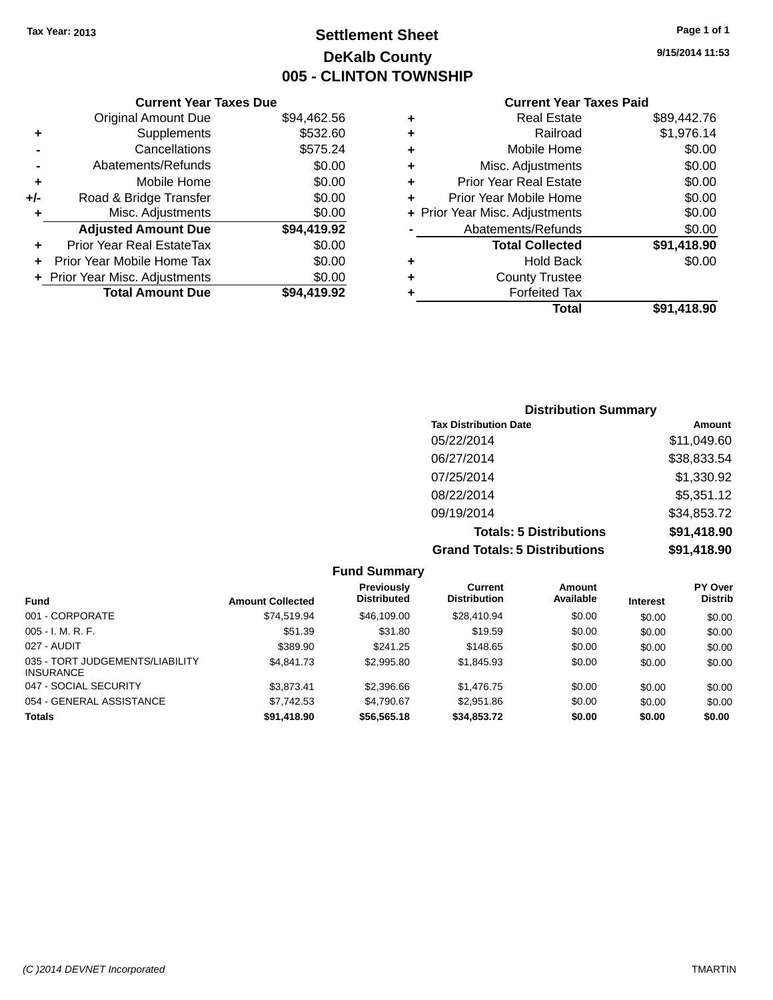# **Settlement Sheet Tax Year: 2013 Page 1 of 1 DeKalb County 005 - CLINTON TOWNSHIP**

**9/15/2014 11:53**

#### **Current Year Taxes Paid**

|       | <b>Current Year Taxes Due</b>  |             |
|-------|--------------------------------|-------------|
|       | <b>Original Amount Due</b>     | \$94,462.56 |
| ٠     | Supplements                    | \$532.60    |
|       | Cancellations                  | \$575.24    |
|       | Abatements/Refunds             | \$0.00      |
| ٠     | Mobile Home                    | \$0.00      |
| $+/-$ | Road & Bridge Transfer         | \$0.00      |
| ٠     | Misc. Adjustments              | \$0.00      |
|       | <b>Adjusted Amount Due</b>     | \$94,419.92 |
| ٠     | Prior Year Real EstateTax      | \$0.00      |
|       | Prior Year Mobile Home Tax     | \$0.00      |
|       | + Prior Year Misc. Adjustments | \$0.00      |
|       | <b>Total Amount Due</b>        | \$94.419.92 |
|       |                                |             |

|   | <b>Real Estate</b>             | \$89,442.76 |
|---|--------------------------------|-------------|
| ٠ | Railroad                       | \$1,976.14  |
| ٠ | Mobile Home                    | \$0.00      |
| ٠ | Misc. Adjustments              | \$0.00      |
| ٠ | <b>Prior Year Real Estate</b>  | \$0.00      |
| ٠ | Prior Year Mobile Home         | \$0.00      |
|   | + Prior Year Misc. Adjustments | \$0.00      |
|   | Abatements/Refunds             | \$0.00      |
|   | <b>Total Collected</b>         | \$91,418.90 |
| ٠ | <b>Hold Back</b>               | \$0.00      |
| ٠ | <b>County Trustee</b>          |             |
| ٠ | <b>Forfeited Tax</b>           |             |
|   | Total                          | \$91,418.90 |
|   |                                |             |

## **Distribution Summary Tax Distribution Date Amount** 05/22/2014 \$11,049.60 06/27/2014 \$38,833.54 07/25/2014 \$1,330.92 08/22/2014 \$5,351.12 09/19/2014 \$34,853.72 **Totals: 5 Distributions \$91,418.90 Grand Totals: 5 Distributions \$91,418.90**

|                                                     |                         | <b>Fund Summary</b>              |                                |                     |                 |                                  |
|-----------------------------------------------------|-------------------------|----------------------------------|--------------------------------|---------------------|-----------------|----------------------------------|
| <b>Fund</b>                                         | <b>Amount Collected</b> | Previously<br><b>Distributed</b> | Current<br><b>Distribution</b> | Amount<br>Available | <b>Interest</b> | <b>PY Over</b><br><b>Distrib</b> |
| 001 - CORPORATE                                     | \$74.519.94             | \$46,109,00                      | \$28,410.94                    | \$0.00              | \$0.00          | \$0.00                           |
| $005 - I. M. R. F.$                                 | \$51.39                 | \$31.80                          | \$19.59                        | \$0.00              | \$0.00          | \$0.00                           |
| 027 - AUDIT                                         | \$389.90                | \$241.25                         | \$148.65                       | \$0.00              | \$0.00          | \$0.00                           |
| 035 - TORT JUDGEMENTS/LIABILITY<br><b>INSURANCE</b> | \$4,841,73              | \$2,995.80                       | \$1,845.93                     | \$0.00              | \$0.00          | \$0.00                           |
| 047 - SOCIAL SECURITY                               | \$3.873.41              | \$2,396.66                       | \$1,476.75                     | \$0.00              | \$0.00          | \$0.00                           |
| 054 - GENERAL ASSISTANCE                            | \$7,742.53              | \$4.790.67                       | \$2,951.86                     | \$0.00              | \$0.00          | \$0.00                           |
| <b>Totals</b>                                       | \$91,418.90             | \$56,565.18                      | \$34,853,72                    | \$0.00              | \$0.00          | \$0.00                           |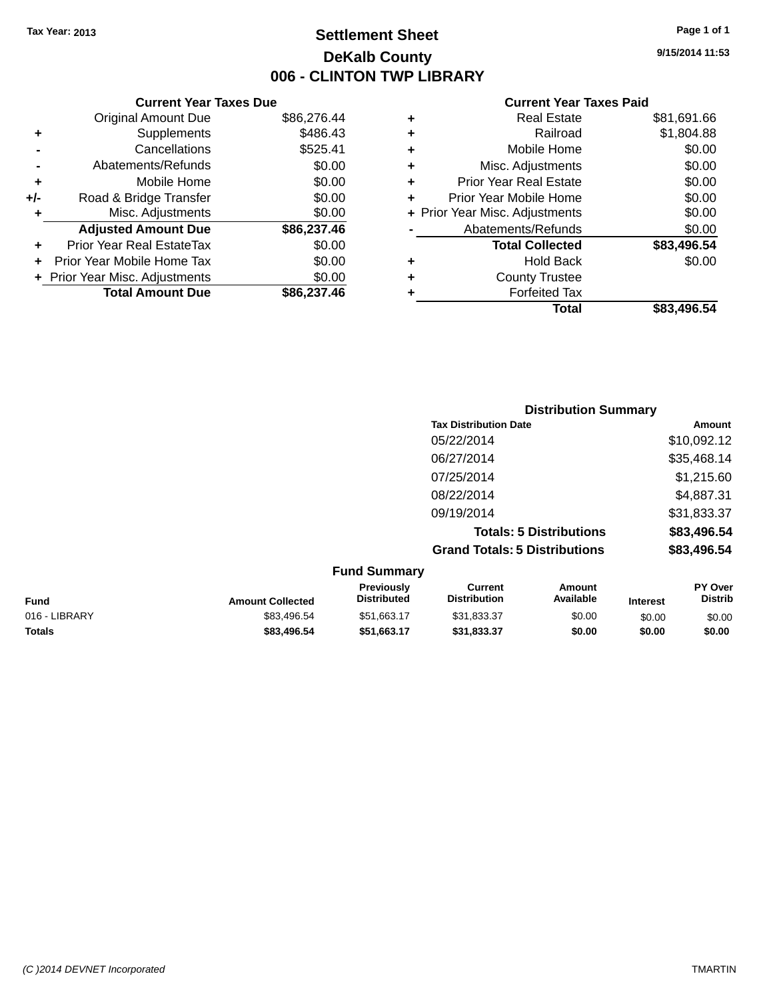# **Settlement Sheet Tax Year: 2013 Page 1 of 1 DeKalb County 006 - CLINTON TWP LIBRARY**

**9/15/2014 11:53**

| <b>Current Year Taxes Due</b> |                                                           |
|-------------------------------|-----------------------------------------------------------|
| <b>Original Amount Due</b>    | \$86,276.44                                               |
| Supplements                   | \$486.43                                                  |
| Cancellations                 | \$525.41                                                  |
| Abatements/Refunds            | \$0.00                                                    |
| Mobile Home                   | \$0.00                                                    |
| Road & Bridge Transfer        | \$0.00                                                    |
| Misc. Adjustments             | \$0.00                                                    |
| <b>Adjusted Amount Due</b>    | \$86,237.46                                               |
| Prior Year Real EstateTax     | \$0.00                                                    |
| Prior Year Mobile Home Tax    | \$0.00                                                    |
|                               | \$0.00                                                    |
|                               | \$86,237,46                                               |
|                               |                                                           |
|                               | + Prior Year Misc. Adjustments<br><b>Total Amount Due</b> |

| ٠ | <b>Real Estate</b>             | \$81,691.66 |
|---|--------------------------------|-------------|
| ٠ | Railroad                       | \$1,804.88  |
| ٠ | Mobile Home                    | \$0.00      |
| ٠ | Misc. Adjustments              | \$0.00      |
| ٠ | <b>Prior Year Real Estate</b>  | \$0.00      |
| ÷ | Prior Year Mobile Home         | \$0.00      |
|   | + Prior Year Misc. Adjustments | \$0.00      |
|   | Abatements/Refunds             | \$0.00      |
|   | <b>Total Collected</b>         | \$83,496.54 |
| ÷ | Hold Back                      | \$0.00      |
| ÷ | <b>County Trustee</b>          |             |
| ÷ | <b>Forfeited Tax</b>           |             |
|   | Total                          | \$83,496.54 |
|   |                                |             |

|                     | <b>Distribution Summary</b>          |             |
|---------------------|--------------------------------------|-------------|
|                     | <b>Tax Distribution Date</b>         | Amount      |
|                     | 05/22/2014                           | \$10,092.12 |
|                     | 06/27/2014                           | \$35,468.14 |
|                     | 07/25/2014                           | \$1,215.60  |
|                     | 08/22/2014                           | \$4,887.31  |
|                     | 09/19/2014                           | \$31,833.37 |
|                     | <b>Totals: 5 Distributions</b>       | \$83,496.54 |
|                     | <b>Grand Totals: 5 Distributions</b> | \$83,496.54 |
| <b>Fund Summary</b> |                                      |             |

|                         | unu Junnia y                            |                                |                     |                 |                                  |
|-------------------------|-----------------------------------------|--------------------------------|---------------------|-----------------|----------------------------------|
| <b>Amount Collected</b> | <b>Previously</b><br><b>Distributed</b> | Current<br><b>Distribution</b> | Amount<br>Available | <b>Interest</b> | <b>PY Over</b><br><b>Distrib</b> |
| \$83,496.54             | \$51,663.17                             | \$31,833.37                    | \$0.00              | \$0.00          | \$0.00                           |
| \$83,496,54             | \$51.663.17                             | \$31.833.37                    | \$0.00              | \$0.00          | \$0.00                           |
|                         |                                         |                                |                     |                 |                                  |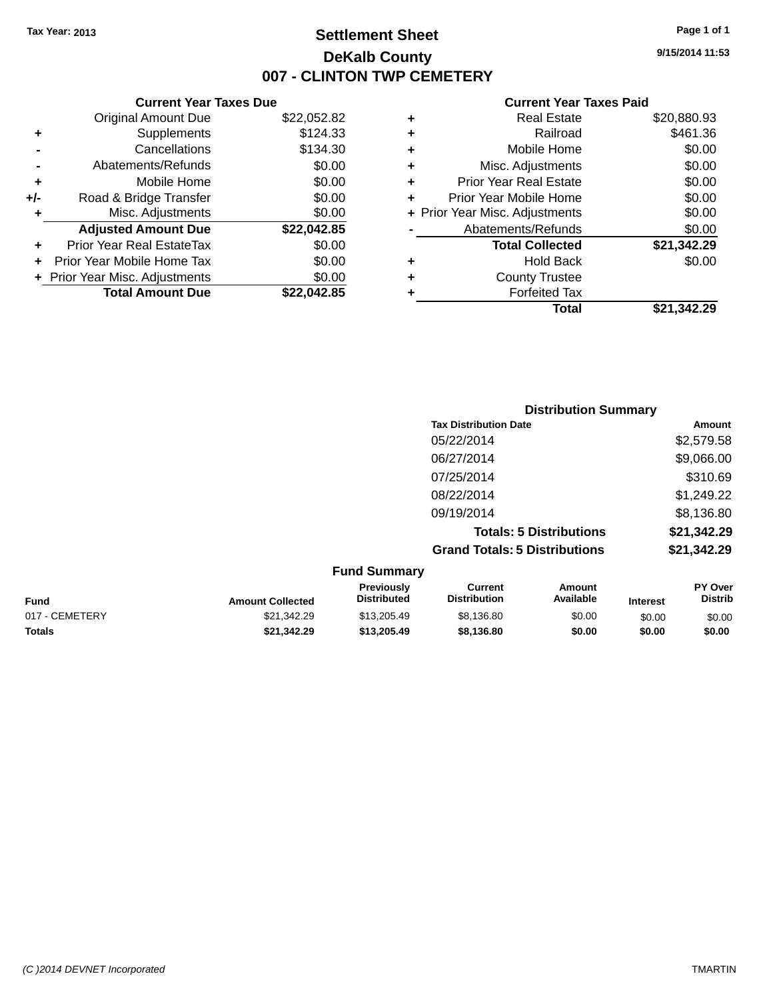# **Settlement Sheet Tax Year: 2013 Page 1 of 1 DeKalb County 007 - CLINTON TWP CEMETERY**

**9/15/2014 11:53**

| <b>Current Year Taxes Due</b> |                                |
|-------------------------------|--------------------------------|
| <b>Original Amount Due</b>    | \$22,052.82                    |
| Supplements                   | \$124.33                       |
| Cancellations                 | \$134.30                       |
| Abatements/Refunds            | \$0.00                         |
| Mobile Home                   | \$0.00                         |
| Road & Bridge Transfer        | \$0.00                         |
| Misc. Adjustments             | \$0.00                         |
| <b>Adjusted Amount Due</b>    | \$22,042.85                    |
| Prior Year Real EstateTax     | \$0.00                         |
| Prior Year Mobile Home Tax    | \$0.00                         |
|                               | \$0.00                         |
| <b>Total Amount Due</b>       | \$22.042.85                    |
|                               | + Prior Year Misc. Adjustments |

|   | <b>Real Estate</b>             | \$20,880.93 |
|---|--------------------------------|-------------|
| ٠ | Railroad                       | \$461.36    |
| ٠ | Mobile Home                    | \$0.00      |
| ٠ | Misc. Adjustments              | \$0.00      |
| ٠ | <b>Prior Year Real Estate</b>  | \$0.00      |
| ٠ | Prior Year Mobile Home         | \$0.00      |
|   | + Prior Year Misc. Adjustments | \$0.00      |
|   | Abatements/Refunds             | \$0.00      |
|   | <b>Total Collected</b>         | \$21,342.29 |
| ٠ | Hold Back                      | \$0.00      |
| ٠ | <b>County Trustee</b>          |             |
| ٠ | <b>Forfeited Tax</b>           |             |
|   | Total                          | \$21,342.29 |
|   |                                |             |

| <b>Distribution Summary</b>          |             |
|--------------------------------------|-------------|
| <b>Tax Distribution Date</b>         | Amount      |
| 05/22/2014                           | \$2,579.58  |
| 06/27/2014                           | \$9,066.00  |
| 07/25/2014                           | \$310.69    |
| 08/22/2014                           | \$1,249.22  |
| 09/19/2014                           | \$8,136.80  |
| <b>Totals: 5 Distributions</b>       | \$21,342.29 |
| <b>Grand Totals: 5 Distributions</b> | \$21,342.29 |

|                |                         | <b>Fund Summary</b>                     |                                |                     |                 |                           |  |
|----------------|-------------------------|-----------------------------------------|--------------------------------|---------------------|-----------------|---------------------------|--|
| Fund           | <b>Amount Collected</b> | <b>Previously</b><br><b>Distributed</b> | Current<br><b>Distribution</b> | Amount<br>Available | <b>Interest</b> | PY Over<br><b>Distrib</b> |  |
| 017 - CEMETERY | \$21,342.29             | \$13,205.49                             | \$8,136.80                     | \$0.00              | \$0.00          | \$0.00                    |  |
| <b>Totals</b>  | \$21,342.29             | \$13,205,49                             | \$8,136.80                     | \$0.00              | \$0.00          | \$0.00                    |  |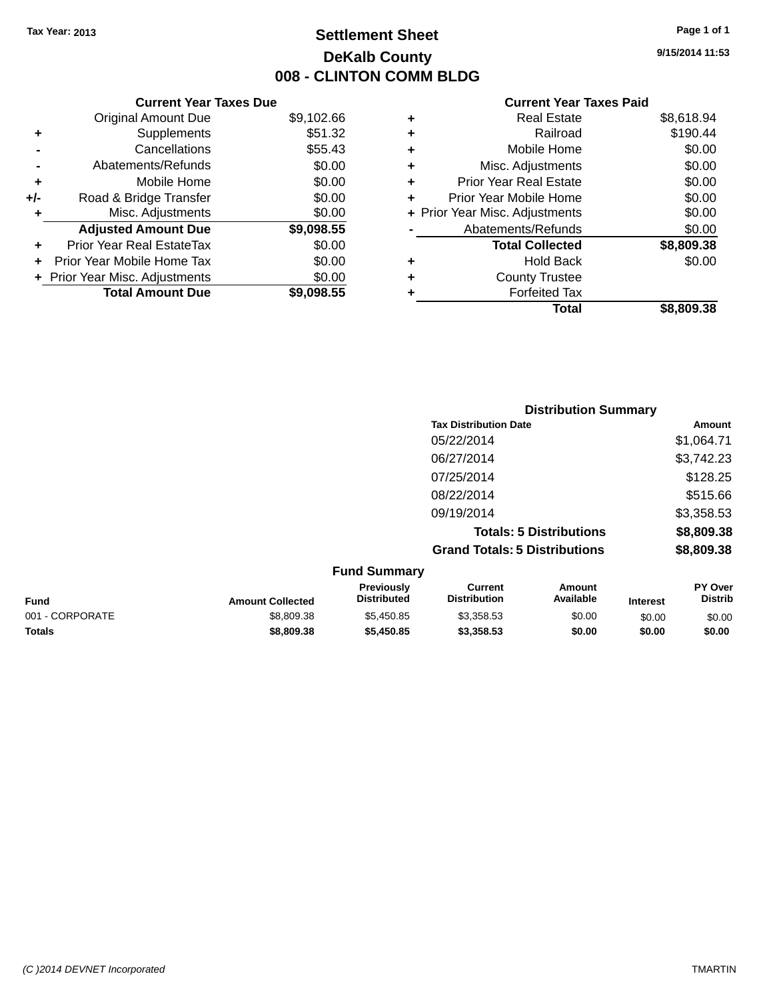# **Settlement Sheet Tax Year: 2013 Page 1 of 1 DeKalb County 008 - CLINTON COMM BLDG**

**9/15/2014 11:53**

| <b>Current Year Taxes Due</b>  |            |
|--------------------------------|------------|
| <b>Original Amount Due</b>     | \$9,102.66 |
| Supplements                    | \$51.32    |
| Cancellations                  | \$55.43    |
| Abatements/Refunds             | \$0.00     |
| Mobile Home                    | \$0.00     |
| Road & Bridge Transfer         | \$0.00     |
| Misc. Adjustments              | \$0.00     |
| <b>Adjusted Amount Due</b>     | \$9,098.55 |
| Prior Year Real EstateTax      | \$0.00     |
| Prior Year Mobile Home Tax     | \$0.00     |
| + Prior Year Misc. Adjustments | \$0.00     |
| <b>Total Amount Due</b>        | \$9.098.55 |
|                                |            |

|   | Real Estate                    | \$8,618.94 |
|---|--------------------------------|------------|
| ٠ | Railroad                       | \$190.44   |
| ٠ | Mobile Home                    | \$0.00     |
| ٠ | Misc. Adjustments              | \$0.00     |
| ٠ | <b>Prior Year Real Estate</b>  | \$0.00     |
| ٠ | Prior Year Mobile Home         | \$0.00     |
|   | + Prior Year Misc. Adjustments | \$0.00     |
|   | Abatements/Refunds             | \$0.00     |
|   | <b>Total Collected</b>         | \$8,809.38 |
| ٠ | <b>Hold Back</b>               | \$0.00     |
| ٠ | <b>County Trustee</b>          |            |
| ٠ | <b>Forfeited Tax</b>           |            |
|   | Total                          | \$8,809.38 |
|   |                                |            |

|                     | <b>Distribution Summary</b>          |            |
|---------------------|--------------------------------------|------------|
|                     | <b>Tax Distribution Date</b>         | Amount     |
|                     | 05/22/2014                           | \$1,064.71 |
|                     | 06/27/2014                           | \$3,742.23 |
|                     | 07/25/2014                           | \$128.25   |
|                     | 08/22/2014                           | \$515.66   |
|                     | 09/19/2014                           | \$3,358.53 |
|                     | <b>Totals: 5 Distributions</b>       | \$8,809.38 |
|                     | <b>Grand Totals: 5 Distributions</b> | \$8,809.38 |
| <b>Fund Summary</b> |                                      |            |

| ------------------ |                         |                                         |                                |                     |                 |                                  |
|--------------------|-------------------------|-----------------------------------------|--------------------------------|---------------------|-----------------|----------------------------------|
| <b>Fund</b>        | <b>Amount Collected</b> | <b>Previously</b><br><b>Distributed</b> | Current<br><b>Distribution</b> | Amount<br>Available | <b>Interest</b> | <b>PY Over</b><br><b>Distrib</b> |
| 001 - CORPORATE    | \$8,809.38              | \$5,450.85                              | \$3,358,53                     | \$0.00              | \$0.00          | \$0.00                           |
| <b>Totals</b>      | \$8,809,38              | \$5,450.85                              | \$3,358,53                     | \$0.00              | \$0.00          | \$0.00                           |
|                    |                         |                                         |                                |                     |                 |                                  |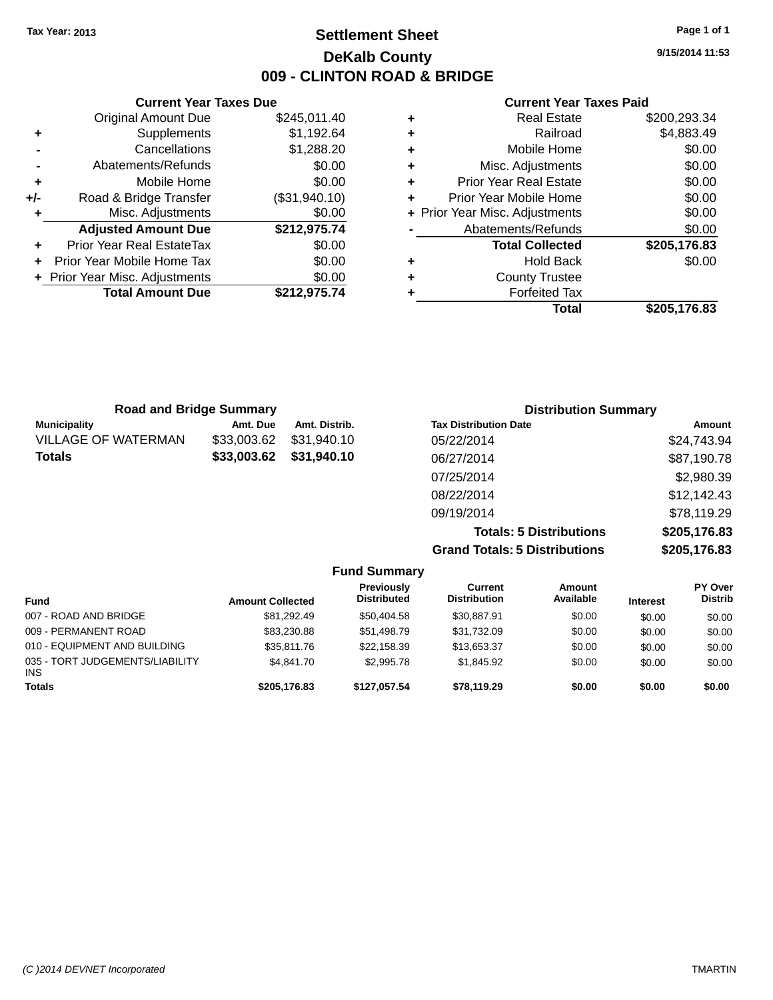# **Settlement Sheet Tax Year: 2013 Page 1 of 1 DeKalb County 009 - CLINTON ROAD & BRIDGE**

**9/15/2014 11:53**

#### **Current Year Taxes Paid**

|                                | <b>Current Year Taxes Due</b>    |               |  |  |  |  |
|--------------------------------|----------------------------------|---------------|--|--|--|--|
|                                | <b>Original Amount Due</b>       | \$245,011.40  |  |  |  |  |
| \$1,192.64<br>Supplements<br>٠ |                                  |               |  |  |  |  |
|                                | \$1,288.20<br>Cancellations      |               |  |  |  |  |
|                                | Abatements/Refunds               | \$0.00        |  |  |  |  |
| ٠                              | Mobile Home                      | \$0.00        |  |  |  |  |
| +/-                            | Road & Bridge Transfer           | (\$31,940.10) |  |  |  |  |
| ٠                              | Misc. Adjustments                | \$0.00        |  |  |  |  |
|                                | <b>Adjusted Amount Due</b>       | \$212,975.74  |  |  |  |  |
| ٠                              | <b>Prior Year Real EstateTax</b> | \$0.00        |  |  |  |  |
| ÷                              | Prior Year Mobile Home Tax       | \$0.00        |  |  |  |  |
|                                | + Prior Year Misc. Adjustments   | \$0.00        |  |  |  |  |
|                                | <b>Total Amount Due</b>          | \$212,975.74  |  |  |  |  |
|                                |                                  |               |  |  |  |  |

| <b>Real Estate</b>             | \$200,293.34 |
|--------------------------------|--------------|
| Railroad                       | \$4,883.49   |
| Mobile Home                    | \$0.00       |
| Misc. Adjustments              | \$0.00       |
| <b>Prior Year Real Estate</b>  | \$0.00       |
| Prior Year Mobile Home         | \$0.00       |
| + Prior Year Misc. Adjustments | \$0.00       |
| Abatements/Refunds             | \$0.00       |
| <b>Total Collected</b>         | \$205,176.83 |
| <b>Hold Back</b>               | \$0.00       |
| <b>County Trustee</b>          |              |
| <b>Forfeited Tax</b>           |              |
| Total                          | \$205,176.83 |
|                                |              |

| <b>Road and Bridge Summary</b> |             |               | <b>Distribution Summary</b>    |              |  |
|--------------------------------|-------------|---------------|--------------------------------|--------------|--|
| <b>Municipality</b>            | Amt. Due    | Amt. Distrib. | <b>Tax Distribution Date</b>   | Amount       |  |
| <b>VILLAGE OF WATERMAN</b>     | \$33,003.62 | \$31,940.10   | 05/22/2014                     | \$24,743.94  |  |
| <b>Totals</b>                  | \$33,003.62 | \$31,940.10   | 06/27/2014                     | \$87,190.78  |  |
|                                |             |               | 07/25/2014                     | \$2,980.39   |  |
|                                |             |               | 08/22/2014                     | \$12,142.43  |  |
|                                |             |               | 09/19/2014                     | \$78,119.29  |  |
|                                |             |               | <b>Totals: 5 Distributions</b> | \$205,176.83 |  |

**Grand Totals: 5 Distributions \$205,176.83**

| <b>Fund Summary</b>                     |                         |                                  |                                |                     |                 |                                  |
|-----------------------------------------|-------------------------|----------------------------------|--------------------------------|---------------------|-----------------|----------------------------------|
| <b>Fund</b>                             | <b>Amount Collected</b> | Previously<br><b>Distributed</b> | Current<br><b>Distribution</b> | Amount<br>Available | <b>Interest</b> | <b>PY Over</b><br><b>Distrib</b> |
| 007 - ROAD AND BRIDGE                   | \$81.292.49             | \$50,404.58                      | \$30.887.91                    | \$0.00              | \$0.00          | \$0.00                           |
| 009 - PERMANENT ROAD                    | \$83,230.88             | \$51,498.79                      | \$31.732.09                    | \$0.00              | \$0.00          | \$0.00                           |
| 010 - EQUIPMENT AND BUILDING            | \$35,811,76             | \$22.158.39                      | \$13,653.37                    | \$0.00              | \$0.00          | \$0.00                           |
| 035 - TORT JUDGEMENTS/LIABILITY<br>INS. | \$4.841.70              | \$2,995.78                       | \$1,845.92                     | \$0.00              | \$0.00          | \$0.00                           |
| <b>Totals</b>                           | \$205,176.83            | \$127.057.54                     | \$78,119.29                    | \$0.00              | \$0.00          | \$0.00                           |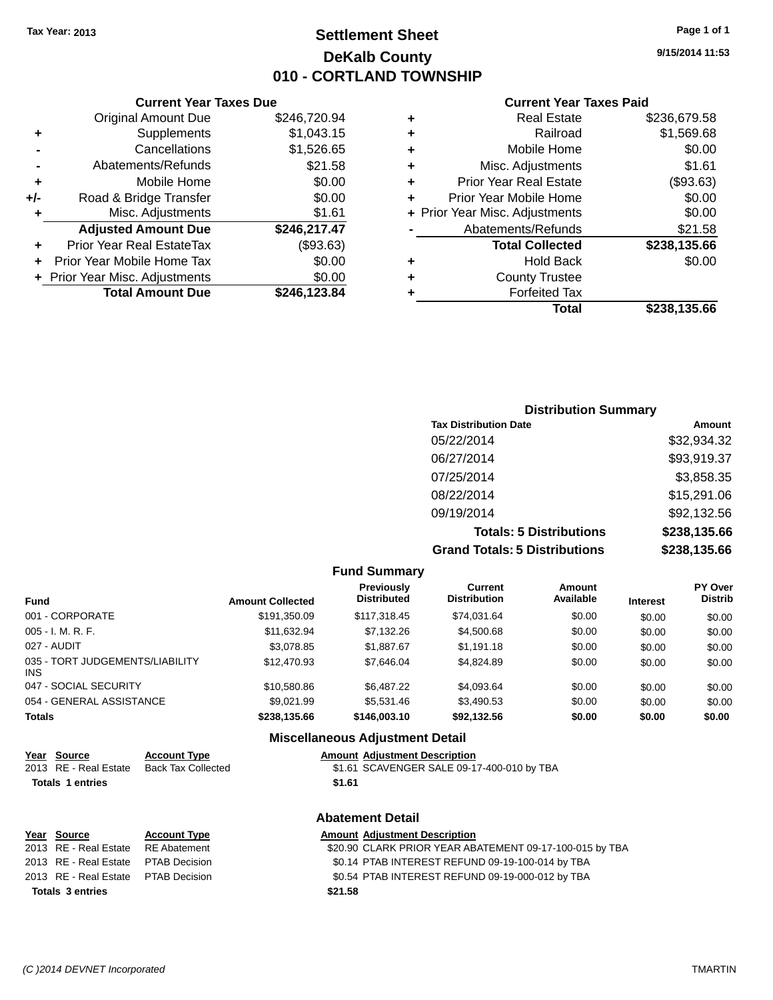# **Settlement Sheet Tax Year: 2013 Page 1 of 1 DeKalb County 010 - CORTLAND TOWNSHIP**

**9/15/2014 11:53**

|     | <b>Current Year Taxes Due</b>  |              |  |  |  |  |
|-----|--------------------------------|--------------|--|--|--|--|
|     | <b>Original Amount Due</b>     | \$246,720.94 |  |  |  |  |
| ٠   | Supplements                    | \$1,043.15   |  |  |  |  |
|     | \$1,526.65<br>Cancellations    |              |  |  |  |  |
|     | Abatements/Refunds             | \$21.58      |  |  |  |  |
| ٠   | Mobile Home                    | \$0.00       |  |  |  |  |
| +/- | Road & Bridge Transfer         | \$0.00       |  |  |  |  |
| ٠   | \$1.61<br>Misc. Adjustments    |              |  |  |  |  |
|     | <b>Adjusted Amount Due</b>     | \$246,217.47 |  |  |  |  |
| ÷   | Prior Year Real EstateTax      | (\$93.63)    |  |  |  |  |
|     | Prior Year Mobile Home Tax     | \$0.00       |  |  |  |  |
|     | + Prior Year Misc. Adjustments | \$0.00       |  |  |  |  |
|     | <b>Total Amount Due</b>        | \$246,123.84 |  |  |  |  |
|     |                                |              |  |  |  |  |

|   | <b>Real Estate</b>             | \$236,679.58 |
|---|--------------------------------|--------------|
| ٠ | Railroad                       | \$1,569.68   |
| ٠ | Mobile Home                    | \$0.00       |
| ٠ | Misc. Adjustments              | \$1.61       |
| ٠ | <b>Prior Year Real Estate</b>  | (\$93.63)    |
| ٠ | Prior Year Mobile Home         | \$0.00       |
|   | + Prior Year Misc. Adjustments | \$0.00       |
|   | Abatements/Refunds             | \$21.58      |
|   | <b>Total Collected</b>         | \$238,135.66 |
| ٠ | <b>Hold Back</b>               | \$0.00       |
| ٠ | <b>County Trustee</b>          |              |
| ٠ | <b>Forfeited Tax</b>           |              |
|   | Total                          | \$238,135.66 |
|   |                                |              |

| <b>Distribution Summary</b>          |              |  |  |  |
|--------------------------------------|--------------|--|--|--|
| <b>Tax Distribution Date</b>         | Amount       |  |  |  |
| 05/22/2014                           | \$32,934.32  |  |  |  |
| 06/27/2014                           | \$93,919.37  |  |  |  |
| 07/25/2014                           | \$3,858.35   |  |  |  |
| 08/22/2014                           | \$15,291.06  |  |  |  |
| 09/19/2014                           | \$92,132.56  |  |  |  |
| <b>Totals: 5 Distributions</b>       | \$238,135.66 |  |  |  |
| <b>Grand Totals: 5 Distributions</b> | \$238,135.66 |  |  |  |

|                                         |                         | <b>Fund Summary</b>                     |                                       |                     |                 |                                  |
|-----------------------------------------|-------------------------|-----------------------------------------|---------------------------------------|---------------------|-----------------|----------------------------------|
| Fund                                    | <b>Amount Collected</b> | <b>Previously</b><br><b>Distributed</b> | <b>Current</b><br><b>Distribution</b> | Amount<br>Available | <b>Interest</b> | <b>PY Over</b><br><b>Distrib</b> |
| 001 - CORPORATE                         | \$191,350.09            | \$117,318.45                            | \$74,031.64                           | \$0.00              | \$0.00          | \$0.00                           |
| $005 - I. M. R. F.$                     | \$11,632.94             | \$7,132.26                              | \$4,500.68                            | \$0.00              | \$0.00          | \$0.00                           |
| 027 - AUDIT                             | \$3,078.85              | \$1,887.67                              | \$1,191.18                            | \$0.00              | \$0.00          | \$0.00                           |
| 035 - TORT JUDGEMENTS/LIABILITY<br>INS. | \$12,470.93             | \$7,646.04                              | \$4.824.89                            | \$0.00              | \$0.00          | \$0.00                           |
| 047 - SOCIAL SECURITY                   | \$10,580.86             | \$6,487.22                              | \$4,093.64                            | \$0.00              | \$0.00          | \$0.00                           |
| 054 - GENERAL ASSISTANCE                | \$9.021.99              | \$5.531.46                              | \$3,490.53                            | \$0.00              | \$0.00          | \$0.00                           |
| <b>Totals</b>                           | \$238,135.66            | \$146,003.10                            | \$92,132.56                           | \$0.00              | \$0.00          | \$0.00                           |
|                                         |                         | Miccollangeus Adjustment Detail         |                                       |                     |                 |                                  |

|                         |                         |                           | <b>Miscellaneous Adjustment Detail</b>                  |
|-------------------------|-------------------------|---------------------------|---------------------------------------------------------|
|                         | Year Source             | <b>Account Type</b>       | <b>Amount Adjustment Description</b>                    |
|                         | 2013 RE - Real Estate   | <b>Back Tax Collected</b> | \$1.61 SCAVENGER SALE 09-17-400-010 by TBA              |
| <b>Totals 1 entries</b> |                         |                           | \$1.61                                                  |
|                         |                         |                           | <b>Abatement Detail</b>                                 |
|                         | Year Source             | <b>Account Type</b>       | <b>Amount Adjustment Description</b>                    |
|                         | 2013 RE - Real Estate   | <b>RE</b> Abatement       | \$20.90 CLARK PRIOR YEAR ABATEMENT 09-17-100-015 by TBA |
|                         | 2013 RE - Real Estate   | <b>PTAB Decision</b>      | \$0.14 PTAB INTEREST REFUND 09-19-100-014 by TBA        |
|                         | 2013 RE - Real Estate   | PTAB Decision             | \$0.54 PTAB INTEREST REFUND 09-19-000-012 by TBA        |
|                         | <b>Totals 3 entries</b> |                           | \$21.58                                                 |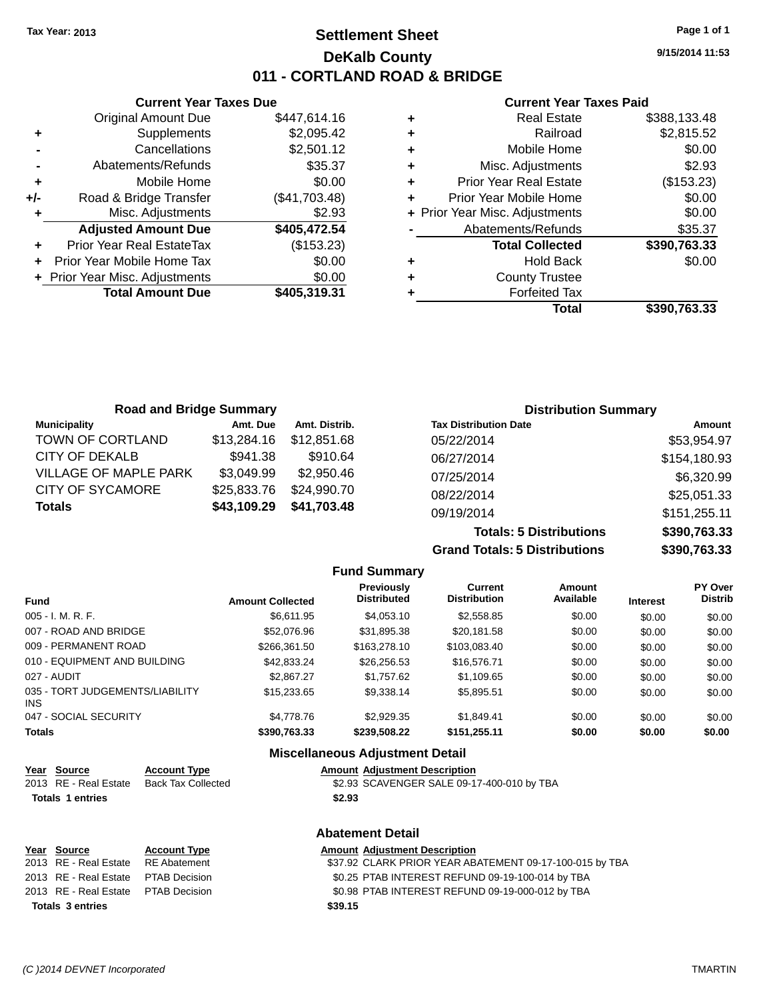# **Settlement Sheet Tax Year: 2013 Page 1 of 1 DeKalb County 011 - CORTLAND ROAD & BRIDGE**

**9/15/2014 11:53**

#### **Current Year Taxes Paid**

|     | <b>Current Year Taxes Due</b>    |               |   |             |
|-----|----------------------------------|---------------|---|-------------|
|     | <b>Original Amount Due</b>       | \$447,614.16  | ٠ |             |
| ٠   | Supplements                      | \$2,095.42    | ÷ |             |
|     | Cancellations                    | \$2,501.12    | ٠ |             |
|     | Abatements/Refunds               | \$35.37       | ٠ |             |
|     | Mobile Home                      | \$0.00        | ٠ | Pr          |
| +/- | Road & Bridge Transfer           | (\$41,703.48) |   | Prio        |
|     | Misc. Adjustments                | \$2.93        |   | + Prior Yea |
|     | <b>Adjusted Amount Due</b>       | \$405,472.54  |   | A           |
|     | <b>Prior Year Real EstateTax</b> | (\$153.23)    |   |             |
|     | Prior Year Mobile Home Tax       | \$0.00        | ٠ |             |
|     | + Prior Year Misc. Adjustments   | \$0.00        |   |             |
|     | <b>Total Amount Due</b>          | \$405,319.31  |   |             |
|     |                                  |               |   |             |

|   | <b>Real Estate</b>             | \$388,133.48 |
|---|--------------------------------|--------------|
| ٠ | Railroad                       | \$2,815.52   |
| ٠ | Mobile Home                    | \$0.00       |
| ٠ | Misc. Adjustments              | \$2.93       |
| ٠ | <b>Prior Year Real Estate</b>  | (\$153.23)   |
| ٠ | Prior Year Mobile Home         | \$0.00       |
|   | + Prior Year Misc. Adjustments | \$0.00       |
|   | Abatements/Refunds             | \$35.37      |
|   | <b>Total Collected</b>         | \$390,763.33 |
|   | <b>Hold Back</b>               | \$0.00       |
| ٠ | <b>County Trustee</b>          |              |
|   | <b>Forfeited Tax</b>           |              |
|   | Total                          | \$390,763.33 |
|   |                                |              |

| <b>Road and Bridge Summary</b> |             |               | <b>Distribution Summary</b>  |              |  |
|--------------------------------|-------------|---------------|------------------------------|--------------|--|
| <b>Municipality</b>            | Amt. Due    | Amt. Distrib. | <b>Tax Distribution Date</b> | Amount       |  |
| TOWN OF CORTLAND               | \$13,284.16 | \$12,851,68   | 05/22/2014                   | \$53,954.97  |  |
| CITY OF DEKALB                 | \$941.38    | \$910.64      | 06/27/2014                   | \$154,180.93 |  |
| <b>VILLAGE OF MAPLE PARK</b>   | \$3,049.99  | \$2,950.46    | 07/25/2014                   | \$6,320.99   |  |
| CITY OF SYCAMORE               | \$25,833.76 | \$24,990.70   | 08/22/2014                   | \$25,051.33  |  |
| <b>Totals</b>                  | \$43,109.29 | \$41,703.48   | 09/19/2014                   | \$151,255.11 |  |
|                                |             |               |                              |              |  |

**Totals: 5 Distributions \$390,763.33 Grand Totals: 5 Distributions \$390,763.33**

|                                         |                         | <b>Fund Summary</b>              |                                       |                     |                 |                           |
|-----------------------------------------|-------------------------|----------------------------------|---------------------------------------|---------------------|-----------------|---------------------------|
| Fund                                    | <b>Amount Collected</b> | Previously<br><b>Distributed</b> | <b>Current</b><br><b>Distribution</b> | Amount<br>Available | <b>Interest</b> | PY Over<br><b>Distrib</b> |
| 005 - I. M. R. F.                       | \$6.611.95              | \$4.053.10                       | \$2,558.85                            | \$0.00              | \$0.00          | \$0.00                    |
| 007 - ROAD AND BRIDGE                   | \$52,076.96             | \$31.895.38                      | \$20.181.58                           | \$0.00              | \$0.00          | \$0.00                    |
| 009 - PERMANENT ROAD                    | \$266.361.50            | \$163,278.10                     | \$103.083.40                          | \$0.00              | \$0.00          | \$0.00                    |
| 010 - EQUIPMENT AND BUILDING            | \$42,833,24             | \$26.256.53                      | \$16,576.71                           | \$0.00              | \$0.00          | \$0.00                    |
| 027 - AUDIT                             | \$2,867.27              | \$1.757.62                       | \$1.109.65                            | \$0.00              | \$0.00          | \$0.00                    |
| 035 - TORT JUDGEMENTS/LIABILITY<br>INS. | \$15,233.65             | \$9,338.14                       | \$5,895.51                            | \$0.00              | \$0.00          | \$0.00                    |
| 047 - SOCIAL SECURITY                   | \$4,778,76              | \$2.929.35                       | \$1.849.41                            | \$0.00              | \$0.00          | \$0.00                    |
| <b>Totals</b>                           | \$390,763.33            | \$239,508.22                     | \$151,255.11                          | \$0.00              | \$0.00          | \$0.00                    |

# **Miscellaneous Adjustment Detail**

| <u>Year Source</u>      | <b>Account Type</b> |        | <b>Amount Adiustment Description</b>       |
|-------------------------|---------------------|--------|--------------------------------------------|
| 2013 RE - Real Estate   | Back Tax Collected  |        | \$2.93 SCAVENGER SALE 09-17-400-010 by TBA |
| <b>Totals 1 entries</b> |                     | \$2.93 |                                            |

| <b>Abatement Detail</b>             |                     |                                                         |  |  |  |
|-------------------------------------|---------------------|---------------------------------------------------------|--|--|--|
| Year Source                         | <b>Account Type</b> | <b>Amount Adjustment Description</b>                    |  |  |  |
| 2013 RE - Real Estate               | RE Abatement        | \$37.92 CLARK PRIOR YEAR ABATEMENT 09-17-100-015 by TBA |  |  |  |
| 2013 RE - Real Estate               | PTAB Decision       | \$0.25 PTAB INTEREST REFUND 09-19-100-014 by TBA        |  |  |  |
| 2013 RE - Real Estate PTAB Decision |                     | \$0.98 PTAB INTEREST REFUND 09-19-000-012 by TBA        |  |  |  |
| <b>Totals 3 entries</b>             |                     | \$39.15                                                 |  |  |  |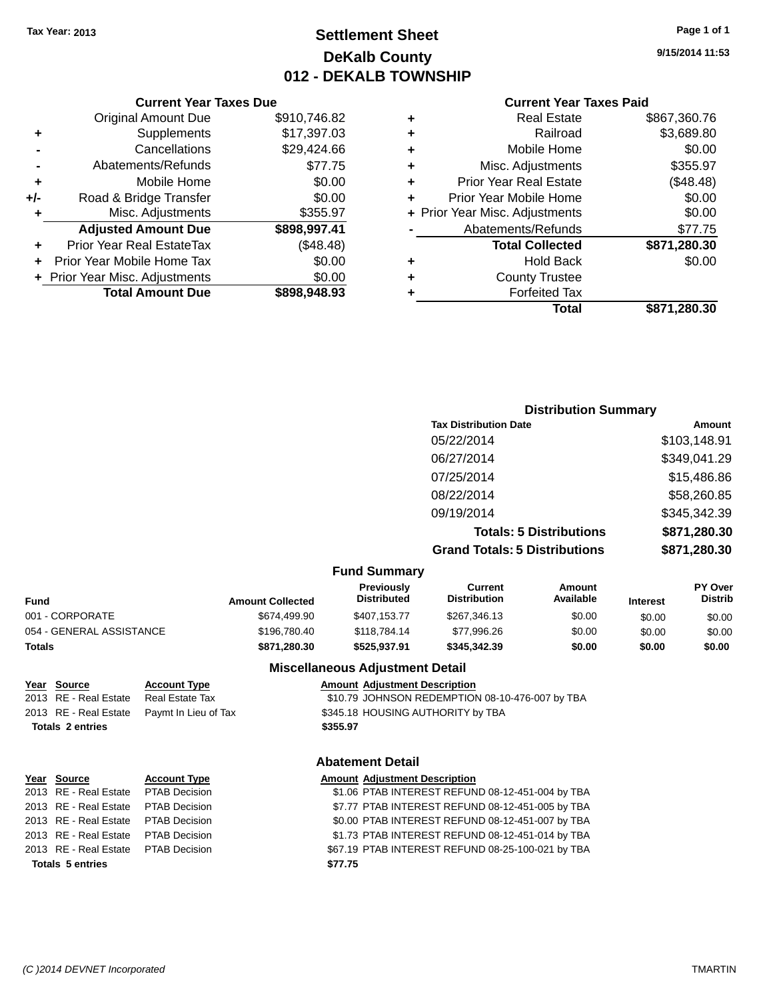# **Settlement Sheet Tax Year: 2013 Page 1 of 1 DeKalb County 012 - DEKALB TOWNSHIP**

**9/15/2014 11:53**

#### **Current Year Taxes Paid**

|     | <b>Current Year Taxes Due</b>    |              |  |
|-----|----------------------------------|--------------|--|
|     | <b>Original Amount Due</b>       | \$910,746.82 |  |
| ٠   | Supplements                      | \$17,397.03  |  |
|     | Cancellations                    | \$29,424.66  |  |
|     | Abatements/Refunds               | \$77.75      |  |
|     | Mobile Home                      | \$0.00       |  |
| +/- | Road & Bridge Transfer           | \$0.00       |  |
| ٠   | Misc. Adjustments                | \$355.97     |  |
|     | <b>Adjusted Amount Due</b>       | \$898,997.41 |  |
| ÷   | <b>Prior Year Real EstateTax</b> | (\$48.48)    |  |
| ÷   | Prior Year Mobile Home Tax       | \$0.00       |  |
|     | + Prior Year Misc. Adjustments   | \$0.00       |  |
|     | <b>Total Amount Due</b>          | \$898,948.93 |  |
|     |                                  |              |  |

|   | <b>Real Estate</b>             | \$867,360.76 |
|---|--------------------------------|--------------|
| ٠ | Railroad                       | \$3,689.80   |
| ٠ | Mobile Home                    | \$0.00       |
| ٠ | Misc. Adjustments              | \$355.97     |
| ٠ | <b>Prior Year Real Estate</b>  | (\$48.48)    |
| ٠ | Prior Year Mobile Home         | \$0.00       |
|   | + Prior Year Misc. Adjustments | \$0.00       |
|   | Abatements/Refunds             | \$77.75      |
|   | <b>Total Collected</b>         | \$871,280.30 |
| ٠ | <b>Hold Back</b>               | \$0.00       |
|   | <b>County Trustee</b>          |              |
| ٠ |                                |              |
| ٠ | <b>Forfeited Tax</b>           |              |
|   | Total                          | \$871,280.30 |

# **Distribution Summary Tax Distribution Date Amount** 05/22/2014 \$103,148.91 06/27/2014 \$349,041.29 07/25/2014 \$15,486.86 08/22/2014 \$58,260.85 09/19/2014 \$345,342.39 **Totals: 5 Distributions \$871,280.30 Grand Totals: 5 Distributions \$871,280.30**

#### **Fund Summary**

| Fund                     | <b>Amount Collected</b> | <b>Previously</b><br><b>Distributed</b> | Current<br><b>Distribution</b> | Amount<br>Available | <b>Interest</b> | <b>PY Over</b><br><b>Distrib</b> |
|--------------------------|-------------------------|-----------------------------------------|--------------------------------|---------------------|-----------------|----------------------------------|
| 001 - CORPORATE          | \$674.499.90            | \$407.153.77                            | \$267.346.13                   | \$0.00              | \$0.00          | \$0.00                           |
| 054 - GENERAL ASSISTANCE | \$196,780.40            | \$118,784.14                            | \$77.996.26                    | \$0.00              | \$0.00          | \$0.00                           |
| Totals                   | \$871,280.30            | \$525.937.91                            | \$345,342,39                   | \$0.00              | \$0.00          | \$0.00                           |

# **Totals 2 entries \$355.97**

**Miscellaneous Adjustment Detail**

#### **Year Source Account Type Amount Adjustment Description**

2013 RE - Real Estate Real Estate Tax \$10.79 JOHNSON REDEMPTION 08-10-476-007 by TBA 2013 RE - Real Estate Paymt In Lieu of Tax \$345.18 HOUSING AUTHORITY by TBA

#### **Abatement Detail**

### **Year Source Account Type Amount Adjustment Description** 2013 RE - Real Estate PTAB Decision \$1.06 PTAB INTEREST REFUND 08-12-451-004 by TBA

2013 RE - Real Estate PTAB Decision \$7.77 PTAB INTEREST REFUND 08-12-451-005 by TBA 2013 RE - Real Estate PTAB Decision \$0.00 PTAB INTEREST REFUND 08-12-451-007 by TBA 2013 RE - Real Estate PTAB Decision \$1.73 PTAB INTEREST REFUND 08-12-451-014 by TBA 2013 RE - Real Estate PTAB Decision \$67.19 PTAB INTEREST REFUND 08-25-100-021 by TBA **Totals 5 entries \$77.75**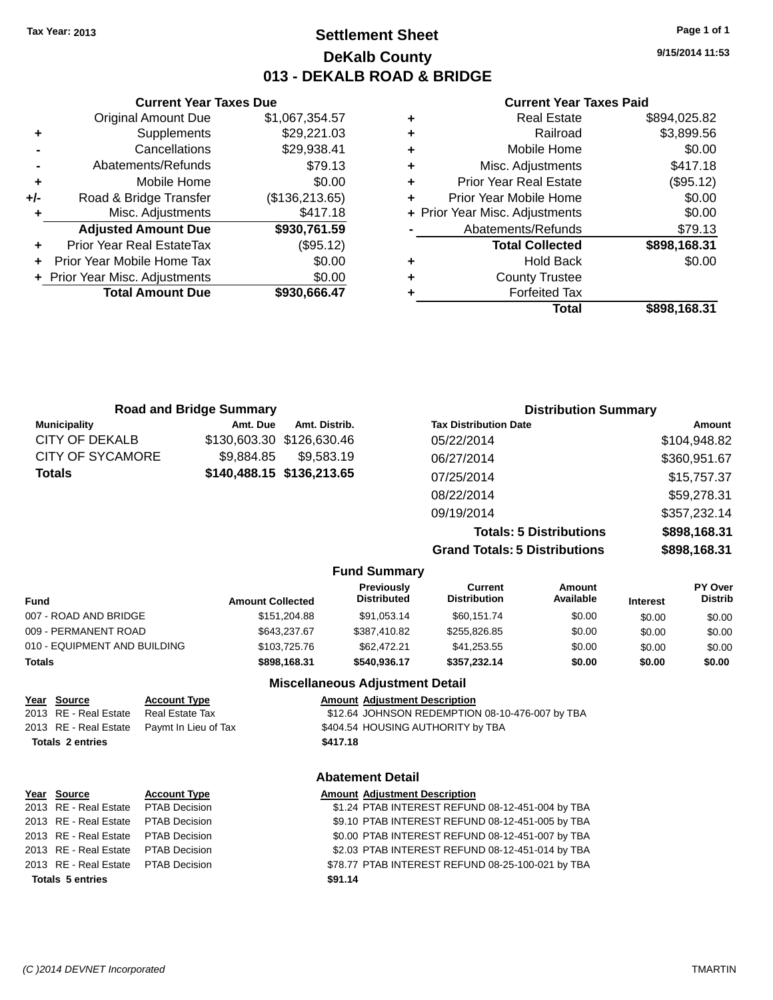# **Settlement Sheet Tax Year: 2013 Page 1 of 1 DeKalb County 013 - DEKALB ROAD & BRIDGE**

**9/15/2014 11:53**

#### **Current Year Taxes Paid**

|   | <b>Real Estate</b>             | \$894,025.82 |
|---|--------------------------------|--------------|
| ٠ | Railroad                       | \$3,899.56   |
| ٠ | Mobile Home                    | \$0.00       |
| ٠ | Misc. Adjustments              | \$417.18     |
| ٠ | <b>Prior Year Real Estate</b>  | (\$95.12)    |
| ٠ | Prior Year Mobile Home         | \$0.00       |
|   | + Prior Year Misc. Adjustments | \$0.00       |
|   | Abatements/Refunds             | \$79.13      |
|   | <b>Total Collected</b>         | \$898,168.31 |
| ٠ | <b>Hold Back</b>               | \$0.00       |
| ٠ | <b>County Trustee</b>          |              |
|   | <b>Forfeited Tax</b>           |              |
|   | Total                          | \$898.168.31 |

|     | <b>Current Year Taxes Due</b>  |                 |  |  |  |
|-----|--------------------------------|-----------------|--|--|--|
|     | <b>Original Amount Due</b>     | \$1,067,354.57  |  |  |  |
| ٠   | Supplements                    | \$29,221.03     |  |  |  |
|     | Cancellations                  | \$29,938.41     |  |  |  |
|     | Abatements/Refunds             | \$79.13         |  |  |  |
| ٠   | Mobile Home                    | \$0.00          |  |  |  |
| +/- | Road & Bridge Transfer         | (\$136, 213.65) |  |  |  |
| ٠   | Misc. Adjustments              | \$417.18        |  |  |  |
|     | <b>Adjusted Amount Due</b>     | \$930,761.59    |  |  |  |
|     | Prior Year Real EstateTax      | (\$95.12)       |  |  |  |
|     | Prior Year Mobile Home Tax     | \$0.00          |  |  |  |
|     | + Prior Year Misc. Adjustments | \$0.00          |  |  |  |
|     | <b>Total Amount Due</b>        | \$930,666.47    |  |  |  |
|     |                                |                 |  |  |  |

|                     | <b>Road and Bridge Summary</b> |                           | <b>Distribution Summary</b>    |              |
|---------------------|--------------------------------|---------------------------|--------------------------------|--------------|
| <b>Municipality</b> | Amt. Due                       | Amt. Distrib.             | <b>Tax Distribution Date</b>   | Amount       |
| CITY OF DEKALB      |                                | \$130,603.30 \$126,630.46 | 05/22/2014                     | \$104,948.82 |
| CITY OF SYCAMORE    | \$9.884.85                     | \$9.583.19                | 06/27/2014                     | \$360,951.67 |
| Totals              |                                | \$140,488.15 \$136,213.65 | 07/25/2014                     | \$15,757.37  |
|                     |                                |                           | 08/22/2014                     | \$59,278.31  |
|                     |                                |                           | 09/19/2014                     | \$357,232.14 |
|                     |                                |                           | <b>Totals: 5 Distributions</b> | \$898,168.31 |
|                     |                                |                           |                                | .            |

**Grand Totals: 5 Distributions \$898,168.31**

|                              |                         | טוטוש וטנט ט טאטו ואווט          |                                |                            |                 |                           |
|------------------------------|-------------------------|----------------------------------|--------------------------------|----------------------------|-----------------|---------------------------|
|                              |                         | <b>Fund Summary</b>              |                                |                            |                 |                           |
| <b>Fund</b>                  | <b>Amount Collected</b> | Previously<br><b>Distributed</b> | Current<br><b>Distribution</b> | <b>Amount</b><br>Available | <b>Interest</b> | PY Over<br><b>Distrib</b> |
| 007 - ROAD AND BRIDGE        | \$151.204.88            | \$91,053.14                      | \$60,151.74                    | \$0.00                     | \$0.00          | \$0.00                    |
| 009 - PERMANENT ROAD         | \$643,237.67            | \$387,410.82                     | \$255,826.85                   | \$0.00                     | \$0.00          | \$0.00                    |
| 010 - EQUIPMENT AND BUILDING | \$103,725,76            | \$62,472.21                      | \$41,253.55                    | \$0.00                     | \$0.00          | \$0.00                    |
| <b>Totals</b>                | \$898,168.31            | \$540.936.17                     | \$357.232.14                   | \$0.00                     | \$0.00          | \$0.00                    |

**Miscellaneous Adjustment Detail**

| Year Source                           | <b>Account Type</b>                        |          | <b>Amount Adjustment Description</b>            |
|---------------------------------------|--------------------------------------------|----------|-------------------------------------------------|
| 2013 RE - Real Estate Real Estate Tax |                                            |          | \$12.64 JOHNSON REDEMPTION 08-10-476-007 by TBA |
|                                       | 2013 RE - Real Estate Paymt In Lieu of Tax |          | \$404.54 HOUSING AUTHORITY by TBA               |
| <b>Totals 2 entries</b>               |                                            | \$417.18 |                                                 |

#### **Abatement Detail**

| Year Source                         | <b>Account Type</b> | <b>Amount Adjustment Description</b>              |
|-------------------------------------|---------------------|---------------------------------------------------|
| 2013 RE - Real Estate PTAB Decision |                     | \$1.24 PTAB INTEREST REFUND 08-12-451-004 by TBA  |
| 2013 RE - Real Estate PTAB Decision |                     | \$9.10 PTAB INTEREST REFUND 08-12-451-005 by TBA  |
| 2013 RE - Real Estate PTAB Decision |                     | \$0.00 PTAB INTEREST REFUND 08-12-451-007 by TBA  |
| 2013 RE - Real Estate PTAB Decision |                     | \$2.03 PTAB INTEREST REFUND 08-12-451-014 by TBA  |
| 2013 RE - Real Estate PTAB Decision |                     | \$78.77 PTAB INTEREST REFUND 08-25-100-021 by TBA |
| <b>Totals 5 entries</b>             |                     | \$91.14                                           |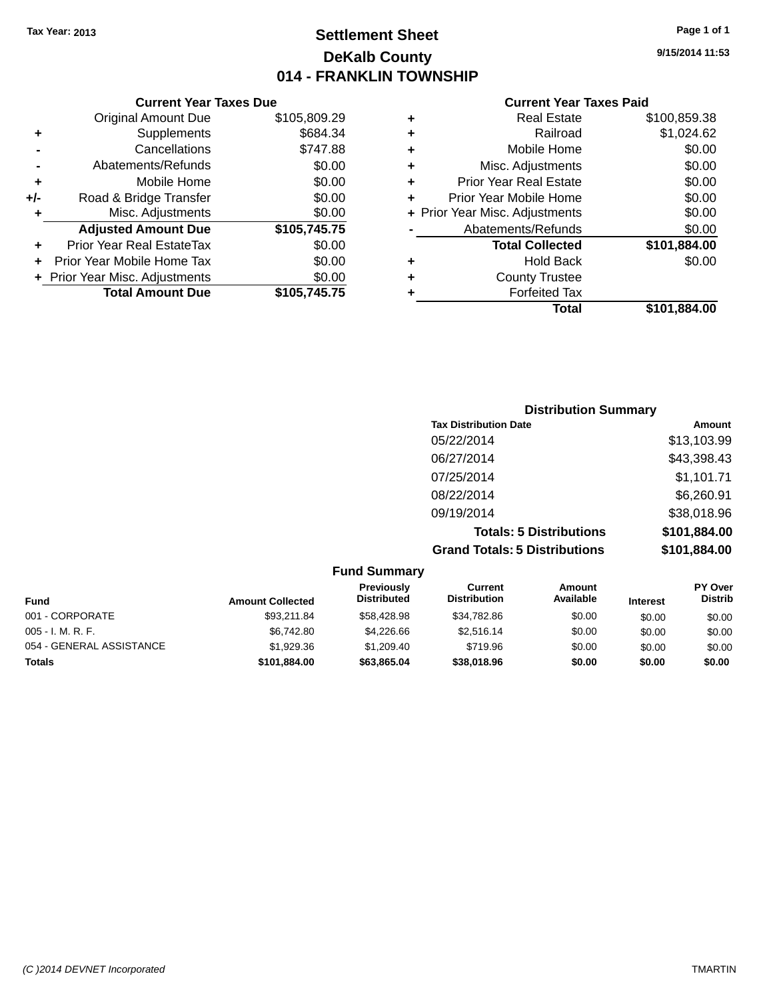# **Settlement Sheet Tax Year: 2013 Page 1 of 1 DeKalb County 014 - FRANKLIN TOWNSHIP**

**9/15/2014 11:53**

|     | <b>Current Year Taxes Due</b>  |              |
|-----|--------------------------------|--------------|
|     | <b>Original Amount Due</b>     | \$105,809.29 |
| ٠   | Supplements                    | \$684.34     |
|     | Cancellations                  | \$747.88     |
|     | Abatements/Refunds             | \$0.00       |
| ٠   | Mobile Home                    | \$0.00       |
| +/- | Road & Bridge Transfer         | \$0.00       |
| ٠   | Misc. Adjustments              | \$0.00       |
|     | <b>Adjusted Amount Due</b>     | \$105,745.75 |
| ٠   | Prior Year Real EstateTax      | \$0.00       |
| ÷   | Prior Year Mobile Home Tax     | \$0.00       |
|     | + Prior Year Misc. Adjustments | \$0.00       |
|     | <b>Total Amount Due</b>        | \$105,745.75 |
|     |                                |              |

| ٠ | <b>Real Estate</b>             | \$100,859.38 |
|---|--------------------------------|--------------|
| ٠ | Railroad                       | \$1,024.62   |
| ٠ | Mobile Home                    | \$0.00       |
| ٠ | Misc. Adjustments              | \$0.00       |
| ٠ | <b>Prior Year Real Estate</b>  | \$0.00       |
| ٠ | Prior Year Mobile Home         | \$0.00       |
|   | + Prior Year Misc. Adjustments | \$0.00       |
|   | Abatements/Refunds             | \$0.00       |
|   | <b>Total Collected</b>         | \$101,884.00 |
| ٠ | <b>Hold Back</b>               | \$0.00       |
| ٠ | <b>County Trustee</b>          |              |
| ٠ | <b>Forfeited Tax</b>           |              |
|   | Total                          | \$101,884.00 |
|   |                                |              |

| <b>Distribution Summary</b>          |              |
|--------------------------------------|--------------|
| <b>Tax Distribution Date</b>         | Amount       |
| 05/22/2014                           | \$13,103.99  |
| 06/27/2014                           | \$43,398.43  |
| 07/25/2014                           | \$1,101.71   |
| 08/22/2014                           | \$6,260.91   |
| 09/19/2014                           | \$38,018.96  |
| <b>Totals: 5 Distributions</b>       | \$101,884.00 |
| <b>Grand Totals: 5 Distributions</b> | \$101,884.00 |

|                          |                         | <b>Fund Summary</b>              |                                |                            |                 |                                  |
|--------------------------|-------------------------|----------------------------------|--------------------------------|----------------------------|-----------------|----------------------------------|
| <b>Fund</b>              | <b>Amount Collected</b> | Previously<br><b>Distributed</b> | Current<br><b>Distribution</b> | <b>Amount</b><br>Available | <b>Interest</b> | <b>PY Over</b><br><b>Distrib</b> |
| 001 - CORPORATE          | \$93.211.84             | \$58,428.98                      | \$34,782.86                    | \$0.00                     | \$0.00          | \$0.00                           |
| $005 - I. M. R. F.$      | \$6.742.80              | \$4,226,66                       | \$2,516.14                     | \$0.00                     | \$0.00          | \$0.00                           |
| 054 - GENERAL ASSISTANCE | \$1,929.36              | \$1,209.40                       | \$719.96                       | \$0.00                     | \$0.00          | \$0.00                           |
| <b>Totals</b>            | \$101,884.00            | \$63,865.04                      | \$38,018.96                    | \$0.00                     | \$0.00          | \$0.00                           |
|                          |                         |                                  |                                |                            |                 |                                  |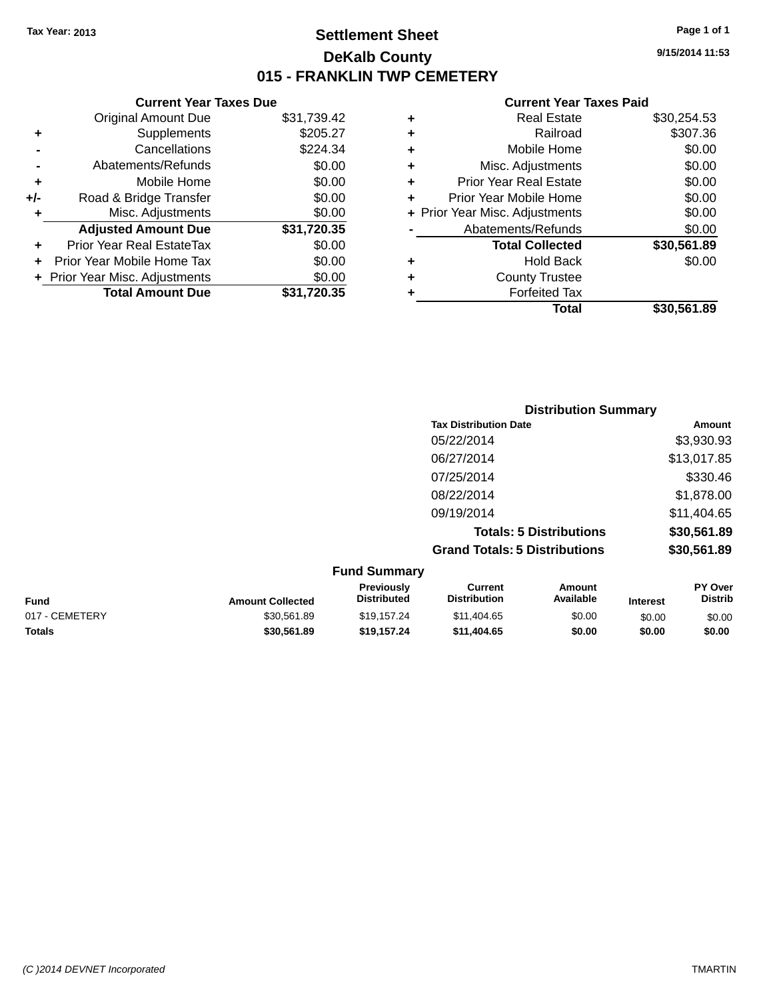**Current Year Taxes Due**

# **Settlement Sheet Tax Year: 2013 Page 1 of 1 DeKalb County 015 - FRANKLIN TWP CEMETERY**

**9/15/2014 11:53**

|    | <b>Original Amount Due</b>     | \$31,739.42 | ٠ | <b>Real Estate</b>             | \$30,254.53 |
|----|--------------------------------|-------------|---|--------------------------------|-------------|
| ÷  | <b>Supplements</b>             | \$205.27    | ٠ | Railroad                       | \$307.36    |
|    | Cancellations                  | \$224.34    | ٠ | Mobile Home                    | \$0.00      |
|    | Abatements/Refunds             | \$0.00      |   | Misc. Adjustments              | \$0.00      |
| ÷  | Mobile Home                    | \$0.00      |   | <b>Prior Year Real Estate</b>  | \$0.00      |
| I- | Road & Bridge Transfer         | \$0.00      |   | Prior Year Mobile Home         | \$0.00      |
| ÷  | Misc. Adjustments              | \$0.00      |   | + Prior Year Misc. Adjustments | \$0.00      |
|    | <b>Adjusted Amount Due</b>     | \$31,720.35 |   | Abatements/Refunds             | \$0.00      |
| ÷  | Prior Year Real EstateTax      | \$0.00      |   | <b>Total Collected</b>         | \$30,561.89 |
|    | + Prior Year Mobile Home Tax   | \$0.00      | ٠ | <b>Hold Back</b>               | \$0.00      |
|    | + Prior Year Misc. Adjustments | \$0.00      | ٠ | <b>County Trustee</b>          |             |
|    | <b>Total Amount Due</b>        | \$31,720.35 |   | <b>Forfeited Tax</b>           |             |
|    |                                |             |   | <b>Total</b>                   | \$30,561.89 |

|   |                                  | <b>Distribution Summary</b>          |                                |                                                                                                                 |                           |
|---|----------------------------------|--------------------------------------|--------------------------------|-----------------------------------------------------------------------------------------------------------------|---------------------------|
|   |                                  | <b>Tax Distribution Date</b>         |                                |                                                                                                                 | Amount                    |
|   |                                  | 05/22/2014                           |                                |                                                                                                                 | \$3,930.93                |
|   |                                  | 06/27/2014                           |                                |                                                                                                                 | \$13,017.85               |
|   |                                  | 07/25/2014                           |                                |                                                                                                                 | \$330.46                  |
|   |                                  | 08/22/2014                           |                                |                                                                                                                 | \$1,878.00                |
|   |                                  | 09/19/2014                           |                                |                                                                                                                 | \$11,404.65               |
|   |                                  |                                      | <b>Totals: 5 Distributions</b> |                                                                                                                 | \$30,561.89               |
|   |                                  | <b>Grand Totals: 5 Distributions</b> |                                |                                                                                                                 | \$30,561.89               |
|   | <b>Fund Summary</b>              |                                      |                                |                                                                                                                 |                           |
| . | Previously<br><b>Diotributed</b> | <b>Current</b><br>Diotribution       | Amount<br><b>Available</b>     | the contract of the contract of the contract of the contract of the contract of the contract of the contract of | <b>PY Over</b><br>Diotrib |

| Fund           | <b>Amount Collected</b> | <b>Previousiv</b><br><b>Distributed</b> | ∪urrent<br><b>Distribution</b> | Amount<br>Available | <b>Interest</b> | <b>PT OVER</b><br><b>Distrib</b> |
|----------------|-------------------------|-----------------------------------------|--------------------------------|---------------------|-----------------|----------------------------------|
| 017 - CEMETERY | \$30.561.89             | \$19.157.24                             | \$11.404.65                    | \$0.00              | \$0.00          | \$0.00                           |
| Totals         | \$30.561.89             | \$19.157.24                             | \$11.404.65                    | \$0.00              | \$0.00          | \$0.00                           |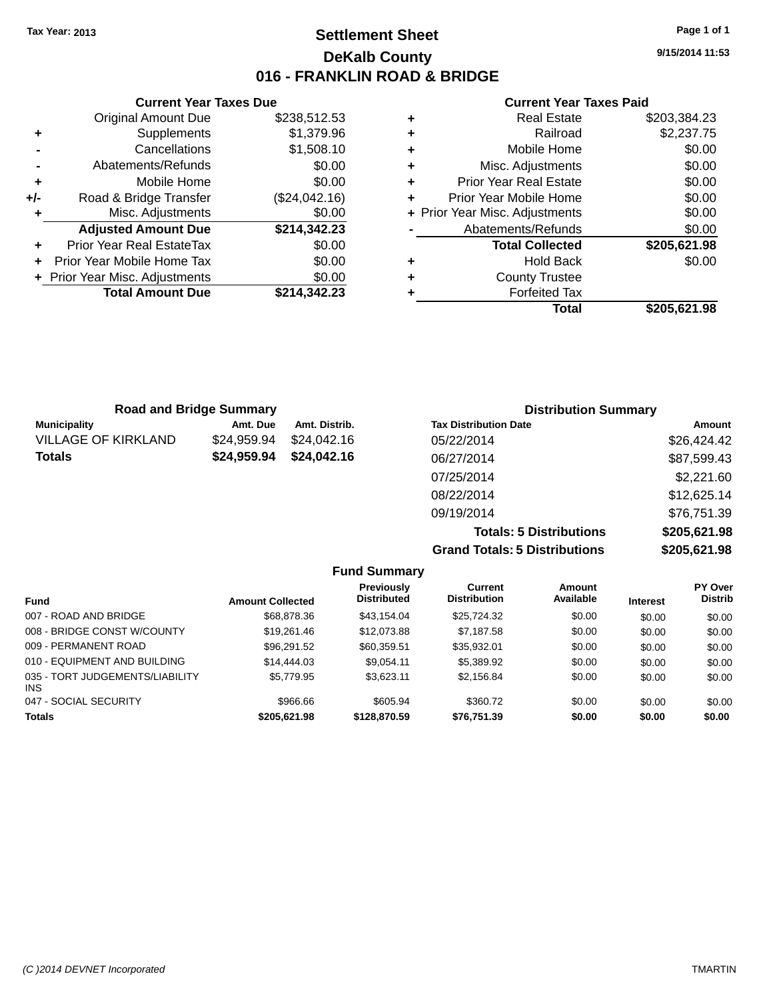**Original Amount Due** 

**Adjusted Amount Due** 

**Total Amount Due** 

**+** Supplements **-** Cancellations **-** Abatements/Refunds **+** Mobile Home **+/-** Road & Bridge Transfer **+** Misc. Adjustments

**+** Prior Year Real EstateTax \$0.00 **+** Prior Year Mobile Home Tax **+** Prior Year Misc. Adjustments

# **Settlement Sheet Tax Year: 2013 Page 1 of 1 DeKalb County 016 - FRANKLIN ROAD & BRIDGE**

**9/15/2014 11:53**

#### **Current Year Taxes Paid**

| <b>Current Year Taxes Due</b> |               |   | <b>Current Year Taxes Paid</b> |              |  |
|-------------------------------|---------------|---|--------------------------------|--------------|--|
| ıl Amount Due                 | \$238,512.53  | ٠ | <b>Real Estate</b>             | \$203,384.23 |  |
| Supplements                   | \$1,379.96    | ٠ | Railroad                       | \$2,237.75   |  |
| Cancellations                 | \$1,508.10    | ٠ | Mobile Home                    | \$0.00       |  |
| าents/Refunds                 | \$0.00        | ÷ | Misc. Adjustments              | \$0.00       |  |
| Mobile Home                   | \$0.00        | ÷ | <b>Prior Year Real Estate</b>  | \$0.00       |  |
| ridge Transfer                | (\$24,042.16) | ÷ | Prior Year Mobile Home         | \$0.00       |  |
| :. Adjustments                | \$0.00        |   | + Prior Year Misc. Adjustments | \$0.00       |  |
| <b>Amount Due</b>             | \$214,342.23  |   | Abatements/Refunds             | \$0.00       |  |
| leal EstateTax≀               | \$0.00        |   | <b>Total Collected</b>         | \$205,621.98 |  |
| bile Home Tax                 | \$0.00        | ÷ | <b>Hold Back</b>               | \$0.00       |  |
| . Adjustments                 | \$0.00        | ٠ | <b>County Trustee</b>          |              |  |
| <b>Amount Due</b>             | \$214,342.23  |   | <b>Forfeited Tax</b>           |              |  |
|                               |               |   | <b>Total</b>                   | \$205,621.98 |  |

| <b>Road and Bridge Summary</b> |             |               | <b>Distribution Summary</b>  |               |  |
|--------------------------------|-------------|---------------|------------------------------|---------------|--|
| <b>Municipality</b>            | Amt. Due    | Amt. Distrib. | <b>Tax Distribution Date</b> | <b>Amount</b> |  |
| <b>VILLAGE OF KIRKLAND</b>     | \$24,959.94 | \$24,042.16   | 05/22/2014                   | \$26,424.42   |  |
| <b>Totals</b>                  | \$24,959.94 | \$24,042.16   | 06/27/2014                   | \$87,599.43   |  |
|                                |             |               | 07/25/2014                   | \$2,221.60    |  |
|                                |             |               | 08/22/2014                   | \$12,625.14   |  |
|                                |             |               | 09/19/2014                   | \$76,751.39   |  |

**Totals: 5 Distributions \$205,621.98 Grand Totals: 5 Distributions \$205,621.98**

|                                         |                         | <b>Fund Summary</b>              |                                |                     |                 |                           |
|-----------------------------------------|-------------------------|----------------------------------|--------------------------------|---------------------|-----------------|---------------------------|
| <b>Fund</b>                             | <b>Amount Collected</b> | Previously<br><b>Distributed</b> | Current<br><b>Distribution</b> | Amount<br>Available | <b>Interest</b> | PY Over<br><b>Distrib</b> |
| 007 - ROAD AND BRIDGE                   | \$68,878.36             | \$43.154.04                      | \$25,724.32                    | \$0.00              | \$0.00          | \$0.00                    |
| 008 - BRIDGE CONST W/COUNTY             | \$19,261,46             | \$12,073.88                      | \$7.187.58                     | \$0.00              | \$0.00          | \$0.00                    |
| 009 - PERMANENT ROAD                    | \$96,291.52             | \$60,359.51                      | \$35,932.01                    | \$0.00              | \$0.00          | \$0.00                    |
| 010 - EQUIPMENT AND BUILDING            | \$14,444.03             | \$9.054.11                       | \$5,389.92                     | \$0.00              | \$0.00          | \$0.00                    |
| 035 - TORT JUDGEMENTS/LIABILITY<br>INS. | \$5,779.95              | \$3.623.11                       | \$2.156.84                     | \$0.00              | \$0.00          | \$0.00                    |
| 047 - SOCIAL SECURITY                   | \$966.66                | \$605.94                         | \$360.72                       | \$0.00              | \$0.00          | \$0.00                    |
| Totals                                  | \$205,621.98            | \$128,870.59                     | \$76,751.39                    | \$0.00              | \$0.00          | \$0.00                    |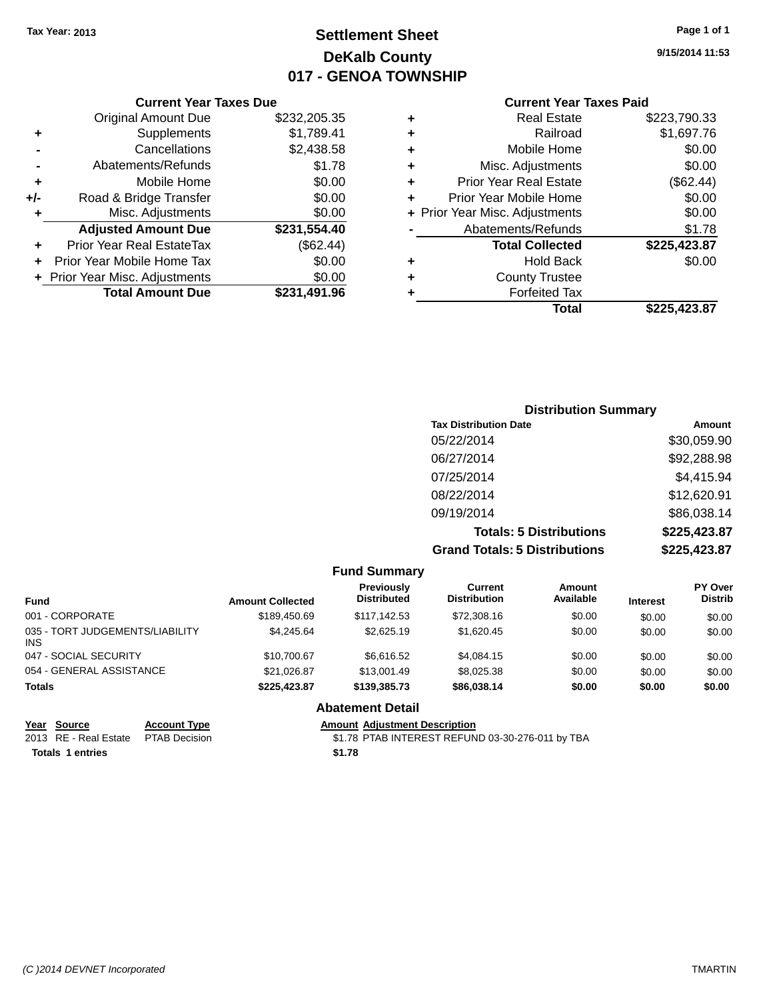# **Settlement Sheet Tax Year: 2013 Page 1 of 1 DeKalb County 017 - GENOA TOWNSHIP**

**9/15/2014 11:53**

#### **Current Year Taxes Paid**

|     | <b>Current Year Taxes Due</b>  |              |
|-----|--------------------------------|--------------|
|     | <b>Original Amount Due</b>     | \$232,205.35 |
| ٠   | Supplements                    | \$1,789.41   |
|     | Cancellations                  | \$2,438.58   |
|     | Abatements/Refunds             | \$1.78       |
| ٠   | Mobile Home                    | \$0.00       |
| +/- | Road & Bridge Transfer         | \$0.00       |
| ٠   | Misc. Adjustments              | \$0.00       |
|     | <b>Adjusted Amount Due</b>     | \$231,554.40 |
|     | Prior Year Real EstateTax      | (\$62.44)    |
|     | Prior Year Mobile Home Tax     | \$0.00       |
|     | + Prior Year Misc. Adjustments | \$0.00       |
|     | <b>Total Amount Due</b>        | \$231,491.96 |
|     |                                |              |

|   | <b>Real Estate</b>             | \$223,790.33 |
|---|--------------------------------|--------------|
| ٠ | Railroad                       | \$1,697.76   |
| ٠ | Mobile Home                    | \$0.00       |
| ٠ | Misc. Adjustments              | \$0.00       |
| ٠ | <b>Prior Year Real Estate</b>  | (\$62.44)    |
| ٠ | Prior Year Mobile Home         | \$0.00       |
|   | + Prior Year Misc. Adjustments | \$0.00       |
|   | Abatements/Refunds             | \$1.78       |
|   | <b>Total Collected</b>         | \$225,423.87 |
| ٠ | Hold Back                      | \$0.00       |
| ٠ | <b>County Trustee</b>          |              |
| ٠ | <b>Forfeited Tax</b>           |              |
|   | Total                          | \$225,423.87 |
|   |                                |              |

| <b>Distribution Summary</b>          |              |
|--------------------------------------|--------------|
| <b>Tax Distribution Date</b>         | Amount       |
| 05/22/2014                           | \$30,059.90  |
| 06/27/2014                           | \$92,288.98  |
| 07/25/2014                           | \$4,415.94   |
| 08/22/2014                           | \$12,620.91  |
| 09/19/2014                           | \$86,038.14  |
| <b>Totals: 5 Distributions</b>       | \$225,423.87 |
| <b>Grand Totals: 5 Distributions</b> | \$225,423.87 |

|                                         |                         | <b>Fund Summary</b>              |                                |                            |                 |                                  |
|-----------------------------------------|-------------------------|----------------------------------|--------------------------------|----------------------------|-----------------|----------------------------------|
| <b>Fund</b>                             | <b>Amount Collected</b> | Previously<br><b>Distributed</b> | Current<br><b>Distribution</b> | <b>Amount</b><br>Available | <b>Interest</b> | <b>PY Over</b><br><b>Distrib</b> |
| 001 - CORPORATE                         | \$189,450.69            | \$117.142.53                     | \$72,308.16                    | \$0.00                     | \$0.00          | \$0.00                           |
| 035 - TORT JUDGEMENTS/LIABILITY<br>INS. | \$4.245.64              | \$2,625.19                       | \$1,620.45                     | \$0.00                     | \$0.00          | \$0.00                           |
| 047 - SOCIAL SECURITY                   | \$10,700.67             | \$6.616.52                       | \$4,084.15                     | \$0.00                     | \$0.00          | \$0.00                           |
| 054 - GENERAL ASSISTANCE                | \$21.026.87             | \$13,001.49                      | \$8,025,38                     | \$0.00                     | \$0.00          | \$0.00                           |
| <b>Totals</b>                           | \$225.423.87            | \$139,385.73                     | \$86,038.14                    | \$0.00                     | \$0.00          | \$0.00                           |
|                                         |                         | <b>Abatement Detail</b>          |                                |                            |                 |                                  |

# **Year Source Account Type Amount Adjustment Description**<br>2013 RE - Real Estate PTAB Decision **\$1.78 PTAB INTEREST REFUN**

**Totals 1 entries \$1.78**

\$1.78 PTAB INTEREST REFUND 03-30-276-011 by TBA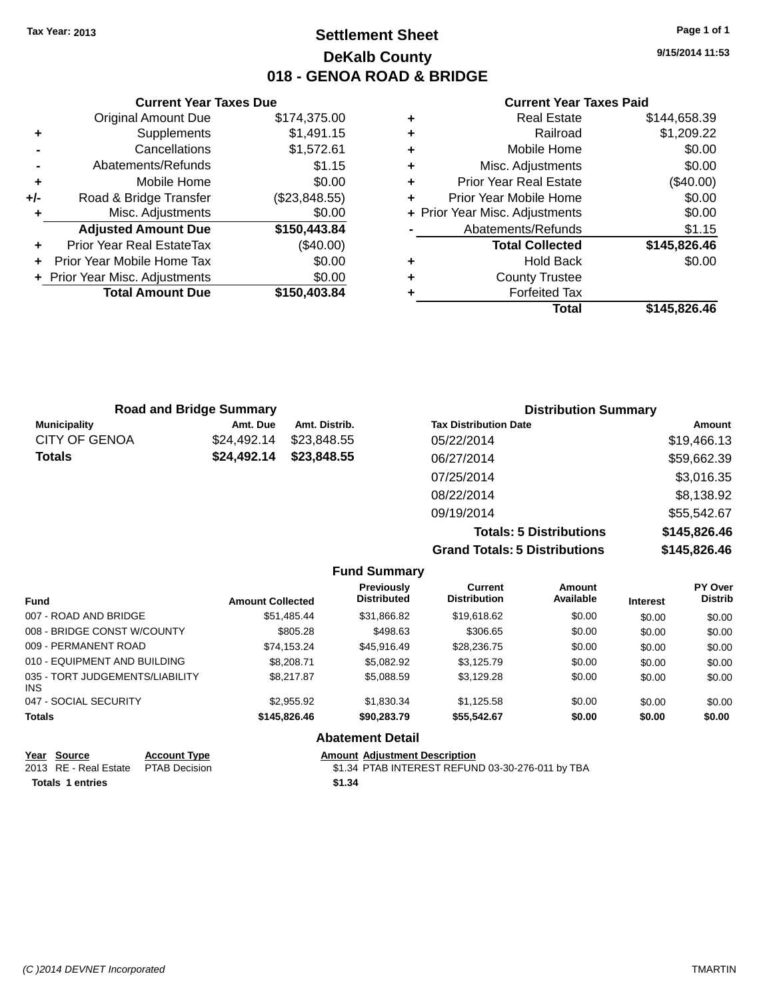# **Settlement Sheet Tax Year: 2013 Page 1 of 1 DeKalb County 018 - GENOA ROAD & BRIDGE**

**9/15/2014 11:53**

#### **Current Year Taxes Paid**

|     | <b>Current Year Taxes Due</b>  |               |
|-----|--------------------------------|---------------|
|     | <b>Original Amount Due</b>     | \$174,375.00  |
| ٠   | Supplements                    | \$1,491.15    |
|     | Cancellations                  | \$1,572.61    |
|     | Abatements/Refunds             | \$1.15        |
| ٠   | Mobile Home                    | \$0.00        |
| +/- | Road & Bridge Transfer         | (\$23,848.55) |
|     | Misc. Adjustments              | \$0.00        |
|     | <b>Adjusted Amount Due</b>     | \$150,443.84  |
| ٠   | Prior Year Real EstateTax      | $(\$40.00)$   |
|     | Prior Year Mobile Home Tax     | \$0.00        |
|     | + Prior Year Misc. Adjustments | \$0.00        |
|     | <b>Total Amount Due</b>        | \$150,403.84  |
|     |                                |               |

| ٠ | <b>Real Estate</b>             | \$144,658.39 |
|---|--------------------------------|--------------|
| ٠ | Railroad                       | \$1,209.22   |
| ٠ | Mobile Home                    | \$0.00       |
| ٠ | Misc. Adjustments              | \$0.00       |
| ٠ | <b>Prior Year Real Estate</b>  | $(\$40.00)$  |
| ٠ | Prior Year Mobile Home         | \$0.00       |
|   | + Prior Year Misc. Adjustments | \$0.00       |
|   | Abatements/Refunds             | \$1.15       |
|   | <b>Total Collected</b>         | \$145,826.46 |
| ٠ | Hold Back                      | \$0.00       |
| ٠ | <b>County Trustee</b>          |              |
| ٠ | <b>Forfeited Tax</b>           |              |
|   | Total                          | \$145,826.46 |
|   |                                |              |

| <b>Road and Bridge Summary</b> |             |               | <b>Distribution Summary</b>  |             |  |
|--------------------------------|-------------|---------------|------------------------------|-------------|--|
| <b>Municipality</b>            | Amt. Due    | Amt. Distrib. | <b>Tax Distribution Date</b> | Amount      |  |
| <b>CITY OF GENOA</b>           | \$24,492.14 | \$23,848,55   | 05/22/2014                   | \$19,466.13 |  |
| <b>Totals</b>                  | \$24,492.14 | \$23,848.55   | 06/27/2014                   | \$59,662.39 |  |
|                                |             |               | 07/25/2014                   | \$3,016.35  |  |
|                                |             |               | 08/22/2014                   | \$8,138.92  |  |
|                                |             |               | 09/19/2014                   | \$55,542.67 |  |
|                                |             |               | ------                       | *********   |  |

**Totals: 5 Distributions \$145,826.46 Grand Totals: 5 Distributions \$145,826.46**

|                                               |                         | <b>Fund Summary</b>                     |                                       |                     |                 |                                  |
|-----------------------------------------------|-------------------------|-----------------------------------------|---------------------------------------|---------------------|-----------------|----------------------------------|
| <b>Fund</b>                                   | <b>Amount Collected</b> | <b>Previously</b><br><b>Distributed</b> | <b>Current</b><br><b>Distribution</b> | Amount<br>Available | <b>Interest</b> | <b>PY Over</b><br><b>Distrib</b> |
| 007 - ROAD AND BRIDGE                         | \$51.485.44             | \$31,866.82                             | \$19,618.62                           | \$0.00              | \$0.00          | \$0.00                           |
| 008 - BRIDGE CONST W/COUNTY                   | \$805.28                | \$498.63                                | \$306.65                              | \$0.00              | \$0.00          | \$0.00                           |
| 009 - PERMANENT ROAD                          | \$74.153.24             | \$45.916.49                             | \$28,236.75                           | \$0.00              | \$0.00          | \$0.00                           |
| 010 - EQUIPMENT AND BUILDING                  | \$8,208,71              | \$5.082.92                              | \$3.125.79                            | \$0.00              | \$0.00          | \$0.00                           |
| 035 - TORT JUDGEMENTS/LIABILITY<br><b>INS</b> | \$8,217.87              | \$5.088.59                              | \$3,129.28                            | \$0.00              | \$0.00          | \$0.00                           |
| 047 - SOCIAL SECURITY                         | \$2.955.92              | \$1,830.34                              | \$1.125.58                            | \$0.00              | \$0.00          | \$0.00                           |
| <b>Totals</b>                                 | \$145,826,46            | \$90,283,79                             | \$55.542.67                           | \$0.00              | \$0.00          | \$0.00                           |
|                                               |                         | <b>Abatement Detail</b>                 |                                       |                     |                 |                                  |

#### **Year Source Account Type Amount Adjustment Description**<br>2013 RE - Real Estate PTAB Decision **\$1.34 PTAB INTEREST REFUN** \$1.34 PTAB INTEREST REFUND 03-30-276-011 by TBA **Totals 1 entries \$1.34**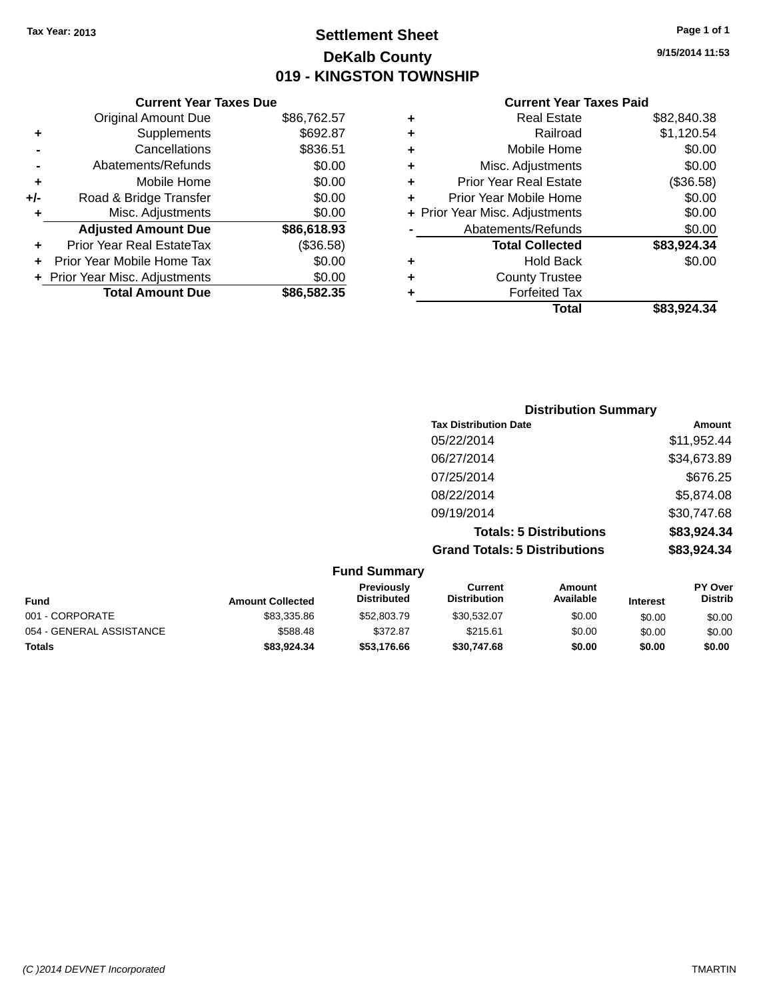# **Settlement Sheet Tax Year: 2013 Page 1 of 1 DeKalb County 019 - KINGSTON TOWNSHIP**

**9/15/2014 11:53**

|     | <b>Current Year Taxes Due</b>  |             |       |
|-----|--------------------------------|-------------|-------|
|     | <b>Original Amount Due</b>     | \$86,762.57 | ٠     |
|     | Supplements                    | \$692.87    |       |
|     | Cancellations                  | \$836.51    | ٠     |
|     | Abatements/Refunds             | \$0.00      | ٠     |
|     | Mobile Home                    | \$0.00      |       |
| +/- | Road & Bridge Transfer         | \$0.00      |       |
|     | Misc. Adjustments              | \$0.00      | + Pri |
|     | <b>Adjusted Amount Due</b>     | \$86,618.93 |       |
|     | Prior Year Real EstateTax      | (\$36.58)   |       |
|     | Prior Year Mobile Home Tax     | \$0.00      |       |
|     | + Prior Year Misc. Adjustments | \$0.00      |       |
|     | <b>Total Amount Due</b>        | \$86,582.35 |       |

|   | <b>Real Estate</b>             | \$82.840.38 |
|---|--------------------------------|-------------|
| ٠ | Railroad                       | \$1,120.54  |
| ٠ | Mobile Home                    | \$0.00      |
| ٠ | Misc. Adjustments              | \$0.00      |
| ٠ | Prior Year Real Estate         | (\$36.58)   |
| ٠ | Prior Year Mobile Home         | \$0.00      |
|   | + Prior Year Misc. Adjustments | \$0.00      |
|   | Abatements/Refunds             | \$0.00      |
|   | <b>Total Collected</b>         | \$83,924.34 |
| ٠ | Hold Back                      | \$0.00      |
| ٠ | <b>County Trustee</b>          |             |
|   | <b>Forfeited Tax</b>           |             |
|   | Total                          | \$83,924,34 |
|   |                                |             |

| <b>Distribution Summary</b>          |             |
|--------------------------------------|-------------|
| <b>Tax Distribution Date</b>         | Amount      |
| 05/22/2014                           | \$11,952.44 |
| 06/27/2014                           | \$34,673.89 |
| 07/25/2014                           | \$676.25    |
| 08/22/2014                           | \$5,874.08  |
| 09/19/2014                           | \$30,747.68 |
| <b>Totals: 5 Distributions</b>       | \$83,924.34 |
| <b>Grand Totals: 5 Distributions</b> | \$83,924.34 |

|                          |                         | <b>Fund Summary</b>              |                                |                     |                 |                                  |
|--------------------------|-------------------------|----------------------------------|--------------------------------|---------------------|-----------------|----------------------------------|
| <b>Fund</b>              | <b>Amount Collected</b> | Previously<br><b>Distributed</b> | Current<br><b>Distribution</b> | Amount<br>Available | <b>Interest</b> | <b>PY Over</b><br><b>Distrib</b> |
| 001 - CORPORATE          | \$83,335,86             | \$52,803.79                      | \$30,532.07                    | \$0.00              | \$0.00          | \$0.00                           |
| 054 - GENERAL ASSISTANCE | \$588.48                | \$372.87                         | \$215.61                       | \$0.00              | \$0.00          | \$0.00                           |
| <b>Totals</b>            | \$83,924,34             | \$53,176.66                      | \$30.747.68                    | \$0.00              | \$0.00          | \$0.00                           |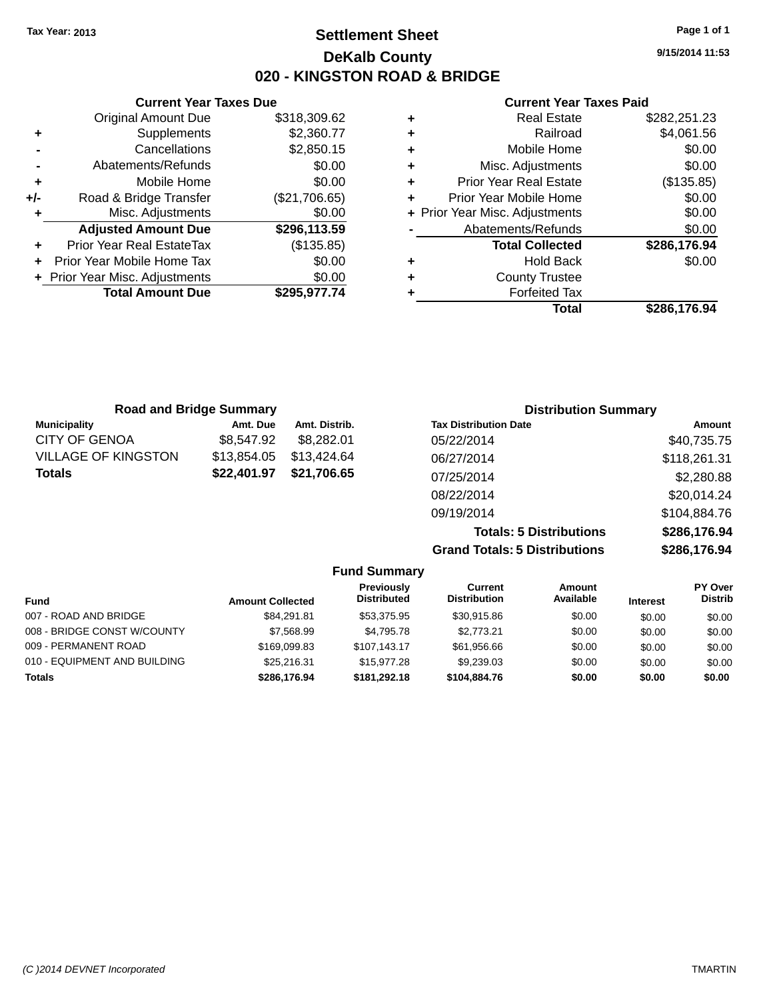# **Settlement Sheet Tax Year: 2013 Page 1 of 1 DeKalb County 020 - KINGSTON ROAD & BRIDGE**

**9/15/2014 11:53**

|     | <b>Current Year Taxes Due</b>  |               |
|-----|--------------------------------|---------------|
|     | <b>Original Amount Due</b>     | \$318,309.62  |
| ٠   | Supplements                    | \$2,360.77    |
|     | Cancellations                  | \$2,850.15    |
|     | Abatements/Refunds             | \$0.00        |
| ٠   | Mobile Home                    | \$0.00        |
| +/- | Road & Bridge Transfer         | (\$21,706.65) |
| ٠   | Misc. Adjustments              | \$0.00        |
|     | <b>Adjusted Amount Due</b>     | \$296,113.59  |
| ٠   | Prior Year Real EstateTax      | (\$135.85)    |
|     | Prior Year Mobile Home Tax     | \$0.00        |
|     | + Prior Year Misc. Adjustments | \$0.00        |
|     | <b>Total Amount Due</b>        | \$295,977.74  |
|     |                                |               |

| <b>Road and Bridge Summary</b> |             |               | <b>Distribution Summary</b>    |              |  |
|--------------------------------|-------------|---------------|--------------------------------|--------------|--|
| <b>Municipality</b>            | Amt. Due    | Amt. Distrib. | <b>Tax Distribution Date</b>   | Amount       |  |
| <b>CITY OF GENOA</b>           | \$8,547.92  | \$8.282.01    | 05/22/2014                     | \$40,735.75  |  |
| <b>VILLAGE OF KINGSTON</b>     | \$13,854.05 | \$13,424.64   | 06/27/2014                     | \$118,261.31 |  |
| <b>Totals</b>                  | \$22,401.97 | \$21,706.65   | 07/25/2014                     | \$2,280.88   |  |
|                                |             |               | 08/22/2014                     | \$20,014.24  |  |
|                                |             |               | 09/19/2014                     | \$104,884.76 |  |
|                                |             |               | <b>Totals: 5 Distributions</b> | \$286,176.94 |  |

|                     | <b>Grand Totals: 5 Distributions</b> |           | \$286,176.94    |                |
|---------------------|--------------------------------------|-----------|-----------------|----------------|
| <b>Fund Summary</b> |                                      |           |                 |                |
| <b>Previously</b>   | <b>Current</b>                       | Amount    |                 | <b>PY Over</b> |
| <b>Distributed</b>  | <b>Distribution</b>                  | Available | <b>Interest</b> | <b>Distrib</b> |
| --------            | .                                    | ----      |                 |                |

| <b>Fund</b>                  | <b>Amount Collected</b> | <b>Distributed</b> | <b>Distribution</b> | Available | <b>Interest</b> | <b>Distrib</b> |
|------------------------------|-------------------------|--------------------|---------------------|-----------|-----------------|----------------|
| 007 - ROAD AND BRIDGE        | \$84.291.81             | \$53,375.95        | \$30,915.86         | \$0.00    | \$0.00          | \$0.00         |
| 008 - BRIDGE CONST W/COUNTY  | \$7,568.99              | \$4.795.78         | \$2.773.21          | \$0.00    | \$0.00          | \$0.00         |
| 009 - PERMANENT ROAD         | \$169,099.83            | \$107.143.17       | \$61,956.66         | \$0.00    | \$0.00          | \$0.00         |
| 010 - EQUIPMENT AND BUILDING | \$25,216.31             | \$15,977,28        | \$9.239.03          | \$0.00    | \$0.00          | \$0.00         |
| Totals                       | \$286,176.94            | \$181,292,18       | \$104,884,76        | \$0.00    | \$0.00          | \$0.00         |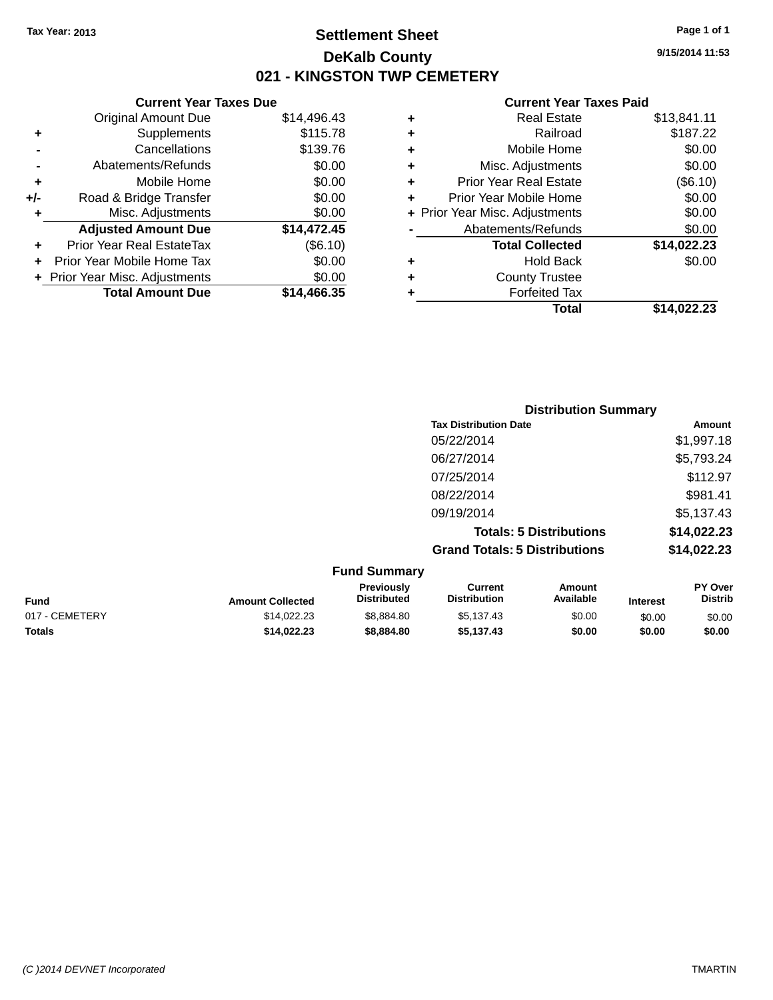# **Settlement Sheet Tax Year: 2013 Page 1 of 1 DeKalb County 021 - KINGSTON TWP CEMETERY**

**9/15/2014 11:53**

|     | <b>Current Year Taxes Due</b>  |             |    |
|-----|--------------------------------|-------------|----|
|     | <b>Original Amount Due</b>     | \$14,496.43 | ÷  |
|     | Supplements                    | \$115.78    | ٠  |
|     | Cancellations                  | \$139.76    | ٠  |
|     | Abatements/Refunds             | \$0.00      | ٠  |
|     | Mobile Home                    | \$0.00      | ٠  |
| +/- | Road & Bridge Transfer         | \$0.00      | ٠  |
|     | Misc. Adjustments              | \$0.00      | Pr |
|     | <b>Adjusted Amount Due</b>     | \$14,472.45 |    |
| ٠   | Prior Year Real EstateTax      | (\$6.10)    |    |
|     | Prior Year Mobile Home Tax     | \$0.00      |    |
|     | + Prior Year Misc. Adjustments | \$0.00      |    |
|     | <b>Total Amount Due</b>        | \$14.466.35 |    |
|     |                                |             |    |

| ٠ | <b>Real Estate</b>             | \$13,841.11 |
|---|--------------------------------|-------------|
| ٠ | Railroad                       | \$187.22    |
| ٠ | Mobile Home                    | \$0.00      |
| ٠ | Misc. Adjustments              | \$0.00      |
| ٠ | Prior Year Real Estate         | (\$6.10)    |
|   | Prior Year Mobile Home         | \$0.00      |
|   | + Prior Year Misc. Adjustments | \$0.00      |
|   | Abatements/Refunds             | \$0.00      |
|   | <b>Total Collected</b>         | \$14,022.23 |
| ٠ | <b>Hold Back</b>               | \$0.00      |
| ٠ | <b>County Trustee</b>          |             |
|   | <b>Forfeited Tax</b>           |             |
|   | Total                          | \$14.022.23 |
|   |                                |             |

| <b>Distribution Summary</b>          |             |
|--------------------------------------|-------------|
| <b>Tax Distribution Date</b>         | Amount      |
| 05/22/2014                           | \$1,997.18  |
| 06/27/2014                           | \$5,793.24  |
| 07/25/2014                           | \$112.97    |
| 08/22/2014                           | \$981.41    |
| 09/19/2014                           | \$5,137.43  |
| <b>Totals: 5 Distributions</b>       | \$14,022.23 |
| <b>Grand Totals: 5 Distributions</b> | \$14,022.23 |

|                |                         | <b>Fund Summary</b>              |                                |                     |                 |                                  |
|----------------|-------------------------|----------------------------------|--------------------------------|---------------------|-----------------|----------------------------------|
| <b>Fund</b>    | <b>Amount Collected</b> | Previously<br><b>Distributed</b> | Current<br><b>Distribution</b> | Amount<br>Available | <b>Interest</b> | <b>PY Over</b><br><b>Distrib</b> |
| 017 - CEMETERY | \$14.022.23             | \$8.884.80                       | \$5.137.43                     | \$0.00              | \$0.00          | \$0.00                           |
| <b>Totals</b>  | \$14,022.23             | \$8,884,80                       | \$5.137.43                     | \$0.00              | \$0.00          | \$0.00                           |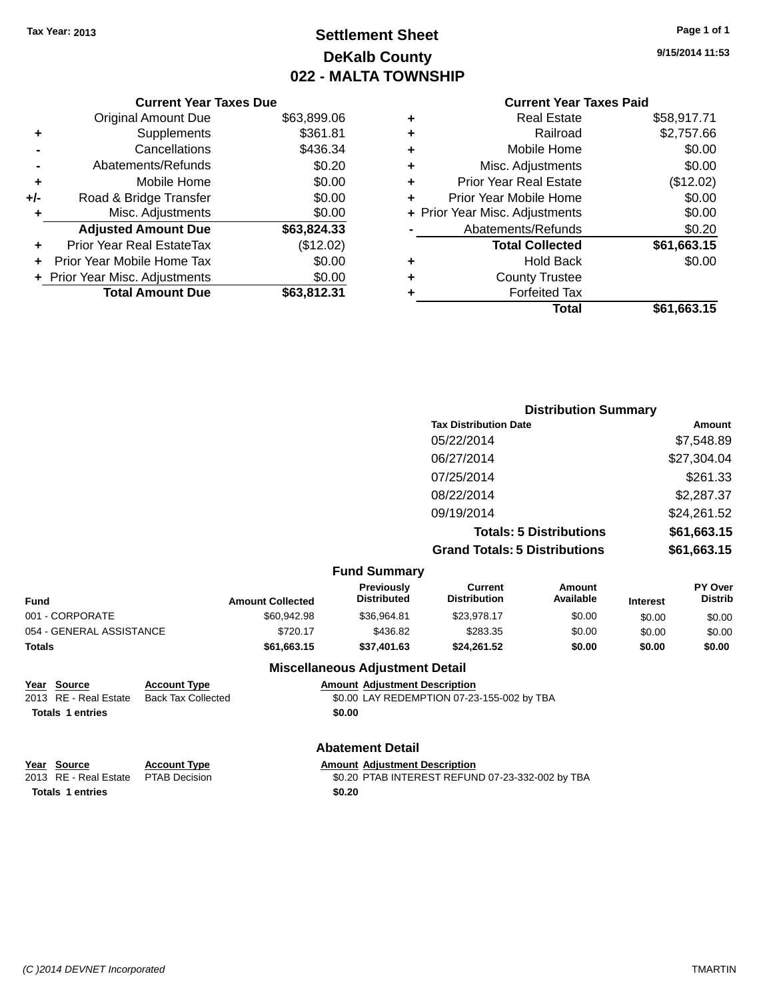# **Settlement Sheet Tax Year: 2013 Page 1 of 1 DeKalb County 022 - MALTA TOWNSHIP**

**9/15/2014 11:53**

# **Current Year Taxes Paid**

|     | <b>Current Year Taxes Due</b>    |             |
|-----|----------------------------------|-------------|
|     | <b>Original Amount Due</b>       | \$63,899.06 |
| ٠   | Supplements                      | \$361.81    |
|     | Cancellations                    | \$436.34    |
|     | Abatements/Refunds               | \$0.20      |
| ٠   | Mobile Home                      | \$0.00      |
| +/- | Road & Bridge Transfer           | \$0.00      |
| ٠   | Misc. Adjustments                | \$0.00      |
|     | <b>Adjusted Amount Due</b>       | \$63,824.33 |
| ٠   | <b>Prior Year Real EstateTax</b> | (\$12.02)   |
|     | Prior Year Mobile Home Tax       | \$0.00      |
|     | + Prior Year Misc. Adjustments   | \$0.00      |
|     | <b>Total Amount Due</b>          | \$63,812,31 |
|     |                                  |             |

| ٠ | <b>Real Estate</b>             | \$58,917.71 |
|---|--------------------------------|-------------|
| ٠ | Railroad                       | \$2,757.66  |
| ٠ | Mobile Home                    | \$0.00      |
| ٠ | Misc. Adjustments              | \$0.00      |
| ٠ | <b>Prior Year Real Estate</b>  | (\$12.02)   |
| ٠ | Prior Year Mobile Home         | \$0.00      |
|   | + Prior Year Misc. Adjustments | \$0.00      |
|   | Abatements/Refunds             | \$0.20      |
|   | <b>Total Collected</b>         | \$61,663.15 |
| ٠ | Hold Back                      | \$0.00      |
|   | <b>County Trustee</b>          |             |
| ٠ | <b>Forfeited Tax</b>           |             |
|   | Total                          | \$61,663.15 |
|   |                                |             |

| <b>Distribution Summary</b>          |             |
|--------------------------------------|-------------|
| <b>Tax Distribution Date</b>         | Amount      |
| 05/22/2014                           | \$7,548.89  |
| 06/27/2014                           | \$27,304.04 |
| 07/25/2014                           | \$261.33    |
| 08/22/2014                           | \$2,287.37  |
| 09/19/2014                           | \$24,261.52 |
| <b>Totals: 5 Distributions</b>       | \$61,663.15 |
| <b>Grand Totals: 5 Distributions</b> | \$61,663.15 |

|  | <b>Fund Summary</b> |
|--|---------------------|
|--|---------------------|

| Fund                     | <b>Amount Collected</b> | <b>Previously</b><br><b>Distributed</b> | Current<br><b>Distribution</b> | Amount<br>Available | <b>Interest</b> | <b>PY Over</b><br><b>Distrib</b> |
|--------------------------|-------------------------|-----------------------------------------|--------------------------------|---------------------|-----------------|----------------------------------|
| 001 - CORPORATE          | \$60.942.98             | \$36,964.81                             | \$23.978.17                    | \$0.00              | \$0.00          | \$0.00                           |
| 054 - GENERAL ASSISTANCE | \$720.17                | \$436.82                                | \$283.35                       | \$0.00              | \$0.00          | \$0.00                           |
| Totals                   | \$61.663.15             | \$37,401.63                             | \$24.261.52                    | \$0.00              | \$0.00          | \$0.00                           |

#### **Miscellaneous Adjustment Detail <u>Amount Adjustment Description</u>**

| Year Source             | <b>Account Type</b>       | Amount |
|-------------------------|---------------------------|--------|
| 2013 RE - Real Estate   | <b>Back Tax Collected</b> | \$0.00 |
| <b>Totals 1 entries</b> |                           | \$0.00 |

\$0.00 LAY REDEMPTION 07-23-155-002 by TBA

#### **Abatement Detail**

| Year Source                         | <b>Account Type</b> | <b>Amount Adiustment Description</b>             |
|-------------------------------------|---------------------|--------------------------------------------------|
| 2013 RE - Real Estate PTAB Decision |                     | \$0.20 PTAB INTEREST REFUND 07-23-332-002 by TBA |
| <b>Totals 1 entries</b>             |                     | \$0.20                                           |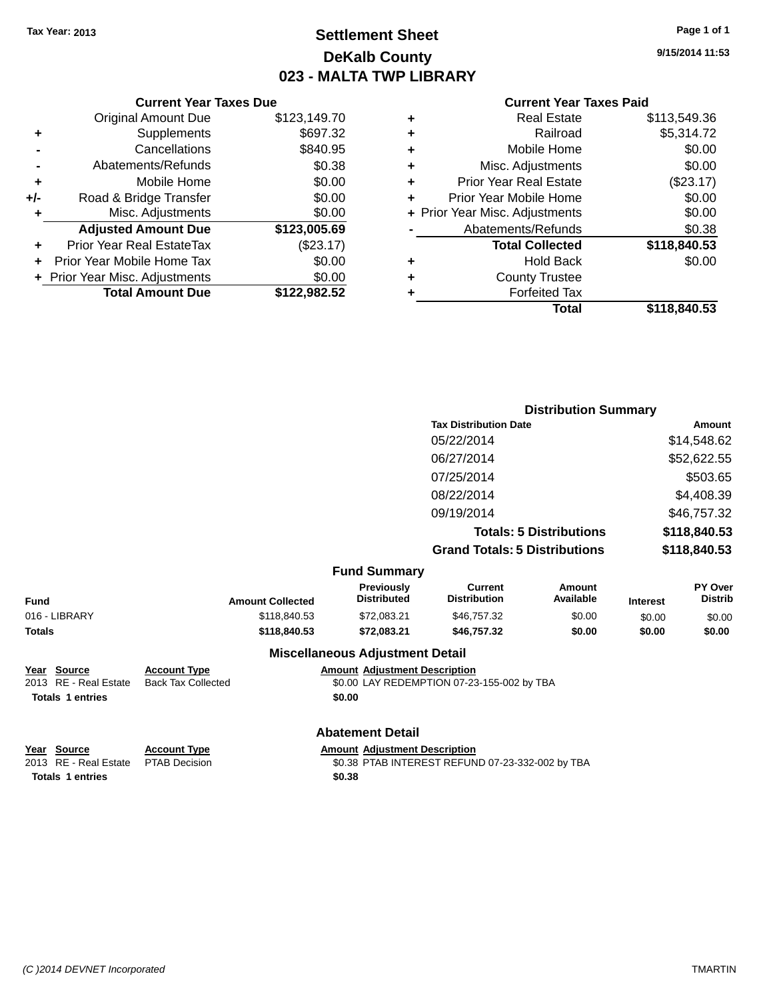# **Settlement Sheet Tax Year: 2013 Page 1 of 1 DeKalb County 023 - MALTA TWP LIBRARY**

**9/15/2014 11:53**

#### **Current Year Taxes Paid**

|     | <b>Original Amount Due</b>       | \$123,149.70 |
|-----|----------------------------------|--------------|
| ٠   | Supplements                      | \$697.32     |
|     | Cancellations                    | \$840.95     |
|     | Abatements/Refunds               | \$0.38       |
| ÷   | Mobile Home                      | \$0.00       |
| +/- | Road & Bridge Transfer           | \$0.00       |
| ٠   | Misc. Adjustments                | \$0.00       |
|     | <b>Adjusted Amount Due</b>       | \$123,005.69 |
| ٠   | <b>Prior Year Real EstateTax</b> | (\$23.17)    |
| ٠   | Prior Year Mobile Home Tax       | \$0.00       |
|     | + Prior Year Misc. Adjustments   | \$0.00       |
|     | <b>Total Amount Due</b>          | \$122,982.52 |
|     |                                  |              |

**Current Year Taxes Due**

| ٠ | <b>Real Estate</b>             | \$113,549.36 |
|---|--------------------------------|--------------|
| ٠ | Railroad                       | \$5,314.72   |
| ٠ | Mobile Home                    | \$0.00       |
| ٠ | Misc. Adjustments              | \$0.00       |
| ٠ | <b>Prior Year Real Estate</b>  | (\$23.17)    |
| ٠ | Prior Year Mobile Home         | \$0.00       |
|   | + Prior Year Misc. Adjustments | \$0.00       |
|   | Abatements/Refunds             | \$0.38       |
|   | <b>Total Collected</b>         | \$118,840.53 |
| ٠ | <b>Hold Back</b>               | \$0.00       |
| ٠ | <b>County Trustee</b>          |              |
| ٠ | <b>Forfeited Tax</b>           |              |
|   | Total                          | \$118,840.53 |
|   |                                |              |

|                                    | <b>Distribution Summary</b>          |              |
|------------------------------------|--------------------------------------|--------------|
|                                    | <b>Tax Distribution Date</b>         | Amount       |
|                                    | 05/22/2014                           | \$14,548.62  |
|                                    | 06/27/2014                           | \$52,622.55  |
|                                    | 07/25/2014                           | \$503.65     |
|                                    | 08/22/2014                           | \$4,408.39   |
|                                    | 09/19/2014                           | \$46,757.32  |
|                                    | <b>Totals: 5 Distributions</b>       | \$118,840.53 |
|                                    | <b>Grand Totals: 5 Distributions</b> | \$118,840.53 |
| $E_{11}$ and $E_{11}$ and $E_{21}$ |                                      |              |

|               |                         | <b>Fund Summary</b>                     |                                       |                     |                 |                                  |  |
|---------------|-------------------------|-----------------------------------------|---------------------------------------|---------------------|-----------------|----------------------------------|--|
| <b>Fund</b>   | <b>Amount Collected</b> | <b>Previously</b><br><b>Distributed</b> | <b>Current</b><br><b>Distribution</b> | Amount<br>Available | <b>Interest</b> | <b>PY Over</b><br><b>Distrib</b> |  |
| 016 - LIBRARY | \$118,840.53            | \$72.083.21                             | \$46,757.32                           | \$0.00              | \$0.00          | \$0.00                           |  |
| <b>Totals</b> | \$118,840.53            | \$72.083.21                             | \$46,757,32                           | \$0.00              | \$0.00          | \$0.00                           |  |
|               |                         | <b>Miscellaneous Adjustment Detail</b>  |                                       |                     |                 |                                  |  |
|               |                         |                                         |                                       |                     |                 |                                  |  |

**Year Source Account Type Amount Adjustment Description** 2013 RE - Real Estate Back Tax Collected \$0.00 LAY REDEMPTION 07-23-155-002 by TBA **Totals 1 entries \$0.00**

# **Abatement Detail**

**Year Source Account Type Amount Adjustment Description**<br>2013 RE - Real Estate PTAB Decision **Amount Adjustment Description Totals 1 entries \$0.38**

\$0.38 PTAB INTEREST REFUND 07-23-332-002 by TBA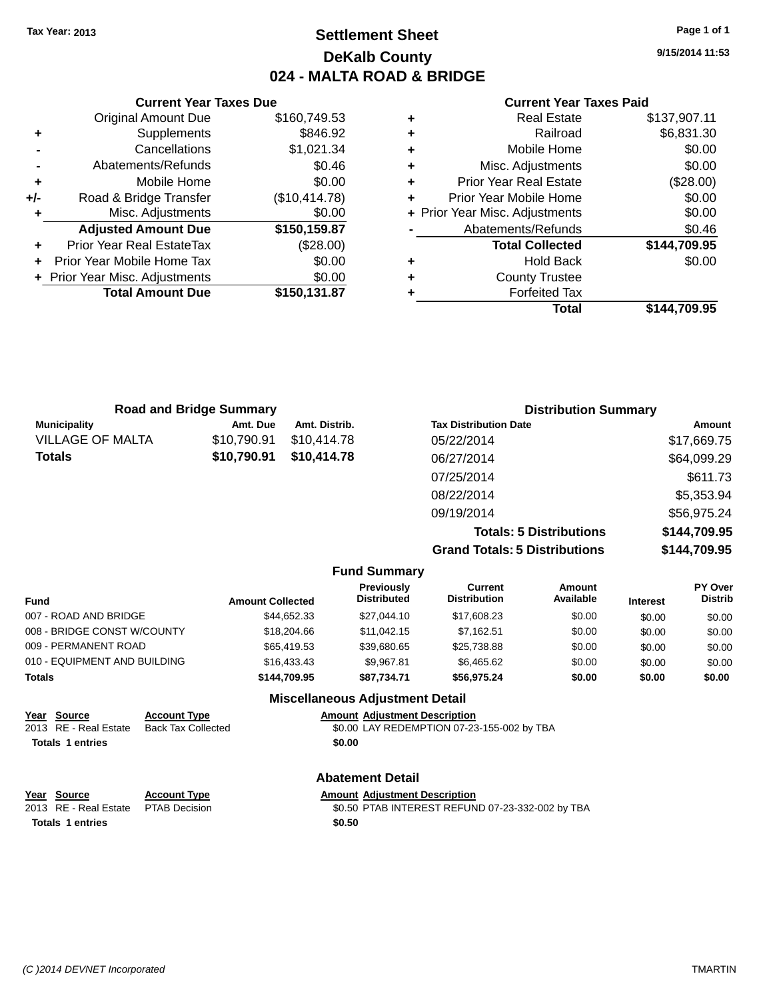# **Settlement Sheet Tax Year: 2013 Page 1 of 1 DeKalb County 024 - MALTA ROAD & BRIDGE**

**9/15/2014 11:53**

|     | <b>Current Year Taxes Due</b>  |               |  |  |
|-----|--------------------------------|---------------|--|--|
|     | <b>Original Amount Due</b>     | \$160,749.53  |  |  |
| ٠   | Supplements                    | \$846.92      |  |  |
|     | Cancellations                  | \$1,021.34    |  |  |
|     | Abatements/Refunds             | \$0.46        |  |  |
| ٠   | Mobile Home                    | \$0.00        |  |  |
| +/- | Road & Bridge Transfer         | (\$10,414.78) |  |  |
| ٠   | Misc. Adjustments              |               |  |  |
|     | <b>Adjusted Amount Due</b>     | \$150,159.87  |  |  |
|     | Prior Year Real EstateTax      | (\$28.00)     |  |  |
|     | Prior Year Mobile Home Tax     | \$0.00        |  |  |
|     | + Prior Year Misc. Adjustments | \$0.00        |  |  |
|     | <b>Total Amount Due</b>        | \$150,131.87  |  |  |
|     |                                |               |  |  |

|   | <b>Real Estate</b>             | \$137,907.11 |
|---|--------------------------------|--------------|
| ÷ | Railroad                       | \$6,831.30   |
| ٠ | Mobile Home                    | \$0.00       |
| ٠ | Misc. Adjustments              | \$0.00       |
| ٠ | <b>Prior Year Real Estate</b>  | (\$28.00)    |
| ٠ | Prior Year Mobile Home         | \$0.00       |
|   | + Prior Year Misc. Adjustments | \$0.00       |
|   | Abatements/Refunds             | \$0.46       |
|   | <b>Total Collected</b>         | \$144,709.95 |
| ٠ | Hold Back                      | \$0.00       |
| ٠ | <b>County Trustee</b>          |              |
| ٠ | <b>Forfeited Tax</b>           |              |
|   | Total                          | \$144,709.95 |
|   |                                |              |

| <b>Road and Bridge Summary</b> |             |               | <b>Distribution Summary</b>    |               |  |
|--------------------------------|-------------|---------------|--------------------------------|---------------|--|
| <b>Municipality</b>            | Amt. Due    | Amt. Distrib. | <b>Tax Distribution Date</b>   | <b>Amount</b> |  |
| <b>VILLAGE OF MALTA</b>        | \$10,790.91 | \$10.414.78   | 05/22/2014                     | \$17,669.75   |  |
| <b>Totals</b>                  | \$10,790.91 | \$10,414.78   | 06/27/2014                     | \$64,099.29   |  |
|                                |             |               | 07/25/2014                     | \$611.73      |  |
|                                |             |               | 08/22/2014                     | \$5,353.94    |  |
|                                |             |               | 09/19/2014                     | \$56,975.24   |  |
|                                |             |               | <b>Totals: 5 Distributions</b> | \$144,709.95  |  |

|                              |                         |                                         | <b>Grand Totals: 5 Distributions</b> |                     |                 | \$144,709.95              |
|------------------------------|-------------------------|-----------------------------------------|--------------------------------------|---------------------|-----------------|---------------------------|
|                              |                         | <b>Fund Summary</b>                     |                                      |                     |                 |                           |
| <b>Fund</b>                  | <b>Amount Collected</b> | <b>Previously</b><br><b>Distributed</b> | Current<br><b>Distribution</b>       | Amount<br>Available | <b>Interest</b> | PY Over<br><b>Distrib</b> |
| 007 - ROAD AND BRIDGE        | \$44.652.33             | \$27.044.10                             | \$17,608.23                          | \$0.00              | \$0.00          | \$0.00                    |
| 008 - BRIDGE CONST W/COUNTY  | \$18,204.66             | \$11.042.15                             | \$7.162.51                           | \$0.00              | \$0.00          | \$0.00                    |
| 009 - PERMANENT ROAD         | \$65,419.53             | \$39.680.65                             | \$25,738.88                          | \$0.00              | \$0.00          | \$0.00                    |
| 010 - EQUIPMENT AND BUILDING | \$16.433.43             | \$9.967.81                              | \$6.465.62                           | \$0.00              | \$0.00          | \$0.00                    |

| <b>Totals</b>           |                           | \$144.709.95 | \$87.734.71                            | \$56,975.24                                      | \$0.00 | \$0.00 | \$0.00 |
|-------------------------|---------------------------|--------------|----------------------------------------|--------------------------------------------------|--------|--------|--------|
|                         |                           |              | <b>Miscellaneous Adjustment Detail</b> |                                                  |        |        |        |
| Year Source             | <b>Account Type</b>       |              | <b>Amount Adjustment Description</b>   |                                                  |        |        |        |
| 2013 RE - Real Estate   | <b>Back Tax Collected</b> |              |                                        | \$0.00 LAY REDEMPTION 07-23-155-002 by TBA       |        |        |        |
| <b>Totals 1 entries</b> |                           |              | \$0.00                                 |                                                  |        |        |        |
|                         |                           |              | <b>Abatement Detail</b>                |                                                  |        |        |        |
| Year Source             | <b>Account Type</b>       |              | <b>Amount Adiustment Description</b>   |                                                  |        |        |        |
| 2013 RE - Real Estate   | <b>PTAB Decision</b>      |              |                                        | \$0.50 PTAB INTEREST REFUND 07-23-332-002 by TBA |        |        |        |
| <b>Totals 1 entries</b> |                           |              | \$0.50                                 |                                                  |        |        |        |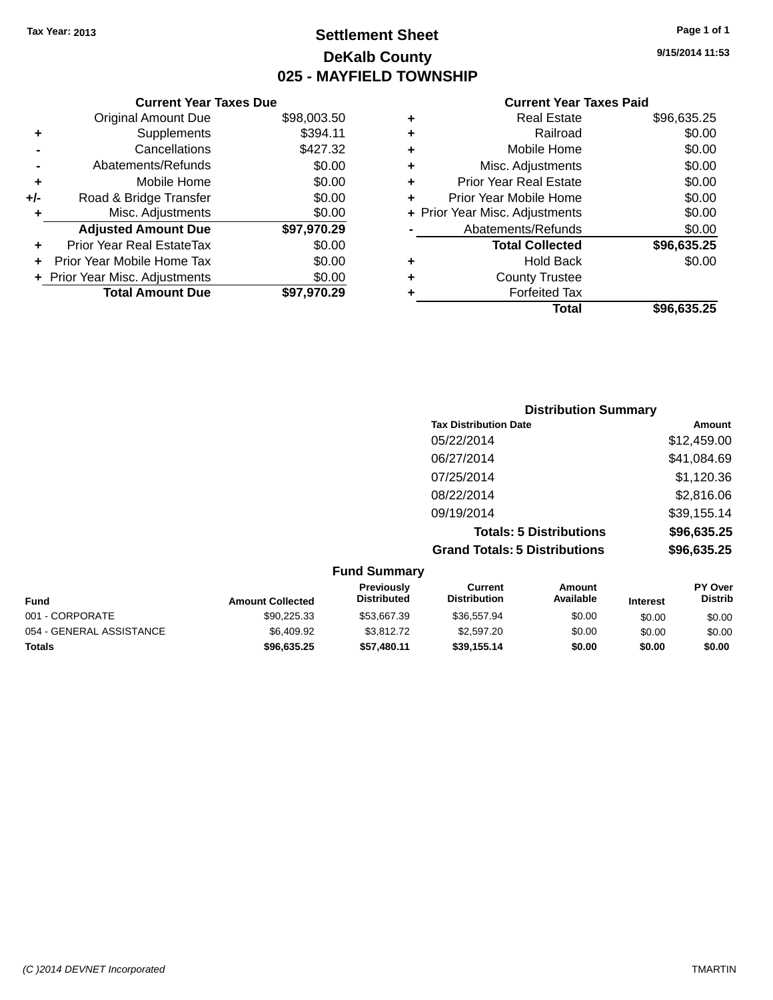# **Settlement Sheet Tax Year: 2013 Page 1 of 1 DeKalb County 025 - MAYFIELD TOWNSHIP**

**9/15/2014 11:53**

|     | <b>Current Year Taxes Due</b>  |             |  |
|-----|--------------------------------|-------------|--|
|     | <b>Original Amount Due</b>     | \$98,003.50 |  |
| ٠   | Supplements                    | \$394.11    |  |
|     | Cancellations                  | \$427.32    |  |
|     | Abatements/Refunds             | \$0.00      |  |
| ٠   | Mobile Home                    | \$0.00      |  |
| +/- | Road & Bridge Transfer         | \$0.00      |  |
| ٠   | Misc. Adjustments              | \$0.00      |  |
|     | <b>Adjusted Amount Due</b>     | \$97,970.29 |  |
|     | Prior Year Real EstateTax      | \$0.00      |  |
|     | Prior Year Mobile Home Tax     | \$0.00      |  |
|     | + Prior Year Misc. Adjustments | \$0.00      |  |
|     | <b>Total Amount Due</b>        | \$97.970.29 |  |
|     |                                |             |  |

|   | <b>Real Estate</b>             | \$96,635.25 |
|---|--------------------------------|-------------|
| ٠ | Railroad                       | \$0.00      |
| ٠ | Mobile Home                    | \$0.00      |
| ٠ | Misc. Adjustments              | \$0.00      |
| ٠ | <b>Prior Year Real Estate</b>  | \$0.00      |
| ٠ | Prior Year Mobile Home         | \$0.00      |
|   | + Prior Year Misc. Adjustments | \$0.00      |
|   | Abatements/Refunds             | \$0.00      |
|   | <b>Total Collected</b>         | \$96,635.25 |
| ٠ | Hold Back                      | \$0.00      |
|   | <b>County Trustee</b>          |             |
| ٠ | <b>Forfeited Tax</b>           |             |
|   | Total                          | \$96,635.25 |
|   |                                |             |

| <b>Distribution Summary</b>          |             |
|--------------------------------------|-------------|
| <b>Tax Distribution Date</b>         | Amount      |
| 05/22/2014                           | \$12,459.00 |
| 06/27/2014                           | \$41,084.69 |
| 07/25/2014                           | \$1,120.36  |
| 08/22/2014                           | \$2,816.06  |
| 09/19/2014                           | \$39,155.14 |
| <b>Totals: 5 Distributions</b>       | \$96,635.25 |
| <b>Grand Totals: 5 Distributions</b> | \$96,635.25 |

|                          | <b>Fund Summary</b>     |                                  |                                |                            |                 |                           |
|--------------------------|-------------------------|----------------------------------|--------------------------------|----------------------------|-----------------|---------------------------|
| <b>Fund</b>              | <b>Amount Collected</b> | Previously<br><b>Distributed</b> | Current<br><b>Distribution</b> | <b>Amount</b><br>Available | <b>Interest</b> | PY Over<br><b>Distrib</b> |
| 001 - CORPORATE          | \$90,225.33             | \$53,667.39                      | \$36,557.94                    | \$0.00                     | \$0.00          | \$0.00                    |
| 054 - GENERAL ASSISTANCE | \$6.409.92              | \$3,812.72                       | \$2,597.20                     | \$0.00                     | \$0.00          | \$0.00                    |
| <b>Totals</b>            | \$96,635.25             | \$57,480.11                      | \$39.155.14                    | \$0.00                     | \$0.00          | \$0.00                    |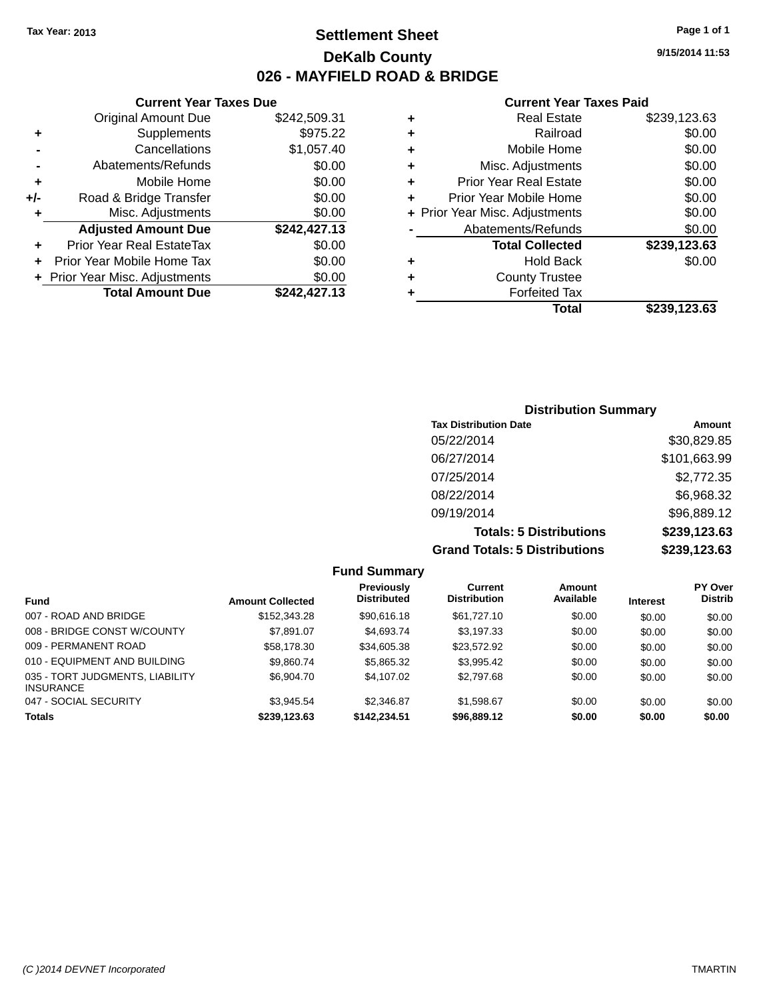# **Settlement Sheet Tax Year: 2013 Page 1 of 1 DeKalb County 026 - MAYFIELD ROAD & BRIDGE**

**9/15/2014 11:53**

#### **Current Year Taxes Paid**

|       | <b>Current Year Taxes Due</b>    |              |   |                  |
|-------|----------------------------------|--------------|---|------------------|
|       | <b>Original Amount Due</b>       | \$242,509.31 | ÷ |                  |
|       | <b>Supplements</b>               | \$975.22     | ٠ |                  |
|       | Cancellations                    | \$1,057.40   | ٠ |                  |
|       | Abatements/Refunds               | \$0.00       | ٠ | Mis              |
|       | Mobile Home                      | \$0.00       | ٠ | Prior Ye         |
| $+/-$ | Road & Bridge Transfer           | \$0.00       |   | Prior Yea        |
|       | Misc. Adjustments                | \$0.00       |   | + Prior Year Mis |
|       | <b>Adjusted Amount Due</b>       | \$242,427.13 |   | Abater           |
|       | <b>Prior Year Real EstateTax</b> | \$0.00       |   | Ъ                |
|       | Prior Year Mobile Home Tax       | \$0.00       | ٠ |                  |
|       | + Prior Year Misc. Adjustments   | \$0.00       |   |                  |
|       | <b>Total Amount Due</b>          | \$242,427.13 |   |                  |
|       |                                  |              |   |                  |

|   | <b>Real Estate</b>             | \$239,123.63 |
|---|--------------------------------|--------------|
| ÷ | Railroad                       | \$0.00       |
| ٠ | Mobile Home                    | \$0.00       |
| ٠ | Misc. Adjustments              | \$0.00       |
| ٠ | <b>Prior Year Real Estate</b>  | \$0.00       |
| ٠ | Prior Year Mobile Home         | \$0.00       |
|   | + Prior Year Misc. Adjustments | \$0.00       |
|   | Abatements/Refunds             | \$0.00       |
|   | <b>Total Collected</b>         | \$239,123.63 |
| ٠ | <b>Hold Back</b>               | \$0.00       |
| ٠ | <b>County Trustee</b>          |              |
|   | <b>Forfeited Tax</b>           |              |
|   | Total                          | \$239.123.63 |
|   |                                |              |

## **Distribution Summary Tax Distribution Date Amount** 05/22/2014 \$30,829.85 06/27/2014 \$101,663.99 07/25/2014 \$2,772.35 08/22/2014 \$6,968.32 09/19/2014 \$96,889.12 **Totals: 5 Distributions \$239,123.63 Grand Totals: 5 Distributions \$239,123.63**

|                                                     |                         | <b>Fund Summary</b>              |                                |                     |                 |                                  |
|-----------------------------------------------------|-------------------------|----------------------------------|--------------------------------|---------------------|-----------------|----------------------------------|
| <b>Fund</b>                                         | <b>Amount Collected</b> | Previously<br><b>Distributed</b> | Current<br><b>Distribution</b> | Amount<br>Available | <b>Interest</b> | <b>PY Over</b><br><b>Distrib</b> |
| 007 - ROAD AND BRIDGE                               | \$152,343.28            | \$90,616.18                      | \$61,727.10                    | \$0.00              | \$0.00          | \$0.00                           |
| 008 - BRIDGE CONST W/COUNTY                         | \$7.891.07              | \$4,693.74                       | \$3,197.33                     | \$0.00              | \$0.00          | \$0.00                           |
| 009 - PERMANENT ROAD                                | \$58,178.30             | \$34,605.38                      | \$23,572.92                    | \$0.00              | \$0.00          | \$0.00                           |
| 010 - EQUIPMENT AND BUILDING                        | \$9.860.74              | \$5,865,32                       | \$3.995.42                     | \$0.00              | \$0.00          | \$0.00                           |
| 035 - TORT JUDGMENTS, LIABILITY<br><b>INSURANCE</b> | \$6,904.70              | \$4,107.02                       | \$2,797.68                     | \$0.00              | \$0.00          | \$0.00                           |
| 047 - SOCIAL SECURITY                               | \$3.945.54              | \$2.346.87                       | \$1,598.67                     | \$0.00              | \$0.00          | \$0.00                           |
| <b>Totals</b>                                       | \$239,123.63            | \$142.234.51                     | \$96,889.12                    | \$0.00              | \$0.00          | \$0.00                           |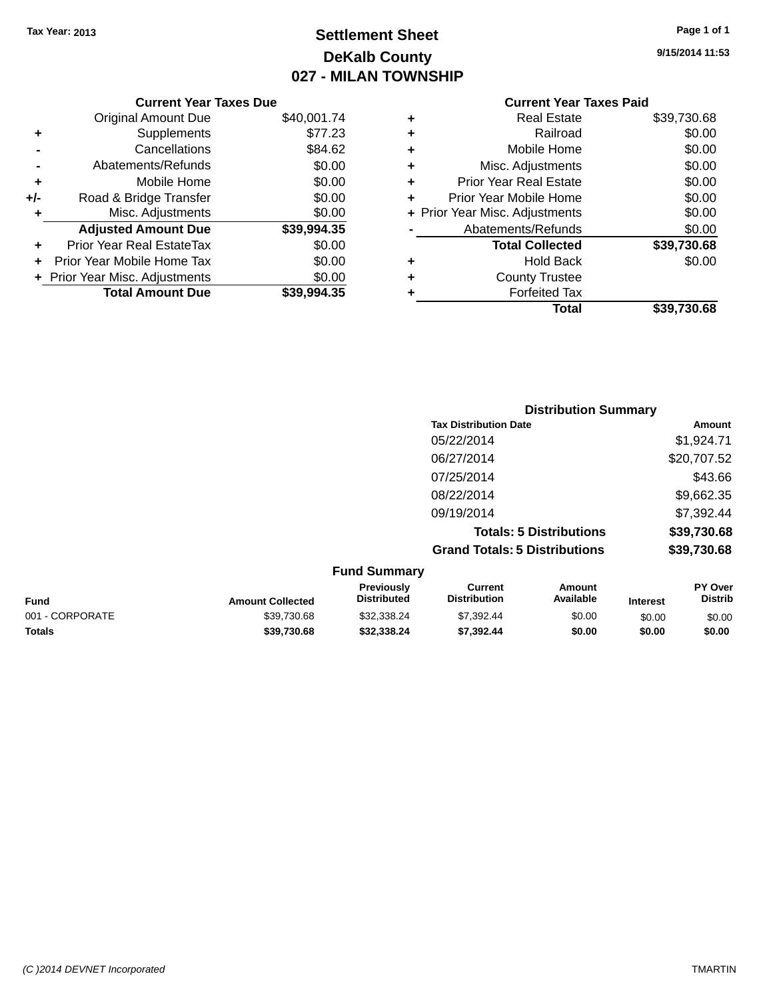# **Settlement Sheet Tax Year: 2013 Page 1 of 1 DeKalb County 027 - MILAN TOWNSHIP**

**9/15/2014 11:53**

|     | <b>Current Year Taxes Due</b>  |             |  |  |  |  |
|-----|--------------------------------|-------------|--|--|--|--|
|     | <b>Original Amount Due</b>     | \$40,001.74 |  |  |  |  |
| ٠   | Supplements                    | \$77.23     |  |  |  |  |
|     | Cancellations                  | \$84.62     |  |  |  |  |
|     | Abatements/Refunds             | \$0.00      |  |  |  |  |
| ٠   | Mobile Home                    | \$0.00      |  |  |  |  |
| +/- | Road & Bridge Transfer         | \$0.00      |  |  |  |  |
| ٠   | Misc. Adjustments              | \$0.00      |  |  |  |  |
|     | <b>Adjusted Amount Due</b>     | \$39,994.35 |  |  |  |  |
| ٠   | Prior Year Real EstateTax      | \$0.00      |  |  |  |  |
| ÷   | Prior Year Mobile Home Tax     | \$0.00      |  |  |  |  |
|     | + Prior Year Misc. Adjustments | \$0.00      |  |  |  |  |
|     | <b>Total Amount Due</b>        | \$39,994.35 |  |  |  |  |
|     |                                |             |  |  |  |  |

| ٠ | <b>Real Estate</b>             | \$39,730.68 |
|---|--------------------------------|-------------|
| ٠ | Railroad                       | \$0.00      |
| ٠ | Mobile Home                    | \$0.00      |
| ٠ | Misc. Adjustments              | \$0.00      |
| ٠ | <b>Prior Year Real Estate</b>  | \$0.00      |
| ٠ | Prior Year Mobile Home         | \$0.00      |
|   | + Prior Year Misc. Adjustments | \$0.00      |
|   | Abatements/Refunds             | \$0.00      |
|   | <b>Total Collected</b>         | \$39,730.68 |
| ٠ | <b>Hold Back</b>               | \$0.00      |
| ٠ | <b>County Trustee</b>          |             |
| ٠ | <b>Forfeited Tax</b>           |             |
|   | Total                          | \$39,730.68 |
|   |                                |             |

|                                      | <b>Distribution Summary</b>                   |
|--------------------------------------|-----------------------------------------------|
| <b>Tax Distribution Date</b>         | Amount                                        |
| 05/22/2014                           | \$1,924.71                                    |
| 06/27/2014                           | \$20,707.52                                   |
| 07/25/2014                           | \$43.66                                       |
| 08/22/2014                           | \$9,662.35                                    |
| 09/19/2014                           | \$7,392.44                                    |
|                                      | \$39,730.68<br><b>Totals: 5 Distributions</b> |
| <b>Grand Totals: 5 Distributions</b> | \$39,730.68                                   |
| Eund Cummony                         |                                               |

| <b>Fund Summary</b> |                         |                                         |                                |                     |                 |                           |
|---------------------|-------------------------|-----------------------------------------|--------------------------------|---------------------|-----------------|---------------------------|
| <b>Fund</b>         | <b>Amount Collected</b> | <b>Previously</b><br><b>Distributed</b> | Current<br><b>Distribution</b> | Amount<br>Available | <b>Interest</b> | PY Over<br><b>Distrib</b> |
| 001 - CORPORATE     | \$39.730.68             | \$32,338,24                             | \$7,392.44                     | \$0.00              | \$0.00          | \$0.00                    |
| <b>Totals</b>       | \$39,730,68             | \$32,338,24                             | \$7,392.44                     | \$0.00              | \$0.00          | \$0.00                    |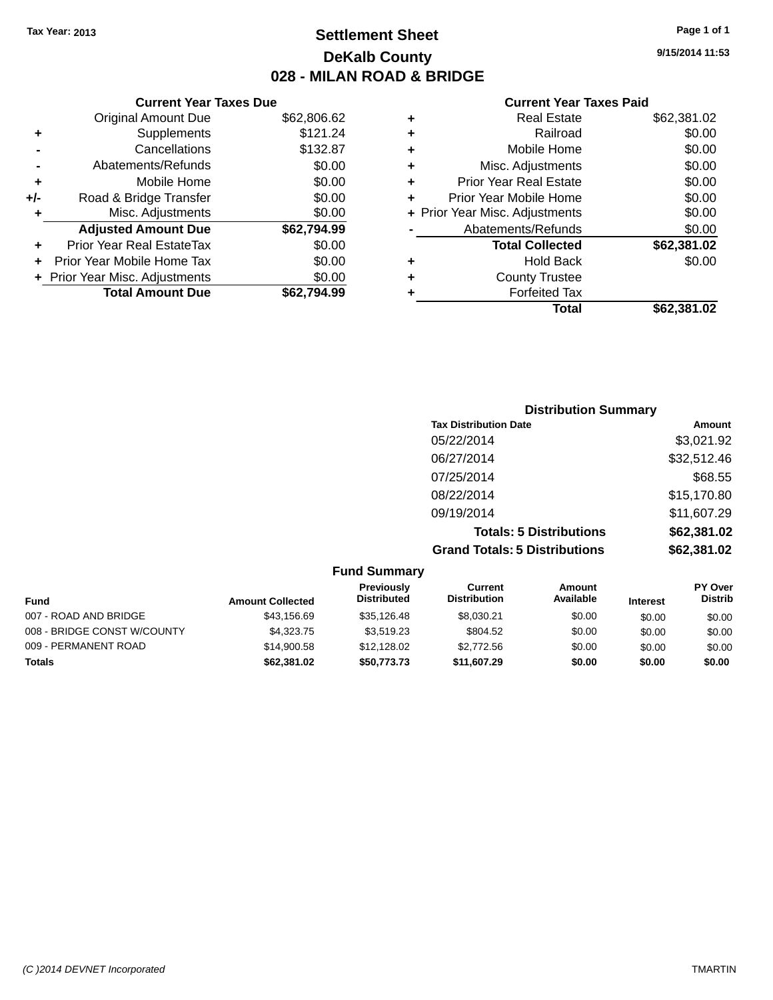# **Settlement Sheet Tax Year: 2013 Page 1 of 1 DeKalb County 028 - MILAN ROAD & BRIDGE**

**9/15/2014 11:53**

|     | <b>Current Year Taxes Due</b>  |             |
|-----|--------------------------------|-------------|
|     | <b>Original Amount Due</b>     | \$62,806.62 |
| ٠   | Supplements                    | \$121.24    |
|     | Cancellations                  | \$132.87    |
|     | Abatements/Refunds             | \$0.00      |
| ٠   | Mobile Home                    | \$0.00      |
| +/- | Road & Bridge Transfer         | \$0.00      |
| ٠   | Misc. Adjustments              | \$0.00      |
|     | <b>Adjusted Amount Due</b>     | \$62,794.99 |
| ٠   | Prior Year Real EstateTax      | \$0.00      |
|     | Prior Year Mobile Home Tax     | \$0.00      |
|     | + Prior Year Misc. Adjustments | \$0.00      |
|     | <b>Total Amount Due</b>        | \$62.794.99 |
|     |                                |             |

|   | <b>Real Estate</b>             | \$62,381.02 |
|---|--------------------------------|-------------|
| ٠ | Railroad                       | \$0.00      |
| ٠ | Mobile Home                    | \$0.00      |
| ٠ | Misc. Adjustments              | \$0.00      |
| ٠ | <b>Prior Year Real Estate</b>  | \$0.00      |
| ٠ | Prior Year Mobile Home         | \$0.00      |
|   | + Prior Year Misc. Adjustments | \$0.00      |
|   | Abatements/Refunds             | \$0.00      |
|   | <b>Total Collected</b>         | \$62,381.02 |
| ٠ | <b>Hold Back</b>               | \$0.00      |
| ÷ | <b>County Trustee</b>          |             |
| ٠ | <b>Forfeited Tax</b>           |             |
|   | Total                          | \$62,381.02 |
|   |                                |             |

| <b>Distribution Summary</b>          |             |
|--------------------------------------|-------------|
| <b>Tax Distribution Date</b>         | Amount      |
| 05/22/2014                           | \$3,021.92  |
| 06/27/2014                           | \$32,512.46 |
| 07/25/2014                           | \$68.55     |
| 08/22/2014                           | \$15,170.80 |
| 09/19/2014                           | \$11,607.29 |
| <b>Totals: 5 Distributions</b>       | \$62,381.02 |
| <b>Grand Totals: 5 Distributions</b> | \$62,381.02 |

| <b>Fund Summary</b>         |                         |                                         |                                |                            |                 |                                  |
|-----------------------------|-------------------------|-----------------------------------------|--------------------------------|----------------------------|-----------------|----------------------------------|
| Fund                        | <b>Amount Collected</b> | <b>Previously</b><br><b>Distributed</b> | Current<br><b>Distribution</b> | <b>Amount</b><br>Available | <b>Interest</b> | <b>PY Over</b><br><b>Distrib</b> |
| 007 - ROAD AND BRIDGE       | \$43.156.69             | \$35.126.48                             | \$8,030.21                     | \$0.00                     | \$0.00          | \$0.00                           |
| 008 - BRIDGE CONST W/COUNTY | \$4,323,75              | \$3.519.23                              | \$804.52                       | \$0.00                     | \$0.00          | \$0.00                           |
| 009 - PERMANENT ROAD        | \$14,900.58             | \$12,128,02                             | \$2,772.56                     | \$0.00                     | \$0.00          | \$0.00                           |
| <b>Totals</b>               | \$62,381.02             | \$50,773.73                             | \$11,607.29                    | \$0.00                     | \$0.00          | \$0.00                           |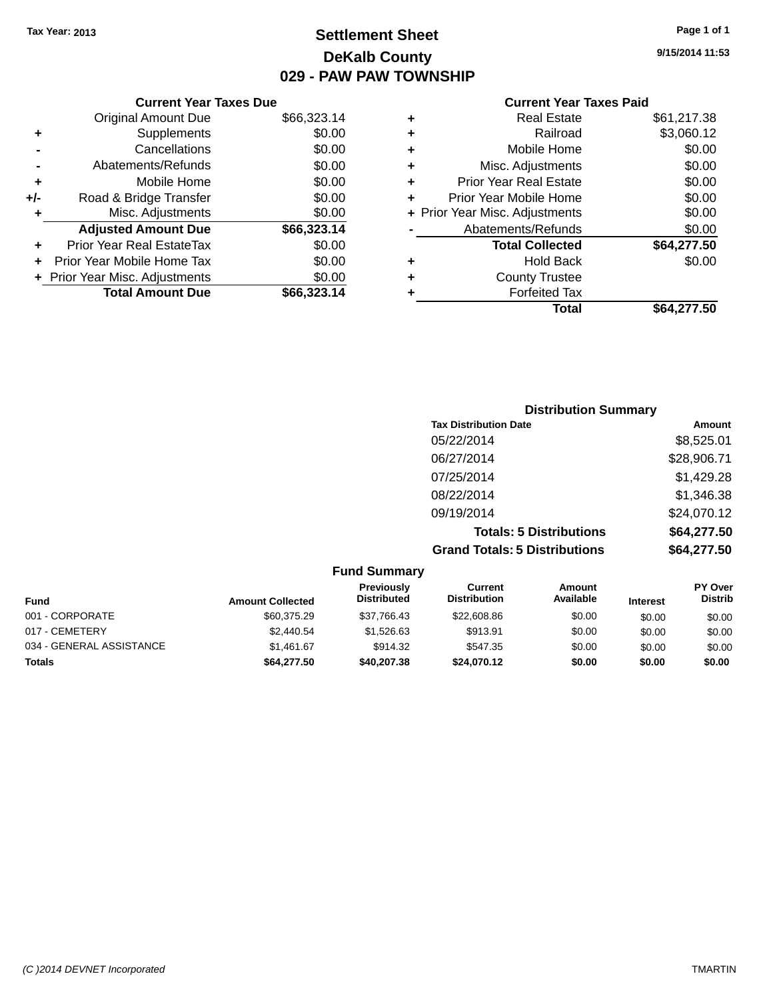# **Settlement Sheet Tax Year: 2013 Page 1 of 1 DeKalb County 029 - PAW PAW TOWNSHIP**

**9/15/2014 11:53**

|     | <b>Current Year Taxes Due</b>  |             |
|-----|--------------------------------|-------------|
|     | <b>Original Amount Due</b>     | \$66,323.14 |
| ÷   | Supplements                    | \$0.00      |
|     | Cancellations                  | \$0.00      |
|     | Abatements/Refunds             | \$0.00      |
| ٠   | Mobile Home                    | \$0.00      |
| +/- | Road & Bridge Transfer         | \$0.00      |
| ٠   | Misc. Adjustments              | \$0.00      |
|     | <b>Adjusted Amount Due</b>     | \$66,323.14 |
| ÷   | Prior Year Real EstateTax      | \$0.00      |
|     | Prior Year Mobile Home Tax     | \$0.00      |
|     | + Prior Year Misc. Adjustments | \$0.00      |
|     | <b>Total Amount Due</b>        | \$66,323.14 |
|     |                                |             |

| ٠ | <b>Real Estate</b>             | \$61,217.38 |
|---|--------------------------------|-------------|
| ٠ | Railroad                       | \$3,060.12  |
| ٠ | Mobile Home                    | \$0.00      |
| ٠ | Misc. Adjustments              | \$0.00      |
| ٠ | <b>Prior Year Real Estate</b>  | \$0.00      |
| ÷ | Prior Year Mobile Home         | \$0.00      |
|   | + Prior Year Misc. Adjustments | \$0.00      |
|   | Abatements/Refunds             | \$0.00      |
|   | <b>Total Collected</b>         | \$64,277.50 |
| ٠ | Hold Back                      | \$0.00      |
| ÷ | <b>County Trustee</b>          |             |
| ٠ | <b>Forfeited Tax</b>           |             |
|   | Total                          | \$64,277.50 |
|   |                                |             |

| <b>Distribution Summary</b>          |             |
|--------------------------------------|-------------|
| <b>Tax Distribution Date</b>         | Amount      |
| 05/22/2014                           | \$8,525.01  |
| 06/27/2014                           | \$28,906.71 |
| 07/25/2014                           | \$1,429.28  |
| 08/22/2014                           | \$1,346.38  |
| 09/19/2014                           | \$24,070.12 |
| <b>Totals: 5 Distributions</b>       | \$64,277.50 |
| <b>Grand Totals: 5 Distributions</b> | \$64,277.50 |

| <b>Fund Summary</b>      |                         |                                         |                                |                            |                 |                                  |
|--------------------------|-------------------------|-----------------------------------------|--------------------------------|----------------------------|-----------------|----------------------------------|
| <b>Fund</b>              | <b>Amount Collected</b> | <b>Previously</b><br><b>Distributed</b> | Current<br><b>Distribution</b> | <b>Amount</b><br>Available | <b>Interest</b> | <b>PY Over</b><br><b>Distrib</b> |
| 001 - CORPORATE          | \$60,375.29             | \$37.766.43                             | \$22,608.86                    | \$0.00                     | \$0.00          | \$0.00                           |
| 017 - CEMETERY           | \$2,440.54              | \$1,526.63                              | \$913.91                       | \$0.00                     | \$0.00          | \$0.00                           |
| 034 - GENERAL ASSISTANCE | \$1.461.67              | \$914.32                                | \$547.35                       | \$0.00                     | \$0.00          | \$0.00                           |
| <b>Totals</b>            | \$64,277.50             | \$40,207,38                             | \$24.070.12                    | \$0.00                     | \$0.00          | \$0.00                           |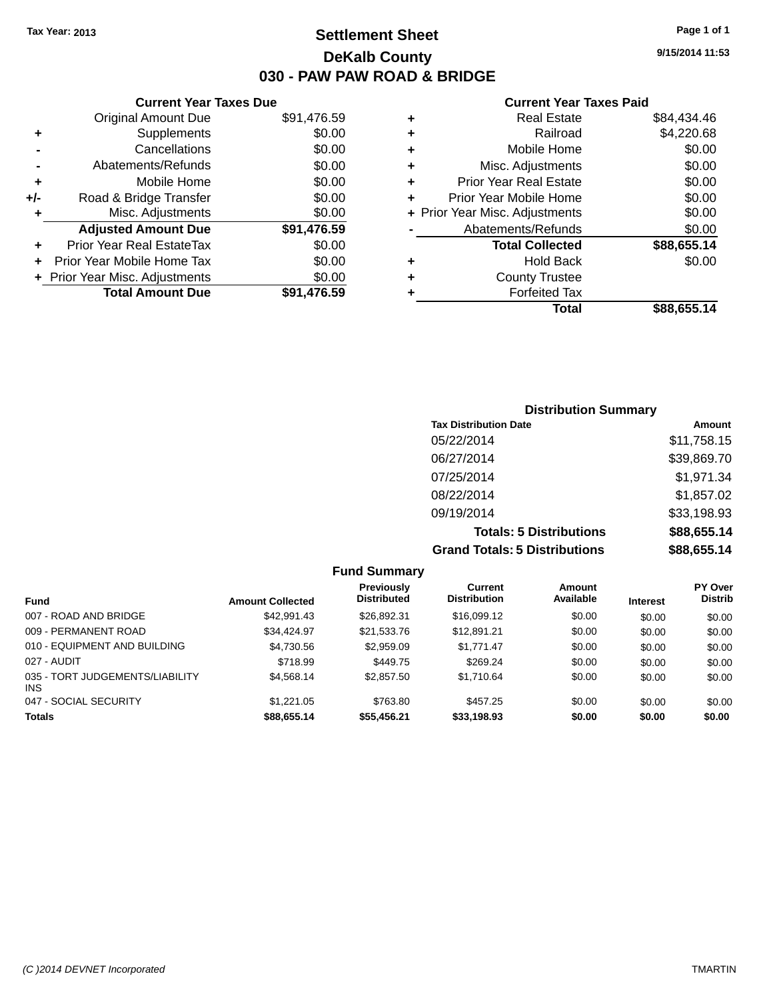# **Settlement Sheet Tax Year: 2013 Page 1 of 1 DeKalb County 030 - PAW PAW ROAD & BRIDGE**

**9/15/2014 11:53**

#### **Current Year Taxes Paid**

|     | <b>Current Year Taxes Due</b>  |             |
|-----|--------------------------------|-------------|
|     | <b>Original Amount Due</b>     | \$91,476.59 |
| ٠   | Supplements                    | \$0.00      |
|     | Cancellations                  | \$0.00      |
|     | Abatements/Refunds             | \$0.00      |
| ٠   | Mobile Home                    | \$0.00      |
| +/- | Road & Bridge Transfer         | \$0.00      |
| ٠   | Misc. Adjustments              | \$0.00      |
|     | <b>Adjusted Amount Due</b>     | \$91,476.59 |
| ٠   | Prior Year Real EstateTax      | \$0.00      |
| ÷   | Prior Year Mobile Home Tax     | \$0.00      |
|     | + Prior Year Misc. Adjustments | \$0.00      |
|     | <b>Total Amount Due</b>        | \$91.476.59 |
|     |                                |             |

|   | <b>Real Estate</b>             | \$84.434.46 |
|---|--------------------------------|-------------|
| ٠ | Railroad                       | \$4,220.68  |
| ٠ | Mobile Home                    | \$0.00      |
| ٠ | Misc. Adjustments              | \$0.00      |
| ٠ | <b>Prior Year Real Estate</b>  | \$0.00      |
| ٠ | Prior Year Mobile Home         | \$0.00      |
|   | + Prior Year Misc. Adjustments | \$0.00      |
|   | Abatements/Refunds             | \$0.00      |
|   | <b>Total Collected</b>         | \$88,655.14 |
| ٠ | Hold Back                      | \$0.00      |
| ٠ | <b>County Trustee</b>          |             |
| ٠ | <b>Forfeited Tax</b>           |             |
|   | <b>Total</b>                   | \$88,655.14 |
|   |                                |             |

## **Distribution Summary Tax Distribution Date Amount** 05/22/2014 \$11,758.15 06/27/2014 \$39,869.70 07/25/2014 \$1,971.34 08/22/2014 \$1,857.02 09/19/2014 \$33,198.93 **Totals: 5 Distributions \$88,655.14 Grand Totals: 5 Distributions \$88,655.14**

|                                               |                         | <b>Fund Summary</b>              |                                |                     |                 |                                  |
|-----------------------------------------------|-------------------------|----------------------------------|--------------------------------|---------------------|-----------------|----------------------------------|
| <b>Fund</b>                                   | <b>Amount Collected</b> | Previously<br><b>Distributed</b> | Current<br><b>Distribution</b> | Amount<br>Available | <b>Interest</b> | <b>PY Over</b><br><b>Distrib</b> |
| 007 - ROAD AND BRIDGE                         | \$42,991.43             | \$26.892.31                      | \$16,099.12                    | \$0.00              | \$0.00          | \$0.00                           |
| 009 - PERMANENT ROAD                          | \$34,424.97             | \$21,533.76                      | \$12,891.21                    | \$0.00              | \$0.00          | \$0.00                           |
| 010 - EQUIPMENT AND BUILDING                  | \$4,730.56              | \$2,959.09                       | \$1,771.47                     | \$0.00              | \$0.00          | \$0.00                           |
| 027 - AUDIT                                   | \$718.99                | \$449.75                         | \$269.24                       | \$0.00              | \$0.00          | \$0.00                           |
| 035 - TORT JUDGEMENTS/LIABILITY<br><b>INS</b> | \$4,568,14              | \$2,857.50                       | \$1,710.64                     | \$0.00              | \$0.00          | \$0.00                           |
| 047 - SOCIAL SECURITY                         | \$1,221.05              | \$763.80                         | \$457.25                       | \$0.00              | \$0.00          | \$0.00                           |
| <b>Totals</b>                                 | \$88,655.14             | \$55,456.21                      | \$33,198.93                    | \$0.00              | \$0.00          | \$0.00                           |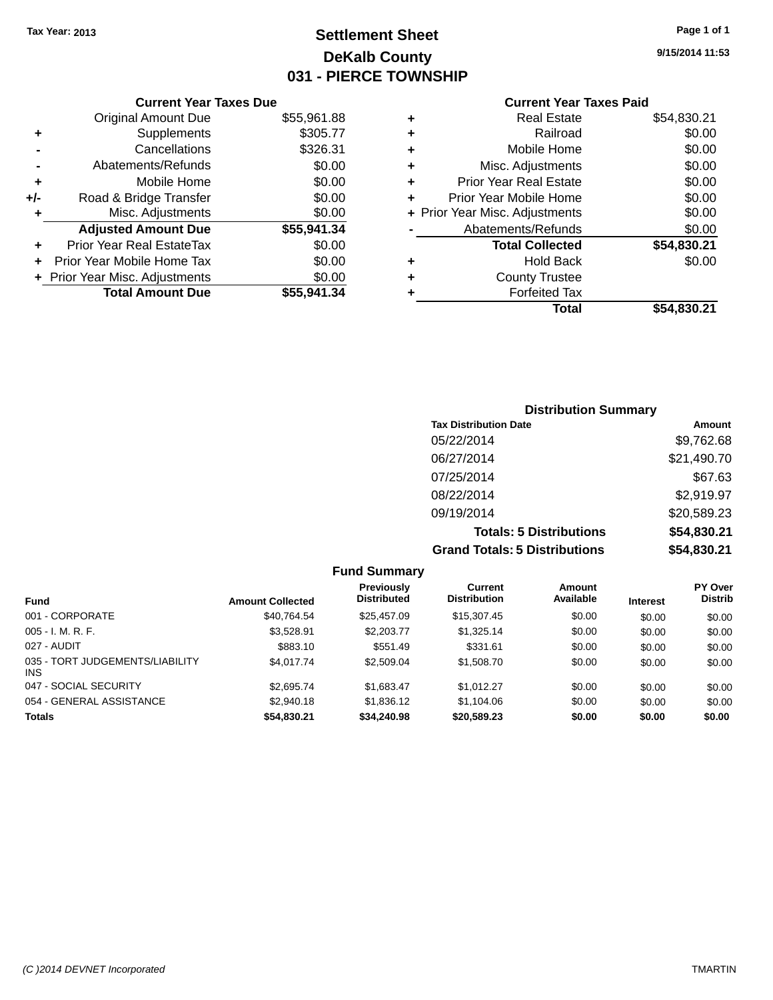# **Settlement Sheet Tax Year: 2013 Page 1 of 1 DeKalb County 031 - PIERCE TOWNSHIP**

**9/15/2014 11:53**

|     | <b>Current Year Taxes Due</b>  |             |  |
|-----|--------------------------------|-------------|--|
|     | <b>Original Amount Due</b>     | \$55,961.88 |  |
| ٠   | Supplements                    | \$305.77    |  |
|     | Cancellations                  | \$326.31    |  |
|     | Abatements/Refunds             | \$0.00      |  |
| ٠   | Mobile Home                    | \$0.00      |  |
| +/- | Road & Bridge Transfer         | \$0.00      |  |
| ٠   | Misc. Adjustments              | \$0.00      |  |
|     | <b>Adjusted Amount Due</b>     | \$55,941.34 |  |
| ٠   | Prior Year Real EstateTax      | \$0.00      |  |
|     | Prior Year Mobile Home Tax     | \$0.00      |  |
|     | + Prior Year Misc. Adjustments | \$0.00      |  |
|     | <b>Total Amount Due</b>        | \$55,941.34 |  |
|     |                                |             |  |

|   | <b>Real Estate</b>             | \$54,830.21 |
|---|--------------------------------|-------------|
| ٠ | Railroad                       | \$0.00      |
| ٠ | Mobile Home                    | \$0.00      |
| ٠ | Misc. Adjustments              | \$0.00      |
| ٠ | <b>Prior Year Real Estate</b>  | \$0.00      |
|   | Prior Year Mobile Home         | \$0.00      |
|   | + Prior Year Misc. Adjustments | \$0.00      |
|   | Abatements/Refunds             | \$0.00      |
|   | <b>Total Collected</b>         | \$54,830.21 |
| ٠ | Hold Back                      | \$0.00      |
| ٠ | <b>County Trustee</b>          |             |
| ٠ | <b>Forfeited Tax</b>           |             |
|   | Total                          | \$54,830.21 |
|   |                                |             |

| <b>Distribution Summary</b>          |             |  |  |  |  |
|--------------------------------------|-------------|--|--|--|--|
| <b>Tax Distribution Date</b>         | Amount      |  |  |  |  |
| 05/22/2014                           | \$9,762.68  |  |  |  |  |
| 06/27/2014                           | \$21,490.70 |  |  |  |  |
| 07/25/2014                           | \$67.63     |  |  |  |  |
| 08/22/2014                           | \$2,919.97  |  |  |  |  |
| 09/19/2014                           | \$20,589.23 |  |  |  |  |
| <b>Totals: 5 Distributions</b>       | \$54,830.21 |  |  |  |  |
| <b>Grand Totals: 5 Distributions</b> | \$54,830.21 |  |  |  |  |

|                                         |                         | <b>Fund Summary</b>                     |                                |                     |                 |                                  |
|-----------------------------------------|-------------------------|-----------------------------------------|--------------------------------|---------------------|-----------------|----------------------------------|
| Fund                                    | <b>Amount Collected</b> | <b>Previously</b><br><b>Distributed</b> | Current<br><b>Distribution</b> | Amount<br>Available | <b>Interest</b> | <b>PY Over</b><br><b>Distrib</b> |
| 001 - CORPORATE                         | \$40,764.54             | \$25,457.09                             | \$15,307.45                    | \$0.00              | \$0.00          | \$0.00                           |
| $005 - I. M. R. F.$                     | \$3,528.91              | \$2,203,77                              | \$1,325.14                     | \$0.00              | \$0.00          | \$0.00                           |
| 027 - AUDIT                             | \$883.10                | \$551.49                                | \$331.61                       | \$0.00              | \$0.00          | \$0.00                           |
| 035 - TORT JUDGEMENTS/LIABILITY<br>INS. | \$4,017.74              | \$2,509.04                              | \$1,508.70                     | \$0.00              | \$0.00          | \$0.00                           |
| 047 - SOCIAL SECURITY                   | \$2,695.74              | \$1,683.47                              | \$1.012.27                     | \$0.00              | \$0.00          | \$0.00                           |
| 054 - GENERAL ASSISTANCE                | \$2,940.18              | \$1,836.12                              | \$1.104.06                     | \$0.00              | \$0.00          | \$0.00                           |
| <b>Totals</b>                           | \$54,830.21             | \$34,240.98                             | \$20,589.23                    | \$0.00              | \$0.00          | \$0.00                           |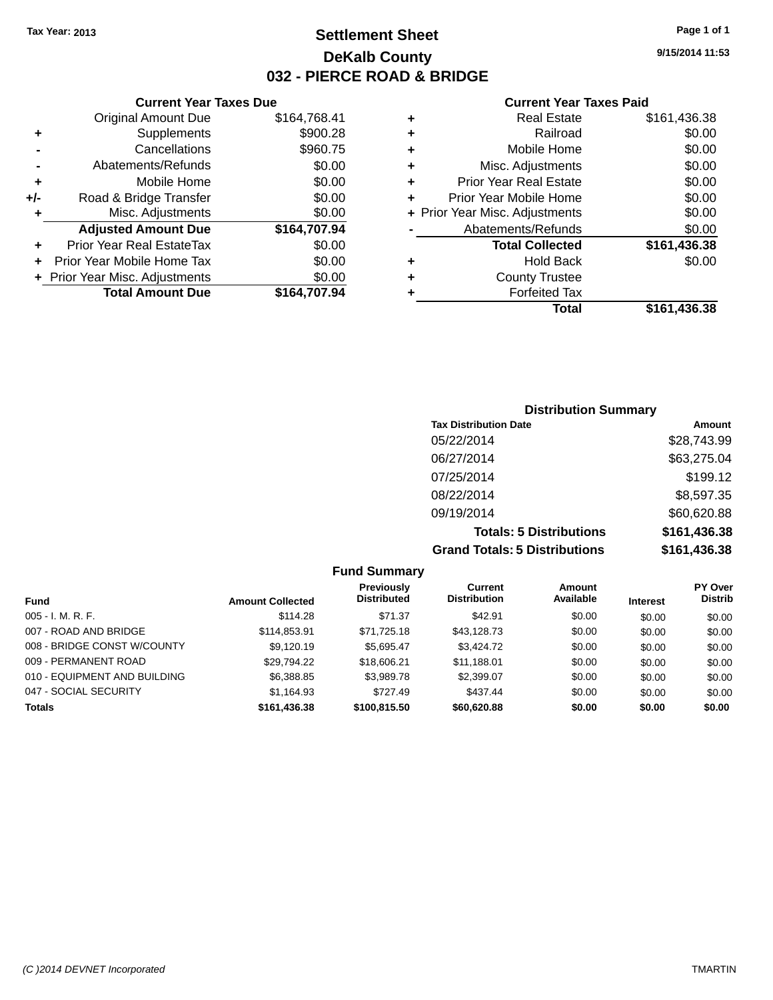# **Settlement Sheet Tax Year: 2013 Page 1 of 1 DeKalb County 032 - PIERCE ROAD & BRIDGE**

**9/15/2014 11:53**

|     | <b>Current Year Taxes Due</b>  |              |  |
|-----|--------------------------------|--------------|--|
|     | <b>Original Amount Due</b>     | \$164,768.41 |  |
| ٠   | Supplements                    | \$900.28     |  |
|     | Cancellations                  | \$960.75     |  |
|     | Abatements/Refunds             | \$0.00       |  |
| ٠   | Mobile Home                    | \$0.00       |  |
| +/- | Road & Bridge Transfer         | \$0.00       |  |
| ٠   | Misc. Adjustments              | \$0.00       |  |
|     | <b>Adjusted Amount Due</b>     | \$164,707.94 |  |
| ٠   | Prior Year Real EstateTax      | \$0.00       |  |
|     | Prior Year Mobile Home Tax     | \$0.00       |  |
|     | + Prior Year Misc. Adjustments | \$0.00       |  |
|     | <b>Total Amount Due</b>        | \$164.707.94 |  |
|     |                                |              |  |

| ٠ | <b>Real Estate</b>             | \$161,436.38 |
|---|--------------------------------|--------------|
| ٠ | Railroad                       | \$0.00       |
| ٠ | Mobile Home                    | \$0.00       |
| ٠ | Misc. Adjustments              | \$0.00       |
| ٠ | <b>Prior Year Real Estate</b>  | \$0.00       |
| ٠ | Prior Year Mobile Home         | \$0.00       |
|   | + Prior Year Misc. Adjustments | \$0.00       |
|   | Abatements/Refunds             | \$0.00       |
|   | <b>Total Collected</b>         | \$161,436.38 |
| ٠ | Hold Back                      | \$0.00       |
| ٠ | <b>County Trustee</b>          |              |
| ٠ | <b>Forfeited Tax</b>           |              |
|   | Total                          | \$161,436.38 |
|   |                                |              |

| <b>Distribution Summary</b>          |              |  |  |  |  |
|--------------------------------------|--------------|--|--|--|--|
| <b>Tax Distribution Date</b>         | Amount       |  |  |  |  |
| 05/22/2014                           | \$28,743.99  |  |  |  |  |
| 06/27/2014                           | \$63,275.04  |  |  |  |  |
| 07/25/2014                           | \$199.12     |  |  |  |  |
| 08/22/2014                           | \$8,597.35   |  |  |  |  |
| 09/19/2014                           | \$60,620.88  |  |  |  |  |
| <b>Totals: 5 Distributions</b>       | \$161,436.38 |  |  |  |  |
| <b>Grand Totals: 5 Distributions</b> | \$161,436.38 |  |  |  |  |

| <b>Fund Summary</b>          |                         |                                         |                                |                            |                 |                                  |
|------------------------------|-------------------------|-----------------------------------------|--------------------------------|----------------------------|-----------------|----------------------------------|
| <b>Fund</b>                  | <b>Amount Collected</b> | <b>Previously</b><br><b>Distributed</b> | Current<br><b>Distribution</b> | <b>Amount</b><br>Available | <b>Interest</b> | <b>PY Over</b><br><b>Distrib</b> |
| $005 - I. M. R. F.$          | \$114.28                | \$71.37                                 | \$42.91                        | \$0.00                     | \$0.00          | \$0.00                           |
| 007 - ROAD AND BRIDGE        | \$114,853.91            | \$71,725.18                             | \$43,128.73                    | \$0.00                     | \$0.00          | \$0.00                           |
| 008 - BRIDGE CONST W/COUNTY  | \$9,120.19              | \$5.695.47                              | \$3,424.72                     | \$0.00                     | \$0.00          | \$0.00                           |
| 009 - PERMANENT ROAD         | \$29,794.22             | \$18,606.21                             | \$11,188.01                    | \$0.00                     | \$0.00          | \$0.00                           |
| 010 - EQUIPMENT AND BUILDING | \$6,388.85              | \$3,989.78                              | \$2,399.07                     | \$0.00                     | \$0.00          | \$0.00                           |
| 047 - SOCIAL SECURITY        | \$1,164.93              | \$727.49                                | \$437.44                       | \$0.00                     | \$0.00          | \$0.00                           |
| <b>Totals</b>                | \$161,436.38            | \$100,815.50                            | \$60,620.88                    | \$0.00                     | \$0.00          | \$0.00                           |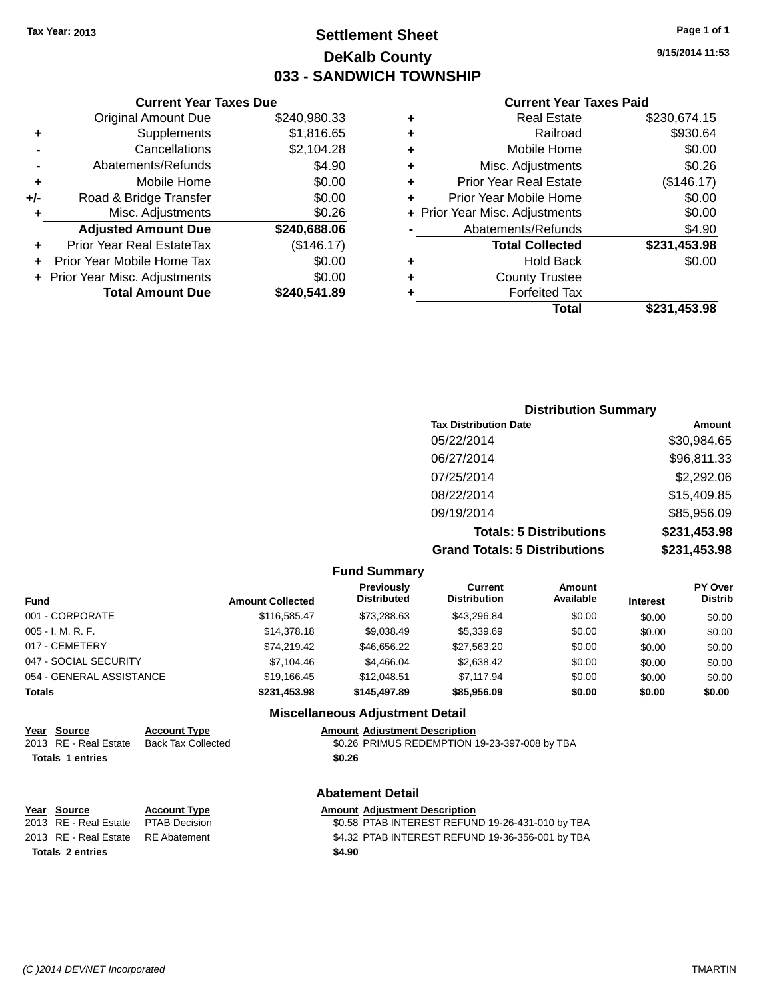# **Settlement Sheet Tax Year: 2013 Page 1 of 1 DeKalb County 033 - SANDWICH TOWNSHIP**

**9/15/2014 11:53**

#### **Current Year Taxes Paid**

|     | <b>Current Year Taxes Due</b>  |              |
|-----|--------------------------------|--------------|
|     | <b>Original Amount Due</b>     | \$240,980.33 |
| ٠   | Supplements                    | \$1,816.65   |
|     | Cancellations                  | \$2,104.28   |
|     | Abatements/Refunds             | \$4.90       |
| ٠   | Mobile Home                    | \$0.00       |
| +/- | Road & Bridge Transfer         | \$0.00       |
| ٠   | Misc. Adjustments              | \$0.26       |
|     | <b>Adjusted Amount Due</b>     | \$240,688.06 |
| ٠   | Prior Year Real EstateTax      | (\$146.17)   |
|     | Prior Year Mobile Home Tax     | \$0.00       |
|     | + Prior Year Misc. Adjustments | \$0.00       |
|     | <b>Total Amount Due</b>        | \$240,541.89 |
|     |                                |              |

| ٠ | <b>Real Estate</b>             | \$230,674.15 |
|---|--------------------------------|--------------|
| ٠ | Railroad                       | \$930.64     |
| ٠ | Mobile Home                    | \$0.00       |
| ٠ | Misc. Adjustments              | \$0.26       |
| ٠ | Prior Year Real Estate         | (\$146.17)   |
| ٠ | Prior Year Mobile Home         | \$0.00       |
|   | + Prior Year Misc. Adjustments | \$0.00       |
|   | Abatements/Refunds             | \$4.90       |
|   | <b>Total Collected</b>         | \$231,453.98 |
| ٠ | Hold Back                      | \$0.00       |
| ٠ | <b>County Trustee</b>          |              |
|   | <b>Forfeited Tax</b>           |              |
|   | Total                          | \$231,453.98 |
|   |                                |              |

## **Distribution Summary Tax Distribution Date Amount** 05/22/2014 \$30,984.65 06/27/2014 \$96,811.33 07/25/2014 \$2,292.06 08/22/2014 \$15,409.85 09/19/2014 \$85,956.09 **Totals: 5 Distributions \$231,453.98 Grand Totals: 5 Distributions \$231,453.98**

|                          |                           |                         | <b>Fund Summary</b>                    |                                               |                            |                 |                                  |
|--------------------------|---------------------------|-------------------------|----------------------------------------|-----------------------------------------------|----------------------------|-----------------|----------------------------------|
| <b>Fund</b>              |                           | <b>Amount Collected</b> | Previously<br><b>Distributed</b>       | <b>Current</b><br><b>Distribution</b>         | <b>Amount</b><br>Available | <b>Interest</b> | <b>PY Over</b><br><b>Distrib</b> |
| 001 - CORPORATE          |                           | \$116,585.47            | \$73,288.63                            | \$43,296.84                                   | \$0.00                     | \$0.00          | \$0.00                           |
| $005 - I. M. R. F.$      |                           | \$14,378.18             | \$9.038.49                             | \$5,339.69                                    | \$0.00                     | \$0.00          | \$0.00                           |
| 017 - CEMETERY           |                           | \$74.219.42             | \$46,656.22                            | \$27,563.20                                   | \$0.00                     | \$0.00          | \$0.00                           |
| 047 - SOCIAL SECURITY    |                           | \$7.104.46              | \$4,466.04                             | \$2,638,42                                    | \$0.00                     | \$0.00          | \$0.00                           |
| 054 - GENERAL ASSISTANCE |                           | \$19,166.45             | \$12,048.51                            | \$7,117.94                                    | \$0.00                     | \$0.00          | \$0.00                           |
| <b>Totals</b>            |                           | \$231,453.98            | \$145,497.89                           | \$85,956.09                                   | \$0.00                     | \$0.00          | \$0.00                           |
|                          |                           |                         | <b>Miscellaneous Adjustment Detail</b> |                                               |                            |                 |                                  |
| Year Source              | <b>Account Type</b>       |                         | <b>Amount Adiustment Description</b>   |                                               |                            |                 |                                  |
| RE - Real Estate<br>2013 | <b>Back Tax Collected</b> |                         |                                        | \$0.26 PRIMUS REDEMPTION 19-23-397-008 by TBA |                            |                 |                                  |
| <b>Totals 1 entries</b>  |                           |                         | \$0.26                                 |                                               |                            |                 |                                  |

| $\sim$ $\sim$ $\sim$ | $\blacksquare$ |
|----------------------|----------------|
|                      |                |
|                      |                |
|                      |                |
|                      |                |
|                      |                |

|                         | Year Source                         | <b>Account Type</b> |        | <b>Amount Adjustment Description</b> |
|-------------------------|-------------------------------------|---------------------|--------|--------------------------------------|
|                         | 2013 RE - Real Estate PTAB Decision |                     |        | \$0.58 PTAB INTEREST REFUN           |
|                         | 2013 RE - Real Estate RE Abatement  |                     |        | \$4.32 PTAB INTEREST REFUN           |
| <b>Totals 2 entries</b> |                                     |                     | \$4.90 |                                      |

#### **Abatement Detail**

2013 B Decision The Case of Solid Solid Estate PTAB INTEREST REFUND 19-26-431-010 by TBA 2013 RE - Real Estate RE Abatement \$4.32 PTAB INTEREST REFUND 19-36-356-001 by TBA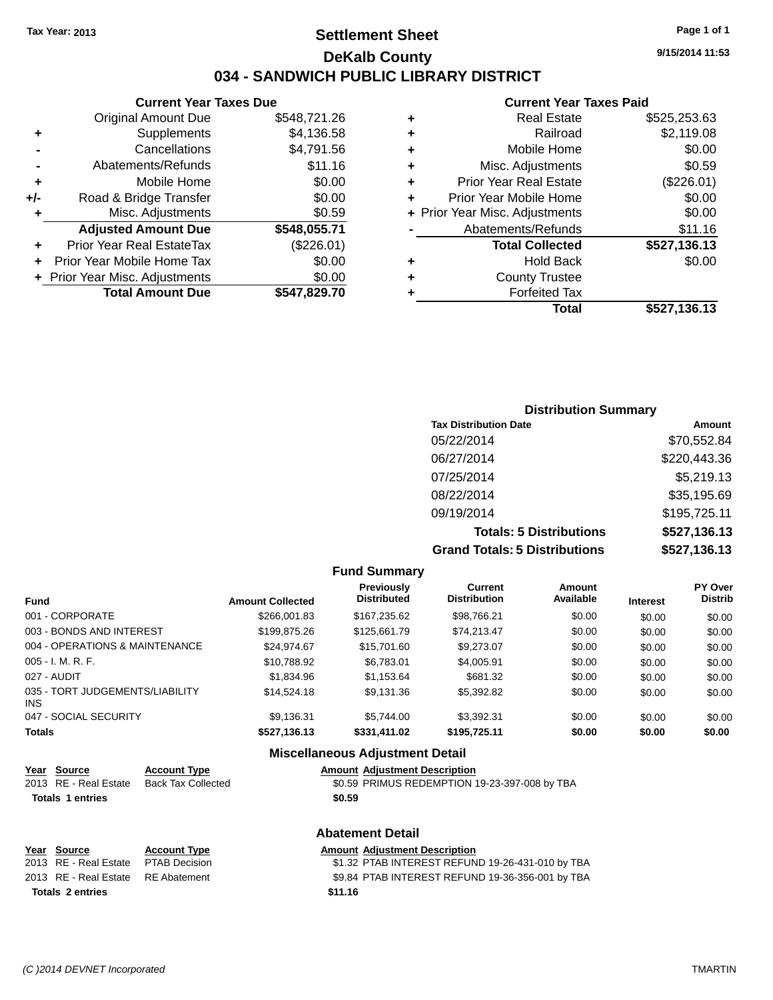### **Settlement Sheet Tax Year: 2013 Page 1 of 1 DeKalb County 034 - SANDWICH PUBLIC LIBRARY DISTRICT**

**9/15/2014 11:53**

### **Current Year Taxes Paid**

|     | <b>Current Year Taxes Due</b>  |              |
|-----|--------------------------------|--------------|
|     | <b>Original Amount Due</b>     | \$548.721.26 |
| ٠   | Supplements                    | \$4,136.58   |
|     | Cancellations                  | \$4,791.56   |
|     | Abatements/Refunds             | \$11.16      |
| ٠   | Mobile Home                    | \$0.00       |
| +/- | Road & Bridge Transfer         | \$0.00       |
| ٠   | Misc. Adjustments              | \$0.59       |
|     | <b>Adjusted Amount Due</b>     | \$548,055.71 |
|     | Prior Year Real EstateTax      | (\$226.01)   |
|     | Prior Year Mobile Home Tax     | \$0.00       |
|     | + Prior Year Misc. Adjustments | \$0.00       |
|     | <b>Total Amount Due</b>        | \$547,829.70 |
|     |                                |              |

| ٠ | <b>Real Estate</b>             | \$525,253.63 |
|---|--------------------------------|--------------|
| ٠ | Railroad                       | \$2,119.08   |
| ٠ | Mobile Home                    | \$0.00       |
| ٠ | Misc. Adjustments              | \$0.59       |
| ٠ | <b>Prior Year Real Estate</b>  | (\$226.01)   |
| ٠ | Prior Year Mobile Home         | \$0.00       |
|   | + Prior Year Misc. Adjustments | \$0.00       |
|   | Abatements/Refunds             | \$11.16      |
|   | <b>Total Collected</b>         | \$527,136.13 |
| ٠ | <b>Hold Back</b>               | \$0.00       |
| ٠ | <b>County Trustee</b>          |              |
| ٠ | <b>Forfeited Tax</b>           |              |
|   | Total                          | \$527,136.13 |
|   |                                |              |

| <b>Distribution Summary</b>          |              |
|--------------------------------------|--------------|
| <b>Tax Distribution Date</b>         | Amount       |
| 05/22/2014                           | \$70,552.84  |
| 06/27/2014                           | \$220,443.36 |
| 07/25/2014                           | \$5,219.13   |
| 08/22/2014                           | \$35,195.69  |
| 09/19/2014                           | \$195,725.11 |
| <b>Totals: 5 Distributions</b>       | \$527,136.13 |
| <b>Grand Totals: 5 Distributions</b> | \$527,136.13 |

|                                         |                         | <b>Fund Summary</b>              |                                       |                     |                 |                           |
|-----------------------------------------|-------------------------|----------------------------------|---------------------------------------|---------------------|-----------------|---------------------------|
| <b>Fund</b>                             | <b>Amount Collected</b> | Previously<br><b>Distributed</b> | <b>Current</b><br><b>Distribution</b> | Amount<br>Available | <b>Interest</b> | PY Over<br><b>Distrib</b> |
| 001 - CORPORATE                         | \$266,001.83            | \$167.235.62                     | \$98.766.21                           | \$0.00              | \$0.00          | \$0.00                    |
| 003 - BONDS AND INTEREST                | \$199,875.26            | \$125,661.79                     | \$74,213.47                           | \$0.00              | \$0.00          | \$0.00                    |
| 004 - OPERATIONS & MAINTENANCE          | \$24.974.67             | \$15,701.60                      | \$9,273,07                            | \$0.00              | \$0.00          | \$0.00                    |
| $005 - I. M. R. F.$                     | \$10,788.92             | \$6.783.01                       | \$4,005.91                            | \$0.00              | \$0.00          | \$0.00                    |
| 027 - AUDIT                             | \$1.834.96              | \$1.153.64                       | \$681.32                              | \$0.00              | \$0.00          | \$0.00                    |
| 035 - TORT JUDGEMENTS/LIABILITY<br>INS. | \$14,524.18             | \$9,131.36                       | \$5,392.82                            | \$0.00              | \$0.00          | \$0.00                    |
| 047 - SOCIAL SECURITY                   | \$9.136.31              | \$5.744.00                       | \$3.392.31                            | \$0.00              | \$0.00          | \$0.00                    |
| <b>Totals</b>                           | \$527,136.13            | \$331,411.02                     | \$195,725.11                          | \$0.00              | \$0.00          | \$0.00                    |
|                                         | --- --                  |                                  |                                       |                     |                 |                           |

### **Miscellaneous Adjustment Detail**

| Year Source             | <b>Account Type</b> | <b>Amount Adjustment Description</b>          |
|-------------------------|---------------------|-----------------------------------------------|
| 2013 RE - Real Estate   | Back Tax Collected  | \$0.59 PRIMUS REDEMPTION 19-23-397-008 by TBA |
| <b>Totals 1 entries</b> |                     | \$0.59                                        |
|                         |                     |                                               |

|                         |                                    | <b>Abatement Detail</b> |                                                  |  |  |
|-------------------------|------------------------------------|-------------------------|--------------------------------------------------|--|--|
|                         | Year Source                        | <b>Account Type</b>     | <b>Amount Adjustment Description</b>             |  |  |
|                         | 2013 RE - Real Estate              | PTAB Decision           | \$1.32 PTAB INTEREST REFUND 19-26-431-010 by TBA |  |  |
|                         | 2013 RE - Real Estate RE Abatement |                         | \$9.84 PTAB INTEREST REFUND 19-36-356-001 by TBA |  |  |
| <b>Totals 2 entries</b> |                                    |                         | \$11.16                                          |  |  |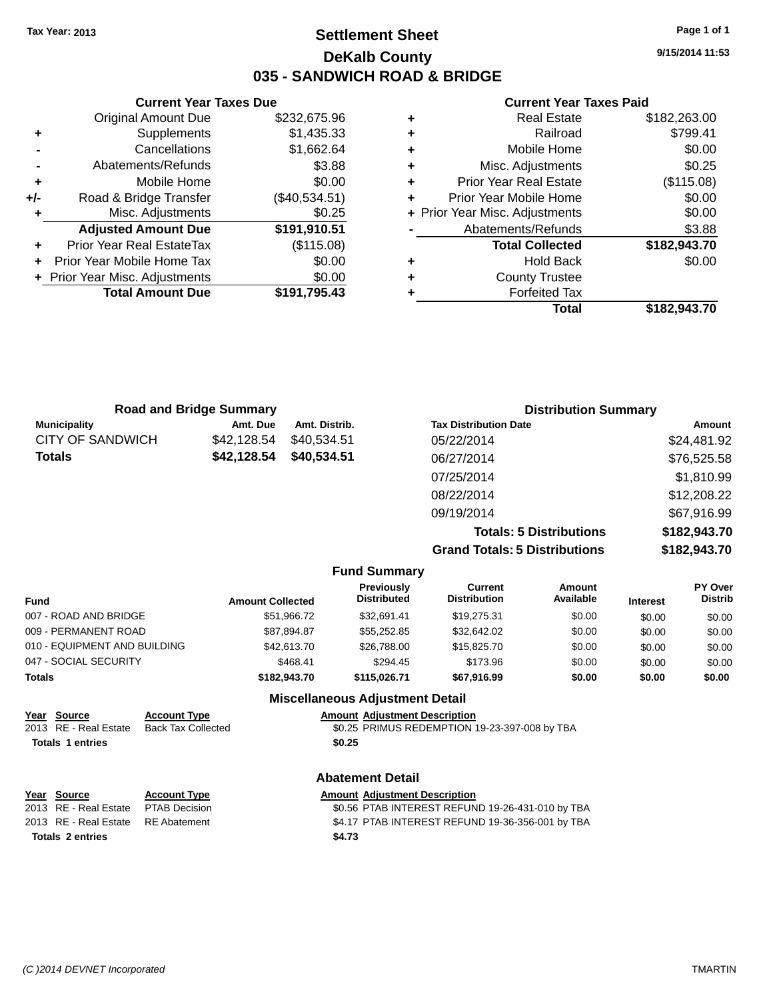### **Settlement Sheet Tax Year: 2013 Page 1 of 1 DeKalb County 035 - SANDWICH ROAD & BRIDGE**

**Current Year Taxes Due** Original Amount Due \$232,675.96 **+** Supplements \$1,435.33 **-** Cancellations \$1,662.64 **-** Abatements/Refunds \$3.88 **+** Mobile Home \$0.00 **+/-** Road & Bridge Transfer (\$40,534.51) **+** Misc. Adjustments \$0.25 **Adjusted Amount Due \$191,910.51 +** Prior Year Real EstateTax (\$115.08) **+** Prior Year Mobile Home Tax \$0.00 **+** Prior Year Misc. Adjustments  $$0.00$ **Total Amount Due \$191,795.43**

#### **Current Year Taxes Paid**

| ٠ | <b>Real Estate</b>             | \$182,263.00 |
|---|--------------------------------|--------------|
| ٠ | Railroad                       | \$799.41     |
| ٠ | Mobile Home                    | \$0.00       |
| ٠ | Misc. Adjustments              | \$0.25       |
| ٠ | <b>Prior Year Real Estate</b>  | (\$115.08)   |
| ٠ | Prior Year Mobile Home         | \$0.00       |
|   | + Prior Year Misc. Adjustments | \$0.00       |
|   | Abatements/Refunds             | \$3.88       |
|   | <b>Total Collected</b>         | \$182,943.70 |
| ٠ | <b>Hold Back</b>               | \$0.00       |
| ٠ | <b>County Trustee</b>          |              |
| ٠ | <b>Forfeited Tax</b>           |              |
|   | Total                          | \$182,943.70 |
|   |                                |              |

| <b>Road and Bridge Summary</b> |             |               | <b>Distribution Summary</b>  |             |
|--------------------------------|-------------|---------------|------------------------------|-------------|
| <b>Municipality</b>            | Amt. Due    | Amt. Distrib. | <b>Tax Distribution Date</b> | Amount      |
| <b>CITY OF SANDWICH</b>        | \$42.128.54 | \$40,534.51   | 05/22/2014                   | \$24,481.92 |
| <b>Totals</b>                  | \$42,128.54 | \$40,534.51   | 06/27/2014                   | \$76,525.58 |
|                                |             |               | 07/25/2014                   | \$1,810.99  |
|                                |             |               | 08/22/2014                   | \$12,208.22 |
|                                |             |               | 09/19/2014                   | \$67,916.99 |

**Totals: 5 Distributions \$182,943.70 Grand Totals: 5 Distributions \$182,943.70**

|               |                              |                           |                         | <b>Fund Summary</b>                    |                                               |                     |                 |                           |
|---------------|------------------------------|---------------------------|-------------------------|----------------------------------------|-----------------------------------------------|---------------------|-----------------|---------------------------|
| <b>Fund</b>   |                              |                           | <b>Amount Collected</b> | Previously<br><b>Distributed</b>       | Current<br><b>Distribution</b>                | Amount<br>Available | <b>Interest</b> | PY Over<br><b>Distrib</b> |
|               | 007 - ROAD AND BRIDGE        |                           | \$51,966.72             | \$32.691.41                            | \$19,275.31                                   | \$0.00              | \$0.00          | \$0.00                    |
|               | 009 - PERMANENT ROAD         |                           | \$87,894.87             | \$55,252.85                            | \$32,642.02                                   | \$0.00              | \$0.00          | \$0.00                    |
|               | 010 - EQUIPMENT AND BUILDING |                           | \$42,613,70             | \$26,788,00                            | \$15,825.70                                   | \$0.00              | \$0.00          | \$0.00                    |
|               | 047 - SOCIAL SECURITY        |                           | \$468.41                | \$294.45                               | \$173.96                                      | \$0.00              | \$0.00          | \$0.00                    |
| <b>Totals</b> |                              |                           | \$182,943,70            | \$115.026.71                           | \$67,916.99                                   | \$0.00              | \$0.00          | \$0.00                    |
|               |                              |                           |                         | <b>Miscellaneous Adjustment Detail</b> |                                               |                     |                 |                           |
| Year          | Source                       | <b>Account Type</b>       |                         | <b>Amount Adiustment Description</b>   |                                               |                     |                 |                           |
|               | 2013 RF - Real Estate        | <b>Back Tax Collected</b> |                         |                                        | \$0.25 PRIMUS REDEMPTION 19-23-397-008 by TRA |                     |                 |                           |

### BACK TAX COLLECTED **BACK TAX COLLECTED BACK TAX COLLECTED BACK** TAX COLLECTED **BACK Totals 1 entries \$0.25**

# **Year Source Account Type Amount Adjustment Description**<br>2013 RE - Real Estate PTAB Decision **60.56 PTAB INTEREST REFUN**

### **Abatement Detail**

\$0.56 PTAB INTEREST REFUND 19-26-431-010 by TBA 2013 RE - Real Estate RE Abatement \$4.17 PTAB INTEREST REFUND 19-36-356-001 by TBA **Totals 2 entries \$4.73**

**9/15/2014 11:53**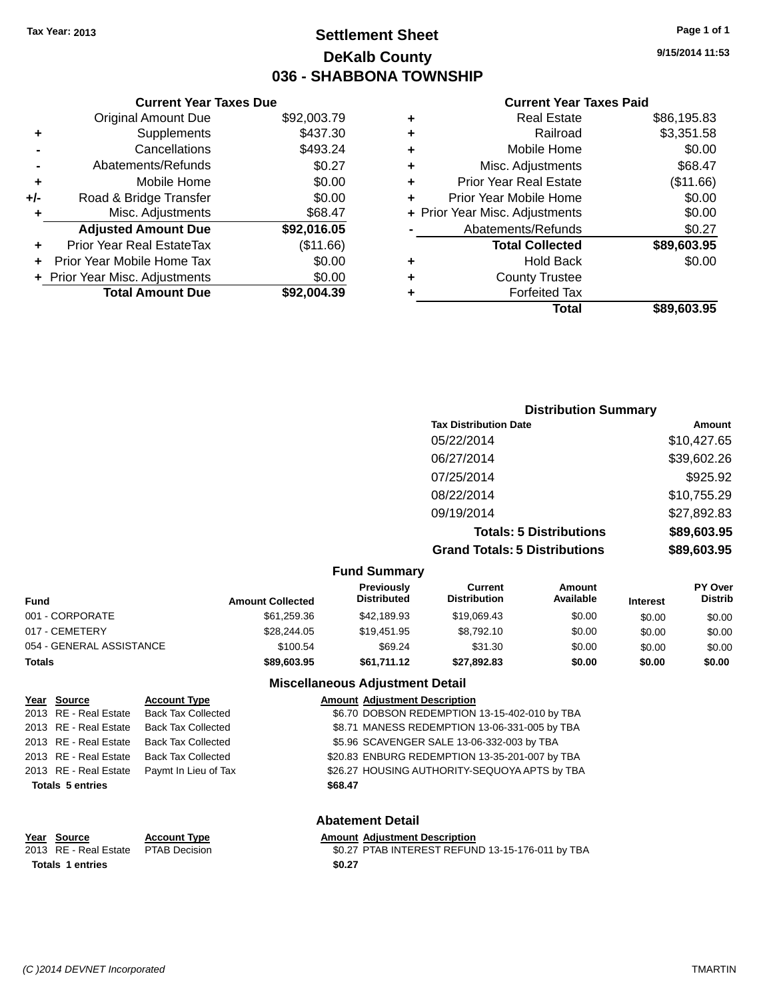### **Settlement Sheet Tax Year: 2013 Page 1 of 1 DeKalb County 036 - SHABBONA TOWNSHIP**

**9/15/2014 11:53**

#### **Current Year Taxes Paid**

|     | <b>Current Year Taxes Due</b>  |             |
|-----|--------------------------------|-------------|
|     | <b>Original Amount Due</b>     | \$92,003.79 |
| ٠   | Supplements                    | \$437.30    |
|     | Cancellations                  | \$493.24    |
|     | Abatements/Refunds             | \$0.27      |
| ٠   | Mobile Home                    | \$0.00      |
| +/- | Road & Bridge Transfer         | \$0.00      |
| ٠   | Misc. Adjustments              | \$68.47     |
|     | <b>Adjusted Amount Due</b>     | \$92,016.05 |
|     | Prior Year Real EstateTax      | (\$11.66)   |
|     | Prior Year Mobile Home Tax     | \$0.00      |
|     | + Prior Year Misc. Adjustments | \$0.00      |
|     | <b>Total Amount Due</b>        | \$92.004.39 |

| <b>Distribution Summary</b>          |             |
|--------------------------------------|-------------|
| <b>Tax Distribution Date</b>         | Amount      |
| 05/22/2014                           | \$10,427.65 |
| 06/27/2014                           | \$39,602.26 |
| 07/25/2014                           | \$925.92    |
| 08/22/2014                           | \$10,755.29 |
| 09/19/2014                           | \$27,892.83 |
| <b>Totals: 5 Distributions</b>       | \$89,603.95 |
| <b>Grand Totals: 5 Distributions</b> | \$89,603.95 |

| <b>Fund Summary</b>      |                         |                                         |                                |                     |                 |                                  |
|--------------------------|-------------------------|-----------------------------------------|--------------------------------|---------------------|-----------------|----------------------------------|
| Fund                     | <b>Amount Collected</b> | <b>Previously</b><br><b>Distributed</b> | Current<br><b>Distribution</b> | Amount<br>Available | <b>Interest</b> | <b>PY Over</b><br><b>Distrib</b> |
| 001 - CORPORATE          | \$61,259.36             | \$42,189.93                             | \$19,069.43                    | \$0.00              | \$0.00          | \$0.00                           |
| 017 - CEMETERY           | \$28,244.05             | \$19,451.95                             | \$8.792.10                     | \$0.00              | \$0.00          | \$0.00                           |
| 054 - GENERAL ASSISTANCE | \$100.54                | \$69.24                                 | \$31.30                        | \$0.00              | \$0.00          | \$0.00                           |
| <b>Totals</b>            | \$89,603.95             | \$61.711.12                             | \$27.892.83                    | \$0.00              | \$0.00          | \$0.00                           |

#### **Miscellaneous Adjustment Detail**

| Year Source             | <b>Account Type</b>       |         | <b>Amount Adjustment Description</b>           |
|-------------------------|---------------------------|---------|------------------------------------------------|
| 2013 RE - Real Estate   | <b>Back Tax Collected</b> |         | \$6.70 DOBSON REDEMPTION 13-15-402-010 by TBA  |
| 2013 RE - Real Estate   | <b>Back Tax Collected</b> |         | \$8.71 MANESS REDEMPTION 13-06-331-005 by TBA  |
| 2013 RE - Real Estate   | <b>Back Tax Collected</b> |         | \$5.96 SCAVENGER SALE 13-06-332-003 by TBA     |
| 2013 RE - Real Estate   | <b>Back Tax Collected</b> |         | \$20.83 ENBURG REDEMPTION 13-35-201-007 by TBA |
| 2013 RE - Real Estate   | Paymt In Lieu of Tax      |         | \$26.27 HOUSING AUTHORITY-SEQUOYA APTS by TBA  |
| <b>Totals 5 entries</b> |                           | \$68.47 |                                                |
|                         |                           |         |                                                |

### **Abatement Detail**

### **Year Source Account Type Amount Adjustment Description Totals 1 entries \$0.27**

\$0.27 PTAB INTEREST REFUND 13-15-176-011 by TBA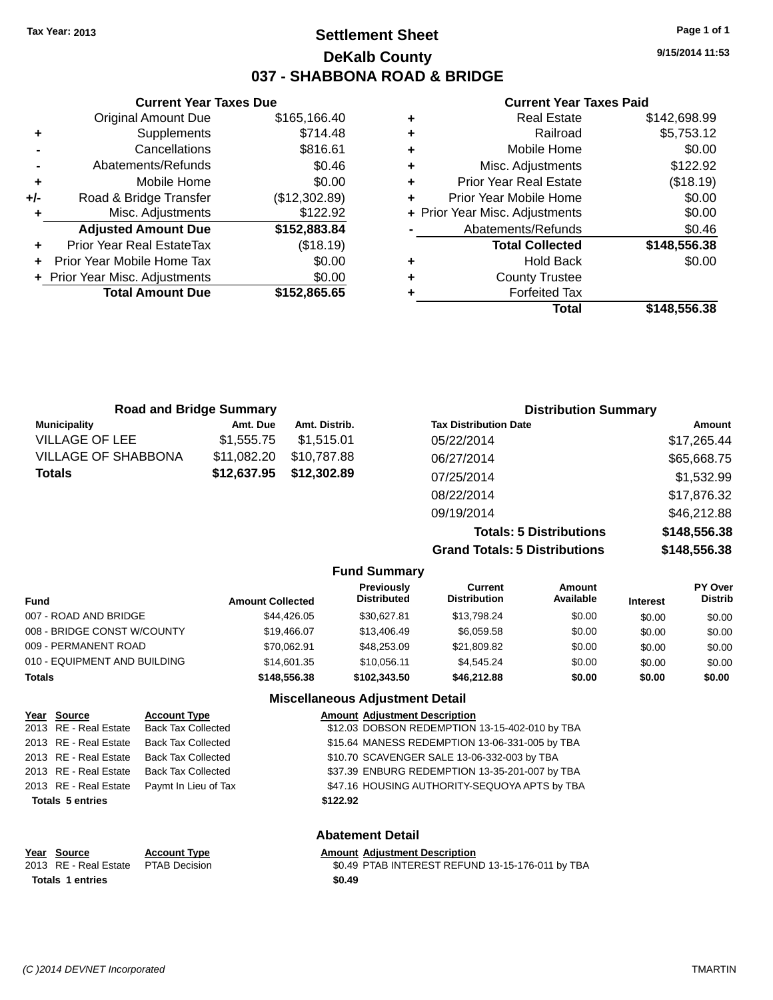### **Settlement Sheet Tax Year: 2013 Page 1 of 1 DeKalb County 037 - SHABBONA ROAD & BRIDGE**

**9/15/2014 11:53**

#### **Current Year Taxes Paid**

|     | <b>Current Year Taxes Due</b>  |               |  |  |  |  |
|-----|--------------------------------|---------------|--|--|--|--|
|     | <b>Original Amount Due</b>     | \$165,166.40  |  |  |  |  |
| ٠   | Supplements                    | \$714.48      |  |  |  |  |
|     | Cancellations                  | \$816.61      |  |  |  |  |
|     | Abatements/Refunds             | \$0.46        |  |  |  |  |
| ٠   | Mobile Home                    | \$0.00        |  |  |  |  |
| +/- | Road & Bridge Transfer         | (\$12,302.89) |  |  |  |  |
| ٠   | Misc. Adjustments              | \$122.92      |  |  |  |  |
|     | <b>Adjusted Amount Due</b>     | \$152,883.84  |  |  |  |  |
| ٠   | Prior Year Real EstateTax      | (\$18.19)     |  |  |  |  |
|     | Prior Year Mobile Home Tax     | \$0.00        |  |  |  |  |
|     | + Prior Year Misc. Adjustments | \$0.00        |  |  |  |  |
|     | <b>Total Amount Due</b>        | \$152,865.65  |  |  |  |  |
|     |                                |               |  |  |  |  |

| ٠ | Real Estate                    | \$142,698.99 |
|---|--------------------------------|--------------|
| ٠ | Railroad                       | \$5,753.12   |
| ٠ | Mobile Home                    | \$0.00       |
| ٠ | Misc. Adjustments              | \$122.92     |
| ٠ | <b>Prior Year Real Estate</b>  | (\$18.19)    |
| ٠ | Prior Year Mobile Home         | \$0.00       |
|   | + Prior Year Misc. Adjustments | \$0.00       |
|   | Abatements/Refunds             | \$0.46       |
|   | <b>Total Collected</b>         | \$148,556.38 |
| ٠ | <b>Hold Back</b>               | \$0.00       |
| ٠ | <b>County Trustee</b>          |              |
| ٠ | <b>Forfeited Tax</b>           |              |
|   | Total                          | \$148,556.38 |
|   |                                |              |

| <b>Road and Bridge Summary</b> |             |               | <b>Distribution Summary</b>  |             |
|--------------------------------|-------------|---------------|------------------------------|-------------|
| <b>Municipality</b>            | Amt. Due    | Amt. Distrib. | <b>Tax Distribution Date</b> | Amount      |
| <b>VILLAGE OF LEE</b>          | \$1,555.75  | \$1.515.01    | 05/22/2014                   | \$17,265.44 |
| VILLAGE OF SHABBONA            | \$11,082.20 | \$10,787.88   | 06/27/2014                   | \$65,668.75 |
| Totals                         | \$12,637.95 | \$12,302.89   | 07/25/2014                   | \$1,532.99  |
|                                |             |               | 08/22/2014                   | \$17,876.32 |
|                                |             |               | 09/19/2014                   | \$46,212.88 |

**Totals: 5 Distributions \$148,556.38 Grand Totals: 5 Distributions \$148,556.38**

|                              |                         | <b>Fund Summary</b>                    |                                |                     |                 |                                  |
|------------------------------|-------------------------|----------------------------------------|--------------------------------|---------------------|-----------------|----------------------------------|
| <b>Fund</b>                  | <b>Amount Collected</b> | Previously<br><b>Distributed</b>       | Current<br><b>Distribution</b> | Amount<br>Available | <b>Interest</b> | <b>PY Over</b><br><b>Distrib</b> |
| 007 - ROAD AND BRIDGE        | \$44.426.05             | \$30.627.81                            | \$13,798.24                    | \$0.00              | \$0.00          | \$0.00                           |
| 008 - BRIDGE CONST W/COUNTY  | \$19,466.07             | \$13,406.49                            | \$6,059.58                     | \$0.00              | \$0.00          | \$0.00                           |
| 009 - PERMANENT ROAD         | \$70.062.91             | \$48,253,09                            | \$21,809.82                    | \$0.00              | \$0.00          | \$0.00                           |
| 010 - EQUIPMENT AND BUILDING | \$14,601.35             | \$10.056.11                            | \$4.545.24                     | \$0.00              | \$0.00          | \$0.00                           |
| <b>Totals</b>                | \$148,556,38            | \$102,343,50                           | \$46,212.88                    | \$0.00              | \$0.00          | \$0.00                           |
|                              |                         | <b>Miscellaneous Adiustment Detail</b> |                                |                     |                 |                                  |

**Abatement Detail**

| Year Source             | <b>Account Type</b>       | <b>Amount Adjustment Description</b>           |
|-------------------------|---------------------------|------------------------------------------------|
| 2013 RE - Real Estate   | <b>Back Tax Collected</b> | \$12.03 DOBSON REDEMPTION 13-15-402-010 by TBA |
| 2013 RE - Real Estate   | <b>Back Tax Collected</b> | \$15.64 MANESS REDEMPTION 13-06-331-005 by TBA |
| 2013 RE - Real Estate   | <b>Back Tax Collected</b> | \$10.70 SCAVENGER SALE 13-06-332-003 by TBA    |
| 2013 RE - Real Estate   | <b>Back Tax Collected</b> | \$37.39 ENBURG REDEMPTION 13-35-201-007 by TBA |
| 2013 RE - Real Estate   | Paymt In Lieu of Tax      | \$47.16 HOUSING AUTHORITY-SEQUOYA APTS by TBA  |
| <b>Totals 5 entries</b> |                           | \$122.92                                       |
|                         |                           |                                                |
|                         |                           |                                                |

| Year Source             | <b>Account Type</b> | <b>Amount Adiustment Description</b>             |
|-------------------------|---------------------|--------------------------------------------------|
| 2013 RE - Real Estate   | PTAB Decision       | \$0.49 PTAB INTEREST REFUND 13-15-176-011 by TBA |
| <b>Totals 1 entries</b> |                     | \$0.49                                           |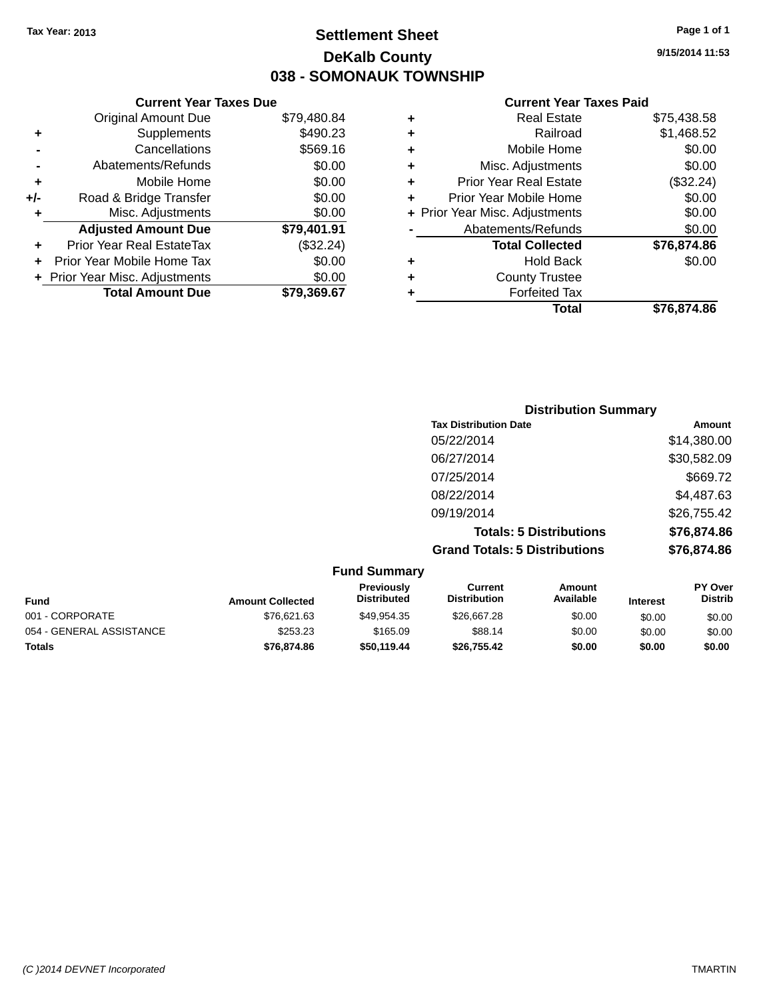### **Settlement Sheet Tax Year: 2013 Page 1 of 1 DeKalb County 038 - SOMONAUK TOWNSHIP**

**9/15/2014 11:53**

#### **Current Year Taxes Paid**

|     | <b>Current Year Taxes Due</b>  |             |
|-----|--------------------------------|-------------|
|     | <b>Original Amount Due</b>     | \$79,480.84 |
| ٠   | Supplements                    | \$490.23    |
|     | Cancellations                  | \$569.16    |
|     | Abatements/Refunds             | \$0.00      |
| ٠   | Mobile Home                    | \$0.00      |
| +/- | Road & Bridge Transfer         | \$0.00      |
|     | Misc. Adjustments              | \$0.00      |
|     | <b>Adjusted Amount Due</b>     | \$79,401.91 |
| ٠   | Prior Year Real EstateTax      | (\$32.24)   |
|     | Prior Year Mobile Home Tax     | \$0.00      |
|     | + Prior Year Misc. Adjustments | \$0.00      |
|     | <b>Total Amount Due</b>        | \$79.369.67 |
|     |                                |             |

| ٠ | <b>Real Estate</b>             | \$75,438.58 |
|---|--------------------------------|-------------|
| ٠ | Railroad                       | \$1,468.52  |
| ٠ | Mobile Home                    | \$0.00      |
| ٠ | Misc. Adjustments              | \$0.00      |
| ٠ | Prior Year Real Estate         | (\$32.24)   |
| ٠ | Prior Year Mobile Home         | \$0.00      |
|   | + Prior Year Misc. Adjustments | \$0.00      |
|   | Abatements/Refunds             | \$0.00      |
|   | <b>Total Collected</b>         | \$76,874.86 |
| ٠ | Hold Back                      | \$0.00      |
| ٠ | <b>County Trustee</b>          |             |
| ٠ | <b>Forfeited Tax</b>           |             |
|   | <b>Total</b>                   | \$76,874.86 |
|   |                                |             |

| <b>Distribution Summary</b>          |             |
|--------------------------------------|-------------|
| <b>Tax Distribution Date</b>         | Amount      |
| 05/22/2014                           | \$14,380.00 |
| 06/27/2014                           | \$30,582.09 |
| 07/25/2014                           | \$669.72    |
| 08/22/2014                           | \$4,487.63  |
| 09/19/2014                           | \$26,755.42 |
| <b>Totals: 5 Distributions</b>       | \$76,874.86 |
| <b>Grand Totals: 5 Distributions</b> | \$76,874.86 |

| <b>Fund Summary</b>      |                         |                                         |                                |                     |                 |                                  |
|--------------------------|-------------------------|-----------------------------------------|--------------------------------|---------------------|-----------------|----------------------------------|
| <b>Fund</b>              | <b>Amount Collected</b> | <b>Previously</b><br><b>Distributed</b> | Current<br><b>Distribution</b> | Amount<br>Available | <b>Interest</b> | <b>PY Over</b><br><b>Distrib</b> |
| 001 - CORPORATE          | \$76.621.63             | \$49.954.35                             | \$26,667.28                    | \$0.00              | \$0.00          | \$0.00                           |
| 054 - GENERAL ASSISTANCE | \$253.23                | \$165.09                                | \$88.14                        | \$0.00              | \$0.00          | \$0.00                           |
| <b>Totals</b>            | \$76,874.86             | \$50,119,44                             | \$26,755.42                    | \$0.00              | \$0.00          | \$0.00                           |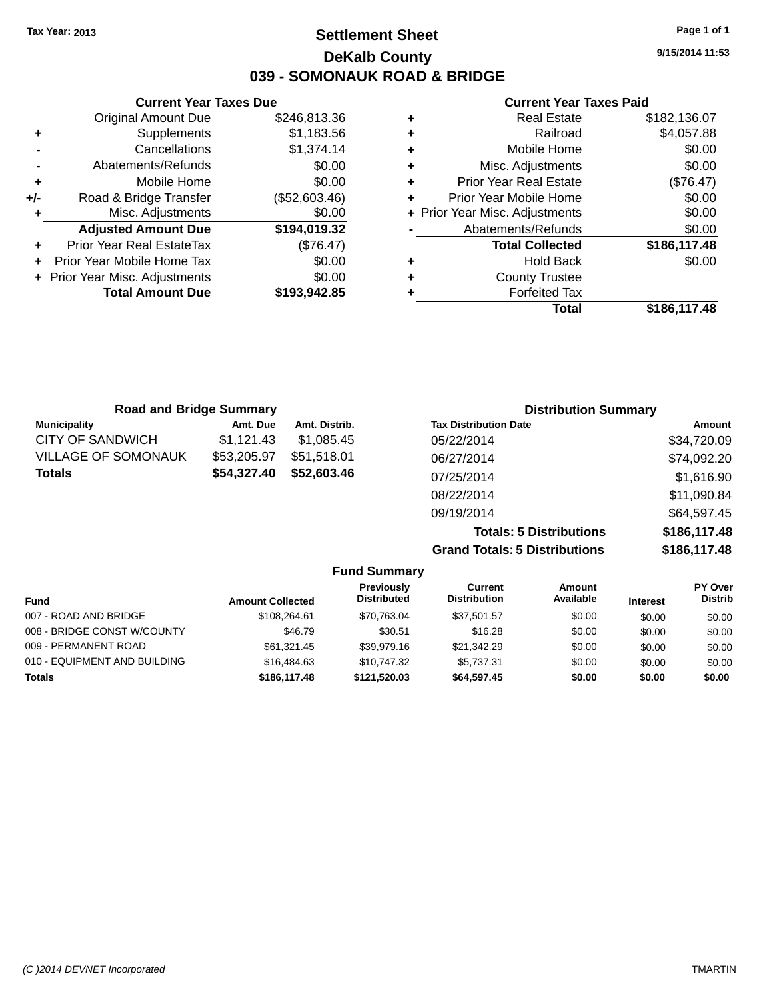### **Settlement Sheet Tax Year: 2013 Page 1 of 1 DeKalb County 039 - SOMONAUK ROAD & BRIDGE**

**9/15/2014 11:53**

#### **Current Year Taxes Paid**

|     | <b>Current Year Taxes Due</b>  |               |  |  |  |  |
|-----|--------------------------------|---------------|--|--|--|--|
|     | Original Amount Due            | \$246,813.36  |  |  |  |  |
| ٠   | Supplements                    | \$1,183.56    |  |  |  |  |
|     | Cancellations                  | \$1,374.14    |  |  |  |  |
|     | Abatements/Refunds             | \$0.00        |  |  |  |  |
| ٠   | Mobile Home                    | \$0.00        |  |  |  |  |
| +/- | Road & Bridge Transfer         | (\$52,603.46) |  |  |  |  |
| ٠   | Misc. Adjustments              | \$0.00        |  |  |  |  |
|     | <b>Adjusted Amount Due</b>     | \$194,019.32  |  |  |  |  |
| ٠   | Prior Year Real EstateTax      | (\$76.47)     |  |  |  |  |
| ÷   | Prior Year Mobile Home Tax     | \$0.00        |  |  |  |  |
|     | + Prior Year Misc. Adjustments | \$0.00        |  |  |  |  |
|     | <b>Total Amount Due</b>        | \$193,942.85  |  |  |  |  |
|     |                                |               |  |  |  |  |

| \$182,136.07 |
|--------------|
| \$4,057.88   |
| \$0.00       |
| \$0.00       |
| (\$76.47)    |
| \$0.00       |
| \$0.00       |
| \$0.00       |
| \$186,117.48 |
| \$0.00       |
|              |
|              |
| \$186,117.48 |
|              |

| <b>Road and Bridge Summary</b> |             |               | <b>Distribution Summary</b>    |              |  |
|--------------------------------|-------------|---------------|--------------------------------|--------------|--|
| <b>Municipality</b>            | Amt. Due    | Amt. Distrib. | <b>Tax Distribution Date</b>   | Amount       |  |
| <b>CITY OF SANDWICH</b>        | \$1,121.43  | \$1.085.45    | 05/22/2014                     | \$34,720.09  |  |
| <b>VILLAGE OF SOMONAUK</b>     | \$53,205.97 | \$51,518.01   | 06/27/2014                     | \$74,092.20  |  |
| <b>Totals</b>                  | \$54,327.40 | \$52,603.46   | 07/25/2014                     | \$1,616.90   |  |
|                                |             |               | 08/22/2014                     | \$11,090.84  |  |
|                                |             |               | 09/19/2014                     | \$64,597.45  |  |
|                                |             |               | <b>Totals: 5 Distributions</b> | \$186,117.48 |  |

**Grand Totals: 5 Distribution** 

| w  | <b>UUU.III.TU</b> |
|----|-------------------|
| ١S | \$186,117.48      |
|    |                   |

| <b>Amount Collected</b> | Previously<br><b>Distributed</b> | Current<br><b>Distribution</b> | Amount<br>Available | <b>Interest</b> | PY Over<br><b>Distrib</b> |
|-------------------------|----------------------------------|--------------------------------|---------------------|-----------------|---------------------------|
| \$108,264.61            | \$70,763.04                      | \$37,501.57                    | \$0.00              | \$0.00          | \$0.00                    |
| \$46.79                 | \$30.51                          | \$16.28                        | \$0.00              | \$0.00          | \$0.00                    |
| \$61,321.45             | \$39,979.16                      | \$21.342.29                    | \$0.00              | \$0.00          | \$0.00                    |
| \$16,484.63             | \$10.747.32                      | \$5,737.31                     | \$0.00              | \$0.00          | \$0.00                    |
| \$186,117.48            | \$121.520.03                     | \$64,597.45                    | \$0.00              | \$0.00          | \$0.00                    |
|                         |                                  |                                |                     |                 |                           |

**Fund Summary**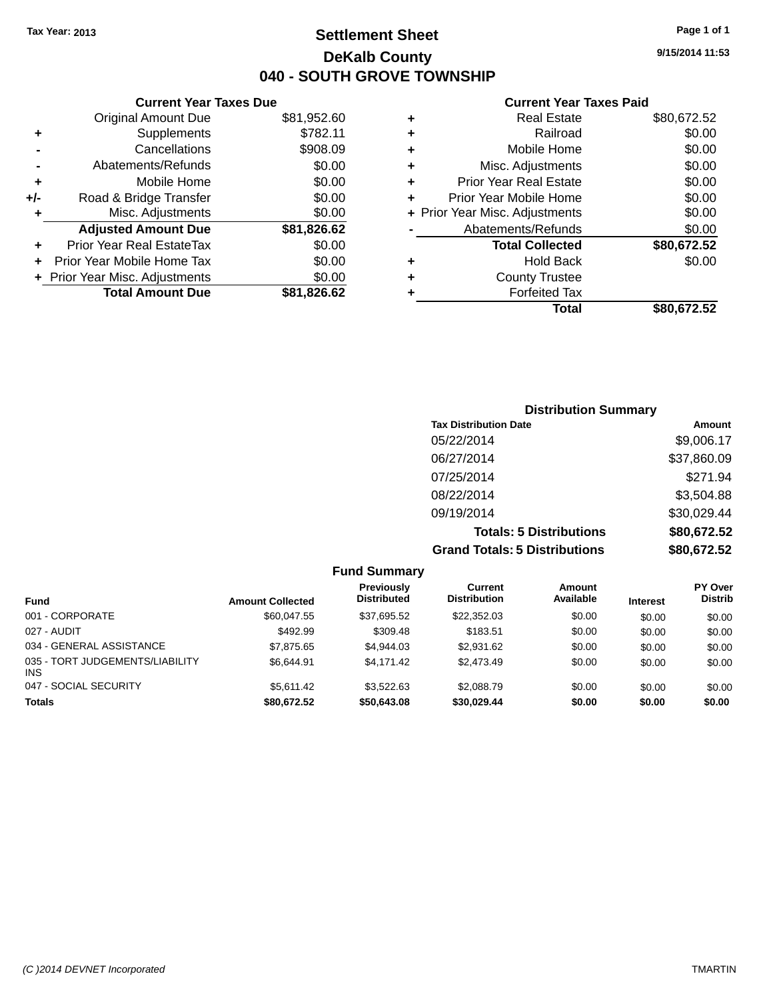**Current Year Taxes Due** Original Amount Due \$81,952.60

### **Settlement Sheet Tax Year: 2013 Page 1 of 1 DeKalb County 040 - SOUTH GROVE TOWNSHIP**

**9/15/2014 11:53**

#### **Current Year Taxes Paid**

|     |                                  |             |   | <b>Total</b>                   | \$80,672.52 |
|-----|----------------------------------|-------------|---|--------------------------------|-------------|
|     | <b>Total Amount Due</b>          | \$81,826.62 |   | <b>Forfeited Tax</b>           |             |
|     | + Prior Year Misc. Adjustments   | \$0.00      | ٠ | <b>County Trustee</b>          |             |
|     | Prior Year Mobile Home Tax       | \$0.00      | ٠ | <b>Hold Back</b>               | \$0.00      |
| ÷.  | <b>Prior Year Real EstateTax</b> | \$0.00      |   | <b>Total Collected</b>         | \$80,672.52 |
|     | <b>Adjusted Amount Due</b>       | \$81,826.62 |   | Abatements/Refunds             | \$0.00      |
|     | Misc. Adjustments                | \$0.00      |   | + Prior Year Misc. Adjustments | \$0.00      |
| +/- | Road & Bridge Transfer           | \$0.00      | ٠ | Prior Year Mobile Home         | \$0.00      |
| ٠   | Mobile Home                      | \$0.00      | ÷ | <b>Prior Year Real Estate</b>  | \$0.00      |
|     | Abatements/Refunds               | \$0.00      | ٠ | Misc. Adjustments              | \$0.00      |
|     | Cancellations                    | \$908.09    | ٠ | Mobile Home                    | \$0.00      |
| ٠   | Supplements                      | \$782.11    | ٠ | Railroad                       | \$0.00      |
|     | <b>Original Amount Due</b>       | \$81,952.60 | ٠ | <b>Real Estate</b>             | \$80,672.52 |
|     |                                  |             |   |                                |             |

### **Distribution Summary Tax Distribution Date Amount** 05/22/2014 \$9,006.17 06/27/2014 \$37,860.09 07/25/2014 \$271.94 08/22/2014 \$3,504.88 09/19/2014 \$30,029.44 **Totals: 5 Distributions \$80,672.52 Grand Totals: 5 Distributions \$80,672.52**

|                                               |                         | <b>Fund Summary</b>              |                                |                     |                 |                                  |
|-----------------------------------------------|-------------------------|----------------------------------|--------------------------------|---------------------|-----------------|----------------------------------|
| <b>Fund</b>                                   | <b>Amount Collected</b> | Previously<br><b>Distributed</b> | Current<br><b>Distribution</b> | Amount<br>Available | <b>Interest</b> | <b>PY Over</b><br><b>Distrib</b> |
| 001 - CORPORATE                               | \$60.047.55             | \$37,695.52                      | \$22,352.03                    | \$0.00              | \$0.00          | \$0.00                           |
| 027 - AUDIT                                   | \$492.99                | \$309.48                         | \$183.51                       | \$0.00              | \$0.00          | \$0.00                           |
| 034 - GENERAL ASSISTANCE                      | \$7,875.65              | \$4,944.03                       | \$2.931.62                     | \$0.00              | \$0.00          | \$0.00                           |
| 035 - TORT JUDGEMENTS/LIABILITY<br><b>INS</b> | \$6.644.91              | \$4.171.42                       | \$2,473.49                     | \$0.00              | \$0.00          | \$0.00                           |
| 047 - SOCIAL SECURITY                         | \$5.611.42              | \$3.522.63                       | \$2,088.79                     | \$0.00              | \$0.00          | \$0.00                           |
| <b>Totals</b>                                 | \$80,672.52             | \$50,643,08                      | \$30,029.44                    | \$0.00              | \$0.00          | \$0.00                           |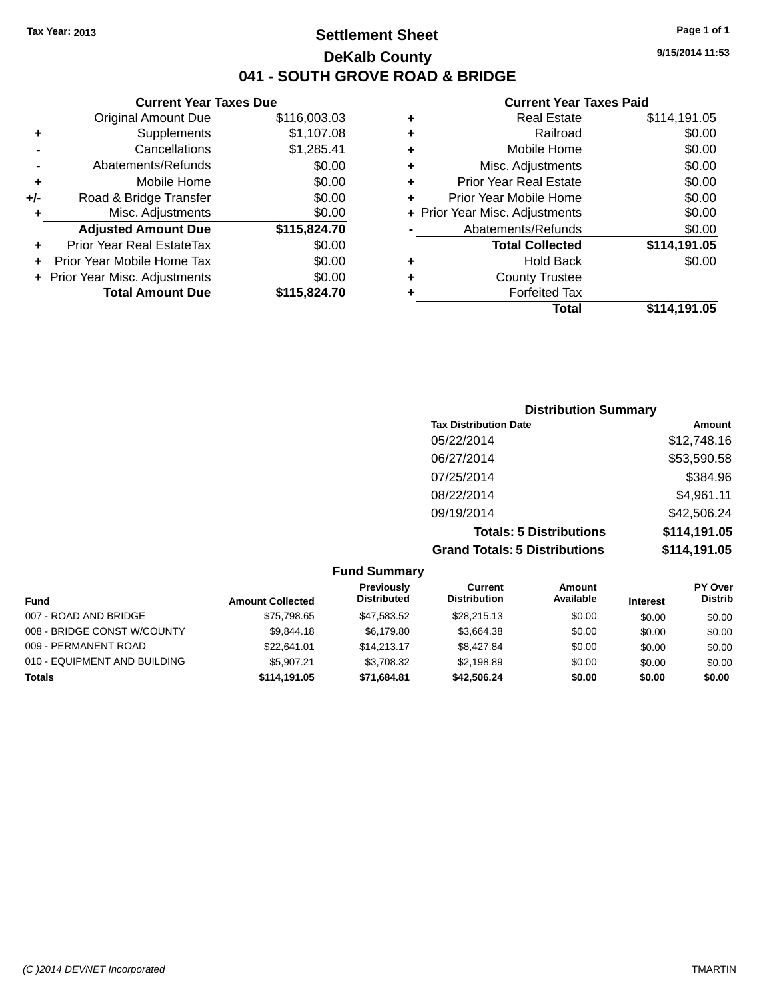### **Settlement Sheet Tax Year: 2013 Page 1 of 1 DeKalb County 041 - SOUTH GROVE ROAD & BRIDGE**

**9/15/2014 11:53**

#### **Current Year Taxes Paid**

|     | <b>Current Year Taxes Due</b>  |              |
|-----|--------------------------------|--------------|
|     | <b>Original Amount Due</b>     | \$116,003.03 |
| ٠   | Supplements                    | \$1,107.08   |
|     | Cancellations                  | \$1,285.41   |
|     | Abatements/Refunds             | \$0.00       |
| ٠   | Mobile Home                    | \$0.00       |
| +/- | Road & Bridge Transfer         | \$0.00       |
| ٠   | Misc. Adjustments              | \$0.00       |
|     | <b>Adjusted Amount Due</b>     | \$115,824.70 |
| ÷   | Prior Year Real EstateTax      | \$0.00       |
|     | Prior Year Mobile Home Tax     | \$0.00       |
|     | + Prior Year Misc. Adjustments | \$0.00       |
|     | <b>Total Amount Due</b>        | \$115,824.70 |
|     |                                |              |

| ٠ | <b>Real Estate</b>             | \$114,191.05 |
|---|--------------------------------|--------------|
| ٠ | Railroad                       | \$0.00       |
| ٠ | Mobile Home                    | \$0.00       |
| ٠ | Misc. Adjustments              | \$0.00       |
| ٠ | <b>Prior Year Real Estate</b>  | \$0.00       |
| ÷ | Prior Year Mobile Home         | \$0.00       |
|   | + Prior Year Misc. Adjustments | \$0.00       |
|   | Abatements/Refunds             | \$0.00       |
|   | <b>Total Collected</b>         | \$114,191.05 |
| ٠ | <b>Hold Back</b>               | \$0.00       |
| ٠ | <b>County Trustee</b>          |              |
| ٠ | <b>Forfeited Tax</b>           |              |
|   | Total                          | \$114,191.05 |
|   |                                |              |

| <b>Distribution Summary</b>          |              |
|--------------------------------------|--------------|
| <b>Tax Distribution Date</b>         | Amount       |
| 05/22/2014                           | \$12,748.16  |
| 06/27/2014                           | \$53,590.58  |
| 07/25/2014                           | \$384.96     |
| 08/22/2014                           | \$4,961.11   |
| 09/19/2014                           | \$42,506.24  |
| <b>Totals: 5 Distributions</b>       | \$114,191.05 |
| <b>Grand Totals: 5 Distributions</b> | \$114,191.05 |

|                              |                         | <b>Fund Summary</b>              |                                |                     |                 |                                  |
|------------------------------|-------------------------|----------------------------------|--------------------------------|---------------------|-----------------|----------------------------------|
| <b>Fund</b>                  | <b>Amount Collected</b> | Previously<br><b>Distributed</b> | Current<br><b>Distribution</b> | Amount<br>Available | <b>Interest</b> | <b>PY Over</b><br><b>Distrib</b> |
| 007 - ROAD AND BRIDGE        | \$75.798.65             | \$47.583.52                      | \$28,215.13                    | \$0.00              | \$0.00          | \$0.00                           |
| 008 - BRIDGE CONST W/COUNTY  | \$9.844.18              | \$6.179.80                       | \$3.664.38                     | \$0.00              | \$0.00          | \$0.00                           |
| 009 - PERMANENT ROAD         | \$22,641.01             | \$14.213.17                      | \$8,427.84                     | \$0.00              | \$0.00          | \$0.00                           |
| 010 - EQUIPMENT AND BUILDING | \$5.907.21              | \$3.708.32                       | \$2,198.89                     | \$0.00              | \$0.00          | \$0.00                           |
| <b>Totals</b>                | \$114,191.05            | \$71,684.81                      | \$42,506,24                    | \$0.00              | \$0.00          | \$0.00                           |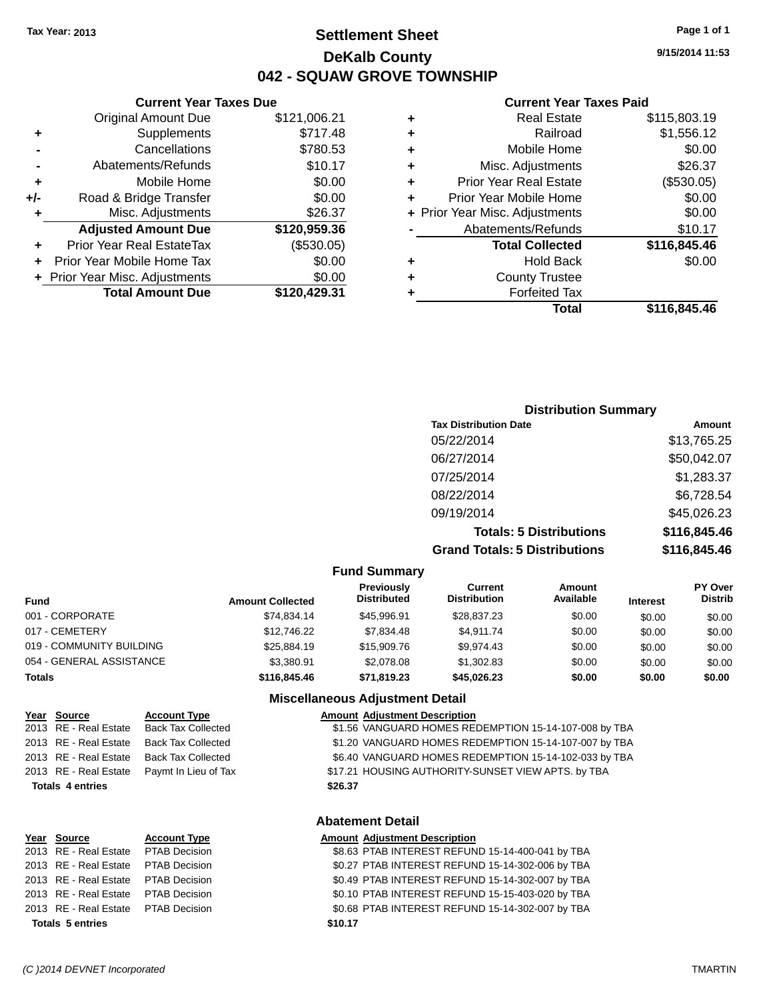**Current Year Taxes Due** Original Amount Due \$121,006.21

**Adjusted Amount Due \$120,959.36**

**Total Amount Due \$120,429.31**

**+** Supplements \$717.48 **-** Cancellations \$780.53 **-** Abatements/Refunds \$10.17 **+** Mobile Home \$0.00 **+/-** Road & Bridge Transfer \$0.00 **+** Misc. Adjustments \$26.37

**+** Prior Year Real EstateTax (\$530.05) **+** Prior Year Mobile Home Tax \$0.00 **+** Prior Year Misc. Adjustments  $$0.00$ 

### **Settlement Sheet Tax Year: 2013 Page 1 of 1 DeKalb County 042 - SQUAW GROVE TOWNSHIP**

**9/15/2014 11:53**

#### **Current Year Taxes Paid**

|   | <b>Real Estate</b>             | \$115,803.19 |
|---|--------------------------------|--------------|
| ٠ | Railroad                       | \$1,556.12   |
| ٠ | Mobile Home                    | \$0.00       |
| ٠ | Misc. Adjustments              | \$26.37      |
| ٠ | <b>Prior Year Real Estate</b>  | (\$530.05)   |
| ٠ | Prior Year Mobile Home         | \$0.00       |
|   | + Prior Year Misc. Adjustments | \$0.00       |
|   | Abatements/Refunds             | \$10.17      |
|   | <b>Total Collected</b>         | \$116,845.46 |
| ٠ | <b>Hold Back</b>               | \$0.00       |
| ٠ | <b>County Trustee</b>          |              |
|   | <b>Forfeited Tax</b>           |              |
|   | Total                          | \$116.845.46 |

# **Distribution Summary Tax Distribution Date Amount** 05/22/2014 \$13,765.25 06/27/2014 \$50,042.07 07/25/2014 \$1,283.37 08/22/2014 \$6,728.54 09/19/2014 \$45,026.23

**Totals: 5 Distributions \$116,845.46 Grand Totals: 5 Distributions \$116,845.46**

| <b>Fund Summary</b>      |                         |                                  |                                |                     |                 |                           |
|--------------------------|-------------------------|----------------------------------|--------------------------------|---------------------|-----------------|---------------------------|
| <b>Fund</b>              | <b>Amount Collected</b> | Previously<br><b>Distributed</b> | Current<br><b>Distribution</b> | Amount<br>Available | <b>Interest</b> | PY Over<br><b>Distrib</b> |
| 001 - CORPORATE          | \$74.834.14             | \$45,996.91                      | \$28,837,23                    | \$0.00              | \$0.00          | \$0.00                    |
| 017 - CEMETERY           | \$12,746.22             | \$7.834.48                       | \$4.911.74                     | \$0.00              | \$0.00          | \$0.00                    |
| 019 - COMMUNITY BUILDING | \$25,884.19             | \$15,909.76                      | \$9.974.43                     | \$0.00              | \$0.00          | \$0.00                    |
| 054 - GENERAL ASSISTANCE | \$3,380.91              | \$2,078.08                       | \$1,302.83                     | \$0.00              | \$0.00          | \$0.00                    |
| <b>Totals</b>            | \$116,845,46            | \$71,819,23                      | \$45,026,23                    | \$0.00              | \$0.00          | \$0.00                    |
|                          |                         |                                  |                                |                     |                 |                           |

**Fund Summary**

#### **Miscellaneous Adjustment Detail**

| Year Source             | <b>Account Type</b>       |         | <b>Amount Adjustment Description</b>                  |
|-------------------------|---------------------------|---------|-------------------------------------------------------|
| 2013 RE - Real Estate   | <b>Back Tax Collected</b> |         | \$1.56 VANGUARD HOMES REDEMPTION 15-14-107-008 by TBA |
| 2013 RE - Real Estate   | <b>Back Tax Collected</b> |         | \$1.20 VANGUARD HOMES REDEMPTION 15-14-107-007 by TBA |
| 2013 RE - Real Estate   | <b>Back Tax Collected</b> |         | \$6.40 VANGUARD HOMES REDEMPTION 15-14-102-033 by TBA |
| 2013 RE - Real Estate   | Paymt In Lieu of Tax      |         | \$17.21 HOUSING AUTHORITY-SUNSET VIEW APTS. by TBA    |
| <b>Totals 4 entries</b> |                           | \$26.37 |                                                       |
|                         |                           |         |                                                       |
|                         |                           |         |                                                       |

#### **Abatement Detail**

| Year Source                         | <b>Account Type</b> |         | <b>Amount Adjustment Description</b>             |
|-------------------------------------|---------------------|---------|--------------------------------------------------|
| 2013 RE - Real Estate PTAB Decision |                     |         | \$8.63 PTAB INTEREST REFUND 15-14-400-041 by TBA |
| 2013 RE - Real Estate PTAB Decision |                     |         | \$0.27 PTAB INTEREST REFUND 15-14-302-006 by TBA |
| 2013 RE - Real Estate PTAB Decision |                     |         | \$0.49 PTAB INTEREST REFUND 15-14-302-007 by TBA |
| 2013 RE - Real Estate PTAB Decision |                     |         | \$0.10 PTAB INTEREST REFUND 15-15-403-020 by TBA |
| 2013 RE - Real Estate PTAB Decision |                     |         | \$0.68 PTAB INTEREST REFUND 15-14-302-007 by TBA |
| <b>Totals 5 entries</b>             |                     | \$10.17 |                                                  |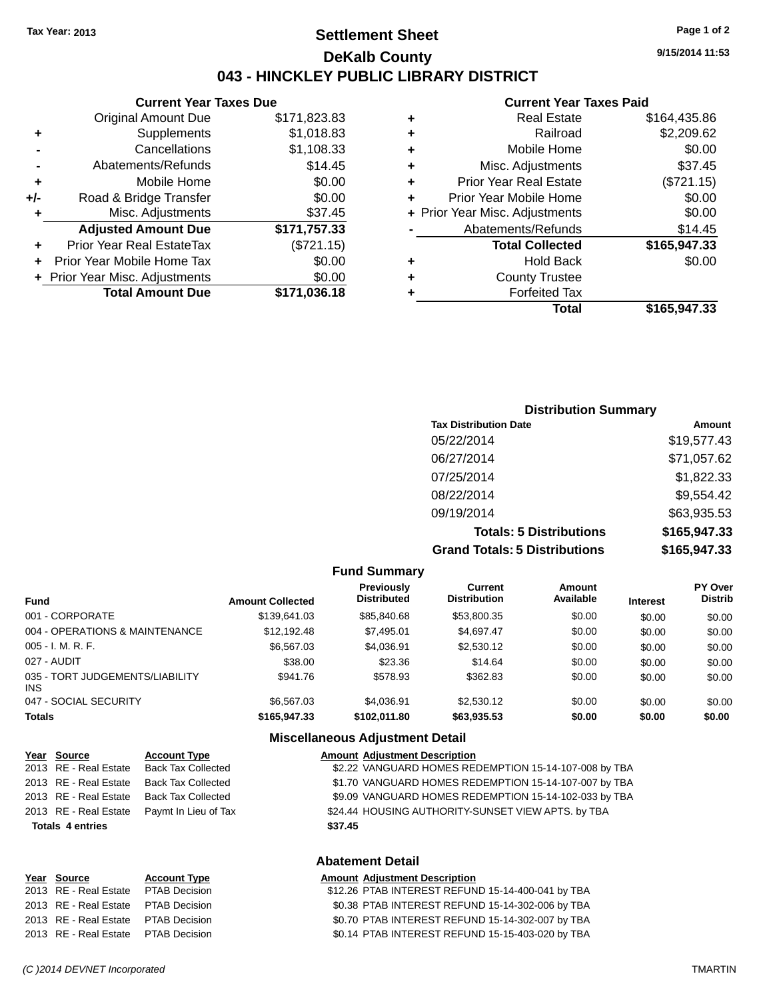### **Settlement Sheet Tax Year: 2013 Page 1 of 2 DeKalb County 043 - HINCKLEY PUBLIC LIBRARY DISTRICT**

**9/15/2014 11:53**

### **Current Year Taxes Paid**

|     | <b>Current Year Taxes Due</b>  |              |
|-----|--------------------------------|--------------|
|     | <b>Original Amount Due</b>     | \$171,823.83 |
| ٠   | Supplements                    | \$1,018.83   |
|     | Cancellations                  | \$1,108.33   |
|     | Abatements/Refunds             | \$14.45      |
| ٠   | Mobile Home                    | \$0.00       |
| +/- | Road & Bridge Transfer         | \$0.00       |
| ٠   | Misc. Adjustments              | \$37.45      |
|     | <b>Adjusted Amount Due</b>     | \$171,757.33 |
|     | Prior Year Real EstateTax      | (\$721.15)   |
|     | Prior Year Mobile Home Tax     | \$0.00       |
|     | + Prior Year Misc. Adjustments | \$0.00       |
|     | <b>Total Amount Due</b>        | \$171,036.18 |
|     |                                |              |

| ٠ | Real Estate                    | \$164,435.86 |
|---|--------------------------------|--------------|
| ٠ | Railroad                       | \$2,209.62   |
| ٠ | Mobile Home                    | \$0.00       |
| ٠ | Misc. Adjustments              | \$37.45      |
| ٠ | <b>Prior Year Real Estate</b>  | (\$721.15)   |
| ٠ | Prior Year Mobile Home         | \$0.00       |
|   | + Prior Year Misc. Adjustments | \$0.00       |
|   | Abatements/Refunds             | \$14.45      |
|   | <b>Total Collected</b>         | \$165,947.33 |
| ٠ | <b>Hold Back</b>               | \$0.00       |
| ٠ | <b>County Trustee</b>          |              |
| ٠ | <b>Forfeited Tax</b>           |              |
|   | Total                          | \$165,947.33 |
|   |                                |              |

| <b>Distribution Summary</b>          |              |
|--------------------------------------|--------------|
| <b>Tax Distribution Date</b>         | Amount       |
| 05/22/2014                           | \$19,577.43  |
| 06/27/2014                           | \$71,057.62  |
| 07/25/2014                           | \$1,822.33   |
| 08/22/2014                           | \$9,554.42   |
| 09/19/2014                           | \$63,935.53  |
| <b>Totals: 5 Distributions</b>       | \$165,947.33 |
| <b>Grand Totals: 5 Distributions</b> | \$165,947.33 |

| <b>Fund Summary</b>     |                                         |                                       |                     |                 |                                  |  |
|-------------------------|-----------------------------------------|---------------------------------------|---------------------|-----------------|----------------------------------|--|
| <b>Amount Collected</b> | <b>Previously</b><br><b>Distributed</b> | <b>Current</b><br><b>Distribution</b> | Amount<br>Available | <b>Interest</b> | <b>PY Over</b><br><b>Distrib</b> |  |
| \$139,641.03            | \$85,840.68                             | \$53,800.35                           | \$0.00              | \$0.00          | \$0.00                           |  |
| \$12,192.48             | \$7,495.01                              | \$4,697.47                            | \$0.00              | \$0.00          | \$0.00                           |  |
| \$6,567.03              | \$4,036.91                              | \$2,530.12                            | \$0.00              | \$0.00          | \$0.00                           |  |
| \$38.00                 | \$23.36                                 | \$14.64                               | \$0.00              | \$0.00          | \$0.00                           |  |
| \$941.76                | \$578.93                                | \$362.83                              | \$0.00              | \$0.00          | \$0.00                           |  |
| \$6,567,03              | \$4.036.91                              | \$2,530.12                            | \$0.00              | \$0.00          | \$0.00                           |  |
| \$165,947,33            | \$102.011.80                            | \$63,935.53                           | \$0.00              | \$0.00          | \$0.00                           |  |
|                         |                                         |                                       |                     |                 |                                  |  |

#### **Miscellaneous Adjustment Detail**

|                                    | Year Source           | <b>Account Type</b>       |  | <b>Amount Adjustment Description</b>                  |  |
|------------------------------------|-----------------------|---------------------------|--|-------------------------------------------------------|--|
|                                    | 2013 RE - Real Estate | <b>Back Tax Collected</b> |  | \$2.22 VANGUARD HOMES REDEMPTION 15-14-107-008 by TBA |  |
|                                    | 2013 RE - Real Estate | <b>Back Tax Collected</b> |  | \$1.70 VANGUARD HOMES REDEMPTION 15-14-107-007 by TBA |  |
|                                    | 2013 RE - Real Estate | <b>Back Tax Collected</b> |  | \$9.09 VANGUARD HOMES REDEMPTION 15-14-102-033 by TBA |  |
|                                    | 2013 RE - Real Estate | Paymt In Lieu of Tax      |  | \$24.44 HOUSING AUTHORITY-SUNSET VIEW APTS. by TBA    |  |
| <b>Totals 4 entries</b><br>\$37.45 |                       |                           |  |                                                       |  |
| <b>Abatement Detail</b>            |                       |                           |  |                                                       |  |

#### **Year Source Account Type Amount Adjustment Description**

| 2013 RE - Real Estate PTAB Decision | \$12.26 PTAB INTEREST REFUND 15-14-400-041 by TBA |
|-------------------------------------|---------------------------------------------------|
| 2013 RE - Real Estate PTAB Decision | \$0.38 PTAB INTEREST REFUND 15-14-302-006 by TBA  |
| 2013 RE - Real Estate PTAB Decision | \$0.70 PTAB INTEREST REFUND 15-14-302-007 by TBA  |
| 2013 RE - Real Estate PTAB Decision | \$0.14 PTAB INTEREST REFUND 15-15-403-020 by TBA  |
|                                     |                                                   |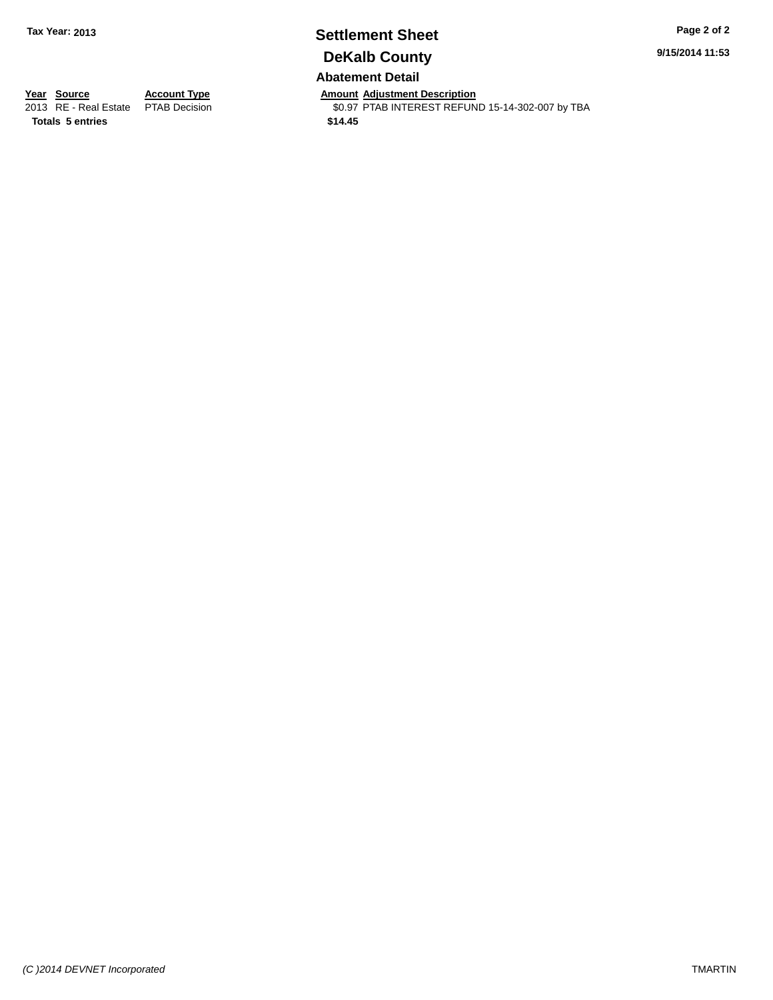### **Settlement Sheet Tax Year: 2013 Page 2 of 2 DeKalb County Abatement Detail**

**9/15/2014 11:53**

**Totals 5 entries \$14.45**

**Year Source Account Type Anneurs Amount Adjustment Description**<br>
2013 RE - Real Estate PTAB Decision **Amount Adjustment Description** \$0.97 PTAB INTEREST REFUND 15-14-302-007 by TBA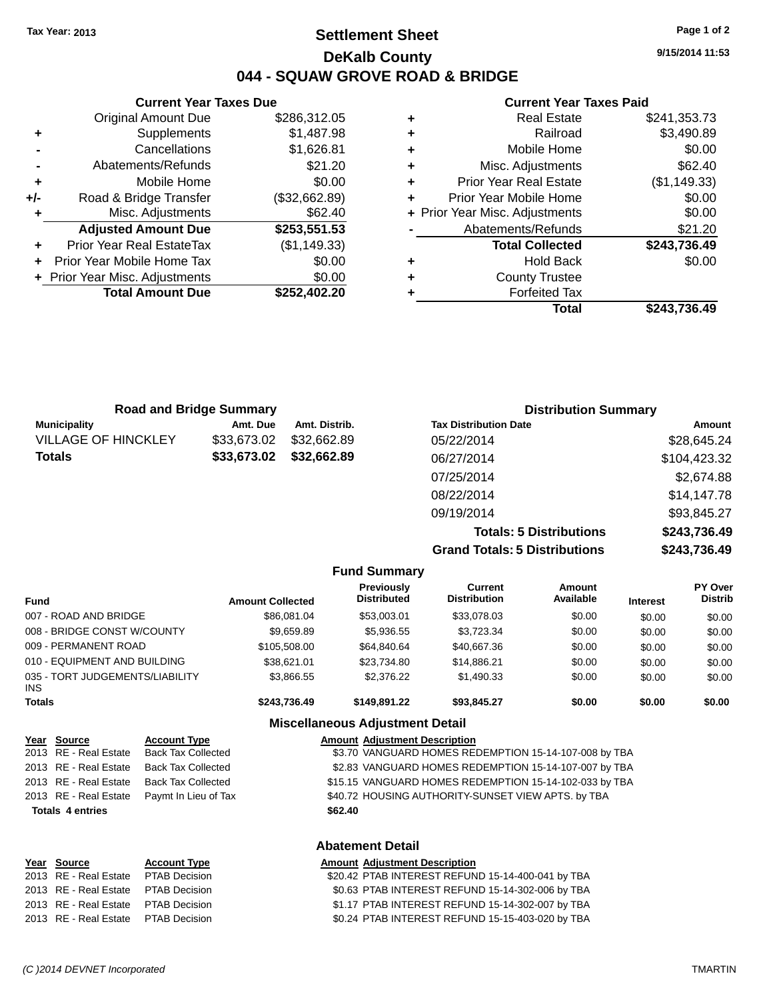### **Settlement Sheet Tax Year: 2013 Page 1 of 2 DeKalb County 044 - SQUAW GROVE ROAD & BRIDGE**

**9/15/2014 11:53**

#### **Current Year Taxes Paid**

|     | <b>Current Year Taxes Due</b>  |               |
|-----|--------------------------------|---------------|
|     | <b>Original Amount Due</b>     | \$286,312.05  |
| ٠   | Supplements                    | \$1,487.98    |
|     | Cancellations                  | \$1,626.81    |
|     | Abatements/Refunds             | \$21.20       |
| ÷   | Mobile Home                    | \$0.00        |
| +/- | Road & Bridge Transfer         | (\$32,662.89) |
|     | Misc. Adjustments              | \$62.40       |
|     | <b>Adjusted Amount Due</b>     | \$253,551.53  |
|     | Prior Year Real EstateTax      | (\$1,149.33)  |
|     | Prior Year Mobile Home Tax     | \$0.00        |
|     | + Prior Year Misc. Adjustments | \$0.00        |
|     | <b>Total Amount Due</b>        | \$252,402.20  |
|     |                                |               |

| ٠ | <b>Real Estate</b>             | \$241,353.73 |
|---|--------------------------------|--------------|
| ٠ | Railroad                       | \$3,490.89   |
| ٠ | Mobile Home                    | \$0.00       |
| ٠ | Misc. Adjustments              | \$62.40      |
| ٠ | <b>Prior Year Real Estate</b>  | (\$1,149.33) |
| ٠ | Prior Year Mobile Home         | \$0.00       |
|   | + Prior Year Misc. Adjustments | \$0.00       |
|   | Abatements/Refunds             | \$21.20      |
|   | <b>Total Collected</b>         | \$243,736.49 |
| ٠ | Hold Back                      | \$0.00       |
| ٠ | <b>County Trustee</b>          |              |
| ٠ | <b>Forfeited Tax</b>           |              |
|   | Total                          | \$243,736.49 |
|   |                                |              |

| <b>Road and Bridge Summary</b> |             |               | <b>Distribution Summary</b>  |              |  |
|--------------------------------|-------------|---------------|------------------------------|--------------|--|
| <b>Municipality</b>            | Amt. Due    | Amt. Distrib. | <b>Tax Distribution Date</b> | Amount       |  |
| <b>VILLAGE OF HINCKLEY</b>     | \$33,673.02 | \$32,662.89   | 05/22/2014                   | \$28,645.24  |  |
| <b>Totals</b>                  | \$33,673.02 | \$32,662.89   | 06/27/2014                   | \$104,423.32 |  |
|                                |             |               | 07/25/2014                   | \$2,674.88   |  |
|                                |             |               | 08/22/2014                   | \$14,147.78  |  |
|                                |             |               | 09/19/2014                   | \$93,845.27  |  |
|                                |             |               |                              |              |  |

**Totals: 5 Distributions \$243,736.49 Grand Totals: 5 Distributions \$243,736.49**

|                                               |                         | <b>Fund Summary</b>                     |                                       |                     |                 |                           |
|-----------------------------------------------|-------------------------|-----------------------------------------|---------------------------------------|---------------------|-----------------|---------------------------|
| <b>Fund</b>                                   | <b>Amount Collected</b> | <b>Previously</b><br><b>Distributed</b> | <b>Current</b><br><b>Distribution</b> | Amount<br>Available | <b>Interest</b> | PY Over<br><b>Distrib</b> |
| 007 - ROAD AND BRIDGE                         | \$86,081,04             | \$53,003.01                             | \$33,078.03                           | \$0.00              | \$0.00          | \$0.00                    |
| 008 - BRIDGE CONST W/COUNTY                   | \$9.659.89              | \$5,936.55                              | \$3,723.34                            | \$0.00              | \$0.00          | \$0.00                    |
| 009 - PERMANENT ROAD                          | \$105,508.00            | \$64,840.64                             | \$40,667.36                           | \$0.00              | \$0.00          | \$0.00                    |
| 010 - EQUIPMENT AND BUILDING                  | \$38,621.01             | \$23.734.80                             | \$14,886.21                           | \$0.00              | \$0.00          | \$0.00                    |
| 035 - TORT JUDGEMENTS/LIABILITY<br><b>INS</b> | \$3,866.55              | \$2,376.22                              | \$1,490.33                            | \$0.00              | \$0.00          | \$0.00                    |
| <b>Totals</b>                                 | \$243,736.49            | \$149.891.22                            | \$93,845,27                           | \$0.00              | \$0.00          | \$0.00                    |
|                                               |                         | <b>Miscellaneous Adjustment Detail</b>  |                                       |                     |                 |                           |

| Year Source             | <b>Account Type</b>       | <b>Amount Adjustment Description</b>                                  |
|-------------------------|---------------------------|-----------------------------------------------------------------------|
| 2013 RE - Real Estate   | <b>Back Tax Collected</b> | \$3.70 VANGUARD HOMES REDEMPTION 15-14-107-008 by TBA                 |
| 2013 RE - Real Estate   | <b>Back Tax Collected</b> | \$2.83 VANGUARD HOMES REDEMPTION 15-14-107-007 by TBA                 |
| 2013 RE - Real Estate   | <b>Back Tax Collected</b> | \$15.15 VANGUARD HOMES REDEMPTION 15-14-102-033 by TBA                |
| 2013 RE - Real Estate   | Paymt In Lieu of Tax      | \$40.72 HOUSING AUTHORITY-SUNSET VIEW APTS. by TBA                    |
| <b>Totals 4 entries</b> |                           | \$62.40                                                               |
|                         |                           | <b>Abatement Detail</b>                                               |
| Year Source             | <b>Account Type</b>       | <b>Amount Adjustment Description</b>                                  |
| $0.040$ DE Deal Fatata  | DTADD <sub>2</sub>        | $0.0010$ $10.750$ $1.7700$ $1.070$ $1.001$ $1.0000$ $1.0000$ $1.0000$ |

| 2013 RE - Real Estate PTAB Decision | \$20.42 PTAB INTEREST REFUND 15-14-400-041 by TBA |
|-------------------------------------|---------------------------------------------------|
| 2013 RE - Real Estate PTAB Decision | \$0.63 PTAB INTEREST REFUND 15-14-302-006 by TBA  |
| 2013 RE - Real Estate PTAB Decision | \$1.17 PTAB INTEREST REFUND 15-14-302-007 by TBA  |
| 2013 RE - Real Estate PTAB Decision | \$0.24 PTAB INTEREST REFUND 15-15-403-020 by TBA  |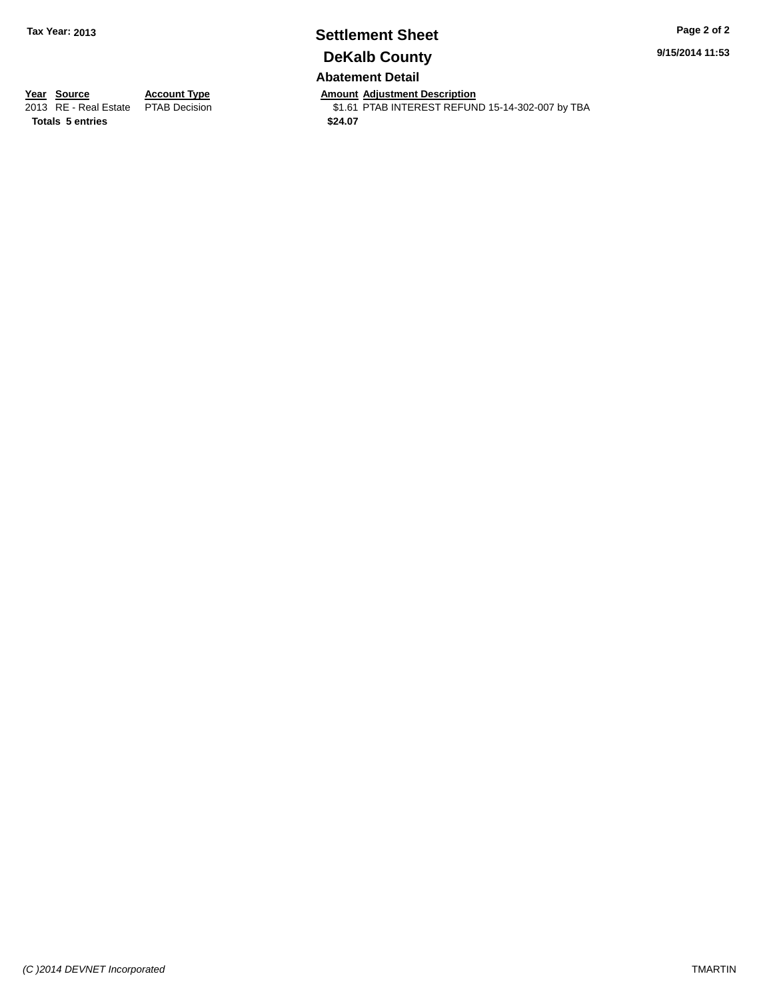### **Settlement Sheet Tax Year: 2013 Page 2 of 2 DeKalb County Abatement Detail**

**9/15/2014 11:53**

**Totals 5 entries \$24.07**

**Year Source Account Type Annount Adjustment Description**<br>2013 RE - Real Estate PTAB Decision **Amount Adjustment Description** \$1.61 PTAB INTEREST REFUND 15-14-302-007 by TBA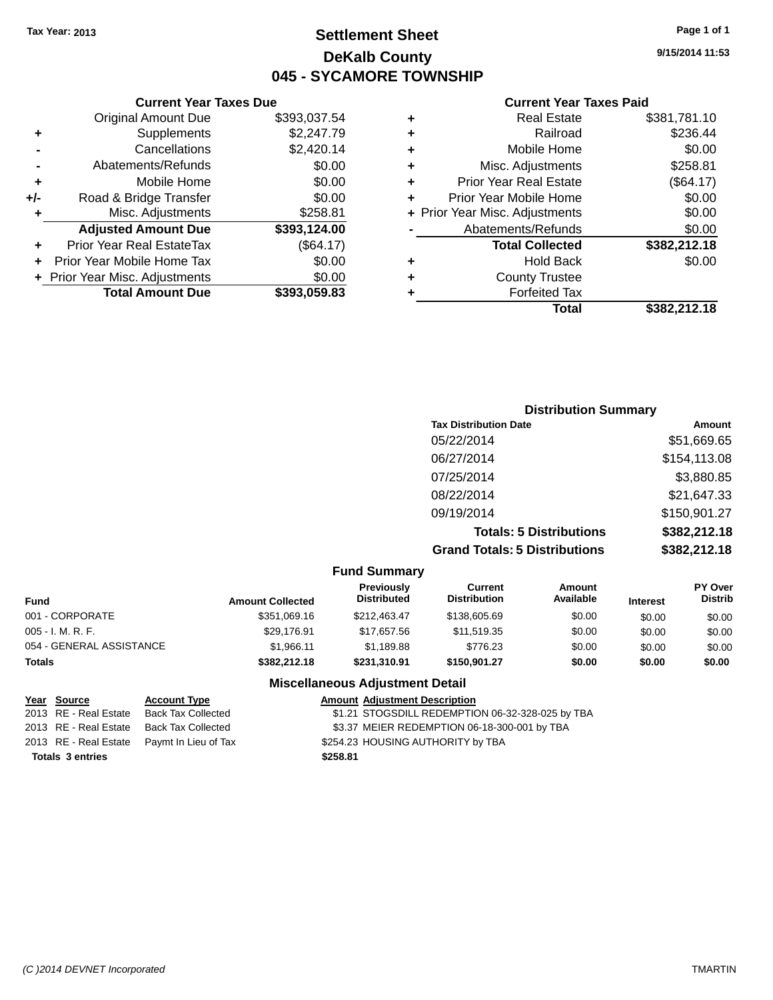### **Settlement Sheet Tax Year: 2013 Page 1 of 1 DeKalb County 045 - SYCAMORE TOWNSHIP**

**9/15/2014 11:53**

#### **Current Year Taxes Paid**

|     | <b>Current Year Taxes Due</b>  |              |
|-----|--------------------------------|--------------|
|     | <b>Original Amount Due</b>     | \$393,037.54 |
| ٠   | Supplements                    | \$2,247.79   |
|     | Cancellations                  | \$2,420.14   |
|     | Abatements/Refunds             | \$0.00       |
| ٠   | Mobile Home                    | \$0.00       |
| +/- | Road & Bridge Transfer         | \$0.00       |
| ٠   | Misc. Adjustments              | \$258.81     |
|     | <b>Adjusted Amount Due</b>     | \$393,124.00 |
| ٠   | Prior Year Real EstateTax      | (\$64.17)    |
|     | Prior Year Mobile Home Tax     | \$0.00       |
|     | + Prior Year Misc. Adjustments | \$0.00       |
|     | <b>Total Amount Due</b>        | \$393.059.83 |
|     |                                |              |

| ٠ | <b>Real Estate</b>             | \$381,781.10 |
|---|--------------------------------|--------------|
| ٠ | Railroad                       | \$236.44     |
| ٠ | Mobile Home                    | \$0.00       |
| ٠ | Misc. Adjustments              | \$258.81     |
| ٠ | <b>Prior Year Real Estate</b>  | (\$64.17)    |
| ٠ | Prior Year Mobile Home         | \$0.00       |
|   | + Prior Year Misc. Adjustments | \$0.00       |
|   | Abatements/Refunds             | \$0.00       |
|   | <b>Total Collected</b>         | \$382,212.18 |
| ٠ | Hold Back                      | \$0.00       |
| ٠ | <b>County Trustee</b>          |              |
| ٠ | <b>Forfeited Tax</b>           |              |
|   | Total                          | \$382.212.18 |
|   |                                |              |

| <b>Distribution Summary</b>          |              |
|--------------------------------------|--------------|
| <b>Tax Distribution Date</b>         | Amount       |
| 05/22/2014                           | \$51,669.65  |
| 06/27/2014                           | \$154,113.08 |
| 07/25/2014                           | \$3,880.85   |
| 08/22/2014                           | \$21,647.33  |
| 09/19/2014                           | \$150,901.27 |
| <b>Totals: 5 Distributions</b>       | \$382,212.18 |
| <b>Grand Totals: 5 Distributions</b> | \$382,212.18 |

|                          |                         | <b>Fund Summary</b>              |                                |                     |                 |                                  |
|--------------------------|-------------------------|----------------------------------|--------------------------------|---------------------|-----------------|----------------------------------|
| <b>Fund</b>              | <b>Amount Collected</b> | Previously<br><b>Distributed</b> | Current<br><b>Distribution</b> | Amount<br>Available | <b>Interest</b> | <b>PY Over</b><br><b>Distrib</b> |
| 001 - CORPORATE          | \$351.069.16            | \$212,463,47                     | \$138,605.69                   | \$0.00              | \$0.00          | \$0.00                           |
| 005 - I. M. R. F.        | \$29.176.91             | \$17.657.56                      | \$11,519.35                    | \$0.00              | \$0.00          | \$0.00                           |
| 054 - GENERAL ASSISTANCE | \$1.966.11              | \$1.189.88                       | \$776.23                       | \$0.00              | \$0.00          | \$0.00                           |
| <b>Totals</b>            | \$382,212,18            | \$231.310.91                     | \$150.901.27                   | \$0.00              | \$0.00          | \$0.00                           |

### **Miscellaneous Adjustment Detail**

| <u>Year Source</u>      | <b>Account Type</b>                        |          | <b>Amount Adjustment Description</b>             |
|-------------------------|--------------------------------------------|----------|--------------------------------------------------|
| 2013 RE - Real Estate   | Back Tax Collected                         |          | \$1.21 STOGSDILL REDEMPTION 06-32-328-025 by TBA |
| 2013 RE - Real Estate   | Back Tax Collected                         |          | \$3.37 MEIER REDEMPTION 06-18-300-001 by TBA     |
|                         | 2013 RE - Real Estate Paymt In Lieu of Tax |          | \$254.23 HOUSING AUTHORITY by TBA                |
| <b>Totals 3 entries</b> |                                            | \$258.81 |                                                  |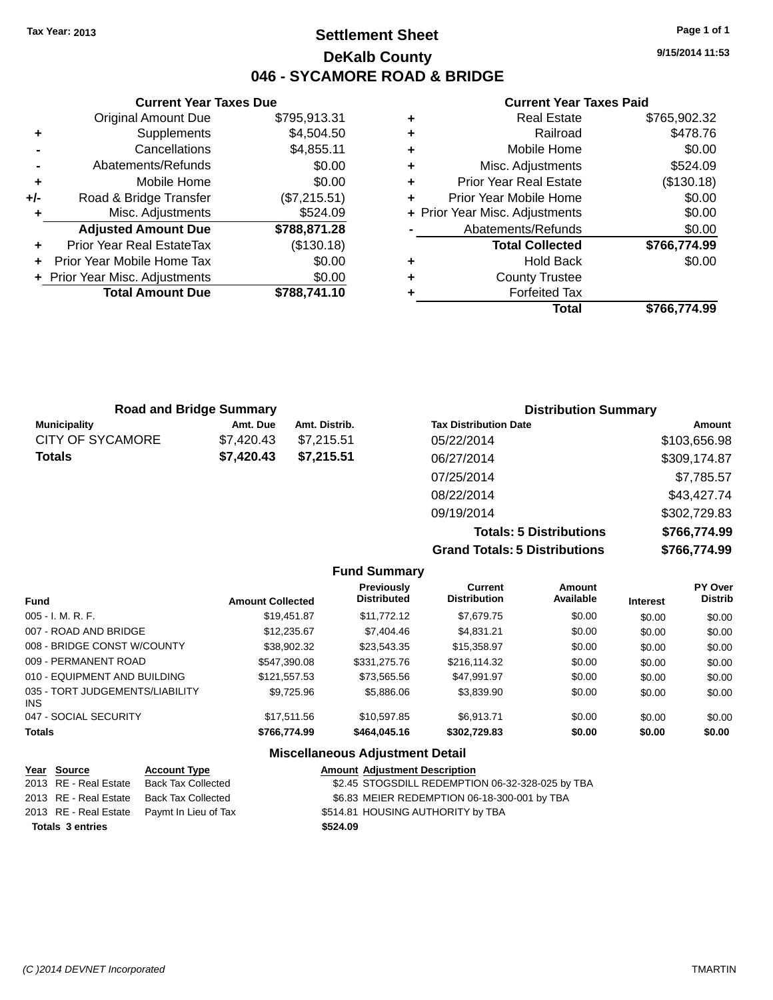### **Settlement Sheet Tax Year: 2013 Page 1 of 1 DeKalb County 046 - SYCAMORE ROAD & BRIDGE**

**9/15/2014 11:53**

#### **Current Year Taxes Paid**

|     | <b>Current Year Taxes Due</b>  |              |
|-----|--------------------------------|--------------|
|     | <b>Original Amount Due</b>     | \$795,913.31 |
| ٠   | Supplements                    | \$4,504.50   |
|     | Cancellations                  | \$4,855.11   |
|     | Abatements/Refunds             | \$0.00       |
| ٠   | Mobile Home                    | \$0.00       |
| +/- | Road & Bridge Transfer         | (\$7,215.51) |
| ٠   | Misc. Adjustments              | \$524.09     |
|     | <b>Adjusted Amount Due</b>     | \$788,871.28 |
|     | Prior Year Real EstateTax      | (\$130.18)   |
| ÷   | Prior Year Mobile Home Tax     | \$0.00       |
|     | + Prior Year Misc. Adjustments | \$0.00       |
|     | <b>Total Amount Due</b>        | \$788,741.10 |
|     |                                |              |

| <b>Real Estate</b>            | \$765,902.32                   |
|-------------------------------|--------------------------------|
| Railroad                      | \$478.76                       |
| Mobile Home                   | \$0.00                         |
| Misc. Adjustments             | \$524.09                       |
| <b>Prior Year Real Estate</b> | (\$130.18)                     |
| Prior Year Mobile Home        | \$0.00                         |
|                               | \$0.00                         |
| Abatements/Refunds            | \$0.00                         |
| <b>Total Collected</b>        | \$766,774.99                   |
| <b>Hold Back</b>              | \$0.00                         |
| <b>County Trustee</b>         |                                |
| <b>Forfeited Tax</b>          |                                |
| Total                         | \$766,774.99                   |
|                               | + Prior Year Misc. Adjustments |

|                     | <b>Road and Bridge Summary</b> |               | <b>Distribution Summary</b>  |              |
|---------------------|--------------------------------|---------------|------------------------------|--------------|
| <b>Municipality</b> | Amt. Due                       | Amt. Distrib. | <b>Tax Distribution Date</b> | Amount       |
| CITY OF SYCAMORE    | \$7,420.43                     | \$7.215.51    | 05/22/2014                   | \$103,656.98 |
| <b>Totals</b>       | \$7,420.43                     | \$7,215.51    | 06/27/2014                   | \$309,174.87 |
|                     |                                |               | 07/25/2014                   | \$7,785.57   |
|                     |                                |               | 08/22/2014                   | \$43,427.74  |
|                     |                                |               | 09/19/2014                   | \$302,729.83 |

**Totals: 5 Distributions \$766,774.99 Grand Totals: 5 Distributions \$766,774.99**

|                                         |                         | <b>Fund Summary</b>                     |                                |                     |                 |                           |
|-----------------------------------------|-------------------------|-----------------------------------------|--------------------------------|---------------------|-----------------|---------------------------|
| <b>Fund</b>                             | <b>Amount Collected</b> | <b>Previously</b><br><b>Distributed</b> | Current<br><b>Distribution</b> | Amount<br>Available | <b>Interest</b> | PY Over<br><b>Distrib</b> |
| $005 - I. M. R. F.$                     | \$19,451.87             | \$11,772.12                             | \$7,679.75                     | \$0.00              | \$0.00          | \$0.00                    |
| 007 - ROAD AND BRIDGE                   | \$12,235.67             | \$7,404.46                              | \$4.831.21                     | \$0.00              | \$0.00          | \$0.00                    |
| 008 - BRIDGE CONST W/COUNTY             | \$38.902.32             | \$23,543.35                             | \$15,358.97                    | \$0.00              | \$0.00          | \$0.00                    |
| 009 - PERMANENT ROAD                    | \$547.390.08            | \$331,275.76                            | \$216,114.32                   | \$0.00              | \$0.00          | \$0.00                    |
| 010 - EQUIPMENT AND BUILDING            | \$121.557.53            | \$73.565.56                             | \$47.991.97                    | \$0.00              | \$0.00          | \$0.00                    |
| 035 - TORT JUDGEMENTS/LIABILITY<br>INS. | \$9.725.96              | \$5,886.06                              | \$3,839.90                     | \$0.00              | \$0.00          | \$0.00                    |
| 047 - SOCIAL SECURITY                   | \$17.511.56             | \$10.597.85                             | \$6.913.71                     | \$0.00              | \$0.00          | \$0.00                    |
| <b>Totals</b>                           | \$766,774.99            | \$464,045.16                            | \$302,729.83                   | \$0.00              | \$0.00          | \$0.00                    |
|                                         |                         | <b>Miscellaneous Adjustment Detail</b>  |                                |                     |                 |                           |

| Year Source             | <b>Account Type</b>                        | <b>Amount Adjustment Description</b>             |
|-------------------------|--------------------------------------------|--------------------------------------------------|
| 2013 RE - Real Estate   | Back Tax Collected                         | \$2.45 STOGSDILL REDEMPTION 06-32-328-025 by TBA |
|                         | 2013 RE - Real Estate Back Tax Collected   | \$6.83 MEIER REDEMPTION 06-18-300-001 by TBA     |
|                         | 2013 RE - Real Estate Paymt In Lieu of Tax | \$514.81 HOUSING AUTHORITY by TBA                |
| <b>Totals 3 entries</b> |                                            | \$524.09                                         |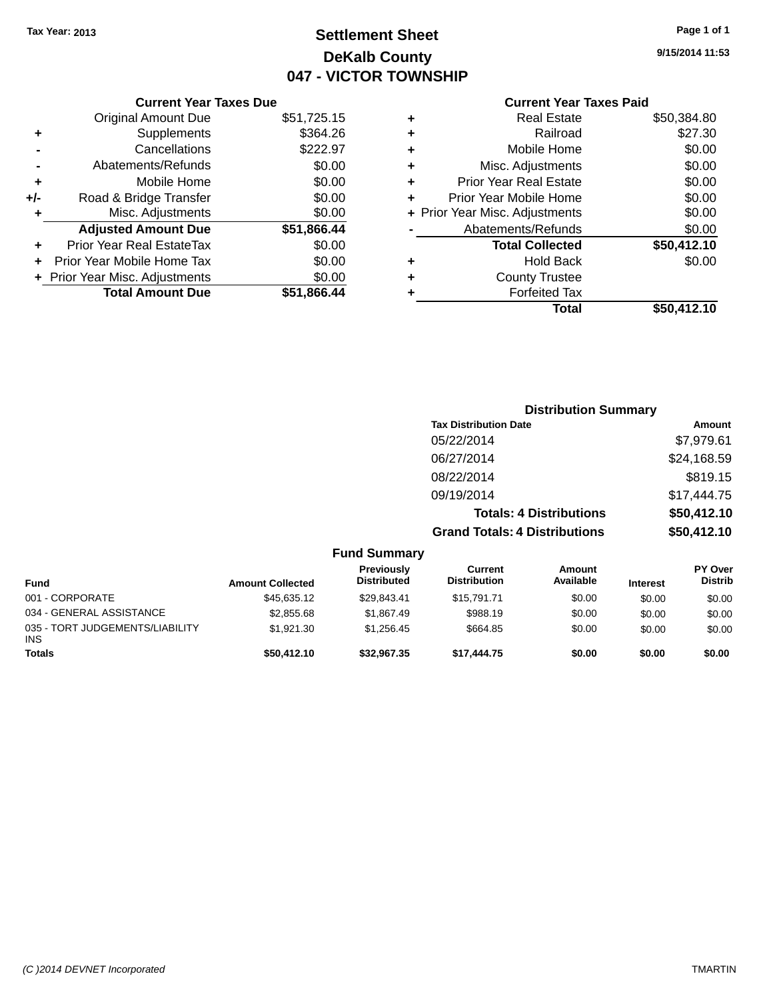# **Settlement Sheet Tax Year: 2013 Page 1 of 1 DeKalb County 047 - VICTOR TOWNSHIP**

**9/15/2014 11:53**

### **Current Year Taxes Paid**

|     | <b>Current Year Taxes Due</b>  |             |         |
|-----|--------------------------------|-------------|---------|
|     | <b>Original Amount Due</b>     | \$51,725.15 | ٠       |
|     | <b>Supplements</b>             | \$364.26    | ٠       |
|     | Cancellations                  | \$222.97    | ٠       |
|     | Abatements/Refunds             | \$0.00      | ٠       |
|     | Mobile Home                    | \$0.00      | ٠       |
| +/- | Road & Bridge Transfer         | \$0.00      |         |
|     | Misc. Adjustments              | \$0.00      | + Prior |
|     | <b>Adjusted Amount Due</b>     | \$51,866.44 |         |
|     | Prior Year Real EstateTax      | \$0.00      |         |
|     | Prior Year Mobile Home Tax     | \$0.00      | ٠       |
|     | + Prior Year Misc. Adjustments | \$0.00      | ٠       |
|     | <b>Total Amount Due</b>        | \$51,866.44 |         |
|     |                                |             |         |

| ٠ | <b>Real Estate</b>             | \$50,384.80 |
|---|--------------------------------|-------------|
| ٠ | Railroad                       | \$27.30     |
| ٠ | Mobile Home                    | \$0.00      |
| ٠ | Misc. Adjustments              | \$0.00      |
| ٠ | <b>Prior Year Real Estate</b>  | \$0.00      |
| ÷ | Prior Year Mobile Home         | \$0.00      |
|   | + Prior Year Misc. Adjustments | \$0.00      |
|   | Abatements/Refunds             | \$0.00      |
|   | <b>Total Collected</b>         | \$50,412.10 |
| ٠ | <b>Hold Back</b>               | \$0.00      |
| ٠ | <b>County Trustee</b>          |             |
| ٠ | <b>Forfeited Tax</b>           |             |
|   | Total                          | \$50,412.10 |
|   |                                |             |

|                                 |                         |                                         | <b>Distribution Summary</b>           |                                |                 |                                  |
|---------------------------------|-------------------------|-----------------------------------------|---------------------------------------|--------------------------------|-----------------|----------------------------------|
|                                 |                         |                                         | <b>Tax Distribution Date</b>          |                                |                 | Amount                           |
|                                 |                         |                                         | 05/22/2014                            |                                |                 | \$7,979.61                       |
|                                 |                         |                                         | 06/27/2014                            |                                |                 | \$24,168.59                      |
|                                 |                         |                                         | 08/22/2014                            |                                |                 | \$819.15                         |
|                                 |                         |                                         | 09/19/2014                            |                                |                 | \$17,444.75                      |
|                                 |                         |                                         |                                       | <b>Totals: 4 Distributions</b> |                 | \$50,412.10                      |
|                                 |                         |                                         | <b>Grand Totals: 4 Distributions</b>  |                                |                 | \$50,412.10                      |
|                                 |                         | <b>Fund Summary</b>                     |                                       |                                |                 |                                  |
| <b>Fund</b>                     | <b>Amount Collected</b> | <b>Previously</b><br><b>Distributed</b> | <b>Current</b><br><b>Distribution</b> | <b>Amount</b><br>Available     | <b>Interest</b> | <b>PY Over</b><br><b>Distrib</b> |
| 001 - CORPORATE                 | \$45,635.12             | \$29,843.41                             | \$15,791.71                           | \$0.00                         | \$0.00          | \$0.00                           |
| 034 - GENERAL ASSISTANCE        | \$2,855.68              | \$1,867.49                              | \$988.19                              | \$0.00                         | \$0.00          | \$0.00                           |
| 035 - TORT JUDGEMENTS/LIABILITY | \$1,921.30              | \$1,256.45                              | \$664.85                              | \$0.00                         | \$0.00          | \$0.00                           |

**Totals \$50,412.10 \$32,967.35 \$17,444.75 \$0.00 \$0.00 \$0.00**

INS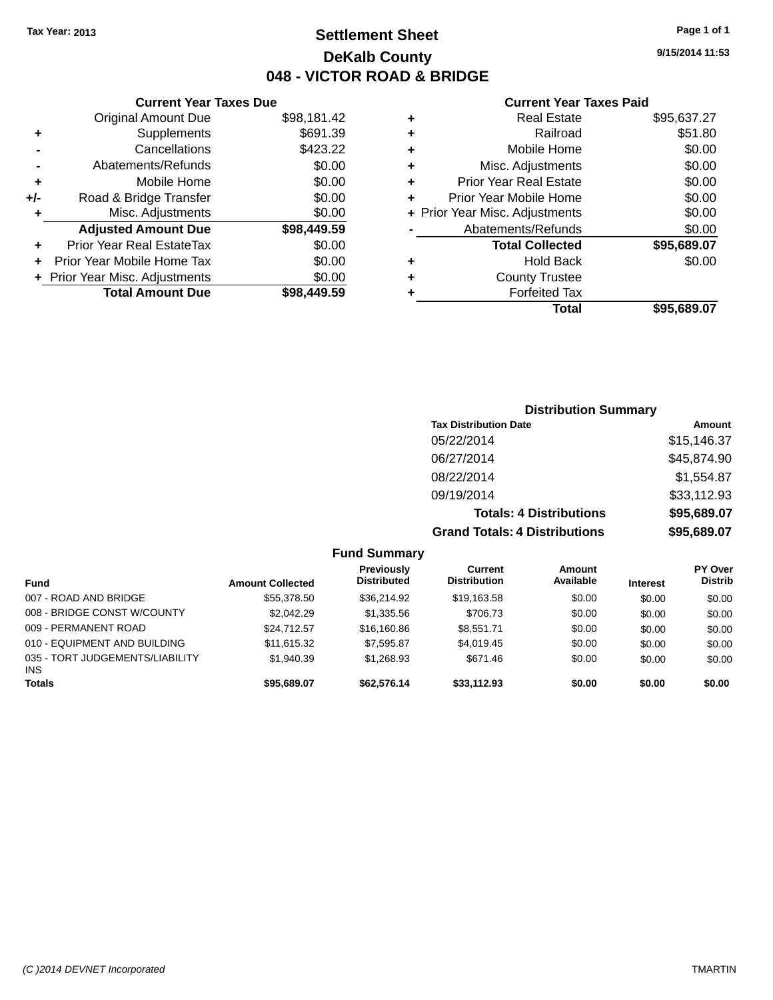**+/-** Road

### **Settlement Sheet Tax Year: 2013 Page 1 of 1 DeKalb County 048 - VICTOR ROAD & BRIDGE**

**9/15/2014 11:53**

#### **Current Year Taxes Paid**

|    | <b>Current Year Taxes Due</b>  |             |   |                   |
|----|--------------------------------|-------------|---|-------------------|
|    | <b>Original Amount Due</b>     | \$98,181.42 | ٠ |                   |
| ÷  | Supplements                    | \$691.39    | ٠ |                   |
|    | Cancellations                  | \$423.22    | ٠ |                   |
|    | Abatements/Refunds             | \$0.00      |   | Miso              |
| ÷  | Mobile Home                    | \$0.00      |   | Prior Ye          |
| I- | Road & Bridge Transfer         | \$0.00      |   | <b>Prior Year</b> |
| ÷  | Misc. Adjustments              | \$0.00      |   | + Prior Year Miso |
|    | <b>Adjusted Amount Due</b>     | \$98,449.59 |   | Abaten            |
|    | Prior Year Real EstateTax      | \$0.00      |   | Τо                |
| ÷  | Prior Year Mobile Home Tax     | \$0.00      | ٠ |                   |
|    | + Prior Year Misc. Adjustments | \$0.00      | ٠ |                   |
|    | <b>Total Amount Due</b>        | \$98,449.59 |   |                   |
|    |                                |             |   |                   |

|   | <b>Real Estate</b>             | \$95,637.27 |
|---|--------------------------------|-------------|
| ٠ | Railroad                       | \$51.80     |
| ٠ | Mobile Home                    | \$0.00      |
| ٠ | Misc. Adjustments              | \$0.00      |
| ٠ | <b>Prior Year Real Estate</b>  | \$0.00      |
| ٠ | Prior Year Mobile Home         | \$0.00      |
|   | + Prior Year Misc. Adjustments | \$0.00      |
|   | Abatements/Refunds             | \$0.00      |
|   | <b>Total Collected</b>         | \$95,689.07 |
| ٠ | <b>Hold Back</b>               | \$0.00      |
| ٠ | <b>County Trustee</b>          |             |
|   | <b>Forfeited Tax</b>           |             |
|   | Total                          | \$95,689.07 |
|   |                                |             |

### **Distribution Summary Tax Distribution Date Amount** 05/22/2014 \$15,146.37 06/27/2014 \$45,874.90 08/22/2014 \$1,554.87 09/19/2014 \$33,112.93 **Totals: 4 Distributions \$95,689.07 Grand Totals: 4 Distributions \$95,689.07**

|                                               |                         | <b>Fund Summary</b>              |                                |                            |                 |                                  |
|-----------------------------------------------|-------------------------|----------------------------------|--------------------------------|----------------------------|-----------------|----------------------------------|
| <b>Fund</b>                                   | <b>Amount Collected</b> | Previously<br><b>Distributed</b> | Current<br><b>Distribution</b> | <b>Amount</b><br>Available | <b>Interest</b> | <b>PY Over</b><br><b>Distrib</b> |
| 007 - ROAD AND BRIDGE                         | \$55,378.50             | \$36,214.92                      | \$19,163.58                    | \$0.00                     | \$0.00          | \$0.00                           |
| 008 - BRIDGE CONST W/COUNTY                   | \$2,042.29              | \$1,335.56                       | \$706.73                       | \$0.00                     | \$0.00          | \$0.00                           |
| 009 - PERMANENT ROAD                          | \$24.712.57             | \$16,160.86                      | \$8.551.71                     | \$0.00                     | \$0.00          | \$0.00                           |
| 010 - EQUIPMENT AND BUILDING                  | \$11,615.32             | \$7,595.87                       | \$4,019.45                     | \$0.00                     | \$0.00          | \$0.00                           |
| 035 - TORT JUDGEMENTS/LIABILITY<br><b>INS</b> | \$1,940.39              | \$1,268.93                       | \$671.46                       | \$0.00                     | \$0.00          | \$0.00                           |
| <b>Totals</b>                                 | \$95,689.07             | \$62,576,14                      | \$33,112.93                    | \$0.00                     | \$0.00          | \$0.00                           |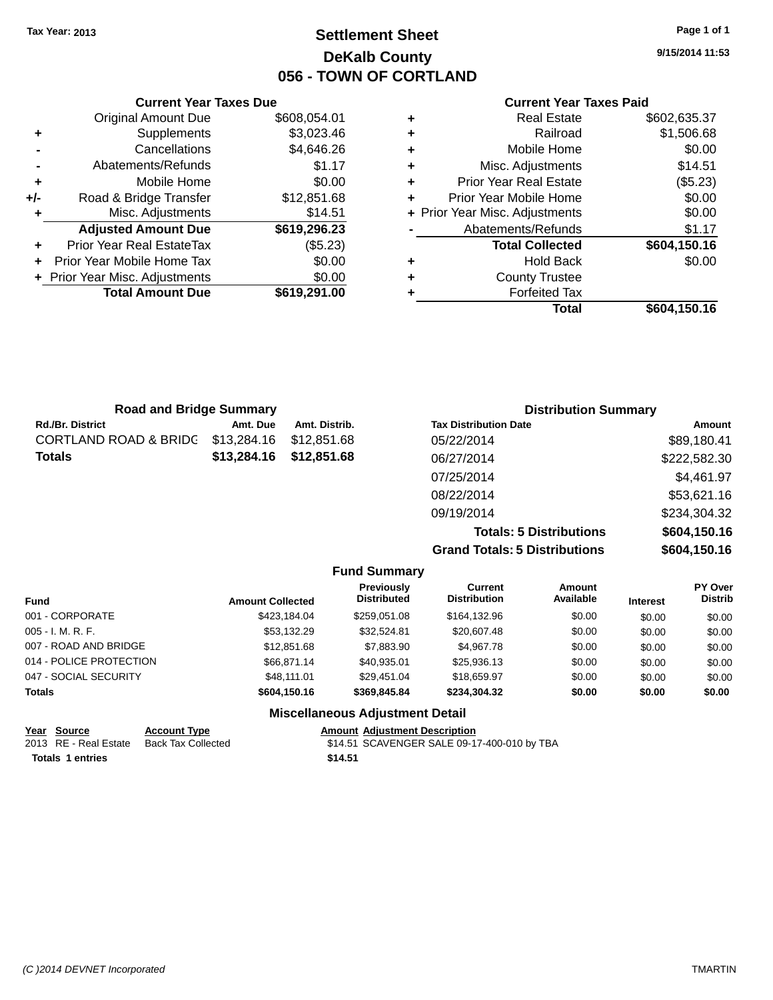**Current Year Taxes Due** Original Amount Due \$608,054.01

**Adjusted Amount Due \$619,296.23**

**Total Amount Due \$619,291.00**

**+** Supplements \$3,023.46 **-** Cancellations \$4,646.26 **-** Abatements/Refunds \$1.17 **+** Mobile Home \$0.00 **+/-** Road & Bridge Transfer \$12,851.68 **+** Misc. Adjustments \$14.51

**+** Prior Year Real EstateTax (\$5.23) **+** Prior Year Mobile Home Tax \$0.00 **+ Prior Year Misc. Adjustments**  $$0.00$ 

### **Settlement Sheet Tax Year: 2013 Page 1 of 1 DeKalb County 056 - TOWN OF CORTLAND**

**9/15/2014 11:53**

#### **Current Year Taxes Paid**

| <b>Road and Bridge Summary</b>    |             |               | <b>Distribution Summary</b>  |              |  |
|-----------------------------------|-------------|---------------|------------------------------|--------------|--|
| Rd./Br. District                  | Amt. Due    | Amt. Distrib. | <b>Tax Distribution Date</b> | Amount       |  |
| CORTLAND ROAD & BRIDG \$13,284.16 |             | \$12,851.68   | 05/22/2014                   | \$89,180.41  |  |
| Totals                            | \$13,284.16 | \$12,851.68   | 06/27/2014                   | \$222,582.30 |  |
|                                   |             |               | 07/25/2014                   | \$4,461.97   |  |
|                                   |             |               | 08/22/2014                   | \$53,621.16  |  |
|                                   |             |               | 09/19/2014                   | \$234,304.32 |  |
|                                   |             |               |                              |              |  |

**Totals: 5 Distributions \$604,150.16 Grand Totals: 5 Distributions \$604,150.16**

|                             |                         | <b>Fund Summary</b>                     |                                       |                     |                 |                                  |
|-----------------------------|-------------------------|-----------------------------------------|---------------------------------------|---------------------|-----------------|----------------------------------|
| <b>Fund</b>                 | <b>Amount Collected</b> | <b>Previously</b><br><b>Distributed</b> | <b>Current</b><br><b>Distribution</b> | Amount<br>Available | <b>Interest</b> | <b>PY Over</b><br><b>Distrib</b> |
| 001 - CORPORATE             | \$423,184.04            | \$259.051.08                            | \$164,132.96                          | \$0.00              | \$0.00          | \$0.00                           |
| 005 - I. M. R. F.           | \$53,132.29             | \$32,524.81                             | \$20,607.48                           | \$0.00              | \$0.00          | \$0.00                           |
| 007 - ROAD AND BRIDGE       | \$12,851.68             | \$7,883.90                              | \$4,967.78                            | \$0.00              | \$0.00          | \$0.00                           |
| 014 - POLICE PROTECTION     | \$66.871.14             | \$40,935.01                             | \$25,936.13                           | \$0.00              | \$0.00          | \$0.00                           |
| 047 - SOCIAL SECURITY       | \$48.111.01             | \$29,451.04                             | \$18,659.97                           | \$0.00              | \$0.00          | \$0.00                           |
| <b>Totals</b>               | \$604,150.16            | \$369.845.84                            | \$234.304.32                          | \$0.00              | \$0.00          | \$0.00                           |
|                             |                         | <b>Miscellaneous Adjustment Detail</b>  |                                       |                     |                 |                                  |
| Voor Course<br>Agogunt Tung |                         | Amount, Adjustment Description          |                                       |                     |                 |                                  |

| ι σαι | <b>QUULLE</b>           | AGGANIL INDE       | Allivulit |
|-------|-------------------------|--------------------|-----------|
|       | 2013 RE - Real Estate   | Back Tax Collected | \$14.51   |
|       | <b>Totals 1 entries</b> |                    | \$14.51   |

**<u>Amount Adjustment Description</u>** \$14.51 SCAVENGER SALE 09-17-400-010 by TBA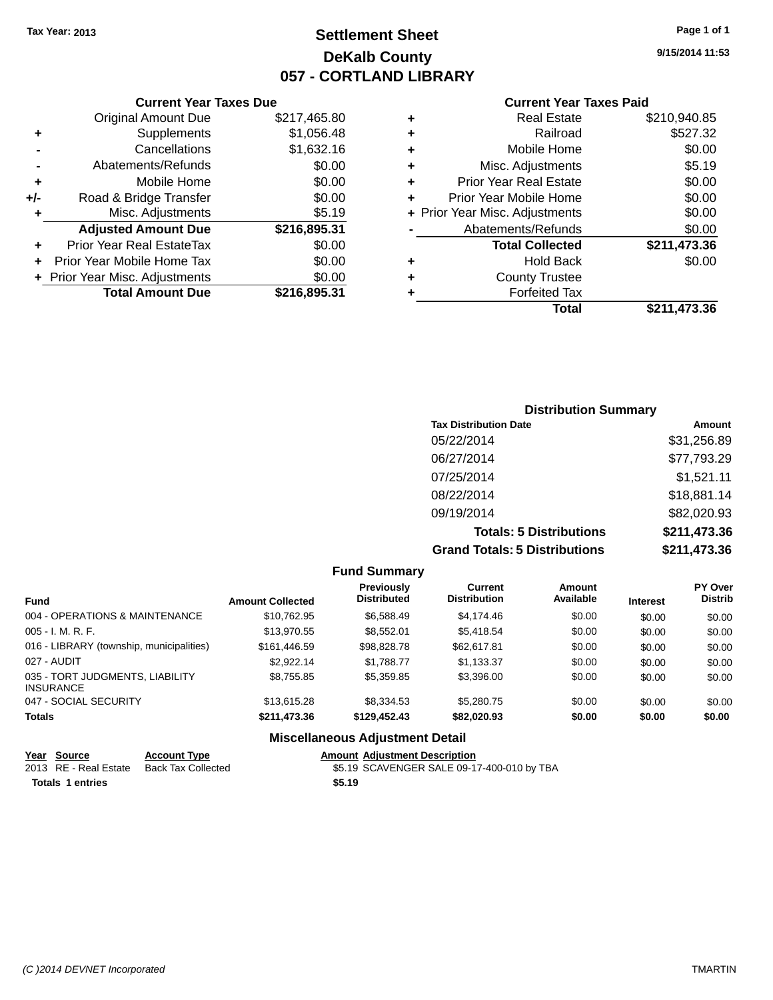### **Settlement Sheet Tax Year: 2013 Page 1 of 1 DeKalb County 057 - CORTLAND LIBRARY**

**9/15/2014 11:53**

#### **Current Year Taxes Paid**

|     | <b>Current Year Taxes Due</b>  |              |  |  |  |
|-----|--------------------------------|--------------|--|--|--|
|     | <b>Original Amount Due</b>     | \$217,465.80 |  |  |  |
| ٠   | Supplements                    | \$1,056.48   |  |  |  |
|     | Cancellations                  | \$1,632.16   |  |  |  |
|     | Abatements/Refunds             | \$0.00       |  |  |  |
| ٠   | Mobile Home                    | \$0.00       |  |  |  |
| +/- | Road & Bridge Transfer         | \$0.00       |  |  |  |
| ٠   | Misc. Adjustments              | \$5.19       |  |  |  |
|     | <b>Adjusted Amount Due</b>     | \$216,895.31 |  |  |  |
| ٠   | Prior Year Real EstateTax      | \$0.00       |  |  |  |
|     | Prior Year Mobile Home Tax     | \$0.00       |  |  |  |
|     | + Prior Year Misc. Adjustments | \$0.00       |  |  |  |
|     | <b>Total Amount Due</b>        | \$216,895.31 |  |  |  |
|     |                                |              |  |  |  |

| ٠ | <b>Real Estate</b>             | \$210,940.85 |
|---|--------------------------------|--------------|
| ٠ | Railroad                       | \$527.32     |
| ٠ | Mobile Home                    | \$0.00       |
| ٠ | Misc. Adjustments              | \$5.19       |
| ٠ | <b>Prior Year Real Estate</b>  | \$0.00       |
| ٠ | Prior Year Mobile Home         | \$0.00       |
|   | + Prior Year Misc. Adjustments | \$0.00       |
|   | Abatements/Refunds             | \$0.00       |
|   | <b>Total Collected</b>         | \$211,473.36 |
| ٠ | Hold Back                      | \$0.00       |
| ٠ | <b>County Trustee</b>          |              |
| ٠ | <b>Forfeited Tax</b>           |              |
|   | Total                          | \$211.473.36 |
|   |                                |              |

| <b>Distribution Summary</b>          |              |
|--------------------------------------|--------------|
| <b>Tax Distribution Date</b>         | Amount       |
| 05/22/2014                           | \$31,256.89  |
| 06/27/2014                           | \$77,793.29  |
| 07/25/2014                           | \$1,521.11   |
| 08/22/2014                           | \$18,881.14  |
| 09/19/2014                           | \$82,020.93  |
| <b>Totals: 5 Distributions</b>       | \$211,473.36 |
| <b>Grand Totals: 5 Distributions</b> | \$211,473.36 |

|                                                     |                         | <b>Fund Summary</b>                     |                                       |                     |                 |                           |
|-----------------------------------------------------|-------------------------|-----------------------------------------|---------------------------------------|---------------------|-----------------|---------------------------|
| <b>Fund</b>                                         | <b>Amount Collected</b> | <b>Previously</b><br><b>Distributed</b> | <b>Current</b><br><b>Distribution</b> | Amount<br>Available | <b>Interest</b> | PY Over<br><b>Distrib</b> |
| 004 - OPERATIONS & MAINTENANCE                      | \$10.762.95             | \$6,588.49                              | \$4.174.46                            | \$0.00              | \$0.00          | \$0.00                    |
| $005 - I. M. R. F.$                                 | \$13.970.55             | \$8.552.01                              | \$5,418.54                            | \$0.00              | \$0.00          | \$0.00                    |
| 016 - LIBRARY (township, municipalities)            | \$161,446.59            | \$98.828.78                             | \$62,617.81                           | \$0.00              | \$0.00          | \$0.00                    |
| 027 - AUDIT                                         | \$2.922.14              | \$1.788.77                              | \$1,133.37                            | \$0.00              | \$0.00          | \$0.00                    |
| 035 - TORT JUDGMENTS, LIABILITY<br><b>INSURANCE</b> | \$8.755.85              | \$5,359.85                              | \$3,396,00                            | \$0.00              | \$0.00          | \$0.00                    |
| 047 - SOCIAL SECURITY                               | \$13,615,28             | \$8,334.53                              | \$5,280.75                            | \$0.00              | \$0.00          | \$0.00                    |
| <b>Totals</b>                                       | \$211,473,36            | \$129,452,43                            | \$82.020.93                           | \$0.00              | \$0.00          | \$0.00                    |
|                                                     |                         | <b>Miscellaneous Adjustment Detail</b>  |                                       |                     |                 |                           |

| Year Source             | <b>Account Type</b> | <b>Amount Adjustment Description</b>       |
|-------------------------|---------------------|--------------------------------------------|
| 2013 RE - Real Estate   | Back Tax Collected  | \$5.19 SCAVENGER SALE 09-17-400-010 by TBA |
| <b>Totals 1 entries</b> |                     | \$5.19                                     |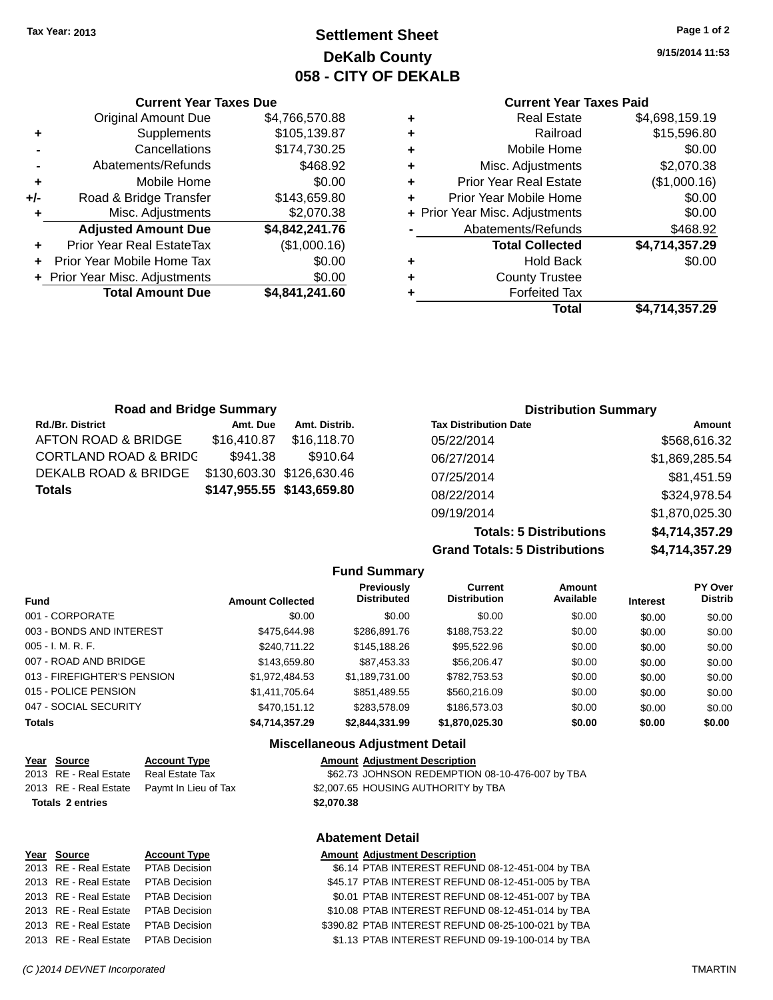### **Settlement Sheet Tax Year: 2013 Page 1 of 2 DeKalb County 058 - CITY OF DEKALB**

**9/15/2014 11:53**

#### **Current Year Taxes Paid**

|   | Total                          | \$4,714,357.29 |
|---|--------------------------------|----------------|
| ٠ | <b>Forfeited Tax</b>           |                |
| ٠ | <b>County Trustee</b>          |                |
| ٠ | <b>Hold Back</b>               | \$0.00         |
|   | <b>Total Collected</b>         | \$4,714,357.29 |
|   | Abatements/Refunds             | \$468.92       |
|   | + Prior Year Misc. Adjustments | \$0.00         |
| ٠ | Prior Year Mobile Home         | \$0.00         |
| ÷ | <b>Prior Year Real Estate</b>  | (\$1,000.16)   |
| ٠ | Misc. Adjustments              | \$2,070.38     |
| ÷ | Mobile Home                    | \$0.00         |
| ٠ | Railroad                       | \$15,596.80    |
| ٠ | Real Estate                    | \$4,698,159.19 |
|   |                                |                |

|     | <b>Current Year Taxes Due</b>  |                |  |  |  |  |
|-----|--------------------------------|----------------|--|--|--|--|
|     | <b>Original Amount Due</b>     | \$4,766,570.88 |  |  |  |  |
| ٠   | Supplements                    | \$105,139.87   |  |  |  |  |
|     | Cancellations                  | \$174,730.25   |  |  |  |  |
|     | Abatements/Refunds             | \$468.92       |  |  |  |  |
| ٠   | Mobile Home                    | \$0.00         |  |  |  |  |
| +/- | Road & Bridge Transfer         | \$143,659.80   |  |  |  |  |
| ٠   | Misc. Adjustments              | \$2,070.38     |  |  |  |  |
|     | <b>Adjusted Amount Due</b>     | \$4,842,241.76 |  |  |  |  |
|     | Prior Year Real EstateTax      | (\$1,000.16)   |  |  |  |  |
| ÷   | Prior Year Mobile Home Tax     | \$0.00         |  |  |  |  |
|     | + Prior Year Misc. Adjustments | \$0.00         |  |  |  |  |
|     | <b>Total Amount Due</b>        | \$4,841,241.60 |  |  |  |  |

| <b>Road and Bridge Summary</b> |             |                           | <b>Distribution Summary</b>  |                |  |
|--------------------------------|-------------|---------------------------|------------------------------|----------------|--|
| <b>Rd./Br. District</b>        | Amt. Due    | Amt. Distrib.             | <b>Tax Distribution Date</b> | Amount         |  |
| AFTON ROAD & BRIDGE            | \$16,410.87 | \$16,118.70               | 05/22/2014                   | \$568,616.32   |  |
| CORTLAND ROAD & BRIDG          | \$941.38    | \$910.64                  | 06/27/2014                   | \$1,869,285.54 |  |
| DEKALB ROAD & BRIDGE           |             | \$130,603.30 \$126,630.46 | 07/25/2014                   | \$81,451.59    |  |
| Totals                         |             | \$147,955.55 \$143,659.80 | 08/22/2014                   | \$324,978.54   |  |
|                                |             |                           | 09/19/2014                   | \$1,870,025.30 |  |

**Totals: 5 Distributions Grand Totals: 5 Distributions** 

| \$4,714,357.29 |
|----------------|
| \$4,714,357.29 |
|                |

| <b>Fund Summary</b>         |                         |                                  |                                       |                     |                 |                           |
|-----------------------------|-------------------------|----------------------------------|---------------------------------------|---------------------|-----------------|---------------------------|
| <b>Fund</b>                 | <b>Amount Collected</b> | Previously<br><b>Distributed</b> | <b>Current</b><br><b>Distribution</b> | Amount<br>Available | <b>Interest</b> | PY Over<br><b>Distrib</b> |
| 001 - CORPORATE             | \$0.00                  | \$0.00                           | \$0.00                                | \$0.00              | \$0.00          | \$0.00                    |
| 003 - BONDS AND INTEREST    | \$475,644.98            | \$286,891.76                     | \$188,753.22                          | \$0.00              | \$0.00          | \$0.00                    |
| $005 - I. M. R. F.$         | \$240.711.22            | \$145,188.26                     | \$95,522,96                           | \$0.00              | \$0.00          | \$0.00                    |
| 007 - ROAD AND BRIDGE       | \$143,659.80            | \$87,453.33                      | \$56,206.47                           | \$0.00              | \$0.00          | \$0.00                    |
| 013 - FIREFIGHTER'S PENSION | \$1,972,484.53          | \$1,189,731.00                   | \$782,753.53                          | \$0.00              | \$0.00          | \$0.00                    |
| 015 - POLICE PENSION        | \$1,411,705.64          | \$851.489.55                     | \$560,216.09                          | \$0.00              | \$0.00          | \$0.00                    |
| 047 - SOCIAL SECURITY       | \$470,151.12            | \$283.578.09                     | \$186,573.03                          | \$0.00              | \$0.00          | \$0.00                    |
| <b>Totals</b>               | \$4,714,357.29          | \$2,844,331.99                   | \$1,870,025.30                        | \$0.00              | \$0.00          | \$0.00                    |

#### **Miscellaneous Adjustment Detail**

| <u>Year Source</u>      | <b>Account Type</b>                        |            | <b>Amount Adjustment Description</b>            |
|-------------------------|--------------------------------------------|------------|-------------------------------------------------|
| 2013 RE - Real Estate   | Real Estate Tax                            |            | \$62.73 JOHNSON REDEMPTION 08-10-476-007 by TBA |
|                         | 2013 RE - Real Estate Paymt In Lieu of Tax |            | \$2,007.65 HOUSING AUTHORITY by TBA             |
| <b>Totals 2 entries</b> |                                            | \$2,070.38 |                                                 |
|                         |                                            |            |                                                 |

| Year Source                         | <b>Account Type</b> | <b>Amount Adjustment Description</b> |  |
|-------------------------------------|---------------------|--------------------------------------|--|
| 2013 RE - Real Estate PTAB Decision |                     | \$6.14 PTAB INTEREST REFUN           |  |
| 2013 RE - Real Estate PTAB Decision |                     | \$45.17 PTAB INTEREST REFUN          |  |
| 2013 RE - Real Estate PTAB Decision |                     | \$0.01 PTAB INTEREST REFUN           |  |
| 2013 RE - Real Estate PTAB Decision |                     | \$10.08 PTAB INTEREST REFUN          |  |
| 2013 RE - Real Estate PTAB Decision |                     | \$390.82 PTAB INTEREST REFUN         |  |
| 2013 RE - Real Estate PTAR Decision |                     | <b>\$1.13 DTAR INTEREST REELIN</b>   |  |

#### **Abatement Detail**

| Year Source                          | <b>Account Type</b> | <b>Amount Adjustment Description</b>               |
|--------------------------------------|---------------------|----------------------------------------------------|
| 2013 RE - Real Estate  PTAB Decision |                     | \$6.14 PTAB INTEREST REFUND 08-12-451-004 by TBA   |
| 2013 RE - Real Estate PTAB Decision  |                     | \$45.17 PTAB INTEREST REFUND 08-12-451-005 by TBA  |
| 2013 RE - Real Estate PTAB Decision  |                     | \$0.01 PTAB INTEREST REFUND 08-12-451-007 by TBA   |
| 2013 RE - Real Estate PTAB Decision  |                     | \$10.08 PTAB INTEREST REFUND 08-12-451-014 by TBA  |
| 2013 RE - Real Estate PTAB Decision  |                     | \$390.82 PTAB INTEREST REFUND 08-25-100-021 by TBA |

2013 RE - Real Estate PTAB Decision \$1.13 PTAB INTEREST REFUND 09-19-100-014 by TBA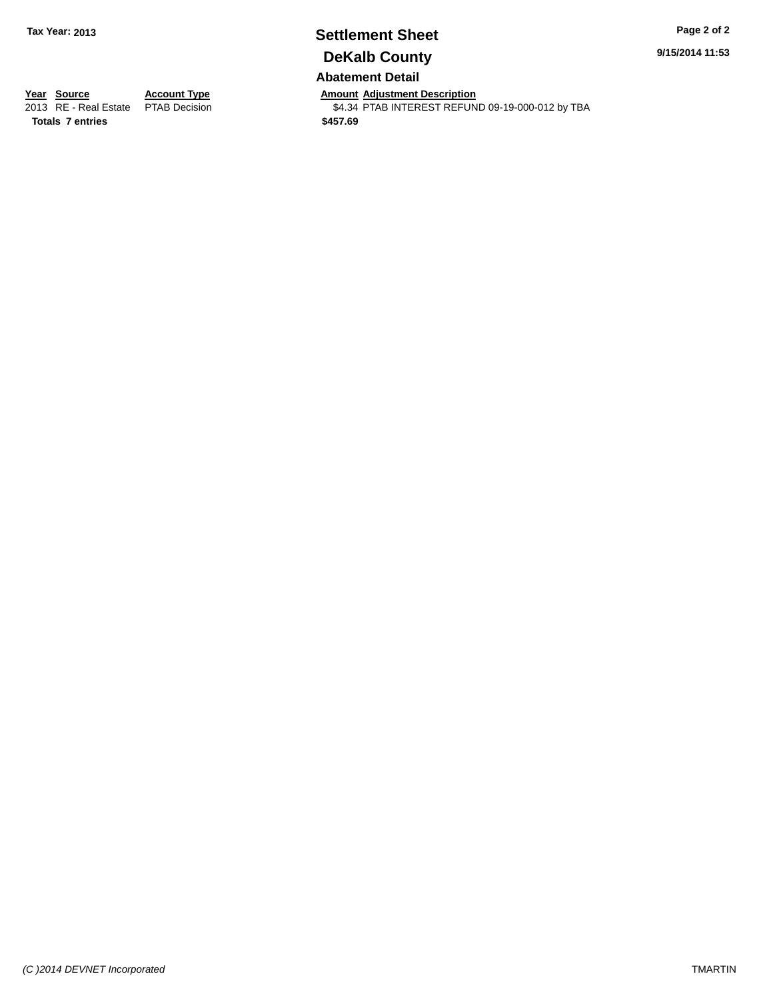# **Settlement Sheet Tax Year: 2013 Page 2 of 2 DeKalb County**

**9/15/2014 11:53**

### **Abatement Detail**

**Year Source Account Type Amount Adjustment Description**<br>2013 RE - Real Estate PTAB Decision **Amount Adjustment Description** \$4.34 PTAB INTEREST REFUND 09-19-000-012 by TBA

**Totals 7 entries \$457.69**

*(C )2014 DEVNET Incorporated* TMARTIN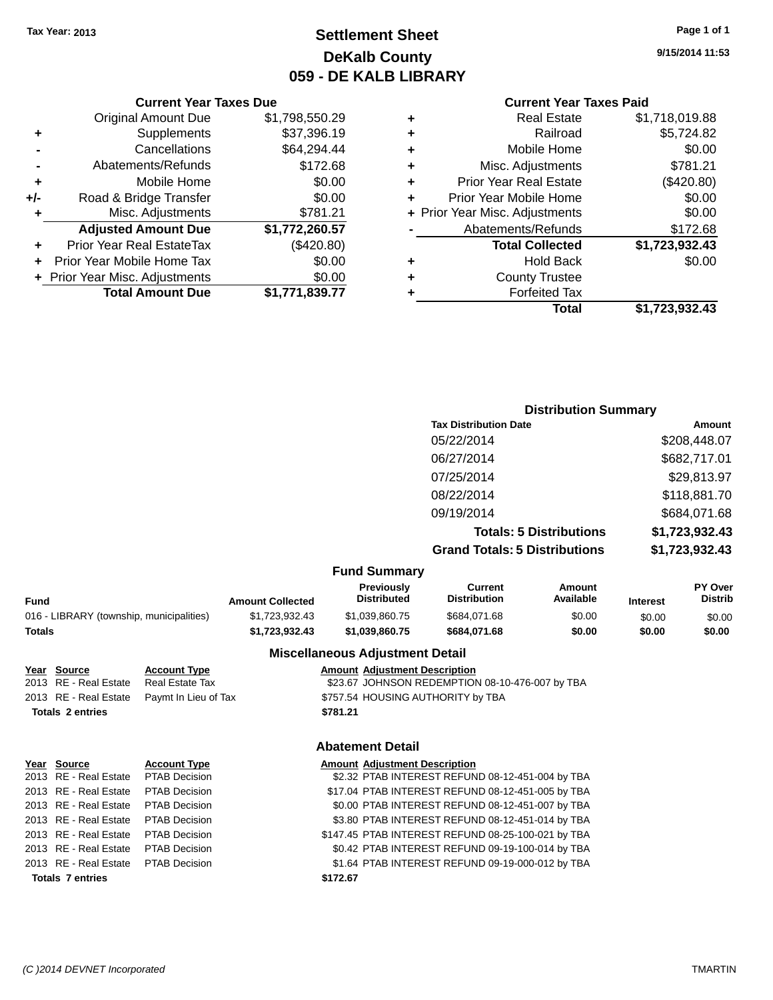**Original Amount Due** 

**Adjusted Amount Due** 

**Total Amount Due** 

**+** Supplements **-** Cancellations **-** Abatements/Refunds  $+$  Mobile Home **+/-** Road & Bridge Transfer **+** Misc. Adjustments

**+** Prior Year Real EstateTax **+** Prior Year Mobile Home Tax **+** Prior Year Misc. Adjustments

### **Settlement Sheet Tax Year: 2013 Page 1 of 1 DeKalb County 059 - DE KALB LIBRARY**

**9/15/2014 11:53**

### **Current Year Taxes Paid**

| <b>Current Year Taxes Due</b> |                |   | <b>Current Year Taxes Paid</b> |                |
|-------------------------------|----------------|---|--------------------------------|----------------|
| ่<br>เl Amount Due            | \$1,798,550.29 | ٠ | <b>Real Estate</b>             | \$1,718,019.88 |
| Supplements                   | \$37,396.19    | ٠ | Railroad                       | \$5,724.82     |
| Cancellations                 | \$64,294.44    | ٠ | Mobile Home                    | \$0.00         |
| าents/Refunds                 | \$172.68       | ÷ | Misc. Adjustments              | \$781.21       |
| Mobile Home                   | \$0.00         | ÷ | <b>Prior Year Real Estate</b>  | (\$420.80)     |
| ridge Transfer                | \$0.00         | ÷ | Prior Year Mobile Home         | \$0.00         |
| . Adjustments                 | \$781.21       |   | + Prior Year Misc. Adjustments | \$0.00         |
| <b>Amount Due</b>             | \$1,772,260.57 |   | Abatements/Refunds             | \$172.68       |
| leal EstateTax≀               | (\$420.80)     |   | <b>Total Collected</b>         | \$1,723,932.43 |
| bile Home Tax                 | \$0.00         | ÷ | <b>Hold Back</b>               | \$0.00         |
| . Adjustments                 | \$0.00         | ٠ | <b>County Trustee</b>          |                |
| <b>Amount Due</b>             | \$1,771,839.77 |   | <b>Forfeited Tax</b>           |                |
|                               |                |   | <b>Total</b>                   | \$1,723,932.43 |

# **Distribution Summary**

| <b>PISUINGUOII CUITIIIGI I</b>       |                |
|--------------------------------------|----------------|
| <b>Tax Distribution Date</b>         | Amount         |
| 05/22/2014                           | \$208,448.07   |
| 06/27/2014                           | \$682,717.01   |
| 07/25/2014                           | \$29,813.97    |
| 08/22/2014                           | \$118,881.70   |
| 09/19/2014                           | \$684,071.68   |
| <b>Totals: 5 Distributions</b>       | \$1,723,932.43 |
| <b>Grand Totals: 5 Distributions</b> | \$1,723,932.43 |
|                                      |                |

#### **Fund Summary**

| Fund                                     | <b>Amount Collected</b> | <b>Previously</b><br><b>Distributed</b> | Current<br><b>Distribution</b> | Amount<br>Available | <b>Interest</b> | <b>PY Over</b><br><b>Distrib</b> |
|------------------------------------------|-------------------------|-----------------------------------------|--------------------------------|---------------------|-----------------|----------------------------------|
| 016 - LIBRARY (township, municipalities) | \$1.723.932.43          | \$1.039.860.75                          | \$684.071.68                   | \$0.00              | \$0.00          | \$0.00                           |
| Totals                                   | \$1.723.932.43          | \$1.039.860.75                          | \$684.071.68                   | \$0.00              | \$0.00          | \$0.00                           |
|                                          |                         |                                         |                                |                     |                 |                                  |

#### **Miscellaneous Adjustment Detail**

| <u>Year Source</u>      | <b>Account Type</b>                        | <b>Amount Adjustment Description</b>            |
|-------------------------|--------------------------------------------|-------------------------------------------------|
| 2013 RE - Real Estate   | Real Estate Tax                            | \$23.67 JOHNSON REDEMPTION 08-10-476-007 by TBA |
|                         | 2013 RE - Real Estate Paymt In Lieu of Tax | \$757.54 HOUSING AUTHORITY by TBA               |
| <b>Totals 2 entries</b> |                                            | \$781.21                                        |
|                         |                                            |                                                 |

| Year Source                         | <b>Account Type</b>  |          | <b>Amount Adjustment Description</b> |
|-------------------------------------|----------------------|----------|--------------------------------------|
| 2013 RE - Real Estate               | <b>PTAB Decision</b> |          | \$2.32 PTAB INTEREST REFUN           |
| 2013 RE - Real Estate               | <b>PTAB Decision</b> |          | \$17.04 PTAB INTEREST REFUN          |
| 2013 RE - Real Estate               | <b>PTAB Decision</b> |          | \$0.00 PTAB INTEREST REFUN           |
| 2013 RE - Real Estate               | <b>PTAB Decision</b> |          | \$3.80 PTAB INTEREST REFUN           |
| 2013 RE - Real Estate               | <b>PTAB Decision</b> |          | \$147.45 PTAB INTEREST REFUN         |
| 2013 RE - Real Estate               | <b>PTAB Decision</b> |          | \$0.42 PTAB INTEREST REFUN           |
| 2013 RE - Real Estate PTAB Decision |                      |          | \$1.64 PTAB INTEREST REFUN           |
| <b>Totals 7 entries</b>             |                      | \$172.67 |                                      |

#### **Abatement Detail**

| rear Source           | <b>ACCOUNT TYPE</b>  | Amount Adjustment Description                      |
|-----------------------|----------------------|----------------------------------------------------|
| 2013 RE - Real Estate | PTAB Decision        | \$2.32 PTAB INTEREST REFUND 08-12-451-004 by TBA   |
| 2013 RE - Real Estate | <b>PTAB Decision</b> | \$17.04 PTAB INTEREST REFUND 08-12-451-005 by TBA  |
| 2013 RE - Real Estate | <b>PTAB Decision</b> | \$0.00 PTAB INTEREST REFUND 08-12-451-007 by TBA   |
| 2013 RE - Real Estate | <b>PTAB Decision</b> | \$3.80 PTAB INTEREST REFUND 08-12-451-014 by TBA   |
| 2013 RE - Real Estate | <b>PTAB Decision</b> | \$147.45 PTAB INTEREST REFUND 08-25-100-021 by TBA |
| 2013 RE - Real Estate | PTAB Decision        | \$0.42 PTAB INTEREST REFUND 09-19-100-014 by TBA   |
| 2013 RE - Real Estate | <b>PTAB Decision</b> | \$1.64 PTAB INTEREST REFUND 09-19-000-012 by TBA   |
| Totals 7 ontrios      |                      | \$172.67                                           |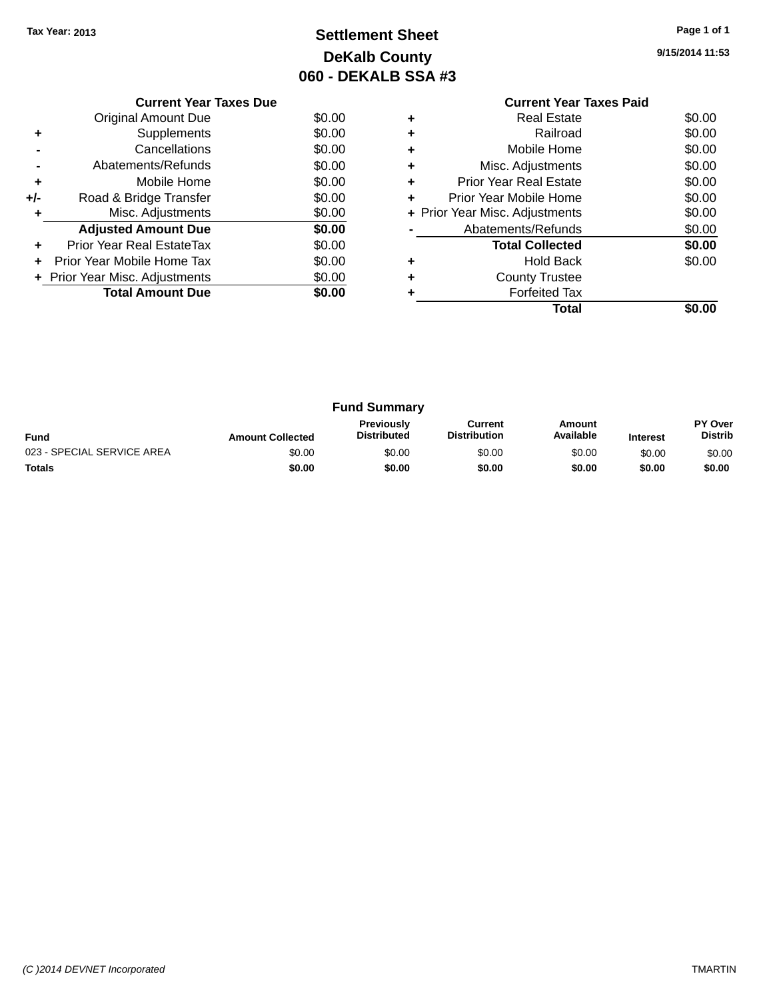# **Settlement Sheet Tax Year: 2013 Page 1 of 1 DeKalb County 060 - DEKALB SSA #3**

|     | <b>Current Year Taxes Due</b>  |        |
|-----|--------------------------------|--------|
|     | Original Amount Due            | \$0.00 |
|     | Supplements                    | \$0.00 |
|     | Cancellations                  | \$0.00 |
|     | Abatements/Refunds             | \$0.00 |
| ٠   | Mobile Home                    | \$0.00 |
| +/- | Road & Bridge Transfer         | \$0.00 |
| ÷   | Misc. Adjustments              | \$0.00 |
|     | <b>Adjusted Amount Due</b>     | \$0.00 |
| ٠   | Prior Year Real EstateTax      | \$0.00 |
| ÷   | Prior Year Mobile Home Tax     | \$0.00 |
|     | + Prior Year Misc. Adjustments | \$0.00 |
|     | <b>Total Amount Due</b>        | \$0.00 |
|     |                                |        |

#### **Current Year Taxes Paid +** Real Estate \$0.00 **+** Railroad \$0.00 **+** Mobile Home \$0.00 **+** Misc. Adjustments \$0.00 **+** Prior Year Real Estate \$0.00

|           | Total                          |        |
|-----------|--------------------------------|--------|
|           | <b>Forfeited Tax</b>           |        |
| ÷         | <b>County Trustee</b>          |        |
| $\ddot{}$ | <b>Hold Back</b>               | \$0.00 |
|           | <b>Total Collected</b>         | \$0.00 |
|           | Abatements/Refunds             | \$0.00 |
|           | + Prior Year Misc. Adjustments | \$0.00 |
| ÷         | Prior Year Mobile Home         | \$0.00 |

|                                                                                                                                                               |        | <b>Fund Summary</b> |        |        |        |                           |
|---------------------------------------------------------------------------------------------------------------------------------------------------------------|--------|---------------------|--------|--------|--------|---------------------------|
| <b>Previously</b><br>Current<br>Amount<br>Available<br><b>Distribution</b><br><b>Distributed</b><br><b>Fund</b><br><b>Amount Collected</b><br><b>Interest</b> |        |                     |        |        |        | PY Over<br><b>Distrib</b> |
| 023 - SPECIAL SERVICE AREA                                                                                                                                    | \$0.00 | \$0.00              | \$0.00 | \$0.00 | \$0.00 | \$0.00                    |
| <b>Totals</b>                                                                                                                                                 | \$0.00 | \$0.00              | \$0.00 | \$0.00 | \$0.00 | \$0.00                    |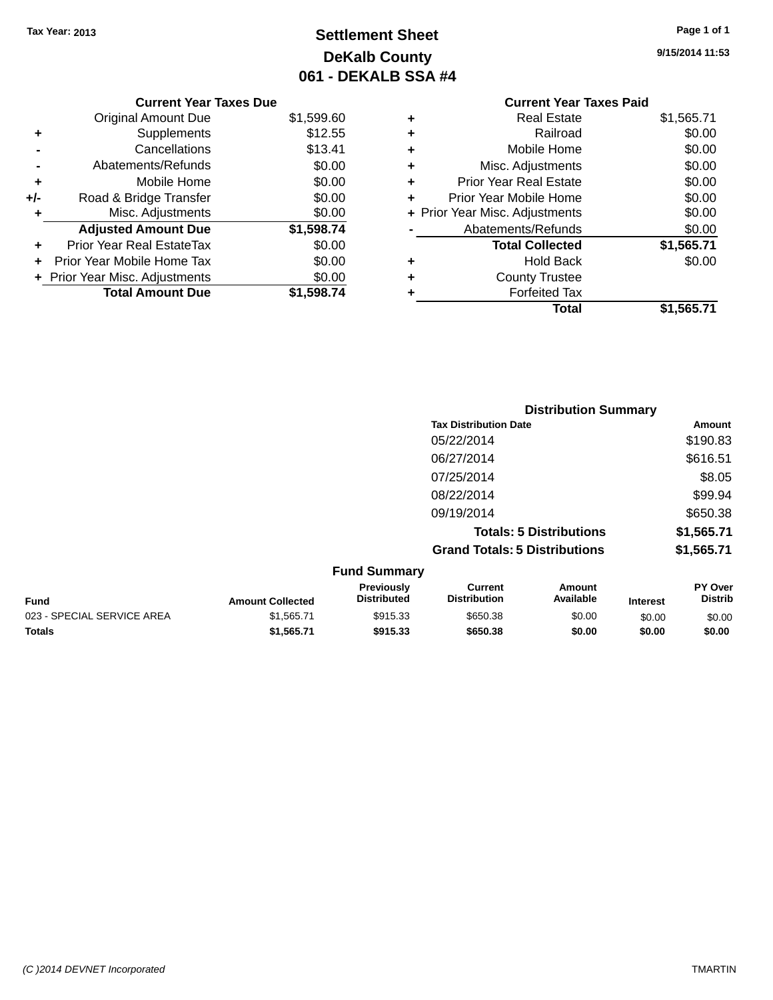# **Settlement Sheet Tax Year: 2013 Page 1 of 1 DeKalb County 061 - DEKALB SSA #4**

**9/15/2014 11:53**

### **Current Year Taxes Paid +** Real Estate \$1,565.71 **+** Railroad \$0.00 **+** Mobile Home \$0.00 **+** Misc. Adjustments \$0.00 **+** Prior Year Real Estate \$0.00 **+** Prior Year Mobile Home \$0.00<br> **+** Prior Year Misc. Adjustments \$0.00 **+ Prior Year Misc. Adjustments -** Abatements/Refunds \$0.00 **Total Collected \$1,565.71 +** Hold Back \$0.00 **+** County Trustee **+** Forfeited Tax **Total \$1,565.71**

|     | <b>Current Year Taxes Due</b>  |            |
|-----|--------------------------------|------------|
|     | Original Amount Due            | \$1,599.60 |
| ٠   | Supplements                    | \$12.55    |
|     | Cancellations                  | \$13.41    |
|     | Abatements/Refunds             | \$0.00     |
| ٠   | Mobile Home                    | \$0.00     |
| +/- | Road & Bridge Transfer         | \$0.00     |
| ٠   | Misc. Adjustments              | \$0.00     |
|     | <b>Adjusted Amount Due</b>     | \$1,598.74 |
|     | Prior Year Real EstateTax      | \$0.00     |
|     | Prior Year Mobile Home Tax     | \$0.00     |
|     | + Prior Year Misc. Adjustments | \$0.00     |
|     | <b>Total Amount Due</b>        | \$1,598.74 |
|     |                                |            |

| <b>Distribution Summary</b>          |            |
|--------------------------------------|------------|
| <b>Tax Distribution Date</b>         | Amount     |
| 05/22/2014                           | \$190.83   |
| 06/27/2014                           | \$616.51   |
| 07/25/2014                           | \$8.05     |
| 08/22/2014                           | \$99.94    |
| 09/19/2014                           | \$650.38   |
| <b>Totals: 5 Distributions</b>       | \$1,565.71 |
| <b>Grand Totals: 5 Distributions</b> | \$1,565.71 |

| <b>Fund Summary</b>        |                         |                                         |                                |                     |                 |                                  |
|----------------------------|-------------------------|-----------------------------------------|--------------------------------|---------------------|-----------------|----------------------------------|
| <b>Fund</b>                | <b>Amount Collected</b> | <b>Previously</b><br><b>Distributed</b> | Current<br><b>Distribution</b> | Amount<br>Available | <b>Interest</b> | <b>PY Over</b><br><b>Distrib</b> |
| 023 - SPECIAL SERVICE AREA | \$1.565.71              | \$915.33                                | \$650.38                       | \$0.00              | \$0.00          | \$0.00                           |
| <b>Totals</b>              | \$1.565.71              | \$915.33                                | \$650.38                       | \$0.00              | \$0.00          | \$0.00                           |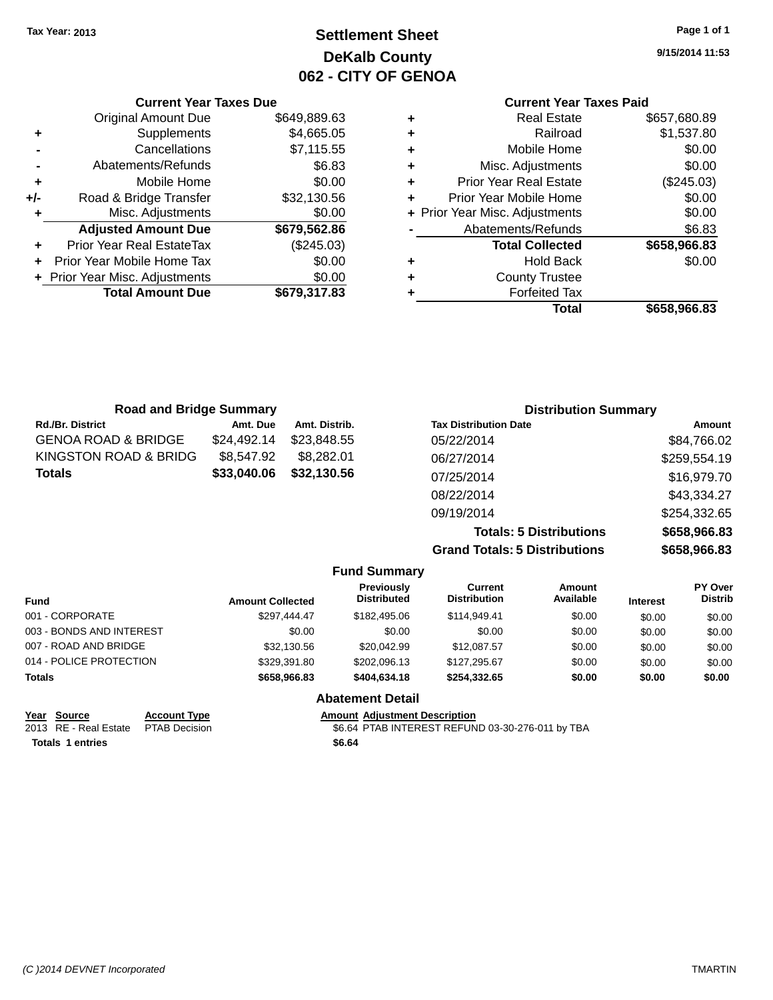## **Settlement Sheet Tax Year: 2013 Page 1 of 1 DeKalb County 062 - CITY OF GENOA**

**9/15/2014 11:53**

### **Current Year Taxes Paid**

|     | <b>Current Year Taxes Due</b>    |              |
|-----|----------------------------------|--------------|
|     | <b>Original Amount Due</b>       | \$649,889.63 |
| ٠   | Supplements                      | \$4,665.05   |
|     | Cancellations                    | \$7,115.55   |
|     | Abatements/Refunds               | \$6.83       |
| ٠   | Mobile Home                      | \$0.00       |
| +/- | Road & Bridge Transfer           | \$32,130.56  |
| ٠   | Misc. Adjustments                | \$0.00       |
|     | <b>Adjusted Amount Due</b>       | \$679,562.86 |
|     | <b>Prior Year Real EstateTax</b> | (\$245.03)   |
|     | Prior Year Mobile Home Tax       | \$0.00       |
|     | + Prior Year Misc. Adjustments   | \$0.00       |
|     | <b>Total Amount Due</b>          | \$679,317.83 |
|     |                                  |              |

| <b>Road and Bridge Summary</b> |               | <b>Distribution Summary</b>    |              |  |
|--------------------------------|---------------|--------------------------------|--------------|--|
| Amt. Due                       | Amt. Distrib. | <b>Tax Distribution Date</b>   | Amount       |  |
| \$24,492.14                    | \$23,848,55   | 05/22/2014                     | \$84,766.02  |  |
| \$8,547.92                     | \$8,282.01    | 06/27/2014                     | \$259,554.19 |  |
| \$33,040.06                    | \$32,130.56   | 07/25/2014                     | \$16,979.70  |  |
|                                |               | 08/22/2014                     | \$43,334.27  |  |
|                                |               | 09/19/2014                     | \$254,332.65 |  |
|                                |               | <b>Totals: 5 Distributions</b> | \$658,966.83 |  |
|                                |               |                                |              |  |

**Grand Totals: 5 Distribution** 

| .  | <b>**********</b> |
|----|-------------------|
| ns | \$658,966.83      |
|    |                   |
|    |                   |

|                          |                         | <b>Fund Summary</b>              |                                |                     |                 |                           |
|--------------------------|-------------------------|----------------------------------|--------------------------------|---------------------|-----------------|---------------------------|
| <b>Fund</b>              | <b>Amount Collected</b> | Previously<br><b>Distributed</b> | Current<br><b>Distribution</b> | Amount<br>Available | <b>Interest</b> | PY Over<br><b>Distrib</b> |
| 001 - CORPORATE          | \$297.444.47            | \$182,495,06                     | \$114.949.41                   | \$0.00              | \$0.00          | \$0.00                    |
| 003 - BONDS AND INTEREST | \$0.00                  | \$0.00                           | \$0.00                         | \$0.00              | \$0.00          | \$0.00                    |
| 007 - ROAD AND BRIDGE    | \$32,130.56             | \$20,042.99                      | \$12,087.57                    | \$0.00              | \$0.00          | \$0.00                    |
| 014 - POLICE PROTECTION  | \$329,391.80            | \$202.096.13                     | \$127.295.67                   | \$0.00              | \$0.00          | \$0.00                    |
| <b>Totals</b>            | \$658,966,83            | \$404,634.18                     | \$254.332.65                   | \$0.00              | \$0.00          | \$0.00                    |
|                          |                         | <b>Abatement Detail</b>          |                                |                     |                 |                           |

| Year Source                         | <b>Account Type</b> | <b>Amount Adiustment Description</b> |
|-------------------------------------|---------------------|--------------------------------------|
| 2013 RE - Real Estate PTAB Decision |                     | \$6.64 PTAB INTEREST REFUN           |
| <b>Totals 1 entries</b>             |                     | \$6.64                               |

\$6.64 PTAB INTEREST REFUND 03-30-276-011 by TBA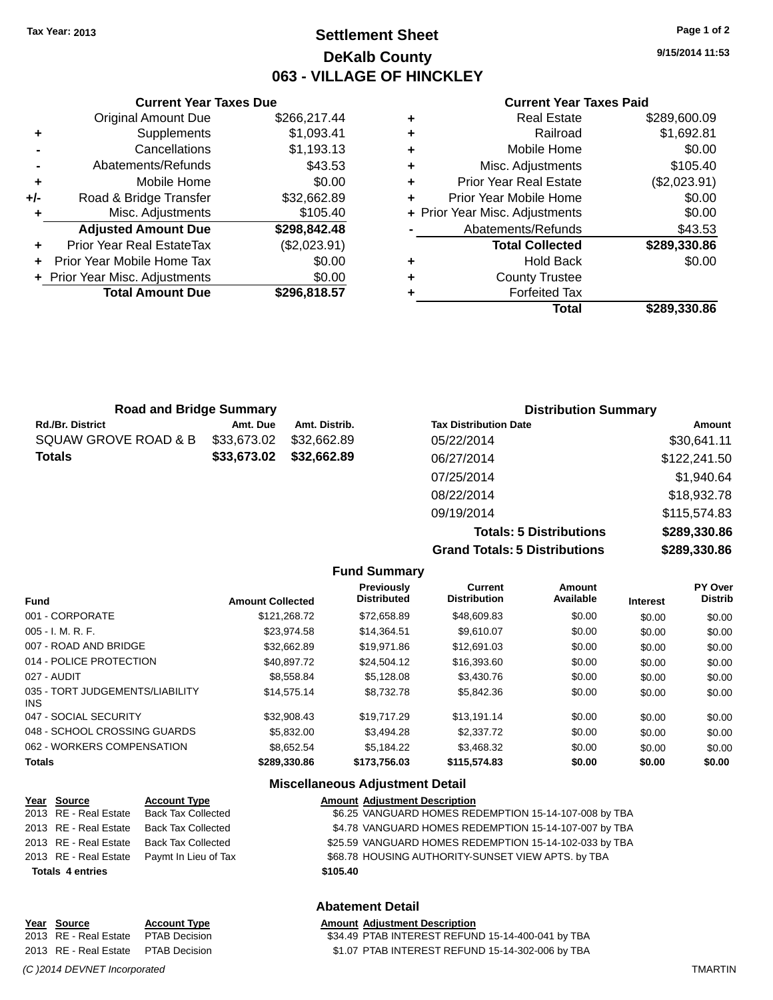### **Settlement Sheet Tax Year: 2013 Page 1 of 2 DeKalb County 063 - VILLAGE OF HINCKLEY**

**9/15/2014 11:53**

#### **Current Year Taxes Paid**

| ٠ | <b>Real Estate</b>             | \$289,600.09 |
|---|--------------------------------|--------------|
| ٠ | Railroad                       | \$1,692.81   |
| ٠ | Mobile Home                    | \$0.00       |
| ٠ | Misc. Adjustments              | \$105.40     |
| ٠ | <b>Prior Year Real Estate</b>  | (\$2,023.91) |
| ٠ | Prior Year Mobile Home         | \$0.00       |
|   | + Prior Year Misc. Adjustments | \$0.00       |
|   | Abatements/Refunds             | \$43.53      |
|   | <b>Total Collected</b>         | \$289,330.86 |
| ٠ | <b>Hold Back</b>               | \$0.00       |
| ٠ | <b>County Trustee</b>          |              |
|   | <b>Forfeited Tax</b>           |              |
|   | Total                          | \$289,330.86 |
|   |                                |              |

|     | <b>Current Year Taxes Due</b>    |              |  |  |  |  |  |
|-----|----------------------------------|--------------|--|--|--|--|--|
|     | <b>Original Amount Due</b>       | \$266,217.44 |  |  |  |  |  |
| ٠   | Supplements                      | \$1,093.41   |  |  |  |  |  |
|     | Cancellations                    | \$1,193.13   |  |  |  |  |  |
|     | Abatements/Refunds               | \$43.53      |  |  |  |  |  |
| ÷   | Mobile Home                      | \$0.00       |  |  |  |  |  |
| +/- | Road & Bridge Transfer           | \$32,662.89  |  |  |  |  |  |
| ٠   | Misc. Adjustments                | \$105.40     |  |  |  |  |  |
|     | <b>Adjusted Amount Due</b>       | \$298,842.48 |  |  |  |  |  |
| ÷   | <b>Prior Year Real EstateTax</b> | (\$2,023.91) |  |  |  |  |  |
|     | Prior Year Mobile Home Tax       | \$0.00       |  |  |  |  |  |
|     | + Prior Year Misc. Adjustments   | \$0.00       |  |  |  |  |  |
|     | <b>Total Amount Due</b>          | \$296,818.57 |  |  |  |  |  |
|     |                                  |              |  |  |  |  |  |

| <b>Road and Bridge Summary</b> |               |                              | <b>Distribution Summary</b> |  |  |
|--------------------------------|---------------|------------------------------|-----------------------------|--|--|
| Amt. Due                       | Amt. Distrib. | <b>Tax Distribution Date</b> | Amount                      |  |  |
| \$33,673.02                    | \$32.662.89   | 05/22/2014                   | \$30,641.11                 |  |  |
| \$33,673.02                    | \$32,662.89   | 06/27/2014                   | \$122,241.50                |  |  |
|                                |               | 07/25/2014                   | \$1,940.64                  |  |  |
|                                |               | 08/22/2014                   | \$18,932.78                 |  |  |
|                                |               | 09/19/2014                   | \$115,574.83                |  |  |
|                                |               |                              |                             |  |  |

**Totals: 5 Distributions \$289,330.86 Grand Totals: 5 Distributions \$289,330.86**

|                                         |                         | <b>Fund Summary</b>              |                                       |                            |                 |                           |
|-----------------------------------------|-------------------------|----------------------------------|---------------------------------------|----------------------------|-----------------|---------------------------|
| <b>Fund</b>                             | <b>Amount Collected</b> | Previously<br><b>Distributed</b> | <b>Current</b><br><b>Distribution</b> | <b>Amount</b><br>Available | <b>Interest</b> | PY Over<br><b>Distrib</b> |
| 001 - CORPORATE                         | \$121.268.72            | \$72,658.89                      | \$48,609.83                           | \$0.00                     | \$0.00          | \$0.00                    |
| 005 - I. M. R. F.                       | \$23.974.58             | \$14,364.51                      | \$9,610.07                            | \$0.00                     | \$0.00          | \$0.00                    |
| 007 - ROAD AND BRIDGE                   | \$32.662.89             | \$19.971.86                      | \$12,691.03                           | \$0.00                     | \$0.00          | \$0.00                    |
| 014 - POLICE PROTECTION                 | \$40.897.72             | \$24,504.12                      | \$16,393.60                           | \$0.00                     | \$0.00          | \$0.00                    |
| 027 - AUDIT                             | \$8,558,84              | \$5.128.08                       | \$3,430.76                            | \$0.00                     | \$0.00          | \$0.00                    |
| 035 - TORT JUDGEMENTS/LIABILITY<br>INS. | \$14.575.14             | \$8,732,78                       | \$5,842.36                            | \$0.00                     | \$0.00          | \$0.00                    |
| 047 - SOCIAL SECURITY                   | \$32.908.43             | \$19.717.29                      | \$13,191.14                           | \$0.00                     | \$0.00          | \$0.00                    |
| 048 - SCHOOL CROSSING GUARDS            | \$5,832,00              | \$3,494.28                       | \$2,337.72                            | \$0.00                     | \$0.00          | \$0.00                    |
| 062 - WORKERS COMPENSATION              | \$8.652.54              | \$5.184.22                       | \$3,468.32                            | \$0.00                     | \$0.00          | \$0.00                    |
| <b>Totals</b>                           | \$289,330.86            | \$173,756.03                     | \$115,574.83                          | \$0.00                     | \$0.00          | \$0.00                    |

#### **Miscellaneous Adjustment Detail**

| Year Source             | <b>Account Type</b>       |          | <b>Amount Adjustment Description</b>                   |
|-------------------------|---------------------------|----------|--------------------------------------------------------|
| 2013 RE - Real Estate   | <b>Back Tax Collected</b> |          | \$6.25 VANGUARD HOMES REDEMPTION 15-14-107-008 by TBA  |
| 2013 RE - Real Estate   | <b>Back Tax Collected</b> |          | \$4.78 VANGUARD HOMES REDEMPTION 15-14-107-007 by TBA  |
| 2013 RE - Real Estate   | <b>Back Tax Collected</b> |          | \$25.59 VANGUARD HOMES REDEMPTION 15-14-102-033 by TBA |
| 2013 RE - Real Estate   | Paymt In Lieu of Tax      |          | \$68.78 HOUSING AUTHORITY-SUNSET VIEW APTS. by TBA     |
| <b>Totals 4 entries</b> |                           | \$105.40 |                                                        |

#### **Abatement Detail**

### **Year Source Account Type Amount Adjustment Description**

2013 RE - Real Estate PTAB Decision \$34.49 PTAB INTEREST REFUND 15-14-400-041 by TBA

2013 RE - Real Estate PTAB Decision \$1.07 PTAB INTEREST REFUND 15-14-302-006 by TBA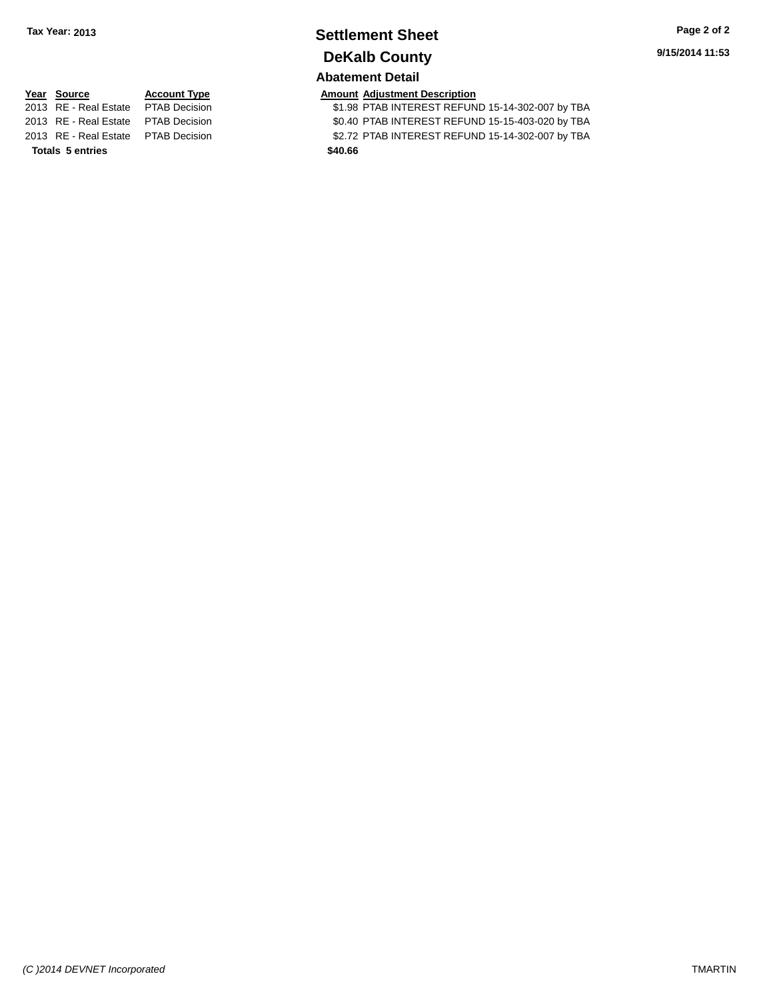# **Settlement Sheet Tax Year: 2013 Page 2 of 2 DeKalb County**

#### **Abatement Detail**

**Totals 5 entries \$40.66**

**Year Source Account Type Amount Adjustment Description**<br>2013 RE - Real Estate PTAB Decision **\$1.98 PTAB INTEREST REFUN** \$1.98 PTAB INTEREST REFUND 15-14-302-007 by TBA 2013 RE - Real Estate PTAB Decision \$0.40 PTAB INTEREST REFUND 15-15-403-020 by TBA

2013 RE - Real Estate PTAB Decision \$2.72 PTAB INTEREST REFUND 15-14-302-007 by TBA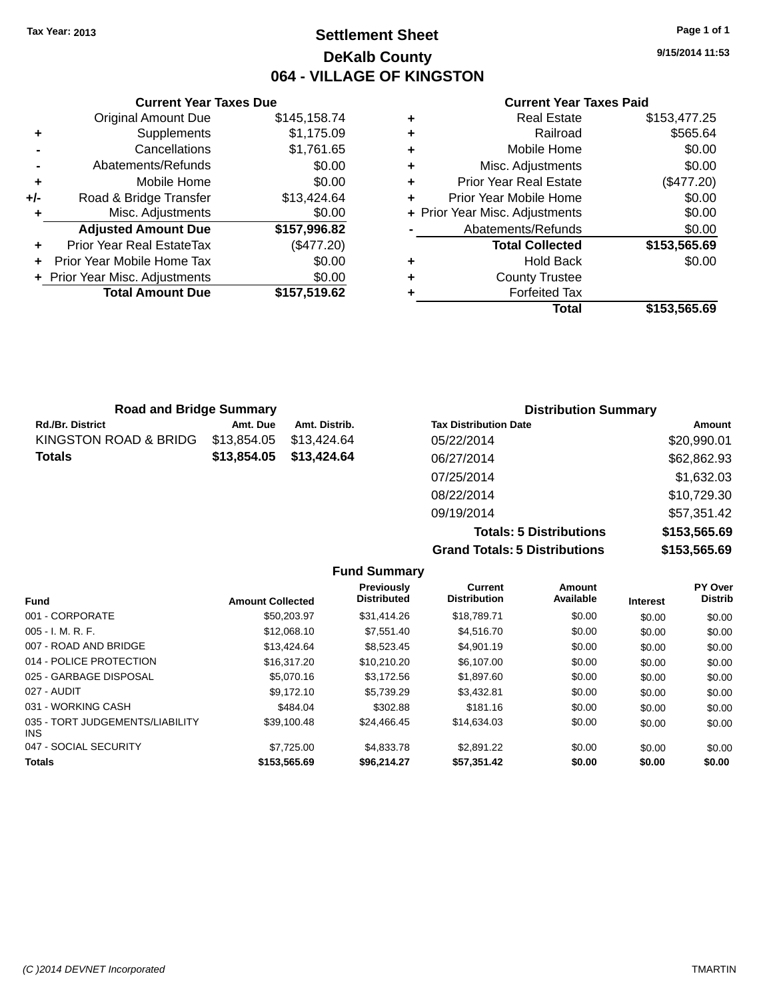### **Settlement Sheet Tax Year: 2013 Page 1 of 1 DeKalb County 064 - VILLAGE OF KINGSTON**

**9/15/2014 11:53**

#### **Current Year Taxes Paid**

|     | <b>Current Year Taxes Due</b>    |              |  |  |  |
|-----|----------------------------------|--------------|--|--|--|
|     | <b>Original Amount Due</b>       | \$145,158.74 |  |  |  |
| ٠   | Supplements                      | \$1,175.09   |  |  |  |
|     | Cancellations                    | \$1,761.65   |  |  |  |
|     | Abatements/Refunds               | \$0.00       |  |  |  |
| ٠   | Mobile Home                      | \$0.00       |  |  |  |
| +/- | Road & Bridge Transfer           | \$13,424.64  |  |  |  |
|     | Misc. Adjustments                | \$0.00       |  |  |  |
|     | <b>Adjusted Amount Due</b>       | \$157,996.82 |  |  |  |
|     | <b>Prior Year Real EstateTax</b> | (\$477.20)   |  |  |  |
|     | Prior Year Mobile Home Tax       | \$0.00       |  |  |  |
|     | + Prior Year Misc. Adjustments   | \$0.00       |  |  |  |
|     | <b>Total Amount Due</b>          | \$157,519.62 |  |  |  |
|     |                                  |              |  |  |  |

| \$153,477.25 |
|--------------|
| \$565.64     |
| \$0.00       |
| \$0.00       |
| (\$477.20)   |
| \$0.00       |
| \$0.00       |
| \$0.00       |
| \$153,565.69 |
| \$0.00       |
|              |
|              |
| \$153,565.69 |
|              |

| <b>Road and Bridge Summary</b> |             |               | <b>Distribution Summary</b>  |                                                                    |
|--------------------------------|-------------|---------------|------------------------------|--------------------------------------------------------------------|
| <b>Rd./Br. District</b>        | Amt. Due    | Amt. Distrib. | <b>Tax Distribution Date</b> | Amount                                                             |
| KINGSTON ROAD & BRIDG          | \$13,854.05 | \$13.424.64   | 05/22/2014                   | \$20,990.01                                                        |
| <b>Totals</b>                  | \$13,854.05 | \$13,424.64   | 06/27/2014                   | \$62,862.93                                                        |
|                                |             |               | 07/25/2014                   | \$1,632.03                                                         |
|                                |             |               | 08/22/2014                   | \$10,729.30                                                        |
|                                |             |               |                              | $\mathsf{A} = \mathsf{A} = \mathsf{A} \quad \mathsf{A} \mathsf{A}$ |

09/19/2014 \$57,351.42 **Totals: 5 Distributions \$153,565.69 Grand Totals: 5 Distributions \$153,565.69**

|                                         |                         | <b>Fund Summary</b>              |                                |                     |                 |                           |
|-----------------------------------------|-------------------------|----------------------------------|--------------------------------|---------------------|-----------------|---------------------------|
| <b>Fund</b>                             | <b>Amount Collected</b> | Previously<br><b>Distributed</b> | Current<br><b>Distribution</b> | Amount<br>Available | <b>Interest</b> | PY Over<br><b>Distrib</b> |
| 001 - CORPORATE                         | \$50,203.97             | \$31,414.26                      | \$18,789.71                    | \$0.00              | \$0.00          | \$0.00                    |
| $005 - I. M. R. F.$                     | \$12,068.10             | \$7,551.40                       | \$4,516.70                     | \$0.00              | \$0.00          | \$0.00                    |
| 007 - ROAD AND BRIDGE                   | \$13,424.64             | \$8,523,45                       | \$4,901.19                     | \$0.00              | \$0.00          | \$0.00                    |
| 014 - POLICE PROTECTION                 | \$16,317.20             | \$10.210.20                      | \$6,107.00                     | \$0.00              | \$0.00          | \$0.00                    |
| 025 - GARBAGE DISPOSAL                  | \$5,070.16              | \$3.172.56                       | \$1,897.60                     | \$0.00              | \$0.00          | \$0.00                    |
| 027 - AUDIT                             | \$9.172.10              | \$5.739.29                       | \$3,432.81                     | \$0.00              | \$0.00          | \$0.00                    |
| 031 - WORKING CASH                      | \$484.04                | \$302.88                         | \$181.16                       | \$0.00              | \$0.00          | \$0.00                    |
| 035 - TORT JUDGEMENTS/LIABILITY<br>INS. | \$39,100.48             | \$24,466.45                      | \$14,634.03                    | \$0.00              | \$0.00          | \$0.00                    |
| 047 - SOCIAL SECURITY                   | \$7,725,00              | \$4,833,78                       | \$2,891.22                     | \$0.00              | \$0.00          | \$0.00                    |
| <b>Totals</b>                           | \$153,565.69            | \$96.214.27                      | \$57,351.42                    | \$0.00              | \$0.00          | \$0.00                    |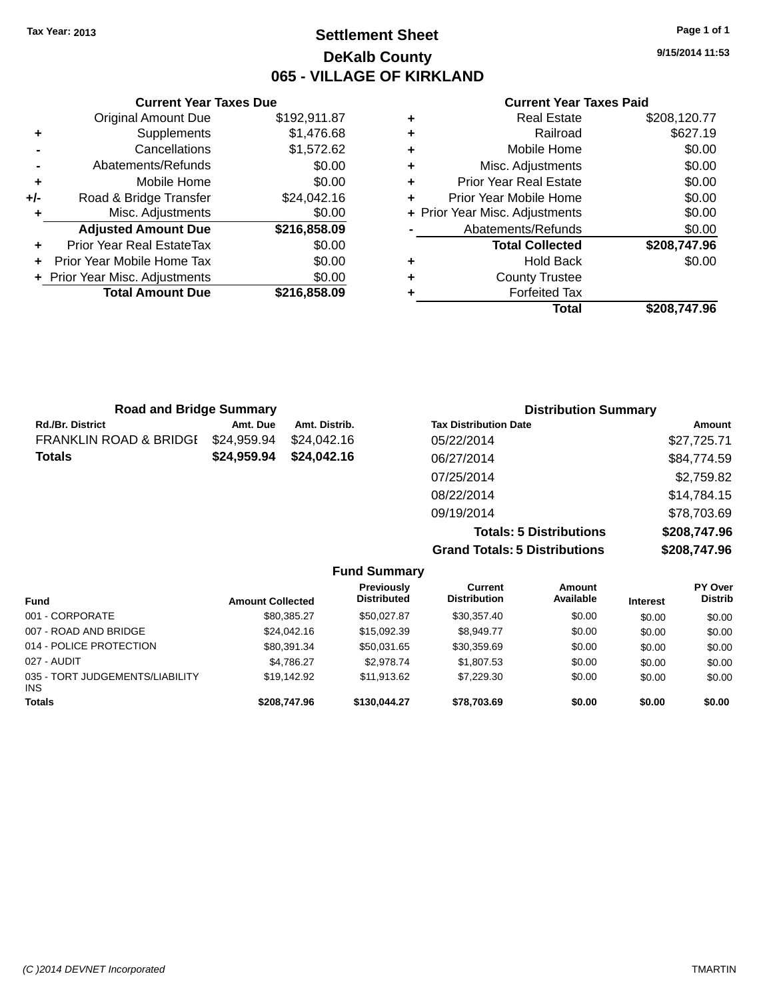### **Settlement Sheet Tax Year: 2013 Page 1 of 1 DeKalb County 065 - VILLAGE OF KIRKLAND**

**9/15/2014 11:53**

#### **Current Year Taxes Paid**

|     | <b>Current Year Taxes Due</b>  |              |
|-----|--------------------------------|--------------|
|     | <b>Original Amount Due</b>     | \$192,911.87 |
| ٠   | Supplements                    | \$1,476.68   |
|     | Cancellations                  | \$1,572.62   |
|     | Abatements/Refunds             | \$0.00       |
| ٠   | Mobile Home                    | \$0.00       |
| +/- | Road & Bridge Transfer         | \$24,042.16  |
| ٠   | Misc. Adjustments              | \$0.00       |
|     | <b>Adjusted Amount Due</b>     | \$216,858.09 |
| ٠   | Prior Year Real EstateTax      | \$0.00       |
|     | Prior Year Mobile Home Tax     | \$0.00       |
|     | + Prior Year Misc. Adjustments | \$0.00       |
|     | <b>Total Amount Due</b>        | \$216.858.09 |
|     |                                |              |

|   | <b>Forfeited Tax</b><br>Total  | \$208,747.96 |
|---|--------------------------------|--------------|
| ٠ | <b>County Trustee</b>          |              |
|   |                                |              |
| ٠ | <b>Hold Back</b>               | \$0.00       |
|   | <b>Total Collected</b>         | \$208,747.96 |
|   | Abatements/Refunds             | \$0.00       |
|   | + Prior Year Misc. Adjustments | \$0.00       |
| ٠ | Prior Year Mobile Home         | \$0.00       |
| ٠ | <b>Prior Year Real Estate</b>  | \$0.00       |
| ٠ | Misc. Adjustments              | \$0.00       |
| ٠ | Mobile Home                    | \$0.00       |
| ٠ | Railroad                       | \$627.19     |
| ٠ | <b>Real Estate</b>             | \$208,120.77 |

| <b>Road and Bridge Summary</b> |             |               | <b>Distribution Summary</b>    |               |  |
|--------------------------------|-------------|---------------|--------------------------------|---------------|--|
| Rd./Br. District               | Amt. Due    | Amt. Distrib. | <b>Tax Distribution Date</b>   | <b>Amount</b> |  |
| FRANKLIN ROAD & BRIDGI         | \$24,959.94 | \$24.042.16   | 05/22/2014                     | \$27,725.71   |  |
| Totals                         | \$24,959.94 | \$24,042.16   | 06/27/2014                     | \$84,774.59   |  |
|                                |             |               | 07/25/2014                     | \$2,759.82    |  |
|                                |             |               | 08/22/2014                     | \$14,784.15   |  |
|                                |             |               | 09/19/2014                     | \$78,703.69   |  |
|                                |             |               | <b>Totals: 5 Distributions</b> | \$208,747.96  |  |

|                                 |                         |                                         | <b>Grand Totals: 5 Distributions</b> | \$208,747.96               |                 |                           |
|---------------------------------|-------------------------|-----------------------------------------|--------------------------------------|----------------------------|-----------------|---------------------------|
|                                 |                         | <b>Fund Summary</b>                     |                                      |                            |                 |                           |
| <b>Fund</b>                     | <b>Amount Collected</b> | <b>Previously</b><br><b>Distributed</b> | Current<br><b>Distribution</b>       | <b>Amount</b><br>Available | <b>Interest</b> | PY Over<br><b>Distrib</b> |
| 001 - CORPORATE                 | \$80.385.27             | \$50.027.87                             | \$30.357.40                          | \$0.00                     | \$0.00          | \$0.00                    |
| 007 - ROAD AND BRIDGE           | \$24,042.16             | \$15,092.39                             | \$8.949.77                           | \$0.00                     | \$0.00          | \$0.00                    |
| 014 - POLICE PROTECTION         | \$80.391.34             | \$50.031.65                             | \$30,359.69                          | \$0.00                     | \$0.00          | \$0.00                    |
| 027 - AUDIT                     | \$4.786.27              | \$2,978.74                              | \$1,807.53                           | \$0.00                     | \$0.00          | \$0.00                    |
| 035 - TORT JUDGEMENTS/LIABILITY | \$19.142.92             | \$11.913.62                             | \$7,229.30                           | \$0.00                     | \$0.00          | \$0.00                    |

**Totals \$208,747.96 \$130,044.27 \$78,703.69 \$0.00 \$0.00 \$0.00**

INS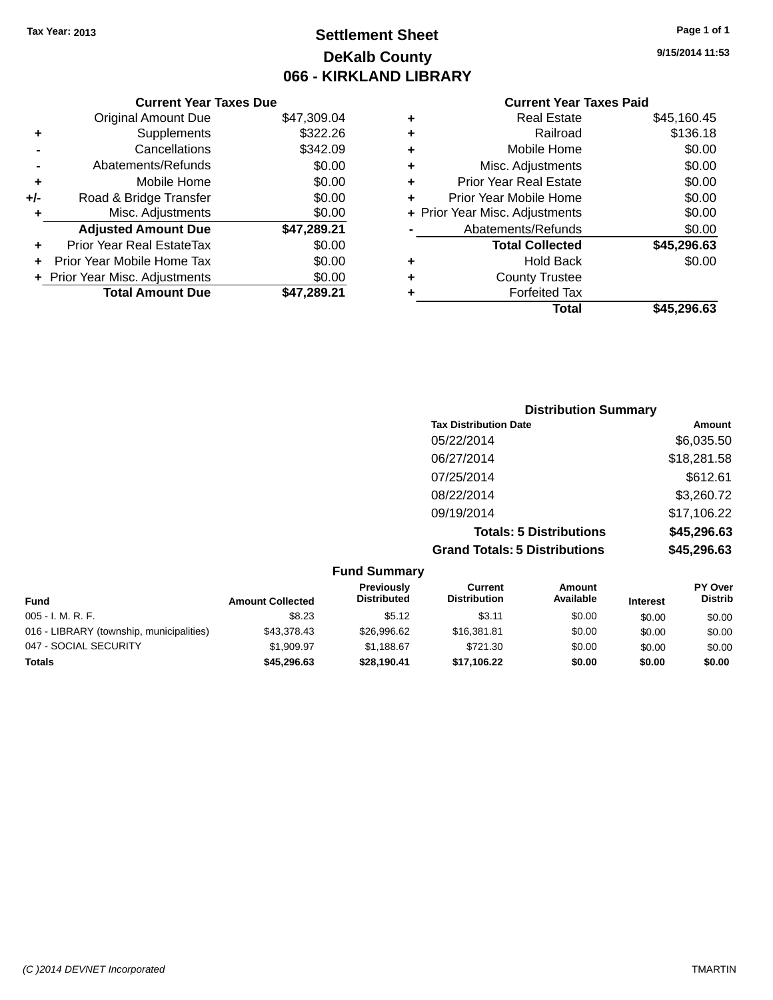## **Settlement Sheet Tax Year: 2013 Page 1 of 1 DeKalb County 066 - KIRKLAND LIBRARY**

### **Current Year Taxes Due**

|     | <b>Original Amount Due</b>       | \$47,309.04 |
|-----|----------------------------------|-------------|
| ٠   | Supplements                      | \$322.26    |
|     | Cancellations                    | \$342.09    |
|     | Abatements/Refunds               | \$0.00      |
| ٠   | Mobile Home                      | \$0.00      |
| +/- | Road & Bridge Transfer           | \$0.00      |
| ٠   | Misc. Adjustments                | \$0.00      |
|     | <b>Adjusted Amount Due</b>       | \$47,289.21 |
|     | <b>Prior Year Real EstateTax</b> | \$0.00      |
|     | Prior Year Mobile Home Tax       | \$0.00      |
|     | + Prior Year Misc. Adjustments   | \$0.00      |
|     | <b>Total Amount Due</b>          | \$47.289.21 |

### **Current Year Taxes Paid**

| ٠ | <b>Real Estate</b>             | \$45,160.45 |
|---|--------------------------------|-------------|
| ÷ | Railroad                       | \$136.18    |
| ٠ | Mobile Home                    | \$0.00      |
| ٠ | Misc. Adjustments              | \$0.00      |
| ٠ | <b>Prior Year Real Estate</b>  | \$0.00      |
| ٠ | Prior Year Mobile Home         | \$0.00      |
|   | + Prior Year Misc. Adjustments | \$0.00      |
|   | Abatements/Refunds             | \$0.00      |
|   | <b>Total Collected</b>         | \$45,296.63 |
| ٠ | <b>Hold Back</b>               | \$0.00      |
| ٠ | <b>County Trustee</b>          |             |
| ٠ | <b>Forfeited Tax</b>           |             |
|   | Total                          | \$45,296.63 |
|   |                                |             |

| <b>Distribution Summary</b>          |             |
|--------------------------------------|-------------|
| <b>Tax Distribution Date</b>         | Amount      |
| 05/22/2014                           | \$6,035.50  |
| 06/27/2014                           | \$18,281.58 |
| 07/25/2014                           | \$612.61    |
| 08/22/2014                           | \$3,260.72  |
| 09/19/2014                           | \$17,106.22 |
| <b>Totals: 5 Distributions</b>       | \$45,296.63 |
| <b>Grand Totals: 5 Distributions</b> | \$45,296.63 |

|                                          |                         | <b>Fund Summary</b>                     |                                |                            |                 |                                  |
|------------------------------------------|-------------------------|-----------------------------------------|--------------------------------|----------------------------|-----------------|----------------------------------|
| <b>Fund</b>                              | <b>Amount Collected</b> | <b>Previously</b><br><b>Distributed</b> | Current<br><b>Distribution</b> | <b>Amount</b><br>Available | <b>Interest</b> | <b>PY Over</b><br><b>Distrib</b> |
| $005 - I. M. R. F.$                      | \$8.23                  | \$5.12                                  | \$3.11                         | \$0.00                     | \$0.00          | \$0.00                           |
| 016 - LIBRARY (township, municipalities) | \$43,378.43             | \$26,996.62                             | \$16,381.81                    | \$0.00                     | \$0.00          | \$0.00                           |
| 047 - SOCIAL SECURITY                    | \$1.909.97              | \$1.188.67                              | \$721.30                       | \$0.00                     | \$0.00          | \$0.00                           |
| <b>Totals</b>                            | \$45,296.63             | \$28,190.41                             | \$17,106.22                    | \$0.00                     | \$0.00          | \$0.00                           |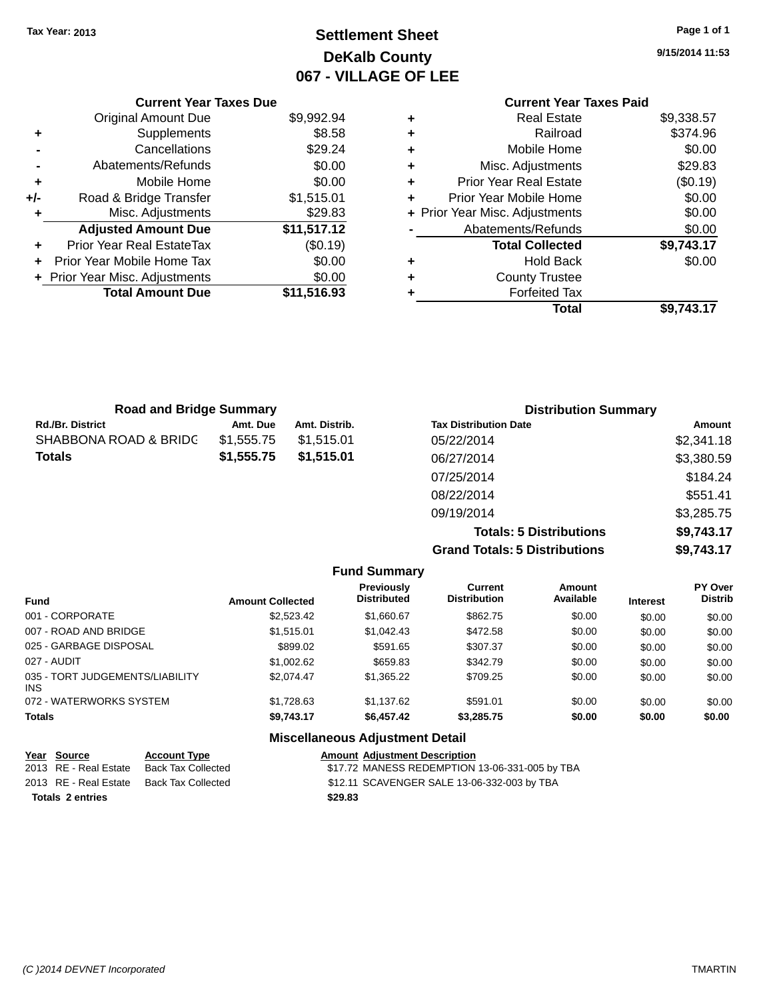# **Settlement Sheet Tax Year: 2013 Page 1 of 1 DeKalb County 067 - VILLAGE OF LEE**

**9/15/2014 11:53**

|     | <b>Current Year Taxes Due</b>  |             |  |  |  |
|-----|--------------------------------|-------------|--|--|--|
|     | <b>Original Amount Due</b>     | \$9,992.94  |  |  |  |
| ٠   | Supplements                    | \$8.58      |  |  |  |
|     | Cancellations                  | \$29.24     |  |  |  |
|     | Abatements/Refunds             | \$0.00      |  |  |  |
| ٠   | Mobile Home                    | \$0.00      |  |  |  |
| +/- | Road & Bridge Transfer         | \$1,515.01  |  |  |  |
|     | Misc. Adjustments              | \$29.83     |  |  |  |
|     | <b>Adjusted Amount Due</b>     | \$11,517.12 |  |  |  |
| ÷   | Prior Year Real EstateTax      | (\$0.19)    |  |  |  |
| ÷   | Prior Year Mobile Home Tax     | \$0.00      |  |  |  |
|     | + Prior Year Misc. Adjustments | \$0.00      |  |  |  |
|     | <b>Total Amount Due</b>        | \$11,516.93 |  |  |  |
|     |                                |             |  |  |  |

### **Current Year Taxes Paid +** Real Estate \$9,338.57

|   | Total                          | \$9,743.17                         |
|---|--------------------------------|------------------------------------|
| ٠ | <b>Forfeited Tax</b>           |                                    |
| ٠ | <b>County Trustee</b>          |                                    |
| ٠ | <b>Hold Back</b>               | \$0.00                             |
|   | <b>Total Collected</b>         | \$9,743.17                         |
|   | Abatements/Refunds             | \$0.00                             |
|   | + Prior Year Misc. Adjustments | \$0.00                             |
| ٠ | Prior Year Mobile Home         | \$0.00                             |
| ٠ | <b>Prior Year Real Estate</b>  | (\$0.19)                           |
| ٠ | Misc. Adjustments              | \$29.83                            |
| ٠ | Mobile Home                    | \$0.00                             |
| ÷ | Railroad                       | \$374.96                           |
| T | ngal Lolal <del>c</del>        | <u>ນວ.ບບບ.ບ<math>\prime</math></u> |

| <b>Road and Bridge Summary</b> |            |               | <b>Distribution Summary</b>  |            |
|--------------------------------|------------|---------------|------------------------------|------------|
| <b>Rd./Br. District</b>        | Amt. Due   | Amt. Distrib. | <b>Tax Distribution Date</b> | Amount     |
| SHABBONA ROAD & BRIDC          | \$1.555.75 | \$1.515.01    | 05/22/2014                   | \$2,341.18 |
| <b>Totals</b>                  | \$1,555.75 | \$1,515,01    | 06/27/2014                   | \$3,380.59 |
|                                |            |               | 07/25/2014                   | \$184.24   |
|                                |            |               | 08/22/2014                   | \$551.41   |
|                                |            |               | 09/19/2014                   | \$3,285.75 |

**Totals: 5 Distributions \$9,743.17 Grand Totals: 5 Distributions \$9,743.17**

|                                         |                         | <b>Fund Summary</b>                    |                                       |                            |                 |                           |
|-----------------------------------------|-------------------------|----------------------------------------|---------------------------------------|----------------------------|-----------------|---------------------------|
| <b>Fund</b>                             | <b>Amount Collected</b> | Previously<br><b>Distributed</b>       | <b>Current</b><br><b>Distribution</b> | <b>Amount</b><br>Available | <b>Interest</b> | PY Over<br><b>Distrib</b> |
| 001 - CORPORATE                         | \$2,523.42              | \$1.660.67                             | \$862.75                              | \$0.00                     | \$0.00          | \$0.00                    |
| 007 - ROAD AND BRIDGE                   | \$1.515.01              | \$1.042.43                             | \$472.58                              | \$0.00                     | \$0.00          | \$0.00                    |
| 025 - GARBAGE DISPOSAL                  | \$899.02                | \$591.65                               | \$307.37                              | \$0.00                     | \$0.00          | \$0.00                    |
| 027 - AUDIT                             | \$1,002.62              | \$659.83                               | \$342.79                              | \$0.00                     | \$0.00          | \$0.00                    |
| 035 - TORT JUDGEMENTS/LIABILITY<br>INS. | \$2.074.47              | \$1.365.22                             | \$709.25                              | \$0.00                     | \$0.00          | \$0.00                    |
| 072 - WATERWORKS SYSTEM                 | \$1,728.63              | \$1.137.62                             | \$591.01                              | \$0.00                     | \$0.00          | \$0.00                    |
| <b>Totals</b>                           | \$9,743.17              | \$6.457.42                             | \$3,285.75                            | \$0.00                     | \$0.00          | \$0.00                    |
|                                         |                         | <b>Miscellaneous Adjustment Detail</b> |                                       |                            |                 |                           |

| Year Source             | <b>Account Type</b> | <b>Amount Adjustment Description</b>           |
|-------------------------|---------------------|------------------------------------------------|
| 2013 RE - Real Estate   | Back Tax Collected  | \$17.72 MANESS REDEMPTION 13-06-331-005 by TBA |
| 2013 RE - Real Estate   | Back Tax Collected  | \$12.11 SCAVENGER SALE 13-06-332-003 by TBA    |
| <b>Totals 2 entries</b> |                     | \$29.83                                        |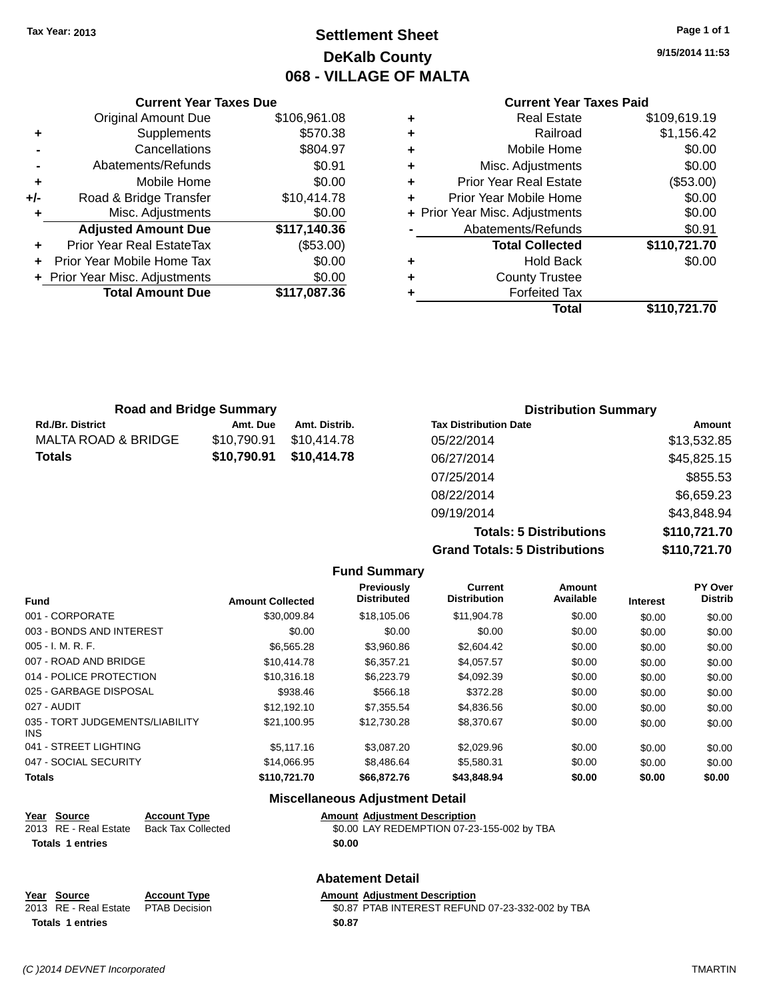### **Settlement Sheet Tax Year: 2013 Page 1 of 1 DeKalb County 068 - VILLAGE OF MALTA**

**9/15/2014 11:53**

#### **Current Year Taxes Paid**

|     | <b>Current Year Taxes Due</b>  |              |   |
|-----|--------------------------------|--------------|---|
|     | <b>Original Amount Due</b>     | \$106,961.08 |   |
| ٠   | Supplements                    | \$570.38     | ٠ |
|     | Cancellations                  | \$804.97     | ٠ |
|     | Abatements/Refunds             | \$0.91       | ٠ |
|     | Mobile Home                    | \$0.00       | ٠ |
| +/- | Road & Bridge Transfer         | \$10,414.78  |   |
|     | Misc. Adjustments              | \$0.00       |   |
|     | <b>Adjusted Amount Due</b>     | \$117,140.36 |   |
|     | Prior Year Real EstateTax      | (\$53.00)    |   |
|     | Prior Year Mobile Home Tax     | \$0.00       |   |
|     | + Prior Year Misc. Adjustments | \$0.00       |   |
|     | <b>Total Amount Due</b>        | \$117,087.36 |   |
|     |                                |              |   |

| ٠ | <b>Real Estate</b>             | \$109,619.19 |
|---|--------------------------------|--------------|
| ٠ | Railroad                       | \$1,156.42   |
| ٠ | Mobile Home                    | \$0.00       |
| ٠ | Misc. Adjustments              | \$0.00       |
| ٠ | <b>Prior Year Real Estate</b>  | (\$53.00)    |
| ÷ | Prior Year Mobile Home         | \$0.00       |
|   | + Prior Year Misc. Adjustments | \$0.00       |
|   | Abatements/Refunds             | \$0.91       |
|   | <b>Total Collected</b>         | \$110,721.70 |
| ٠ | <b>Hold Back</b>               | \$0.00       |
| ٠ | <b>County Trustee</b>          |              |
| ٠ | <b>Forfeited Tax</b>           |              |
|   | Total                          | \$110,721.70 |
|   |                                |              |

| <b>Road and Bridge Summary</b> |             | <b>Distribution Summary</b> |                              |             |
|--------------------------------|-------------|-----------------------------|------------------------------|-------------|
| <b>Rd./Br. District</b>        | Amt. Due    | Amt. Distrib.               | <b>Tax Distribution Date</b> | Amount      |
| MALTA ROAD & BRIDGE            | \$10,790.91 | \$10,414.78                 | 05/22/2014                   | \$13,532.85 |
| <b>Totals</b>                  | \$10,790.91 | \$10,414.78                 | 06/27/2014                   | \$45,825.15 |
|                                |             |                             | 07/25/2014                   | \$855.53    |
|                                |             |                             | 08/22/2014                   | \$6,659.23  |
|                                |             |                             | 09/19/2014                   | \$43,848.94 |

**Totals: 5 Distributions \$110,721.70 Grand Totals: 5 Distributions \$110,721.70**

| <b>Amount Collected</b> | Previously<br><b>Distributed</b> | <b>Current</b><br><b>Distribution</b> | <b>Amount</b><br>Available | <b>Interest</b> | PY Over<br><b>Distrib</b> |
|-------------------------|----------------------------------|---------------------------------------|----------------------------|-----------------|---------------------------|
| \$30,009.84             | \$18,105.06                      | \$11,904.78                           | \$0.00                     | \$0.00          | \$0.00                    |
| \$0.00                  | \$0.00                           | \$0.00                                | \$0.00                     | \$0.00          | \$0.00                    |
| \$6,565.28              | \$3,960.86                       | \$2,604.42                            | \$0.00                     | \$0.00          | \$0.00                    |
| \$10.414.78             | \$6,357.21                       | \$4.057.57                            | \$0.00                     | \$0.00          | \$0.00                    |
| \$10,316.18             | \$6,223.79                       | \$4,092.39                            | \$0.00                     | \$0.00          | \$0.00                    |
| \$938.46                | \$566.18                         | \$372.28                              | \$0.00                     | \$0.00          | \$0.00                    |
| \$12,192.10             | \$7,355.54                       | \$4,836.56                            | \$0.00                     | \$0.00          | \$0.00                    |
| \$21,100.95             | \$12,730.28                      | \$8,370.67                            | \$0.00                     | \$0.00          | \$0.00                    |
| \$5,117,16              | \$3,087.20                       | \$2,029.96                            | \$0.00                     | \$0.00          | \$0.00                    |
| \$14,066.95             | \$8,486.64                       | \$5,580.31                            | \$0.00                     | \$0.00          | \$0.00                    |
| \$110,721.70            | \$66,872.76                      | \$43,848.94                           | \$0.00                     | \$0.00          | \$0.00                    |
|                         |                                  | <b>Fund Summary</b>                   |                            |                 |                           |

|                                                                                                                    |                                                  | <b>Miscellaneous Adjustment Detail</b>                                                       |
|--------------------------------------------------------------------------------------------------------------------|--------------------------------------------------|----------------------------------------------------------------------------------------------|
| Year Source<br>2013 RE - Real Estate<br><b>Totals 1 entries</b>                                                    | <b>Account Type</b><br><b>Back Tax Collected</b> | <b>Amount Adjustment Description</b><br>\$0.00 LAY REDEMPTION 07-23-155-002 by TBA<br>\$0.00 |
|                                                                                                                    |                                                  | <b>Abatement Detail</b>                                                                      |
| Year Source<br>$0.040 \quad \text{DFT} \quad \text{D} \cdot \text{F} \cdot \text{F} \cdot \text{F} \cdot \text{F}$ | <b>Account Type</b><br>$P^{\text{max}}$          | <b>Amount Adjustment Description</b><br>$A \circ A$                                          |

# **Totals 1 entries \$0.87**

2013 RE - Real Estate PTAB Decision \$0.87 PTAB INTEREST REFUND 07-23-332-002 by TBA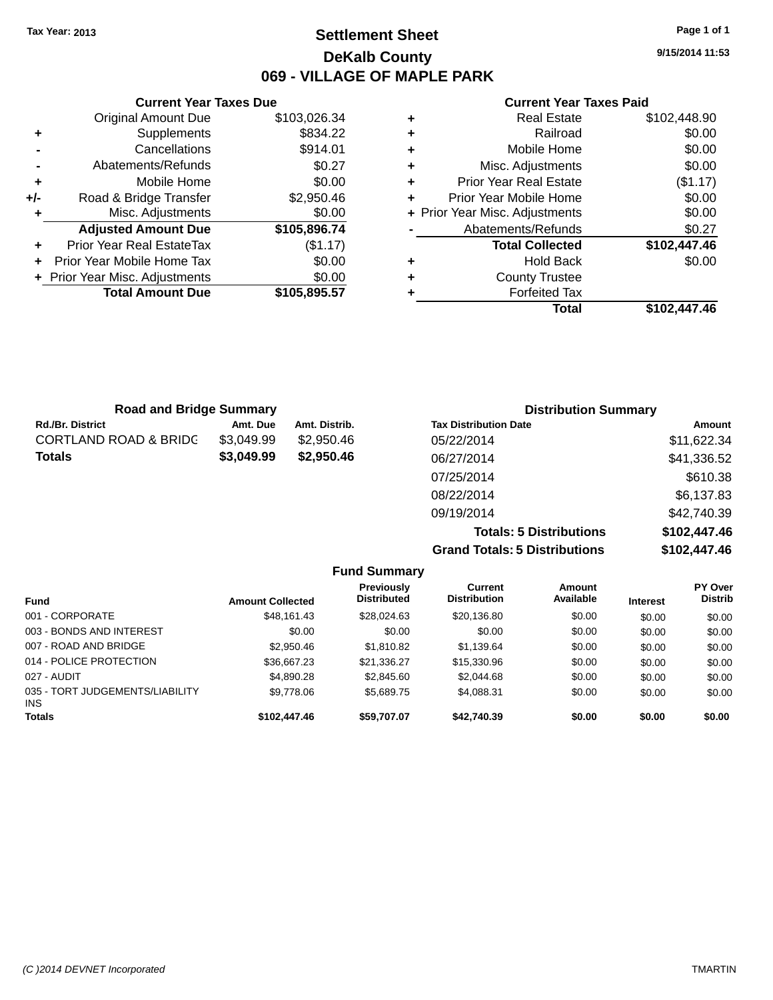### **Settlement Sheet Tax Year: 2013 Page 1 of 1 DeKalb County 069 - VILLAGE OF MAPLE PARK**

**9/15/2014 11:53**

#### **Current Year Taxes Paid**

|     | <b>Current Year Taxes Due</b>  |              |
|-----|--------------------------------|--------------|
|     | <b>Original Amount Due</b>     | \$103,026.34 |
| ٠   | Supplements                    | \$834.22     |
|     | Cancellations                  | \$914.01     |
|     | Abatements/Refunds             | \$0.27       |
| ÷   | Mobile Home                    | \$0.00       |
| +/- | Road & Bridge Transfer         | \$2,950.46   |
|     | Misc. Adjustments              | \$0.00       |
|     | <b>Adjusted Amount Due</b>     | \$105,896.74 |
|     | Prior Year Real EstateTax      | (\$1.17)     |
|     | Prior Year Mobile Home Tax     | \$0.00       |
|     | + Prior Year Misc. Adjustments | \$0.00       |
|     | <b>Total Amount Due</b>        | \$105,895.57 |
|     |                                |              |

| <b>Real Estate</b>            | \$102,448.90                   |
|-------------------------------|--------------------------------|
| Railroad                      | \$0.00                         |
| Mobile Home                   | \$0.00                         |
| Misc. Adjustments             | \$0.00                         |
| <b>Prior Year Real Estate</b> | (\$1.17)                       |
| Prior Year Mobile Home        | \$0.00                         |
|                               | \$0.00                         |
| Abatements/Refunds            | \$0.27                         |
| <b>Total Collected</b>        | \$102,447.46                   |
| <b>Hold Back</b>              | \$0.00                         |
| <b>County Trustee</b>         |                                |
| <b>Forfeited Tax</b>          |                                |
| Total                         | \$102,447.46                   |
|                               | + Prior Year Misc. Adjustments |

| <b>Road and Bridge Summary</b>   |            |               | <b>Distribution Summary</b>  |             |
|----------------------------------|------------|---------------|------------------------------|-------------|
| <b>Rd./Br. District</b>          | Amt. Due   | Amt. Distrib. | <b>Tax Distribution Date</b> | Amount      |
| <b>CORTLAND ROAD &amp; BRIDC</b> | \$3,049.99 | \$2,950.46    | 05/22/2014                   | \$11,622.34 |
| <b>Totals</b>                    | \$3,049.99 | \$2,950.46    | 06/27/2014                   | \$41,336.52 |
|                                  |            |               | 07/25/2014                   | \$610.38    |
|                                  |            |               | 08/22/2014                   | \$6,137.83  |
|                                  |            |               | 09/19/2014                   | \$42,740.39 |

**Totals: 5 Distributions \$102,447.46 Grand Totals: 5 Distributions \$102,447.46**

|                                               |                         | <b>Fund Summary</b>                     |                                |                     |                 |                                  |
|-----------------------------------------------|-------------------------|-----------------------------------------|--------------------------------|---------------------|-----------------|----------------------------------|
| <b>Fund</b>                                   | <b>Amount Collected</b> | <b>Previously</b><br><b>Distributed</b> | Current<br><b>Distribution</b> | Amount<br>Available | <b>Interest</b> | <b>PY Over</b><br><b>Distrib</b> |
| 001 - CORPORATE                               | \$48.161.43             | \$28,024.63                             | \$20,136.80                    | \$0.00              | \$0.00          | \$0.00                           |
| 003 - BONDS AND INTEREST                      | \$0.00                  | \$0.00                                  | \$0.00                         | \$0.00              | \$0.00          | \$0.00                           |
| 007 - ROAD AND BRIDGE                         | \$2,950.46              | \$1,810.82                              | \$1,139.64                     | \$0.00              | \$0.00          | \$0.00                           |
| 014 - POLICE PROTECTION                       | \$36,667.23             | \$21,336.27                             | \$15,330.96                    | \$0.00              | \$0.00          | \$0.00                           |
| 027 - AUDIT                                   | \$4,890.28              | \$2,845.60                              | \$2,044.68                     | \$0.00              | \$0.00          | \$0.00                           |
| 035 - TORT JUDGEMENTS/LIABILITY<br><b>INS</b> | \$9,778.06              | \$5.689.75                              | \$4.088.31                     | \$0.00              | \$0.00          | \$0.00                           |
| <b>Totals</b>                                 | \$102,447.46            | \$59,707.07                             | \$42,740.39                    | \$0.00              | \$0.00          | \$0.00                           |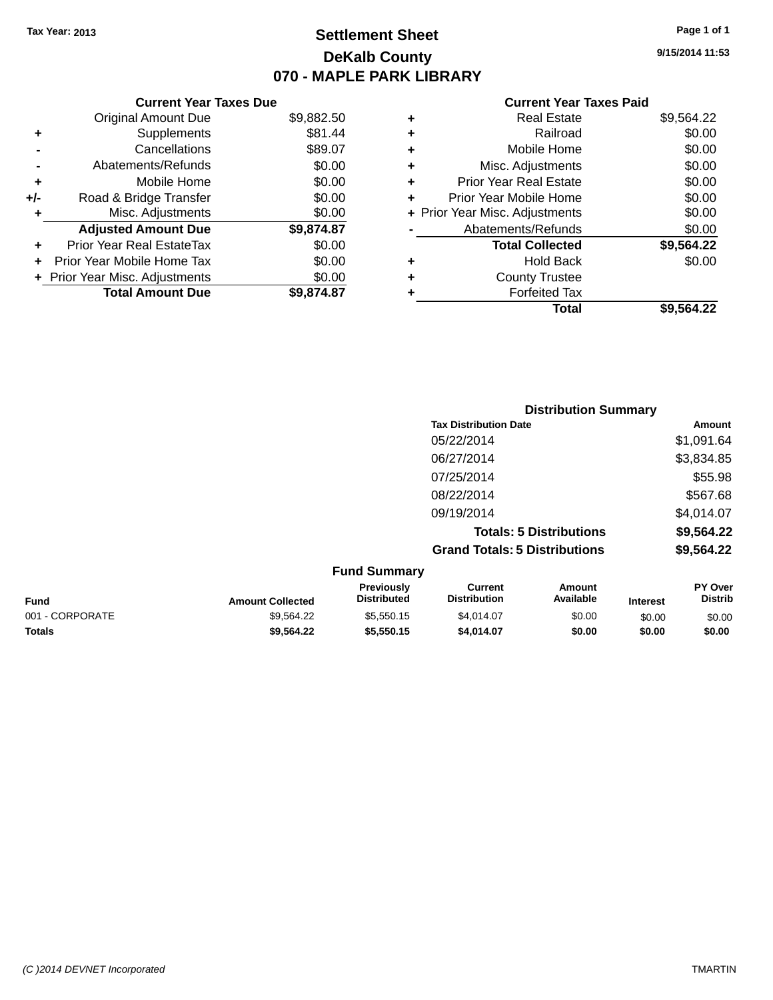### **Settlement Sheet Tax Year: 2013 Page 1 of 1 DeKalb County 070 - MAPLE PARK LIBRARY**

**9/15/2014 11:53**

#### **Current Year Taxes Paid**

| Curr                   |   |            | <b>Current Year Taxes Due</b>    |       |
|------------------------|---|------------|----------------------------------|-------|
| Rε                     | ٠ | \$9,882.50 | Original Amount Due              |       |
|                        | ٠ | \$81.44    | Supplements                      |       |
| Mot                    | ٠ | \$89.07    | Cancellations                    |       |
| Misc. Adj              | ٠ | \$0.00     | Abatements/Refunds               |       |
| Prior Year Re          | ٠ | \$0.00     | Mobile Home                      |       |
| Prior Year Mob         |   | \$0.00     | Road & Bridge Transfer           | $+/-$ |
| + Prior Year Misc. Adj |   | \$0.00     | Misc. Adjustments                |       |
| Abatements             |   | \$9,874.87 | <b>Adjusted Amount Due</b>       |       |
| <b>Total (</b>         |   | \$0.00     | <b>Prior Year Real EstateTax</b> |       |
| h                      | ٠ | \$0.00     | Prior Year Mobile Home Tax       |       |
| Count                  | ٠ | \$0.00     | + Prior Year Misc. Adjustments   |       |
| For                    |   | \$9,874.87 | <b>Total Amount Due</b>          |       |
|                        |   |            |                                  |       |

|   | <b>Real Estate</b>             | \$9,564.22 |
|---|--------------------------------|------------|
| ٠ | Railroad                       | \$0.00     |
| ٠ | Mobile Home                    | \$0.00     |
| ٠ | Misc. Adjustments              | \$0.00     |
|   | <b>Prior Year Real Estate</b>  | \$0.00     |
|   | Prior Year Mobile Home         | \$0.00     |
|   | + Prior Year Misc. Adjustments | \$0.00     |
|   | Abatements/Refunds             | \$0.00     |
|   | <b>Total Collected</b>         | \$9,564.22 |
| ٠ | <b>Hold Back</b>               | \$0.00     |
|   | <b>County Trustee</b>          |            |
|   | <b>Forfeited Tax</b>           |            |
|   | Total                          | \$9,564.22 |
|   |                                |            |

|                  |                                  | <b>Distribution Summary</b>           |                                |          |                                  |
|------------------|----------------------------------|---------------------------------------|--------------------------------|----------|----------------------------------|
|                  |                                  | <b>Tax Distribution Date</b>          |                                |          | Amount                           |
|                  |                                  | 05/22/2014                            |                                |          | \$1,091.64                       |
|                  |                                  | 06/27/2014                            |                                |          | \$3,834.85                       |
|                  |                                  | 07/25/2014                            |                                |          | \$55.98                          |
|                  |                                  | 08/22/2014                            |                                |          | \$567.68                         |
|                  |                                  | 09/19/2014                            |                                |          | \$4,014.07                       |
|                  |                                  |                                       | <b>Totals: 5 Distributions</b> |          | \$9,564.22                       |
|                  |                                  | <b>Grand Totals: 5 Distributions</b>  |                                |          | \$9,564.22                       |
|                  | <b>Fund Summary</b>              |                                       |                                |          |                                  |
| Amount Collected | Previously<br><b>Distributed</b> | <b>Current</b><br><b>Distribution</b> | <b>Amount</b><br>Available     | Interest | <b>PY Over</b><br><b>Distrib</b> |

| <b>Fund</b>     | <b>Amount Collected</b> | <b>Previously</b><br>Distributed | Current<br><b>Distribution</b> | Amount<br>Available | <b>Interest</b> | <b>PY Over</b><br>Distrib |
|-----------------|-------------------------|----------------------------------|--------------------------------|---------------------|-----------------|---------------------------|
| 001 - CORPORATE | \$9.564.22              | \$5.550.15                       | \$4.014.07                     | \$0.00              | \$0.00          | \$0.00                    |
| <b>Totals</b>   | \$9,564.22              | \$5.550.15                       | \$4.014.07                     | \$0.00              | \$0.00          | \$0.00                    |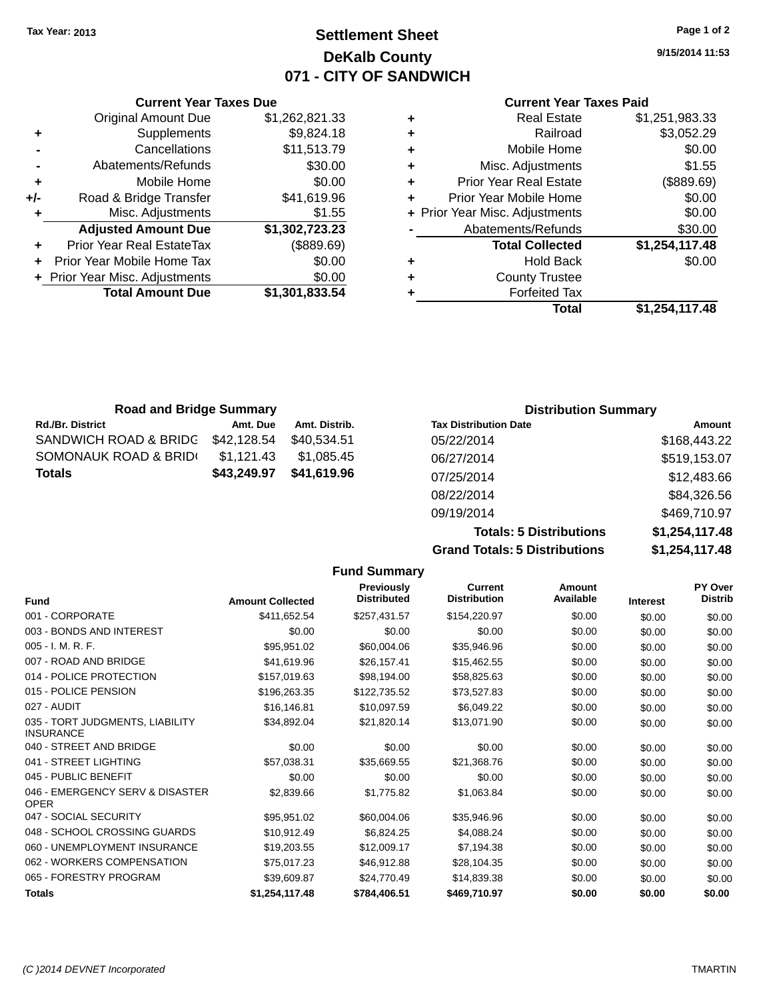### **Settlement Sheet Tax Year: 2013 Page 1 of 2 DeKalb County 071 - CITY OF SANDWICH**

**9/15/2014 11:53**

#### **Current Year Taxes Paid**

|   | <b>Real Estate</b>             | \$1,251,983.33 |
|---|--------------------------------|----------------|
| ٠ | Railroad                       | \$3,052.29     |
| ٠ | Mobile Home                    | \$0.00         |
| ٠ | Misc. Adjustments              | \$1.55         |
| ٠ | <b>Prior Year Real Estate</b>  | (\$889.69)     |
| ÷ | Prior Year Mobile Home         | \$0.00         |
|   | + Prior Year Misc. Adjustments | \$0.00         |
|   | Abatements/Refunds             | \$30.00        |
|   | <b>Total Collected</b>         | \$1,254,117.48 |
| ٠ | <b>Hold Back</b>               | \$0.00         |
| ÷ | <b>County Trustee</b>          |                |
|   | <b>Forfeited Tax</b>           |                |
|   | Total                          | \$1.254.117.48 |

|     | <b>Current Year Taxes Due</b>    |                |  |  |  |  |  |
|-----|----------------------------------|----------------|--|--|--|--|--|
|     | <b>Original Amount Due</b>       | \$1,262,821.33 |  |  |  |  |  |
| ٠   | Supplements                      | \$9,824.18     |  |  |  |  |  |
|     | Cancellations                    | \$11,513.79    |  |  |  |  |  |
|     | Abatements/Refunds               | \$30.00        |  |  |  |  |  |
| ٠   | Mobile Home                      | \$0.00         |  |  |  |  |  |
| +/- | Road & Bridge Transfer           | \$41,619.96    |  |  |  |  |  |
| ٠   | Misc. Adjustments                | \$1.55         |  |  |  |  |  |
|     | <b>Adjusted Amount Due</b>       | \$1,302,723.23 |  |  |  |  |  |
| ٠   | <b>Prior Year Real EstateTax</b> | (\$889.69)     |  |  |  |  |  |
|     | Prior Year Mobile Home Tax       | \$0.00         |  |  |  |  |  |
|     | + Prior Year Misc. Adjustments   | \$0.00         |  |  |  |  |  |
|     | <b>Total Amount Due</b>          | \$1,301,833.54 |  |  |  |  |  |
|     |                                  |                |  |  |  |  |  |

| <b>Road and Bridge Summary</b>    |             |               | <b>Distribution Summary</b>  |              |
|-----------------------------------|-------------|---------------|------------------------------|--------------|
| <b>Rd./Br. District</b>           | Amt. Due    | Amt. Distrib. | <b>Tax Distribution Date</b> | Amount       |
| SANDWICH ROAD & BRIDG \$42,128.54 |             | \$40.534.51   | 05/22/2014                   | \$168,443.22 |
| SOMONAUK ROAD & BRIDI             | \$1.121.43  | \$1.085.45    | 06/27/2014                   | \$519,153.07 |
| Totals                            | \$43,249.97 | \$41,619.96   | 07/25/2014                   | \$12,483.66  |
|                                   |             |               | 08/22/2014                   | \$84,326.56  |

| 09/19/2014                           | \$469,710.97   |
|--------------------------------------|----------------|
| <b>Totals: 5 Distributions</b>       | \$1,254,117.48 |
| <b>Grand Totals: 5 Distributions</b> | \$1,254,117.48 |
|                                      |                |

|                                                     |                         | <b>Fund Summary</b>                     |                                       |                     |                 |                           |
|-----------------------------------------------------|-------------------------|-----------------------------------------|---------------------------------------|---------------------|-----------------|---------------------------|
| <b>Fund</b>                                         | <b>Amount Collected</b> | <b>Previously</b><br><b>Distributed</b> | <b>Current</b><br><b>Distribution</b> | Amount<br>Available | <b>Interest</b> | PY Over<br><b>Distrib</b> |
| 001 - CORPORATE                                     | \$411,652.54            | \$257,431.57                            | \$154,220.97                          | \$0.00              | \$0.00          | \$0.00                    |
| 003 - BONDS AND INTEREST                            | \$0.00                  | \$0.00                                  | \$0.00                                | \$0.00              | \$0.00          | \$0.00                    |
| 005 - I. M. R. F.                                   | \$95,951.02             | \$60,004.06                             | \$35,946.96                           | \$0.00              | \$0.00          | \$0.00                    |
| 007 - ROAD AND BRIDGE                               | \$41,619.96             | \$26,157.41                             | \$15,462.55                           | \$0.00              | \$0.00          | \$0.00                    |
| 014 - POLICE PROTECTION                             | \$157,019.63            | \$98,194.00                             | \$58,825.63                           | \$0.00              | \$0.00          | \$0.00                    |
| 015 - POLICE PENSION                                | \$196,263.35            | \$122,735.52                            | \$73,527.83                           | \$0.00              | \$0.00          | \$0.00                    |
| 027 - AUDIT                                         | \$16,146.81             | \$10,097.59                             | \$6,049.22                            | \$0.00              | \$0.00          | \$0.00                    |
| 035 - TORT JUDGMENTS, LIABILITY<br><b>INSURANCE</b> | \$34,892.04             | \$21,820.14                             | \$13,071.90                           | \$0.00              | \$0.00          | \$0.00                    |
| 040 - STREET AND BRIDGE                             | \$0.00                  | \$0.00                                  | \$0.00                                | \$0.00              | \$0.00          | \$0.00                    |
| 041 - STREET LIGHTING                               | \$57,038.31             | \$35,669.55                             | \$21,368.76                           | \$0.00              | \$0.00          | \$0.00                    |
| 045 - PUBLIC BENEFIT                                | \$0.00                  | \$0.00                                  | \$0.00                                | \$0.00              | \$0.00          | \$0.00                    |
| 046 - EMERGENCY SERV & DISASTER<br><b>OPER</b>      | \$2,839.66              | \$1,775.82                              | \$1,063.84                            | \$0.00              | \$0.00          | \$0.00                    |
| 047 - SOCIAL SECURITY                               | \$95,951.02             | \$60,004.06                             | \$35,946.96                           | \$0.00              | \$0.00          | \$0.00                    |
| 048 - SCHOOL CROSSING GUARDS                        | \$10,912.49             | \$6,824.25                              | \$4,088.24                            | \$0.00              | \$0.00          | \$0.00                    |
| 060 - UNEMPLOYMENT INSURANCE                        | \$19,203.55             | \$12,009.17                             | \$7,194.38                            | \$0.00              | \$0.00          | \$0.00                    |
| 062 - WORKERS COMPENSATION                          | \$75,017.23             | \$46,912.88                             | \$28,104.35                           | \$0.00              | \$0.00          | \$0.00                    |
| 065 - FORESTRY PROGRAM                              | \$39,609.87             | \$24,770.49                             | \$14,839.38                           | \$0.00              | \$0.00          | \$0.00                    |
| <b>Totals</b>                                       | \$1,254,117.48          | \$784,406.51                            | \$469,710.97                          | \$0.00              | \$0.00          | \$0.00                    |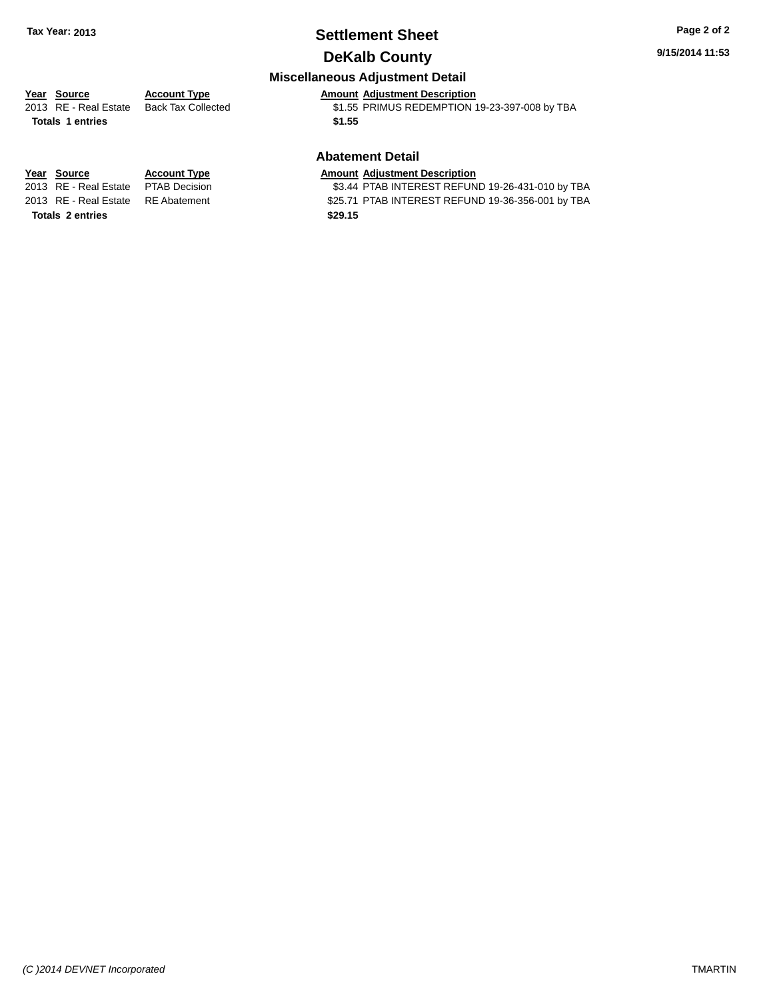### **Settlement Sheet Tax Year: 2013 Page 2 of 2 DeKalb County**

#### **9/15/2014 11:53**

### **Miscellaneous Adjustment Detail**

### **Year** Source **Account Type Account Adjustment Description**

**Totals 1 entries \$1.55**

2013 RE - Real Estate Back Tax Collected \$1.55 PRIMUS REDEMPTION 19-23-397-008 by TBA

#### **Abatement Detail**

\$3.44 PTAB INTEREST REFUND 19-26-431-010 by TBA 2013 RE - Real Estate RE Abatement \$25.71 PTAB INTEREST REFUND 19-36-356-001 by TBA

**Year Source Account Type Amount Adjustment Description**<br>2013 RE - Real Estate PTAB Decision **\$3.44 PTAB INTEREST REFUN Totals 2 entries \$29.15**

*(C )2014 DEVNET Incorporated* TMARTIN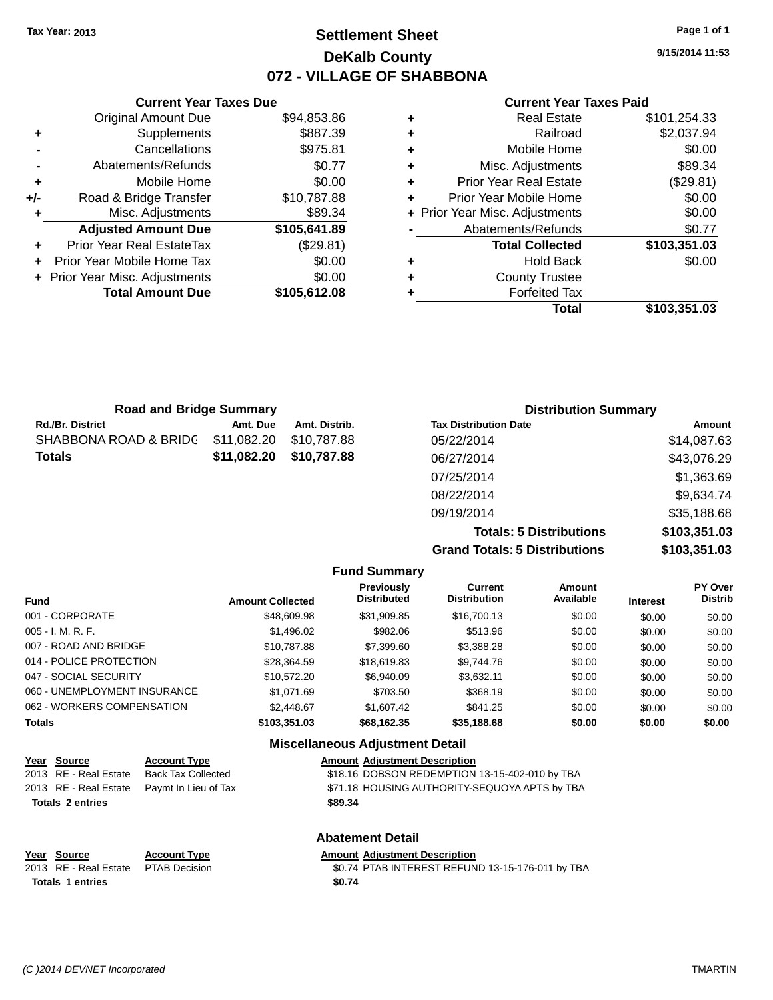### **Settlement Sheet Tax Year: 2013 Page 1 of 1 DeKalb County 072 - VILLAGE OF SHABBONA**

**9/15/2014 11:53**

#### **Current Year Taxes Paid**

|     | <b>Current Year Taxes Due</b>  |              |  |  |  |  |  |
|-----|--------------------------------|--------------|--|--|--|--|--|
|     | <b>Original Amount Due</b>     | \$94,853.86  |  |  |  |  |  |
| ٠   | Supplements                    | \$887.39     |  |  |  |  |  |
|     | Cancellations                  | \$975.81     |  |  |  |  |  |
|     | Abatements/Refunds             | \$0.77       |  |  |  |  |  |
| ٠   | Mobile Home                    | \$0.00       |  |  |  |  |  |
| +/- | Road & Bridge Transfer         | \$10,787.88  |  |  |  |  |  |
| ٠   | Misc. Adjustments              | \$89.34      |  |  |  |  |  |
|     | <b>Adjusted Amount Due</b>     | \$105,641.89 |  |  |  |  |  |
| ٠   | Prior Year Real EstateTax      | (\$29.81)    |  |  |  |  |  |
|     | Prior Year Mobile Home Tax     | \$0.00       |  |  |  |  |  |
|     | + Prior Year Misc. Adjustments | \$0.00       |  |  |  |  |  |
|     | <b>Total Amount Due</b>        | \$105,612.08 |  |  |  |  |  |
|     |                                |              |  |  |  |  |  |

| ٠ | <b>Real Estate</b>             | \$101,254.33 |
|---|--------------------------------|--------------|
| ٠ | Railroad                       | \$2,037.94   |
| ٠ | Mobile Home                    | \$0.00       |
| ٠ | Misc. Adjustments              | \$89.34      |
| ٠ | <b>Prior Year Real Estate</b>  | (\$29.81)    |
| ٠ | Prior Year Mobile Home         | \$0.00       |
|   | + Prior Year Misc. Adjustments | \$0.00       |
|   | Abatements/Refunds             | \$0.77       |
|   | <b>Total Collected</b>         | \$103,351.03 |
| ٠ | Hold Back                      | \$0.00       |
| ٠ | <b>County Trustee</b>          |              |
| ٠ | <b>Forfeited Tax</b>           |              |
|   | Total                          | \$103,351.03 |
|   |                                |              |

| <b>Road and Bridge Summary</b> |             |               | <b>Distribution Summary</b>  |             |  |
|--------------------------------|-------------|---------------|------------------------------|-------------|--|
| Rd./Br. District               | Amt. Due    | Amt. Distrib. | <b>Tax Distribution Date</b> | Amount      |  |
| SHABBONA ROAD & BRIDG          | \$11,082.20 | \$10.787.88   | 05/22/2014                   | \$14,087.63 |  |
| Totals                         | \$11,082.20 | \$10,787.88   | 06/27/2014                   | \$43,076.29 |  |
|                                |             |               | 07/25/2014                   | \$1,363.69  |  |
|                                |             |               | 08/22/2014                   | \$9,634.74  |  |
|                                |             |               | 09/19/2014                   | \$35,188.68 |  |

**Totals: 5 Distributions \$103,351.03 Grand Totals: 5 Distributions \$103,351.03**

|                              |                         | <b>Fund Summary</b>                     |                                |                     |                 |                           |
|------------------------------|-------------------------|-----------------------------------------|--------------------------------|---------------------|-----------------|---------------------------|
| <b>Fund</b>                  | <b>Amount Collected</b> | <b>Previously</b><br><b>Distributed</b> | Current<br><b>Distribution</b> | Amount<br>Available | <b>Interest</b> | PY Over<br><b>Distrib</b> |
| 001 - CORPORATE              | \$48,609.98             | \$31.909.85                             | \$16,700.13                    | \$0.00              | \$0.00          | \$0.00                    |
| 005 - I. M. R. F.            | \$1,496.02              | \$982.06                                | \$513.96                       | \$0.00              | \$0.00          | \$0.00                    |
| 007 - ROAD AND BRIDGE        | \$10,787.88             | \$7,399.60                              | \$3,388.28                     | \$0.00              | \$0.00          | \$0.00                    |
| 014 - POLICE PROTECTION      | \$28.364.59             | \$18,619.83                             | \$9.744.76                     | \$0.00              | \$0.00          | \$0.00                    |
| 047 - SOCIAL SECURITY        | \$10.572.20             | \$6,940.09                              | \$3.632.11                     | \$0.00              | \$0.00          | \$0.00                    |
| 060 - UNEMPLOYMENT INSURANCE | \$1.071.69              | \$703.50                                | \$368.19                       | \$0.00              | \$0.00          | \$0.00                    |
| 062 - WORKERS COMPENSATION   | \$2.448.67              | \$1,607.42                              | \$841.25                       | \$0.00              | \$0.00          | \$0.00                    |
| <b>Totals</b>                | \$103.351.03            | \$68.162.35                             | \$35,188.68                    | \$0.00              | \$0.00          | \$0.00                    |
|                              |                         | <b>Miscellaneous Adjustment Detail</b>  |                                |                     |                 |                           |

| Year Source             | <b>Account Type</b>       | <b>Amount Adjustment Description</b>             |
|-------------------------|---------------------------|--------------------------------------------------|
| 2013 RE - Real Estate   | <b>Back Tax Collected</b> | \$18.16 DOBSON REDEMPTION 13-15-402-010 by TBA   |
| 2013 RE - Real Estate   | Paymt In Lieu of Tax      | \$71.18 HOUSING AUTHORITY-SEQUOYA APTS by TBA    |
| <b>Totals 2 entries</b> |                           | \$89.34                                          |
|                         |                           | <b>Abatement Detail</b>                          |
| Year Source             | <b>Account Type</b>       | <b>Amount Adjustment Description</b>             |
| 2013 RE - Real Estate   | <b>PTAB Decision</b>      | \$0.74 PTAB INTEREST REFUND 13-15-176-011 by TBA |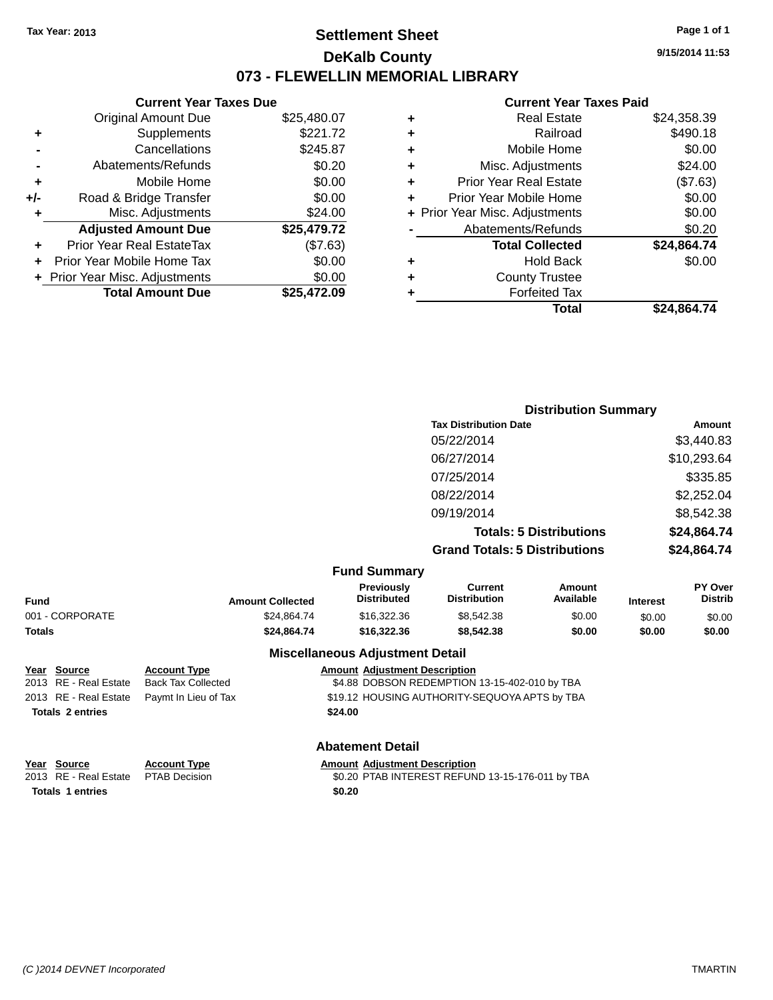### **Settlement Sheet Tax Year: 2013 Page 1 of 1 DeKalb County 073 - FLEWELLIN MEMORIAL LIBRARY**

**9/15/2014 11:53**

#### **Current Year Taxes Paid**

| \$25,480.07 | <b>Original Amount Due</b>   |     |
|-------------|------------------------------|-----|
|             |                              |     |
| \$221.72    | Supplements                  | ٠   |
| \$245.87    | Cancellations                |     |
| \$0.20      | Abatements/Refunds           |     |
| \$0.00      | Mobile Home                  | ٠   |
| \$0.00      | Road & Bridge Transfer       | +/- |
| \$24.00     | Misc. Adjustments            | ٠   |
| \$25,479.72 | <b>Adjusted Amount Due</b>   |     |
| (\$7.63)    | Prior Year Real EstateTax    | ٠   |
| \$0.00      | Prior Year Mobile Home Tax   | ÷   |
| \$0.00      | Prior Year Misc. Adjustments |     |
| \$25.472.09 | <b>Total Amount Due</b>      |     |
|             |                              |     |

| ٠ | <b>Real Estate</b>             | \$24,358.39 |
|---|--------------------------------|-------------|
| ٠ | Railroad                       | \$490.18    |
| ٠ | Mobile Home                    | \$0.00      |
| ٠ | Misc. Adjustments              | \$24.00     |
| ٠ | Prior Year Real Estate         | (\$7.63)    |
| ÷ | Prior Year Mobile Home         | \$0.00      |
|   | + Prior Year Misc. Adjustments | \$0.00      |
|   | Abatements/Refunds             | \$0.20      |
|   | <b>Total Collected</b>         | \$24,864.74 |
| ٠ | Hold Back                      | \$0.00      |
| ٠ | <b>County Trustee</b>          |             |
| ٠ | <b>Forfeited Tax</b>           |             |
|   | <b>Total</b>                   | \$24,864.74 |
|   |                                |             |

|                     | <b>Distribution Summary</b>          |             |
|---------------------|--------------------------------------|-------------|
|                     | <b>Tax Distribution Date</b>         | Amount      |
|                     | 05/22/2014                           | \$3,440.83  |
|                     | 06/27/2014                           | \$10,293.64 |
|                     | 07/25/2014                           | \$335.85    |
|                     | 08/22/2014                           | \$2,252.04  |
|                     | 09/19/2014                           | \$8,542.38  |
|                     | <b>Totals: 5 Distributions</b>       | \$24,864.74 |
|                     | <b>Grand Totals: 5 Distributions</b> | \$24,864.74 |
| <b>Fund Summary</b> |                                      |             |

|                                               |                           |                         | -                                       |                                               |                     |                 |                                  |
|-----------------------------------------------|---------------------------|-------------------------|-----------------------------------------|-----------------------------------------------|---------------------|-----------------|----------------------------------|
| <b>Fund</b>                                   |                           | <b>Amount Collected</b> | <b>Previously</b><br><b>Distributed</b> | Current<br><b>Distribution</b>                | Amount<br>Available | <b>Interest</b> | <b>PY Over</b><br><b>Distrib</b> |
| 001 - CORPORATE                               |                           | \$24.864.74             | \$16,322,36                             | \$8,542,38                                    | \$0.00              | \$0.00          | \$0.00                           |
| Totals                                        |                           | \$24.864.74             | \$16,322,36                             | \$8,542,38                                    | \$0.00              | \$0.00          | \$0.00                           |
|                                               |                           |                         | <b>Miscellaneous Adjustment Detail</b>  |                                               |                     |                 |                                  |
| Year Source                                   | <b>Account Type</b>       |                         | <b>Amount Adiustment Description</b>    |                                               |                     |                 |                                  |
| 2013 RE - Real Estate                         | <b>Back Tax Collected</b> |                         |                                         | \$4.88 DOBSON REDEMPTION 13-15-402-010 by TBA |                     |                 |                                  |
| 2013 RE - Real Estate<br>Paymt In Lieu of Tax |                           |                         |                                         | \$19.12 HOUSING AUTHORITY-SEQUOYA APTS by TBA |                     |                 |                                  |

**Totals 2 entries \$24.00**

**Abatement Detail**

| Year Source                         | <b>Account Type</b> | <b>Amount Adiustment Description</b>             |
|-------------------------------------|---------------------|--------------------------------------------------|
| 2013 RE - Real Estate PTAB Decision |                     | \$0.20 PTAB INTEREST REFUND 13-15-176-011 by TBA |
| <b>Totals 1 entries</b>             |                     | \$0.20                                           |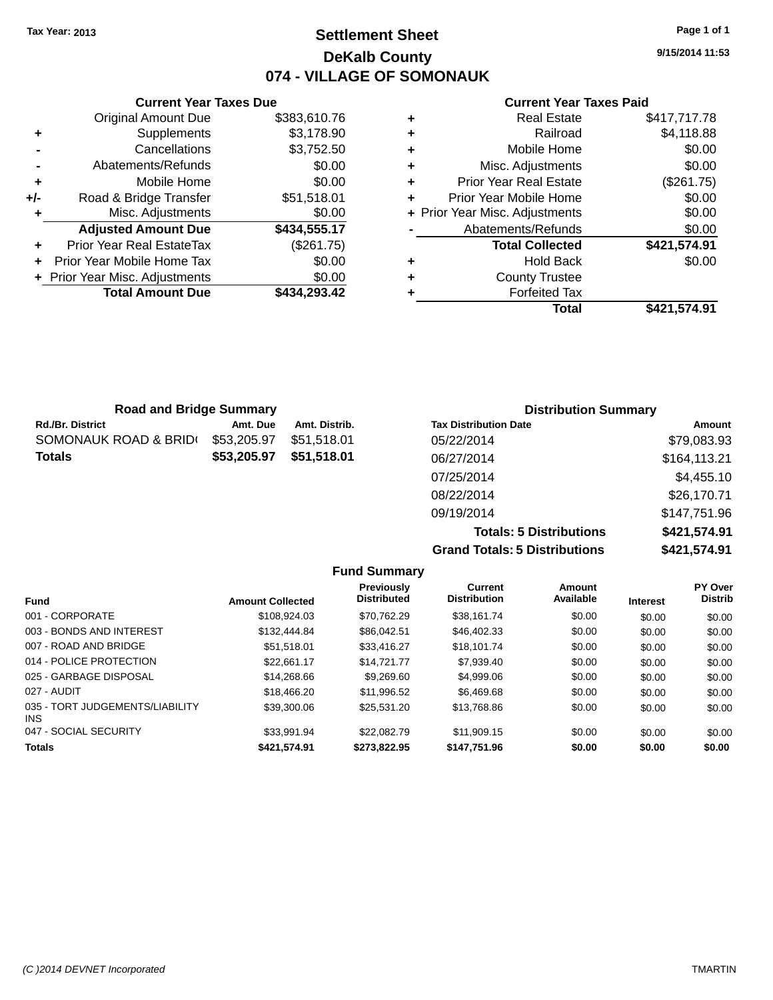**Current Year Taxes Due**

### **Settlement Sheet Tax Year: 2013 Page 1 of 1 DeKalb County 074 - VILLAGE OF SOMONAUK**

**9/15/2014 11:53**

#### **Current Year Taxes Paid**

|     |                                  |              |   | Total                          | \$421,574.91 |  |  |
|-----|----------------------------------|--------------|---|--------------------------------|--------------|--|--|
|     | <b>Total Amount Due</b>          | \$434,293.42 |   | <b>Forfeited Tax</b>           |              |  |  |
|     | + Prior Year Misc. Adjustments   | \$0.00       | ٠ | <b>County Trustee</b>          |              |  |  |
| $+$ | Prior Year Mobile Home Tax       | \$0.00       | ٠ | <b>Hold Back</b>               | \$0.00       |  |  |
| ÷.  | <b>Prior Year Real EstateTax</b> | (\$261.75)   |   | <b>Total Collected</b>         | \$421,574.91 |  |  |
|     | <b>Adjusted Amount Due</b>       | \$434,555.17 |   | Abatements/Refunds             | \$0.00       |  |  |
|     | Misc. Adjustments                | \$0.00       |   | + Prior Year Misc. Adjustments | \$0.00       |  |  |
| +/- | Road & Bridge Transfer           | \$51,518.01  | ٠ | Prior Year Mobile Home         | \$0.00       |  |  |
| ٠   | Mobile Home                      | \$0.00       | ٠ | <b>Prior Year Real Estate</b>  | (\$261.75)   |  |  |
|     | Abatements/Refunds               | \$0.00       | ٠ | Misc. Adjustments              | \$0.00       |  |  |
|     | Cancellations                    | \$3,752.50   | ٠ | Mobile Home                    | \$0.00       |  |  |
| ٠   | Supplements                      | \$3,178.90   | ٠ | Railroad                       | \$4,118.88   |  |  |
|     | <b>Original Amount Due</b>       | \$383,610.76 | ٠ | <b>Real Estate</b>             | \$417,717.78 |  |  |
|     |                                  |              |   |                                |              |  |  |

| <b>Road and Bridge Summary</b> |             |               | <b>Distribution Summary</b>  |               |  |
|--------------------------------|-------------|---------------|------------------------------|---------------|--|
| <b>Rd./Br. District</b>        | Amt. Due    | Amt. Distrib. | <b>Tax Distribution Date</b> | <b>Amount</b> |  |
| SOMONAUK ROAD & BRID(          | \$53,205.97 | \$51.518.01   | 05/22/2014                   | \$79,083.93   |  |
| <b>Totals</b>                  | \$53,205.97 | \$51,518.01   | 06/27/2014                   | \$164,113.21  |  |
|                                |             |               | 07/25/2014                   | \$4,455.10    |  |
|                                |             |               | 08/22/2014                   | \$26,170.71   |  |
|                                |             |               | 09/19/2014                   | \$147,751.96  |  |

**Totals: 5 Distributions \$421,574.91 Grand Totals: 5 Distributions \$421,574.91**

|                                         |                         | <b>Fund Summary</b>                     |                                |                     |                 |                           |
|-----------------------------------------|-------------------------|-----------------------------------------|--------------------------------|---------------------|-----------------|---------------------------|
| <b>Fund</b>                             | <b>Amount Collected</b> | <b>Previously</b><br><b>Distributed</b> | Current<br><b>Distribution</b> | Amount<br>Available | <b>Interest</b> | PY Over<br><b>Distrib</b> |
| 001 - CORPORATE                         | \$108,924.03            | \$70.762.29                             | \$38.161.74                    | \$0.00              | \$0.00          | \$0.00                    |
| 003 - BONDS AND INTEREST                | \$132,444.84            | \$86.042.51                             | \$46,402.33                    | \$0.00              | \$0.00          | \$0.00                    |
| 007 - ROAD AND BRIDGE                   | \$51.518.01             | \$33,416.27                             | \$18.101.74                    | \$0.00              | \$0.00          | \$0.00                    |
| 014 - POLICE PROTECTION                 | \$22.661.17             | \$14,721,77                             | \$7,939.40                     | \$0.00              | \$0.00          | \$0.00                    |
| 025 - GARBAGE DISPOSAL                  | \$14,268.66             | \$9,269.60                              | \$4,999.06                     | \$0.00              | \$0.00          | \$0.00                    |
| 027 - AUDIT                             | \$18,466.20             | \$11,996.52                             | \$6,469.68                     | \$0.00              | \$0.00          | \$0.00                    |
| 035 - TORT JUDGEMENTS/LIABILITY<br>INS. | \$39,300.06             | \$25,531.20                             | \$13,768.86                    | \$0.00              | \$0.00          | \$0.00                    |
| 047 - SOCIAL SECURITY                   | \$33.991.94             | \$22,082.79                             | \$11.909.15                    | \$0.00              | \$0.00          | \$0.00                    |
| <b>Totals</b>                           | \$421.574.91            | \$273.822.95                            | \$147.751.96                   | \$0.00              | \$0.00          | \$0.00                    |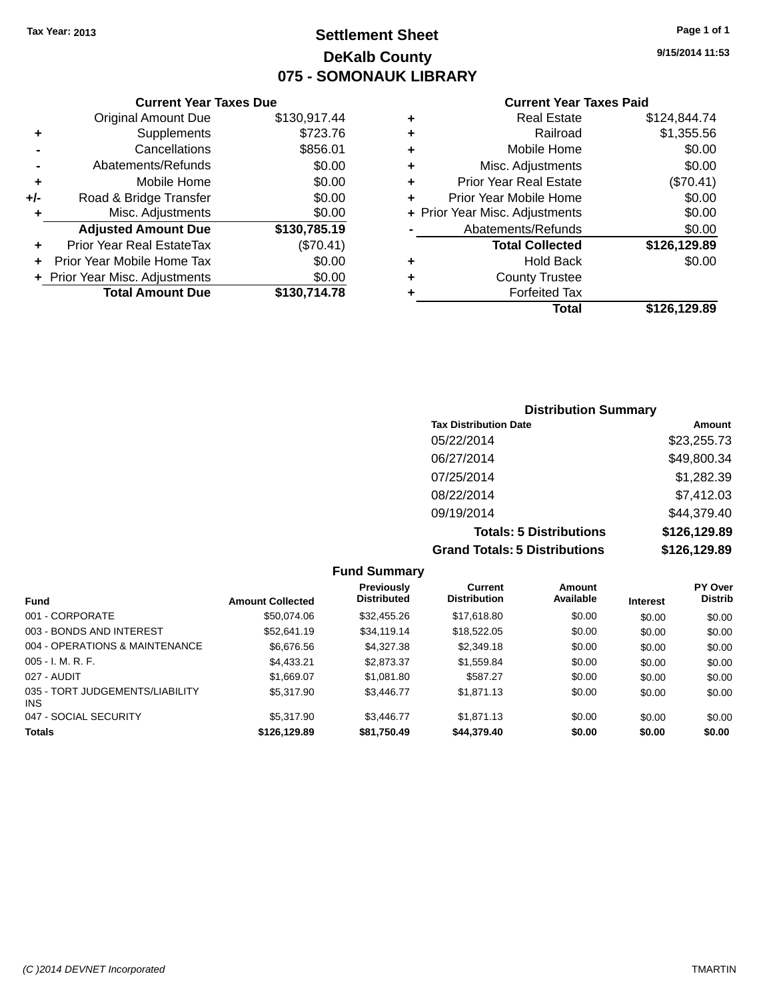### **Settlement Sheet Tax Year: 2013 Page 1 of 1 DeKalb County 075 - SOMONAUK LIBRARY**

**9/15/2014 11:53**

#### **Current Year Taxes Paid**

|     | <b>Original Amount Due</b>       | \$130,917.44 |
|-----|----------------------------------|--------------|
| ÷   | Supplements                      | \$723.76     |
|     | Cancellations                    | \$856.01     |
|     | Abatements/Refunds               | \$0.00       |
| ÷   | Mobile Home                      | \$0.00       |
| +/- | Road & Bridge Transfer           | \$0.00       |
| ٠   | Misc. Adjustments                | \$0.00       |
|     | <b>Adjusted Amount Due</b>       | \$130,785.19 |
| ÷   | <b>Prior Year Real EstateTax</b> | (\$70.41)    |
|     | Prior Year Mobile Home Tax       | \$0.00       |
|     | + Prior Year Misc. Adjustments   | \$0.00       |
|     | <b>Total Amount Due</b>          | \$130,714.78 |
|     |                                  |              |

**Current Year Taxes Due**

| ٠ | <b>Real Estate</b>             | \$124,844.74 |
|---|--------------------------------|--------------|
| ٠ | Railroad                       | \$1,355.56   |
| ٠ | Mobile Home                    | \$0.00       |
| ٠ | Misc. Adjustments              | \$0.00       |
| ٠ | <b>Prior Year Real Estate</b>  | (\$70.41)    |
| ÷ | Prior Year Mobile Home         | \$0.00       |
|   | + Prior Year Misc. Adjustments | \$0.00       |
|   | Abatements/Refunds             | \$0.00       |
|   | <b>Total Collected</b>         | \$126,129.89 |
| ٠ | Hold Back                      | \$0.00       |
| ٠ | <b>County Trustee</b>          |              |
| ٠ | <b>Forfeited Tax</b>           |              |
|   | Total                          | \$126,129.89 |
|   |                                |              |

### **Distribution Summary Tax Distribution Date Amount** 05/22/2014 \$23,255.73 06/27/2014 \$49,800.34 07/25/2014 \$1,282.39 08/22/2014 \$7,412.03 09/19/2014 \$44,379.40 **Totals: 5 Distributions \$126,129.89 Grand Totals: 5 Distributions \$126,129.89**

|                                         |                         | <b>Fund Summary</b>                     |                                       |                     |                 |                                  |
|-----------------------------------------|-------------------------|-----------------------------------------|---------------------------------------|---------------------|-----------------|----------------------------------|
| <b>Fund</b>                             | <b>Amount Collected</b> | <b>Previously</b><br><b>Distributed</b> | <b>Current</b><br><b>Distribution</b> | Amount<br>Available | <b>Interest</b> | <b>PY Over</b><br><b>Distrib</b> |
| 001 - CORPORATE                         | \$50,074.06             | \$32,455.26                             | \$17,618.80                           | \$0.00              | \$0.00          | \$0.00                           |
| 003 - BONDS AND INTEREST                | \$52.641.19             | \$34,119,14                             | \$18,522.05                           | \$0.00              | \$0.00          | \$0.00                           |
| 004 - OPERATIONS & MAINTENANCE          | \$6,676.56              | \$4,327,38                              | \$2,349.18                            | \$0.00              | \$0.00          | \$0.00                           |
| $005 - I. M. R. F.$                     | \$4.433.21              | \$2,873.37                              | \$1,559.84                            | \$0.00              | \$0.00          | \$0.00                           |
| 027 - AUDIT                             | \$1,669.07              | \$1.081.80                              | \$587.27                              | \$0.00              | \$0.00          | \$0.00                           |
| 035 - TORT JUDGEMENTS/LIABILITY<br>INS. | \$5,317.90              | \$3,446.77                              | \$1.871.13                            | \$0.00              | \$0.00          | \$0.00                           |
| 047 - SOCIAL SECURITY                   | \$5,317.90              | \$3.446.77                              | \$1.871.13                            | \$0.00              | \$0.00          | \$0.00                           |
| <b>Totals</b>                           | \$126,129.89            | \$81,750.49                             | \$44,379.40                           | \$0.00              | \$0.00          | \$0.00                           |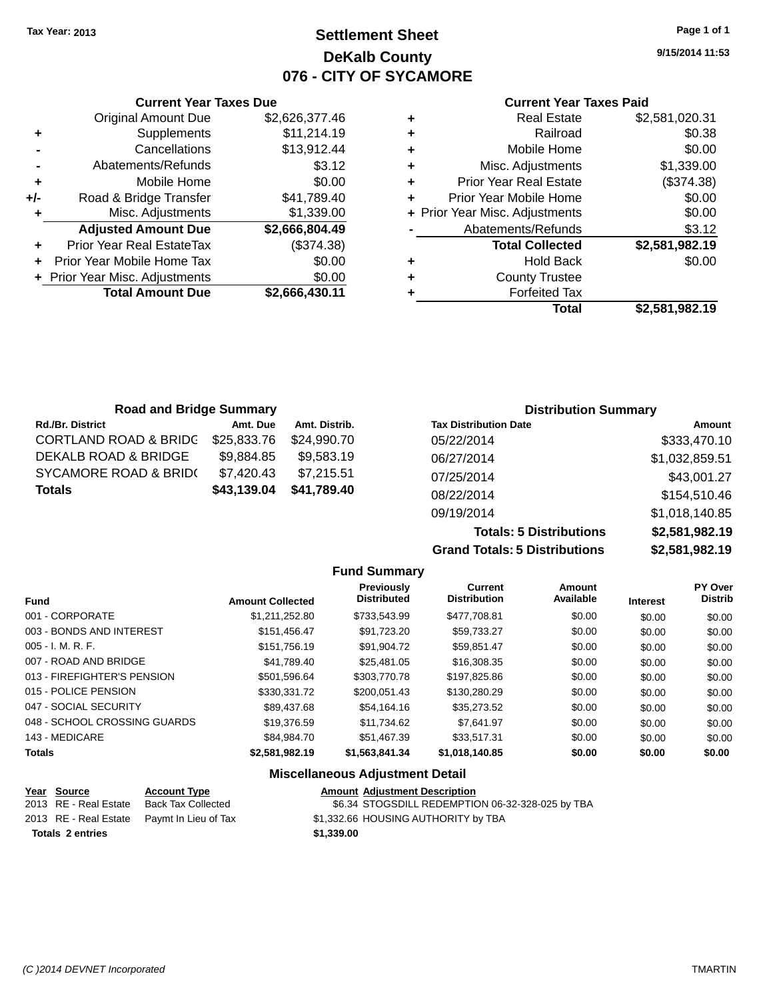### **Settlement Sheet Tax Year: 2013 Page 1 of 1 DeKalb County 076 - CITY OF SYCAMORE**

**9/15/2014 11:53**

#### **Current Year Taxes Paid**

|     | <b>Current Year Taxes Due</b>  |                |
|-----|--------------------------------|----------------|
|     | <b>Original Amount Due</b>     | \$2,626,377.46 |
| ٠   | Supplements                    | \$11,214.19    |
|     | Cancellations                  | \$13,912.44    |
|     | Abatements/Refunds             | \$3.12         |
| ٠   | Mobile Home                    | \$0.00         |
| +/- | Road & Bridge Transfer         | \$41,789.40    |
|     | Misc. Adjustments              | \$1,339.00     |
|     | <b>Adjusted Amount Due</b>     | \$2,666,804.49 |
|     | Prior Year Real EstateTax      | (\$374.38)     |
|     | Prior Year Mobile Home Tax     | \$0.00         |
|     | + Prior Year Misc. Adjustments | \$0.00         |
|     | <b>Total Amount Due</b>        | \$2,666,430.11 |
|     |                                |                |

|   | <b>Real Estate</b>             | \$2,581,020.31 |
|---|--------------------------------|----------------|
| ٠ | Railroad                       | \$0.38         |
| ٠ | Mobile Home                    | \$0.00         |
| ٠ | Misc. Adjustments              | \$1,339.00     |
| ٠ | <b>Prior Year Real Estate</b>  | (\$374.38)     |
| ÷ | Prior Year Mobile Home         | \$0.00         |
|   | + Prior Year Misc. Adjustments | \$0.00         |
|   | Abatements/Refunds             | \$3.12         |
|   | <b>Total Collected</b>         | \$2,581,982.19 |
| ٠ | Hold Back                      | \$0.00         |
| ٠ | <b>County Trustee</b>          |                |
| ٠ | <b>Forfeited Tax</b>           |                |
|   | Total                          | \$2,581,982.19 |
|   |                                |                |

| <b>Road and Bridge Summary</b>   |             |               | <b>Distribution Summary</b>  |                |  |
|----------------------------------|-------------|---------------|------------------------------|----------------|--|
| <b>Rd./Br. District</b>          | Amt. Due    | Amt. Distrib. | <b>Tax Distribution Date</b> | Amount         |  |
| <b>CORTLAND ROAD &amp; BRIDC</b> | \$25,833.76 | \$24,990.70   | 05/22/2014                   | \$333,470.10   |  |
| DEKALB ROAD & BRIDGE             | \$9,884.85  | \$9.583.19    | 06/27/2014                   | \$1,032,859.51 |  |
| <b>SYCAMORE ROAD &amp; BRID(</b> | \$7,420.43  | \$7,215.51    | 07/25/2014                   | \$43,001.27    |  |
| \$43,139.04<br><b>Totals</b>     | \$41,789.40 | 08/22/2014    | \$154,510.46                 |                |  |
|                                  |             |               | 09/19/2014                   | \$1,018,140.85 |  |
|                                  |             |               | Tatala: E Diatributiana      | 0.50400240     |  |

**Totals: 5 Distributions Grand Totals: 5 Distributions** 

| ŝ | \$2,581,982.19 |
|---|----------------|
| i | \$2,581,982.19 |
|   |                |
|   | DV Ough        |

|                              |                         | <b>Fund Summary</b>                         |                                       |                            |                 |                           |
|------------------------------|-------------------------|---------------------------------------------|---------------------------------------|----------------------------|-----------------|---------------------------|
| <b>Fund</b>                  | <b>Amount Collected</b> | Previously<br><b>Distributed</b>            | <b>Current</b><br><b>Distribution</b> | <b>Amount</b><br>Available | <b>Interest</b> | PY Over<br><b>Distrib</b> |
| 001 - CORPORATE              | \$1,211,252.80          | \$733,543.99                                | \$477,708.81                          | \$0.00                     | \$0.00          | \$0.00                    |
| 003 - BONDS AND INTEREST     | \$151,456.47            | \$91,723.20                                 | \$59,733.27                           | \$0.00                     | \$0.00          | \$0.00                    |
| $005 - I. M. R. F.$          | \$151.756.19            | \$91.904.72                                 | \$59.851.47                           | \$0.00                     | \$0.00          | \$0.00                    |
| 007 - ROAD AND BRIDGE        | \$41,789.40             | \$25,481.05                                 | \$16,308.35                           | \$0.00                     | \$0.00          | \$0.00                    |
| 013 - FIREFIGHTER'S PENSION  | \$501.596.64            | \$303,770.78                                | \$197.825.86                          | \$0.00                     | \$0.00          | \$0.00                    |
| 015 - POLICE PENSION         | \$330,331.72            | \$200.051.43                                | \$130,280.29                          | \$0.00                     | \$0.00          | \$0.00                    |
| 047 - SOCIAL SECURITY        | \$89,437.68             | \$54.164.16                                 | \$35,273.52                           | \$0.00                     | \$0.00          | \$0.00                    |
| 048 - SCHOOL CROSSING GUARDS | \$19,376.59             | \$11.734.62                                 | \$7.641.97                            | \$0.00                     | \$0.00          | \$0.00                    |
| 143 - MEDICARE               | \$84.984.70             | \$51,467.39                                 | \$33.517.31                           | \$0.00                     | \$0.00          | \$0.00                    |
| <b>Totals</b>                | \$2,581,982.19          | \$1,563,841.34                              | \$1,018,140.85                        | \$0.00                     | \$0.00          | \$0.00                    |
|                              |                         | <b>Missellanessen Adirectives of Betail</b> |                                       |                            |                 |                           |

#### **Miscellaneous Adjustment Detail**

| <u>Year Source</u>      | <b>Account Type</b>                        |            | <b>Amount Adjustment Description</b>             |
|-------------------------|--------------------------------------------|------------|--------------------------------------------------|
| 2013 RE - Real Estate   | Back Tax Collected                         |            | \$6.34 STOGSDILL REDEMPTION 06-32-328-025 by TBA |
|                         | 2013 RE - Real Estate Paymt In Lieu of Tax |            | \$1,332.66 HOUSING AUTHORITY by TBA              |
| <b>Totals 2 entries</b> |                                            | \$1,339,00 |                                                  |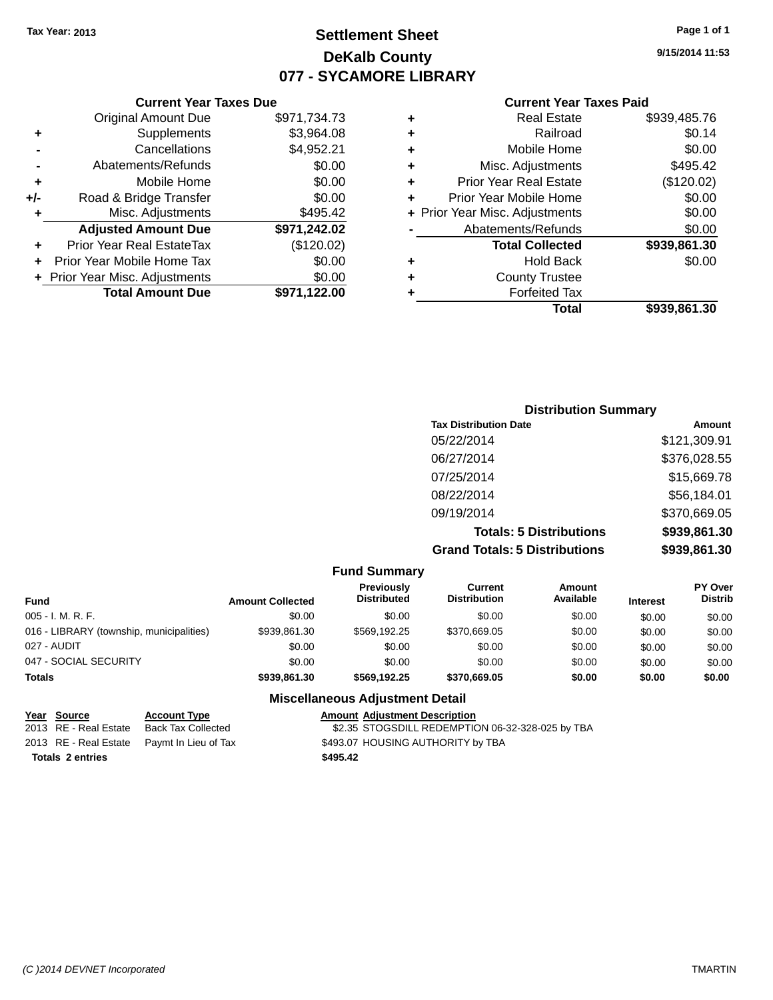### **Settlement Sheet Tax Year: 2013 Page 1 of 1 DeKalb County 077 - SYCAMORE LIBRARY**

**9/15/2014 11:53**

#### **Current Year Taxes Paid**

| ٠ | <b>Real Estate</b>             | \$939,485.76 |
|---|--------------------------------|--------------|
| ٠ | Railroad                       | \$0.14       |
| ٠ | Mobile Home                    | \$0.00       |
| ٠ | Misc. Adjustments              | \$495.42     |
| ٠ | <b>Prior Year Real Estate</b>  | (\$120.02)   |
| ٠ | Prior Year Mobile Home         | \$0.00       |
|   | + Prior Year Misc. Adjustments | \$0.00       |
|   | Abatements/Refunds             | \$0.00       |
|   | <b>Total Collected</b>         | \$939,861.30 |
| ٠ | <b>Hold Back</b>               | \$0.00       |
| ٠ | <b>County Trustee</b>          |              |
|   | <b>Forfeited Tax</b>           |              |
|   | Total                          | \$939.861.30 |
|   |                                |              |

#### **Current Year Taxes Due** Original Amount Due \$971,734.73 **+** Supplements \$3,964.08 **-** Cancellations \$4,952.21 **-** Abatements/Refunds \$0.00 **+** Mobile Home \$0.00 **+/-** Road & Bridge Transfer \$0.00 **+** Misc. Adjustments \$495.42 **Adjusted Amount Due \$971,242.02 +** Prior Year Real EstateTax (\$120.02) **+** Prior Year Mobile Home Tax \$0.00 **+ Prior Year Misc. Adjustments**  $$0.00$ **Total Amount Due \$971,122.00**

| <b>Distribution Summary</b>          |              |
|--------------------------------------|--------------|
| <b>Tax Distribution Date</b>         | Amount       |
| 05/22/2014                           | \$121,309.91 |
| 06/27/2014                           | \$376,028.55 |
| 07/25/2014                           | \$15,669.78  |
| 08/22/2014                           | \$56,184.01  |
| 09/19/2014                           | \$370,669.05 |
| <b>Totals: 5 Distributions</b>       | \$939,861.30 |
| <b>Grand Totals: 5 Distributions</b> | \$939,861.30 |

| <b>Fund Summary</b>                      |                         |                                  |                                |                            |                 |                                  |
|------------------------------------------|-------------------------|----------------------------------|--------------------------------|----------------------------|-----------------|----------------------------------|
| <b>Fund</b>                              | <b>Amount Collected</b> | Previously<br><b>Distributed</b> | Current<br><b>Distribution</b> | <b>Amount</b><br>Available | <b>Interest</b> | <b>PY Over</b><br><b>Distrib</b> |
| $005 - I. M. R. F.$                      | \$0.00                  | \$0.00                           | \$0.00                         | \$0.00                     | \$0.00          | \$0.00                           |
| 016 - LIBRARY (township, municipalities) | \$939,861.30            | \$569.192.25                     | \$370,669.05                   | \$0.00                     | \$0.00          | \$0.00                           |
| 027 - AUDIT                              | \$0.00                  | \$0.00                           | \$0.00                         | \$0.00                     | \$0.00          | \$0.00                           |
| 047 - SOCIAL SECURITY                    | \$0.00                  | \$0.00                           | \$0.00                         | \$0.00                     | \$0.00          | \$0.00                           |
| <b>Totals</b>                            | \$939,861,30            | \$569,192.25                     | \$370,669.05                   | \$0.00                     | \$0.00          | \$0.00                           |

#### **Miscellaneous Adjustment Detail**

| Year Source             | <b>Account Type</b>                        | <b>Amount Adjustment Description</b>             |
|-------------------------|--------------------------------------------|--------------------------------------------------|
| 2013 RE - Real Estate   | Back Tax Collected                         | \$2.35 STOGSDILL REDEMPTION 06-32-328-025 by TBA |
|                         | 2013 RE - Real Estate Paymt In Lieu of Tax | \$493.07 HOUSING AUTHORITY by TBA                |
| <b>Totals 2 entries</b> |                                            | \$495.42                                         |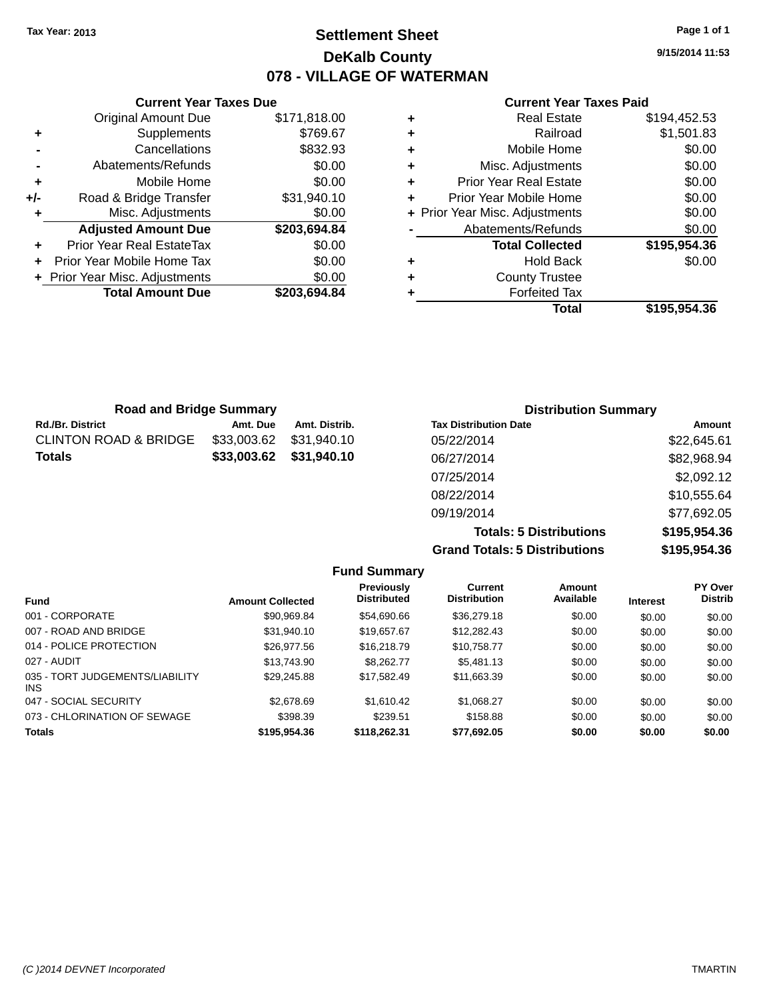### **Settlement Sheet Tax Year: 2013 Page 1 of 1 DeKalb County 078 - VILLAGE OF WATERMAN**

 $$769.67$ **-** Cancellations \$832.93  $$0.00$ 

**9/15/2014 11:53**

#### **Current Year Taxes Paid**

| ٠ | <b>Real Estate</b>             | \$194,452.53 |
|---|--------------------------------|--------------|
| ٠ | Railroad                       | \$1,501.83   |
| ÷ | Mobile Home                    | \$0.00       |
| ٠ | Misc. Adjustments              | \$0.00       |
| ٠ | <b>Prior Year Real Estate</b>  | \$0.00       |
| ÷ | Prior Year Mobile Home         | \$0.00       |
|   | + Prior Year Misc. Adjustments | \$0.00       |
|   | Abatements/Refunds             | \$0.00       |
|   | <b>Total Collected</b>         | \$195,954.36 |
| ٠ | <b>Hold Back</b>               | \$0.00       |
| ٠ | <b>County Trustee</b>          |              |
| ٠ | <b>Forfeited Tax</b>           |              |
|   | Total                          | \$195.954.36 |

| <b>Road and Bridge Summary</b>   |             |               | <b>Distribution Summary</b>  |             |
|----------------------------------|-------------|---------------|------------------------------|-------------|
| <b>Rd./Br. District</b>          | Amt. Due    | Amt. Distrib. | <b>Tax Distribution Date</b> | Amount      |
| <b>CLINTON ROAD &amp; BRIDGE</b> | \$33,003.62 | \$31,940.10   | 05/22/2014                   | \$22,645.61 |
| <b>Totals</b>                    | \$33,003.62 | \$31,940.10   | 06/27/2014                   | \$82,968.94 |
|                                  |             |               | 07/25/2014                   | \$2,092.12  |
|                                  |             |               | 08/22/2014                   | \$10,555.64 |
|                                  |             |               | 09/19/2014                   | \$77,692.05 |

**Totals: 5 Distributions \$195,954.36 Grand Totals: 5 Distributions \$195,954.36**

|                                               |                         | <b>Fund Summary</b>                     |                                       |                     |                 |                           |
|-----------------------------------------------|-------------------------|-----------------------------------------|---------------------------------------|---------------------|-----------------|---------------------------|
| <b>Fund</b>                                   | <b>Amount Collected</b> | <b>Previously</b><br><b>Distributed</b> | <b>Current</b><br><b>Distribution</b> | Amount<br>Available | <b>Interest</b> | PY Over<br><b>Distrib</b> |
| 001 - CORPORATE                               | \$90.969.84             | \$54,690.66                             | \$36,279.18                           | \$0.00              | \$0.00          | \$0.00                    |
| 007 - ROAD AND BRIDGE                         | \$31,940.10             | \$19,657.67                             | \$12,282.43                           | \$0.00              | \$0.00          | \$0.00                    |
| 014 - POLICE PROTECTION                       | \$26,977.56             | \$16,218.79                             | \$10,758.77                           | \$0.00              | \$0.00          | \$0.00                    |
| 027 - AUDIT                                   | \$13,743.90             | \$8,262,77                              | \$5,481.13                            | \$0.00              | \$0.00          | \$0.00                    |
| 035 - TORT JUDGEMENTS/LIABILITY<br><b>INS</b> | \$29,245.88             | \$17.582.49                             | \$11,663.39                           | \$0.00              | \$0.00          | \$0.00                    |
| 047 - SOCIAL SECURITY                         | \$2,678.69              | \$1,610.42                              | \$1,068.27                            | \$0.00              | \$0.00          | \$0.00                    |
| 073 - CHLORINATION OF SEWAGE                  | \$398.39                | \$239.51                                | \$158.88                              | \$0.00              | \$0.00          | \$0.00                    |
| <b>Totals</b>                                 | \$195.954.36            | \$118,262,31                            | \$77.692.05                           | \$0.00              | \$0.00          | \$0.00                    |

|                | Supplements                | \$769.67     |
|----------------|----------------------------|--------------|
| $\blacksquare$ | Cancellations              | \$832.93     |
|                | Abatements/Refunds         | \$0.00       |
| ÷              | Mobile Home                | \$0.00       |
| +/-            | Road & Bridge Transfer     | \$31,940.10  |
| ÷              | Misc. Adjustments          | \$0.00       |
|                | <b>Adjusted Amount Due</b> | \$203,694.84 |
|                | Prior Year Real EstateTax  | \$0.00       |
|                | Prior Year Mobile Home Tax | \$0.00       |

**+ Prior Year Misc. Adjustments**  $$0.00$ 

**Total Amount Due \$203,694.84**

**Current Year Taxes Due** Original Amount Due \$171,818.00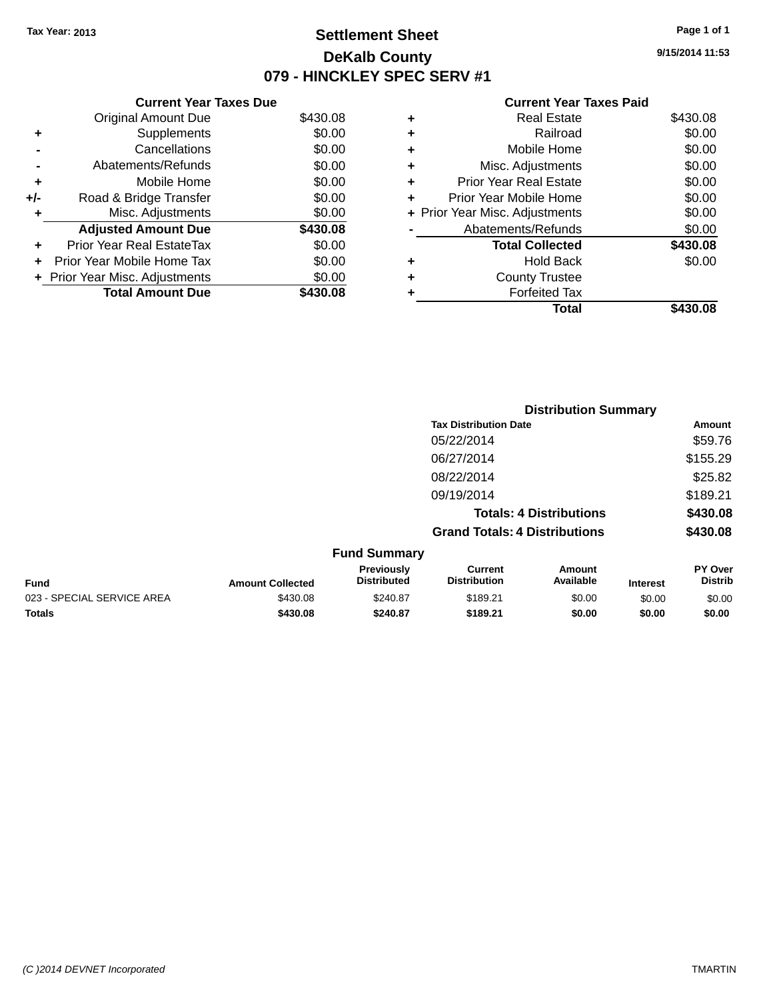### **Settlement Sheet Tax Year: 2013 Page 1 of 1 DeKalb County 079 - HINCKLEY SPEC SERV #1**

**9/15/2014 11:53**

|     | <b>Current Year Taxes Due</b>  |          |  |  |  |  |  |
|-----|--------------------------------|----------|--|--|--|--|--|
|     | <b>Original Amount Due</b>     | \$430.08 |  |  |  |  |  |
| ٠   | Supplements                    | \$0.00   |  |  |  |  |  |
|     | Cancellations                  | \$0.00   |  |  |  |  |  |
|     | Abatements/Refunds             | \$0.00   |  |  |  |  |  |
| ٠   | Mobile Home                    | \$0.00   |  |  |  |  |  |
| +/- | Road & Bridge Transfer         | \$0.00   |  |  |  |  |  |
| ٠   | Misc. Adjustments              | \$0.00   |  |  |  |  |  |
|     | <b>Adjusted Amount Due</b>     | \$430.08 |  |  |  |  |  |
| ٠   | Prior Year Real EstateTax      | \$0.00   |  |  |  |  |  |
|     | Prior Year Mobile Home Tax     | \$0.00   |  |  |  |  |  |
|     | + Prior Year Misc. Adjustments | \$0.00   |  |  |  |  |  |
|     | <b>Total Amount Due</b>        | \$430.08 |  |  |  |  |  |

| ٠ | <b>Real Estate</b>             | \$430.08 |
|---|--------------------------------|----------|
| ٠ | Railroad                       | \$0.00   |
| ٠ | Mobile Home                    | \$0.00   |
| ٠ | Misc. Adjustments              | \$0.00   |
| ٠ | <b>Prior Year Real Estate</b>  | \$0.00   |
| ÷ | Prior Year Mobile Home         | \$0.00   |
|   | + Prior Year Misc. Adjustments | \$0.00   |
|   | Abatements/Refunds             | \$0.00   |
|   | <b>Total Collected</b>         | \$430.08 |
| ٠ | Hold Back                      | \$0.00   |
| ٠ | <b>County Trustee</b>          |          |
| ٠ | <b>Forfeited Tax</b>           |          |
|   | Total                          | \$430.08 |
|   |                                |          |

|                            |                         |                                  |                                       | <b>Distribution Summary</b>    |                 |                           |
|----------------------------|-------------------------|----------------------------------|---------------------------------------|--------------------------------|-----------------|---------------------------|
|                            |                         |                                  | <b>Tax Distribution Date</b>          |                                |                 | <b>Amount</b>             |
|                            |                         |                                  | 05/22/2014                            |                                |                 | \$59.76                   |
|                            |                         |                                  | 06/27/2014                            |                                |                 | \$155.29                  |
|                            |                         |                                  | 08/22/2014                            |                                |                 | \$25.82                   |
|                            |                         |                                  | 09/19/2014                            |                                |                 | \$189.21                  |
|                            |                         |                                  |                                       | <b>Totals: 4 Distributions</b> |                 | \$430.08                  |
|                            |                         |                                  | <b>Grand Totals: 4 Distributions</b>  |                                |                 | \$430.08                  |
|                            |                         | <b>Fund Summary</b>              |                                       |                                |                 |                           |
| Fund                       | <b>Amount Collected</b> | Previously<br><b>Distributed</b> | <b>Current</b><br><b>Distribution</b> | Amount<br>Available            | <b>Interest</b> | PY Over<br><b>Distrib</b> |
| 023 - SPECIAL SERVICE AREA | \$430.08                | \$240.87                         | \$189.21                              | \$0.00                         | \$0.00          | \$0.00                    |
| <b>Totals</b>              | \$430.08                | \$240.87                         | \$189.21                              | \$0.00                         | \$0.00          | \$0.00                    |
|                            |                         |                                  |                                       |                                |                 |                           |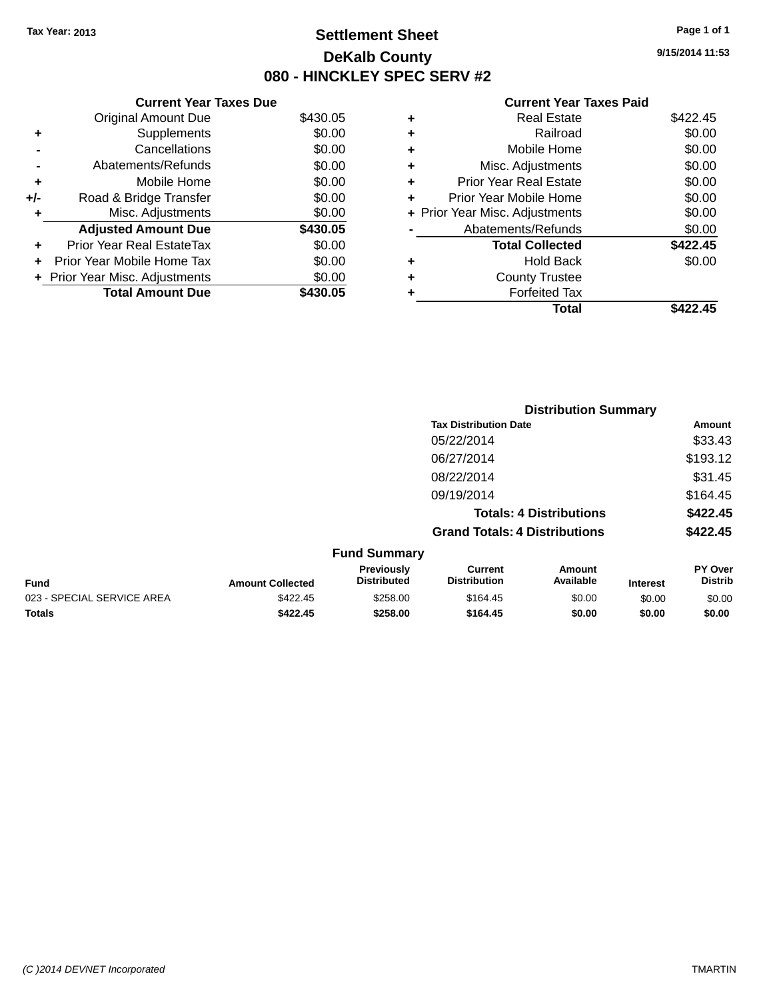### **Settlement Sheet Tax Year: 2013 Page 1 of 1 DeKalb County 080 - HINCKLEY SPEC SERV #2**

**9/15/2014 11:53**

| \$430.05 |
|----------|
|          |
| \$0.00   |
| \$0.00   |
| \$0.00   |
| \$0.00   |
| \$0.00   |
| \$0.00   |
| \$430.05 |
| \$0.00   |
| \$0.00   |
| \$0.00   |
| \$430.05 |
|          |

| ٠ | <b>Real Estate</b>             | \$422.45 |
|---|--------------------------------|----------|
| ٠ | Railroad                       | \$0.00   |
| ٠ | Mobile Home                    | \$0.00   |
| ٠ | Misc. Adjustments              | \$0.00   |
| ٠ | <b>Prior Year Real Estate</b>  | \$0.00   |
| ÷ | Prior Year Mobile Home         | \$0.00   |
|   | + Prior Year Misc. Adjustments | \$0.00   |
|   | Abatements/Refunds             | \$0.00   |
|   | <b>Total Collected</b>         | \$422.45 |
| ٠ | Hold Back                      | \$0.00   |
| ٠ | <b>County Trustee</b>          |          |
| ٠ | <b>Forfeited Tax</b>           |          |
|   | Total                          | \$422.45 |
|   |                                |          |

|                            |                         |                                  |                                       | <b>Distribution Summary</b>    |                 |                           |
|----------------------------|-------------------------|----------------------------------|---------------------------------------|--------------------------------|-----------------|---------------------------|
|                            |                         |                                  | <b>Tax Distribution Date</b>          |                                |                 | <b>Amount</b>             |
|                            |                         |                                  | 05/22/2014                            |                                |                 | \$33.43                   |
|                            |                         |                                  | 06/27/2014                            |                                |                 | \$193.12                  |
|                            |                         |                                  | 08/22/2014                            |                                |                 | \$31.45                   |
|                            |                         |                                  | 09/19/2014                            |                                |                 | \$164.45                  |
|                            |                         |                                  |                                       | <b>Totals: 4 Distributions</b> |                 | \$422.45                  |
|                            |                         |                                  | <b>Grand Totals: 4 Distributions</b>  |                                |                 | \$422.45                  |
|                            |                         | <b>Fund Summary</b>              |                                       |                                |                 |                           |
| <b>Fund</b>                | <b>Amount Collected</b> | Previously<br><b>Distributed</b> | <b>Current</b><br><b>Distribution</b> | Amount<br>Available            | <b>Interest</b> | PY Over<br><b>Distrib</b> |
| 023 - SPECIAL SERVICE AREA | \$422.45                | \$258.00                         | \$164.45                              | \$0.00                         | \$0.00          | \$0.00                    |
| <b>Totals</b>              | \$422.45                | \$258.00                         | \$164.45                              | \$0.00                         | \$0.00          | \$0.00                    |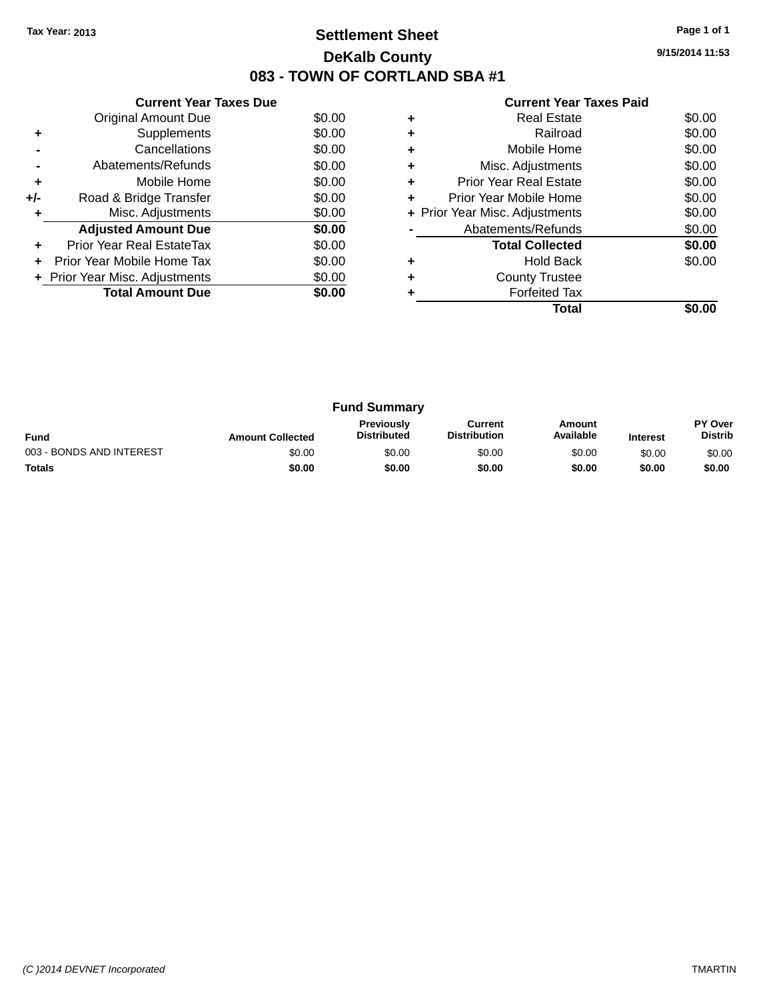### **Settlement Sheet Tax Year: 2013 Page 1 of 1 DeKalb County 083 - TOWN OF CORTLAND SBA #1**

**9/15/2014 11:53**

|  | <b>Current Year Taxes Paid</b> |  |  |  |
|--|--------------------------------|--|--|--|
|--|--------------------------------|--|--|--|

|     | <b>Current Year Taxes Due</b>  |        |
|-----|--------------------------------|--------|
|     | Original Amount Due            | \$0.00 |
| ٠   | Supplements                    | \$0.00 |
|     | Cancellations                  | \$0.00 |
|     | Abatements/Refunds             | \$0.00 |
| ٠   | Mobile Home                    | \$0.00 |
| +/- | Road & Bridge Transfer         | \$0.00 |
|     | Misc. Adjustments              | \$0.00 |
|     | <b>Adjusted Amount Due</b>     | \$0.00 |
|     | Prior Year Real EstateTax      | \$0.00 |
|     | Prior Year Mobile Home Tax     | \$0.00 |
|     | + Prior Year Misc. Adjustments | \$0.00 |
|     | <b>Total Amount Due</b>        | \$0.00 |
|     |                                |        |

|   | <b>Real Estate</b>             | \$0.00 |
|---|--------------------------------|--------|
| ٠ | Railroad                       | \$0.00 |
| ٠ | Mobile Home                    | \$0.00 |
| ٠ | Misc. Adjustments              | \$0.00 |
| ٠ | <b>Prior Year Real Estate</b>  | \$0.00 |
| ٠ | Prior Year Mobile Home         | \$0.00 |
|   | + Prior Year Misc. Adjustments | \$0.00 |
|   | Abatements/Refunds             | \$0.00 |
|   | <b>Total Collected</b>         | \$0.00 |
|   | <b>Hold Back</b>               | \$0.00 |
| ٠ | <b>County Trustee</b>          |        |
|   | <b>Forfeited Tax</b>           |        |
|   | Total                          |        |

| <b>Fund Summary</b>      |                         |                                         |                                |                     |                 |                                  |
|--------------------------|-------------------------|-----------------------------------------|--------------------------------|---------------------|-----------------|----------------------------------|
| <b>Fund</b>              | <b>Amount Collected</b> | <b>Previously</b><br><b>Distributed</b> | Current<br><b>Distribution</b> | Amount<br>Available | <b>Interest</b> | <b>PY Over</b><br><b>Distrib</b> |
| 003 - BONDS AND INTEREST | \$0.00                  | \$0.00                                  | \$0.00                         | \$0.00              | \$0.00          | \$0.00                           |
| <b>Totals</b>            | \$0.00                  | \$0.00                                  | \$0.00                         | \$0.00              | \$0.00          | \$0.00                           |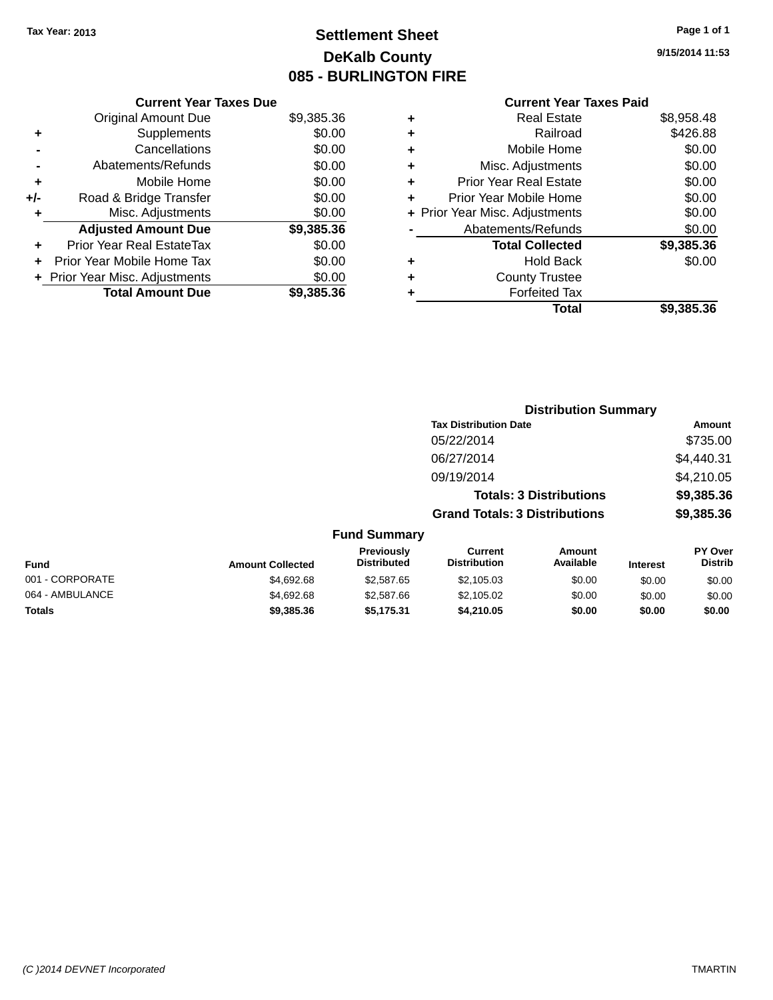### **Settlement Sheet Tax Year: 2013 Page 1 of 1 DeKalb County 085 - BURLINGTON FIRE**

**9/15/2014 11:53**

|     | <b>Current Year Taxes Due</b>  |            |
|-----|--------------------------------|------------|
|     | <b>Original Amount Due</b>     | \$9,385.36 |
| ٠   | Supplements                    | \$0.00     |
|     | Cancellations                  | \$0.00     |
|     | Abatements/Refunds             | \$0.00     |
| ٠   | Mobile Home                    | \$0.00     |
| +/- | Road & Bridge Transfer         | \$0.00     |
| ٠   | Misc. Adjustments              | \$0.00     |
|     | <b>Adjusted Amount Due</b>     | \$9,385.36 |
| ٠   | Prior Year Real EstateTax      | \$0.00     |
|     | Prior Year Mobile Home Tax     | \$0.00     |
|     | + Prior Year Misc. Adjustments | \$0.00     |
|     | <b>Total Amount Due</b>        | \$9,385.36 |
|     |                                |            |

| ٠ | <b>Real Estate</b>             | \$8,958.48 |
|---|--------------------------------|------------|
| ٠ | Railroad                       | \$426.88   |
| ٠ | Mobile Home                    | \$0.00     |
| ٠ | Misc. Adjustments              | \$0.00     |
| ٠ | <b>Prior Year Real Estate</b>  | \$0.00     |
| ÷ | Prior Year Mobile Home         | \$0.00     |
|   | + Prior Year Misc. Adjustments | \$0.00     |
|   | Abatements/Refunds             | \$0.00     |
|   | <b>Total Collected</b>         | \$9,385.36 |
| ÷ | Hold Back                      | \$0.00     |
| ٠ | <b>County Trustee</b>          |            |
| ٠ | <b>Forfeited Tax</b>           |            |
|   | Total                          | \$9,385.36 |
|   |                                |            |

|                  |                                         |                                      | <b>Distribution Summary</b>    |                 |                                  |
|------------------|-----------------------------------------|--------------------------------------|--------------------------------|-----------------|----------------------------------|
|                  |                                         | <b>Tax Distribution Date</b>         |                                |                 | Amount                           |
|                  |                                         | 05/22/2014                           |                                |                 | \$735.00                         |
|                  |                                         | 06/27/2014                           |                                |                 | \$4,440.31                       |
|                  |                                         | 09/19/2014                           |                                |                 | \$4,210.05                       |
|                  |                                         |                                      | <b>Totals: 3 Distributions</b> |                 | \$9,385.36                       |
|                  |                                         | <b>Grand Totals: 3 Distributions</b> |                                |                 | \$9,385.36                       |
|                  | <b>Fund Summary</b>                     |                                      |                                |                 |                                  |
| <b>Collected</b> | <b>Previously</b><br><b>Distributed</b> | Current<br><b>Distribution</b>       | Amount<br>Available            | <b>Interest</b> | <b>PY Over</b><br><b>Distrib</b> |

| <b>Fund</b>     | <b>Amount Collected</b> | <b>Previously</b><br><b>Distributed</b> | Current<br><b>Distribution</b> | Amount<br>Available | <b>Interest</b> | <b>PY Over</b><br><b>Distrib</b> |
|-----------------|-------------------------|-----------------------------------------|--------------------------------|---------------------|-----------------|----------------------------------|
| 001 - CORPORATE | \$4,692.68              | \$2,587.65                              | \$2,105.03                     | \$0.00              | \$0.00          | \$0.00                           |
| 064 - AMBULANCE | \$4,692,68              | \$2,587.66                              | \$2,105.02                     | \$0.00              | \$0.00          | \$0.00                           |
| <b>Totals</b>   | \$9,385,36              | \$5.175.31                              | \$4.210.05                     | \$0.00              | \$0.00          | \$0.00                           |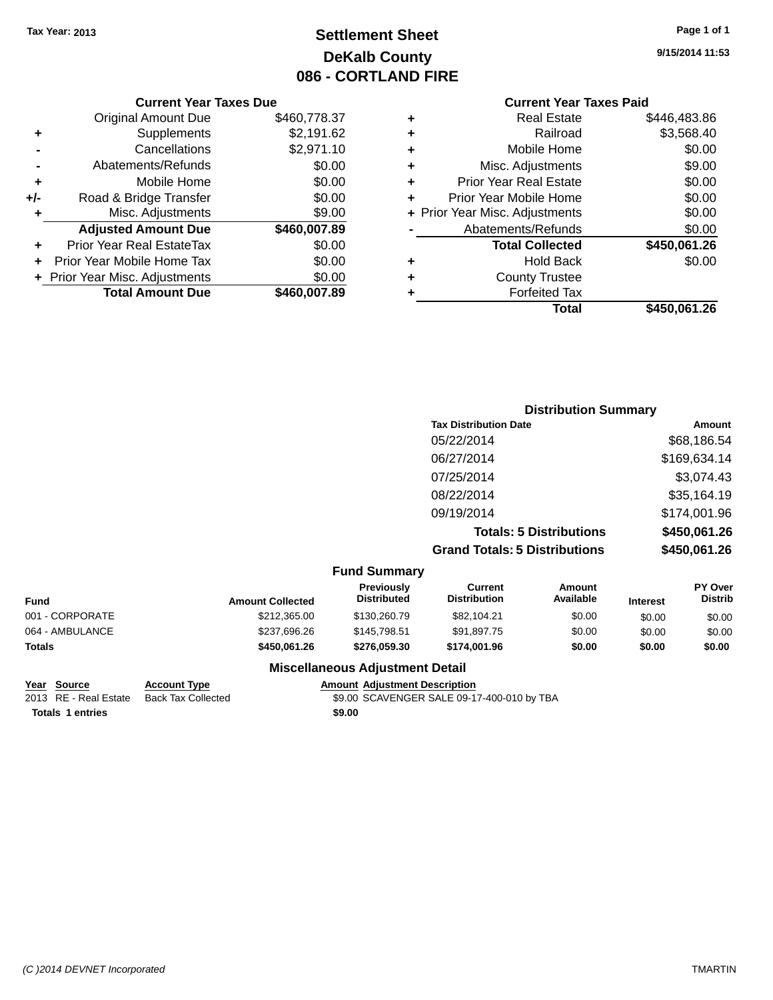### **Settlement Sheet Tax Year: 2013 Page 1 of 1 DeKalb County 086 - CORTLAND FIRE**

#### **Current Year Taxes Due**

|     | <b>Original Amount Due</b>     | \$460,778.37 |
|-----|--------------------------------|--------------|
| ٠   | Supplements                    | \$2,191.62   |
|     | Cancellations                  | \$2,971.10   |
|     | Abatements/Refunds             | \$0.00       |
| ٠   | Mobile Home                    | \$0.00       |
| +/- | Road & Bridge Transfer         | \$0.00       |
| ٠   | Misc. Adjustments              | \$9.00       |
|     | <b>Adjusted Amount Due</b>     | \$460,007.89 |
|     | Prior Year Real EstateTax      | \$0.00       |
|     | Prior Year Mobile Home Tax     | \$0.00       |
|     | + Prior Year Misc. Adjustments | \$0.00       |
|     | <b>Total Amount Due</b>        | \$460,007.89 |

### **Current Year Taxes Paid**

| ٠ | <b>Real Estate</b>             | \$446,483.86 |
|---|--------------------------------|--------------|
| ٠ | Railroad                       | \$3,568.40   |
| ٠ | Mobile Home                    | \$0.00       |
| ٠ | Misc. Adjustments              | \$9.00       |
| ٠ | <b>Prior Year Real Estate</b>  | \$0.00       |
| ٠ | Prior Year Mobile Home         | \$0.00       |
|   | + Prior Year Misc. Adjustments | \$0.00       |
|   | Abatements/Refunds             | \$0.00       |
|   | <b>Total Collected</b>         | \$450,061.26 |
| ٠ | <b>Hold Back</b>               | \$0.00       |
| ٠ | <b>County Trustee</b>          |              |
| ٠ | <b>Forfeited Tax</b>           |              |
|   | Total                          | \$450,061.26 |
|   |                                |              |

### **Distribution Summary Tax Distribution Date Amount** 05/22/2014 \$68,186.54 06/27/2014 \$169,634.14 07/25/2014 \$3,074.43 08/22/2014 \$35,164.19 09/19/2014 \$174,001.96 **Totals: 5 Distributions \$450,061.26 Grand Totals: 5 Distributions \$450,061.26**

| <b>Fund Summary</b> |                         |                                  |                                |                            |                 |                                  |
|---------------------|-------------------------|----------------------------------|--------------------------------|----------------------------|-----------------|----------------------------------|
| <b>Fund</b>         | <b>Amount Collected</b> | <b>Previously</b><br>Distributed | Current<br><b>Distribution</b> | <b>Amount</b><br>Available | <b>Interest</b> | <b>PY Over</b><br><b>Distrib</b> |
| 001 - CORPORATE     | \$212,365,00            | \$130,260.79                     | \$82,104.21                    | \$0.00                     | \$0.00          | \$0.00                           |
| 064 - AMBULANCE     | \$237,696.26            | \$145,798.51                     | \$91,897.75                    | \$0.00                     | \$0.00          | \$0.00                           |
| <b>Totals</b>       | \$450.061.26            | \$276.059.30                     | \$174.001.96                   | \$0.00                     | \$0.00          | \$0.00                           |
|                     |                         |                                  |                                |                            |                 |                                  |

### **Miscellaneous Adjustment Detail**

## **Year Source Account Type Amount Adjustment Description**

\$9.00 SCAVENGER SALE 09-17-400-010 by TBA **Totals 1 entries \$9.00**

**9/15/2014 11:53**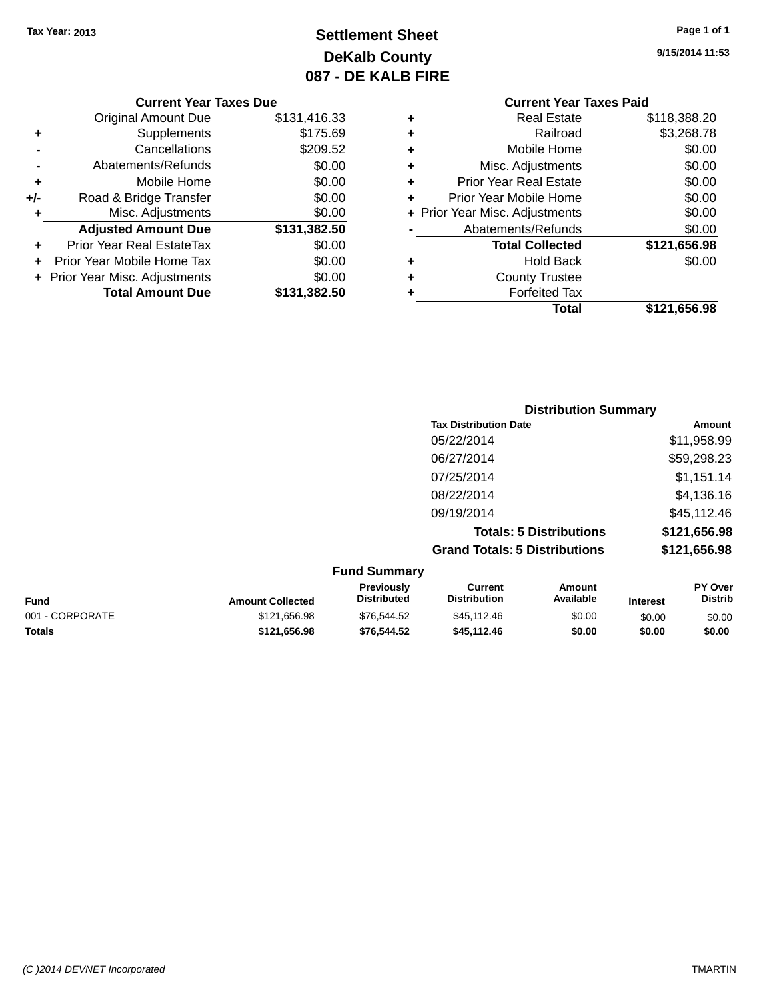### **Settlement Sheet Tax Year: 2013 Page 1 of 1 DeKalb County 087 - DE KALB FIRE**

**9/15/2014 11:53**

| <b>Current Year Taxes Due</b> |  |  |
|-------------------------------|--|--|
|                               |  |  |

|     | <b>Original Amount Due</b>     | \$131,416.33 |
|-----|--------------------------------|--------------|
| ٠   | Supplements                    | \$175.69     |
|     | Cancellations                  | \$209.52     |
|     | Abatements/Refunds             | \$0.00       |
| ٠   | Mobile Home                    | \$0.00       |
| +/- | Road & Bridge Transfer         | \$0.00       |
| ٠   | Misc. Adjustments              | \$0.00       |
|     | <b>Adjusted Amount Due</b>     | \$131,382.50 |
| ÷   | Prior Year Real EstateTax      | \$0.00       |
|     | Prior Year Mobile Home Tax     | \$0.00       |
|     | + Prior Year Misc. Adjustments | \$0.00       |
|     | <b>Total Amount Due</b>        | \$131,382.50 |
|     |                                |              |

| ٠ | Misc. Adjustments              | \$0.00       |
|---|--------------------------------|--------------|
| ٠ | <b>Prior Year Real Estate</b>  | \$0.00       |
| ٠ | Prior Year Mobile Home         | \$0.00       |
|   | + Prior Year Misc. Adjustments | \$0.00       |
|   | Abatements/Refunds             | \$0.00       |
|   | <b>Total Collected</b>         | \$121,656.98 |
| ٠ | Hold Back                      | \$0.00       |
| ٠ | <b>County Trustee</b>          |              |
| ٠ | <b>Forfeited Tax</b>           |              |
|   |                                |              |
|   | Total                          | \$121,656.98 |

| <b>Distribution Summary</b>          |              |
|--------------------------------------|--------------|
| <b>Tax Distribution Date</b>         | Amount       |
| 05/22/2014                           | \$11,958.99  |
| 06/27/2014                           | \$59,298.23  |
| 07/25/2014                           | \$1,151.14   |
| 08/22/2014                           | \$4,136.16   |
| 09/19/2014                           | \$45,112.46  |
| <b>Totals: 5 Distributions</b>       | \$121,656.98 |
| <b>Grand Totals: 5 Distributions</b> | \$121,656.98 |

| <b>Fund Summary</b> |                         |                                  |                                |                     |                 |                    |
|---------------------|-------------------------|----------------------------------|--------------------------------|---------------------|-----------------|--------------------|
| Fund                | <b>Amount Collected</b> | Previously<br><b>Distributed</b> | Current<br><b>Distribution</b> | Amount<br>Available | <b>Interest</b> | PY Over<br>Distrib |
| 001 - CORPORATE     | \$121,656.98            | \$76,544.52                      | \$45,112.46                    | \$0.00              | \$0.00          | \$0.00             |
| <b>Totals</b>       | \$121.656.98            | \$76,544.52                      | \$45,112,46                    | \$0.00              | \$0.00          | \$0.00             |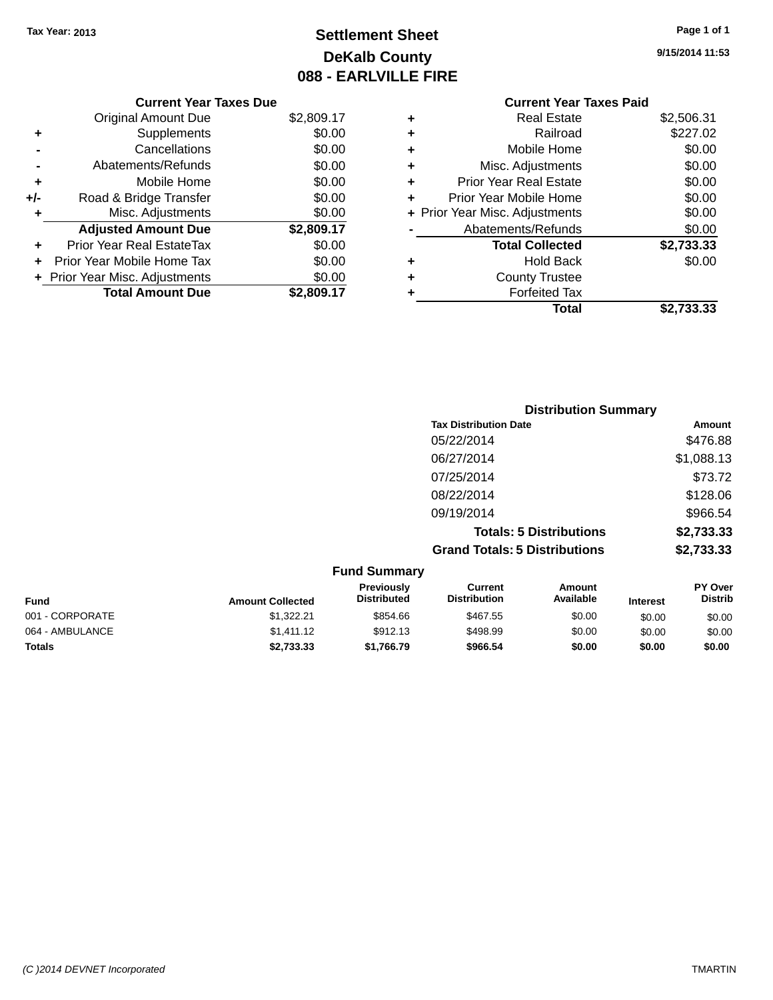### **Settlement Sheet Tax Year: 2013 Page 1 of 1 DeKalb County 088 - EARLVILLE FIRE**

**9/15/2014 11:53**

|       | <b>Current Year Taxes Due</b>  |            |
|-------|--------------------------------|------------|
|       | <b>Original Amount Due</b>     | \$2,809.17 |
| ٠     | Supplements                    | \$0.00     |
|       | Cancellations                  | \$0.00     |
|       | Abatements/Refunds             | \$0.00     |
| ÷     | Mobile Home                    | \$0.00     |
| $+/-$ | Road & Bridge Transfer         | \$0.00     |
| ٠     | Misc. Adjustments              | \$0.00     |
|       | <b>Adjusted Amount Due</b>     | \$2,809.17 |
| ÷     | Prior Year Real EstateTax      | \$0.00     |
|       | Prior Year Mobile Home Tax     | \$0.00     |
|       | + Prior Year Misc. Adjustments | \$0.00     |
|       | <b>Total Amount Due</b>        | \$2,809.17 |

|   | <b>Real Estate</b>             | \$2,506.31 |
|---|--------------------------------|------------|
| ٠ | Railroad                       | \$227.02   |
| ٠ | Mobile Home                    | \$0.00     |
| ٠ | Misc. Adjustments              | \$0.00     |
| ٠ | <b>Prior Year Real Estate</b>  | \$0.00     |
| ÷ | Prior Year Mobile Home         | \$0.00     |
|   | + Prior Year Misc. Adjustments | \$0.00     |
|   | Abatements/Refunds             | \$0.00     |
|   | <b>Total Collected</b>         | \$2,733.33 |
| ٠ | <b>Hold Back</b>               | \$0.00     |
| ٠ | <b>County Trustee</b>          |            |
| ٠ | <b>Forfeited Tax</b>           |            |
|   | Total                          | \$2,733.33 |

| <b>Distribution Summary</b>          |            |
|--------------------------------------|------------|
| <b>Tax Distribution Date</b>         | Amount     |
| 05/22/2014                           | \$476.88   |
| 06/27/2014                           | \$1,088.13 |
| 07/25/2014                           | \$73.72    |
| 08/22/2014                           | \$128.06   |
| 09/19/2014                           | \$966.54   |
| <b>Totals: 5 Distributions</b>       | \$2,733.33 |
| <b>Grand Totals: 5 Distributions</b> | \$2,733.33 |

|                 |                         | <b>Fund Summary</b>              |                                       |                     |                 |                           |
|-----------------|-------------------------|----------------------------------|---------------------------------------|---------------------|-----------------|---------------------------|
| <b>Fund</b>     | <b>Amount Collected</b> | Previously<br><b>Distributed</b> | <b>Current</b><br><b>Distribution</b> | Amount<br>Available | <b>Interest</b> | PY Over<br><b>Distrib</b> |
| 001 - CORPORATE | \$1.322.21              | \$854.66                         | \$467.55                              | \$0.00              | \$0.00          | \$0.00                    |
| 064 - AMBULANCE | \$1.411.12              | \$912.13                         | \$498.99                              | \$0.00              | \$0.00          | \$0.00                    |
| <b>Totals</b>   | \$2,733.33              | \$1,766.79                       | \$966.54                              | \$0.00              | \$0.00          | \$0.00                    |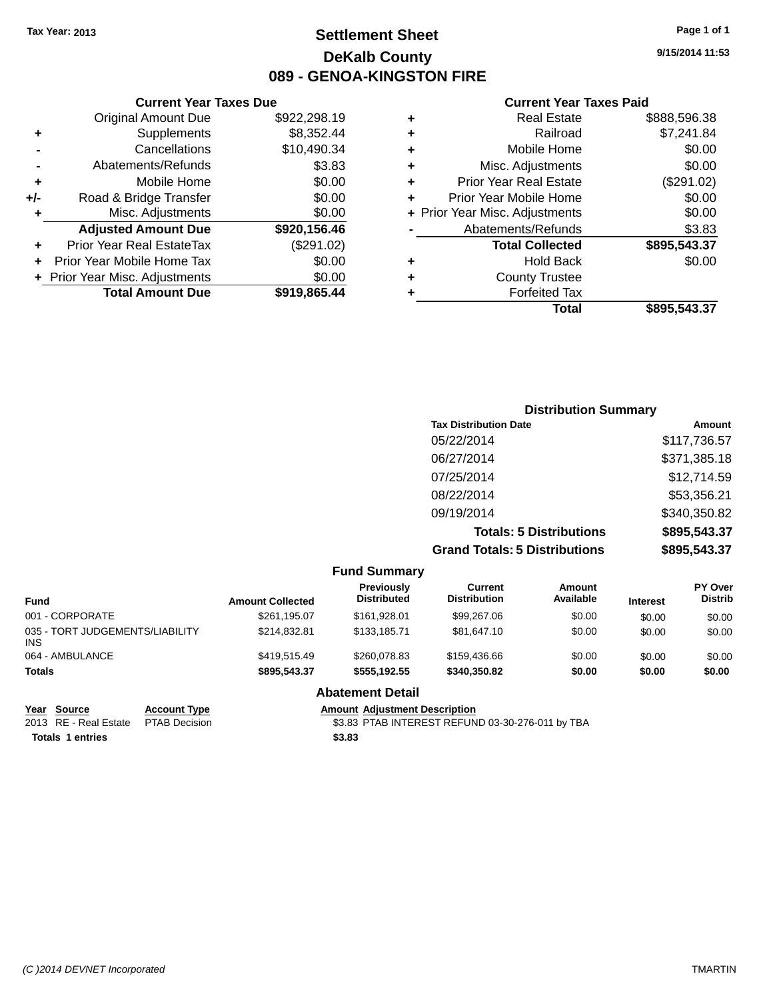### **Settlement Sheet Tax Year: 2013 Page 1 of 1 DeKalb County 089 - GENOA-KINGSTON FIRE**

**9/15/2014 11:53**

#### **Current Year Taxes Paid**

| ٠ | <b>County Trustee</b>          |              |
|---|--------------------------------|--------------|
| ٠ | <b>Hold Back</b>               | \$0.00       |
|   | <b>Total Collected</b>         | \$895,543.37 |
|   | Abatements/Refunds             | \$3.83       |
|   | + Prior Year Misc. Adjustments | \$0.00       |
| ٠ | Prior Year Mobile Home         | \$0.00       |
| ٠ | <b>Prior Year Real Estate</b>  | (\$291.02)   |
| ٠ | Misc. Adjustments              | \$0.00       |
| ٠ | Mobile Home                    | \$0.00       |
| ٠ | Railroad                       | \$7,241.84   |
| ٠ | <b>Real Estate</b>             | \$888,596.38 |
|   |                                |              |

#### **Current Year Taxes Due** Original Amount Due \$922,298.19 **+** Supplements \$8,352.44 **-** Cancellations \$10,490.34 **-** Abatements/Refunds **\$3.83 +** Mobile Home \$0.00 **+/-** Road & Bridge Transfer \$0.00 **+** Misc. Adjustments \$0.00 **Adjusted Amount Due \$920,156.46 +** Prior Year Real EstateTax (\$291.02) **+** Prior Year Mobile Home Tax \$0.00 **+ Prior Year Misc. Adjustments**  $$0.00$ **Total Amount Due \$919,865.44**

| <b>Distribution Summary</b>          |              |
|--------------------------------------|--------------|
| <b>Tax Distribution Date</b>         | Amount       |
| 05/22/2014                           | \$117,736.57 |
| 06/27/2014                           | \$371,385.18 |
| 07/25/2014                           | \$12,714.59  |
| 08/22/2014                           | \$53,356.21  |
| 09/19/2014                           | \$340,350.82 |
| <b>Totals: 5 Distributions</b>       | \$895,543.37 |
| <b>Grand Totals: 5 Distributions</b> | \$895,543.37 |

|                                               |                     |                         | <b>Fund Summary</b>                     |                                |                     |                 |                                  |
|-----------------------------------------------|---------------------|-------------------------|-----------------------------------------|--------------------------------|---------------------|-----------------|----------------------------------|
| <b>Fund</b>                                   |                     | <b>Amount Collected</b> | <b>Previously</b><br><b>Distributed</b> | Current<br><b>Distribution</b> | Amount<br>Available | <b>Interest</b> | <b>PY Over</b><br><b>Distrib</b> |
| 001 - CORPORATE                               |                     | \$261,195.07            | \$161.928.01                            | \$99,267.06                    | \$0.00              | \$0.00          | \$0.00                           |
| 035 - TORT JUDGEMENTS/LIABILITY<br><b>INS</b> |                     | \$214.832.81            | \$133,185,71                            | \$81,647.10                    | \$0.00              | \$0.00          | \$0.00                           |
| 064 - AMBULANCE                               |                     | \$419,515.49            | \$260,078.83                            | \$159,436.66                   | \$0.00              | \$0.00          | \$0.00                           |
| <b>Totals</b>                                 |                     | \$895,543.37            | \$555.192.55                            | \$340,350.82                   | \$0.00              | \$0.00          | \$0.00                           |
|                                               |                     |                         | <b>Abatement Detail</b>                 |                                |                     |                 |                                  |
| Year<br>Source                                | <b>Account Type</b> |                         | <b>Amount Adjustment Description</b>    |                                |                     |                 |                                  |

**Totals 1 entries \$3.83**

2013 RE - Real Estate PTAB Decision \$3.83 PTAB INTEREST REFUND 03-30-276-011 by TBA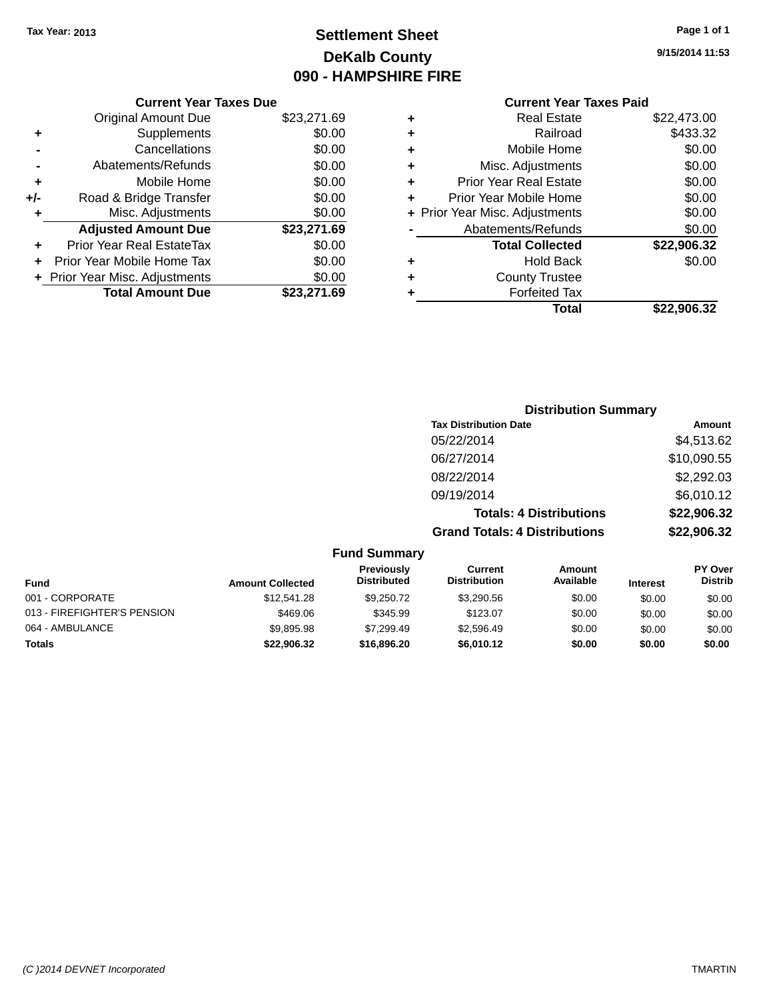### **Settlement Sheet Tax Year: 2013 Page 1 of 1 DeKalb County 090 - HAMPSHIRE FIRE**

**9/15/2014 11:53**

|     | <b>Current Year Taxes Due</b>  |             |
|-----|--------------------------------|-------------|
|     | <b>Original Amount Due</b>     | \$23,271.69 |
| ÷   | Supplements                    | \$0.00      |
|     | Cancellations                  | \$0.00      |
|     | Abatements/Refunds             | \$0.00      |
| ٠   | Mobile Home                    | \$0.00      |
| +/- | Road & Bridge Transfer         | \$0.00      |
|     | Misc. Adjustments              | \$0.00      |
|     | <b>Adjusted Amount Due</b>     | \$23,271.69 |
| ٠   | Prior Year Real EstateTax      | \$0.00      |
|     | Prior Year Mobile Home Tax     | \$0.00      |
|     | + Prior Year Misc. Adjustments | \$0.00      |
|     | <b>Total Amount Due</b>        | \$23,271.69 |
|     |                                |             |

|   | <b>Real Estate</b>             | \$22,473.00 |
|---|--------------------------------|-------------|
| ٠ | Railroad                       | \$433.32    |
| ٠ | Mobile Home                    | \$0.00      |
| ٠ | Misc. Adjustments              | \$0.00      |
| ٠ | <b>Prior Year Real Estate</b>  | \$0.00      |
| ÷ | Prior Year Mobile Home         | \$0.00      |
|   | + Prior Year Misc. Adjustments | \$0.00      |
|   | Abatements/Refunds             | \$0.00      |
|   | <b>Total Collected</b>         | \$22,906.32 |
| ٠ | <b>Hold Back</b>               | \$0.00      |
| ÷ | <b>County Trustee</b>          |             |
| ٠ | <b>Forfeited Tax</b>           |             |
|   | Total                          | \$22,906.32 |
|   |                                |             |

| <b>Distribution Summary</b>          |             |
|--------------------------------------|-------------|
| <b>Tax Distribution Date</b>         | Amount      |
| 05/22/2014                           | \$4,513.62  |
| 06/27/2014                           | \$10,090.55 |
| 08/22/2014                           | \$2,292.03  |
| 09/19/2014                           | \$6,010.12  |
| <b>Totals: 4 Distributions</b>       | \$22,906.32 |
| <b>Grand Totals: 4 Distributions</b> | \$22,906.32 |

|                             |                         | <b>Fund Summary</b>              |                                       |                     |                 |                           |
|-----------------------------|-------------------------|----------------------------------|---------------------------------------|---------------------|-----------------|---------------------------|
| <b>Fund</b>                 | <b>Amount Collected</b> | Previously<br><b>Distributed</b> | <b>Current</b><br><b>Distribution</b> | Amount<br>Available | <b>Interest</b> | PY Over<br><b>Distrib</b> |
| 001 - CORPORATE             | \$12,541.28             | \$9.250.72                       | \$3,290.56                            | \$0.00              | \$0.00          | \$0.00                    |
| 013 - FIREFIGHTER'S PENSION | \$469.06                | \$345.99                         | \$123.07                              | \$0.00              | \$0.00          | \$0.00                    |
| 064 - AMBULANCE             | \$9,895.98              | \$7.299.49                       | \$2.596.49                            | \$0.00              | \$0.00          | \$0.00                    |
| <b>Totals</b>               | \$22.906.32             | \$16,896,20                      | \$6.010.12                            | \$0.00              | \$0.00          | \$0.00                    |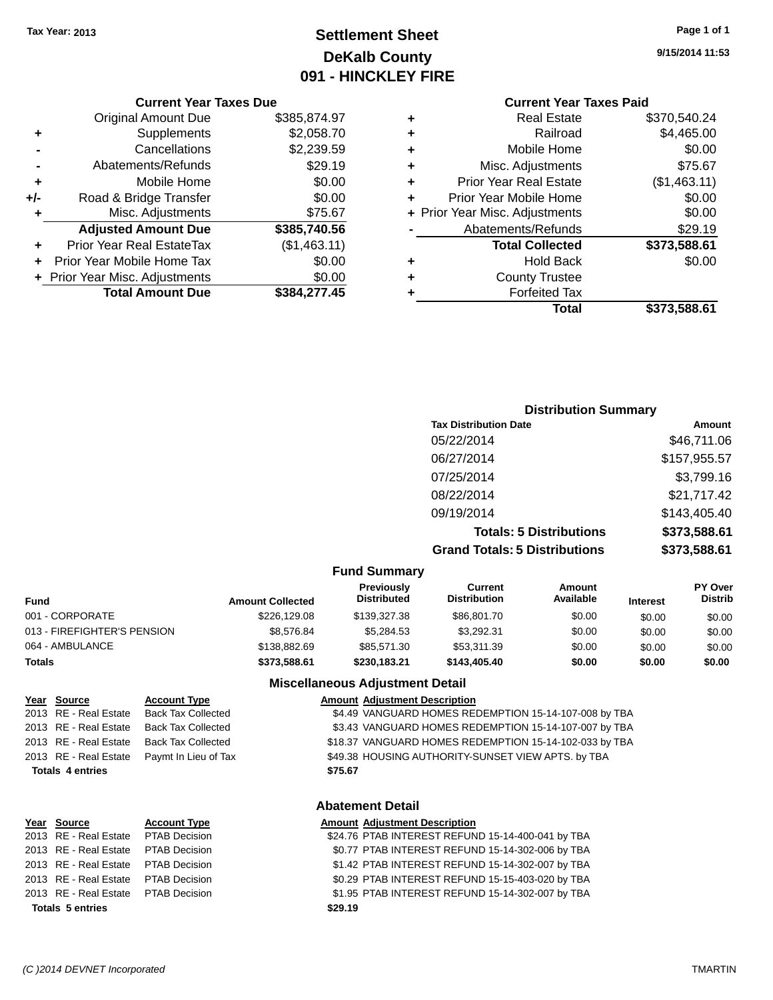### **Settlement Sheet Tax Year: 2013 Page 1 of 1 DeKalb County 091 - HINCKLEY FIRE**

**9/15/2014 11:53**

#### **Current Year Taxes Due**

|     | <b>Original Amount Due</b>       | \$385,874.97 |
|-----|----------------------------------|--------------|
| ٠   | Supplements                      | \$2,058.70   |
|     | Cancellations                    | \$2,239.59   |
|     | Abatements/Refunds               | \$29.19      |
| ٠   | Mobile Home                      | \$0.00       |
| +/- | Road & Bridge Transfer           | \$0.00       |
| ٠   | Misc. Adjustments                | \$75.67      |
|     | <b>Adjusted Amount Due</b>       | \$385,740.56 |
|     | <b>Prior Year Real EstateTax</b> | (\$1,463.11) |
|     | Prior Year Mobile Home Tax       | \$0.00       |
|     | + Prior Year Misc. Adjustments   | \$0.00       |
|     | <b>Total Amount Due</b>          | \$384,277.45 |

### **Current Year Taxes Paid**

| ٠ | <b>Real Estate</b>             | \$370,540.24 |
|---|--------------------------------|--------------|
| ٠ | Railroad                       | \$4,465.00   |
| ٠ | Mobile Home                    | \$0.00       |
| ٠ | Misc. Adjustments              | \$75.67      |
| ٠ | <b>Prior Year Real Estate</b>  | (\$1,463.11) |
| ÷ | Prior Year Mobile Home         | \$0.00       |
|   | + Prior Year Misc. Adjustments | \$0.00       |
|   | Abatements/Refunds             | \$29.19      |
|   | <b>Total Collected</b>         | \$373,588.61 |
| ٠ | <b>Hold Back</b>               | \$0.00       |
| ٠ | <b>County Trustee</b>          |              |
| ٠ | <b>Forfeited Tax</b>           |              |
|   | Total                          | \$373,588.61 |
|   |                                |              |

### **Distribution Summary Tax Distribution Date Amount** 05/22/2014 \$46,711.06 06/27/2014 \$157,955.57 07/25/2014 \$3,799.16 08/22/2014 \$21,717.42 09/19/2014 \$143,405.40 **Totals: 5 Distributions \$373,588.61 Grand Totals: 5 Distributions \$373,588.61**

| <b>Fund Summary</b>         |                         |                                  |                                       |                     |                 |                                  |
|-----------------------------|-------------------------|----------------------------------|---------------------------------------|---------------------|-----------------|----------------------------------|
| <b>Fund</b>                 | <b>Amount Collected</b> | Previously<br><b>Distributed</b> | <b>Current</b><br><b>Distribution</b> | Amount<br>Available | <b>Interest</b> | <b>PY Over</b><br><b>Distrib</b> |
| 001 - CORPORATE             | \$226,129.08            | \$139,327,38                     | \$86,801.70                           | \$0.00              | \$0.00          | \$0.00                           |
| 013 - FIREFIGHTER'S PENSION | \$8,576.84              | \$5.284.53                       | \$3.292.31                            | \$0.00              | \$0.00          | \$0.00                           |
| 064 - AMBULANCE             | \$138,882,69            | \$85.571.30                      | \$53,311.39                           | \$0.00              | \$0.00          | \$0.00                           |
| <b>Totals</b>               | \$373,588.61            | \$230,183.21                     | \$143,405,40                          | \$0.00              | \$0.00          | \$0.00                           |

**Fund Summary**

#### **Miscellaneous Adjustment Detail**

| \$4.49 VANGUARD HOMES REDEMPTION 15-14-107-008 by TBA  |
|--------------------------------------------------------|
| \$3.43 VANGUARD HOMES REDEMPTION 15-14-107-007 by TBA  |
| \$18.37 VANGUARD HOMES REDEMPTION 15-14-102-033 by TBA |
| \$49.38 HOUSING AUTHORITY-SUNSET VIEW APTS. by TBA     |
|                                                        |
|                                                        |
|                                                        |

| <b>Abatement Detail</b> |  |  |
|-------------------------|--|--|
|-------------------------|--|--|

| Year Source                         | <b>Account Type</b> | <b>Amount Adjustment Description</b>              |
|-------------------------------------|---------------------|---------------------------------------------------|
| 2013 RE - Real Estate PTAB Decision |                     | \$24.76 PTAB INTEREST REFUND 15-14-400-041 by TBA |
| 2013 RE - Real Estate PTAB Decision |                     | \$0.77 PTAB INTEREST REFUND 15-14-302-006 by TBA  |
| 2013 RE - Real Estate PTAB Decision |                     | \$1.42 PTAB INTEREST REFUND 15-14-302-007 by TBA  |
| 2013 RE - Real Estate PTAB Decision |                     | \$0.29 PTAB INTEREST REFUND 15-15-403-020 by TBA  |
| 2013 RE - Real Estate PTAB Decision |                     | \$1.95 PTAB INTEREST REFUND 15-14-302-007 by TBA  |
| <b>Totals 5 entries</b>             |                     | \$29.19                                           |
|                                     |                     |                                                   |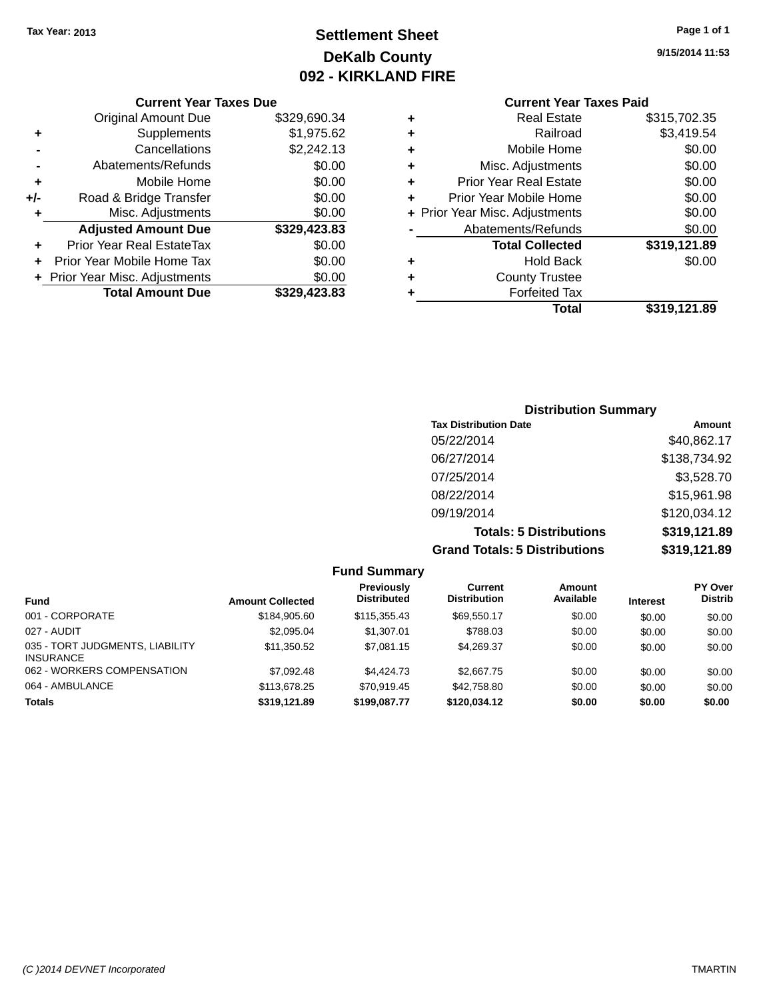### **Settlement Sheet Tax Year: 2013 Page 1 of 1 DeKalb County 092 - KIRKLAND FIRE**

**9/15/2014 11:53**

| Curr                   |   | <b>Current Year Taxes Due</b> |                                |       |
|------------------------|---|-------------------------------|--------------------------------|-------|
| Rε                     | ٠ | \$329,690.34                  | Original Amount Due            |       |
|                        | ٠ | \$1,975.62                    | Supplements                    |       |
| Mot                    | ٠ | \$2,242.13                    | Cancellations                  |       |
| Misc. Adj              | ٠ | \$0.00                        | Abatements/Refunds             |       |
| Prior Year Re          | ٠ | \$0.00                        | Mobile Home                    |       |
| Prior Year Mob         |   | \$0.00                        | Road & Bridge Transfer         | $+/-$ |
| + Prior Year Misc. Adj |   | \$0.00                        | Misc. Adjustments              |       |
| Abatements             |   | \$329,423.83                  | <b>Adjusted Amount Due</b>     |       |
| <b>Total (</b>         |   | \$0.00                        | Prior Year Real EstateTax      |       |
|                        | ٠ | \$0.00                        | Prior Year Mobile Home Tax     |       |
| Count                  | ٠ | \$0.00                        | + Prior Year Misc. Adjustments |       |
| For                    |   | \$329,423.83                  | <b>Total Amount Due</b>        |       |
|                        |   |                               |                                |       |

|   | Total                          | \$319,121.89 |
|---|--------------------------------|--------------|
|   | <b>Forfeited Tax</b>           |              |
| ٠ | <b>County Trustee</b>          |              |
| ٠ | <b>Hold Back</b>               | \$0.00       |
|   | <b>Total Collected</b>         | \$319,121.89 |
|   | Abatements/Refunds             | \$0.00       |
|   | + Prior Year Misc. Adjustments | \$0.00       |
| ÷ | Prior Year Mobile Home         | \$0.00       |
| ٠ | <b>Prior Year Real Estate</b>  | \$0.00       |
| ٠ | Misc. Adjustments              | \$0.00       |
| ٠ | Mobile Home                    | \$0.00       |
| ٠ | Railroad                       | \$3,419.54   |
| ٠ | <b>Real Estate</b>             | \$315,702.35 |
|   |                                |              |

| <b>Distribution Summary</b>          |              |
|--------------------------------------|--------------|
| <b>Tax Distribution Date</b>         | Amount       |
| 05/22/2014                           | \$40,862.17  |
| 06/27/2014                           | \$138,734.92 |
| 07/25/2014                           | \$3,528.70   |
| 08/22/2014                           | \$15,961.98  |
| 09/19/2014                           | \$120,034.12 |
| <b>Totals: 5 Distributions</b>       | \$319,121.89 |
| <b>Grand Totals: 5 Distributions</b> | \$319,121.89 |

| <b>Fund Summary</b>                                 |                         |                                         |                                       |                     |                 |                                  |
|-----------------------------------------------------|-------------------------|-----------------------------------------|---------------------------------------|---------------------|-----------------|----------------------------------|
| <b>Fund</b>                                         | <b>Amount Collected</b> | <b>Previously</b><br><b>Distributed</b> | <b>Current</b><br><b>Distribution</b> | Amount<br>Available | <b>Interest</b> | <b>PY Over</b><br><b>Distrib</b> |
| 001 - CORPORATE                                     | \$184,905.60            | \$115,355.43                            | \$69.550.17                           | \$0.00              | \$0.00          | \$0.00                           |
| 027 - AUDIT                                         | \$2,095.04              | \$1,307.01                              | \$788.03                              | \$0.00              | \$0.00          | \$0.00                           |
| 035 - TORT JUDGMENTS, LIABILITY<br><b>INSURANCE</b> | \$11.350.52             | \$7.081.15                              | \$4.269.37                            | \$0.00              | \$0.00          | \$0.00                           |
| 062 - WORKERS COMPENSATION                          | \$7,092.48              | \$4,424,73                              | \$2,667.75                            | \$0.00              | \$0.00          | \$0.00                           |
| 064 - AMBULANCE                                     | \$113,678.25            | \$70.919.45                             | \$42,758.80                           | \$0.00              | \$0.00          | \$0.00                           |
| Totals                                              | \$319,121.89            | \$199,087.77                            | \$120.034.12                          | \$0.00              | \$0.00          | \$0.00                           |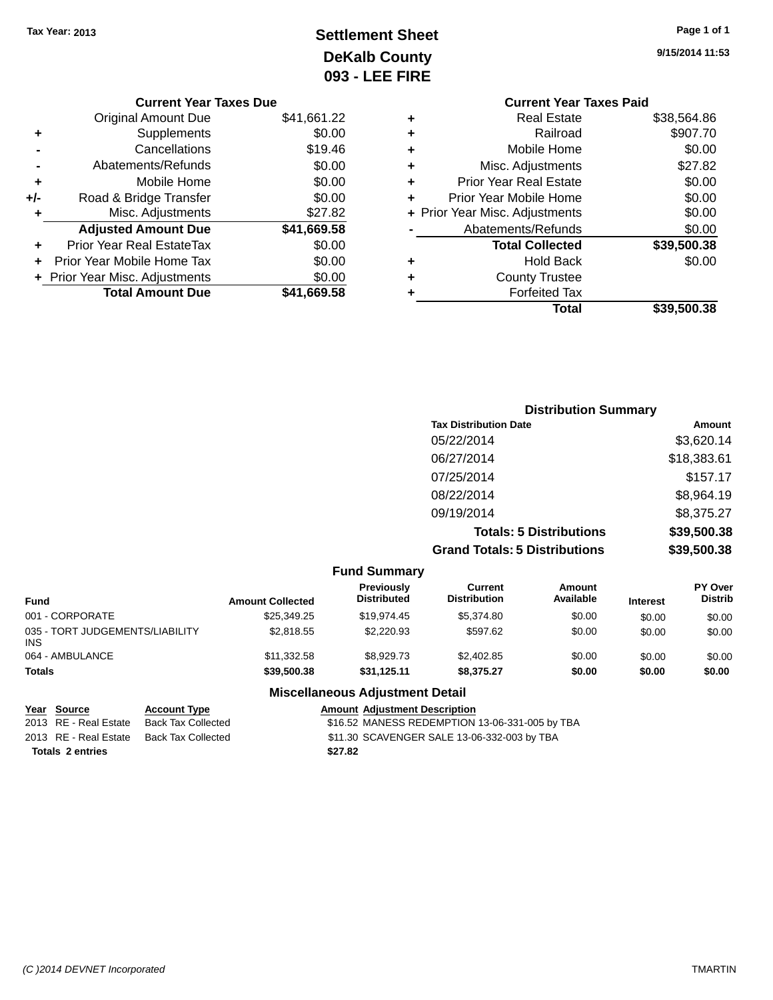## **Settlement Sheet Tax Year: 2013 Page 1 of 1 DeKalb County 093 - LEE FIRE**

|     | <b>Current Year Taxes Due</b>  |             |
|-----|--------------------------------|-------------|
|     | <b>Original Amount Due</b>     | \$41,661.22 |
| ٠   | Supplements                    | \$0.00      |
|     | Cancellations                  | \$19.46     |
|     | Abatements/Refunds             | \$0.00      |
| ٠   | Mobile Home                    | \$0.00      |
| +/- | Road & Bridge Transfer         | \$0.00      |
| ٠   | Misc. Adjustments              | \$27.82     |
|     | <b>Adjusted Amount Due</b>     | \$41,669.58 |
| ٠   | Prior Year Real EstateTax      | \$0.00      |
| ÷   | Prior Year Mobile Home Tax     | \$0.00      |
|     | + Prior Year Misc. Adjustments | \$0.00      |
|     | <b>Total Amount Due</b>        | \$41,669.58 |
|     |                                |             |

|   | <b>Current Year Taxes Paid</b> |             |
|---|--------------------------------|-------------|
| ٠ | Real Estate                    | \$38,564.86 |
| ٠ | Railroad                       | \$907.70    |
| ٠ | Mobile Home                    | \$0.00      |
| ٠ | Misc. Adjustments              | \$27.82     |
| ٠ | <b>Prior Year Real Estate</b>  | \$0.00      |
| ٠ | Prior Year Mobile Home         | \$0.00      |
|   | + Prior Year Misc. Adjustments | \$0.00      |
|   | Abatements/Refunds             | \$0.00      |
|   | <b>Total Collected</b>         | \$39,500.38 |
| ٠ | <b>Hold Back</b>               | \$0.00      |
| ٠ | <b>County Trustee</b>          |             |
|   | <b>Forfeited Tax</b>           |             |
|   | Total                          | \$39,500.38 |
|   |                                |             |

| <b>Distribution Summary</b>          |             |
|--------------------------------------|-------------|
| <b>Tax Distribution Date</b>         | Amount      |
| 05/22/2014                           | \$3,620.14  |
| 06/27/2014                           | \$18,383.61 |
| 07/25/2014                           | \$157.17    |
| 08/22/2014                           | \$8,964.19  |
| 09/19/2014                           | \$8,375.27  |
| <b>Totals: 5 Distributions</b>       | \$39,500.38 |
| <b>Grand Totals: 5 Distributions</b> | \$39,500.38 |

| <b>Fund Summary</b>                           |                         |                                  |                                |                            |                 |                           |
|-----------------------------------------------|-------------------------|----------------------------------|--------------------------------|----------------------------|-----------------|---------------------------|
| <b>Fund</b>                                   | <b>Amount Collected</b> | Previously<br><b>Distributed</b> | Current<br><b>Distribution</b> | <b>Amount</b><br>Available | <b>Interest</b> | PY Over<br><b>Distrib</b> |
| 001 - CORPORATE                               | \$25,349.25             | \$19,974.45                      | \$5.374.80                     | \$0.00                     | \$0.00          | \$0.00                    |
| 035 - TORT JUDGEMENTS/LIABILITY<br><b>INS</b> | \$2,818.55              | \$2,220.93                       | \$597.62                       | \$0.00                     | \$0.00          | \$0.00                    |
| 064 - AMBULANCE                               | \$11,332.58             | \$8,929.73                       | \$2,402.85                     | \$0.00                     | \$0.00          | \$0.00                    |
| <b>Totals</b>                                 | \$39,500,38             | \$31.125.11                      | \$8.375.27                     | \$0.00                     | \$0.00          | \$0.00                    |

#### **Miscellaneous Adjustment Detail**

#### **Year Source Account Type**<br>
2013 RE - Real Estate Back Tax Collected **Amount Adjustment Description**<br>
316.52 MANESS REDEMPTION \$16.52 MANESS REDEMPTION 13-06-331-005 by TBA 2013 RE - Real Estate Back Tax Collected \$11.30 SCAVENGER SALE 13-06-332-003 by TBA **Totals 2 entries \$27.82**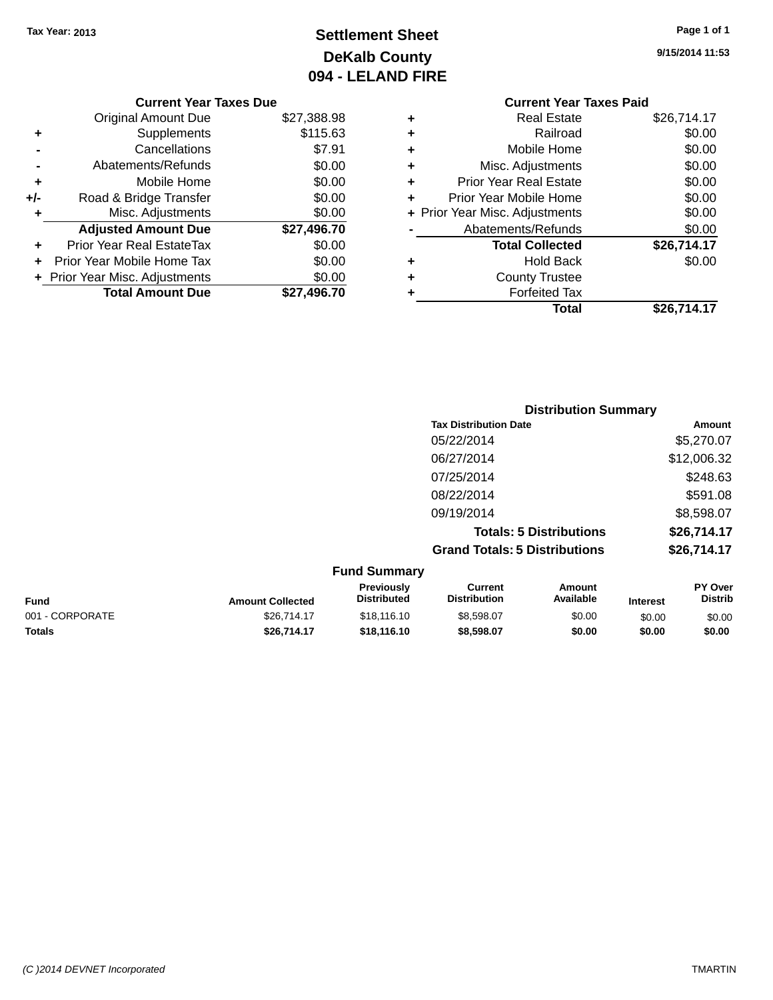## **Settlement Sheet Tax Year: 2013 Page 1 of 1 DeKalb County 094 - LELAND FIRE**

**9/15/2014 11:53**

#### **Current Year Taxes Due**

|     | <b>Original Amount Due</b>     | \$27,388.98 |
|-----|--------------------------------|-------------|
| ٠   | Supplements                    | \$115.63    |
|     | Cancellations                  | \$7.91      |
|     | Abatements/Refunds             | \$0.00      |
| ٠   | Mobile Home                    | \$0.00      |
| +/- | Road & Bridge Transfer         | \$0.00      |
|     | Misc. Adjustments              | \$0.00      |
|     | <b>Adjusted Amount Due</b>     | \$27,496.70 |
|     | Prior Year Real EstateTax      | \$0.00      |
|     | Prior Year Mobile Home Tax     | \$0.00      |
|     | + Prior Year Misc. Adjustments | \$0.00      |
|     | <b>Total Amount Due</b>        | \$27.496.70 |

#### **Current Year Taxes Paid +** Real Estate \$26,714.17 **+** Railroad \$0.00 **+** Mobile Home \$0.00 **+** Misc. Adjustments \$0.00 **+** Prior Year Real Estate \$0.00 **+** Prior Year Mobile Home \$0.00 **+ Prior Year Misc. Adjustments**  $$0.00$ **-** Abatements/Refunds \$0.00 **Total Collected \$26,714.17 +** Hold Back \$0.00 **+** County Trustee **+** Forfeited Tax **Total \$26,714.17**

| <b>Distribution Summary</b>          |             |
|--------------------------------------|-------------|
| <b>Tax Distribution Date</b>         | Amount      |
| 05/22/2014                           | \$5,270.07  |
| 06/27/2014                           | \$12,006.32 |
| 07/25/2014                           | \$248.63    |
| 08/22/2014                           | \$591.08    |
| 09/19/2014                           | \$8,598.07  |
| <b>Totals: 5 Distributions</b>       | \$26,714.17 |
| <b>Grand Totals: 5 Distributions</b> | \$26,714.17 |

|                 |                         | <b>Fund Summary</b>                     |                                |                     |                 |                           |
|-----------------|-------------------------|-----------------------------------------|--------------------------------|---------------------|-----------------|---------------------------|
| <b>Fund</b>     | <b>Amount Collected</b> | <b>Previously</b><br><b>Distributed</b> | Current<br><b>Distribution</b> | Amount<br>Available | <b>Interest</b> | PY Over<br><b>Distrib</b> |
| 001 - CORPORATE | \$26,714.17             | \$18,116,10                             | \$8.598.07                     | \$0.00              | \$0.00          | \$0.00                    |
| <b>Totals</b>   | \$26,714.17             | \$18,116,10                             | \$8.598.07                     | \$0.00              | \$0.00          | \$0.00                    |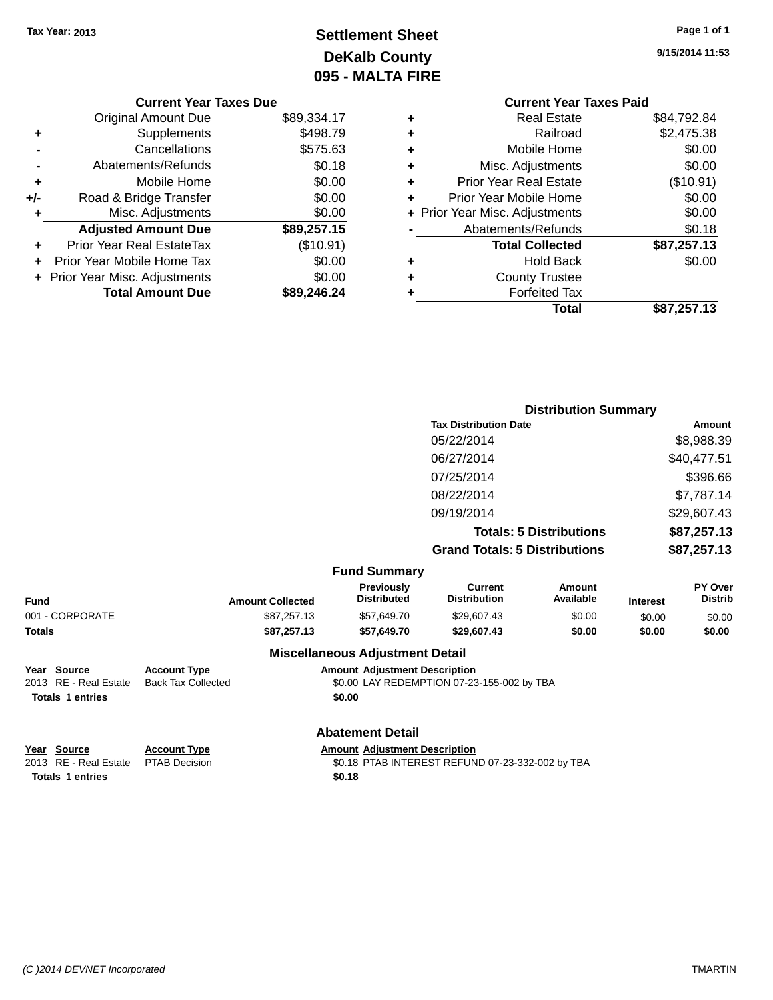## **Settlement Sheet Tax Year: 2013 Page 1 of 1 DeKalb County 095 - MALTA FIRE**

**9/15/2014 11:53**

|   | <b>Current Year Taxes Paid</b> |             |
|---|--------------------------------|-------------|
| ٠ | <b>Real Estate</b>             | \$84,792.84 |
| ٠ | Railroad                       | \$2,475.38  |
| ٠ | Mobile Home                    | \$0.00      |
| ٠ | Misc. Adjustments              | \$0.00      |
| ٠ | <b>Prior Year Real Estate</b>  | (\$10.91)   |
| ÷ | Prior Year Mobile Home         | \$0.00      |
|   | + Prior Year Misc. Adjustments | \$0.00      |
|   | Abatements/Refunds             | \$0.18      |
|   | <b>Total Collected</b>         | \$87,257.13 |
| ٠ | <b>Hold Back</b>               | \$0.00      |
| ٠ | <b>County Trustee</b>          |             |
|   | <b>Forfeited Tax</b>           |             |
|   | Total                          | \$87,257.13 |
|   |                                |             |

|     | <b>Current Year Taxes Due</b>    |             |
|-----|----------------------------------|-------------|
|     | <b>Original Amount Due</b>       | \$89,334.17 |
| ٠   | Supplements                      | \$498.79    |
|     | Cancellations                    | \$575.63    |
|     | Abatements/Refunds               | \$0.18      |
| ٠   | Mobile Home                      | \$0.00      |
| +/- | Road & Bridge Transfer           | \$0.00      |
| ٠   | Misc. Adjustments                | \$0.00      |
|     | <b>Adjusted Amount Due</b>       | \$89,257.15 |
|     | <b>Prior Year Real EstateTax</b> | (\$10.91)   |
|     | Prior Year Mobile Home Tax       | \$0.00      |
|     | + Prior Year Misc. Adjustments   | \$0.00      |
|     | <b>Total Amount Due</b>          | \$89,246,24 |

|                     | <b>Distribution Summary</b>          |             |
|---------------------|--------------------------------------|-------------|
|                     | <b>Tax Distribution Date</b>         | Amount      |
|                     | 05/22/2014                           | \$8,988.39  |
|                     | 06/27/2014                           | \$40,477.51 |
|                     | 07/25/2014                           | \$396.66    |
|                     | 08/22/2014                           | \$7,787.14  |
|                     | 09/19/2014                           | \$29,607.43 |
|                     | <b>Totals: 5 Distributions</b>       | \$87,257.13 |
|                     | <b>Grand Totals: 5 Distributions</b> | \$87,257.13 |
| <b>Fund Summary</b> |                                      |             |

|                 |                         | Funu Junimary                           |                                |                     |                 |                           |
|-----------------|-------------------------|-----------------------------------------|--------------------------------|---------------------|-----------------|---------------------------|
| Fund            | <b>Amount Collected</b> | <b>Previously</b><br><b>Distributed</b> | Current<br><b>Distribution</b> | Amount<br>Available | <b>Interest</b> | PY Over<br><b>Distrib</b> |
| 001 - CORPORATE | \$87.257.13             | \$57.649.70                             | \$29,607.43                    | \$0.00              | \$0.00          | \$0.00                    |
| Totals          | \$87,257.13             | \$57.649.70                             | \$29,607.43                    | \$0.00              | \$0.00          | \$0.00                    |
|                 |                         | Miscellaneous Adjustment Detail         |                                |                     |                 |                           |

| Year Source |                     |  |  |  |
|-------------|---------------------|--|--|--|
|             | 2013 RE - Real Esta |  |  |  |
|             | Totals 1 entries    |  |  |  |

### **Miscellaneous Adjustment Detail**

**Account Type Amount Adjustment Description** zate Back Tax Collected **\$0.00 LAY REDEMPTION 07-23-155-002 by TBA Totals 1 entries \$0.00**

#### **Abatement Detail**

**Totals 1 entries \$0.18**

**Year** Source **Account Type Account Adjustment Description** 

2013 RE - Real Estate PTAB Decision \$0.18 PTAB INTEREST REFUND 07-23-332-002 by TBA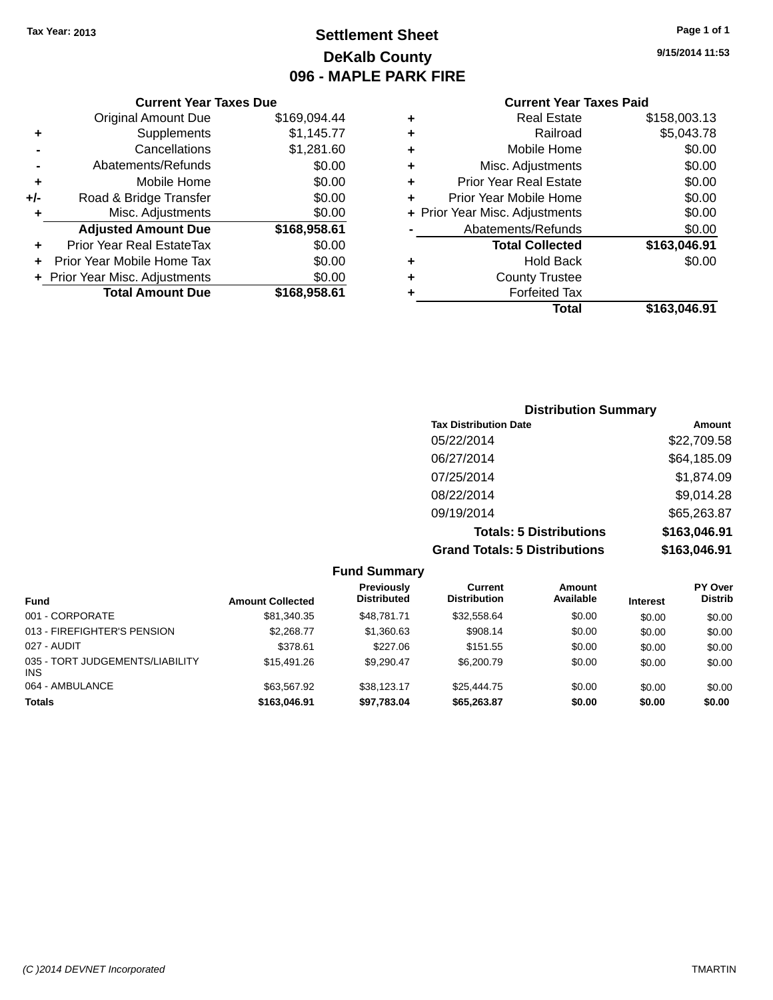### **Settlement Sheet Tax Year: 2013 Page 1 of 1 DeKalb County 096 - MAPLE PARK FIRE**

**9/15/2014 11:53**

|     | <b>Current Year Taxes Due</b>  |              |
|-----|--------------------------------|--------------|
|     | <b>Original Amount Due</b>     | \$169,094.44 |
| ٠   | Supplements                    | \$1,145.77   |
|     | Cancellations                  | \$1,281.60   |
|     | Abatements/Refunds             | \$0.00       |
| ٠   | Mobile Home                    | \$0.00       |
| +/- | Road & Bridge Transfer         | \$0.00       |
| ۰   | Misc. Adjustments              | \$0.00       |
|     | <b>Adjusted Amount Due</b>     | \$168,958.61 |
|     | Prior Year Real EstateTax      | \$0.00       |
|     | Prior Year Mobile Home Tax     | \$0.00       |
|     | + Prior Year Misc. Adjustments | \$0.00       |
|     | <b>Total Amount Due</b>        | \$168,958.61 |
|     |                                |              |

| ٠ | <b>Real Estate</b>             | \$158,003.13 |
|---|--------------------------------|--------------|
| ٠ | Railroad                       | \$5,043.78   |
| ٠ | Mobile Home                    | \$0.00       |
| ٠ | Misc. Adjustments              | \$0.00       |
| ٠ | <b>Prior Year Real Estate</b>  | \$0.00       |
| ٠ | Prior Year Mobile Home         | \$0.00       |
|   | + Prior Year Misc. Adjustments | \$0.00       |
|   | Abatements/Refunds             | \$0.00       |
|   | <b>Total Collected</b>         | \$163,046.91 |
| ٠ | <b>Hold Back</b>               | \$0.00       |
| ٠ | <b>County Trustee</b>          |              |
| ٠ | <b>Forfeited Tax</b>           |              |
|   | Total                          | \$163.046.91 |
|   |                                |              |

| <b>Distribution Summary</b>          |              |  |  |  |  |
|--------------------------------------|--------------|--|--|--|--|
| <b>Tax Distribution Date</b>         | Amount       |  |  |  |  |
| 05/22/2014                           | \$22,709.58  |  |  |  |  |
| 06/27/2014                           | \$64,185.09  |  |  |  |  |
| 07/25/2014                           | \$1,874.09   |  |  |  |  |
| 08/22/2014                           | \$9,014.28   |  |  |  |  |
| 09/19/2014                           | \$65,263.87  |  |  |  |  |
| <b>Totals: 5 Distributions</b>       | \$163,046.91 |  |  |  |  |
| <b>Grand Totals: 5 Distributions</b> | \$163,046.91 |  |  |  |  |

|                                               |                         | <b>Fund Summary</b>                     |                                |                     |                 |                                  |
|-----------------------------------------------|-------------------------|-----------------------------------------|--------------------------------|---------------------|-----------------|----------------------------------|
| <b>Fund</b>                                   | <b>Amount Collected</b> | <b>Previously</b><br><b>Distributed</b> | Current<br><b>Distribution</b> | Amount<br>Available | <b>Interest</b> | <b>PY Over</b><br><b>Distrib</b> |
| 001 - CORPORATE                               | \$81,340.35             | \$48,781,71                             | \$32,558.64                    | \$0.00              | \$0.00          | \$0.00                           |
| 013 - FIREFIGHTER'S PENSION                   | \$2,268.77              | \$1,360.63                              | \$908.14                       | \$0.00              | \$0.00          | \$0.00                           |
| 027 - AUDIT                                   | \$378.61                | \$227.06                                | \$151.55                       | \$0.00              | \$0.00          | \$0.00                           |
| 035 - TORT JUDGEMENTS/LIABILITY<br><b>INS</b> | \$15,491.26             | \$9.290.47                              | \$6,200.79                     | \$0.00              | \$0.00          | \$0.00                           |
| 064 - AMBULANCE                               | \$63.567.92             | \$38,123,17                             | \$25,444.75                    | \$0.00              | \$0.00          | \$0.00                           |
| <b>Totals</b>                                 | \$163,046.91            | \$97,783.04                             | \$65,263.87                    | \$0.00              | \$0.00          | \$0.00                           |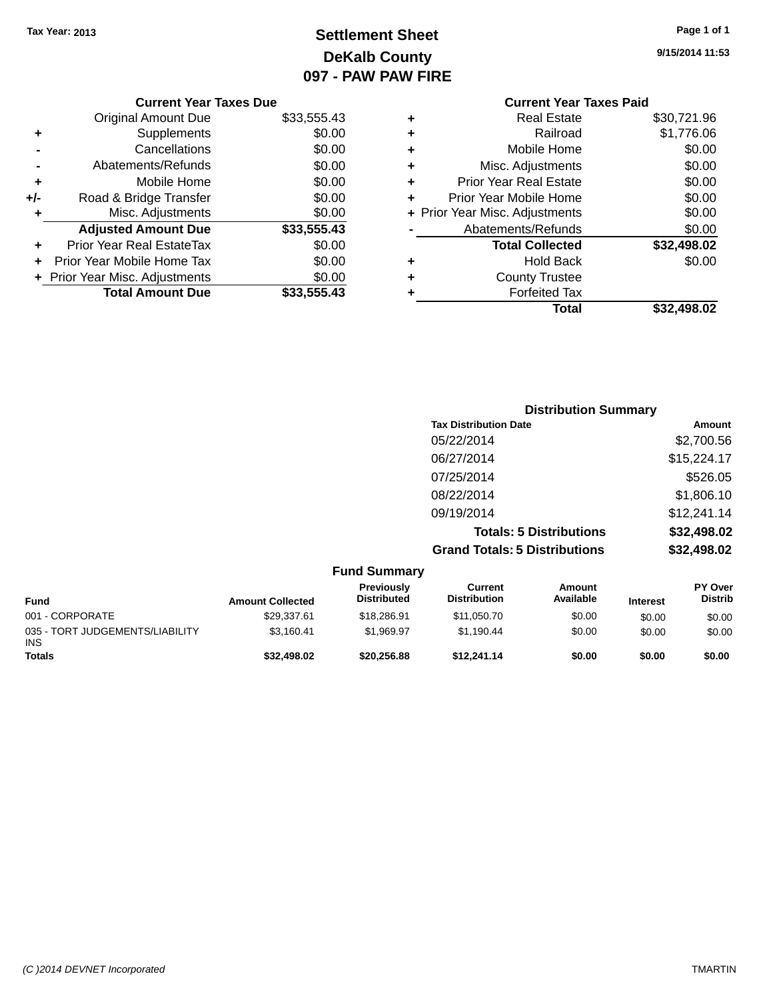### **Settlement Sheet Tax Year: 2013 Page 1 of 1 DeKalb County 097 - PAW PAW FIRE**

**9/15/2014 11:53**

|          |   | <b>Current Year Taxes Paid</b> |             |
|----------|---|--------------------------------|-------------|
| 3,555.43 | ٠ | <b>Real Estate</b>             | \$30,721.96 |
| \$0.00   | ٠ | Railroad                       | \$1,776.06  |
| \$0.00   | ٠ | Mobile Home                    | \$0.00      |
| \$0.00   | ٠ | Misc. Adjustments              | \$0.00      |
| \$0.00   | ٠ | <b>Prior Year Real Estate</b>  | \$0.00      |
| \$0.00   | ٠ | Prior Year Mobile Home         | \$0.00      |
| \$0.00   |   | + Prior Year Misc. Adjustments | \$0.00      |
| 3,555.43 |   | Abatements/Refunds             | \$0.00      |
| \$0.00   |   | <b>Total Collected</b>         | \$32,498.02 |
| \$0.00   | ٠ | <b>Hold Back</b>               | \$0.00      |
| \$0.00   | ٠ | <b>County Trustee</b>          |             |
| 3,555.43 | ٠ | <b>Forfeited Tax</b>           |             |
|          |   | Total                          | \$32,498.02 |

|     | <b>Current Year Taxes Due</b>    |             |
|-----|----------------------------------|-------------|
|     | <b>Original Amount Due</b>       | \$33,555.43 |
| ٠   | Supplements                      | \$0.00      |
|     | Cancellations                    | \$0.00      |
|     | Abatements/Refunds               | \$0.00      |
| ٠   | Mobile Home                      | \$0.00      |
| +/- | Road & Bridge Transfer           | \$0.00      |
| ٠   | Misc. Adjustments                | \$0.00      |
|     | <b>Adjusted Amount Due</b>       | \$33,555.43 |
|     | <b>Prior Year Real EstateTax</b> | \$0.00      |
|     | Prior Year Mobile Home Tax       | \$0.00      |
|     | + Prior Year Misc. Adjustments   | \$0.00      |
|     | <b>Total Amount Due</b>          | \$33.555.43 |

| <b>Distribution Summary</b>          |             |
|--------------------------------------|-------------|
| <b>Tax Distribution Date</b>         | Amount      |
| 05/22/2014                           | \$2,700.56  |
| 06/27/2014                           | \$15,224.17 |
| 07/25/2014                           | \$526.05    |
| 08/22/2014                           | \$1,806.10  |
| 09/19/2014                           | \$12,241.14 |
| <b>Totals: 5 Distributions</b>       | \$32,498.02 |
| <b>Grand Totals: 5 Distributions</b> | \$32,498.02 |

|                                               |                         | <b>Fund Summary</b>              |                                |                     |                 |                                  |
|-----------------------------------------------|-------------------------|----------------------------------|--------------------------------|---------------------|-----------------|----------------------------------|
| <b>Fund</b>                                   | <b>Amount Collected</b> | Previously<br><b>Distributed</b> | Current<br><b>Distribution</b> | Amount<br>Available | <b>Interest</b> | <b>PY Over</b><br><b>Distrib</b> |
| 001 - CORPORATE                               | \$29,337.61             | \$18,286.91                      | \$11,050.70                    | \$0.00              | \$0.00          | \$0.00                           |
| 035 - TORT JUDGEMENTS/LIABILITY<br><b>INS</b> | \$3.160.41              | \$1.969.97                       | \$1.190.44                     | \$0.00              | \$0.00          | \$0.00                           |
| <b>Totals</b>                                 | \$32,498.02             | \$20,256.88                      | \$12,241.14                    | \$0.00              | \$0.00          | \$0.00                           |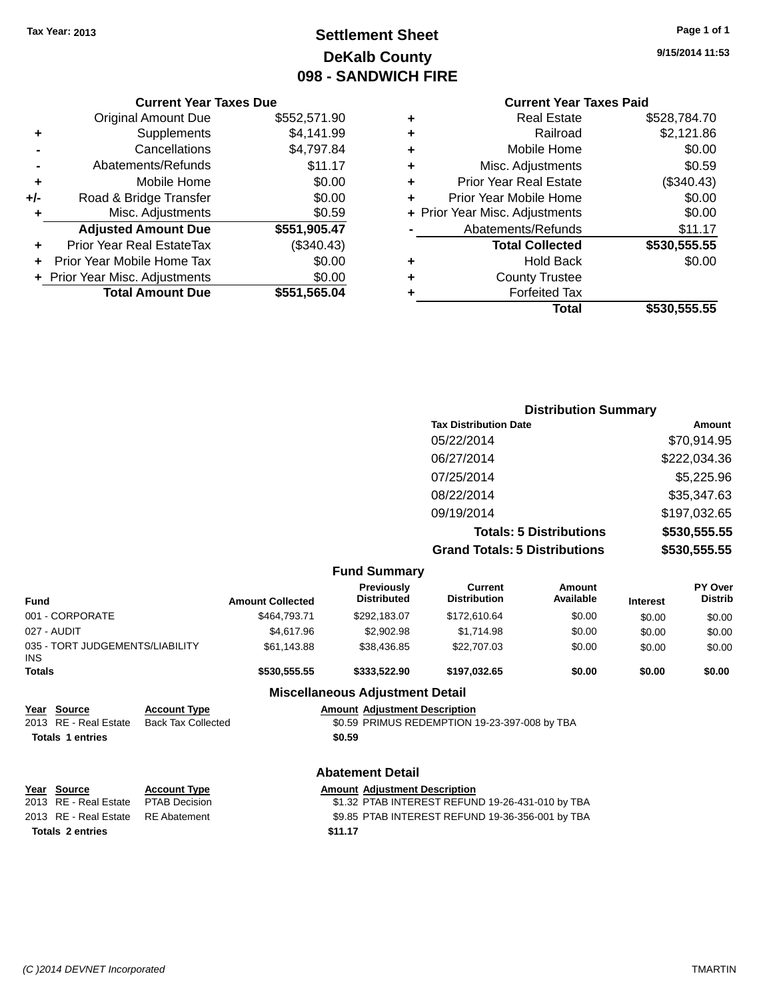**Current Year Taxes Due** Original Amount Due \$552,571.90

**Adjusted Amount Due \$551,905.47**

**Total Amount Due \$551,565.04**

**+** Supplements \$4,141.99 **-** Cancellations \$4,797.84 **-** Abatements/Refunds \$11.17 **+** Mobile Home \$0.00 **+/-** Road & Bridge Transfer \$0.00 **+** Misc. Adjustments \$0.59

**+** Prior Year Real EstateTax (\$340.43) **+** Prior Year Mobile Home Tax \$0.00 **+ Prior Year Misc. Adjustments**  $$0.00$ 

### **Settlement Sheet Tax Year: 2013 Page 1 of 1 DeKalb County 098 - SANDWICH FIRE**

**9/15/2014 11:53**

#### **Current Year Taxes Paid**

| ٠ | <b>Real Estate</b>             | \$528,784.70 |
|---|--------------------------------|--------------|
| ٠ | Railroad                       | \$2,121.86   |
| ٠ | Mobile Home                    | \$0.00       |
| ٠ | Misc. Adjustments              | \$0.59       |
| ٠ | <b>Prior Year Real Estate</b>  | (\$340.43)   |
| ÷ | Prior Year Mobile Home         | \$0.00       |
|   | + Prior Year Misc. Adjustments | \$0.00       |
|   | Abatements/Refunds             | \$11.17      |
|   | <b>Total Collected</b>         | \$530,555.55 |
| ٠ | <b>Hold Back</b>               | \$0.00       |
| ٠ | <b>County Trustee</b>          |              |
|   | <b>Forfeited Tax</b>           |              |
|   | Total                          | \$530,555.55 |

### **Distribution Summary Tax Distribution Date Amount** 05/22/2014 \$70,914.95 06/27/2014 \$222,034.36 07/25/2014 \$5,225.96 08/22/2014 \$35,347.63 09/19/2014 \$197,032.65 **Totals: 5 Distributions \$530,555.55 Grand Totals: 5 Distributions \$530,555.55**

|                                         |                                                  |                         | <b>Fund Summary</b>                    |                                                  |                            |                 |                                  |
|-----------------------------------------|--------------------------------------------------|-------------------------|----------------------------------------|--------------------------------------------------|----------------------------|-----------------|----------------------------------|
| Fund                                    |                                                  | <b>Amount Collected</b> | Previously<br><b>Distributed</b>       | Current<br><b>Distribution</b>                   | <b>Amount</b><br>Available | <b>Interest</b> | <b>PY Over</b><br><b>Distrib</b> |
| 001 - CORPORATE                         |                                                  | \$464,793.71            | \$292,183.07                           | \$172,610.64                                     | \$0.00                     | \$0.00          | \$0.00                           |
| 027 - AUDIT                             |                                                  | \$4,617.96              | \$2,902.98                             | \$1,714.98                                       | \$0.00                     | \$0.00          | \$0.00                           |
| 035 - TORT JUDGEMENTS/LIABILITY<br>INS. |                                                  | \$61,143.88             | \$38,436.85                            | \$22,707.03                                      | \$0.00                     | \$0.00          | \$0.00                           |
| Totals                                  |                                                  | \$530,555.55            | \$333,522.90                           | \$197,032.65                                     | \$0.00                     | \$0.00          | \$0.00                           |
|                                         |                                                  |                         | <b>Miscellaneous Adjustment Detail</b> |                                                  |                            |                 |                                  |
| Year Source<br>2013 RE - Real Estate    | <b>Account Type</b><br><b>Back Tax Collected</b> |                         | <b>Amount Adjustment Description</b>   | \$0.59 PRIMUS REDEMPTION 19-23-397-008 by TBA    |                            |                 |                                  |
| <b>Totals 1 entries</b>                 |                                                  |                         | \$0.59                                 |                                                  |                            |                 |                                  |
|                                         |                                                  |                         | <b>Abatement Detail</b>                |                                                  |                            |                 |                                  |
| Year Source                             | <b>Account Type</b>                              |                         | <b>Amount Adjustment Description</b>   |                                                  |                            |                 |                                  |
| 2013 RE - Real Estate                   | <b>PTAB Decision</b>                             |                         |                                        | \$1.32 PTAB INTEREST REFUND 19-26-431-010 by TBA |                            |                 |                                  |
| 2013 RE - Real Estate                   | <b>RE</b> Abatement                              |                         |                                        | \$9.85 PTAB INTEREST REFUND 19-36-356-001 by TBA |                            |                 |                                  |
| <b>Totals 2 entries</b>                 |                                                  |                         | \$11.17                                |                                                  |                            |                 |                                  |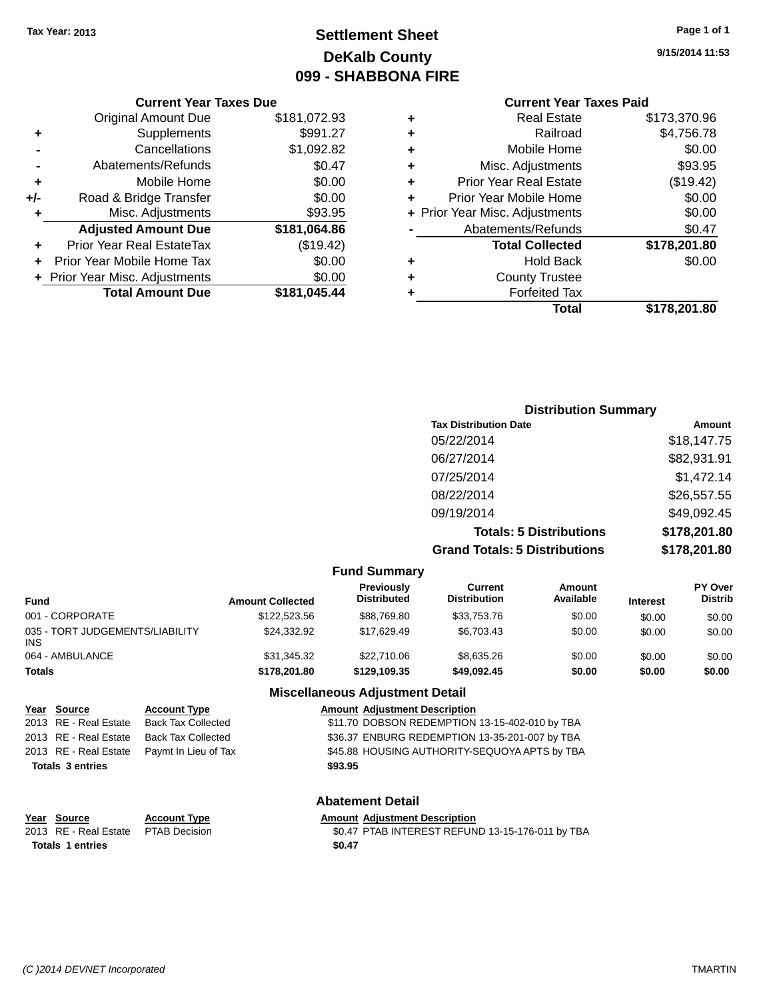### **Settlement Sheet Tax Year: 2013 Page 1 of 1 DeKalb County 099 - SHABBONA FIRE**

**9/15/2014 11:53**

### **Current Year Taxes Paid**

|     | <b>Current Year Taxes Due</b>    |              |
|-----|----------------------------------|--------------|
|     | <b>Original Amount Due</b>       | \$181,072.93 |
| ٠   | Supplements                      | \$991.27     |
|     | Cancellations                    | \$1,092.82   |
|     | Abatements/Refunds               | \$0.47       |
| ٠   | Mobile Home                      | \$0.00       |
| +/- | Road & Bridge Transfer           | \$0.00       |
| ٠   | Misc. Adjustments                | \$93.95      |
|     | <b>Adjusted Amount Due</b>       | \$181,064.86 |
| ٠   | <b>Prior Year Real EstateTax</b> | (\$19.42)    |
| ÷   | Prior Year Mobile Home Tax       | \$0.00       |
|     | + Prior Year Misc. Adjustments   | \$0.00       |
|     | <b>Total Amount Due</b>          | \$181,045.44 |
|     |                                  |              |

| ٠ | <b>Real Estate</b>             | \$173,370.96 |
|---|--------------------------------|--------------|
| ٠ | Railroad                       | \$4,756.78   |
| ٠ | Mobile Home                    | \$0.00       |
| ٠ | Misc. Adjustments              | \$93.95      |
| ٠ | <b>Prior Year Real Estate</b>  | (\$19.42)    |
| ÷ | Prior Year Mobile Home         | \$0.00       |
|   | + Prior Year Misc. Adjustments | \$0.00       |
|   | Abatements/Refunds             | \$0.47       |
|   | <b>Total Collected</b>         | \$178,201.80 |
| ٠ | <b>Hold Back</b>               | \$0.00       |
| ٠ | <b>County Trustee</b>          |              |
| ٠ | <b>Forfeited Tax</b>           |              |
|   | Total                          | \$178,201.80 |
|   |                                |              |

| <b>Distribution Summary</b>          |              |
|--------------------------------------|--------------|
| <b>Tax Distribution Date</b>         | Amount       |
| 05/22/2014                           | \$18,147.75  |
| 06/27/2014                           | \$82,931.91  |
| 07/25/2014                           | \$1,472.14   |
| 08/22/2014                           | \$26,557.55  |
| 09/19/2014                           | \$49,092.45  |
| <b>Totals: 5 Distributions</b>       | \$178,201.80 |
| <b>Grand Totals: 5 Distributions</b> | \$178,201.80 |

|                                                                                                                   |                                                                                                       |                         | <b>Fund Summary</b>                                                                                                                                                                                  |                                |                     |                 |                           |
|-------------------------------------------------------------------------------------------------------------------|-------------------------------------------------------------------------------------------------------|-------------------------|------------------------------------------------------------------------------------------------------------------------------------------------------------------------------------------------------|--------------------------------|---------------------|-----------------|---------------------------|
| <b>Fund</b>                                                                                                       |                                                                                                       | <b>Amount Collected</b> | <b>Previously</b><br><b>Distributed</b>                                                                                                                                                              | Current<br><b>Distribution</b> | Amount<br>Available | <b>Interest</b> | PY Over<br><b>Distrib</b> |
| 001 - CORPORATE                                                                                                   |                                                                                                       | \$122,523.56            | \$88,769.80                                                                                                                                                                                          | \$33,753.76                    | \$0.00              | \$0.00          | \$0.00                    |
| 035 - TORT JUDGEMENTS/LIABILITY<br><b>INS</b>                                                                     |                                                                                                       | \$24,332.92             | \$17,629.49                                                                                                                                                                                          | \$6,703.43                     | \$0.00              | \$0.00          | \$0.00                    |
| 064 - AMBULANCE                                                                                                   |                                                                                                       | \$31,345.32             | \$22,710.06                                                                                                                                                                                          | \$8,635.26                     | \$0.00              | \$0.00          | \$0.00                    |
| <b>Totals</b>                                                                                                     |                                                                                                       | \$178,201.80            | \$129,109.35                                                                                                                                                                                         | \$49,092.45                    | \$0.00              | \$0.00          | \$0.00                    |
|                                                                                                                   |                                                                                                       |                         | <b>Miscellaneous Adjustment Detail</b>                                                                                                                                                               |                                |                     |                 |                           |
| Year Source<br>2013 RE - Real Estate<br>2013 RE - Real Estate<br>2013 RE - Real Estate<br><b>Totals 3 entries</b> | <b>Account Type</b><br><b>Back Tax Collected</b><br><b>Back Tax Collected</b><br>Paymt In Lieu of Tax |                         | <b>Amount Adiustment Description</b><br>\$11.70 DOBSON REDEMPTION 13-15-402-010 by TBA<br>\$36.37 ENBURG REDEMPTION 13-35-201-007 by TBA<br>\$45.88 HOUSING AUTHORITY-SEQUOYA APTS by TBA<br>\$93.95 |                                |                     |                 |                           |
|                                                                                                                   |                                                                                                       |                         | <b>Abatement Detail</b>                                                                                                                                                                              |                                |                     |                 |                           |

Amount Adjustment Description<br>\$0.47 PTAB INTEREST REFUND 13-15-176-011 by TBA **Totals 1 entries \$0.47**

**<u>Year Source</u>**<br> **Account Type**<br> **ACCOUNTE ADDED ADDED ADDED ADDED ADDED PETAB Decision**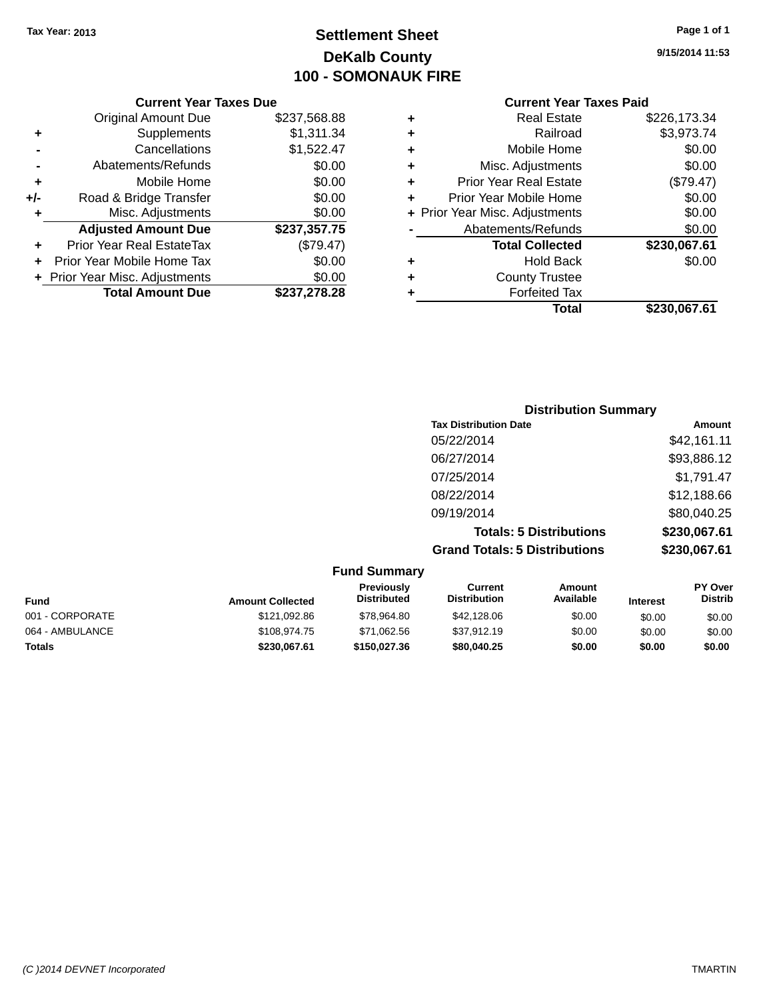### **Settlement Sheet Tax Year: 2013 Page 1 of 1 DeKalb County 100 - SOMONAUK FIRE**

**9/15/2014 11:53**

#### **Current Year Taxes Paid**

|   | <b>Real Estate</b>             | \$226,173.34 |
|---|--------------------------------|--------------|
| ٠ | Railroad                       | \$3,973.74   |
| ٠ | Mobile Home                    | \$0.00       |
| ٠ | Misc. Adjustments              | \$0.00       |
| ٠ | <b>Prior Year Real Estate</b>  | (\$79.47)    |
|   | Prior Year Mobile Home         | \$0.00       |
|   | + Prior Year Misc. Adjustments | \$0.00       |
|   | Abatements/Refunds             | \$0.00       |
|   | <b>Total Collected</b>         | \$230,067.61 |
| ٠ | <b>Hold Back</b>               | \$0.00       |
| ٠ | <b>County Trustee</b>          |              |
|   | <b>Forfeited Tax</b>           |              |
|   | Total                          | \$230.067.61 |
|   |                                |              |

| <b>Distribution Summary</b>          |              |
|--------------------------------------|--------------|
| <b>Tax Distribution Date</b>         | Amount       |
| 05/22/2014                           | \$42,161.11  |
| 06/27/2014                           | \$93,886.12  |
| 07/25/2014                           | \$1,791.47   |
| 08/22/2014                           | \$12,188.66  |
| 09/19/2014                           | \$80,040.25  |
| <b>Totals: 5 Distributions</b>       | \$230,067.61 |
| <b>Grand Totals: 5 Distributions</b> | \$230,067.61 |

|                 |                         | <b>Fund Summary</b>                     |                                |                     |                 |                           |
|-----------------|-------------------------|-----------------------------------------|--------------------------------|---------------------|-----------------|---------------------------|
| <b>Fund</b>     | <b>Amount Collected</b> | <b>Previously</b><br><b>Distributed</b> | Current<br><b>Distribution</b> | Amount<br>Available | <b>Interest</b> | PY Over<br><b>Distrib</b> |
| 001 - CORPORATE | \$121,092.86            | \$78,964.80                             | \$42,128.06                    | \$0.00              | \$0.00          | \$0.00                    |
| 064 - AMBULANCE | \$108,974.75            | \$71.062.56                             | \$37.912.19                    | \$0.00              | \$0.00          | \$0.00                    |
| <b>Totals</b>   | \$230,067.61            | \$150,027,36                            | \$80,040,25                    | \$0.00              | \$0.00          | \$0.00                    |

**Current Year Taxes Due**

|       | <b>Original Amount Due</b>       | \$237,568.88 |
|-------|----------------------------------|--------------|
| ٠     | Supplements                      | \$1,311.34   |
|       | Cancellations                    | \$1,522.47   |
|       | Abatements/Refunds               | \$0.00       |
| ٠     | Mobile Home                      | \$0.00       |
| $+/-$ | Road & Bridge Transfer           | \$0.00       |
|       | Misc. Adjustments                | \$0.00       |
|       | <b>Adjusted Amount Due</b>       | \$237,357.75 |
| ÷     | <b>Prior Year Real EstateTax</b> | (\$79.47)    |
|       | Prior Year Mobile Home Tax       | \$0.00       |
|       | + Prior Year Misc. Adjustments   | \$0.00       |
|       |                                  |              |
|       | <b>Total Amount Due</b>          | \$237,278.28 |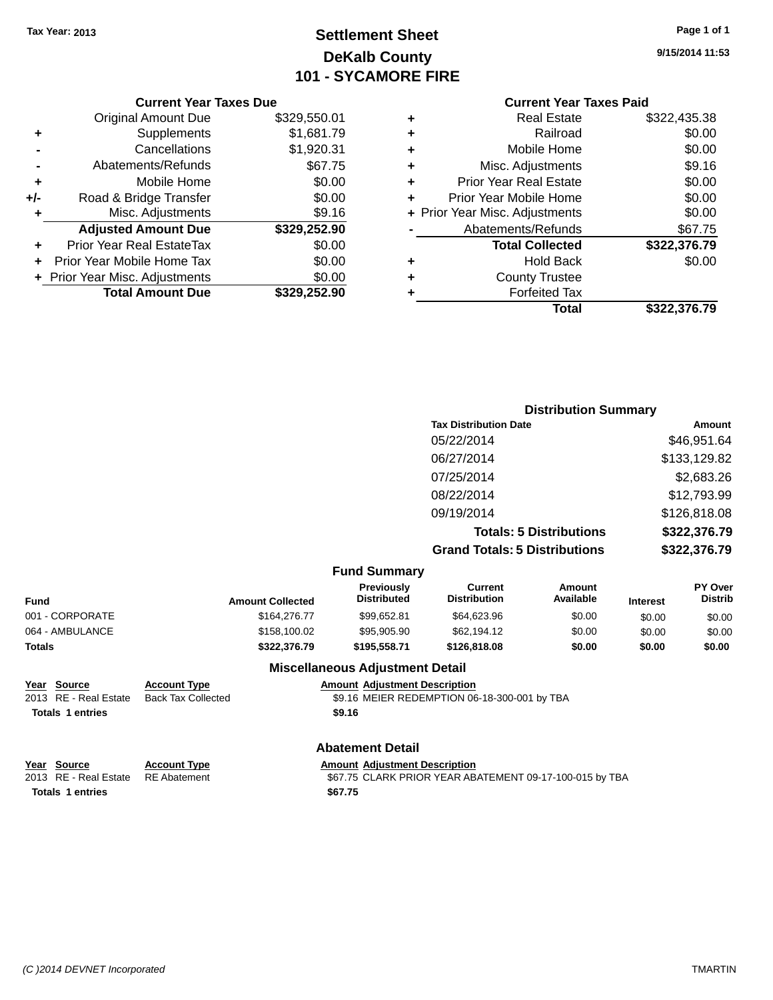**Original Amount Due** 

**Adjusted Amount Due** 

**Total Amount Due** 

**+** Supplements **-** Cancellations **-** Abatements/Refunds **+** Mobile Home **+/-** Road & Bridge Transfer **+** Misc. Adjustments

**+** Prior Year Real EstateTax \$0.00 **+** Prior Year Mobile Home Tax **+** Prior Year Misc. Adjustments

### **Settlement Sheet Tax Year: 2013 Page 1 of 1 DeKalb County 101 - SYCAMORE FIRE**

**9/15/2014 11:53**

**+** Real Estate \$322,435.38

**Total \$322,376.79**

### **Current Year Taxes Paid**

| <b>Current Year Taxes Due</b> |              |   | <b>Current Year Tax</b>        |
|-------------------------------|--------------|---|--------------------------------|
| ่<br>เl Amount Due            | \$329,550.01 | ٠ | <b>Real Estate</b>             |
| Supplements                   | \$1,681.79   | ٠ | Railroad                       |
| Cancellations                 | \$1,920.31   | ÷ | Mobile Home                    |
| าents/Refunds                 | \$67.75      | ٠ | Misc. Adjustments              |
| Mobile Home                   | \$0.00       | ٠ | <b>Prior Year Real Estate</b>  |
| ridge Transfer                | \$0.00       | ٠ | Prior Year Mobile Home         |
| . Adjustments                 | \$9.16       |   | + Prior Year Misc. Adjustments |
| <b>Amount Due</b>             | \$329,252.90 |   | Abatements/Refunds             |
| leal EstateTax≀               | \$0.00       |   | <b>Total Collected</b>         |
| bile Home Tax                 | \$0.00       | ٠ | <b>Hold Back</b>               |
| . Adjustments                 | \$0.00       | ٠ | <b>County Trustee</b>          |
| <b>Amount Due</b>             | \$329,252.90 | ٠ | <b>Forfeited Tax</b>           |
|                               |              |   | Total                          |

| ÷  | Railroad                       | \$0.00       |
|----|--------------------------------|--------------|
| ÷. | Mobile Home                    | \$0.00       |
| ÷. | Misc. Adjustments              | \$9.16       |
| ÷. | <b>Prior Year Real Estate</b>  | \$0.00       |
| ÷  | Prior Year Mobile Home         | \$0.00       |
|    | + Prior Year Misc. Adjustments | \$0.00       |
|    | Abatements/Refunds             | \$67.75      |
|    | <b>Total Collected</b>         | \$322,376.79 |
| ÷  | <b>Hold Back</b>               | \$0.00       |
| ÷. | <b>County Trustee</b>          |              |
|    |                                |              |

| <b>Distribution Summary</b>                      |              |
|--------------------------------------------------|--------------|
| <b>Tax Distribution Date</b>                     | Amount       |
| 05/22/2014                                       | \$46,951.64  |
| 06/27/2014                                       | \$133,129.82 |
| $\sim$ $\sim$ $\sim$ $\sim$ $\sim$ $\sim$ $\sim$ | 00.000.00    |

| <b>Fund Summary</b><br>Previously | Current                              | Amount                         | PY Over      |
|-----------------------------------|--------------------------------------|--------------------------------|--------------|
|                                   | <b>Grand Totals: 5 Distributions</b> |                                | \$322,376.79 |
|                                   |                                      | <b>Totals: 5 Distributions</b> | \$322,376.79 |
|                                   | 09/19/2014                           |                                | \$126,818.08 |
|                                   | 08/22/2014                           |                                | \$12,793.99  |
|                                   | 07/25/2014                           |                                | \$2,683.26   |
|                                   | 06/27/2014                           |                                | \$133,129.82 |
|                                   | 05/22/2014                           |                                | \$46,951.64  |

| <b>Fund</b>     | <b>Amount Collected</b> | <b>Previously</b><br><b>Distributed</b> | Current<br><b>Distribution</b> | Amount<br>Available | <b>Interest</b> | <b>PY Over</b><br><b>Distrib</b> |
|-----------------|-------------------------|-----------------------------------------|--------------------------------|---------------------|-----------------|----------------------------------|
| 001 - CORPORATE | \$164,276,77            | \$99,652.81                             | \$64,623.96                    | \$0.00              | \$0.00          | \$0.00                           |
| 064 - AMBULANCE | \$158,100.02            | \$95,905.90                             | \$62,194.12                    | \$0.00              | \$0.00          | \$0.00                           |
| Totals          | \$322,376.79            | \$195,558,71                            | \$126,818,08                   | \$0.00              | \$0.00          | \$0.00                           |

**Totals 1 entries \$9.16**

#### **Miscellaneous Adjustment Detail**

**Year Source Account Type Amount Adjustment Description** \$9.16 MEIER REDEMPTION 06-18-300-001 by TBA

#### **Abatement Detail**

| Year Source             | <b>Account Type</b> | <b>Amount Adiustment Description</b>                    |
|-------------------------|---------------------|---------------------------------------------------------|
| 2013 RE - Real Estate   | RE Abatement        | \$67.75 CLARK PRIOR YEAR ABATEMENT 09-17-100-015 by TBA |
| <b>Totals 1 entries</b> |                     | \$67.75                                                 |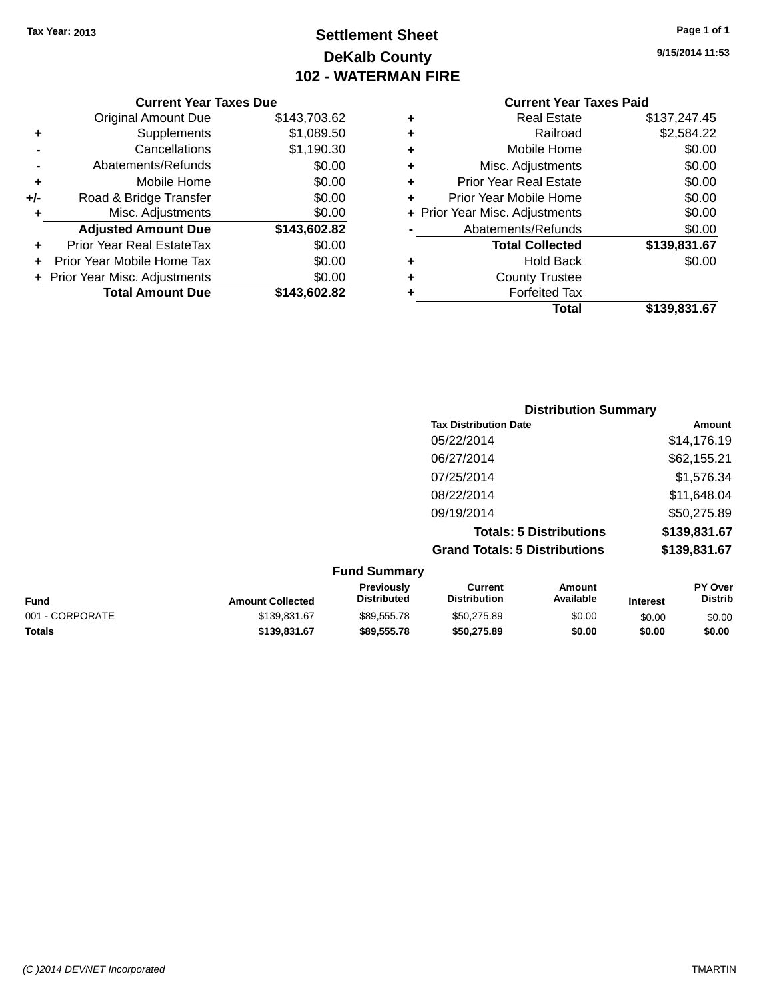### **Settlement Sheet Tax Year: 2013 Page 1 of 1 DeKalb County 102 - WATERMAN FIRE**

**9/15/2014 11:53**

|     | <b>Current Year Taxes Due</b>  |              |  |
|-----|--------------------------------|--------------|--|
|     | <b>Original Amount Due</b>     | \$143,703.62 |  |
| ٠   | Supplements                    | \$1,089.50   |  |
|     | Cancellations                  | \$1,190.30   |  |
|     | Abatements/Refunds             | \$0.00       |  |
| ٠   | Mobile Home                    | \$0.00       |  |
| +/- | Road & Bridge Transfer         | \$0.00       |  |
| ٠   | Misc. Adjustments              | \$0.00       |  |
|     | <b>Adjusted Amount Due</b>     | \$143,602.82 |  |
| ٠   | Prior Year Real EstateTax      | \$0.00       |  |
|     | Prior Year Mobile Home Tax     | \$0.00       |  |
|     | + Prior Year Misc. Adjustments | \$0.00       |  |
|     | <b>Total Amount Due</b>        | \$143.602.82 |  |
|     |                                |              |  |

| ٠ | <b>Real Estate</b>             | \$137,247.45 |
|---|--------------------------------|--------------|
| ٠ | Railroad                       | \$2,584.22   |
| ٠ | Mobile Home                    | \$0.00       |
| ٠ | Misc. Adjustments              | \$0.00       |
| ٠ | <b>Prior Year Real Estate</b>  | \$0.00       |
| ٠ | Prior Year Mobile Home         | \$0.00       |
|   | + Prior Year Misc. Adjustments | \$0.00       |
|   | Abatements/Refunds             | \$0.00       |
|   | <b>Total Collected</b>         | \$139,831.67 |
| ٠ | Hold Back                      | \$0.00       |
| ٠ | <b>County Trustee</b>          |              |
| ٠ | <b>Forfeited Tax</b>           |              |
|   | Total                          | \$139,831.67 |
|   |                                |              |

| <b>Distribution Summary</b>          |              |
|--------------------------------------|--------------|
| <b>Tax Distribution Date</b>         | Amount       |
| 05/22/2014                           | \$14,176.19  |
| 06/27/2014                           | \$62,155.21  |
| 07/25/2014                           | \$1,576.34   |
| 08/22/2014                           | \$11,648.04  |
| 09/19/2014                           | \$50,275.89  |
| <b>Totals: 5 Distributions</b>       | \$139,831.67 |
| <b>Grand Totals: 5 Distributions</b> | \$139,831.67 |

|                 |                         | <b>Fund Summary</b>                     |                                |                     |                 |                                  |
|-----------------|-------------------------|-----------------------------------------|--------------------------------|---------------------|-----------------|----------------------------------|
| Fund            | <b>Amount Collected</b> | <b>Previously</b><br><b>Distributed</b> | Current<br><b>Distribution</b> | Amount<br>Available | <b>Interest</b> | <b>PY Over</b><br><b>Distrib</b> |
| 001 - CORPORATE | \$139.831.67            | \$89.555.78                             | \$50,275.89                    | \$0.00              | \$0.00          | \$0.00                           |
| <b>Totals</b>   | \$139,831,67            | \$89,555,78                             | \$50,275.89                    | \$0.00              | \$0.00          | \$0.00                           |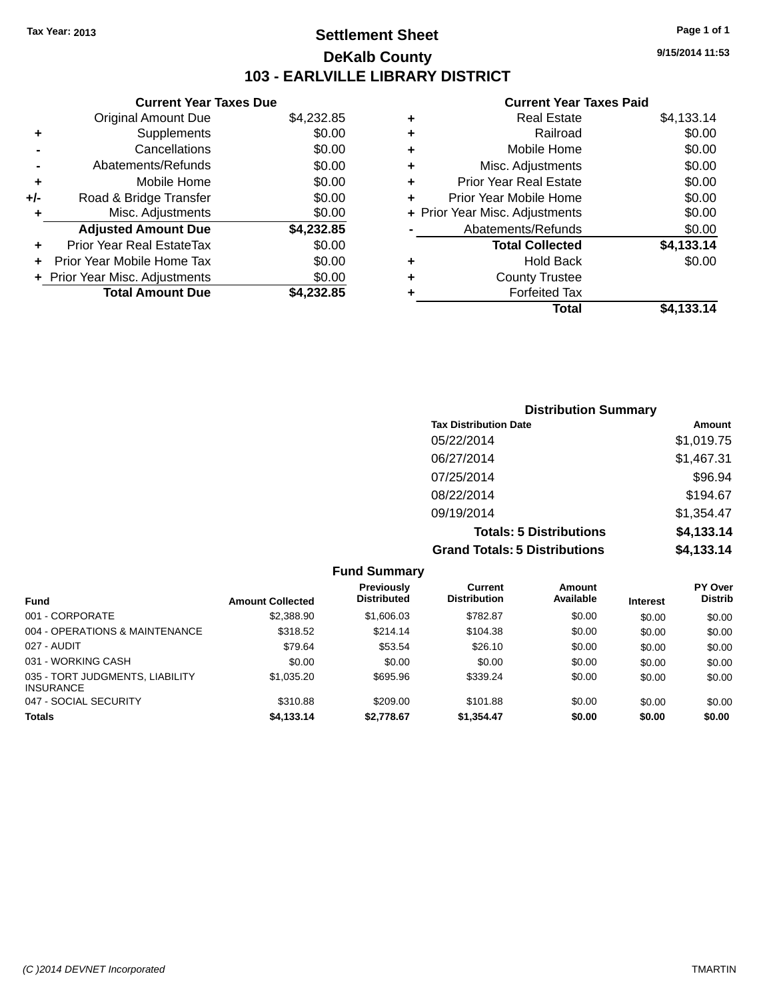### **Settlement Sheet Tax Year: 2013 Page 1 of 1 DeKalb County 103 - EARLVILLE LIBRARY DISTRICT**

**9/15/2014 11:53**

| <b>Current Year Taxes Due</b> |                                                           |
|-------------------------------|-----------------------------------------------------------|
| <b>Original Amount Due</b>    | \$4,232.85                                                |
| Supplements                   | \$0.00                                                    |
| Cancellations                 | \$0.00                                                    |
| Abatements/Refunds            | \$0.00                                                    |
| Mobile Home                   | \$0.00                                                    |
| Road & Bridge Transfer        | \$0.00                                                    |
| Misc. Adjustments             | \$0.00                                                    |
| <b>Adjusted Amount Due</b>    | \$4,232.85                                                |
| Prior Year Real EstateTax     | \$0.00                                                    |
| Prior Year Mobile Home Tax    | \$0.00                                                    |
|                               | \$0.00                                                    |
|                               | \$4.232.85                                                |
|                               | + Prior Year Misc. Adjustments<br><b>Total Amount Due</b> |

| <b>Real Estate</b>             | \$4,133.14 |
|--------------------------------|------------|
| Railroad                       | \$0.00     |
| Mobile Home                    | \$0.00     |
| Misc. Adjustments              | \$0.00     |
| <b>Prior Year Real Estate</b>  | \$0.00     |
| Prior Year Mobile Home         | \$0.00     |
| + Prior Year Misc. Adjustments | \$0.00     |
| Abatements/Refunds             | \$0.00     |
| <b>Total Collected</b>         | \$4,133.14 |
| Hold Back                      | \$0.00     |
| <b>County Trustee</b>          |            |
| <b>Forfeited Tax</b>           |            |
| Total                          | \$4,133.14 |
|                                |            |

| <b>Distribution Summary</b>          |            |
|--------------------------------------|------------|
| <b>Tax Distribution Date</b>         | Amount     |
| 05/22/2014                           | \$1,019.75 |
| 06/27/2014                           | \$1,467.31 |
| 07/25/2014                           | \$96.94    |
| 08/22/2014                           | \$194.67   |
| 09/19/2014                           | \$1,354.47 |
| <b>Totals: 5 Distributions</b>       | \$4,133.14 |
| <b>Grand Totals: 5 Distributions</b> | \$4,133.14 |

|                                                     |                         | <b>Fund Summary</b>                     |                                |                     |                 |                                  |
|-----------------------------------------------------|-------------------------|-----------------------------------------|--------------------------------|---------------------|-----------------|----------------------------------|
| <b>Fund</b>                                         | <b>Amount Collected</b> | <b>Previously</b><br><b>Distributed</b> | Current<br><b>Distribution</b> | Amount<br>Available | <b>Interest</b> | <b>PY Over</b><br><b>Distrib</b> |
| 001 - CORPORATE                                     | \$2,388.90              | \$1,606.03                              | \$782.87                       | \$0.00              | \$0.00          | \$0.00                           |
| 004 - OPERATIONS & MAINTENANCE                      | \$318.52                | \$214.14                                | \$104.38                       | \$0.00              | \$0.00          | \$0.00                           |
| 027 - AUDIT                                         | \$79.64                 | \$53.54                                 | \$26.10                        | \$0.00              | \$0.00          | \$0.00                           |
| 031 - WORKING CASH                                  | \$0.00                  | \$0.00                                  | \$0.00                         | \$0.00              | \$0.00          | \$0.00                           |
| 035 - TORT JUDGMENTS, LIABILITY<br><b>INSURANCE</b> | \$1,035.20              | \$695.96                                | \$339.24                       | \$0.00              | \$0.00          | \$0.00                           |
| 047 - SOCIAL SECURITY                               | \$310.88                | \$209.00                                | \$101.88                       | \$0.00              | \$0.00          | \$0.00                           |
| <b>Totals</b>                                       | \$4,133.14              | \$2,778.67                              | \$1,354.47                     | \$0.00              | \$0.00          | \$0.00                           |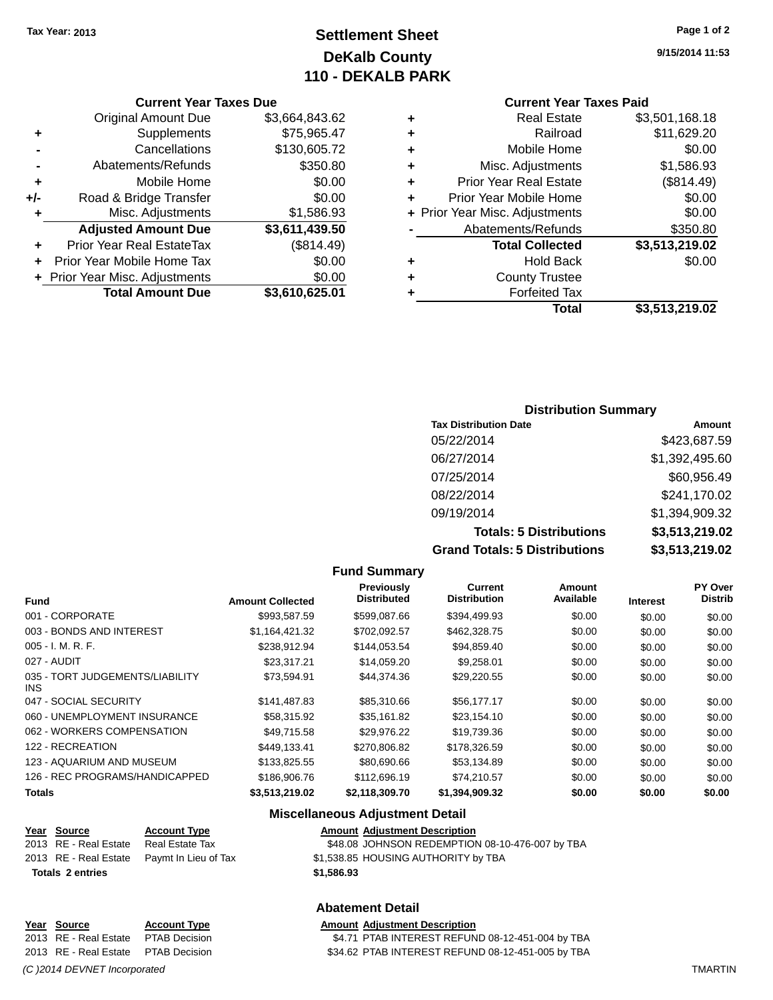### **Settlement Sheet Tax Year: 2013 Page 1 of 2 DeKalb County 110 - DEKALB PARK**

**9/15/2014 11:53**

|     | <b>Current Year Taxes Due</b>  |                |
|-----|--------------------------------|----------------|
|     | <b>Original Amount Due</b>     | \$3,664,843.62 |
| ٠   | Supplements                    | \$75,965.47    |
|     | Cancellations                  | \$130,605.72   |
|     | Abatements/Refunds             | \$350.80       |
| ٠   | Mobile Home                    | \$0.00         |
| +/- | Road & Bridge Transfer         | \$0.00         |
| ٠   | Misc. Adjustments              | \$1,586.93     |
|     | <b>Adjusted Amount Due</b>     | \$3,611,439.50 |
|     | Prior Year Real EstateTax      | (\$814.49)     |
|     | Prior Year Mobile Home Tax     | \$0.00         |
|     | + Prior Year Misc. Adjustments | \$0.00         |
|     | <b>Total Amount Due</b>        | \$3,610,625.01 |
|     |                                |                |

## **Current Year Taxes Paid +** Real Estate \$3,501,168.18

|   | Railroad                       | \$11,629.20    |
|---|--------------------------------|----------------|
| ٠ | Mobile Home                    | \$0.00         |
| ٠ | Misc. Adjustments              | \$1,586.93     |
| ٠ | <b>Prior Year Real Estate</b>  | (\$814.49)     |
|   | Prior Year Mobile Home         | \$0.00         |
|   | + Prior Year Misc. Adjustments | \$0.00         |
|   | Abatements/Refunds             | \$350.80       |
|   | <b>Total Collected</b>         | \$3,513,219.02 |
| ٠ | <b>Hold Back</b>               | \$0.00         |
| ٠ | <b>County Trustee</b>          |                |
|   | <b>Forfeited Tax</b>           |                |
|   |                                |                |
|   | Total                          | \$3,513,219.02 |

### **Distribution Summary Tax Distribution Date Amount** 05/22/2014 \$423,687.59 06/27/2014 \$1,392,495.60 07/25/2014 \$60,956.49 08/22/2014 \$241,170.02 09/19/2014 \$1,394,909.32 **Totals: 5 Distributions \$3,513,219.02 Grand Totals: 5 Distributions \$3,513,219.02**

|                                         |                         | <b>Fund Summary</b>              |                                       |                     |                 |                           |
|-----------------------------------------|-------------------------|----------------------------------|---------------------------------------|---------------------|-----------------|---------------------------|
| Fund                                    | <b>Amount Collected</b> | Previously<br><b>Distributed</b> | <b>Current</b><br><b>Distribution</b> | Amount<br>Available | <b>Interest</b> | PY Over<br><b>Distrib</b> |
| 001 - CORPORATE                         | \$993,587.59            | \$599,087.66                     | \$394,499.93                          | \$0.00              | \$0.00          | \$0.00                    |
| 003 - BONDS AND INTEREST                | \$1.164.421.32          | \$702,092.57                     | \$462,328.75                          | \$0.00              | \$0.00          | \$0.00                    |
| 005 - I. M. R. F.                       | \$238,912.94            | \$144,053.54                     | \$94,859.40                           | \$0.00              | \$0.00          | \$0.00                    |
| 027 - AUDIT                             | \$23.317.21             | \$14,059.20                      | \$9,258.01                            | \$0.00              | \$0.00          | \$0.00                    |
| 035 - TORT JUDGEMENTS/LIABILITY<br>INS. | \$73,594.91             | \$44,374.36                      | \$29,220.55                           | \$0.00              | \$0.00          | \$0.00                    |
| 047 - SOCIAL SECURITY                   | \$141.487.83            | \$85,310.66                      | \$56,177.17                           | \$0.00              | \$0.00          | \$0.00                    |
| 060 - UNEMPLOYMENT INSURANCE            | \$58,315.92             | \$35,161.82                      | \$23,154.10                           | \$0.00              | \$0.00          | \$0.00                    |
| 062 - WORKERS COMPENSATION              | \$49.715.58             | \$29.976.22                      | \$19,739.36                           | \$0.00              | \$0.00          | \$0.00                    |
| 122 - RECREATION                        | \$449,133.41            | \$270,806.82                     | \$178,326.59                          | \$0.00              | \$0.00          | \$0.00                    |
| 123 - AQUARIUM AND MUSEUM               | \$133,825.55            | \$80,690.66                      | \$53,134.89                           | \$0.00              | \$0.00          | \$0.00                    |
| 126 - REC PROGRAMS/HANDICAPPED          | \$186,906.76            | \$112,696.19                     | \$74,210.57                           | \$0.00              | \$0.00          | \$0.00                    |
| Totals                                  | \$3,513,219.02          | \$2,118,309.70                   | \$1,394,909.32                        | \$0.00              | \$0.00          | \$0.00                    |
|                                         |                         |                                  |                                       |                     |                 |                           |

**Fund Summary**

#### **Miscellaneous Adjustment Detail**

**Abatement Detail**

### **Year Source Account Type A** And A Amount Adjustment Description

| <b>Totals 2 entries</b>               |                                            | \$1.586.93                                      |
|---------------------------------------|--------------------------------------------|-------------------------------------------------|
|                                       | 2013 RE - Real Estate Paymt In Lieu of Tax | \$1,538.85 HOUSING AUTHORITY by TBA             |
| 2013 RE - Real Estate Real Estate Tax |                                            | \$48.08 JOHNSON REDEMPTION 08-10-476-007 by TBA |

\$4.71 PTAB INTEREST REFUND 08-12-451-004 by TBA

**Year Source Account Type Amount Adjustment Description**<br>2013 RE - Real Estate PTAB Decision **AMOUNT SA 271 PTAB INTEREST REFUN** 

2013 RE - Real Estate Real Estate Tax

### 2013 RE - Real Estate PTAB Decision \$34.62 PTAB INTEREST REFUND 08-12-451-005 by TBA

*(C )2014 DEVNET Incorporated* TMARTIN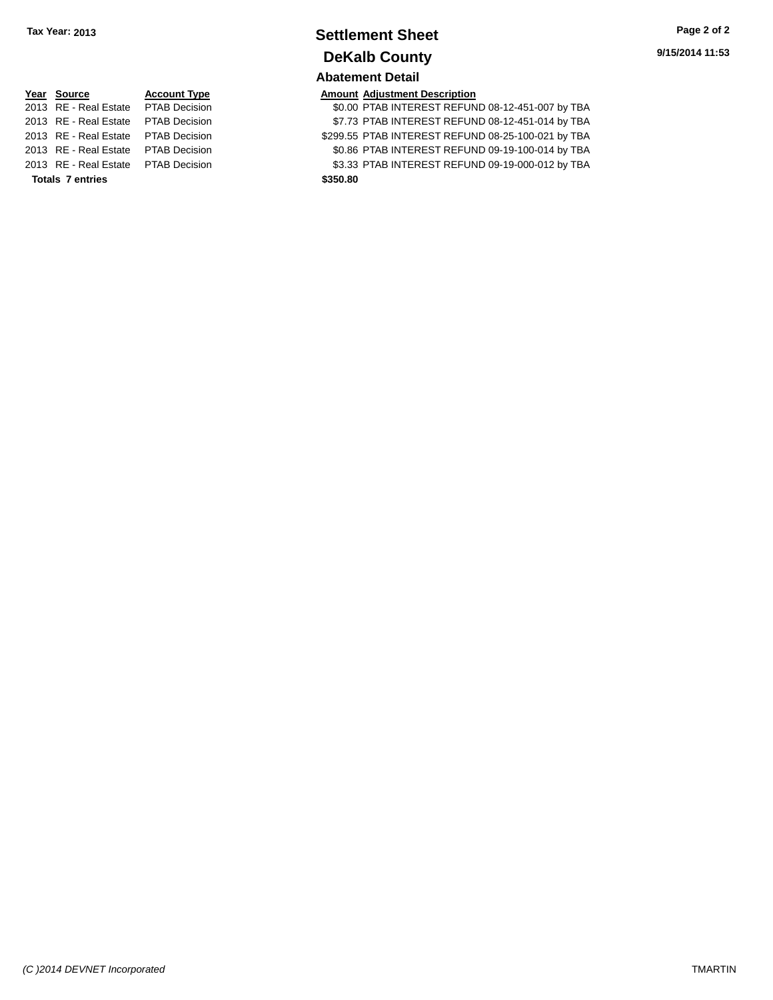### **Settlement Sheet Tax Year: 2013 Page 2 of 2 DeKalb County Abatement Detail**

# **Year Source Account Type Amount Adjustment Description** 2013 RE - Real Estate PTAB Decision \$299.55 PTAB INTEREST REFUND 08-25-100-021 by TBA **Totals 7 entries \$350.80**

| Year Source                         | <b>Account Type</b> | <b>Amount Adjustment Description</b>             |
|-------------------------------------|---------------------|--------------------------------------------------|
| 2013 RE - Real Estate PTAB Decision |                     | \$0.00 PTAB INTEREST REFUND 08-12-451-007 by TBA |
| 2013 RE - Real Estate PTAB Decision |                     | \$7.73 PTAB INTEREST REFUND 08-12-451-014 by TBA |

2013 RE - Real Estate PTAB Decision \$0.86 PTAB INTEREST REFUND 09-19-100-014 by TBA 2013 RE - Real Estate PTAB Decision \$3.33 PTAB INTEREST REFUND 09-19-000-012 by TBA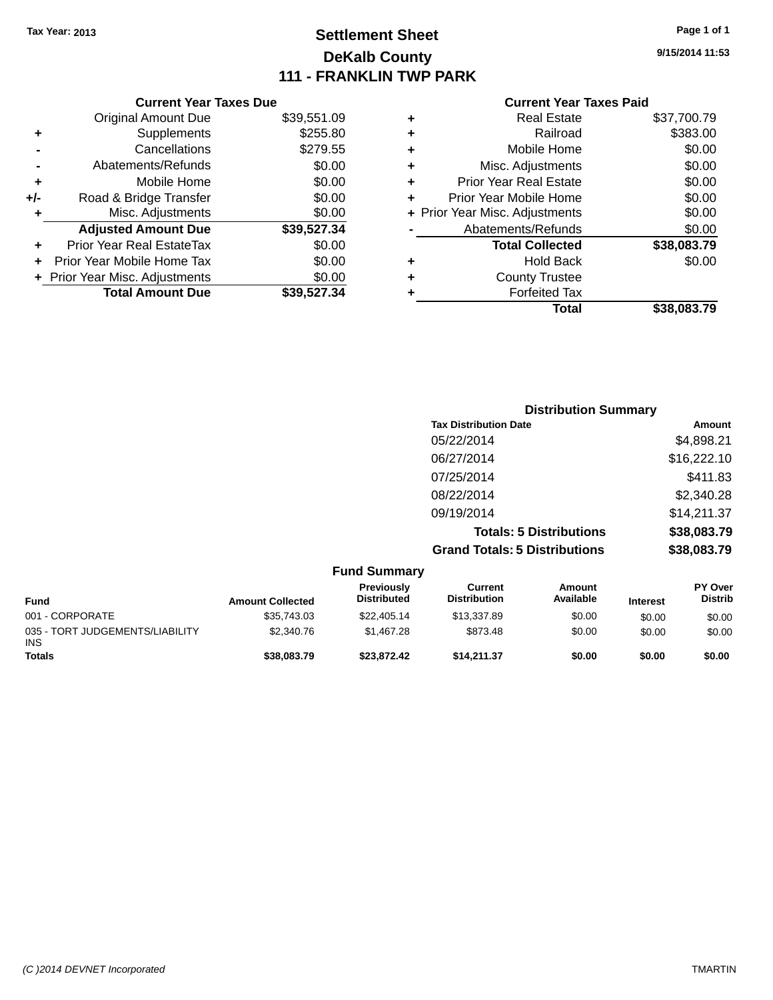### **Settlement Sheet Tax Year: 2013 Page 1 of 1 DeKalb County 111 - FRANKLIN TWP PARK**

**9/15/2014 11:53**

|     | <b>Current Year Taxes Due</b>  |             |
|-----|--------------------------------|-------------|
|     | <b>Original Amount Due</b>     | \$39,551.09 |
| ٠   | Supplements                    | \$255.80    |
|     | Cancellations                  | \$279.55    |
|     | Abatements/Refunds             | \$0.00      |
| ٠   | Mobile Home                    | \$0.00      |
| +/- | Road & Bridge Transfer         | \$0.00      |
| ٠   | Misc. Adjustments              | \$0.00      |
|     | <b>Adjusted Amount Due</b>     | \$39,527.34 |
|     | Prior Year Real EstateTax      | \$0.00      |
|     | Prior Year Mobile Home Tax     | \$0.00      |
|     | + Prior Year Misc. Adjustments | \$0.00      |
|     | <b>Total Amount Due</b>        | \$39.527.34 |
|     |                                |             |

| ٠ | <b>Real Estate</b>             | \$37,700.79 |
|---|--------------------------------|-------------|
| ٠ | Railroad                       | \$383.00    |
| ٠ | Mobile Home                    | \$0.00      |
| ٠ | Misc. Adjustments              | \$0.00      |
| ٠ | <b>Prior Year Real Estate</b>  | \$0.00      |
| ٠ | Prior Year Mobile Home         | \$0.00      |
|   | + Prior Year Misc. Adjustments | \$0.00      |
|   | Abatements/Refunds             | \$0.00      |
|   | <b>Total Collected</b>         | \$38,083.79 |
| ٠ | <b>Hold Back</b>               | \$0.00      |
| ٠ | <b>County Trustee</b>          |             |
| ٠ | <b>Forfeited Tax</b>           |             |
|   | Total                          | \$38,083.79 |
|   |                                |             |

| <b>Distribution Summary</b>          |             |
|--------------------------------------|-------------|
| <b>Tax Distribution Date</b>         | Amount      |
| 05/22/2014                           | \$4,898.21  |
| 06/27/2014                           | \$16,222.10 |
| 07/25/2014                           | \$411.83    |
| 08/22/2014                           | \$2,340.28  |
| 09/19/2014                           | \$14,211.37 |
| <b>Totals: 5 Distributions</b>       | \$38,083.79 |
| <b>Grand Totals: 5 Distributions</b> | \$38,083.79 |

|                                               |                         | <b>Fund Summary</b>              |                                |                     |                 |                                  |
|-----------------------------------------------|-------------------------|----------------------------------|--------------------------------|---------------------|-----------------|----------------------------------|
| <b>Fund</b>                                   | <b>Amount Collected</b> | Previously<br><b>Distributed</b> | Current<br><b>Distribution</b> | Amount<br>Available | <b>Interest</b> | <b>PY Over</b><br><b>Distrib</b> |
| 001 - CORPORATE                               | \$35,743.03             | \$22,405.14                      | \$13,337.89                    | \$0.00              | \$0.00          | \$0.00                           |
| 035 - TORT JUDGEMENTS/LIABILITY<br><b>INS</b> | \$2,340.76              | \$1,467.28                       | \$873.48                       | \$0.00              | \$0.00          | \$0.00                           |
| <b>Totals</b>                                 | \$38,083.79             | \$23,872,42                      | \$14.211.37                    | \$0.00              | \$0.00          | \$0.00                           |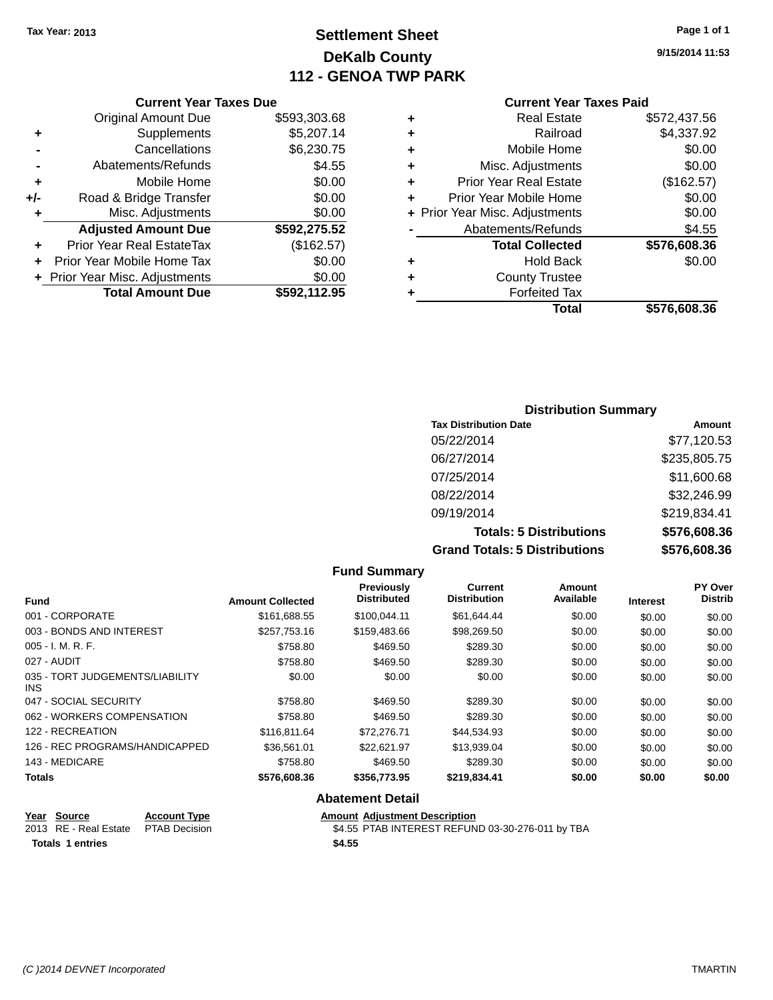### **Settlement Sheet Tax Year: 2013 Page 1 of 1 DeKalb County 112 - GENOA TWP PARK**

**9/15/2014 11:53**

#### **Current Year Taxes Paid**

|     | <b>Current Year Taxes Due</b> |              |  |  |  |
|-----|-------------------------------|--------------|--|--|--|
|     | <b>Original Amount Due</b>    | \$593,303.68 |  |  |  |
| ٠   | Supplements                   | \$5,207.14   |  |  |  |
|     | Cancellations                 | \$6,230.75   |  |  |  |
|     | Abatements/Refunds            | \$4.55       |  |  |  |
| ٠   | Mobile Home                   | \$0.00       |  |  |  |
| +/- | Road & Bridge Transfer        | \$0.00       |  |  |  |
| ٠   | Misc. Adjustments             | \$0.00       |  |  |  |
|     | <b>Adjusted Amount Due</b>    | \$592,275.52 |  |  |  |
| ٠   | Prior Year Real EstateTax     | (\$162.57)   |  |  |  |
|     | Prior Year Mobile Home Tax    | \$0.00       |  |  |  |
|     | Prior Year Misc. Adjustments  | \$0.00       |  |  |  |
|     | <b>Total Amount Due</b>       | \$592,112.95 |  |  |  |

| ٠ | <b>Real Estate</b>             | \$572,437.56 |
|---|--------------------------------|--------------|
| ٠ | Railroad                       | \$4,337.92   |
| ٠ | Mobile Home                    | \$0.00       |
| ٠ | Misc. Adjustments              | \$0.00       |
| ٠ | <b>Prior Year Real Estate</b>  | (\$162.57)   |
| ٠ | Prior Year Mobile Home         | \$0.00       |
|   | + Prior Year Misc. Adjustments | \$0.00       |
|   | Abatements/Refunds             | \$4.55       |
|   | <b>Total Collected</b>         | \$576,608.36 |
| ٠ | <b>Hold Back</b>               | \$0.00       |
| ٠ | <b>County Trustee</b>          |              |
| ٠ | <b>Forfeited Tax</b>           |              |
|   | Total                          | \$576,608.36 |
|   |                                |              |

### **Distribution Summary Tax Distribution Date Amount** 05/22/2014 \$77,120.53 06/27/2014 \$235,805.75 07/25/2014 \$11,600.68 08/22/2014 \$32,246.99 09/19/2014 \$219,834.41 **Totals: 5 Distributions \$576,608.36 Grand Totals: 5 Distributions \$576,608.36**

|                                         |                         | <b>Fund Summary</b>                     |                                |                     |                 |                           |
|-----------------------------------------|-------------------------|-----------------------------------------|--------------------------------|---------------------|-----------------|---------------------------|
| <b>Fund</b>                             | <b>Amount Collected</b> | <b>Previously</b><br><b>Distributed</b> | Current<br><b>Distribution</b> | Amount<br>Available | <b>Interest</b> | PY Over<br><b>Distrib</b> |
| 001 - CORPORATE                         | \$161,688.55            | \$100,044.11                            | \$61,644.44                    | \$0.00              | \$0.00          | \$0.00                    |
| 003 - BONDS AND INTEREST                | \$257,753.16            | \$159,483.66                            | \$98,269.50                    | \$0.00              | \$0.00          | \$0.00                    |
| $005 - I. M. R. F.$                     | \$758.80                | \$469.50                                | \$289.30                       | \$0.00              | \$0.00          | \$0.00                    |
| 027 - AUDIT                             | \$758.80                | \$469.50                                | \$289.30                       | \$0.00              | \$0.00          | \$0.00                    |
| 035 - TORT JUDGEMENTS/LIABILITY<br>INS. | \$0.00                  | \$0.00                                  | \$0.00                         | \$0.00              | \$0.00          | \$0.00                    |
| 047 - SOCIAL SECURITY                   | \$758.80                | \$469.50                                | \$289.30                       | \$0.00              | \$0.00          | \$0.00                    |
| 062 - WORKERS COMPENSATION              | \$758.80                | \$469.50                                | \$289.30                       | \$0.00              | \$0.00          | \$0.00                    |
| 122 - RECREATION                        | \$116,811.64            | \$72,276.71                             | \$44,534.93                    | \$0.00              | \$0.00          | \$0.00                    |
| 126 - REC PROGRAMS/HANDICAPPED          | \$36,561.01             | \$22,621.97                             | \$13,939.04                    | \$0.00              | \$0.00          | \$0.00                    |
| 143 - MEDICARE                          | \$758.80                | \$469.50                                | \$289.30                       | \$0.00              | \$0.00          | \$0.00                    |
| <b>Totals</b>                           | \$576,608.36            | \$356,773.95                            | \$219,834.41                   | \$0.00              | \$0.00          | \$0.00                    |

#### **Abatement Detail**

|  | <u>Year Source</u>                  | <b>Account Type</b> |        | <b>Amount Adiustment Description</b>             |
|--|-------------------------------------|---------------------|--------|--------------------------------------------------|
|  | 2013 RE - Real Estate PTAB Decision |                     |        | \$4.55 PTAB INTEREST REFUND 03-30-276-011 by TBA |
|  | <b>Totals 1 entries</b>             |                     | \$4.55 |                                                  |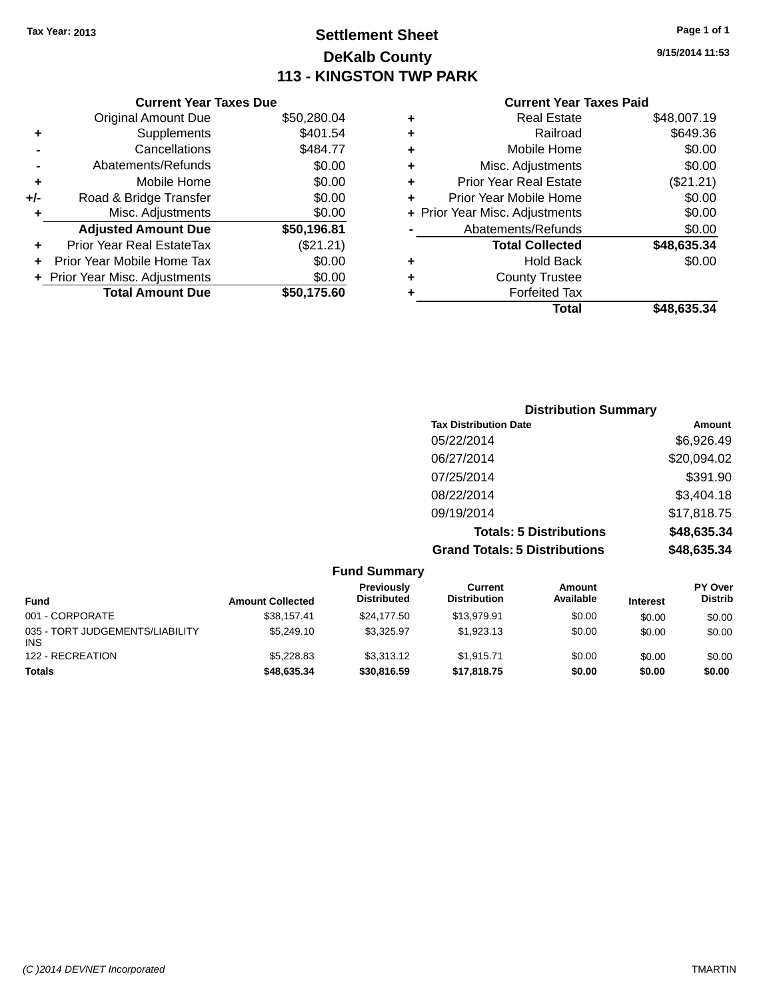**Current Year Taxes Due**

### **Settlement Sheet Tax Year: 2013 Page 1 of 1 DeKalb County 113 - KINGSTON TWP PARK**

**9/15/2014 11:53**

|                      | <b>Original Amount Due</b>     | \$50,280.04 | ٠ | <b>Real Estate</b>             | \$48,007.19 |  |
|----------------------|--------------------------------|-------------|---|--------------------------------|-------------|--|
| ÷                    | <b>Supplements</b>             | \$401.54    | ٠ | Railroad                       | \$649.36    |  |
|                      | Cancellations                  | \$484.77    | ٠ | Mobile Home                    | \$0.00      |  |
|                      | Abatements/Refunds             | \$0.00      | ٠ | Misc. Adjustments              | \$0.00      |  |
| ÷                    | Mobile Home                    | \$0.00      |   | <b>Prior Year Real Estate</b>  | (\$21.21)   |  |
| I-                   | Road & Bridge Transfer         | \$0.00      |   | Prior Year Mobile Home         | \$0.00      |  |
| ÷                    | Misc. Adjustments              | \$0.00      |   | + Prior Year Misc. Adjustments | \$0.00      |  |
|                      | <b>Adjusted Amount Due</b>     | \$50,196.81 |   | Abatements/Refunds             | \$0.00      |  |
| $\ddot{\phantom{1}}$ | Prior Year Real EstateTax      | (\$21.21)   |   | <b>Total Collected</b>         | \$48,635.34 |  |
|                      | + Prior Year Mobile Home Tax   | \$0.00      | ٠ | <b>Hold Back</b>               | \$0.00      |  |
|                      | + Prior Year Misc. Adjustments | \$0.00      | ٠ | <b>County Trustee</b>          |             |  |
|                      | <b>Total Amount Due</b>        | \$50,175.60 |   | <b>Forfeited Tax</b>           |             |  |
|                      |                                |             |   | <b>Total</b>                   | \$48,635.34 |  |

| <b>Distribution Summary</b>          |             |
|--------------------------------------|-------------|
| <b>Tax Distribution Date</b>         | Amount      |
| 05/22/2014                           | \$6,926.49  |
| 06/27/2014                           | \$20,094.02 |
| 07/25/2014                           | \$391.90    |
| 08/22/2014                           | \$3,404.18  |
| 09/19/2014                           | \$17,818.75 |
| <b>Totals: 5 Distributions</b>       | \$48,635.34 |
| <b>Grand Totals: 5 Distributions</b> | \$48,635.34 |

| <b>Fund Summary</b>                           |                         |                                  |                                |                            |                 |                                  |
|-----------------------------------------------|-------------------------|----------------------------------|--------------------------------|----------------------------|-----------------|----------------------------------|
| <b>Fund</b>                                   | <b>Amount Collected</b> | Previously<br><b>Distributed</b> | Current<br><b>Distribution</b> | <b>Amount</b><br>Available | <b>Interest</b> | <b>PY Over</b><br><b>Distrib</b> |
| 001 - CORPORATE                               | \$38.157.41             | \$24,177.50                      | \$13.979.91                    | \$0.00                     | \$0.00          | \$0.00                           |
| 035 - TORT JUDGEMENTS/LIABILITY<br><b>INS</b> | \$5,249.10              | \$3.325.97                       | \$1.923.13                     | \$0.00                     | \$0.00          | \$0.00                           |
| 122 - RECREATION                              | \$5.228.83              | \$3,313.12                       | \$1.915.71                     | \$0.00                     | \$0.00          | \$0.00                           |
| <b>Totals</b>                                 | \$48,635.34             | \$30,816.59                      | \$17,818.75                    | \$0.00                     | \$0.00          | \$0.00                           |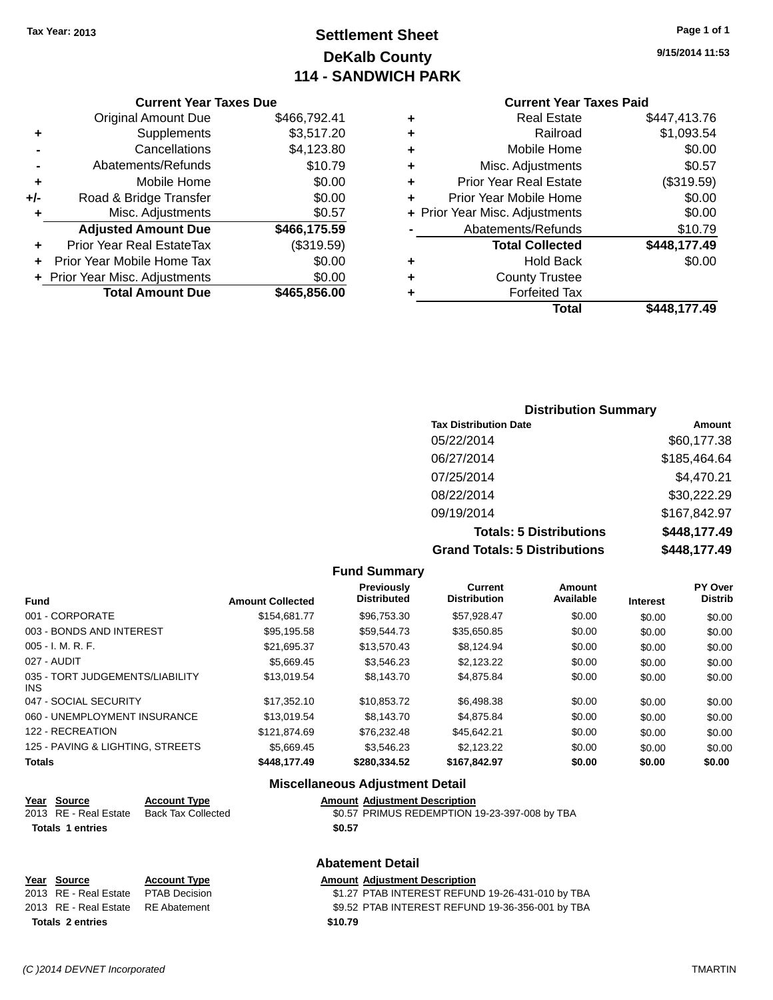### **Settlement Sheet Tax Year: 2013 Page 1 of 1 DeKalb County 114 - SANDWICH PARK**

**9/15/2014 11:53**

#### **Current Year Taxes Paid**

|     | <b>Current Year Taxes Due</b>  |              |  |  |  |  |  |
|-----|--------------------------------|--------------|--|--|--|--|--|
|     | <b>Original Amount Due</b>     | \$466,792.41 |  |  |  |  |  |
| ٠   | Supplements                    | \$3,517.20   |  |  |  |  |  |
|     | Cancellations                  | \$4,123.80   |  |  |  |  |  |
|     | Abatements/Refunds             | \$10.79      |  |  |  |  |  |
| ٠   | Mobile Home                    | \$0.00       |  |  |  |  |  |
| +/- | Road & Bridge Transfer         | \$0.00       |  |  |  |  |  |
| ٠   | Misc. Adjustments              | \$0.57       |  |  |  |  |  |
|     | <b>Adjusted Amount Due</b>     | \$466,175.59 |  |  |  |  |  |
| ٠   | Prior Year Real EstateTax      | (\$319.59)   |  |  |  |  |  |
|     | Prior Year Mobile Home Tax     | \$0.00       |  |  |  |  |  |
|     | + Prior Year Misc. Adjustments | \$0.00       |  |  |  |  |  |
|     | <b>Total Amount Due</b>        | \$465,856.00 |  |  |  |  |  |
|     |                                |              |  |  |  |  |  |

| ٠ | <b>Real Estate</b>             | \$447.413.76 |
|---|--------------------------------|--------------|
| ٠ | Railroad                       | \$1,093.54   |
| ٠ | Mobile Home                    | \$0.00       |
| ٠ | Misc. Adjustments              | \$0.57       |
| ÷ | <b>Prior Year Real Estate</b>  | (\$319.59)   |
| ٠ | Prior Year Mobile Home         | \$0.00       |
|   | + Prior Year Misc. Adjustments | \$0.00       |
|   | Abatements/Refunds             | \$10.79      |
|   | <b>Total Collected</b>         | \$448,177.49 |
| ٠ | <b>Hold Back</b>               | \$0.00       |
| ٠ | <b>County Trustee</b>          |              |
| ٠ | <b>Forfeited Tax</b>           |              |
|   | Total                          | \$448,177.49 |
|   |                                |              |

### **Distribution Summary Tax Distribution Date Amount** 05/22/2014 \$60,177.38 06/27/2014 \$185,464.64 07/25/2014 \$4,470.21 08/22/2014 \$30,222.29 09/19/2014 \$167,842.97 **Totals: 5 Distributions \$448,177.49 Grand Totals: 5 Distributions \$448,177.49**

|                                         |                         | <b>Fund Summary</b>              |                                       |                     |                 |                           |
|-----------------------------------------|-------------------------|----------------------------------|---------------------------------------|---------------------|-----------------|---------------------------|
| <b>Fund</b>                             | <b>Amount Collected</b> | Previously<br><b>Distributed</b> | <b>Current</b><br><b>Distribution</b> | Amount<br>Available | <b>Interest</b> | PY Over<br><b>Distrib</b> |
| 001 - CORPORATE                         | \$154,681,77            | \$96,753,30                      | \$57,928.47                           | \$0.00              | \$0.00          | \$0.00                    |
| 003 - BONDS AND INTEREST                | \$95.195.58             | \$59.544.73                      | \$35,650.85                           | \$0.00              | \$0.00          | \$0.00                    |
| $005 - I. M. R. F.$                     | \$21,695.37             | \$13,570.43                      | \$8,124.94                            | \$0.00              | \$0.00          | \$0.00                    |
| 027 - AUDIT                             | \$5.669.45              | \$3.546.23                       | \$2.123.22                            | \$0.00              | \$0.00          | \$0.00                    |
| 035 - TORT JUDGEMENTS/LIABILITY<br>INS. | \$13,019.54             | \$8,143.70                       | \$4.875.84                            | \$0.00              | \$0.00          | \$0.00                    |
| 047 - SOCIAL SECURITY                   | \$17,352.10             | \$10,853.72                      | \$6,498.38                            | \$0.00              | \$0.00          | \$0.00                    |
| 060 - UNEMPLOYMENT INSURANCE            | \$13,019.54             | \$8,143.70                       | \$4.875.84                            | \$0.00              | \$0.00          | \$0.00                    |
| 122 - RECREATION                        | \$121,874.69            | \$76,232.48                      | \$45,642.21                           | \$0.00              | \$0.00          | \$0.00                    |
| 125 - PAVING & LIGHTING, STREETS        | \$5,669.45              | \$3.546.23                       | \$2.123.22                            | \$0.00              | \$0.00          | \$0.00                    |
| <b>Totals</b>                           | \$448,177,49            | \$280,334.52                     | \$167,842.97                          | \$0.00              | \$0.00          | \$0.00                    |

#### **Miscellaneous Adjustment Detail**

## **Year Source Account Type Amount Adjustment Description**

| 2013 RE - Real Estate Back Tax Collected | \$0.57 PRIMUS REDEMPTION 19-23-397-008 by TBA |
|------------------------------------------|-----------------------------------------------|
| <b>Totals 1 entries</b>                  | \$0.57                                        |

#### **Abatement Detail**

#### **Year** Source **Account Type Account Adjustment Description** 2013 RE - Real Estate PTAB Decision \$1.27 PTAB INTEREST REFUND 19-26-431-010 by TBA 2013 RE - Real Estate RE Abatement \$9.52 PTAB INTEREST REFUND 19-36-356-001 by TBA **Totals 2 entries \$10.79**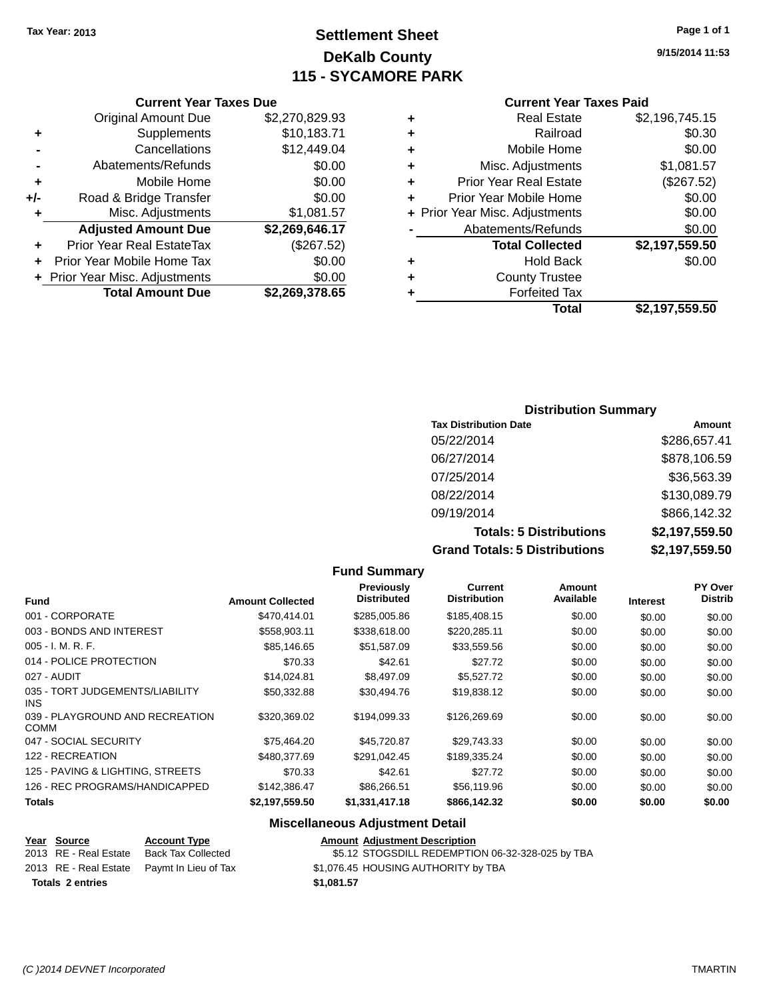### **Settlement Sheet Tax Year: 2013 Page 1 of 1 DeKalb County 115 - SYCAMORE PARK**

**9/15/2014 11:53**

#### **Current Year Taxes Paid**

|     | <b>Current Year Taxes Due</b>    |                |   | <b>Current Year Taxes Paid</b> |                |  |
|-----|----------------------------------|----------------|---|--------------------------------|----------------|--|
|     | Original Amount Due              | \$2,270,829.93 | ٠ | <b>Real Estate</b>             | \$2,196,745.15 |  |
| ٠   | Supplements                      | \$10,183.71    | ٠ | Railroad                       | \$0.30         |  |
|     | Cancellations                    | \$12,449.04    |   | Mobile Home                    | \$0.00         |  |
|     | Abatements/Refunds               | \$0.00         | ٠ | Misc. Adjustments              | \$1,081.57     |  |
| ٠   | Mobile Home                      | \$0.00         | ٠ | <b>Prior Year Real Estate</b>  | (\$267.52)     |  |
| +/- | Road & Bridge Transfer           | \$0.00         | ÷ | Prior Year Mobile Home         | \$0.00         |  |
|     | Misc. Adjustments                | \$1,081.57     |   | + Prior Year Misc. Adjustments | \$0.00         |  |
|     | <b>Adjusted Amount Due</b>       | \$2,269,646.17 |   | Abatements/Refunds             | \$0.00         |  |
| ٠   | <b>Prior Year Real EstateTax</b> | (\$267.52)     |   | <b>Total Collected</b>         | \$2,197,559.50 |  |
| ÷.  | Prior Year Mobile Home Tax       | \$0.00         | ٠ | <b>Hold Back</b>               | \$0.00         |  |
|     | + Prior Year Misc. Adjustments   | \$0.00         | ٠ | <b>County Trustee</b>          |                |  |
|     | <b>Total Amount Due</b>          | \$2,269,378.65 |   | <b>Forfeited Tax</b>           |                |  |
|     |                                  |                |   | <b>Total</b>                   | \$2.107.550.50 |  |

# **Total \$2,197,559.50**

### **Distribution Summary Tax Distribution Date Amount** 05/22/2014 \$286,657.41 06/27/2014 \$878,106.59 07/25/2014 \$36,563.39 08/22/2014 \$130,089.79 09/19/2014 \$866,142.32 **Totals: 5 Distributions \$2,197,559.50 Grand Totals: 5 Distributions \$2,197,559.50**

|                                                |                         | <b>Fund Summary</b>                     |                                |                     |                 |                                  |
|------------------------------------------------|-------------------------|-----------------------------------------|--------------------------------|---------------------|-----------------|----------------------------------|
| <b>Fund</b>                                    | <b>Amount Collected</b> | <b>Previously</b><br><b>Distributed</b> | Current<br><b>Distribution</b> | Amount<br>Available | <b>Interest</b> | <b>PY Over</b><br><b>Distrib</b> |
| 001 - CORPORATE                                | \$470,414.01            | \$285,005.86                            | \$185,408.15                   | \$0.00              | \$0.00          | \$0.00                           |
| 003 - BONDS AND INTEREST                       | \$558,903.11            | \$338,618.00                            | \$220,285.11                   | \$0.00              | \$0.00          | \$0.00                           |
| $005 - I. M. R. F.$                            | \$85.146.65             | \$51,587.09                             | \$33,559.56                    | \$0.00              | \$0.00          | \$0.00                           |
| 014 - POLICE PROTECTION                        | \$70.33                 | \$42.61                                 | \$27.72                        | \$0.00              | \$0.00          | \$0.00                           |
| 027 - AUDIT                                    | \$14,024.81             | \$8,497.09                              | \$5,527.72                     | \$0.00              | \$0.00          | \$0.00                           |
| 035 - TORT JUDGEMENTS/LIABILITY<br>INS.        | \$50,332.88             | \$30,494.76                             | \$19,838.12                    | \$0.00              | \$0.00          | \$0.00                           |
| 039 - PLAYGROUND AND RECREATION<br><b>COMM</b> | \$320,369.02            | \$194,099.33                            | \$126,269.69                   | \$0.00              | \$0.00          | \$0.00                           |
| 047 - SOCIAL SECURITY                          | \$75,464.20             | \$45,720.87                             | \$29,743.33                    | \$0.00              | \$0.00          | \$0.00                           |
| 122 - RECREATION                               | \$480,377.69            | \$291,042.45                            | \$189,335.24                   | \$0.00              | \$0.00          | \$0.00                           |
| 125 - PAVING & LIGHTING, STREETS               | \$70.33                 | \$42.61                                 | \$27.72                        | \$0.00              | \$0.00          | \$0.00                           |
| 126 - REC PROGRAMS/HANDICAPPED                 | \$142,386.47            | \$86,266.51                             | \$56,119.96                    | \$0.00              | \$0.00          | \$0.00                           |
| <b>Totals</b>                                  | \$2,197,559.50          | \$1,331,417.18                          | \$866,142.32                   | \$0.00              | \$0.00          | \$0.00                           |

#### **Miscellaneous Adjustment Detail**

#### **Year Source Account Type Amount Adjustment Description** 2013 RE - Real Estate Back Tax Collected \$5.12 STOGSDILL REDEMPTION 06-32-328-025 by TBA 2013 RE - Real Estate Paymt In Lieu of Tax \$1,076.45 HOUSING AUTHORITY by TBA **Totals 2 entries \$1,081.57**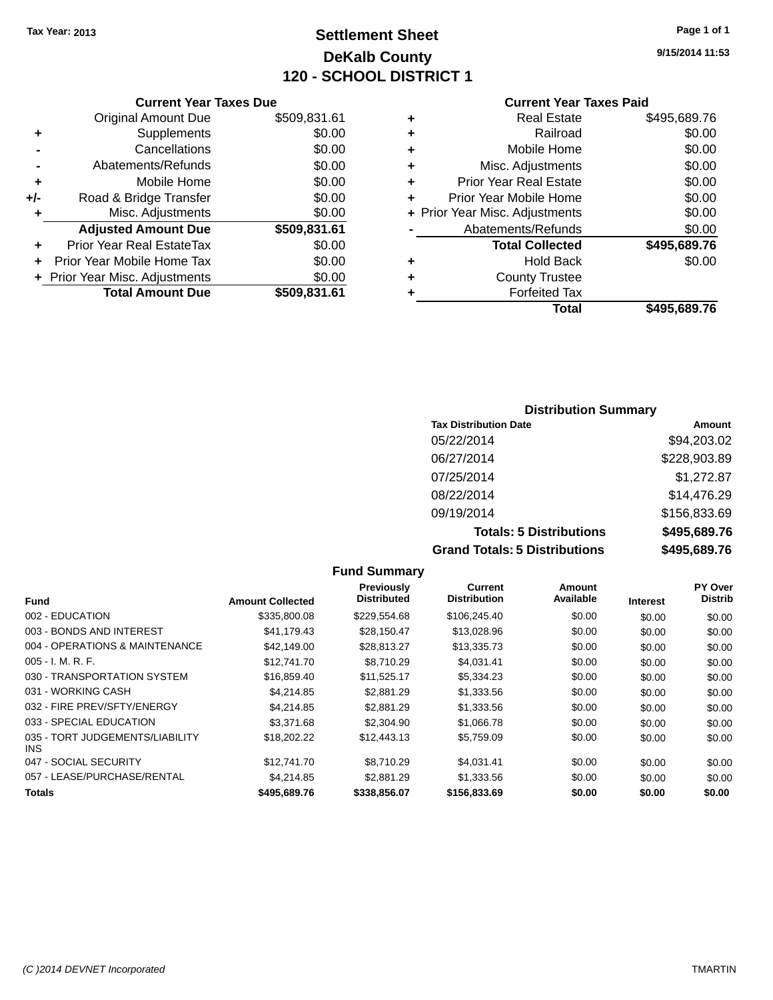## **Settlement Sheet Tax Year: 2013 Page 1 of 1 DeKalb County 120 - SCHOOL DISTRICT 1**

**9/15/2014 11:53**

#### **Current Year Taxes Paid**

|     | OGNON, IGAN IGACO DUC            |              |         |
|-----|----------------------------------|--------------|---------|
|     | <b>Original Amount Due</b>       | \$509,831.61 | ٠       |
|     | Supplements                      | \$0.00       | ٠       |
|     | Cancellations                    | \$0.00       | ٠       |
|     | Abatements/Refunds               | \$0.00       |         |
|     | Mobile Home                      | \$0.00       |         |
| +/- | Road & Bridge Transfer           | \$0.00       | ٠       |
|     | Misc. Adjustments                | \$0.00       | + Prior |
|     | <b>Adjusted Amount Due</b>       | \$509,831.61 |         |
|     | <b>Prior Year Real EstateTax</b> | \$0.00       |         |
|     | Prior Year Mobile Home Tax       | \$0.00       | ٠       |
|     | + Prior Year Misc. Adjustments   | \$0.00       |         |
|     | <b>Total Amount Due</b>          | \$509,831.61 |         |
|     |                                  |              |         |

**Current Year Taxes Due**

|   | <b>Real Estate</b>             | \$495,689.76 |
|---|--------------------------------|--------------|
| ٠ | Railroad                       | \$0.00       |
| ٠ | Mobile Home                    | \$0.00       |
| ٠ | Misc. Adjustments              | \$0.00       |
| ٠ | <b>Prior Year Real Estate</b>  | \$0.00       |
| ٠ | Prior Year Mobile Home         | \$0.00       |
|   | + Prior Year Misc. Adjustments | \$0.00       |
|   | Abatements/Refunds             | \$0.00       |
|   | <b>Total Collected</b>         | \$495,689.76 |
| ٠ | <b>Hold Back</b>               | \$0.00       |
| ٠ | <b>County Trustee</b>          |              |
| ٠ | <b>Forfeited Tax</b>           |              |
|   | Total                          | \$495,689.76 |
|   |                                |              |

#### **Distribution Summary Tax Distribution Date Amount** 05/22/2014 \$94,203.02 06/27/2014 \$228,903.89 07/25/2014 \$1,272.87 08/22/2014 \$14,476.29 09/19/2014 \$156,833.69 **Totals: 5 Distributions \$495,689.76 Grand Totals: 5 Distributions \$495,689.76**

|                                         |                         | <b>Fund Summary</b>              |                                |                            |                 |                                  |
|-----------------------------------------|-------------------------|----------------------------------|--------------------------------|----------------------------|-----------------|----------------------------------|
| <b>Fund</b>                             | <b>Amount Collected</b> | Previously<br><b>Distributed</b> | Current<br><b>Distribution</b> | <b>Amount</b><br>Available | <b>Interest</b> | <b>PY Over</b><br><b>Distrib</b> |
| 002 - EDUCATION                         | \$335,800.08            | \$229,554.68                     | \$106,245.40                   | \$0.00                     | \$0.00          | \$0.00                           |
| 003 - BONDS AND INTEREST                | \$41,179.43             | \$28,150.47                      | \$13,028.96                    | \$0.00                     | \$0.00          | \$0.00                           |
| 004 - OPERATIONS & MAINTENANCE          | \$42,149.00             | \$28,813.27                      | \$13,335.73                    | \$0.00                     | \$0.00          | \$0.00                           |
| $005 - I. M. R. F.$                     | \$12,741.70             | \$8,710.29                       | \$4.031.41                     | \$0.00                     | \$0.00          | \$0.00                           |
| 030 - TRANSPORTATION SYSTEM             | \$16,859.40             | \$11,525.17                      | \$5,334.23                     | \$0.00                     | \$0.00          | \$0.00                           |
| 031 - WORKING CASH                      | \$4.214.85              | \$2,881.29                       | \$1,333.56                     | \$0.00                     | \$0.00          | \$0.00                           |
| 032 - FIRE PREV/SFTY/ENERGY             | \$4,214.85              | \$2,881.29                       | \$1,333.56                     | \$0.00                     | \$0.00          | \$0.00                           |
| 033 - SPECIAL EDUCATION                 | \$3,371.68              | \$2,304.90                       | \$1,066.78                     | \$0.00                     | \$0.00          | \$0.00                           |
| 035 - TORT JUDGEMENTS/LIABILITY<br>INS. | \$18,202.22             | \$12,443.13                      | \$5,759.09                     | \$0.00                     | \$0.00          | \$0.00                           |
| 047 - SOCIAL SECURITY                   | \$12,741.70             | \$8,710.29                       | \$4,031.41                     | \$0.00                     | \$0.00          | \$0.00                           |
| 057 - LEASE/PURCHASE/RENTAL             | \$4,214.85              | \$2,881.29                       | \$1,333.56                     | \$0.00                     | \$0.00          | \$0.00                           |
| <b>Totals</b>                           | \$495,689.76            | \$338,856.07                     | \$156,833.69                   | \$0.00                     | \$0.00          | \$0.00                           |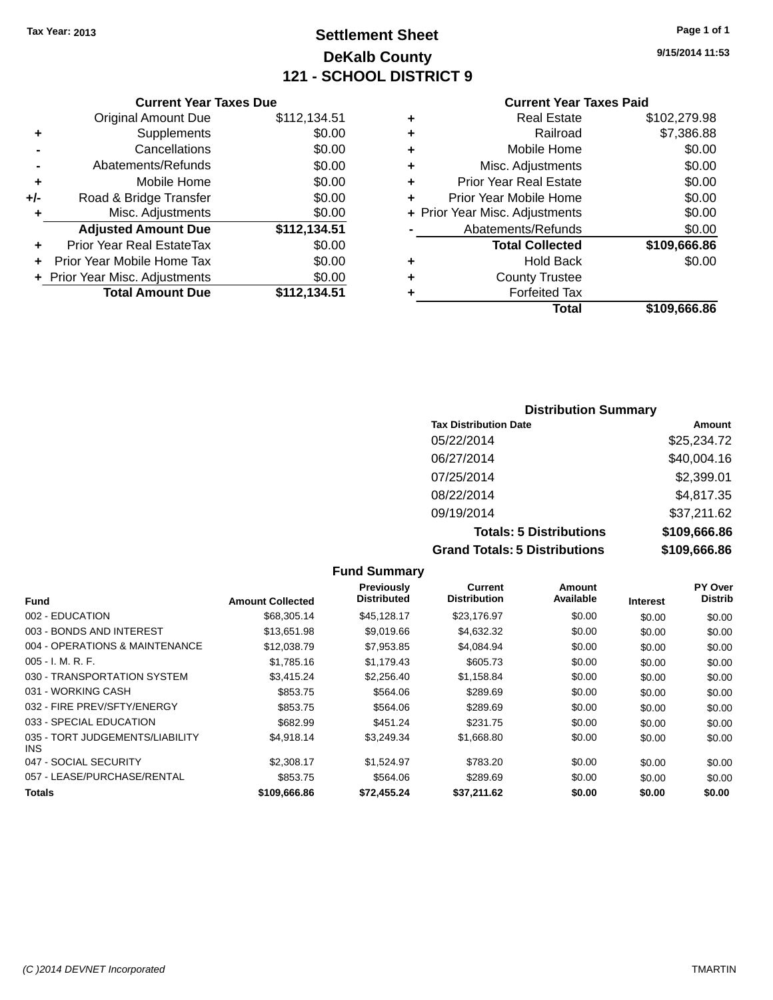**Original Amount Due** 

**Adjusted Amount Due** 

**Total Amount Due** 

**+** Supplements **-** Cancellations **-** Abatements/Refunds **+** Mobile Home **+/-** Road & Bridge Transfer **+** Misc. Adjustments

**+** Prior Year Real EstateTax \$0.00 **+** Prior Year Mobile Home Tax **+** Prior Year Misc. Adjustments

## **Settlement Sheet Tax Year: 2013 Page 1 of 1 DeKalb County 121 - SCHOOL DISTRICT 9**

**9/15/2014 11:53**

**Total \$109,666.86**

| <b>Current Year Taxes Paid</b> |  |  |
|--------------------------------|--|--|
|                                |  |  |

| <b>Current Year Taxes Due</b> |              |   | <b>Current Year Taxes Paid</b> |              |
|-------------------------------|--------------|---|--------------------------------|--------------|
| ıl Amount Due                 | \$112,134.51 | ٠ | <b>Real Estate</b>             | \$102,279.98 |
| <b>Supplements</b>            | \$0.00       | ÷ | Railroad                       | \$7,386.88   |
| Cancellations                 | \$0.00       | ÷ | Mobile Home                    | \$0.00       |
| ents/Refunds                  | \$0.00       | ÷ | Misc. Adjustments              | \$0.00       |
| Mobile Home                   | \$0.00       | ÷ | <b>Prior Year Real Estate</b>  | \$0.00       |
| ridge Transfer                | \$0.00       | ÷ | Prior Year Mobile Home         | \$0.00       |
| Adjustments                   | \$0.00       |   | + Prior Year Misc. Adjustments | \$0.00       |
| <b>Amount Due</b>             | \$112,134.51 |   | Abatements/Refunds             | \$0.00       |
| eal EstateTax:                | \$0.00       |   | <b>Total Collected</b>         | \$109,666.86 |
| pile Home Tax                 | \$0.00       | ٠ | <b>Hold Back</b>               | \$0.00       |
| . Adjustments                 | \$0.00       | ÷ | <b>County Trustee</b>          |              |
| <b>Amount Due</b>             | \$112,134.51 |   | <b>Forfeited Tax</b>           |              |
|                               |              |   | Total                          | \$109,666,86 |

| <b>Distribution Summary</b>       |              |  |  |  |  |
|-----------------------------------|--------------|--|--|--|--|
| <b>Tax Distribution Date</b>      | Amount       |  |  |  |  |
| 05/22/2014                        | \$25,234.72  |  |  |  |  |
| 06/27/2014                        | \$40,004.16  |  |  |  |  |
| 07/25/2014                        | \$2,399.01   |  |  |  |  |
| 08/22/2014                        | \$4,817.35   |  |  |  |  |
| 09/19/2014                        | \$37,211.62  |  |  |  |  |
| <b>Totals: 5 Distributions</b>    | \$109,666.86 |  |  |  |  |
| Oran di Tatalar E. Diatributional | 00 200 000 A |  |  |  |  |

**Grand Totals: 5 Distributions \$109,666.86 Fund Summary Fund Interest Amount Collected Distributed PY Over Distrib Amount Available Current Distribution Previously** 002 - EDUCATION \$68,305.14 \$45,128.17 \$23,176.97 \$0.00 \$0.00 \$0.00 003 - BONDS AND INTEREST \$13,651.98 \$9,019.66 \$4,632.32 \$0.00 \$0.00 \$0.00 \$0.00 004 - OPERATIONS & MAINTENANCE \$12,038.79 \$7,953.85 \$4,084.94 \$0.00 \$0.00 \$0.00 005 - I. M. R. F. \$1,785.16 \$1,179.43 \$605.73 \$0.00 \$0.00 \$0.00 030 - TRANSPORTATION SYSTEM \$3,415.24 \$2,256.40 \$1,158.84 \$0.00 \$0.00 \$0.00 \$0.00 031 - WORKING CASH \$853.75 \$564.06 \$289.69 \$0.00 \$0.00 \$0.00 032 - FIRE PREV/SFTY/ENERGY \$853.75 \$564.06 \$289.69 \$0.00 \$0.00 \$0.00 033 - SPECIAL EDUCATION \$682.99 \$451.24 \$231.75 \$0.00 \$0.00 \$0.00 \$4,918.14 \$3,249.34 \$1,668.80 \$0.00 \$0.00 \$0.00

**Totals \$109,666.86 \$72,455.24 \$37,211.62 \$0.00 \$0.00 \$0.00**

|                                        |            |            |            |        |        | <b>vo.oo</b> |
|----------------------------------------|------------|------------|------------|--------|--------|--------------|
| 031 - WORKING CASH                     | \$853.75   | \$564.06   | \$289.69   | \$0.00 | \$0.00 | \$0.00       |
| 032 - FIRE PREV/SFTY/ENERGY            | \$853.75   | \$564.06   | \$289.69   | \$0.00 | \$0.00 | \$0.00       |
| 033 - SPECIAL EDUCATION                | \$682.99   | \$451.24   | \$231.75   | \$0.00 | \$0.00 | \$0.00       |
| 035 - TORT JUDGEMENTS/LIABILITY<br>INS | \$4.918.14 | \$3.249.34 | \$1,668.80 | \$0.00 | \$0.00 | \$0.00       |
| 047 - SOCIAL SECURITY                  | \$2,308.17 | \$1.524.97 | \$783.20   | \$0.00 | \$0.00 | \$0.00       |
| 057 - LEASE/PURCHASE/RENTAL            | \$853.75   | \$564.06   | \$289.69   | \$0.00 | \$0.00 | \$0.00       |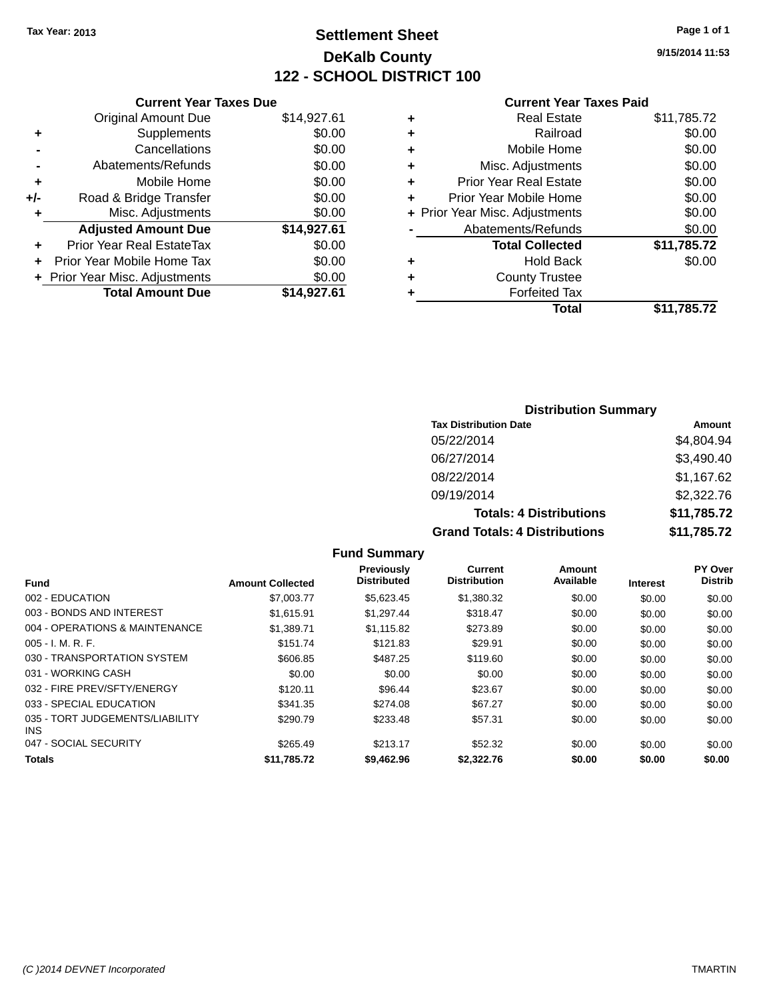## **Settlement Sheet Tax Year: 2013 Page 1 of 1 DeKalb County 122 - SCHOOL DISTRICT 100**

**9/15/2014 11:53**

#### **Current Year Taxes Paid**

|       | <b>Current Year Taxes Due</b>  |             |
|-------|--------------------------------|-------------|
|       | <b>Original Amount Due</b>     | \$14,927.61 |
| ٠     | Supplements                    | \$0.00      |
|       | Cancellations                  | \$0.00      |
|       | Abatements/Refunds             | \$0.00      |
| ٠     | Mobile Home                    | \$0.00      |
| $+/-$ | Road & Bridge Transfer         | \$0.00      |
|       | Misc. Adjustments              | \$0.00      |
|       | <b>Adjusted Amount Due</b>     | \$14,927.61 |
| ٠     | Prior Year Real EstateTax      | \$0.00      |
|       | Prior Year Mobile Home Tax     | \$0.00      |
|       | + Prior Year Misc. Adjustments | \$0.00      |
|       | <b>Total Amount Due</b>        | \$14,927.61 |
|       |                                |             |

|   | <b>Real Estate</b>             | \$11,785.72 |
|---|--------------------------------|-------------|
| ٠ | Railroad                       | \$0.00      |
| ٠ | Mobile Home                    | \$0.00      |
| ٠ | Misc. Adjustments              | \$0.00      |
| ٠ | <b>Prior Year Real Estate</b>  | \$0.00      |
| ÷ | Prior Year Mobile Home         | \$0.00      |
|   | + Prior Year Misc. Adjustments | \$0.00      |
|   | Abatements/Refunds             | \$0.00      |
|   | <b>Total Collected</b>         | \$11,785.72 |
| ٠ | <b>Hold Back</b>               | \$0.00      |
| ٠ | <b>County Trustee</b>          |             |
| ٠ | <b>Forfeited Tax</b>           |             |
|   | Total                          | \$11,785.72 |
|   |                                |             |

#### **Distribution Summary Tax Distribution Date Amount** 05/22/2014 \$4,804.94 06/27/2014 \$3,490.40 08/22/2014 \$1,167.62 09/19/2014 \$2,322.76 **Totals: 4 Distributions \$11,785.72 Grand Totals: 4 Distributions \$11,785.72**

|                                         |                         | <b>Fund Summary</b>              |                                |                     |                 |                           |
|-----------------------------------------|-------------------------|----------------------------------|--------------------------------|---------------------|-----------------|---------------------------|
| Fund                                    | <b>Amount Collected</b> | Previously<br><b>Distributed</b> | Current<br><b>Distribution</b> | Amount<br>Available | <b>Interest</b> | PY Over<br><b>Distrib</b> |
| 002 - EDUCATION                         | \$7,003.77              | \$5,623.45                       | \$1,380.32                     | \$0.00              | \$0.00          | \$0.00                    |
| 003 - BONDS AND INTEREST                | \$1,615.91              | \$1,297.44                       | \$318.47                       | \$0.00              | \$0.00          | \$0.00                    |
| 004 - OPERATIONS & MAINTENANCE          | \$1,389.71              | \$1.115.82                       | \$273.89                       | \$0.00              | \$0.00          | \$0.00                    |
| $005 - I. M. R. F.$                     | \$151.74                | \$121.83                         | \$29.91                        | \$0.00              | \$0.00          | \$0.00                    |
| 030 - TRANSPORTATION SYSTEM             | \$606.85                | \$487.25                         | \$119.60                       | \$0.00              | \$0.00          | \$0.00                    |
| 031 - WORKING CASH                      | \$0.00                  | \$0.00                           | \$0.00                         | \$0.00              | \$0.00          | \$0.00                    |
| 032 - FIRE PREV/SFTY/ENERGY             | \$120.11                | \$96.44                          | \$23.67                        | \$0.00              | \$0.00          | \$0.00                    |
| 033 - SPECIAL EDUCATION                 | \$341.35                | \$274.08                         | \$67.27                        | \$0.00              | \$0.00          | \$0.00                    |
| 035 - TORT JUDGEMENTS/LIABILITY<br>INS. | \$290.79                | \$233.48                         | \$57.31                        | \$0.00              | \$0.00          | \$0.00                    |
| 047 - SOCIAL SECURITY                   | \$265.49                | \$213.17                         | \$52.32                        | \$0.00              | \$0.00          | \$0.00                    |
| <b>Totals</b>                           | \$11.785.72             | \$9,462.96                       | \$2,322,76                     | \$0.00              | \$0.00          | \$0.00                    |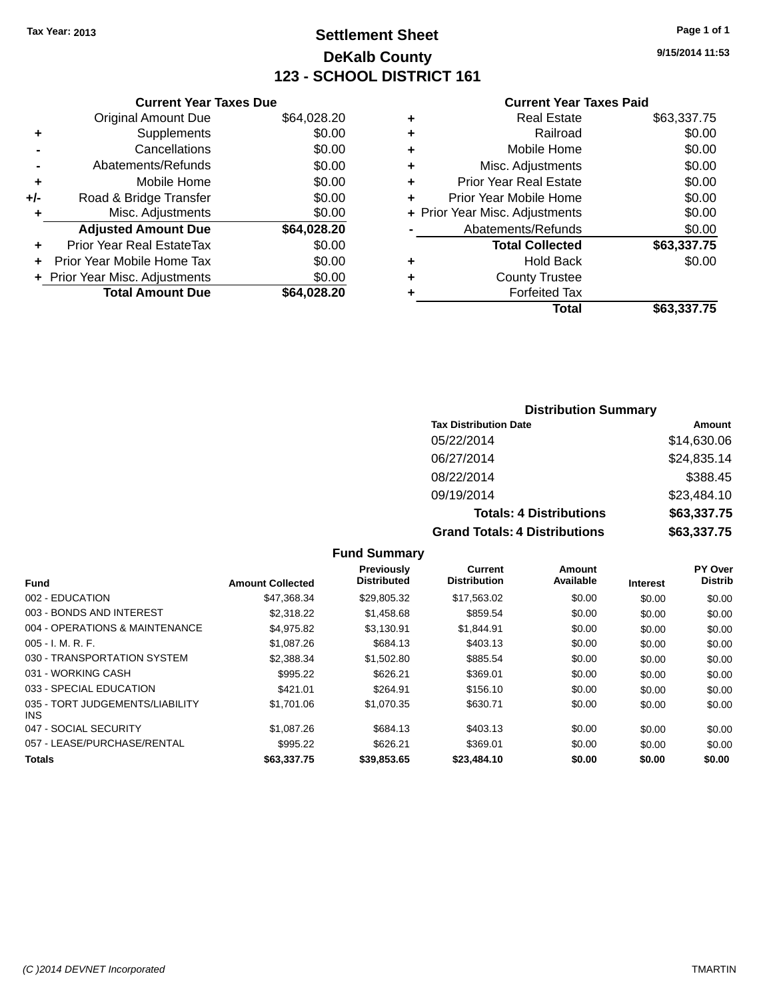## **Settlement Sheet Tax Year: 2013 Page 1 of 1 DeKalb County 123 - SCHOOL DISTRICT 161**

**9/15/2014 11:53**

#### **Current Year Taxes Paid**

|       | <b>Original Amount Due</b>   | \$64,028.20 |
|-------|------------------------------|-------------|
| ٠     | Supplements                  | \$0.00      |
|       | Cancellations                | \$0.00      |
|       | Abatements/Refunds           | \$0.00      |
| ٠     | Mobile Home                  | \$0.00      |
| $+/-$ | Road & Bridge Transfer       | \$0.00      |
| ٠     | Misc. Adjustments            | \$0.00      |
|       | <b>Adjusted Amount Due</b>   | \$64,028.20 |
| ÷     | Prior Year Real EstateTax    | \$0.00      |
|       | Prior Year Mobile Home Tax   | \$0.00      |
|       | Prior Year Misc. Adjustments | \$0.00      |
|       | <b>Total Amount Due</b>      | \$64,028.20 |
|       |                              |             |

**Current Year Taxes Due**

|   | <b>Real Estate</b>             | \$63,337.75 |
|---|--------------------------------|-------------|
| ٠ | Railroad                       | \$0.00      |
| ٠ | Mobile Home                    | \$0.00      |
| ٠ | Misc. Adjustments              | \$0.00      |
| ٠ | Prior Year Real Estate         | \$0.00      |
| ٠ | Prior Year Mobile Home         | \$0.00      |
|   | + Prior Year Misc. Adjustments | \$0.00      |
|   | Abatements/Refunds             | \$0.00      |
|   | <b>Total Collected</b>         | \$63,337.75 |
| ٠ | Hold Back                      | \$0.00      |
| ٠ | <b>County Trustee</b>          |             |
| ٠ | <b>Forfeited Tax</b>           |             |
|   | Total                          | \$63,337.75 |
|   |                                |             |

#### **Distribution Summary**

| <b>Tax Distribution Date</b>         | Amount      |
|--------------------------------------|-------------|
| 05/22/2014                           | \$14,630.06 |
| 06/27/2014                           | \$24,835.14 |
| 08/22/2014                           | \$388.45    |
| 09/19/2014                           | \$23,484.10 |
| <b>Totals: 4 Distributions</b>       | \$63,337.75 |
| <b>Grand Totals: 4 Distributions</b> | \$63,337.75 |

#### **Fund Interest Amount Collected Distributed PY Over Distrib Amount Available Current Distribution Previously** 002 - EDUCATION \$47,368.34 \$29,805.32 \$17,563.02 \$0.00 \$0.00 \$0.00 003 - BONDS AND INTEREST 62,318.22 \$1,458.68 \$859.54 \$0.00 \$0.00 \$0.00 \$0.00 004 - OPERATIONS & MAINTENANCE  $$4,975.82$   $$3,130.91$   $$1,844.91$   $$0.00$   $$0.00$   $$0.00$ 005 - I. M. R. F. Charles Communication (St. 1087.26 \$684.13 \$403.13 \$0.00 \$0.00 \$0.00 \$0.00 030 - TRANSPORTATION SYSTEM \$2,388.34 \$1,502.80 \$885.54 \$0.00 \$0.00 \$0.00 \$0.00 031 - WORKING CASH \$995.22 \$626.21 \$369.01 \$0.00 \$0.00 \$0.00 033 - SPECIAL EDUCATION 6421.01 \$421.01 \$264.91 \$156.10 \$0.00 \$0.00 \$0.00 \$0.00 035 - TORT JUDGEMENTS/LIABILITY INS \$1,701.06 \$1,070.35 \$630.71 \$0.00 \$0.00 \$0.00 047 - SOCIAL SECURITY \$1,087.26 \$684.13 \$403.13 \$0.00 \$0.00 \$0.00 057 - LEASE/PURCHASE/RENTAL \$995.22 \$626.21 \$369.01 \$0.00 \$0.00 \$0.00 **Totals \$63,337.75 \$39,853.65 \$23,484.10 \$0.00 \$0.00 \$0.00**

**Fund Summary**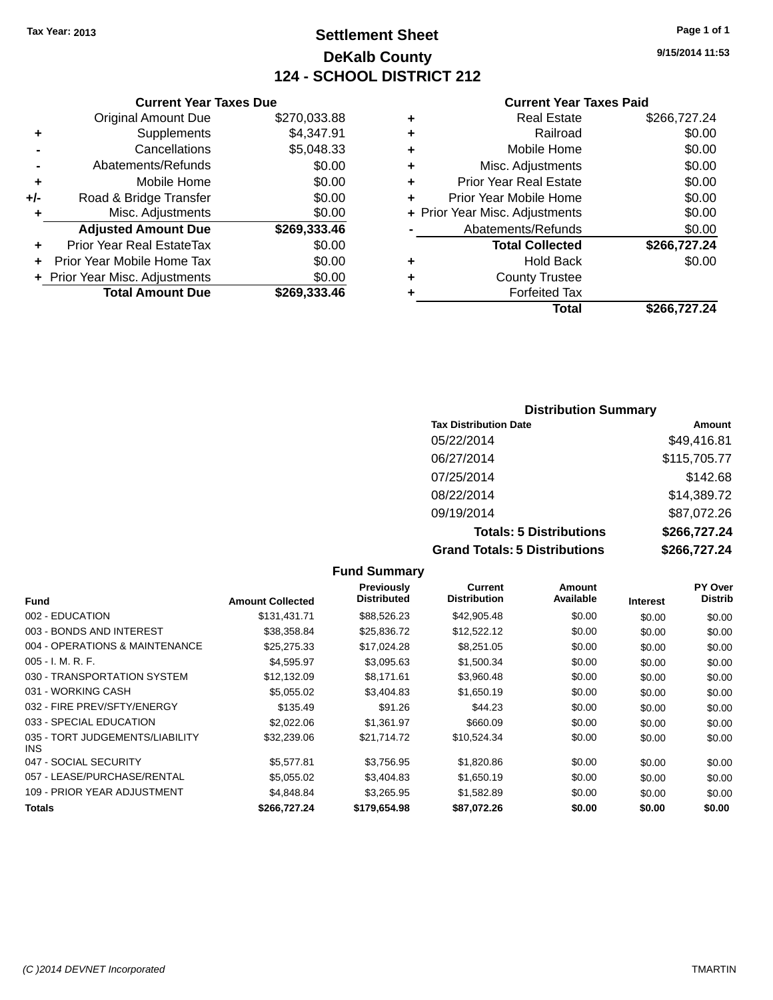## **Settlement Sheet Tax Year: 2013 Page 1 of 1 DeKalb County 124 - SCHOOL DISTRICT 212**

**9/15/2014 11:53**

#### **Current Year Taxes Paid**

|     | <b>Total Amount Due</b>          | \$269,333.46 |
|-----|----------------------------------|--------------|
|     | + Prior Year Misc. Adjustments   | \$0.00       |
| ٠   | Prior Year Mobile Home Tax       | \$0.00       |
| ٠   | <b>Prior Year Real EstateTax</b> | \$0.00       |
|     | <b>Adjusted Amount Due</b>       | \$269,333.46 |
| ٠   | Misc. Adjustments                | \$0.00       |
| +/- | Road & Bridge Transfer           | \$0.00       |
| ٠   | Mobile Home                      | \$0.00       |
| -   | Abatements/Refunds               | \$0.00       |
|     | Cancellations                    | \$5,048.33   |
| ٠   | Supplements                      | \$4,347.91   |
|     | <b>Original Amount Due</b>       | \$270,033.88 |
|     |                                  |              |

**Current Year Taxes Due**

|   | <b>Real Estate</b>             | \$266,727.24 |
|---|--------------------------------|--------------|
| ٠ | Railroad                       | \$0.00       |
| ٠ | Mobile Home                    | \$0.00       |
| ٠ | Misc. Adjustments              | \$0.00       |
| ٠ | <b>Prior Year Real Estate</b>  | \$0.00       |
| ٠ | Prior Year Mobile Home         | \$0.00       |
|   | + Prior Year Misc. Adjustments | \$0.00       |
|   | Abatements/Refunds             | \$0.00       |
|   | <b>Total Collected</b>         | \$266,727.24 |
| ٠ | <b>Hold Back</b>               | \$0.00       |
| ٠ | <b>County Trustee</b>          |              |
|   | <b>Forfeited Tax</b>           |              |
|   | Total                          | \$266,727.24 |
|   |                                |              |

#### **Distribution Summary Tax Distribution Date Amount** 05/22/2014 \$49,416.81 06/27/2014 \$115,705.77 07/25/2014 \$142.68 08/22/2014 \$14,389.72 09/19/2014 \$87,072.26 **Totals: 5 Distributions \$266,727.24 Grand Totals: 5 Distributions \$266,727.24**

|                                         |                         | <b>Fund Summary</b>                     |                                |                     |                 |                           |
|-----------------------------------------|-------------------------|-----------------------------------------|--------------------------------|---------------------|-----------------|---------------------------|
| <b>Fund</b>                             | <b>Amount Collected</b> | <b>Previously</b><br><b>Distributed</b> | Current<br><b>Distribution</b> | Amount<br>Available | <b>Interest</b> | PY Over<br><b>Distrib</b> |
| 002 - EDUCATION                         | \$131,431.71            | \$88,526.23                             | \$42,905.48                    | \$0.00              | \$0.00          | \$0.00                    |
| 003 - BONDS AND INTEREST                | \$38,358.84             | \$25,836.72                             | \$12,522.12                    | \$0.00              | \$0.00          | \$0.00                    |
| 004 - OPERATIONS & MAINTENANCE          | \$25,275.33             | \$17,024.28                             | \$8,251.05                     | \$0.00              | \$0.00          | \$0.00                    |
| $005 - I. M. R. F.$                     | \$4,595.97              | \$3,095.63                              | \$1,500.34                     | \$0.00              | \$0.00          | \$0.00                    |
| 030 - TRANSPORTATION SYSTEM             | \$12,132.09             | \$8,171.61                              | \$3,960.48                     | \$0.00              | \$0.00          | \$0.00                    |
| 031 - WORKING CASH                      | \$5,055.02              | \$3.404.83                              | \$1,650.19                     | \$0.00              | \$0.00          | \$0.00                    |
| 032 - FIRE PREV/SFTY/ENERGY             | \$135.49                | \$91.26                                 | \$44.23                        | \$0.00              | \$0.00          | \$0.00                    |
| 033 - SPECIAL EDUCATION                 | \$2,022.06              | \$1,361.97                              | \$660.09                       | \$0.00              | \$0.00          | \$0.00                    |
| 035 - TORT JUDGEMENTS/LIABILITY<br>INS. | \$32,239.06             | \$21,714.72                             | \$10,524.34                    | \$0.00              | \$0.00          | \$0.00                    |
| 047 - SOCIAL SECURITY                   | \$5,577.81              | \$3,756.95                              | \$1,820.86                     | \$0.00              | \$0.00          | \$0.00                    |
| 057 - LEASE/PURCHASE/RENTAL             | \$5,055.02              | \$3,404.83                              | \$1,650.19                     | \$0.00              | \$0.00          | \$0.00                    |
| 109 - PRIOR YEAR ADJUSTMENT             | \$4,848.84              | \$3,265.95                              | \$1,582.89                     | \$0.00              | \$0.00          | \$0.00                    |
| Totals                                  | \$266,727.24            | \$179,654.98                            | \$87,072.26                    | \$0.00              | \$0.00          | \$0.00                    |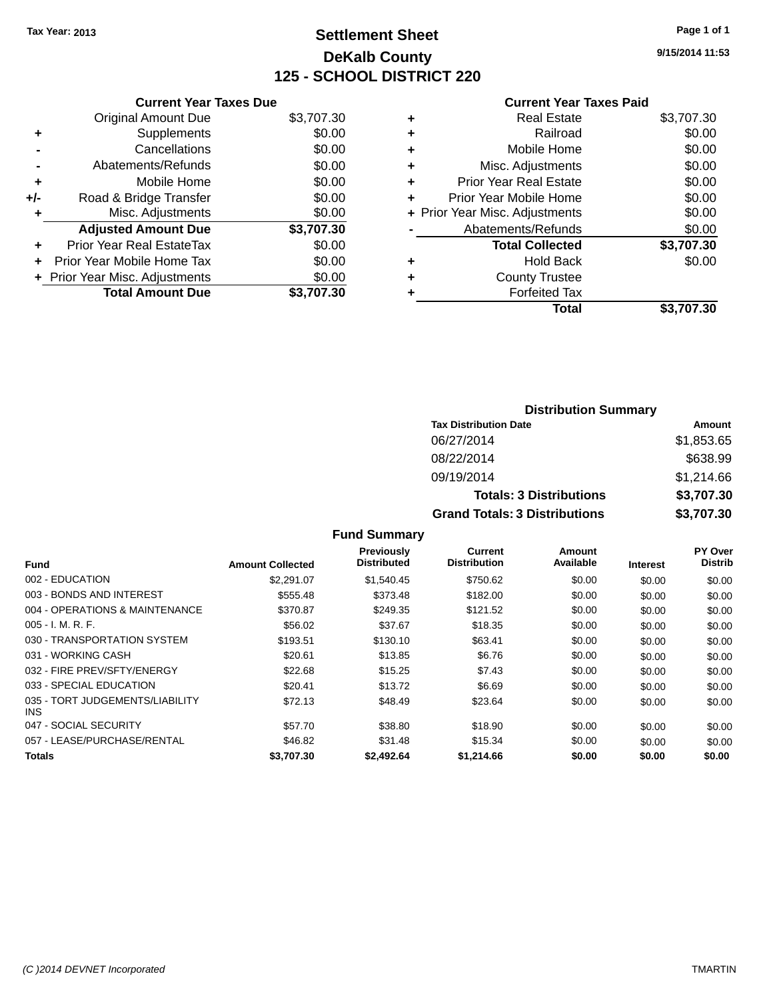## **Settlement Sheet Tax Year: 2013 Page 1 of 1 DeKalb County 125 - SCHOOL DISTRICT 220**

**9/15/2014 11:53**

#### **Current Year Taxes Paid**

|     | <b>Current Year Taxes Due</b>  |            |
|-----|--------------------------------|------------|
|     | <b>Original Amount Due</b>     | \$3,707.30 |
| ÷   | Supplements                    | \$0.00     |
|     | Cancellations                  | \$0.00     |
|     | Abatements/Refunds             | \$0.00     |
| ٠   | Mobile Home                    | \$0.00     |
| +/- | Road & Bridge Transfer         | \$0.00     |
|     | Misc. Adjustments              | \$0.00     |
|     | <b>Adjusted Amount Due</b>     | \$3,707.30 |
| ÷   | Prior Year Real EstateTax      | \$0.00     |
|     | Prior Year Mobile Home Tax     | \$0.00     |
|     | + Prior Year Misc. Adjustments | \$0.00     |
|     | <b>Total Amount Due</b>        | \$3,707.30 |
|     |                                |            |

|   | <b>Real Estate</b>             | \$3,707.30 |
|---|--------------------------------|------------|
| ٠ | Railroad                       | \$0.00     |
| ٠ | Mobile Home                    | \$0.00     |
| ٠ | Misc. Adjustments              | \$0.00     |
| ٠ | <b>Prior Year Real Estate</b>  | \$0.00     |
| ÷ | Prior Year Mobile Home         | \$0.00     |
|   | + Prior Year Misc. Adjustments | \$0.00     |
|   | Abatements/Refunds             | \$0.00     |
|   | <b>Total Collected</b>         | \$3,707.30 |
| ٠ | Hold Back                      | \$0.00     |
| ٠ | <b>County Trustee</b>          |            |
| ٠ | <b>Forfeited Tax</b>           |            |
|   | Total                          | \$3,707.30 |
|   |                                |            |

| <b>Distribution Summary</b>          |            |  |  |  |
|--------------------------------------|------------|--|--|--|
| <b>Tax Distribution Date</b>         | Amount     |  |  |  |
| 06/27/2014                           | \$1,853.65 |  |  |  |
| 08/22/2014                           | \$638.99   |  |  |  |
| 09/19/2014                           | \$1,214.66 |  |  |  |
| <b>Totals: 3 Distributions</b>       | \$3,707.30 |  |  |  |
| <b>Grand Totals: 3 Distributions</b> | \$3,707.30 |  |  |  |

#### **Fund Summary**

| Fund                                    | <b>Amount Collected</b> | Previously<br><b>Distributed</b> | Current<br><b>Distribution</b> | Amount<br>Available | <b>Interest</b> | PY Over<br><b>Distrib</b> |
|-----------------------------------------|-------------------------|----------------------------------|--------------------------------|---------------------|-----------------|---------------------------|
| 002 - EDUCATION                         | \$2,291.07              | \$1,540.45                       | \$750.62                       | \$0.00              | \$0.00          | \$0.00                    |
| 003 - BONDS AND INTEREST                | \$555.48                | \$373.48                         | \$182.00                       | \$0.00              | \$0.00          | \$0.00                    |
| 004 - OPERATIONS & MAINTENANCE          | \$370.87                | \$249.35                         | \$121.52                       | \$0.00              | \$0.00          | \$0.00                    |
| $005 - I. M. R. F.$                     | \$56.02                 | \$37.67                          | \$18.35                        | \$0.00              | \$0.00          | \$0.00                    |
| 030 - TRANSPORTATION SYSTEM             | \$193.51                | \$130.10                         | \$63.41                        | \$0.00              | \$0.00          | \$0.00                    |
| 031 - WORKING CASH                      | \$20.61                 | \$13.85                          | \$6.76                         | \$0.00              | \$0.00          | \$0.00                    |
| 032 - FIRE PREV/SFTY/ENERGY             | \$22.68                 | \$15.25                          | \$7.43                         | \$0.00              | \$0.00          | \$0.00                    |
| 033 - SPECIAL EDUCATION                 | \$20.41                 | \$13.72                          | \$6.69                         | \$0.00              | \$0.00          | \$0.00                    |
| 035 - TORT JUDGEMENTS/LIABILITY<br>INS. | \$72.13                 | \$48.49                          | \$23.64                        | \$0.00              | \$0.00          | \$0.00                    |
| 047 - SOCIAL SECURITY                   | \$57.70                 | \$38.80                          | \$18.90                        | \$0.00              | \$0.00          | \$0.00                    |
| 057 - LEASE/PURCHASE/RENTAL             | \$46.82                 | \$31.48                          | \$15.34                        | \$0.00              | \$0.00          | \$0.00                    |
| <b>Totals</b>                           | \$3,707.30              | \$2,492.64                       | \$1,214,66                     | \$0.00              | \$0.00          | \$0.00                    |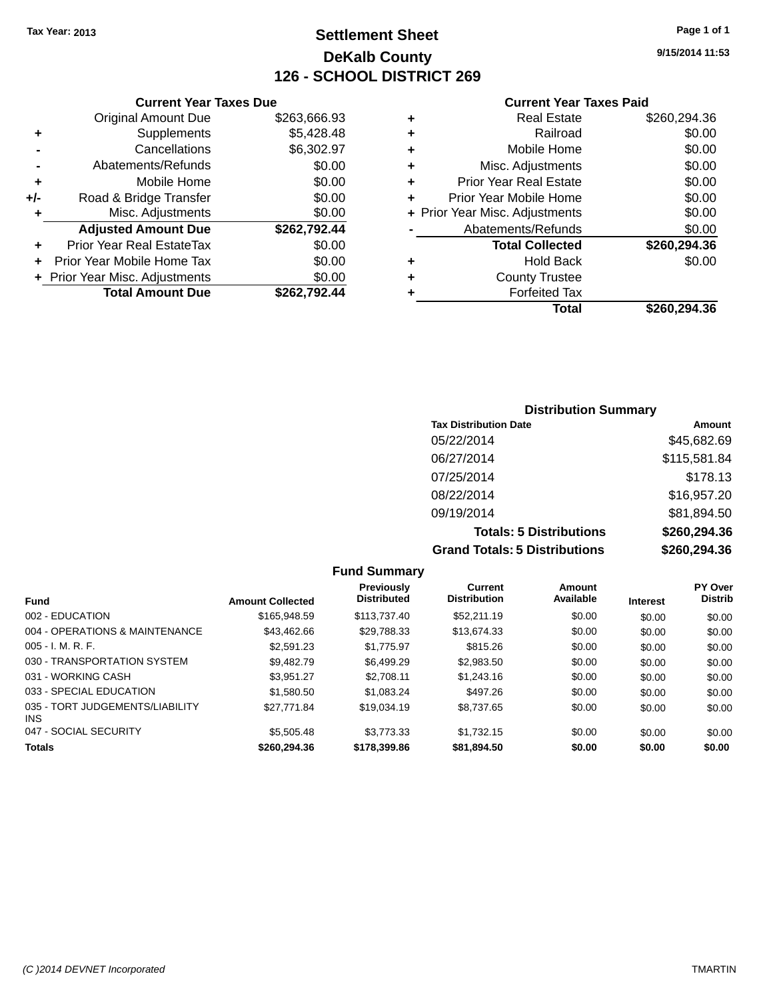**Current Year Taxes Due** Original Amount Due \$263,666.93

**Adjusted Amount Due \$262,792.44**

**Total Amount Due \$262,792.44**

**+** Supplements \$5,428.48 **-** Cancellations \$6,302.97 **-** Abatements/Refunds \$0.00 **+** Mobile Home \$0.00 **+/-** Road & Bridge Transfer \$0.00 **+** Misc. Adjustments \$0.00

**+** Prior Year Real EstateTax \$0.00 **+** Prior Year Mobile Home Tax \$0.00 **+ Prior Year Misc. Adjustments**  $$0.00$ 

## **Settlement Sheet Tax Year: 2013 Page 1 of 1 DeKalb County 126 - SCHOOL DISTRICT 269**

**9/15/2014 11:53**

#### **Current Year Taxes Paid**

|   | Total                          | \$260.294.36 |
|---|--------------------------------|--------------|
| ٠ | <b>Forfeited Tax</b>           |              |
| ٠ | <b>County Trustee</b>          |              |
| ٠ | <b>Hold Back</b>               | \$0.00       |
|   | <b>Total Collected</b>         | \$260,294.36 |
|   | Abatements/Refunds             | \$0.00       |
|   | + Prior Year Misc. Adjustments | \$0.00       |
| ٠ | Prior Year Mobile Home         | \$0.00       |
| ٠ | <b>Prior Year Real Estate</b>  | \$0.00       |
| ٠ | Misc. Adjustments              | \$0.00       |
| ٠ | Mobile Home                    | \$0.00       |
| ٠ | Railroad                       | \$0.00       |
| ٠ | <b>Real Estate</b>             | \$260,294.36 |

## **Distribution Summary Tax Distribution Date Amount** 05/22/2014 \$45,682.69 06/27/2014 \$115,581.84 07/25/2014 \$178.13 08/22/2014 \$16,957.20 09/19/2014 \$81,894.50

**Totals: 5 Distributions \$260,294.36 Grand Totals: 5 Distributions \$260,294.36**

|                                         |                         | <b>Fund Summary</b>                     |                                       |                     |                 |                           |
|-----------------------------------------|-------------------------|-----------------------------------------|---------------------------------------|---------------------|-----------------|---------------------------|
| <b>Fund</b>                             | <b>Amount Collected</b> | <b>Previously</b><br><b>Distributed</b> | <b>Current</b><br><b>Distribution</b> | Amount<br>Available | <b>Interest</b> | PY Over<br><b>Distrib</b> |
| 002 - EDUCATION                         | \$165,948.59            | \$113,737.40                            | \$52,211.19                           | \$0.00              | \$0.00          | \$0.00                    |
| 004 - OPERATIONS & MAINTENANCE          | \$43.462.66             | \$29,788.33                             | \$13.674.33                           | \$0.00              | \$0.00          | \$0.00                    |
| $005 - I. M. R. F.$                     | \$2,591.23              | \$1,775.97                              | \$815.26                              | \$0.00              | \$0.00          | \$0.00                    |
| 030 - TRANSPORTATION SYSTEM             | \$9.482.79              | \$6,499.29                              | \$2.983.50                            | \$0.00              | \$0.00          | \$0.00                    |
| 031 - WORKING CASH                      | \$3.951.27              | \$2.708.11                              | \$1,243.16                            | \$0.00              | \$0.00          | \$0.00                    |
| 033 - SPECIAL EDUCATION                 | \$1,580.50              | \$1,083.24                              | \$497.26                              | \$0.00              | \$0.00          | \$0.00                    |
| 035 - TORT JUDGEMENTS/LIABILITY<br>INS. | \$27.771.84             | \$19,034.19                             | \$8.737.65                            | \$0.00              | \$0.00          | \$0.00                    |
| 047 - SOCIAL SECURITY                   | \$5,505.48              | \$3.773.33                              | \$1.732.15                            | \$0.00              | \$0.00          | \$0.00                    |
| <b>Totals</b>                           | \$260,294,36            | \$178,399,86                            | \$81,894.50                           | \$0.00              | \$0.00          | \$0.00                    |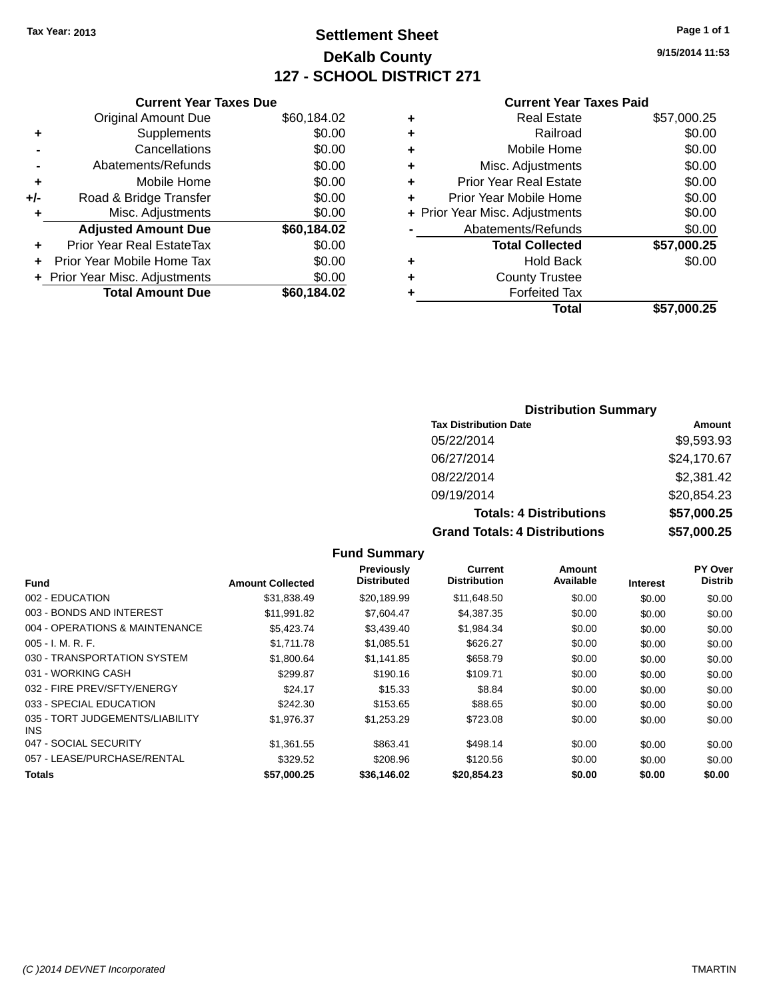## **Settlement Sheet Tax Year: 2013 Page 1 of 1 DeKalb County 127 - SCHOOL DISTRICT 271**

**9/15/2014 11:53**

#### **Current Year Taxes Paid**

|     | <b>Current Year Taxes Due</b>  |             |  |  |  |  |  |
|-----|--------------------------------|-------------|--|--|--|--|--|
|     | <b>Original Amount Due</b>     | \$60,184.02 |  |  |  |  |  |
| ٠   | Supplements                    | \$0.00      |  |  |  |  |  |
|     | Cancellations                  | \$0.00      |  |  |  |  |  |
|     | Abatements/Refunds             | \$0.00      |  |  |  |  |  |
| ٠   | Mobile Home                    | \$0.00      |  |  |  |  |  |
| +/- | Road & Bridge Transfer         | \$0.00      |  |  |  |  |  |
| ٠   | Misc. Adjustments              | \$0.00      |  |  |  |  |  |
|     | <b>Adjusted Amount Due</b>     | \$60,184.02 |  |  |  |  |  |
| ÷   | Prior Year Real EstateTax      | \$0.00      |  |  |  |  |  |
|     | Prior Year Mobile Home Tax     | \$0.00      |  |  |  |  |  |
|     | + Prior Year Misc. Adjustments | \$0.00      |  |  |  |  |  |
|     | <b>Total Amount Due</b>        | \$60,184.02 |  |  |  |  |  |

|   | <b>Real Estate</b>             | \$57,000.25 |
|---|--------------------------------|-------------|
| ٠ | Railroad                       | \$0.00      |
| ٠ | Mobile Home                    | \$0.00      |
| ٠ | Misc. Adjustments              | \$0.00      |
| ٠ | <b>Prior Year Real Estate</b>  | \$0.00      |
| ٠ | Prior Year Mobile Home         | \$0.00      |
|   | + Prior Year Misc. Adjustments | \$0.00      |
|   | Abatements/Refunds             | \$0.00      |
|   | <b>Total Collected</b>         | \$57,000.25 |
| ٠ | <b>Hold Back</b>               | \$0.00      |
| ٠ | <b>County Trustee</b>          |             |
| ٠ | <b>Forfeited Tax</b>           |             |
|   | Total                          | \$57,000.25 |
|   |                                |             |

#### **Distribution Summary Tax Distribution Date Amount** 05/22/2014 \$9,593.93 06/27/2014 \$24,170.67 08/22/2014 \$2,381.42 09/19/2014 \$20,854.23 **Totals: 4 Distributions \$57,000.25 Grand Totals: 4 Distributions \$57,000.25**

|                                         |                         | <b>Fund Summary</b>                     |                                       |                     |                 |                                  |
|-----------------------------------------|-------------------------|-----------------------------------------|---------------------------------------|---------------------|-----------------|----------------------------------|
| <b>Fund</b>                             | <b>Amount Collected</b> | <b>Previously</b><br><b>Distributed</b> | <b>Current</b><br><b>Distribution</b> | Amount<br>Available | <b>Interest</b> | <b>PY Over</b><br><b>Distrib</b> |
| 002 - EDUCATION                         | \$31,838.49             | \$20,189.99                             | \$11,648.50                           | \$0.00              | \$0.00          | \$0.00                           |
| 003 - BONDS AND INTEREST                | \$11,991.82             | \$7,604.47                              | \$4,387.35                            | \$0.00              | \$0.00          | \$0.00                           |
| 004 - OPERATIONS & MAINTENANCE          | \$5.423.74              | \$3.439.40                              | \$1,984.34                            | \$0.00              | \$0.00          | \$0.00                           |
| $005 - I. M. R. F.$                     | \$1,711.78              | \$1,085.51                              | \$626.27                              | \$0.00              | \$0.00          | \$0.00                           |
| 030 - TRANSPORTATION SYSTEM             | \$1,800.64              | \$1.141.85                              | \$658.79                              | \$0.00              | \$0.00          | \$0.00                           |
| 031 - WORKING CASH                      | \$299.87                | \$190.16                                | \$109.71                              | \$0.00              | \$0.00          | \$0.00                           |
| 032 - FIRE PREV/SFTY/ENERGY             | \$24.17                 | \$15.33                                 | \$8.84                                | \$0.00              | \$0.00          | \$0.00                           |
| 033 - SPECIAL EDUCATION                 | \$242.30                | \$153.65                                | \$88.65                               | \$0.00              | \$0.00          | \$0.00                           |
| 035 - TORT JUDGEMENTS/LIABILITY<br>INS. | \$1,976.37              | \$1,253.29                              | \$723.08                              | \$0.00              | \$0.00          | \$0.00                           |
| 047 - SOCIAL SECURITY                   | \$1,361.55              | \$863.41                                | \$498.14                              | \$0.00              | \$0.00          | \$0.00                           |
| 057 - LEASE/PURCHASE/RENTAL             | \$329.52                | \$208.96                                | \$120.56                              | \$0.00              | \$0.00          | \$0.00                           |
| <b>Totals</b>                           | \$57,000.25             | \$36,146.02                             | \$20,854.23                           | \$0.00              | \$0.00          | \$0.00                           |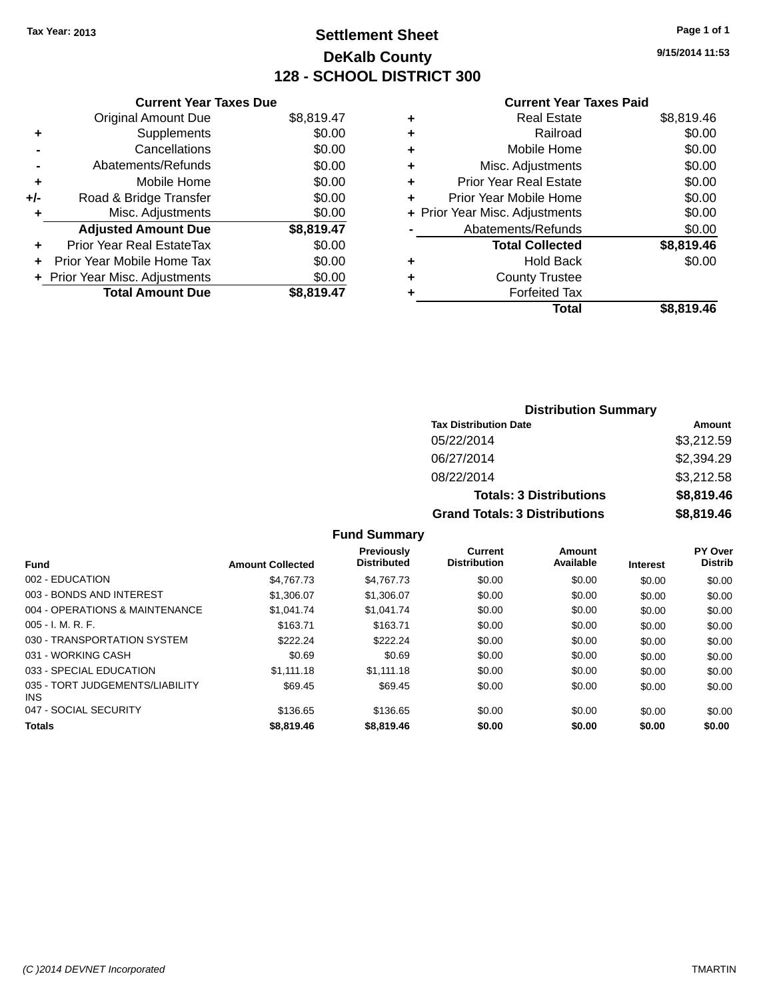## **Settlement Sheet Tax Year: 2013 Page 1 of 1 DeKalb County 128 - SCHOOL DISTRICT 300**

**9/15/2014 11:53**

#### **Current Year Taxes Paid**

|     | <b>Current Year Taxes Due</b>  |            |
|-----|--------------------------------|------------|
|     | <b>Original Amount Due</b>     | \$8,819.47 |
| ٠   | Supplements                    | \$0.00     |
|     | Cancellations                  | \$0.00     |
|     | Abatements/Refunds             | \$0.00     |
| ٠   | Mobile Home                    | \$0.00     |
| +/- | Road & Bridge Transfer         | \$0.00     |
| ٠   | Misc. Adjustments              | \$0.00     |
|     | <b>Adjusted Amount Due</b>     | \$8,819.47 |
| ÷   | Prior Year Real EstateTax      | \$0.00     |
| ÷   | Prior Year Mobile Home Tax     | \$0.00     |
|     | + Prior Year Misc. Adjustments | \$0.00     |
|     | <b>Total Amount Due</b>        | \$8,819.47 |

|   | <b>Real Estate</b>             | \$8,819.46 |
|---|--------------------------------|------------|
| ٠ | Railroad                       | \$0.00     |
| ٠ | Mobile Home                    | \$0.00     |
| ٠ | Misc. Adjustments              | \$0.00     |
| ٠ | <b>Prior Year Real Estate</b>  | \$0.00     |
| ٠ | Prior Year Mobile Home         | \$0.00     |
|   | + Prior Year Misc. Adjustments | \$0.00     |
|   | Abatements/Refunds             | \$0.00     |
|   | <b>Total Collected</b>         | \$8,819.46 |
| ٠ | <b>Hold Back</b>               | \$0.00     |
| ٠ | <b>County Trustee</b>          |            |
| ٠ | <b>Forfeited Tax</b>           |            |
|   | <b>Total</b>                   | \$8,819.46 |
|   |                                |            |

| <b>Distribution Summary</b>          |            |  |  |  |
|--------------------------------------|------------|--|--|--|
| <b>Tax Distribution Date</b>         | Amount     |  |  |  |
| 05/22/2014                           | \$3,212.59 |  |  |  |
| 06/27/2014                           | \$2,394.29 |  |  |  |
| 08/22/2014                           | \$3,212.58 |  |  |  |
| <b>Totals: 3 Distributions</b>       | \$8,819.46 |  |  |  |
| <b>Grand Totals: 3 Distributions</b> | \$8,819.46 |  |  |  |

#### **Fund Summary**

| <b>Fund</b>                                   | <b>Amount Collected</b> | Previously<br><b>Distributed</b> | Current<br><b>Distribution</b> | Amount<br>Available | <b>Interest</b> | <b>PY Over</b><br><b>Distrib</b> |
|-----------------------------------------------|-------------------------|----------------------------------|--------------------------------|---------------------|-----------------|----------------------------------|
| 002 - EDUCATION                               | \$4,767,73              | \$4,767,73                       | \$0.00                         | \$0.00              | \$0.00          | \$0.00                           |
| 003 - BONDS AND INTEREST                      | \$1,306.07              | \$1,306.07                       | \$0.00                         | \$0.00              | \$0.00          | \$0.00                           |
| 004 - OPERATIONS & MAINTENANCE                | \$1.041.74              | \$1.041.74                       | \$0.00                         | \$0.00              | \$0.00          | \$0.00                           |
| $005 - I. M. R. F.$                           | \$163.71                | \$163.71                         | \$0.00                         | \$0.00              | \$0.00          | \$0.00                           |
| 030 - TRANSPORTATION SYSTEM                   | \$222.24                | \$222.24                         | \$0.00                         | \$0.00              | \$0.00          | \$0.00                           |
| 031 - WORKING CASH                            | \$0.69                  | \$0.69                           | \$0.00                         | \$0.00              | \$0.00          | \$0.00                           |
| 033 - SPECIAL EDUCATION                       | \$1.111.18              | \$1,111.18                       | \$0.00                         | \$0.00              | \$0.00          | \$0.00                           |
| 035 - TORT JUDGEMENTS/LIABILITY<br><b>INS</b> | \$69.45                 | \$69.45                          | \$0.00                         | \$0.00              | \$0.00          | \$0.00                           |
| 047 - SOCIAL SECURITY                         | \$136.65                | \$136.65                         | \$0.00                         | \$0.00              | \$0.00          | \$0.00                           |
| <b>Totals</b>                                 | \$8,819,46              | \$8,819.46                       | \$0.00                         | \$0.00              | \$0.00          | \$0.00                           |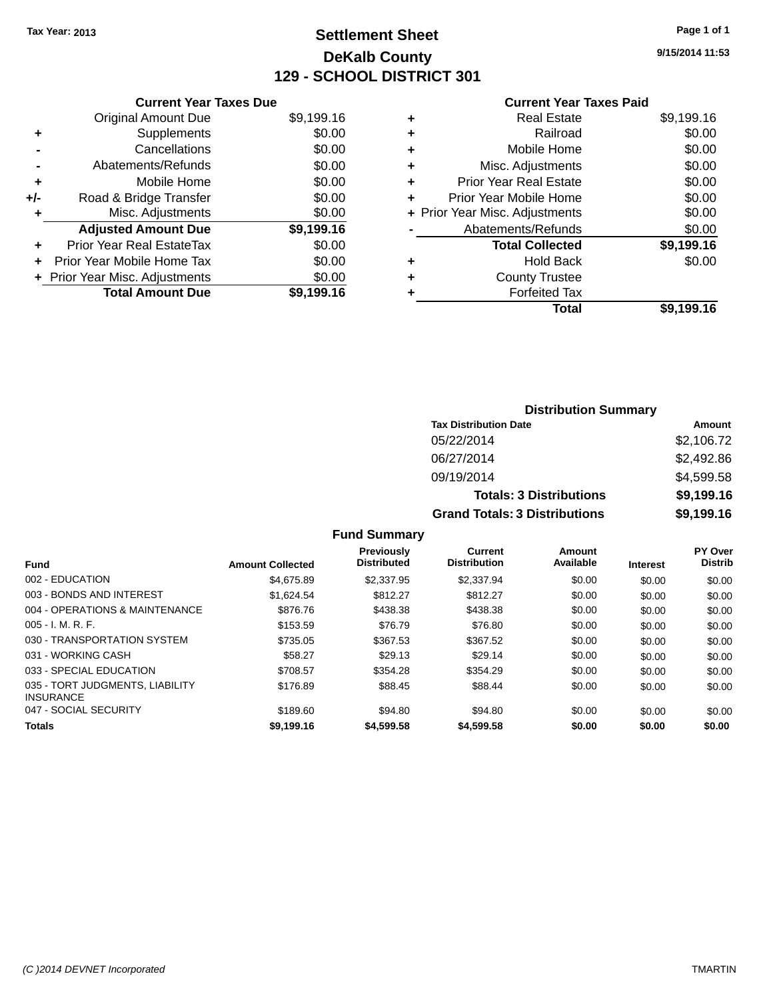## **Settlement Sheet Tax Year: 2013 Page 1 of 1 DeKalb County 129 - SCHOOL DISTRICT 301**

**9/15/2014 11:53**

#### **Current Year Taxes Paid**

| <b>Current Year Taxes Due</b>  |                         |
|--------------------------------|-------------------------|
| <b>Original Amount Due</b>     | \$9,199.16              |
| Supplements                    | \$0.00                  |
| Cancellations                  | \$0.00                  |
| Abatements/Refunds             | \$0.00                  |
| Mobile Home                    | \$0.00                  |
| Road & Bridge Transfer         | \$0.00                  |
| Misc. Adjustments              | \$0.00                  |
| <b>Adjusted Amount Due</b>     | \$9,199.16              |
| Prior Year Real EstateTax      | \$0.00                  |
| Prior Year Mobile Home Tax     | \$0.00                  |
| + Prior Year Misc. Adjustments | \$0.00                  |
|                                | \$9.199.16              |
|                                | <b>Total Amount Due</b> |

|   | <b>Real Estate</b>             | \$9,199.16 |
|---|--------------------------------|------------|
| ٠ | Railroad                       | \$0.00     |
| ÷ | Mobile Home                    | \$0.00     |
| ٠ | Misc. Adjustments              | \$0.00     |
| ٠ | <b>Prior Year Real Estate</b>  | \$0.00     |
| ٠ | Prior Year Mobile Home         | \$0.00     |
|   | + Prior Year Misc. Adjustments | \$0.00     |
|   | Abatements/Refunds             | \$0.00     |
|   | <b>Total Collected</b>         | \$9,199.16 |
| ٠ | <b>Hold Back</b>               | \$0.00     |
| ٠ | <b>County Trustee</b>          |            |
| ٠ | <b>Forfeited Tax</b>           |            |
|   | Total                          | \$9,199.16 |
|   |                                |            |

| <b>Distribution Summary</b>          |            |  |  |  |
|--------------------------------------|------------|--|--|--|
| <b>Tax Distribution Date</b>         | Amount     |  |  |  |
| 05/22/2014                           | \$2,106.72 |  |  |  |
| 06/27/2014                           | \$2,492.86 |  |  |  |
| 09/19/2014                           | \$4,599.58 |  |  |  |
| <b>Totals: 3 Distributions</b>       | \$9,199.16 |  |  |  |
| <b>Grand Totals: 3 Distributions</b> | \$9,199.16 |  |  |  |

**Fund Summary**

|            | Previously<br><b>Distributed</b>      | Current<br><b>Distribution</b> | Amount<br>Available |        | <b>PY Over</b><br><b>Distrib</b> |
|------------|---------------------------------------|--------------------------------|---------------------|--------|----------------------------------|
|            |                                       |                                |                     |        | \$0.00                           |
| \$1.624.54 | \$812.27                              | \$812.27                       | \$0.00              | \$0.00 | \$0.00                           |
| \$876.76   | \$438.38                              | \$438.38                       | \$0.00              | \$0.00 | \$0.00                           |
| \$153.59   | \$76.79                               | \$76.80                        | \$0.00              | \$0.00 | \$0.00                           |
| \$735.05   | \$367.53                              | \$367.52                       | \$0.00              | \$0.00 | \$0.00                           |
| \$58.27    | \$29.13                               | \$29.14                        | \$0.00              | \$0.00 | \$0.00                           |
| \$708.57   | \$354.28                              | \$354.29                       | \$0.00              | \$0.00 | \$0.00                           |
| \$176.89   | \$88.45                               | \$88.44                        | \$0.00              | \$0.00 | \$0.00                           |
| \$189.60   | \$94.80                               | \$94.80                        | \$0.00              | \$0.00 | \$0.00                           |
| \$9,199.16 | \$4,599.58                            | \$4,599.58                     | \$0.00              | \$0.00 | \$0.00                           |
|            | <b>Amount Collected</b><br>\$4.675.89 | \$2,337.95                     | \$2,337.94          | \$0.00 | <b>Interest</b><br>\$0.00        |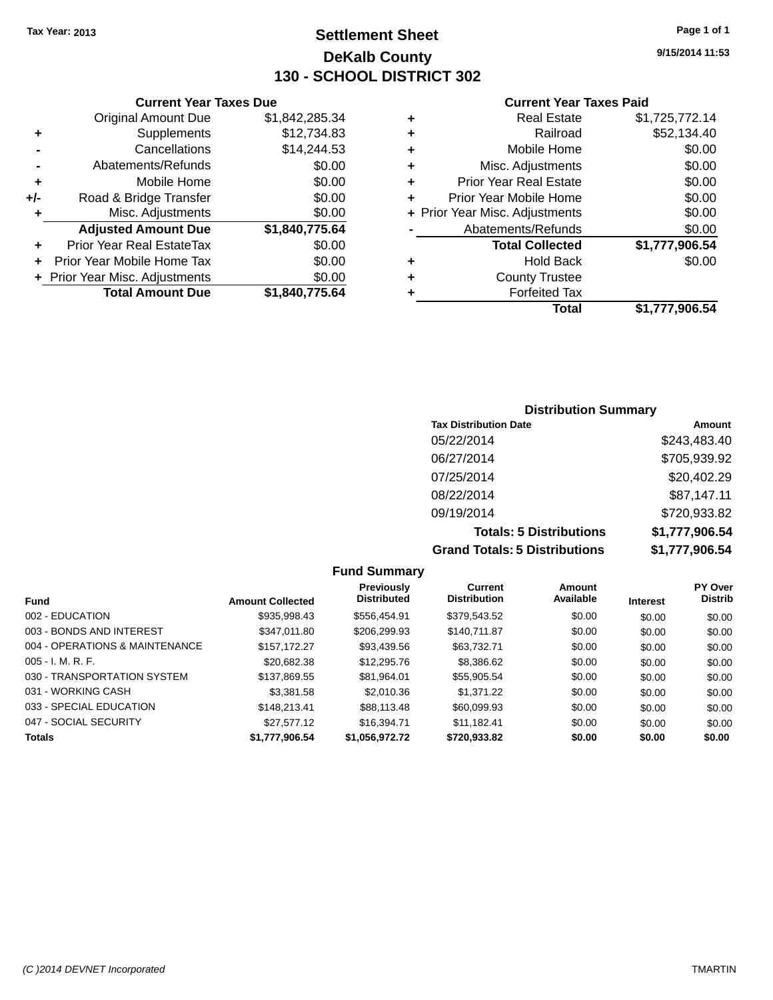**Current Year Taxes Due** Original Amount Due \$1,842,285.34

**Adjusted Amount Due \$1,840,775.64**

**Total Amount Due \$1,840,775.64**

**+** Supplements \$12,734.83 **-** Cancellations \$14,244.53 **-** Abatements/Refunds **\$0.00 +** Mobile Home \$0.00 **+/-** Road & Bridge Transfer \$0.00 **+** Misc. Adjustments \$0.00

**+** Prior Year Real EstateTax \$0.00 **+** Prior Year Mobile Home Tax \$0.00 **+ Prior Year Misc. Adjustments**  $$0.00$ 

## **Settlement Sheet Tax Year: 2013 Page 1 of 1 DeKalb County 130 - SCHOOL DISTRICT 302**

**9/15/2014 11:53**

#### **Current Year Taxes Paid**

#### **Distribution Summary Tax Distribution Date Amount** 05/22/2014 \$243,483.40 06/27/2014 \$705,939.92 07/25/2014 \$20,402.29 08/22/2014 \$87,147.11 09/19/2014 \$720,933.82 **Totals: 5 Distributions \$1,777,906.54 Grand Totals: 5 Distributions \$1,777,906.54**

**Fund Summary Fund Interest Amount Collected Distributed PY Over Distrib Amount Available Current Distribution Previously** 002 - EDUCATION \$935,998.43 \$556,454.91 \$379,543.52 \$0.00 \$0.00 \$0.00 003 - BONDS AND INTEREST 60.00 \$347,011.80 \$206,299.93 \$140,711.87 \$0.00 \$0.00 \$0.00 \$0.00 004 - OPERATIONS & MAINTENANCE \$157,172.27 \$93,439.56 \$63,732.71 \$0.00 \$0.00 \$0.00 005 - I. M. R. F. \$20,682.38 \$12,295.76 \$8,386.62 \$0.00 \$0.00 \$0.00 030 - TRANSPORTATION SYSTEM \$137,869.55 \$81,964.01 \$55,905.54 \$0.00 \$0.00 \$0.00 031 - WORKING CASH \$3,381.58 \$2,010.36 \$1,371.22 \$0.00 \$0.00 \$0.00 033 - SPECIAL EDUCATION \$ \$148,213.41 \$88,113.48 \$60,099.93 \$0.00 \$0.00 \$0.00 \$0.00 047 - SOCIAL SECURITY 6327,577.12 \$16,394.71 \$11,182.41 \$0.00 \$0.00 \$0.00 \$0.00 **Totals \$1,777,906.54 \$1,056,972.72 \$720,933.82 \$0.00 \$0.00 \$0.00**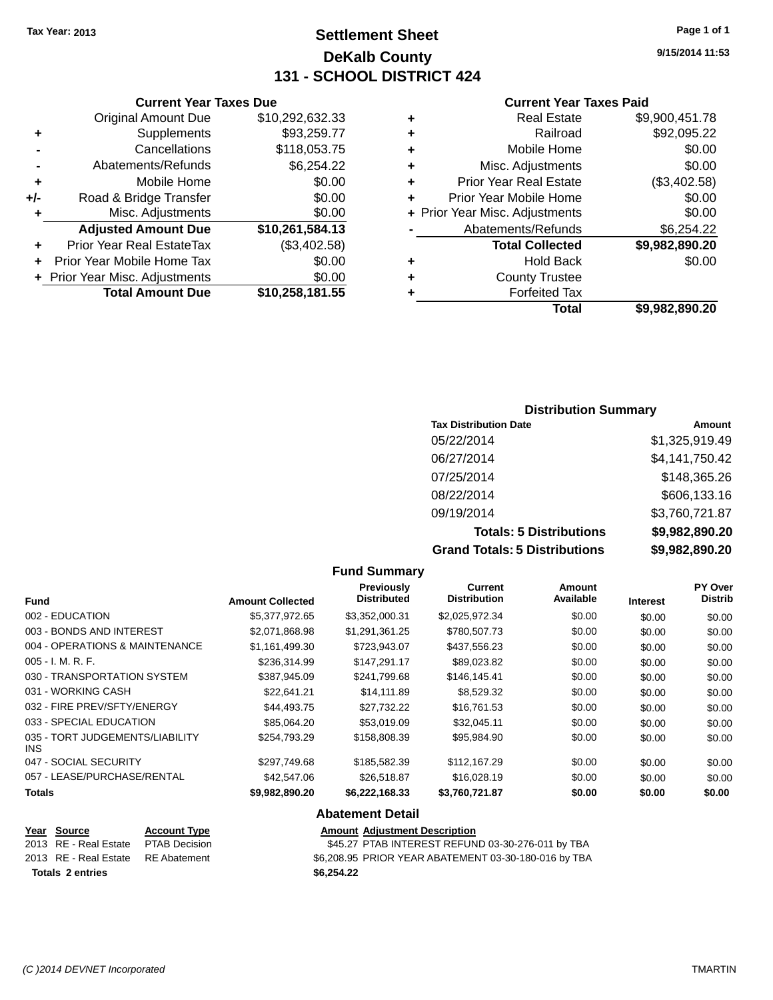## **Settlement Sheet Tax Year: 2013 Page 1 of 1 DeKalb County 131 - SCHOOL DISTRICT 424**

**Current Year Taxes Paid**

| ٠ | <b>Real Estate</b>             | \$9,900,451.78 |
|---|--------------------------------|----------------|
| ٠ | Railroad                       | \$92,095.22    |
| ٠ | Mobile Home                    | \$0.00         |
| ٠ | Misc. Adjustments              | \$0.00         |
| ٠ | <b>Prior Year Real Estate</b>  | (\$3,402.58)   |
| ÷ | Prior Year Mobile Home         | \$0.00         |
|   | + Prior Year Misc. Adjustments | \$0.00         |
|   | Abatements/Refunds             | \$6,254.22     |
|   | <b>Total Collected</b>         | \$9,982,890.20 |
| ٠ | <b>Hold Back</b>               | \$0.00         |
| ÷ | <b>County Trustee</b>          |                |
| ٠ | <b>Forfeited Tax</b>           |                |
|   | Total                          | \$9,982,890.20 |
|   |                                |                |

|     | <b>Current Year Taxes Due</b>    |                 |
|-----|----------------------------------|-----------------|
|     | <b>Original Amount Due</b>       | \$10,292,632.33 |
| ٠   | Supplements                      | \$93,259.77     |
|     | Cancellations                    | \$118,053.75    |
|     | Abatements/Refunds               | \$6,254.22      |
| ٠   | Mobile Home                      | \$0.00          |
| +/- | Road & Bridge Transfer           | \$0.00          |
| ٠   | Misc. Adjustments                | \$0.00          |
|     | <b>Adjusted Amount Due</b>       | \$10,261,584.13 |
| ٠   | <b>Prior Year Real EstateTax</b> | (\$3,402.58)    |
|     | Prior Year Mobile Home Tax       | \$0.00          |
|     | + Prior Year Misc. Adjustments   | \$0.00          |
|     | <b>Total Amount Due</b>          | \$10,258,181.55 |

**9/15/2014 11:53**

| <b>Distribution Summary</b> |  |
|-----------------------------|--|
|-----------------------------|--|

| <b>Tax Distribution Date</b>         | Amount         |
|--------------------------------------|----------------|
| 05/22/2014                           | \$1,325,919.49 |
| 06/27/2014                           | \$4,141,750.42 |
| 07/25/2014                           | \$148,365.26   |
| 08/22/2014                           | \$606,133.16   |
| 09/19/2014                           | \$3,760,721.87 |
| <b>Totals: 5 Distributions</b>       | \$9,982,890.20 |
| <b>Grand Totals: 5 Distributions</b> | \$9,982,890.20 |

|                                                                                                  |                         | <b>Fund Summary</b>                  |                                                    |                     |                 |                                  |
|--------------------------------------------------------------------------------------------------|-------------------------|--------------------------------------|----------------------------------------------------|---------------------|-----------------|----------------------------------|
| <b>Fund</b>                                                                                      | <b>Amount Collected</b> | Previously<br><b>Distributed</b>     | <b>Current</b><br><b>Distribution</b>              | Amount<br>Available | <b>Interest</b> | <b>PY Over</b><br><b>Distrib</b> |
| 002 - EDUCATION                                                                                  | \$5,377,972.65          | \$3,352,000.31                       | \$2,025,972.34                                     | \$0.00              | \$0.00          | \$0.00                           |
| 003 - BONDS AND INTEREST                                                                         | \$2,071,868.98          | \$1,291,361.25                       | \$780,507.73                                       | \$0.00              | \$0.00          | \$0.00                           |
| 004 - OPERATIONS & MAINTENANCE                                                                   | \$1,161,499.30          | \$723,943.07                         | \$437,556.23                                       | \$0.00              | \$0.00          | \$0.00                           |
| 005 - I. M. R. F.                                                                                | \$236,314.99            | \$147,291.17                         | \$89,023.82                                        | \$0.00              | \$0.00          | \$0.00                           |
| 030 - TRANSPORTATION SYSTEM                                                                      | \$387,945.09            | \$241,799.68                         | \$146,145.41                                       | \$0.00              | \$0.00          | \$0.00                           |
| 031 - WORKING CASH                                                                               | \$22,641.21             | \$14,111.89                          | \$8,529.32                                         | \$0.00              | \$0.00          | \$0.00                           |
| 032 - FIRE PREV/SFTY/ENERGY                                                                      | \$44,493.75             | \$27,732.22                          | \$16,761.53                                        | \$0.00              | \$0.00          | \$0.00                           |
| 033 - SPECIAL EDUCATION                                                                          | \$85,064.20             | \$53,019.09                          | \$32,045.11                                        | \$0.00              | \$0.00          | \$0.00                           |
| 035 - TORT JUDGEMENTS/LIABILITY<br><b>INS</b>                                                    | \$254,793.29            | \$158,808.39                         | \$95,984.90                                        | \$0.00              | \$0.00          | \$0.00                           |
| 047 - SOCIAL SECURITY                                                                            | \$297,749.68            | \$185,582.39                         | \$112,167.29                                       | \$0.00              | \$0.00          | \$0.00                           |
| 057 - LEASE/PURCHASE/RENTAL                                                                      | \$42,547.06             | \$26,518.87                          | \$16,028.19                                        | \$0.00              | \$0.00          | \$0.00                           |
| <b>Totals</b>                                                                                    | \$9,982,890.20          | \$6,222,168.33                       | \$3,760,721.87                                     | \$0.00              | \$0.00          | \$0.00                           |
|                                                                                                  |                         | <b>Abatement Detail</b>              |                                                    |                     |                 |                                  |
| <b>Source</b><br><b>Account Type</b><br>Year<br>2013<br>RE - Real Estate<br><b>PTAR Decision</b> |                         | <b>Amount Adjustment Description</b> | \$45.27 PTAR INTEREST REFLIND 03-30-276-011 by TRA |                     |                 |                                  |

**Totals 2 entries \$6,254.22**

2013 RE - Real Estate PTAB Decision \$45.27 PTAB INTEREST REFUND 03-30-276-011 by TBA \$6,208.95 PRIOR YEAR ABATEMENT 03-30-180-016 by TBA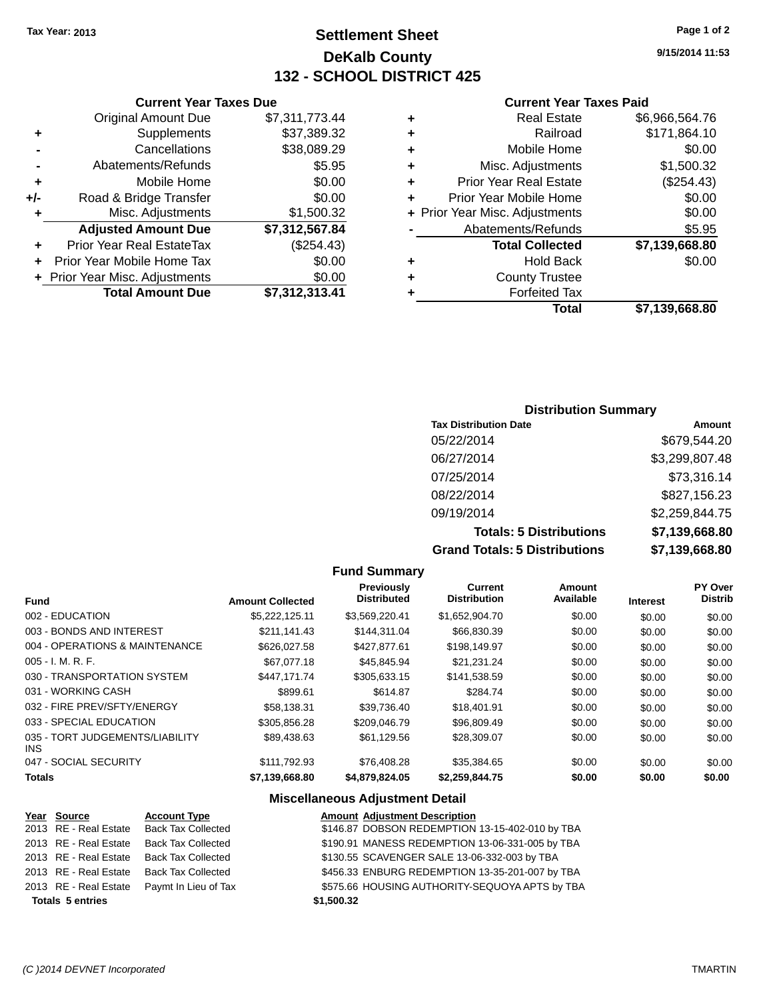## **Settlement Sheet Tax Year: 2013 Page 1 of 2 DeKalb County 132 - SCHOOL DISTRICT 425**

**9/15/2014 11:53**

#### **Current Year Taxes Paid**

|                                | <b>Current Year Taxes Due</b> |
|--------------------------------|-------------------------------|
| <b>Original Amount Due</b>     | \$7,311,773.44                |
| Supplements                    | \$37,389.32                   |
| Cancellations                  | \$38,089.29                   |
| Abatements/Refunds             | \$5.95                        |
| Mobile Home                    | \$0.00                        |
| Road & Bridge Transfer         | \$0.00                        |
| Misc. Adjustments              | \$1,500.32                    |
| <b>Adjusted Amount Due</b>     | \$7,312,567.84                |
| Prior Year Real EstateTax      | (\$254.43)                    |
|                                |                               |
| Prior Year Mobile Home Tax     | \$0.00                        |
| + Prior Year Misc. Adjustments | \$0.00                        |
|                                |                               |

#### **Distribution Summary**

| <b>Tax Distribution Date</b>         | Amount         |
|--------------------------------------|----------------|
| 05/22/2014                           | \$679,544.20   |
| 06/27/2014                           | \$3,299,807.48 |
| 07/25/2014                           | \$73,316.14    |
| 08/22/2014                           | \$827,156.23   |
| 09/19/2014                           | \$2,259,844.75 |
| <b>Totals: 5 Distributions</b>       | \$7,139,668.80 |
| <b>Grand Totals: 5 Distributions</b> | \$7,139,668.80 |

|                                         |                         | <b>Fund Summary</b>              |                                |                     |                 |                                  |
|-----------------------------------------|-------------------------|----------------------------------|--------------------------------|---------------------|-----------------|----------------------------------|
| <b>Fund</b>                             | <b>Amount Collected</b> | Previously<br><b>Distributed</b> | Current<br><b>Distribution</b> | Amount<br>Available | <b>Interest</b> | <b>PY Over</b><br><b>Distrib</b> |
| 002 - EDUCATION                         | \$5,222,125.11          | \$3,569,220.41                   | \$1,652,904.70                 | \$0.00              | \$0.00          | \$0.00                           |
| 003 - BONDS AND INTEREST                | \$211,141.43            | \$144,311.04                     | \$66,830.39                    | \$0.00              | \$0.00          | \$0.00                           |
| 004 - OPERATIONS & MAINTENANCE          | \$626,027.58            | \$427,877.61                     | \$198,149.97                   | \$0.00              | \$0.00          | \$0.00                           |
| $005 - I. M. R. F.$                     | \$67,077.18             | \$45,845.94                      | \$21,231.24                    | \$0.00              | \$0.00          | \$0.00                           |
| 030 - TRANSPORTATION SYSTEM             | \$447.171.74            | \$305.633.15                     | \$141,538.59                   | \$0.00              | \$0.00          | \$0.00                           |
| 031 - WORKING CASH                      | \$899.61                | \$614.87                         | \$284.74                       | \$0.00              | \$0.00          | \$0.00                           |
| 032 - FIRE PREV/SFTY/ENERGY             | \$58.138.31             | \$39,736.40                      | \$18,401.91                    | \$0.00              | \$0.00          | \$0.00                           |
| 033 - SPECIAL EDUCATION                 | \$305,856.28            | \$209,046.79                     | \$96,809.49                    | \$0.00              | \$0.00          | \$0.00                           |
| 035 - TORT JUDGEMENTS/LIABILITY<br>INS. | \$89,438.63             | \$61,129.56                      | \$28,309.07                    | \$0.00              | \$0.00          | \$0.00                           |
| 047 - SOCIAL SECURITY                   | \$111.792.93            | \$76,408.28                      | \$35,384.65                    | \$0.00              | \$0.00          | \$0.00                           |
| <b>Totals</b>                           | \$7,139,668.80          | \$4,879,824.05                   | \$2,259,844.75                 | \$0.00              | \$0.00          | \$0.00                           |

#### **Miscellaneous Adjustment Detail**

| Year Source | <b>Account Type</b>                              | <b>Amount Adjustment Description</b>                                                                                                                                                                 |
|-------------|--------------------------------------------------|------------------------------------------------------------------------------------------------------------------------------------------------------------------------------------------------------|
|             |                                                  | \$146.87 DOBSON REDEMPTION 13-15-402-010 by TBA                                                                                                                                                      |
|             |                                                  | \$190.91 MANESS REDEMPTION 13-06-331-005 by TBA                                                                                                                                                      |
|             |                                                  | \$130.55 SCAVENGER SALE 13-06-332-003 by TBA                                                                                                                                                         |
|             |                                                  | \$456.33 ENBURG REDEMPTION 13-35-201-007 by TBA                                                                                                                                                      |
|             |                                                  | \$575.66 HOUSING AUTHORITY-SEQUOYA APTS by TBA                                                                                                                                                       |
|             |                                                  | \$1,500.32                                                                                                                                                                                           |
|             | 2013 RE - Real Estate<br><b>Totals 5 entries</b> | 2013 RE - Real Estate Back Tax Collected<br>Back Tax Collected<br>2013 RE - Real Estate Back Tax Collected<br>2013 RE - Real Estate Back Tax Collected<br>2013 RE - Real Estate Paymt In Lieu of Tax |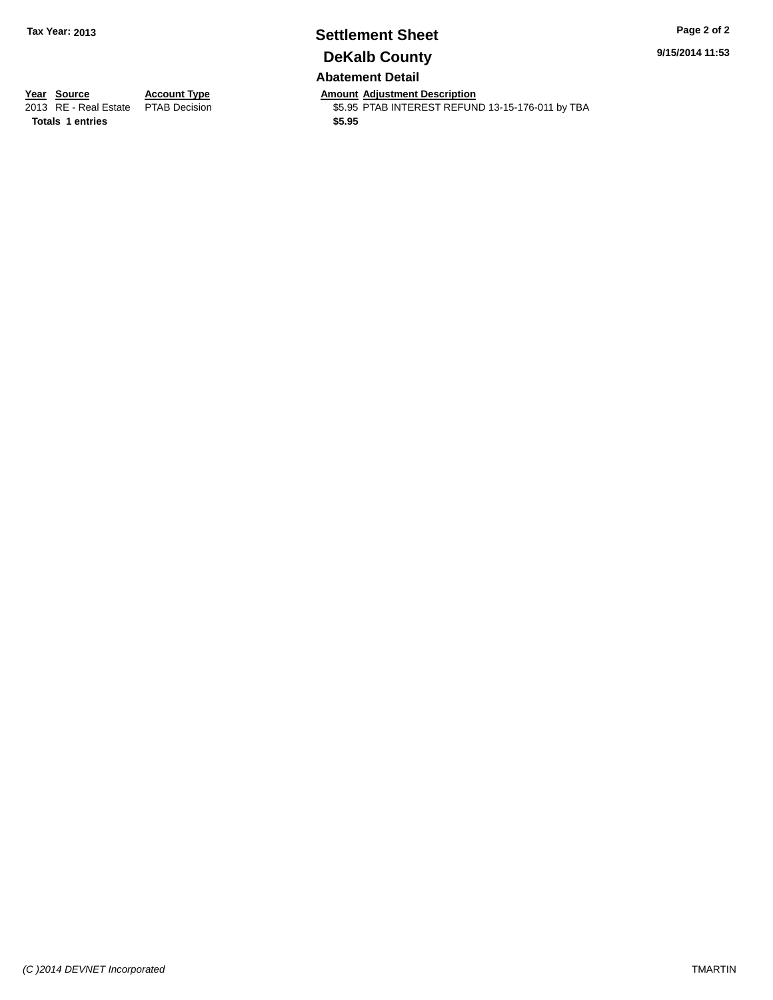## **Settlement Sheet Tax Year: 2013 Page 2 of 2 DeKalb County Abatement Detail**

**9/15/2014 11:53**

**Totals 1 entries \$5.95**

**Year Source Account Type Anneurs Amount Adjustment Description**<br>
2013 RE - Real Estate PTAB Decision **Amount Adjustment Description** \$5.95 PTAB INTEREST REFUND 13-15-176-011 by TBA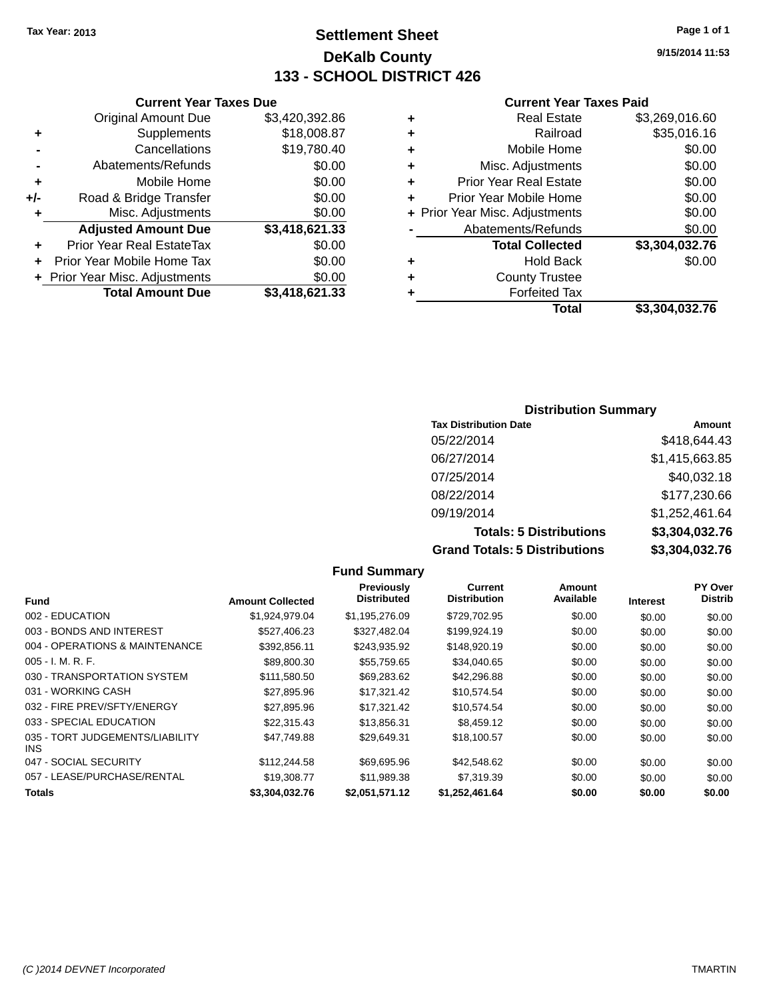## **Settlement Sheet Tax Year: 2013 Page 1 of 1 DeKalb County 133 - SCHOOL DISTRICT 426**

**9/15/2014 11:53**

#### **Current Year Taxes Paid**

|     | <b>Current Year Taxes Due</b>  |                |  |
|-----|--------------------------------|----------------|--|
|     | <b>Original Amount Due</b>     | \$3,420,392.86 |  |
| ٠   | Supplements                    | \$18,008.87    |  |
|     | Cancellations                  | \$19,780.40    |  |
|     | Abatements/Refunds             | \$0.00         |  |
| ٠   | Mobile Home                    | \$0.00         |  |
| +/- | Road & Bridge Transfer         | \$0.00         |  |
| ٠   | Misc. Adjustments              | \$0.00         |  |
|     | <b>Adjusted Amount Due</b>     | \$3,418,621.33 |  |
| ٠   | Prior Year Real EstateTax      | \$0.00         |  |
| ÷   | Prior Year Mobile Home Tax     | \$0.00         |  |
|     | + Prior Year Misc. Adjustments | \$0.00         |  |
|     | <b>Total Amount Due</b>        | \$3,418,621.33 |  |

|   | <b>Real Estate</b>             | \$3,269,016.60 |
|---|--------------------------------|----------------|
| ٠ | Railroad                       | \$35,016.16    |
| ٠ | Mobile Home                    | \$0.00         |
| ٠ | Misc. Adjustments              | \$0.00         |
| ٠ | <b>Prior Year Real Estate</b>  | \$0.00         |
| ٠ | Prior Year Mobile Home         | \$0.00         |
|   | + Prior Year Misc. Adjustments | \$0.00         |
|   | Abatements/Refunds             | \$0.00         |
|   | <b>Total Collected</b>         | \$3,304,032.76 |
| ٠ | <b>Hold Back</b>               | \$0.00         |
| ٠ | <b>County Trustee</b>          |                |
|   | <b>Forfeited Tax</b>           |                |
|   | Total                          | \$3,304,032.76 |
|   |                                |                |

#### **Distribution Summary Tax Distribution Date Amount** 05/22/2014 \$418,644.43 06/27/2014 \$1,415,663.85 07/25/2014 \$40,032.18 08/22/2014 \$177,230.66 09/19/2014 \$1,252,461.64 **Totals: 5 Distributions \$3,304,032.76 Grand Totals: 5 Distributions \$3,304,032.76**

|                                         |                         | <b>Fund Summary</b>                     |                                       |                            |                 |                           |
|-----------------------------------------|-------------------------|-----------------------------------------|---------------------------------------|----------------------------|-----------------|---------------------------|
| <b>Fund</b>                             | <b>Amount Collected</b> | <b>Previously</b><br><b>Distributed</b> | <b>Current</b><br><b>Distribution</b> | <b>Amount</b><br>Available | <b>Interest</b> | PY Over<br><b>Distrib</b> |
| 002 - EDUCATION                         | \$1,924,979.04          | \$1,195,276.09                          | \$729,702.95                          | \$0.00                     | \$0.00          | \$0.00                    |
| 003 - BONDS AND INTEREST                | \$527,406.23            | \$327,482.04                            | \$199,924.19                          | \$0.00                     | \$0.00          | \$0.00                    |
| 004 - OPERATIONS & MAINTENANCE          | \$392,856.11            | \$243,935.92                            | \$148,920.19                          | \$0.00                     | \$0.00          | \$0.00                    |
| 005 - I. M. R. F.                       | \$89,800.30             | \$55,759.65                             | \$34,040.65                           | \$0.00                     | \$0.00          | \$0.00                    |
| 030 - TRANSPORTATION SYSTEM             | \$111,580.50            | \$69,283.62                             | \$42,296.88                           | \$0.00                     | \$0.00          | \$0.00                    |
| 031 - WORKING CASH                      | \$27.895.96             | \$17.321.42                             | \$10,574.54                           | \$0.00                     | \$0.00          | \$0.00                    |
| 032 - FIRE PREV/SFTY/ENERGY             | \$27,895.96             | \$17,321.42                             | \$10,574.54                           | \$0.00                     | \$0.00          | \$0.00                    |
| 033 - SPECIAL EDUCATION                 | \$22,315.43             | \$13,856.31                             | \$8,459.12                            | \$0.00                     | \$0.00          | \$0.00                    |
| 035 - TORT JUDGEMENTS/LIABILITY<br>INS. | \$47,749.88             | \$29,649.31                             | \$18,100.57                           | \$0.00                     | \$0.00          | \$0.00                    |
| 047 - SOCIAL SECURITY                   | \$112,244.58            | \$69,695.96                             | \$42,548.62                           | \$0.00                     | \$0.00          | \$0.00                    |
| 057 - LEASE/PURCHASE/RENTAL             | \$19,308.77             | \$11,989.38                             | \$7,319.39                            | \$0.00                     | \$0.00          | \$0.00                    |
| Totals                                  | \$3,304,032.76          | \$2,051,571.12                          | \$1,252,461.64                        | \$0.00                     | \$0.00          | \$0.00                    |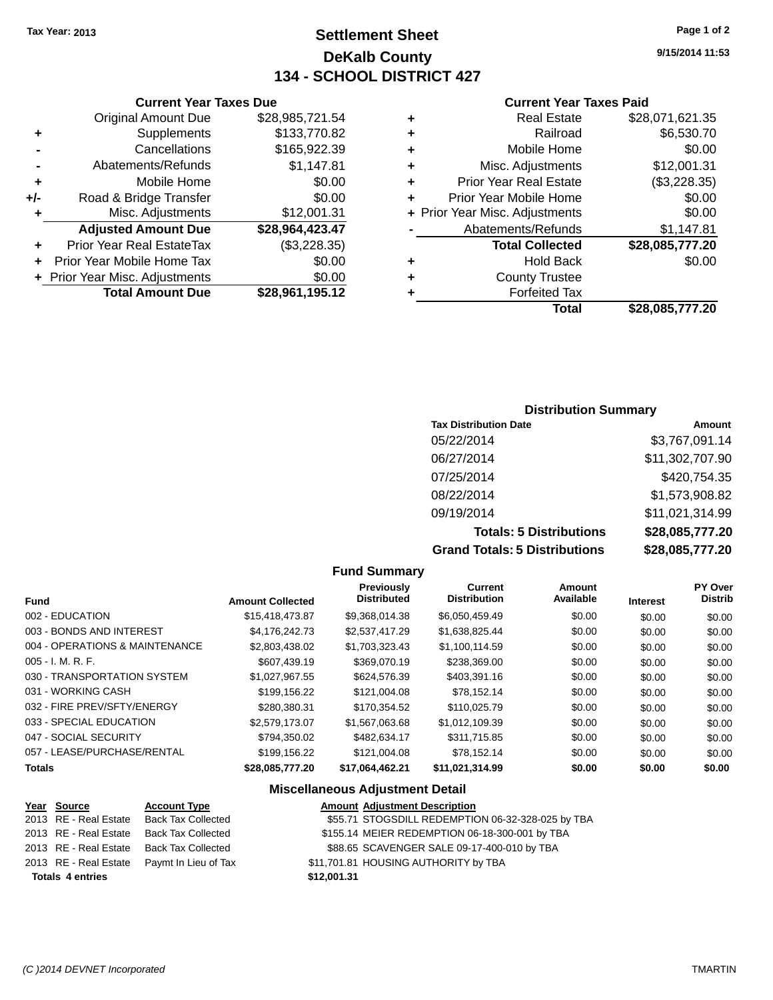## **Settlement Sheet Tax Year: 2013 Page 1 of 2 DeKalb County 134 - SCHOOL DISTRICT 427**

**9/15/2014 11:53**

#### **Current Year Taxes Paid**

|   | Total                          | \$28,085,777.20 |
|---|--------------------------------|-----------------|
|   | <b>Forfeited Tax</b>           |                 |
| ٠ | <b>County Trustee</b>          |                 |
| ÷ | <b>Hold Back</b>               | \$0.00          |
|   | <b>Total Collected</b>         | \$28,085,777.20 |
|   | Abatements/Refunds             | \$1,147.81      |
|   | + Prior Year Misc. Adjustments | \$0.00          |
|   | Prior Year Mobile Home         | \$0.00          |
| ٠ | <b>Prior Year Real Estate</b>  | (\$3,228.35)    |
| ٠ | Misc. Adjustments              | \$12,001.31     |
| ٠ | Mobile Home                    | \$0.00          |
| ٠ | Railroad                       | \$6,530.70      |
| ٠ | <b>Real Estate</b>             | \$28,071,621.35 |
|   |                                |                 |

#### **Distribution Summary**

| <b>Tax Distribution Date</b>         | <b>Amount</b>   |
|--------------------------------------|-----------------|
| 05/22/2014                           | \$3,767,091.14  |
| 06/27/2014                           | \$11,302,707.90 |
| 07/25/2014                           | \$420,754.35    |
| 08/22/2014                           | \$1,573,908.82  |
| 09/19/2014                           | \$11,021,314.99 |
| <b>Totals: 5 Distributions</b>       | \$28,085,777.20 |
| <b>Grand Totals: 5 Distributions</b> | \$28,085,777.20 |

|                                |                         | <b>Fund Summary</b>                     |                                       |                     |                 |                           |
|--------------------------------|-------------------------|-----------------------------------------|---------------------------------------|---------------------|-----------------|---------------------------|
| <b>Fund</b>                    | <b>Amount Collected</b> | <b>Previously</b><br><b>Distributed</b> | <b>Current</b><br><b>Distribution</b> | Amount<br>Available | <b>Interest</b> | PY Over<br><b>Distrib</b> |
| 002 - EDUCATION                | \$15,418,473.87         | \$9,368,014.38                          | \$6,050,459.49                        | \$0.00              | \$0.00          | \$0.00                    |
| 003 - BONDS AND INTEREST       | \$4,176,242.73          | \$2,537,417.29                          | \$1,638,825.44                        | \$0.00              | \$0.00          | \$0.00                    |
| 004 - OPERATIONS & MAINTENANCE | \$2,803,438.02          | \$1,703,323.43                          | \$1,100,114.59                        | \$0.00              | \$0.00          | \$0.00                    |
| $005 - I. M. R. F.$            | \$607,439.19            | \$369,070.19                            | \$238,369.00                          | \$0.00              | \$0.00          | \$0.00                    |
| 030 - TRANSPORTATION SYSTEM    | \$1,027,967.55          | \$624,576.39                            | \$403,391.16                          | \$0.00              | \$0.00          | \$0.00                    |
| 031 - WORKING CASH             | \$199,156.22            | \$121,004.08                            | \$78,152.14                           | \$0.00              | \$0.00          | \$0.00                    |
| 032 - FIRE PREV/SFTY/ENERGY    | \$280,380.31            | \$170.354.52                            | \$110,025.79                          | \$0.00              | \$0.00          | \$0.00                    |
| 033 - SPECIAL EDUCATION        | \$2,579,173.07          | \$1,567,063.68                          | \$1,012,109.39                        | \$0.00              | \$0.00          | \$0.00                    |
| 047 - SOCIAL SECURITY          | \$794,350.02            | \$482.634.17                            | \$311,715.85                          | \$0.00              | \$0.00          | \$0.00                    |
| 057 - LEASE/PURCHASE/RENTAL    | \$199,156.22            | \$121,004.08                            | \$78,152.14                           | \$0.00              | \$0.00          | \$0.00                    |
| <b>Totals</b>                  | \$28,085,777.20         | \$17,064,462.21                         | \$11,021,314.99                       | \$0.00              | \$0.00          | \$0.00                    |
|                                |                         | <b>Miscellaneous Adjustment Detail</b>  |                                       |                     |                 |                           |

| Year Source             | <b>Account Type</b>       | <b>Amount Adjustment Description</b>              |  |
|-------------------------|---------------------------|---------------------------------------------------|--|
| 2013 RE - Real Estate   | Back Tax Collected        | \$55.71 STOGSDILL REDEMPTION 06-32-328-025 by TBA |  |
| 2013 RE - Real Estate   | Back Tax Collected        | \$155.14 MEIER REDEMPTION 06-18-300-001 by TBA    |  |
| 2013 RE - Real Estate   | <b>Back Tax Collected</b> | \$88.65 SCAVENGER SALE 09-17-400-010 by TBA       |  |
| 2013 RE - Real Estate   | Paymt In Lieu of Tax      | \$11,701.81 HOUSING AUTHORITY by TBA              |  |
| <b>Totals 4 entries</b> |                           | \$12,001.31                                       |  |

**Current Year Taxes Due** Original Amount Due \$28,985,721.54

**Adjusted Amount Due \$28,964,423.47**

**Total Amount Due \$28,961,195.12**

**+** Supplements \$133,770.82 **-** Cancellations \$165,922.39 **-** Abatements/Refunds \$1,147.81 **+** Mobile Home \$0.00 **+/-** Road & Bridge Transfer \$0.00 **+** Misc. Adjustments \$12,001.31

**+** Prior Year Real EstateTax (\$3,228.35) **+** Prior Year Mobile Home Tax \$0.00 **+ Prior Year Misc. Adjustments**  $$0.00$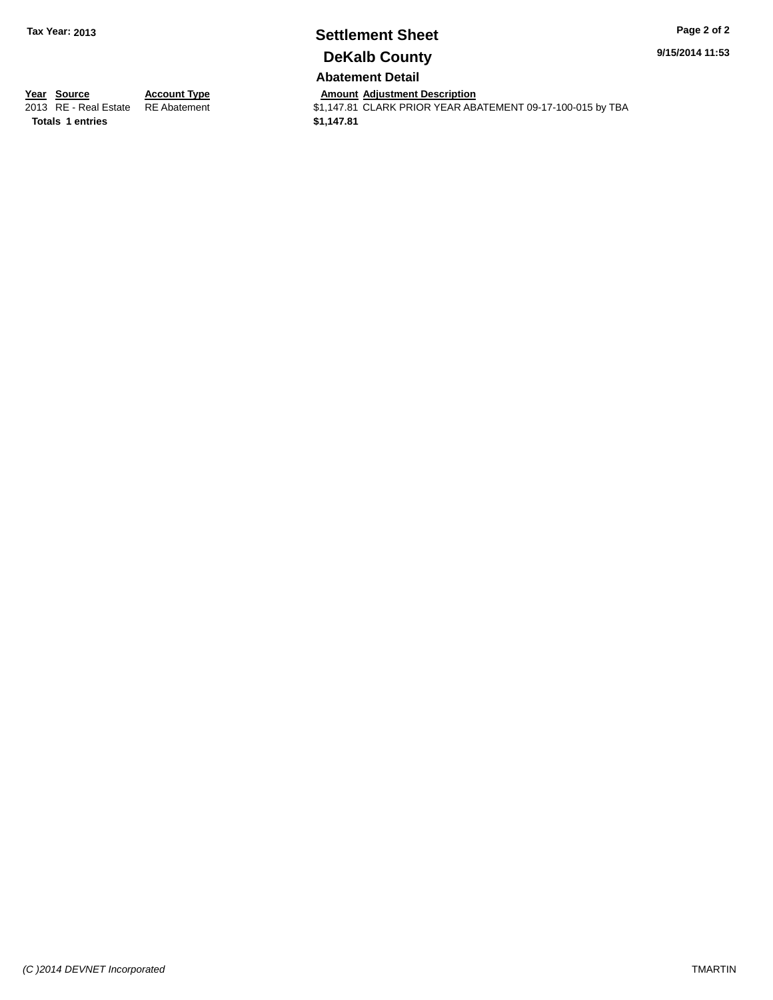## **Settlement Sheet Tax Year: 2013 Page 2 of 2 DeKalb County**

**9/15/2014 11:53**

**Abatement Detail**

Amount Adjustment Description<br>\$1,147.81 CLARK PRIOR YEAR ABATEMENT 09-17-100-015 by TBA

**<u>Year Source</u>**<br> **Account Type**<br> **ADDER ADDER ADALLEM ADDER ADALLEMENT ADDER ADDER ADDER Totals 1 entries \$1,147.81**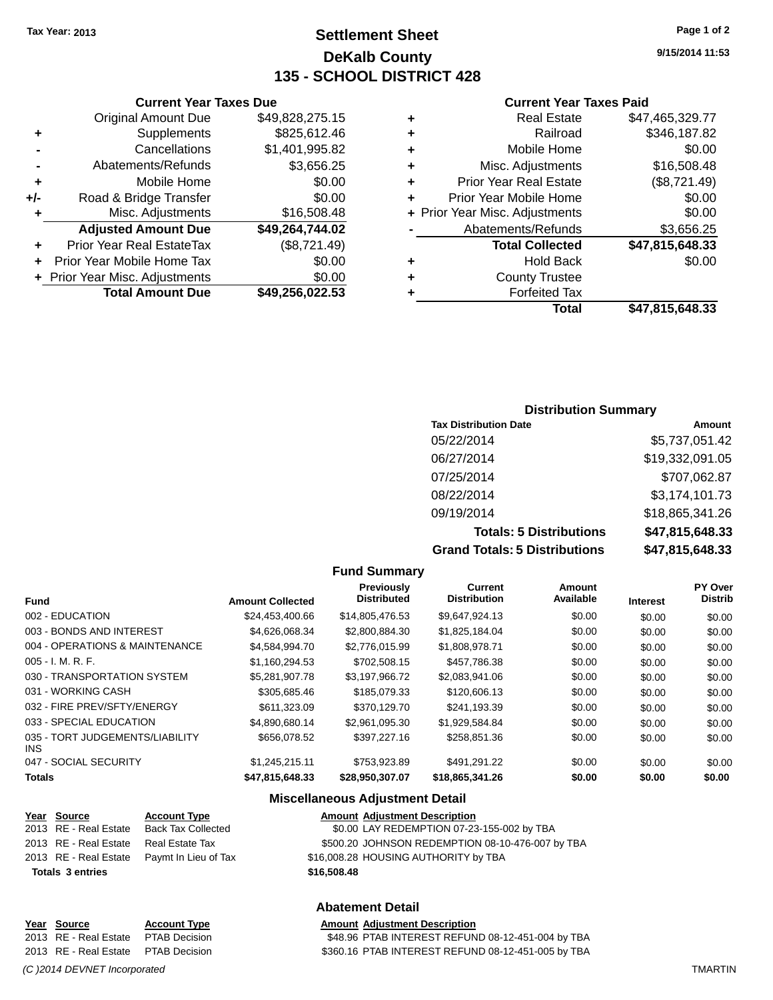## **Settlement Sheet Tax Year: 2013 Page 1 of 2 DeKalb County 135 - SCHOOL DISTRICT 428**

**9/15/2014 11:53**

#### **Current Year Taxes Paid**

| ٠ | <b>Real Estate</b>             | \$47,465,329.77 |
|---|--------------------------------|-----------------|
| ٠ | Railroad                       | \$346,187.82    |
| ٠ | Mobile Home                    | \$0.00          |
| ٠ | Misc. Adjustments              | \$16,508.48     |
| ٠ | <b>Prior Year Real Estate</b>  | (\$8,721.49)    |
| ٠ | Prior Year Mobile Home         | \$0.00          |
|   | + Prior Year Misc. Adjustments | \$0.00          |
|   | Abatements/Refunds             | \$3,656.25      |
|   | <b>Total Collected</b>         | \$47,815,648.33 |
| ٠ | <b>Hold Back</b>               | \$0.00          |
| ٠ | <b>County Trustee</b>          |                 |
|   | <b>Forfeited Tax</b>           |                 |
|   | Total                          | \$47.815.648.33 |

|     | <b>Current Year Taxes Due</b>    |                 |
|-----|----------------------------------|-----------------|
|     | <b>Original Amount Due</b>       | \$49,828,275.15 |
| ٠   | Supplements                      | \$825,612.46    |
|     | Cancellations                    | \$1,401,995.82  |
|     | Abatements/Refunds               | \$3,656.25      |
| ٠   | Mobile Home                      | \$0.00          |
| +/- | Road & Bridge Transfer           | \$0.00          |
| ٠   | Misc. Adjustments                | \$16,508.48     |
|     | <b>Adjusted Amount Due</b>       | \$49,264,744.02 |
|     | <b>Prior Year Real EstateTax</b> | (\$8,721.49)    |
|     | Prior Year Mobile Home Tax       | \$0.00          |
|     | + Prior Year Misc. Adjustments   | \$0.00          |
|     | <b>Total Amount Due</b>          | \$49,256,022.53 |

#### **Distribution Summary**

| <b>Tax Distribution Date</b>         | Amount          |
|--------------------------------------|-----------------|
| 05/22/2014                           | \$5,737,051.42  |
| 06/27/2014                           | \$19,332,091.05 |
| 07/25/2014                           | \$707,062.87    |
| 08/22/2014                           | \$3,174,101.73  |
| 09/19/2014                           | \$18,865,341.26 |
| <b>Totals: 5 Distributions</b>       | \$47,815,648.33 |
| <b>Grand Totals: 5 Distributions</b> | \$47,815,648.33 |

|                                         |                         | <b>Fund Summary</b>              |                                |                     |                 |                           |
|-----------------------------------------|-------------------------|----------------------------------|--------------------------------|---------------------|-----------------|---------------------------|
| <b>Fund</b>                             | <b>Amount Collected</b> | Previously<br><b>Distributed</b> | Current<br><b>Distribution</b> | Amount<br>Available | <b>Interest</b> | PY Over<br><b>Distrib</b> |
| 002 - EDUCATION                         | \$24,453,400.66         | \$14,805,476.53                  | \$9,647,924.13                 | \$0.00              | \$0.00          | \$0.00                    |
| 003 - BONDS AND INTEREST                | \$4,626,068.34          | \$2,800,884.30                   | \$1,825,184.04                 | \$0.00              | \$0.00          | \$0.00                    |
| 004 - OPERATIONS & MAINTENANCE          | \$4,584,994.70          | \$2,776,015.99                   | \$1,808,978.71                 | \$0.00              | \$0.00          | \$0.00                    |
| $005 - I. M. R. F.$                     | \$1.160.294.53          | \$702,508.15                     | \$457.786.38                   | \$0.00              | \$0.00          | \$0.00                    |
| 030 - TRANSPORTATION SYSTEM             | \$5,281,907.78          | \$3,197,966.72                   | \$2,083,941.06                 | \$0.00              | \$0.00          | \$0.00                    |
| 031 - WORKING CASH                      | \$305,685.46            | \$185,079.33                     | \$120,606.13                   | \$0.00              | \$0.00          | \$0.00                    |
| 032 - FIRE PREV/SFTY/ENERGY             | \$611,323,09            | \$370.129.70                     | \$241,193.39                   | \$0.00              | \$0.00          | \$0.00                    |
| 033 - SPECIAL EDUCATION                 | \$4,890,680.14          | \$2,961,095.30                   | \$1,929,584.84                 | \$0.00              | \$0.00          | \$0.00                    |
| 035 - TORT JUDGEMENTS/LIABILITY<br>INS. | \$656,078.52            | \$397.227.16                     | \$258.851.36                   | \$0.00              | \$0.00          | \$0.00                    |
| 047 - SOCIAL SECURITY                   | \$1,245,215.11          | \$753,923.89                     | \$491,291.22                   | \$0.00              | \$0.00          | \$0.00                    |
| Totals                                  | \$47.815.648.33         | \$28.950.307.07                  | \$18,865,341,26                | \$0.00              | \$0.00          | \$0.00                    |

#### **Miscellaneous Adjustment Detail**

| Year Source                           | <b>Account Type</b>                        | <b>Amount Adjustment Description</b>             |
|---------------------------------------|--------------------------------------------|--------------------------------------------------|
|                                       | 2013 RE - Real Estate Back Tax Collected   | \$0.00 LAY REDEMPTION 07-23-155-002 by TBA       |
| 2013 RE - Real Estate Real Estate Tax |                                            | \$500.20 JOHNSON REDEMPTION 08-10-476-007 by TBA |
|                                       | 2013 RE - Real Estate Paymt In Lieu of Tax | \$16,008.28 HOUSING AUTHORITY by TBA             |
| <b>Totals 3 entries</b>               |                                            | \$16,508,48                                      |

#### **Abatement Detail**

#### Year Source **Account Type Account Adjustment Description**

2013 RE - Real Estate PTAB Decision \$48.96 PTAB INTEREST REFUND 08-12-451-004 by TBA 2013 RE - Real Estate PTAB Decision \$360.16 PTAB INTEREST REFUND 08-12-451-005 by TBA

*(C )2014 DEVNET Incorporated* TMARTIN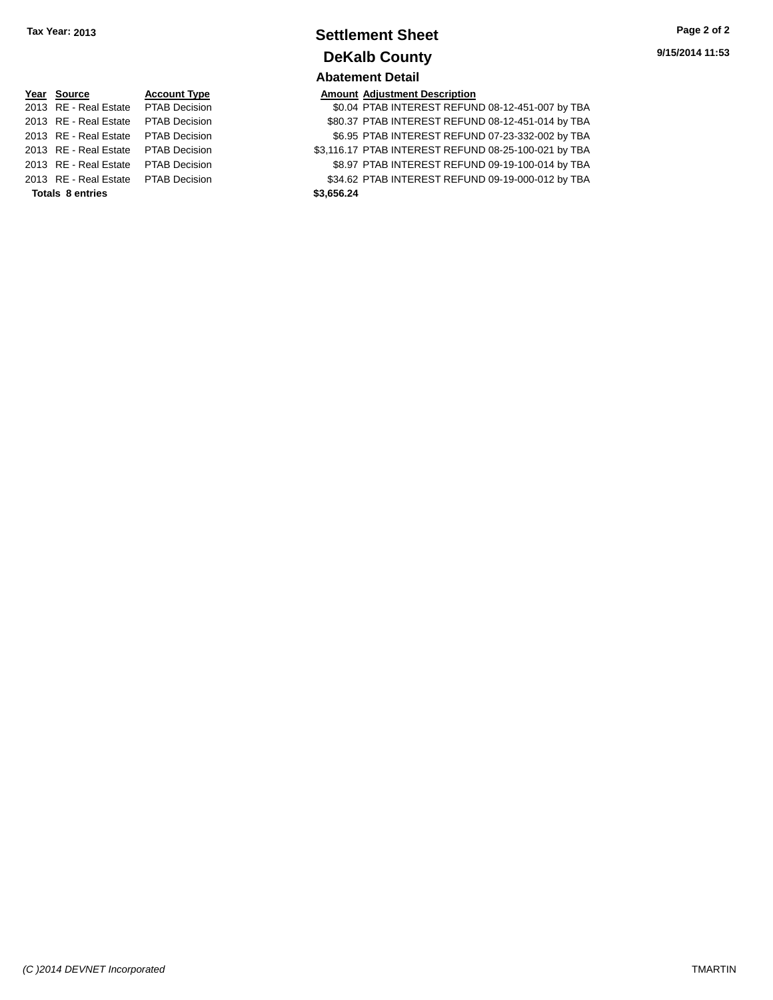## **Settlement Sheet Tax Year: 2013 Page 2 of 2 DeKalb County Abatement Detail**

| Year Source                         | <b>Account Type</b> |            | <b>Amount Adjustment Description</b> |
|-------------------------------------|---------------------|------------|--------------------------------------|
| 2013 RE - Real Estate PTAB Decision |                     |            | \$0.04 PTAB INTEREST REFUN           |
| 2013 RE - Real Estate PTAB Decision |                     |            | \$80.37 PTAB INTEREST REFUN          |
| 2013 RE - Real Estate PTAB Decision |                     |            | \$6.95 PTAB INTEREST REFUN           |
| 2013 RE - Real Estate PTAB Decision |                     |            | \$3,116.17 PTAB INTEREST REFUN       |
| 2013 RE - Real Estate PTAB Decision |                     |            | \$8.97 PTAB INTEREST REFUN           |
| 2013 RE - Real Estate PTAB Decision |                     |            | \$34.62 PTAB INTEREST REFUN          |
| <b>Totals 8 entries</b>             |                     | \$3.656.24 |                                      |

**2013 80.04 PTAB INTEREST REFUND 08-12-451-007 by TBA 2013 80137 PTAB INTEREST REFUND 08-12-451-014 by TBA** 001 001 23-332-002 S6.95 PTAB INTEREST REFUND 07-23-332-002 by TBA 001 63,116.17 PTAB INTEREST REFUND 08-25-100-021 by TBA **2013 82013 PTAB INTEREST REFUND 09-19-100-014 by TBA 2013 834.62 PTAB INTEREST REFUND 09-19-000-012 by TBA**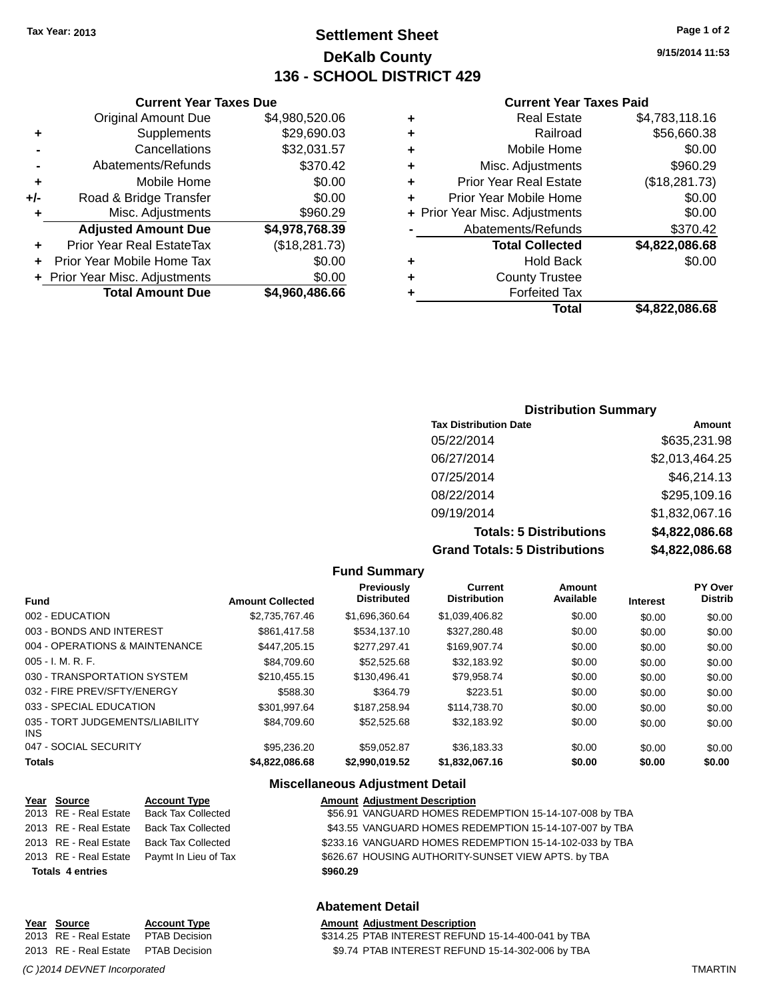## **Settlement Sheet Tax Year: 2013 Page 1 of 2 DeKalb County 136 - SCHOOL DISTRICT 429**

**9/15/2014 11:53**

#### **Current Year Taxes Paid**

| ٠ | <b>Real Estate</b>             | \$4,783,118.16 |
|---|--------------------------------|----------------|
| ٠ | Railroad                       | \$56,660.38    |
|   | Mobile Home                    |                |
| ٠ |                                | \$0.00         |
| ٠ | Misc. Adjustments              | \$960.29       |
| ٠ | <b>Prior Year Real Estate</b>  | (\$18,281.73)  |
| ٠ | Prior Year Mobile Home         | \$0.00         |
|   | + Prior Year Misc. Adjustments | \$0.00         |
|   | Abatements/Refunds             | \$370.42       |
|   | <b>Total Collected</b>         | \$4,822,086.68 |
| ٠ | <b>Hold Back</b>               | \$0.00         |
| ٠ | <b>County Trustee</b>          |                |
|   | <b>Forfeited Tax</b>           |                |
|   | Total                          | \$4.822.086.68 |
|   |                                |                |

|     | <b>Current Year Taxes Due</b>  |                |
|-----|--------------------------------|----------------|
|     | <b>Original Amount Due</b>     | \$4,980,520.06 |
| ٠   | Supplements                    | \$29,690.03    |
|     | Cancellations                  | \$32,031.57    |
|     | Abatements/Refunds             | \$370.42       |
| ٠   | Mobile Home                    | \$0.00         |
| +/- | Road & Bridge Transfer         | \$0.00         |
| ٠   | Misc. Adjustments              | \$960.29       |
|     | <b>Adjusted Amount Due</b>     | \$4,978,768.39 |
| ٠   | Prior Year Real EstateTax      | (\$18,281.73)  |
| ٠   | Prior Year Mobile Home Tax     | \$0.00         |
|     | + Prior Year Misc. Adjustments | \$0.00         |
|     | <b>Total Amount Due</b>        | \$4,960,486.66 |

#### **Distribution Summary**

| <b>Tax Distribution Date</b>         | <b>Amount</b>  |
|--------------------------------------|----------------|
| 05/22/2014                           | \$635,231.98   |
| 06/27/2014                           | \$2,013,464.25 |
| 07/25/2014                           | \$46,214.13    |
| 08/22/2014                           | \$295,109.16   |
| 09/19/2014                           | \$1,832,067.16 |
| <b>Totals: 5 Distributions</b>       | \$4,822,086.68 |
| <b>Grand Totals: 5 Distributions</b> | \$4,822,086.68 |

|                                         |                         | <b>Fund Summary</b>                     |                                       |                     |                 |                                  |
|-----------------------------------------|-------------------------|-----------------------------------------|---------------------------------------|---------------------|-----------------|----------------------------------|
| <b>Fund</b>                             | <b>Amount Collected</b> | <b>Previously</b><br><b>Distributed</b> | <b>Current</b><br><b>Distribution</b> | Amount<br>Available | <b>Interest</b> | <b>PY Over</b><br><b>Distrib</b> |
| 002 - EDUCATION                         | \$2,735,767.46          | \$1,696,360.64                          | \$1,039,406.82                        | \$0.00              | \$0.00          | \$0.00                           |
| 003 - BONDS AND INTEREST                | \$861.417.58            | \$534.137.10                            | \$327.280.48                          | \$0.00              | \$0.00          | \$0.00                           |
| 004 - OPERATIONS & MAINTENANCE          | \$447,205.15            | \$277,297.41                            | \$169,907.74                          | \$0.00              | \$0.00          | \$0.00                           |
| $005 - I. M. R. F.$                     | \$84,709.60             | \$52,525.68                             | \$32,183.92                           | \$0.00              | \$0.00          | \$0.00                           |
| 030 - TRANSPORTATION SYSTEM             | \$210.455.15            | \$130,496.41                            | \$79.958.74                           | \$0.00              | \$0.00          | \$0.00                           |
| 032 - FIRE PREV/SFTY/ENERGY             | \$588.30                | \$364.79                                | \$223.51                              | \$0.00              | \$0.00          | \$0.00                           |
| 033 - SPECIAL EDUCATION                 | \$301,997.64            | \$187.258.94                            | \$114,738.70                          | \$0.00              | \$0.00          | \$0.00                           |
| 035 - TORT JUDGEMENTS/LIABILITY<br>INS. | \$84,709.60             | \$52,525.68                             | \$32,183.92                           | \$0.00              | \$0.00          | \$0.00                           |
| 047 - SOCIAL SECURITY                   | \$95,236,20             | \$59.052.87                             | \$36.183.33                           | \$0.00              | \$0.00          | \$0.00                           |
| <b>Totals</b>                           | \$4,822,086,68          | \$2.990.019.52                          | \$1,832,067.16                        | \$0.00              | \$0.00          | \$0.00                           |

#### **Miscellaneous Adjustment Detail**

| Year Source             | <b>Account Type</b>       |          | <b>Amount Adjustment Description</b>                    |
|-------------------------|---------------------------|----------|---------------------------------------------------------|
| 2013 RE - Real Estate   | <b>Back Tax Collected</b> |          | \$56.91 VANGUARD HOMES REDEMPTION 15-14-107-008 by TBA  |
| 2013 RE - Real Estate   | <b>Back Tax Collected</b> |          | \$43.55 VANGUARD HOMES REDEMPTION 15-14-107-007 by TBA  |
| 2013 RE - Real Estate   | <b>Back Tax Collected</b> |          | \$233.16 VANGUARD HOMES REDEMPTION 15-14-102-033 by TBA |
| 2013 RE - Real Estate   | Paymt In Lieu of Tax      |          | \$626.67 HOUSING AUTHORITY-SUNSET VIEW APTS. by TBA     |
| <b>Totals 4 entries</b> |                           | \$960.29 |                                                         |
|                         |                           |          |                                                         |

#### **Abatement Detail**

#### **Year** Source **Account Type Account Adjustment Description**

2013 RE - Real Estate PTAB Decision \$314.25 PTAB INTEREST REFUND 15-14-400-041 by TBA 2013 RE - Real Estate PTAB Decision \$9.74 PTAB INTEREST REFUND 15-14-302-006 by TBA

*(C )2014 DEVNET Incorporated* TMARTIN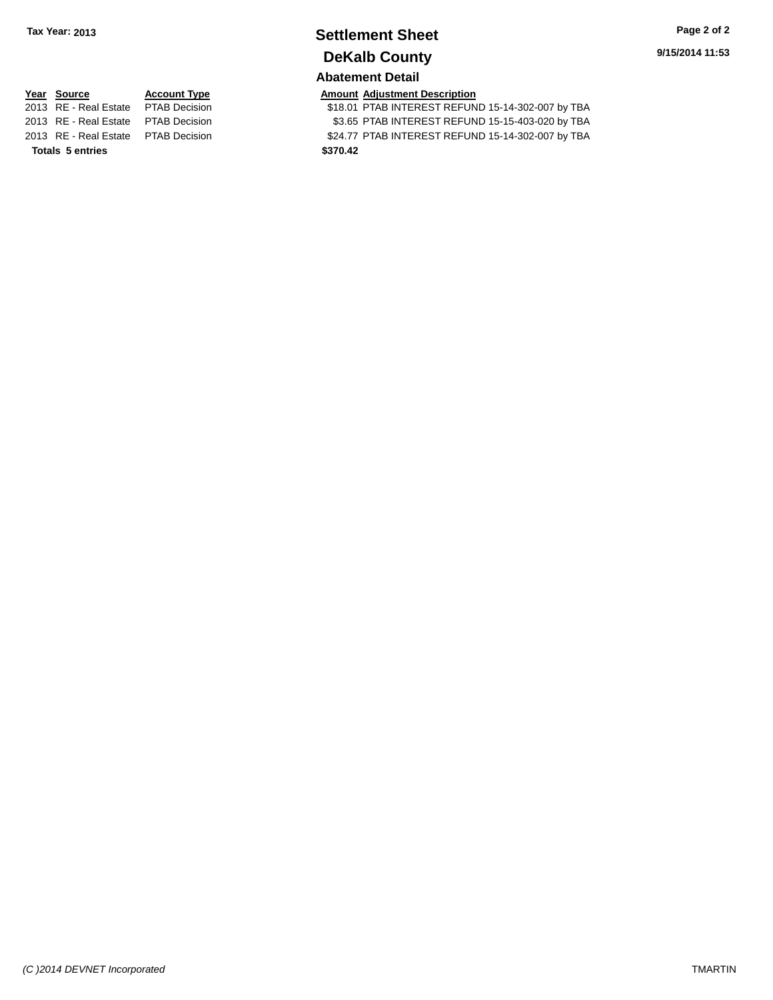# **Settlement Sheet Tax Year: 2013 Page 2 of 2 DeKalb County**

**Abatement Detail**

**Totals 5 entries \$370.42**

**<u>Year Source</u> <b>Account Type Amount Adjustment Description**<br>2013 RE - Real Estate PTAB Decision **AMOUNT STAGE INTEREST REFUN** 

\$18.01 PTAB INTEREST REFUND 15-14-302-007 by TBA 2013 RE - Real Estate PTAB Decision \$3.65 PTAB INTEREST REFUND 15-15-403-020 by TBA 2013 RE - Real Estate PTAB Decision \$24.77 PTAB INTEREST REFUND 15-14-302-007 by TBA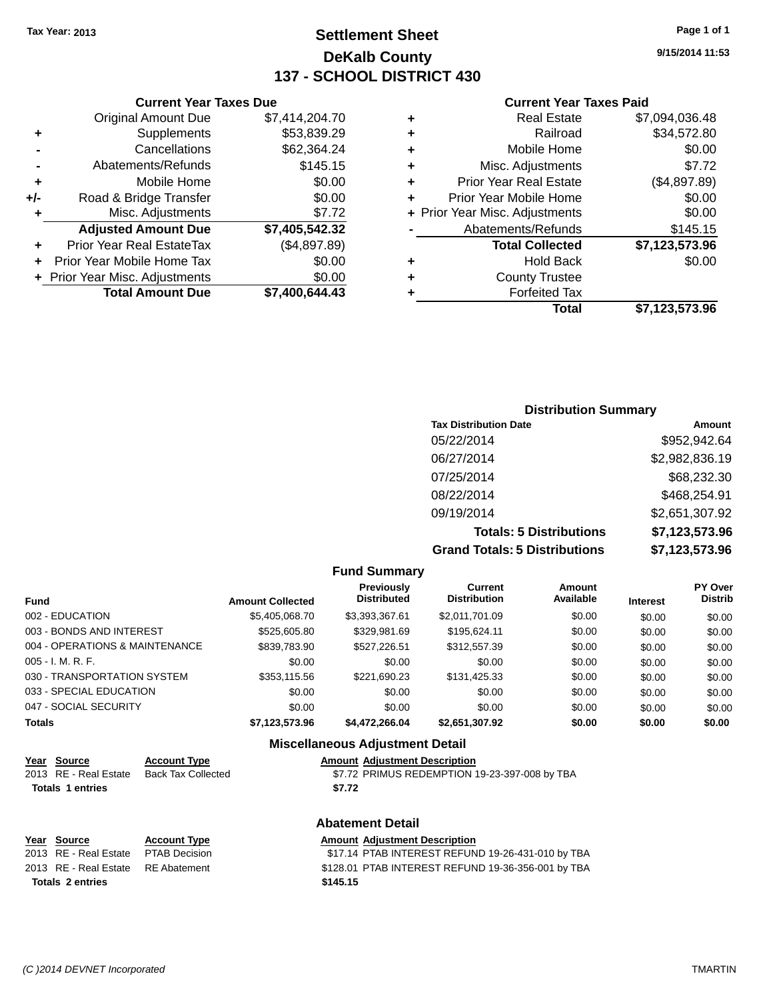## **Settlement Sheet Tax Year: 2013 Page 1 of 1 DeKalb County 137 - SCHOOL DISTRICT 430**

**9/15/2014 11:53**

#### **Current Year Taxes Paid**

|     | <b>Original Amount Due</b>       | \$7,414,204.70 |
|-----|----------------------------------|----------------|
| ٠   | Supplements                      | \$53,839.29    |
|     | Cancellations                    | \$62,364.24    |
|     | Abatements/Refunds               | \$145.15       |
| ٠   | Mobile Home                      | \$0.00         |
| +/- | Road & Bridge Transfer           | \$0.00         |
| ٠   | Misc. Adjustments                | \$7.72         |
|     | <b>Adjusted Amount Due</b>       | \$7,405,542.32 |
| ٠   | <b>Prior Year Real EstateTax</b> | (\$4,897.89)   |
|     | Prior Year Mobile Home Tax       | \$0.00         |
|     | + Prior Year Misc. Adjustments   | \$0.00         |
|     | <b>Total Amount Due</b>          | \$7,400,644.43 |
|     |                                  |                |

**Current Year Taxes Due**

|   | <b>Real Estate</b>             | \$7,094,036.48 |
|---|--------------------------------|----------------|
| ٠ | Railroad                       | \$34,572.80    |
| ٠ | Mobile Home                    | \$0.00         |
| ٠ | Misc. Adjustments              | \$7.72         |
| ٠ | <b>Prior Year Real Estate</b>  | (\$4,897.89)   |
| ٠ | Prior Year Mobile Home         | \$0.00         |
|   | + Prior Year Misc. Adjustments | \$0.00         |
|   | Abatements/Refunds             | \$145.15       |
|   | <b>Total Collected</b>         | \$7,123,573.96 |
| ٠ | <b>Hold Back</b>               | \$0.00         |
| ٠ | <b>County Trustee</b>          |                |
| ٠ | <b>Forfeited Tax</b>           |                |
|   | Total                          | \$7,123,573.96 |
|   |                                |                |

## **Distribution Summary Tax Distribution Date Amount** 05/22/2014 \$952,942.64 06/27/2014 \$2,982,836.19 07/25/2014 \$68,232.30 08/22/2014 \$468,254.91 09/19/2014 \$2,651,307.92 **Totals: 5 Distributions \$7,123,573.96 Grand Totals: 5 Distributions \$7,123,573.96**

|                                |                         | <b>Fund Summary</b>                     |                                       |                     |                 |                                  |
|--------------------------------|-------------------------|-----------------------------------------|---------------------------------------|---------------------|-----------------|----------------------------------|
| <b>Fund</b>                    | <b>Amount Collected</b> | <b>Previously</b><br><b>Distributed</b> | <b>Current</b><br><b>Distribution</b> | Amount<br>Available | <b>Interest</b> | <b>PY Over</b><br><b>Distrib</b> |
| 002 - EDUCATION                | \$5,405,068.70          | \$3,393,367.61                          | \$2,011,701.09                        | \$0.00              | \$0.00          | \$0.00                           |
| 003 - BONDS AND INTEREST       | \$525,605.80            | \$329,981.69                            | \$195.624.11                          | \$0.00              | \$0.00          | \$0.00                           |
| 004 - OPERATIONS & MAINTENANCE | \$839,783.90            | \$527.226.51                            | \$312,557.39                          | \$0.00              | \$0.00          | \$0.00                           |
| $005 - I. M. R. F.$            | \$0.00                  | \$0.00                                  | \$0.00                                | \$0.00              | \$0.00          | \$0.00                           |
| 030 - TRANSPORTATION SYSTEM    | \$353,115.56            | \$221,690.23                            | \$131,425.33                          | \$0.00              | \$0.00          | \$0.00                           |
| 033 - SPECIAL EDUCATION        | \$0.00                  | \$0.00                                  | \$0.00                                | \$0.00              | \$0.00          | \$0.00                           |
| 047 - SOCIAL SECURITY          | \$0.00                  | \$0.00                                  | \$0.00                                | \$0.00              | \$0.00          | \$0.00                           |
| <b>Totals</b>                  | \$7,123,573.96          | \$4,472,266.04                          | \$2,651,307.92                        | \$0.00              | \$0.00          | \$0.00                           |

#### **Miscellaneous Adjustment Detail**

| Year Source           | <b>Account Type</b> | <b>Amount Adjustment Description</b>          |
|-----------------------|---------------------|-----------------------------------------------|
| 2013 RE - Real Estate | Back Tax Collected  | \$7.72 PRIMUS REDEMPTION 19-23-397-008 by TBA |
| Totals 1 entries      |                     | \$7.72                                        |

#### **Abatement Detail**

| Year Source                         | <b>Account Type</b> | <b>Amount Adiustment Description</b>               |
|-------------------------------------|---------------------|----------------------------------------------------|
| 2013 RE - Real Estate PTAB Decision |                     | \$17.14 PTAB INTEREST REFUND 19-26-431-010 by TBA  |
| 2013 RE - Real Estate RE Abatement  |                     | \$128.01 PTAB INTEREST REFUND 19-36-356-001 by TBA |
| Totals 2 entries                    |                     | \$145.15                                           |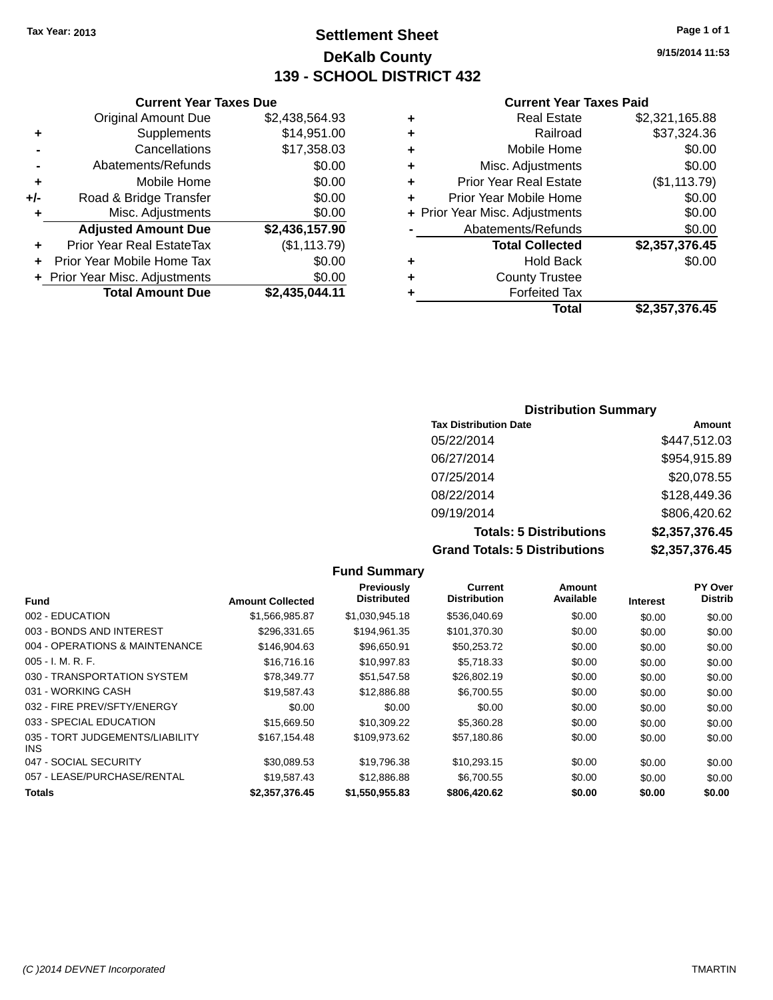## **Settlement Sheet Tax Year: 2013 Page 1 of 1 DeKalb County 139 - SCHOOL DISTRICT 432**

**9/15/2014 11:53**

#### **Current Year Taxes Paid**

|     | <b>Current Year Taxes Due</b>  |                |  |
|-----|--------------------------------|----------------|--|
|     | <b>Original Amount Due</b>     | \$2,438,564.93 |  |
| ٠   | Supplements                    | \$14,951.00    |  |
|     | Cancellations                  | \$17,358.03    |  |
|     | Abatements/Refunds             | \$0.00         |  |
| ٠   | Mobile Home                    | \$0.00         |  |
| +/- | Road & Bridge Transfer         | \$0.00         |  |
| ٠   | Misc. Adjustments              | \$0.00         |  |
|     | <b>Adjusted Amount Due</b>     | \$2,436,157.90 |  |
| ÷   | Prior Year Real EstateTax      | (\$1, 113.79)  |  |
| ÷   | Prior Year Mobile Home Tax     | \$0.00         |  |
|     | + Prior Year Misc. Adjustments | \$0.00         |  |
|     | <b>Total Amount Due</b>        | \$2,435,044.11 |  |
|     |                                |                |  |

|   | <b>Real Estate</b>             | \$2,321,165.88 |
|---|--------------------------------|----------------|
| ٠ | Railroad                       | \$37,324.36    |
| ٠ | Mobile Home                    | \$0.00         |
| ٠ | Misc. Adjustments              | \$0.00         |
| ÷ | <b>Prior Year Real Estate</b>  | (\$1,113.79)   |
| ÷ | Prior Year Mobile Home         | \$0.00         |
|   | + Prior Year Misc. Adjustments | \$0.00         |
|   | Abatements/Refunds             | \$0.00         |
|   | <b>Total Collected</b>         | \$2,357,376.45 |
| ٠ | <b>Hold Back</b>               | \$0.00         |
| ٠ | <b>County Trustee</b>          |                |
| ٠ | <b>Forfeited Tax</b>           |                |
|   | Total                          | \$2,357,376.45 |
|   |                                |                |

#### **Distribution Summary Tax Distribution Date Amount** 05/22/2014 \$447,512.03 06/27/2014 \$954,915.89 07/25/2014 \$20,078.55 08/22/2014 \$128,449.36 09/19/2014 \$806,420.62 **Totals: 5 Distributions \$2,357,376.45 Grand Totals: 5 Distributions \$2,357,376.45**

|                                         |                         | <b>Fund Summary</b>                     |                                       |                     |                 |                                  |
|-----------------------------------------|-------------------------|-----------------------------------------|---------------------------------------|---------------------|-----------------|----------------------------------|
| Fund                                    | <b>Amount Collected</b> | <b>Previously</b><br><b>Distributed</b> | <b>Current</b><br><b>Distribution</b> | Amount<br>Available | <b>Interest</b> | <b>PY Over</b><br><b>Distrib</b> |
| 002 - EDUCATION                         | \$1,566,985.87          | \$1,030,945.18                          | \$536,040.69                          | \$0.00              | \$0.00          | \$0.00                           |
| 003 - BONDS AND INTEREST                | \$296,331.65            | \$194,961.35                            | \$101,370.30                          | \$0.00              | \$0.00          | \$0.00                           |
| 004 - OPERATIONS & MAINTENANCE          | \$146,904.63            | \$96,650.91                             | \$50.253.72                           | \$0.00              | \$0.00          | \$0.00                           |
| $005 - I. M. R. F.$                     | \$16,716.16             | \$10,997.83                             | \$5,718.33                            | \$0.00              | \$0.00          | \$0.00                           |
| 030 - TRANSPORTATION SYSTEM             | \$78.349.77             | \$51,547.58                             | \$26,802.19                           | \$0.00              | \$0.00          | \$0.00                           |
| 031 - WORKING CASH                      | \$19.587.43             | \$12,886.88                             | \$6,700.55                            | \$0.00              | \$0.00          | \$0.00                           |
| 032 - FIRE PREV/SFTY/ENERGY             | \$0.00                  | \$0.00                                  | \$0.00                                | \$0.00              | \$0.00          | \$0.00                           |
| 033 - SPECIAL EDUCATION                 | \$15,669.50             | \$10.309.22                             | \$5,360.28                            | \$0.00              | \$0.00          | \$0.00                           |
| 035 - TORT JUDGEMENTS/LIABILITY<br>INS. | \$167.154.48            | \$109,973.62                            | \$57,180.86                           | \$0.00              | \$0.00          | \$0.00                           |
| 047 - SOCIAL SECURITY                   | \$30.089.53             | \$19.796.38                             | \$10,293.15                           | \$0.00              | \$0.00          | \$0.00                           |
| 057 - LEASE/PURCHASE/RENTAL             | \$19,587.43             | \$12,886.88                             | \$6,700.55                            | \$0.00              | \$0.00          | \$0.00                           |
| <b>Totals</b>                           | \$2.357.376.45          | \$1,550,955.83                          | \$806,420.62                          | \$0.00              | \$0.00          | \$0.00                           |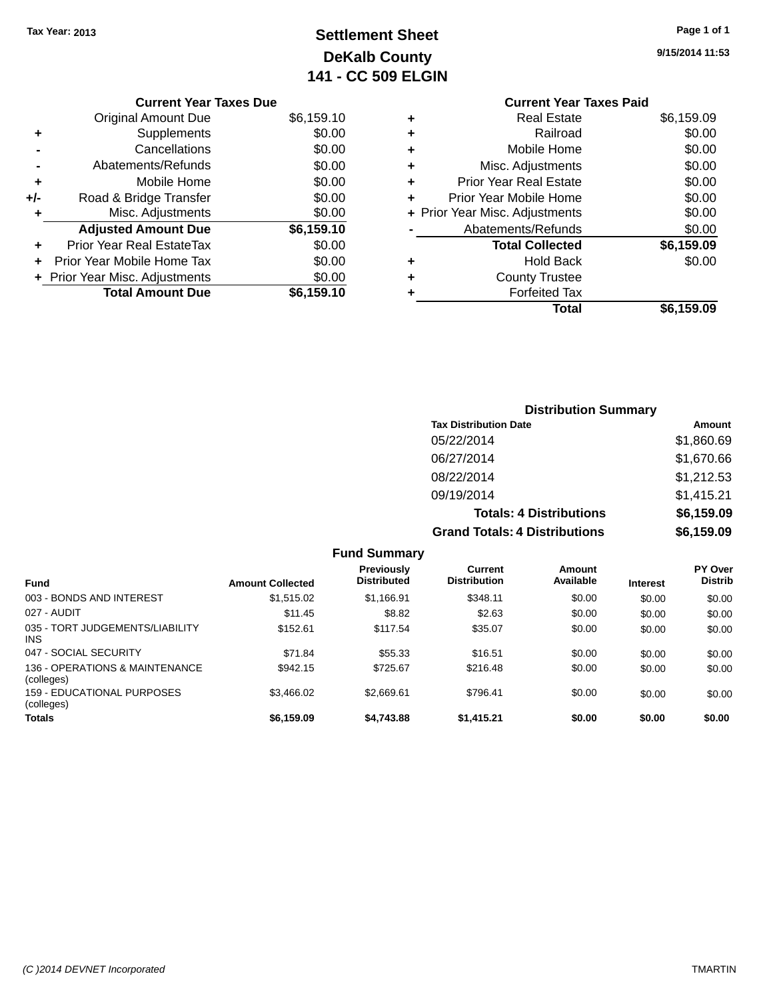## **Settlement Sheet Tax Year: 2013 Page 1 of 1 DeKalb County 141 - CC 509 ELGIN**

|     | <b>Current Year Taxes Due</b>    |            |
|-----|----------------------------------|------------|
|     | <b>Original Amount Due</b>       | \$6,159.10 |
| ٠   | Supplements                      | \$0.00     |
|     | Cancellations                    | \$0.00     |
|     | Abatements/Refunds               | \$0.00     |
| ٠   | Mobile Home                      | \$0.00     |
| +/- | Road & Bridge Transfer           | \$0.00     |
|     | Misc. Adjustments                | \$0.00     |
|     | <b>Adjusted Amount Due</b>       | \$6,159.10 |
|     | <b>Prior Year Real EstateTax</b> | \$0.00     |
|     | Prior Year Mobile Home Tax       | \$0.00     |
|     | + Prior Year Misc. Adjustments   | \$0.00     |
|     | <b>Total Amount Due</b>          | \$6,159.10 |

|   | <b>Current Year Taxes Paid</b> |            |
|---|--------------------------------|------------|
| ٠ | <b>Real Estate</b>             | \$6,159.09 |
| ٠ | Railroad                       | \$0.00     |
|   | Mobile Home                    | \$0.00     |
| ٠ | Misc. Adjustments              | \$0.00     |
| ٠ | <b>Prior Year Real Estate</b>  | \$0.00     |
|   | Prior Year Mobile Home         | \$0.00     |
|   | + Prior Year Misc. Adjustments | \$0.00     |
|   | Abatements/Refunds             | \$0.00     |
|   | <b>Total Collected</b>         | \$6,159.09 |
|   | <b>Hold Back</b>               | \$0.00     |
|   | <b>County Trustee</b>          |            |
|   | <b>Forfeited Tax</b>           |            |
|   | Total                          | \$6,159.09 |
|   |                                |            |

| <b>Distribution Summary</b>          |            |
|--------------------------------------|------------|
| <b>Tax Distribution Date</b>         | Amount     |
| 05/22/2014                           | \$1,860.69 |
| 06/27/2014                           | \$1,670.66 |
| 08/22/2014                           | \$1,212.53 |
| 09/19/2014                           | \$1,415.21 |
| <b>Totals: 4 Distributions</b>       | \$6,159.09 |
| <b>Grand Totals: 4 Distributions</b> | \$6,159.09 |

|                                               |                         | <b>Fund Summary</b>                     |                                |                     |                 |                           |
|-----------------------------------------------|-------------------------|-----------------------------------------|--------------------------------|---------------------|-----------------|---------------------------|
| <b>Fund</b>                                   | <b>Amount Collected</b> | <b>Previously</b><br><b>Distributed</b> | Current<br><b>Distribution</b> | Amount<br>Available | <b>Interest</b> | PY Over<br><b>Distrib</b> |
| 003 - BONDS AND INTEREST                      | \$1,515.02              | \$1.166.91                              | \$348.11                       | \$0.00              | \$0.00          | \$0.00                    |
| 027 - AUDIT                                   | \$11.45                 | \$8.82                                  | \$2.63                         | \$0.00              | \$0.00          | \$0.00                    |
| 035 - TORT JUDGEMENTS/LIABILITY<br><b>INS</b> | \$152.61                | \$117.54                                | \$35.07                        | \$0.00              | \$0.00          | \$0.00                    |
| 047 - SOCIAL SECURITY                         | \$71.84                 | \$55.33                                 | \$16.51                        | \$0.00              | \$0.00          | \$0.00                    |
| 136 - OPERATIONS & MAINTENANCE<br>(colleges)  | \$942.15                | \$725.67                                | \$216.48                       | \$0.00              | \$0.00          | \$0.00                    |
| 159 - EDUCATIONAL PURPOSES<br>(colleges)      | \$3.466.02              | \$2.669.61                              | \$796.41                       | \$0.00              | \$0.00          | \$0.00                    |
| <b>Totals</b>                                 | \$6,159.09              | \$4.743.88                              | \$1.415.21                     | \$0.00              | \$0.00          | \$0.00                    |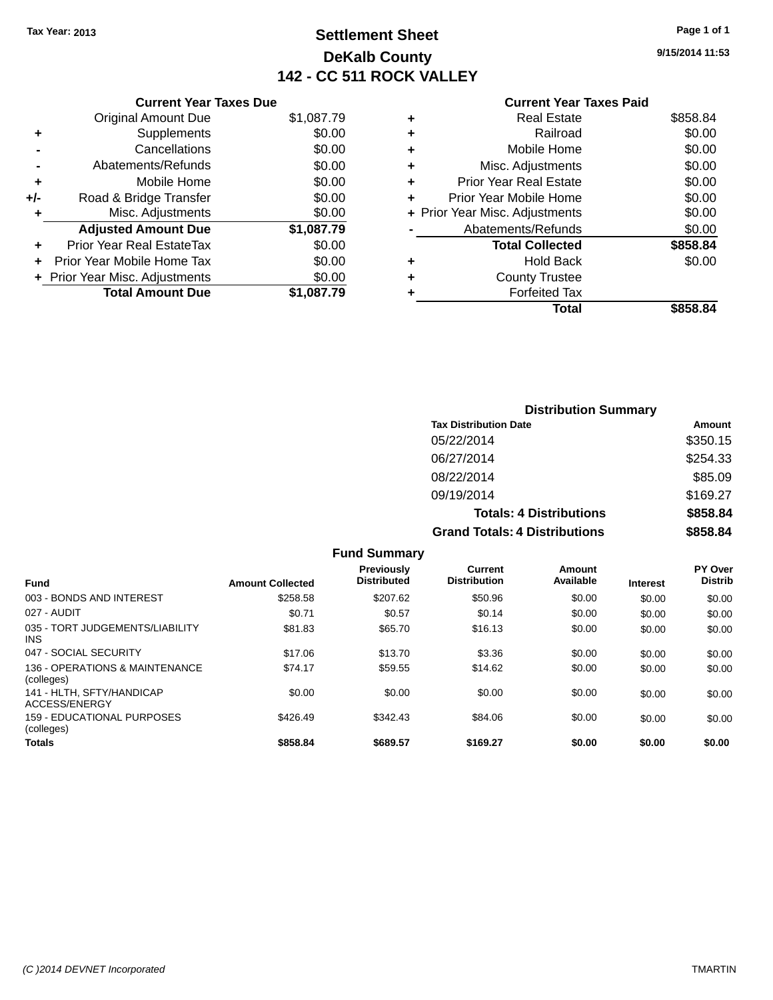## **Settlement Sheet Tax Year: 2013 Page 1 of 1 DeKalb County 142 - CC 511 ROCK VALLEY**

**9/15/2014 11:53**

|     | <b>Current Year Taxes Due</b>  |            |
|-----|--------------------------------|------------|
|     | <b>Original Amount Due</b>     | \$1,087.79 |
| ٠   | Supplements                    | \$0.00     |
|     | Cancellations                  | \$0.00     |
|     | Abatements/Refunds             | \$0.00     |
| ٠   | Mobile Home                    | \$0.00     |
| +/- | Road & Bridge Transfer         | \$0.00     |
|     | Misc. Adjustments              | \$0.00     |
|     | <b>Adjusted Amount Due</b>     | \$1,087.79 |
| ÷   | Prior Year Real EstateTax      | \$0.00     |
| ÷   | Prior Year Mobile Home Tax     | \$0.00     |
|     | + Prior Year Misc. Adjustments | \$0.00     |
|     | <b>Total Amount Due</b>        | \$1.087.79 |

#### **Current Year Taxes Paid**

| ٠ | <b>Real Estate</b>             | \$858.84 |
|---|--------------------------------|----------|
| ٠ | Railroad                       | \$0.00   |
| ٠ | Mobile Home                    | \$0.00   |
| ٠ | Misc. Adjustments              | \$0.00   |
| ٠ | <b>Prior Year Real Estate</b>  | \$0.00   |
| ٠ | Prior Year Mobile Home         | \$0.00   |
|   | + Prior Year Misc. Adjustments | \$0.00   |
|   | Abatements/Refunds             | \$0.00   |
|   | <b>Total Collected</b>         | \$858.84 |
| ٠ | <b>Hold Back</b>               | \$0.00   |
| ٠ | <b>County Trustee</b>          |          |
| ٠ | <b>Forfeited Tax</b>           |          |
|   | Total                          | \$858.84 |
|   |                                |          |

| <b>Distribution Summary</b>          |          |
|--------------------------------------|----------|
| <b>Tax Distribution Date</b>         | Amount   |
| 05/22/2014                           | \$350.15 |
| 06/27/2014                           | \$254.33 |
| 08/22/2014                           | \$85.09  |
| 09/19/2014                           | \$169.27 |
| <b>Totals: 4 Distributions</b>       | \$858.84 |
| <b>Grand Totals: 4 Distributions</b> | \$858.84 |

|                                               |                         | <b>Fund Summary</b>              |                                |                     |                 |                                  |
|-----------------------------------------------|-------------------------|----------------------------------|--------------------------------|---------------------|-----------------|----------------------------------|
| <b>Fund</b>                                   | <b>Amount Collected</b> | Previously<br><b>Distributed</b> | Current<br><b>Distribution</b> | Amount<br>Available | <b>Interest</b> | <b>PY Over</b><br><b>Distrib</b> |
| 003 - BONDS AND INTEREST                      | \$258.58                | \$207.62                         | \$50.96                        | \$0.00              | \$0.00          | \$0.00                           |
| 027 - AUDIT                                   | \$0.71                  | \$0.57                           | \$0.14                         | \$0.00              | \$0.00          | \$0.00                           |
| 035 - TORT JUDGEMENTS/LIABILITY<br><b>INS</b> | \$81.83                 | \$65.70                          | \$16.13                        | \$0.00              | \$0.00          | \$0.00                           |
| 047 - SOCIAL SECURITY                         | \$17.06                 | \$13.70                          | \$3.36                         | \$0.00              | \$0.00          | \$0.00                           |
| 136 - OPERATIONS & MAINTENANCE<br>(colleges)  | \$74.17                 | \$59.55                          | \$14.62                        | \$0.00              | \$0.00          | \$0.00                           |
| 141 - HLTH. SFTY/HANDICAP<br>ACCESS/ENERGY    | \$0.00                  | \$0.00                           | \$0.00                         | \$0.00              | \$0.00          | \$0.00                           |
| 159 - EDUCATIONAL PURPOSES<br>(colleges)      | \$426.49                | \$342.43                         | \$84.06                        | \$0.00              | \$0.00          | \$0.00                           |
| <b>Totals</b>                                 | \$858.84                | \$689.57                         | \$169.27                       | \$0.00              | \$0.00          | \$0.00                           |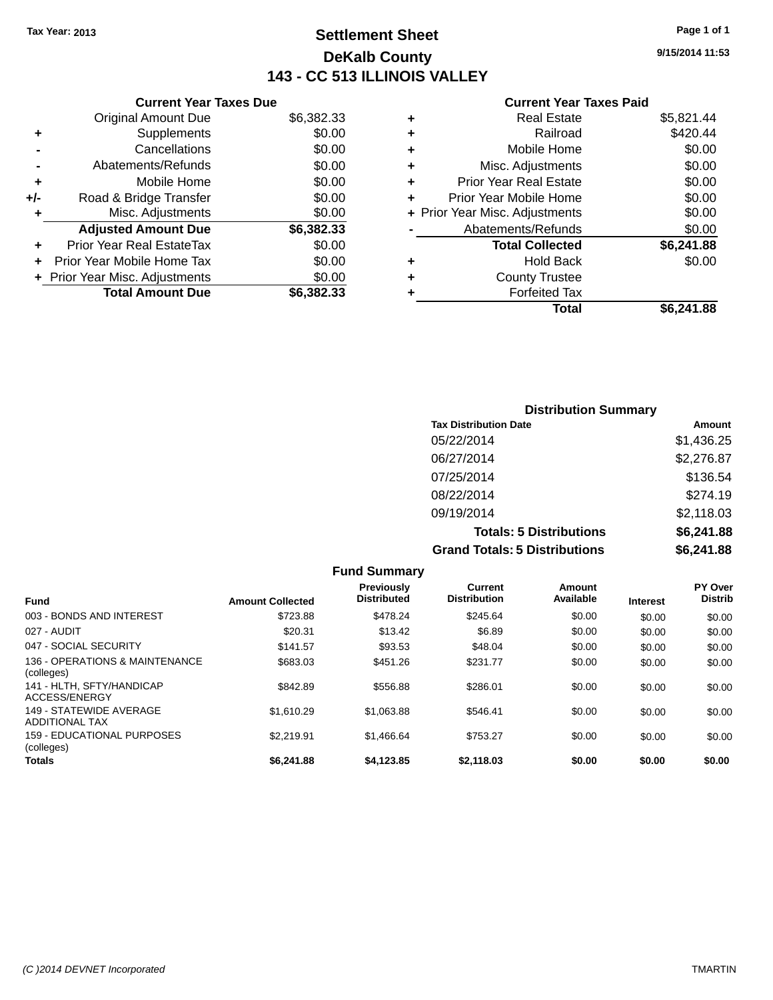## **Settlement Sheet Tax Year: 2013 Page 1 of 1 DeKalb County 143 - CC 513 ILLINOIS VALLEY**

**9/15/2014 11:53**

#### **Current Year Taxes Paid**

| <b>Current Year Taxes Due</b>    |                         |
|----------------------------------|-------------------------|
| <b>Original Amount Due</b>       | \$6,382.33              |
| Supplements                      | \$0.00                  |
| Cancellations                    | \$0.00                  |
| Abatements/Refunds               | \$0.00                  |
| Mobile Home                      | \$0.00                  |
| Road & Bridge Transfer           | \$0.00                  |
| Misc. Adjustments                | \$0.00                  |
| <b>Adjusted Amount Due</b>       | \$6,382.33              |
| <b>Prior Year Real EstateTax</b> | \$0.00                  |
| Prior Year Mobile Home Tax       | \$0.00                  |
| + Prior Year Misc. Adjustments   | \$0.00                  |
|                                  | \$6.382.33              |
|                                  | <b>Total Amount Due</b> |

| ٠ | <b>Real Estate</b>             | \$5,821.44 |
|---|--------------------------------|------------|
| ٠ | Railroad                       | \$420.44   |
| ٠ | Mobile Home                    | \$0.00     |
| ٠ | Misc. Adjustments              | \$0.00     |
| ٠ | <b>Prior Year Real Estate</b>  | \$0.00     |
| ÷ | Prior Year Mobile Home         | \$0.00     |
|   | + Prior Year Misc. Adjustments | \$0.00     |
|   | Abatements/Refunds             | \$0.00     |
|   | <b>Total Collected</b>         | \$6,241.88 |
| ٠ | Hold Back                      | \$0.00     |
| ÷ | <b>County Trustee</b>          |            |
| ٠ | <b>Forfeited Tax</b>           |            |
|   | Total                          | \$6,241.88 |
|   |                                |            |

| <b>Distribution Summary</b>          |            |
|--------------------------------------|------------|
| <b>Tax Distribution Date</b>         | Amount     |
| 05/22/2014                           | \$1,436.25 |
| 06/27/2014                           | \$2,276.87 |
| 07/25/2014                           | \$136.54   |
| 08/22/2014                           | \$274.19   |
| 09/19/2014                           | \$2,118.03 |
| <b>Totals: 5 Distributions</b>       | \$6,241.88 |
| <b>Grand Totals: 5 Distributions</b> | \$6,241.88 |

|                                                  |                         | <b>Fund Summary</b>                     |                                |                     |                 |                           |
|--------------------------------------------------|-------------------------|-----------------------------------------|--------------------------------|---------------------|-----------------|---------------------------|
| <b>Fund</b>                                      | <b>Amount Collected</b> | <b>Previously</b><br><b>Distributed</b> | Current<br><b>Distribution</b> | Amount<br>Available | <b>Interest</b> | PY Over<br><b>Distrib</b> |
| 003 - BONDS AND INTEREST                         | \$723.88                | \$478.24                                | \$245.64                       | \$0.00              | \$0.00          | \$0.00                    |
| 027 - AUDIT                                      | \$20.31                 | \$13.42                                 | \$6.89                         | \$0.00              | \$0.00          | \$0.00                    |
| 047 - SOCIAL SECURITY                            | \$141.57                | \$93.53                                 | \$48.04                        | \$0.00              | \$0.00          | \$0.00                    |
| 136 - OPERATIONS & MAINTENANCE<br>(colleges)     | \$683.03                | \$451.26                                | \$231.77                       | \$0.00              | \$0.00          | \$0.00                    |
| 141 - HLTH, SFTY/HANDICAP<br>ACCESS/ENERGY       | \$842.89                | \$556.88                                | \$286.01                       | \$0.00              | \$0.00          | \$0.00                    |
| 149 - STATEWIDE AVERAGE<br><b>ADDITIONAL TAX</b> | \$1.610.29              | \$1,063.88                              | \$546.41                       | \$0.00              | \$0.00          | \$0.00                    |
| 159 - EDUCATIONAL PURPOSES<br>(colleges)         | \$2.219.91              | \$1,466.64                              | \$753.27                       | \$0.00              | \$0.00          | \$0.00                    |
| <b>Totals</b>                                    | \$6,241.88              | \$4,123.85                              | \$2,118,03                     | \$0.00              | \$0.00          | \$0.00                    |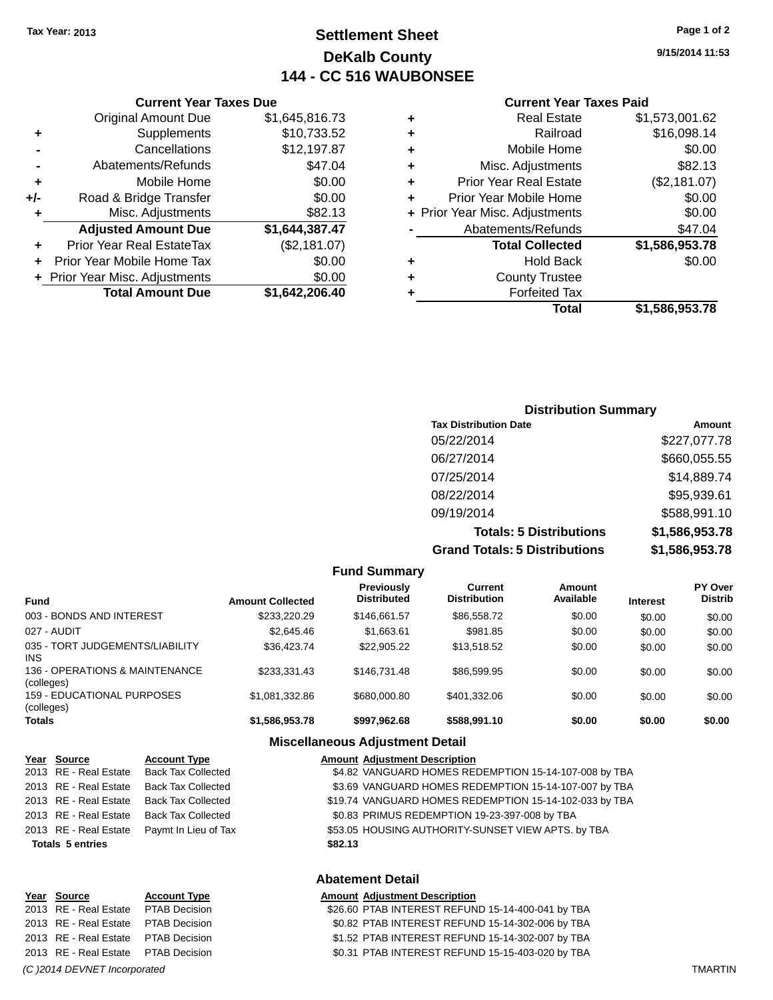## **Settlement Sheet Tax Year: 2013 Page 1 of 2 DeKalb County 144 - CC 516 WAUBONSEE**

**9/15/2014 11:53**

#### **Current Year Taxes Paid**

| ٠ | Real Estate                    | \$1,573,001.62 |
|---|--------------------------------|----------------|
| ٠ | Railroad                       | \$16,098.14    |
| ٠ | Mobile Home                    | \$0.00         |
| ٠ | Misc. Adjustments              | \$82.13        |
| ٠ | <b>Prior Year Real Estate</b>  | (\$2,181.07)   |
| ٠ | Prior Year Mobile Home         | \$0.00         |
|   | + Prior Year Misc. Adjustments | \$0.00         |
|   | Abatements/Refunds             | \$47.04        |
|   | <b>Total Collected</b>         | \$1,586,953.78 |
| ٠ | <b>Hold Back</b>               | \$0.00         |
| ٠ | <b>County Trustee</b>          |                |
| ٠ | <b>Forfeited Tax</b>           |                |
|   | Total                          | \$1.586.953.78 |

|     | <b>Current Year Taxes Due</b>  |                |
|-----|--------------------------------|----------------|
|     | <b>Original Amount Due</b>     | \$1,645,816.73 |
| ٠   | Supplements                    | \$10,733.52    |
|     | Cancellations                  | \$12,197.87    |
|     | Abatements/Refunds             | \$47.04        |
| ٠   | Mobile Home                    | \$0.00         |
| +/- | Road & Bridge Transfer         | \$0.00         |
|     | Misc. Adjustments              | \$82.13        |
|     | <b>Adjusted Amount Due</b>     | \$1,644,387.47 |
|     | Prior Year Real EstateTax      | (\$2,181.07)   |
| ٠   | Prior Year Mobile Home Tax     | \$0.00         |
|     | + Prior Year Misc. Adjustments | \$0.00         |
|     | <b>Total Amount Due</b>        | \$1,642,206.40 |
|     |                                |                |

| <b>Distribution Summary</b>          |                |
|--------------------------------------|----------------|
| <b>Tax Distribution Date</b>         | Amount         |
| 05/22/2014                           | \$227,077.78   |
| 06/27/2014                           | \$660,055.55   |
| 07/25/2014                           | \$14,889.74    |
| 08/22/2014                           | \$95,939.61    |
| 09/19/2014                           | \$588,991.10   |
| <b>Totals: 5 Distributions</b>       | \$1,586,953.78 |
| <b>Grand Totals: 5 Distributions</b> | \$1,586,953.78 |

|                                                 |                         | <b>Fund Summary</b>                     |                                |                     |                 |                                  |
|-------------------------------------------------|-------------------------|-----------------------------------------|--------------------------------|---------------------|-----------------|----------------------------------|
| <b>Fund</b>                                     | <b>Amount Collected</b> | <b>Previously</b><br><b>Distributed</b> | Current<br><b>Distribution</b> | Amount<br>Available | <b>Interest</b> | <b>PY Over</b><br><b>Distrib</b> |
| 003 - BONDS AND INTEREST                        | \$233.220.29            | \$146.661.57                            | \$86,558,72                    | \$0.00              | \$0.00          | \$0.00                           |
| 027 - AUDIT                                     | \$2,645.46              | \$1,663.61                              | \$981.85                       | \$0.00              | \$0.00          | \$0.00                           |
| 035 - TORT JUDGEMENTS/LIABILITY<br>INS.         | \$36,423.74             | \$22,905.22                             | \$13.518.52                    | \$0.00              | \$0.00          | \$0.00                           |
| 136 - OPERATIONS & MAINTENANCE<br>(colleges)    | \$233.331.43            | \$146.731.48                            | \$86,599.95                    | \$0.00              | \$0.00          | \$0.00                           |
| <b>159 - EDUCATIONAL PURPOSES</b><br>(colleges) | \$1.081.332.86          | \$680,000.80                            | \$401.332.06                   | \$0.00              | \$0.00          | \$0.00                           |
| Totals                                          | \$1,586,953.78          | \$997,962.68                            | \$588,991.10                   | \$0.00              | \$0.00          | \$0.00                           |

#### **Miscellaneous Adjustment Detail**

| Year Source                                                                                                                                                                                                                                                                                                                                                                    | <b>Account Type</b>       | <b>Amount Adjustment Description</b>                     |
|--------------------------------------------------------------------------------------------------------------------------------------------------------------------------------------------------------------------------------------------------------------------------------------------------------------------------------------------------------------------------------|---------------------------|----------------------------------------------------------|
| 2013 RE - Real Estate                                                                                                                                                                                                                                                                                                                                                          | <b>Back Tax Collected</b> | \$4.82 VANGUARD HOMES REDEMPTION 15-14-107-008 by TBA    |
| 2013 RE - Real Estate                                                                                                                                                                                                                                                                                                                                                          | <b>Back Tax Collected</b> | \$3.69 VANGUARD HOMES REDEMPTION 15-14-107-007 by TBA    |
| 2013 RE - Real Estate                                                                                                                                                                                                                                                                                                                                                          | <b>Back Tax Collected</b> | \$19.74 VANGUARD HOMES REDEMPTION 15-14-102-033 by TBA   |
| 2013 RE - Real Estate                                                                                                                                                                                                                                                                                                                                                          | <b>Back Tax Collected</b> | \$0.83 PRIMUS REDEMPTION 19-23-397-008 by TBA            |
| 2013 RE - Real Estate                                                                                                                                                                                                                                                                                                                                                          | Paymt In Lieu of Tax      | \$53.05 HOUSING AUTHORITY-SUNSET VIEW APTS. by TBA       |
| <b>Totals 5 entries</b>                                                                                                                                                                                                                                                                                                                                                        |                           | \$82.13                                                  |
|                                                                                                                                                                                                                                                                                                                                                                                |                           | <b>Abatement Detail</b>                                  |
| Year Source                                                                                                                                                                                                                                                                                                                                                                    | <b>Account Type</b>       | <b>Amount Adjustment Description</b>                     |
| $0.042$ $\overline{D}$ $\overline{D}$ $\overline{D}$ $\overline{D}$ $\overline{D}$ $\overline{D}$ $\overline{D}$ $\overline{D}$ $\overline{D}$ $\overline{D}$ $\overline{D}$ $\overline{D}$ $\overline{D}$ $\overline{D}$ $\overline{D}$ $\overline{D}$ $\overline{D}$ $\overline{D}$ $\overline{D}$ $\overline{D}$ $\overline{D}$ $\overline{D}$ $\overline{D}$ $\overline{D$ |                           | <b>COCCO DTAD INTEDECT DEFINID 45.44.400.044 L., TDA</b> |

2013 RE - Real Estate PTAB Decision \$26.60 PTAB INTEREST REFUND 15-14-400-041 by TBA 2013 RE - Real Estate PTAB Decision \$0.82 PTAB INTEREST REFUND 15-14-302-006 by TBA 2013 RE - Real Estate PTAB Decision \$1.52 PTAB INTEREST REFUND 15-14-302-007 by TBA 2013 RE - Real Estate PTAB Decision \$0.31 PTAB INTEREST REFUND 15-15-403-020 by TBA *(C )2014 DEVNET Incorporated* TMARTIN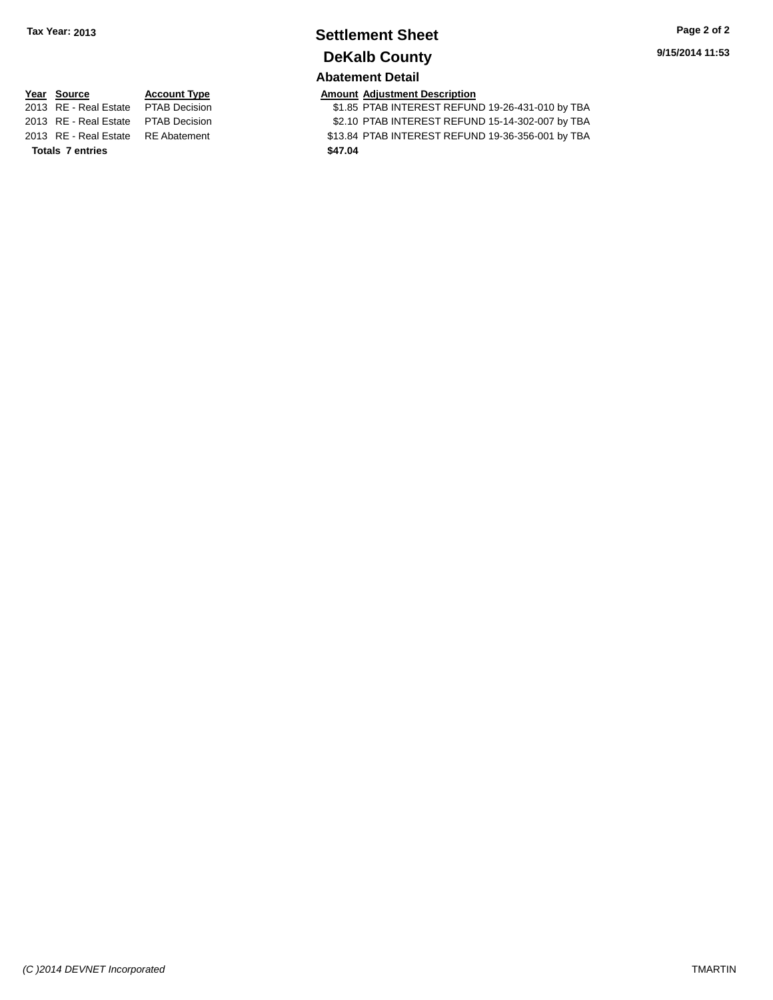# **Settlement Sheet Tax Year: 2013 Page 2 of 2 DeKalb County**

**Abatement Detail**

\$1.85 PTAB INTEREST REFUND 19-26-431-010 by TBA 2013 RE - Real Estate PTAB Decision \$2.10 PTAB INTEREST REFUND 15-14-302-007 by TBA 2013 RE - Real Estate RE Abatement \$13.84 PTAB INTEREST REFUND 19-36-356-001 by TBA

**Year Source Account Type Amount Adjustment Description**<br>2013 RE - Real Estate PTAB Decision \$1.85 PTAB INTEREST REFUN **Totals 7 entries \$47.04**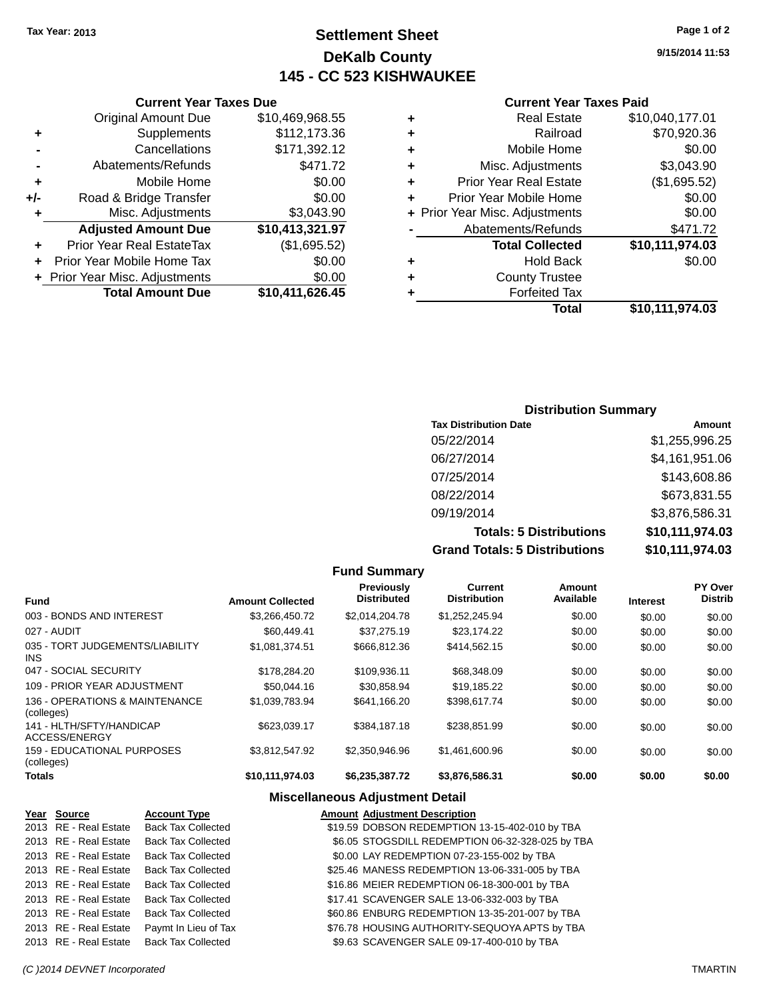## **Settlement Sheet Tax Year: 2013 Page 1 of 2 DeKalb County 145 - CC 523 KISHWAUKEE**

**9/15/2014 11:53**

#### **Current Year Taxes Paid**

| ٠                  | <b>Real Estate</b>             | \$10,040,177.01 |
|--------------------|--------------------------------|-----------------|
| ٠                  | Railroad                       | \$70,920.36     |
| ٠                  | Mobile Home                    | \$0.00          |
| ٠                  | Misc. Adjustments              | \$3,043.90      |
| ٠                  | <b>Prior Year Real Estate</b>  | (\$1,695.52)    |
| ٠                  | Prior Year Mobile Home         | \$0.00          |
|                    | + Prior Year Misc. Adjustments | \$0.00          |
| Abatements/Refunds |                                | \$471.72        |
|                    | <b>Total Collected</b>         | \$10,111,974.03 |
| ٠                  | <b>Hold Back</b>               | \$0.00          |
| ٠                  | <b>County Trustee</b>          |                 |
|                    | <b>Forfeited Tax</b>           |                 |
|                    | Total                          | \$10,111,974.03 |

|     | <b>Current Year Taxes Due</b>    |                 |  |  |
|-----|----------------------------------|-----------------|--|--|
|     | <b>Original Amount Due</b>       | \$10,469,968.55 |  |  |
| ٠   | Supplements                      | \$112,173.36    |  |  |
|     | Cancellations                    | \$171,392.12    |  |  |
|     | Abatements/Refunds               | \$471.72        |  |  |
| ٠   | Mobile Home                      | \$0.00          |  |  |
| +/- | Road & Bridge Transfer           | \$0.00          |  |  |
| ٠   | Misc. Adjustments                | \$3,043.90      |  |  |
|     | <b>Adjusted Amount Due</b>       | \$10,413,321.97 |  |  |
| ٠   | <b>Prior Year Real EstateTax</b> | (\$1,695.52)    |  |  |
|     | Prior Year Mobile Home Tax       | \$0.00          |  |  |
|     | + Prior Year Misc. Adjustments   | \$0.00          |  |  |
|     | <b>Total Amount Due</b>          | \$10,411,626.45 |  |  |

#### **Distribution Summary**

| <b>Tax Distribution Date</b>         | Amount          |
|--------------------------------------|-----------------|
| 05/22/2014                           | \$1,255,996.25  |
| 06/27/2014                           | \$4,161,951.06  |
| 07/25/2014                           | \$143,608.86    |
| 08/22/2014                           | \$673,831.55    |
| 09/19/2014                           | \$3,876,586.31  |
| <b>Totals: 5 Distributions</b>       | \$10,111,974.03 |
| <b>Grand Totals: 5 Distributions</b> | \$10,111,974.03 |

|                                              |                         | <b>Fund Summary</b>                     |                                |                     |                 |                           |
|----------------------------------------------|-------------------------|-----------------------------------------|--------------------------------|---------------------|-----------------|---------------------------|
| <b>Fund</b>                                  | <b>Amount Collected</b> | <b>Previously</b><br><b>Distributed</b> | Current<br><b>Distribution</b> | Amount<br>Available | <b>Interest</b> | PY Over<br><b>Distrib</b> |
| 003 - BONDS AND INTEREST                     | \$3,266,450.72          | \$2,014,204.78                          | \$1,252,245.94                 | \$0.00              | \$0.00          | \$0.00                    |
| 027 - AUDIT                                  | \$60.449.41             | \$37.275.19                             | \$23.174.22                    | \$0.00              | \$0.00          | \$0.00                    |
| 035 - TORT JUDGEMENTS/LIABILITY<br>INS.      | \$1,081,374.51          | \$666,812,36                            | \$414,562.15                   | \$0.00              | \$0.00          | \$0.00                    |
| 047 - SOCIAL SECURITY                        | \$178,284.20            | \$109,936.11                            | \$68,348.09                    | \$0.00              | \$0.00          | \$0.00                    |
| 109 - PRIOR YEAR ADJUSTMENT                  | \$50,044.16             | \$30,858.94                             | \$19,185.22                    | \$0.00              | \$0.00          | \$0.00                    |
| 136 - OPERATIONS & MAINTENANCE<br>(colleges) | \$1.039.783.94          | \$641.166.20                            | \$398.617.74                   | \$0.00              | \$0.00          | \$0.00                    |
| 141 - HI TH/SFTY/HANDICAP<br>ACCESS/ENERGY   | \$623.039.17            | \$384.187.18                            | \$238.851.99                   | \$0.00              | \$0.00          | \$0.00                    |
| 159 - EDUCATIONAL PURPOSES<br>(colleges)     | \$3.812.547.92          | \$2,350,946.96                          | \$1,461,600.96                 | \$0.00              | \$0.00          | \$0.00                    |
| <b>Totals</b>                                | \$10,111,974.03         | \$6,235,387.72                          | \$3,876,586.31                 | \$0.00              | \$0.00          | \$0.00                    |

## **Miscellaneous Adjustment Detail**

| Year Source           | <b>Account Type</b>       | <b>Amount Adjustment Description</b>             |
|-----------------------|---------------------------|--------------------------------------------------|
| 2013 RE - Real Estate | <b>Back Tax Collected</b> | \$19.59 DOBSON REDEMPTION 13-15-402-010 by TBA   |
| 2013 RE - Real Estate | <b>Back Tax Collected</b> | \$6.05 STOGSDILL REDEMPTION 06-32-328-025 by TBA |
| 2013 RE - Real Estate | <b>Back Tax Collected</b> | \$0.00 LAY REDEMPTION 07-23-155-002 by TBA       |
| 2013 RE - Real Estate | <b>Back Tax Collected</b> | \$25.46 MANESS REDEMPTION 13-06-331-005 by TBA   |
| 2013 RE - Real Estate | <b>Back Tax Collected</b> | \$16.86 MEIER REDEMPTION 06-18-300-001 by TBA    |
| 2013 RE - Real Estate | <b>Back Tax Collected</b> | \$17.41 SCAVENGER SALE 13-06-332-003 by TBA      |
| 2013 RE - Real Estate | <b>Back Tax Collected</b> | \$60.86 ENBURG REDEMPTION 13-35-201-007 by TBA   |
| 2013 RE - Real Estate | Paymt In Lieu of Tax      | \$76.78 HOUSING AUTHORITY-SEQUOYA APTS by TBA    |
| 2013 RE - Real Estate | <b>Back Tax Collected</b> | \$9.63 SCAVENGER SALE 09-17-400-010 by TBA       |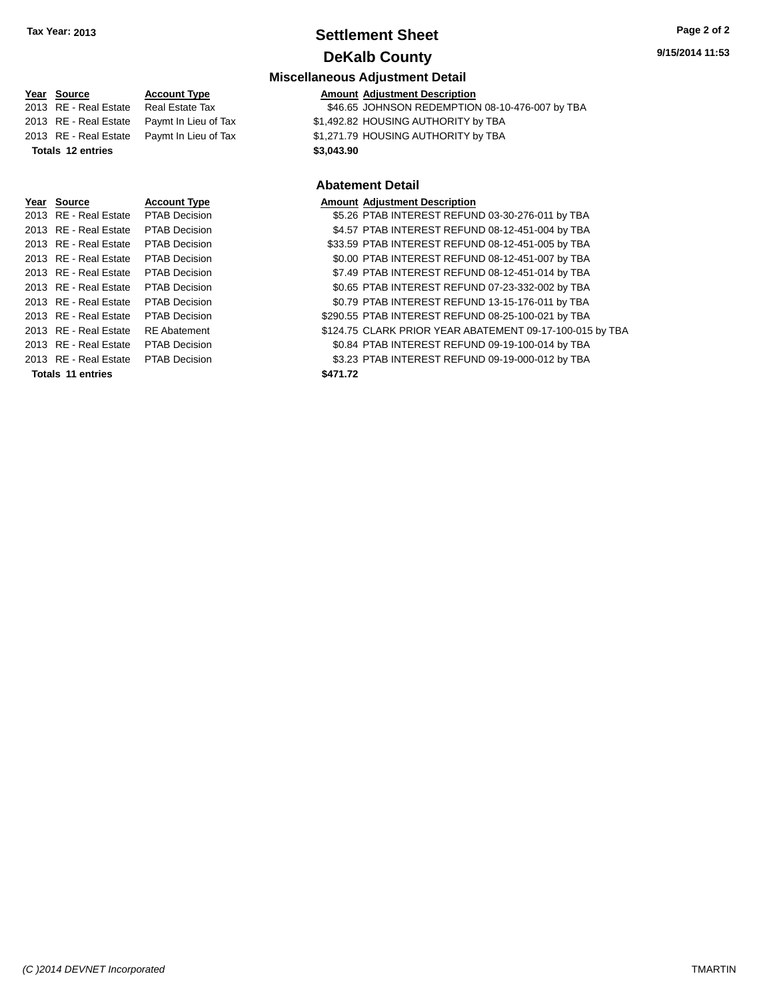## **Settlement Sheet Tax Year: 2013 Page 2 of 2 DeKalb County**

#### **9/15/2014 11:53**

## **Miscellaneous Adjustment Detail**

|  | Year Source              | <b>Account Type</b>    | <b>Amount Adjustment Description</b>               |
|--|--------------------------|------------------------|----------------------------------------------------|
|  | 2013 RE - Real Estate    | <b>Real Estate Tax</b> | \$46.65 JOHNSON REDEMPTION 08-10-476-007 by TBA    |
|  | 2013 RE - Real Estate    | Paymt In Lieu of Tax   | \$1,492.82 HOUSING AUTHORITY by TBA                |
|  | 2013 RE - Real Estate    | Paymt In Lieu of Tax   | \$1,271.79 HOUSING AUTHORITY by TBA                |
|  | <b>Totals 12 entries</b> |                        | \$3,043.90                                         |
|  |                          |                        |                                                    |
|  |                          |                        | <b>Abatement Detail</b>                            |
|  | Year Source              | <b>Account Type</b>    | <b>Amount Adjustment Description</b>               |
|  | 2013 RE - Real Estate    | <b>PTAB Decision</b>   | \$5.26 PTAB INTEREST REFUND 03-30-276-011 by TBA   |
|  | 2013 RE - Real Estate    | <b>PTAB Decision</b>   | \$4.57 PTAB INTEREST REFUND 08-12-451-004 by TBA   |
|  | 2013 RE - Real Estate    | <b>PTAB Decision</b>   | \$33.59 PTAB INTEREST REFUND 08-12-451-005 by TBA  |
|  | 2013 RE - Real Estate    | <b>PTAB Decision</b>   | \$0.00 PTAB INTEREST REFUND 08-12-451-007 by TBA   |
|  | 2013 RE - Real Estate    | <b>PTAB Decision</b>   | \$7.49 PTAB INTEREST REFUND 08-12-451-014 by TBA   |
|  | 2013 RE - Real Estate    | <b>PTAB Decision</b>   | \$0.65 PTAB INTEREST REFUND 07-23-332-002 by TBA   |
|  | 2013 RE - Real Estate    | <b>PTAB Decision</b>   | \$0.79 PTAB INTEREST REFUND 13-15-176-011 by TBA   |
|  | 2013 RE - Real Estate    | <b>PTAB Decision</b>   | \$290.55 PTAB INTEREST REFUND 08-25-100-021 by TBA |
|  | 2013 RE - Real Estate    | <b>RE</b> Abatement    | \$124.75 CLARK PRIOR YEAR ABATEMENT 09-17-100-015  |
|  | 2013 RE - Real Estate    | <b>PTAB Decision</b>   | \$0.84 PTAB INTEREST REFUND 09-19-100-014 by TBA   |

- 2-451-007 by TBA 2-451-014 by TBA 3-332-002 by TBA 5-176-011 by TBA 5-100-021 by TBA NT 09-17-100-015 by TBA
- 2013 RE Real Estate PTAB Decision \$3.23 PTAB INTEREST REFUND 09-19-000-012 by TBA **Totals 11 entries \$471.72**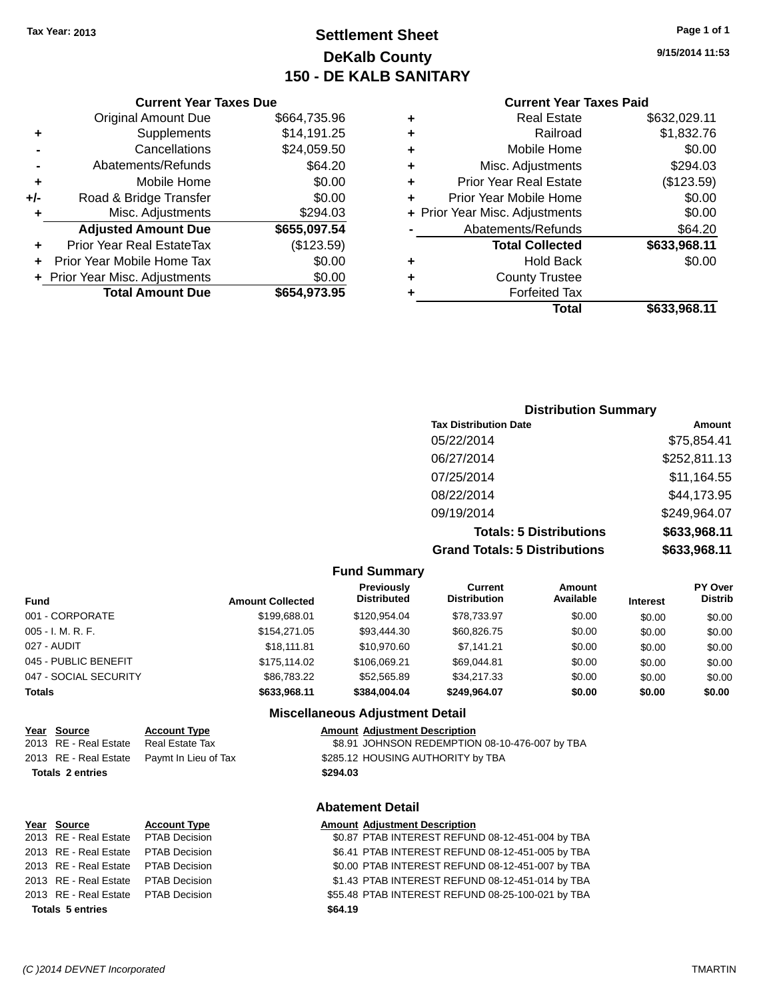## **Settlement Sheet Tax Year: 2013 Page 1 of 1 DeKalb County 150 - DE KALB SANITARY**

**9/15/2014 11:53**

| <b>Current Year Taxes Paid</b> |  |  |  |
|--------------------------------|--|--|--|
|--------------------------------|--|--|--|

| <b>Real Estate</b>             | \$632,029.11 |
|--------------------------------|--------------|
| Railroad                       | \$1,832.76   |
| Mobile Home                    | \$0.00       |
| Misc. Adjustments              | \$294.03     |
| <b>Prior Year Real Estate</b>  | (\$123.59)   |
| Prior Year Mobile Home         | \$0.00       |
| + Prior Year Misc. Adjustments | \$0.00       |
| Abatements/Refunds             | \$64.20      |
| <b>Total Collected</b>         | \$633,968.11 |
| <b>Hold Back</b>               | \$0.00       |
| <b>County Trustee</b>          |              |
| <b>Forfeited Tax</b>           |              |
| Total                          | \$633,968.11 |
|                                |              |

#### **Current Year Taxes Due** Original Amount Due \$664,735.96 **+** Supplements \$14,191.25 **-** Cancellations \$24,059.50 **-** Abatements/Refunds **\$64.20 +** Mobile Home \$0.00 **+/-** Road & Bridge Transfer \$0.00 **+** Misc. Adjustments \$294.03 **Adjusted Amount Due \$655,097.54 +** Prior Year Real EstateTax (\$123.59) **+** Prior Year Mobile Home Tax \$0.00 **+ Prior Year Misc. Adjustments**  $$0.00$ **Total Amount Due \$654,973.95**

| <b>Distribution Summary</b>          |              |
|--------------------------------------|--------------|
| <b>Tax Distribution Date</b>         | Amount       |
| 05/22/2014                           | \$75,854.41  |
| 06/27/2014                           | \$252,811.13 |
| 07/25/2014                           | \$11,164.55  |
| 08/22/2014                           | \$44,173.95  |
| 09/19/2014                           | \$249,964.07 |
| <b>Totals: 5 Distributions</b>       | \$633,968.11 |
| <b>Grand Totals: 5 Distributions</b> | \$633,968.11 |

**Fund Summary Fund Interest Amount Collected Distributed PY Over Distrib Amount Available Current Distribution Previously** 001 - CORPORATE \$199,688.01 \$120,954.04 \$78,733.97 \$0.00 \$0.00 \$0.00 005 - I. M. R. F. \$154,271.05 \$93,444.30 \$60,826.75 \$0.00 \$0.00 \$0.00 027 - AUDIT \$18,111.81 \$10,970.60 \$7,141.21 \$0.00 \$0.00 \$0.00 045 - PUBLIC BENEFIT \$175,114.02 \$106,069.21 \$69,044.81 \$0.00 \$0.00 \$0.00 047 - SOCIAL SECURITY \$86,783.22 \$52,565.89 \$34,217.33 \$0.00 \$0.00 \$0.00 **Totals \$633,968.11 \$384,004.04 \$249,964.07 \$0.00 \$0.00 \$0.00 Miscellaneous Adjustment Detail Year** Source **Account Type Account Adjustment Description** 

| <b>Account Type</b>           |  |
|-------------------------------|--|
| . <del>.</del> <del>. .</del> |  |

2013 RE - Real Estate Real Estate Tax \$8.91 JOHNSON REDEMPTION 08-10-476-007 by TBA 2013 RE - Real Estate Paymt In Lieu of Tax \$285.12 HOUSING AUTHORITY by TBA

#### **Totals 2 entries \$294.03**

# **Year Source Account Type Amount Adjustment Description Totals 5 entries \$64.19**

## **Abatement Detail**

#### 2013 RE - Real Estate PTAB Decision \$0.87 PTAB INTEREST REFUND 08-12-451-004 by TBA 2013 RE - Real Estate PTAB Decision \$6.41 PTAB INTEREST REFUND 08-12-451-005 by TBA 2013 RE - Real Estate PTAB Decision \$0.00 PTAB INTEREST REFUND 08-12-451-007 by TBA 2013 RE - Real Estate PTAB Decision \$1.43 PTAB INTEREST REFUND 08-12-451-014 by TBA 2013 RE - Real Estate PTAB Decision \$55.48 PTAB INTEREST REFUND 08-25-100-021 by TBA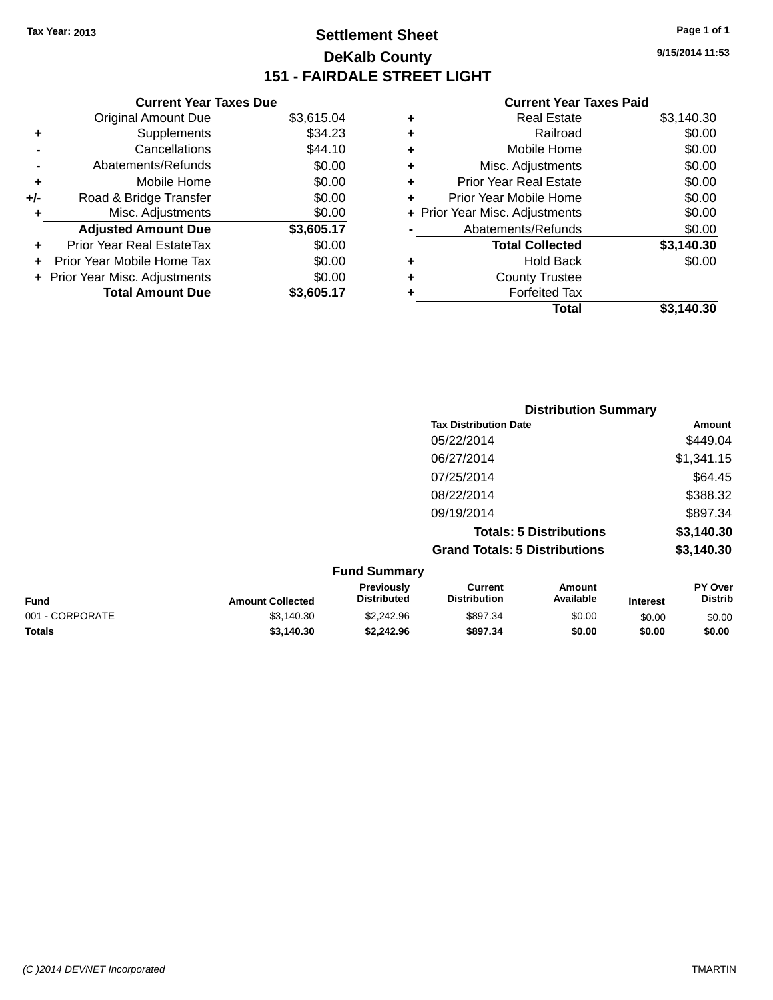## **Settlement Sheet Tax Year: 2013 Page 1 of 1 DeKalb County 151 - FAIRDALE STREET LIGHT**

**9/15/2014 11:53**

#### **Current Year Taxes Paid**

|     | <b>Current Year Taxes Due</b>  |            |
|-----|--------------------------------|------------|
|     | <b>Original Amount Due</b>     | \$3,615.04 |
| ٠   | Supplements                    | \$34.23    |
|     | Cancellations                  | \$44.10    |
|     | Abatements/Refunds             | \$0.00     |
| ٠   | Mobile Home                    | \$0.00     |
| +/- | Road & Bridge Transfer         | \$0.00     |
| ٠   | Misc. Adjustments              | \$0.00     |
|     | <b>Adjusted Amount Due</b>     | \$3,605.17 |
| ٠   | Prior Year Real EstateTax      | \$0.00     |
|     | Prior Year Mobile Home Tax     | \$0.00     |
|     | + Prior Year Misc. Adjustments | \$0.00     |
|     | <b>Total Amount Due</b>        | \$3,605.17 |

| ٠ | <b>Real Estate</b>             | \$3,140.30 |
|---|--------------------------------|------------|
| ٠ | Railroad                       | \$0.00     |
| ٠ | Mobile Home                    | \$0.00     |
| ٠ | Misc. Adjustments              | \$0.00     |
| ٠ | <b>Prior Year Real Estate</b>  | \$0.00     |
| ÷ | Prior Year Mobile Home         | \$0.00     |
|   | + Prior Year Misc. Adjustments | \$0.00     |
|   | Abatements/Refunds             | \$0.00     |
|   | <b>Total Collected</b>         | \$3,140.30 |
| ٠ | Hold Back                      | \$0.00     |
| ٠ | <b>County Trustee</b>          |            |
| ٠ | <b>Forfeited Tax</b>           |            |
|   | Total                          | \$3,140.30 |
|   |                                |            |

|                     | <b>Distribution Summary</b>          |                                |                |  |
|---------------------|--------------------------------------|--------------------------------|----------------|--|
|                     | <b>Tax Distribution Date</b>         |                                | Amount         |  |
|                     | 05/22/2014                           |                                | \$449.04       |  |
|                     | 06/27/2014                           |                                | \$1,341.15     |  |
|                     | 07/25/2014                           |                                | \$64.45        |  |
|                     | 08/22/2014                           |                                | \$388.32       |  |
|                     | 09/19/2014                           |                                | \$897.34       |  |
|                     |                                      | <b>Totals: 5 Distributions</b> | \$3,140.30     |  |
|                     | <b>Grand Totals: 5 Distributions</b> |                                | \$3,140.30     |  |
| <b>Fund Summary</b> |                                      |                                |                |  |
| Previously          | Current                              | Amount                         | <b>PY Over</b> |  |

| <b>Fund</b>     | <b>Amount Collected</b> | Previously<br><b>Distributed</b> | Current<br><b>Distribution</b> | Amount<br>Available | <b>Interest</b> | <b>PY Over</b><br><b>Distrib</b> |
|-----------------|-------------------------|----------------------------------|--------------------------------|---------------------|-----------------|----------------------------------|
| 001 - CORPORATE | \$3,140.30              | \$2,242.96                       | \$897.34                       | \$0.00              | \$0.00          | \$0.00                           |
| <b>Totals</b>   | \$3,140.30              | \$2.242.96                       | \$897.34                       | \$0.00              | \$0.00          | \$0.00                           |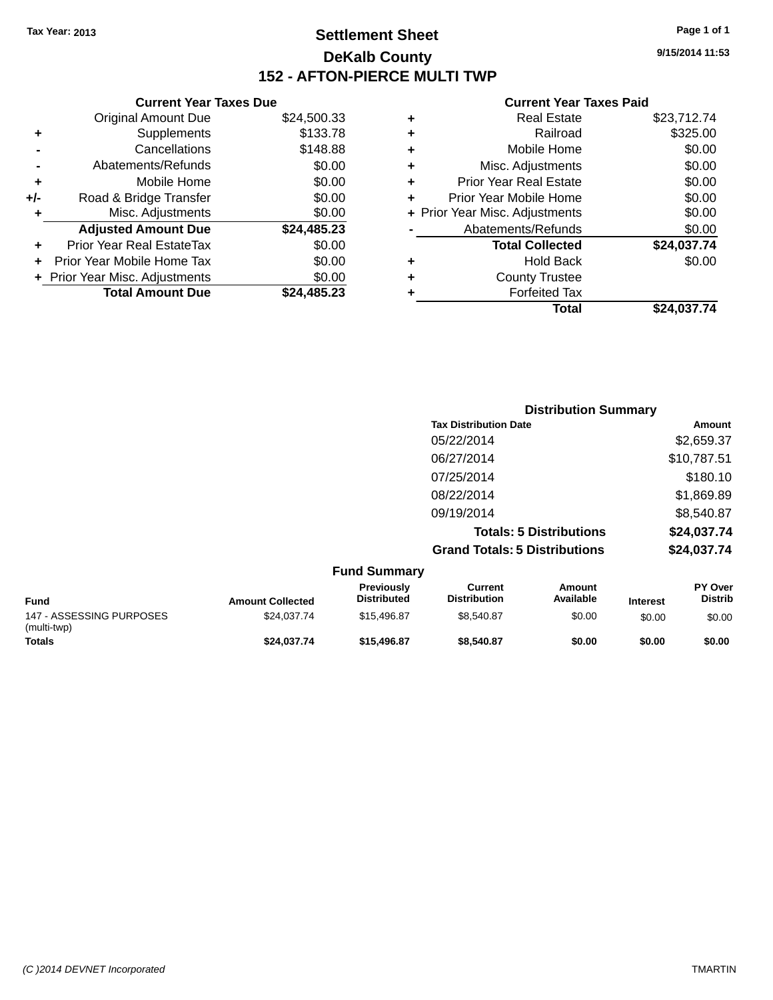## **Settlement Sheet Tax Year: 2013 Page 1 of 1 DeKalb County 152 - AFTON-PIERCE MULTI TWP**

**9/15/2014 11:53**

#### **Current Year Taxes Paid**

|     | <b>Current Year Taxes Due</b>  |             |    |
|-----|--------------------------------|-------------|----|
|     | <b>Original Amount Due</b>     | \$24,500.33 | ÷  |
|     | Supplements                    | \$133.78    |    |
|     | Cancellations                  | \$148.88    | ٠  |
|     | Abatements/Refunds             | \$0.00      | ٠  |
|     | Mobile Home                    | \$0.00      |    |
| +/- | Road & Bridge Transfer         | \$0.00      | ٠  |
|     | Misc. Adjustments              | \$0.00      | Pr |
|     | <b>Adjusted Amount Due</b>     | \$24,485.23 |    |
|     | Prior Year Real EstateTax      | \$0.00      |    |
|     | Prior Year Mobile Home Tax     | \$0.00      |    |
|     | + Prior Year Misc. Adjustments | \$0.00      |    |
|     | <b>Total Amount Due</b>        | \$24,485.23 |    |
|     |                                |             |    |

| ٠ | <b>Real Estate</b>             | \$23,712.74 |
|---|--------------------------------|-------------|
| ٠ | Railroad                       | \$325.00    |
| ٠ | Mobile Home                    | \$0.00      |
| ٠ | Misc. Adjustments              | \$0.00      |
| ٠ | <b>Prior Year Real Estate</b>  | \$0.00      |
| ٠ | Prior Year Mobile Home         | \$0.00      |
|   | + Prior Year Misc. Adjustments | \$0.00      |
|   | Abatements/Refunds             | \$0.00      |
|   | <b>Total Collected</b>         | \$24,037.74 |
| ٠ | <b>Hold Back</b>               | \$0.00      |
| ٠ | <b>County Trustee</b>          |             |
| ٠ | <b>Forfeited Tax</b>           |             |
|   | Total                          | \$24,037.74 |
|   |                                |             |

|        | <b>Distribution Summary</b>          |             |
|--------|--------------------------------------|-------------|
|        | <b>Tax Distribution Date</b>         | Amount      |
|        | 05/22/2014                           | \$2,659.37  |
|        | 06/27/2014                           | \$10,787.51 |
|        | 07/25/2014                           | \$180.10    |
|        | 08/22/2014                           | \$1,869.89  |
|        | 09/19/2014                           | \$8,540.87  |
|        | <b>Totals: 5 Distributions</b>       | \$24,037.74 |
|        | <b>Grand Totals: 5 Distributions</b> | \$24,037.74 |
| — IA — |                                      |             |

|                                         |                         | <b>Fund Summary</b>                     |                                |                     |                 |                                  |
|-----------------------------------------|-------------------------|-----------------------------------------|--------------------------------|---------------------|-----------------|----------------------------------|
| <b>Fund</b>                             | <b>Amount Collected</b> | <b>Previously</b><br><b>Distributed</b> | Current<br><b>Distribution</b> | Amount<br>Available | <b>Interest</b> | <b>PY Over</b><br><b>Distrib</b> |
| 147 - ASSESSING PURPOSES<br>(multi-twp) | \$24.037.74             | \$15,496.87                             | \$8.540.87                     | \$0.00              | \$0.00          | \$0.00                           |
| <b>Totals</b>                           | \$24,037.74             | \$15,496.87                             | \$8,540.87                     | \$0.00              | \$0.00          | \$0.00                           |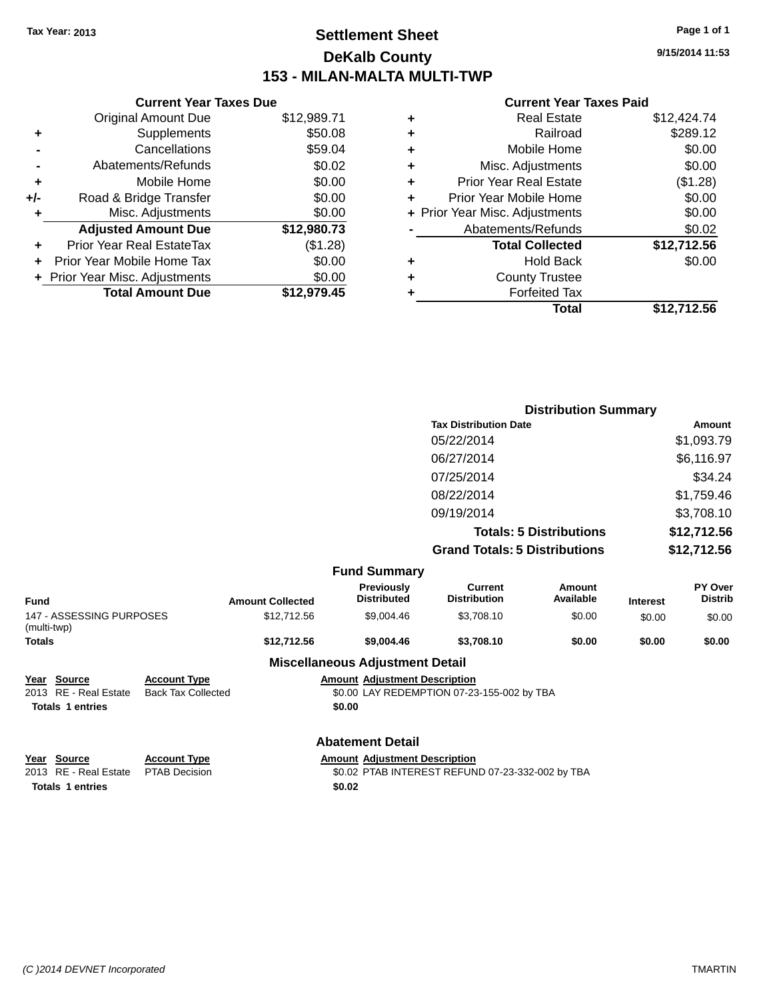## **Settlement Sheet Tax Year: 2013 Page 1 of 1 DeKalb County 153 - MILAN-MALTA MULTI-TWP**

**9/15/2014 11:53**

#### **Current Year Taxes Paid**

|       | <b>Current Year Taxes Due</b>  |             |
|-------|--------------------------------|-------------|
|       | <b>Original Amount Due</b>     | \$12,989.71 |
| ٠     | Supplements                    | \$50.08     |
|       | Cancellations                  | \$59.04     |
|       | Abatements/Refunds             | \$0.02      |
| ٠     | Mobile Home                    | \$0.00      |
| $+/-$ | Road & Bridge Transfer         | \$0.00      |
| ٠     | Misc. Adjustments              | \$0.00      |
|       | <b>Adjusted Amount Due</b>     | \$12,980.73 |
| ٠     | Prior Year Real EstateTax      | (\$1.28)    |
|       | Prior Year Mobile Home Tax     | \$0.00      |
|       | + Prior Year Misc. Adjustments | \$0.00      |
|       | <b>Total Amount Due</b>        | \$12,979.45 |
|       |                                |             |

| ٠ | <b>Real Estate</b>             | \$12,424.74 |
|---|--------------------------------|-------------|
| ٠ | Railroad                       | \$289.12    |
| ٠ | Mobile Home                    | \$0.00      |
| ٠ | Misc. Adjustments              | \$0.00      |
| ٠ | <b>Prior Year Real Estate</b>  | (\$1.28)    |
| ٠ | Prior Year Mobile Home         | \$0.00      |
|   | + Prior Year Misc. Adjustments | \$0.00      |
|   | Abatements/Refunds             | \$0.02      |
|   | <b>Total Collected</b>         | \$12,712.56 |
| ٠ | <b>Hold Back</b>               | \$0.00      |
| ٠ | <b>County Trustee</b>          |             |
| ٠ | <b>Forfeited Tax</b>           |             |
|   | Total                          | \$12,712.56 |
|   |                                |             |

|                                                                                                           |                         |                                        | <b>Distribution Summary</b>                |                                |                 |                    |
|-----------------------------------------------------------------------------------------------------------|-------------------------|----------------------------------------|--------------------------------------------|--------------------------------|-----------------|--------------------|
|                                                                                                           |                         |                                        | <b>Tax Distribution Date</b>               |                                |                 | Amount             |
|                                                                                                           |                         |                                        | 05/22/2014                                 |                                |                 | \$1,093.79         |
|                                                                                                           |                         |                                        | 06/27/2014                                 |                                |                 | \$6,116.97         |
|                                                                                                           |                         |                                        | 07/25/2014                                 |                                |                 | \$34.24            |
|                                                                                                           |                         |                                        | 08/22/2014                                 |                                |                 | \$1,759.46         |
|                                                                                                           |                         |                                        | 09/19/2014                                 |                                |                 | \$3,708.10         |
|                                                                                                           |                         |                                        |                                            | <b>Totals: 5 Distributions</b> |                 | \$12,712.56        |
|                                                                                                           |                         |                                        | <b>Grand Totals: 5 Distributions</b>       |                                |                 | \$12,712.56        |
|                                                                                                           |                         | <b>Fund Summary</b>                    |                                            |                                |                 |                    |
| <b>Fund</b>                                                                                               | <b>Amount Collected</b> | Previously<br><b>Distributed</b>       | <b>Current</b><br><b>Distribution</b>      | <b>Amount</b><br>Available     | <b>Interest</b> | PY Over<br>Distrib |
| 147 - ASSESSING PURPOSES<br>(multi-twp)                                                                   | \$12,712.56             | \$9,004.46                             | \$3,708.10                                 | \$0.00                         | \$0.00          | \$0.00             |
| <b>Totals</b>                                                                                             | \$12,712.56             | \$9,004.46                             | \$3,708.10                                 | \$0.00                         | \$0.00          | \$0.00             |
|                                                                                                           |                         | <b>Miscellaneous Adjustment Detail</b> |                                            |                                |                 |                    |
| <b>Account Type</b><br><u>Source</u><br><u>Year</u><br>2013 RE - Real Estate<br><b>Back Tax Collected</b> |                         | <b>Amount Adjustment Description</b>   | \$0.00 LAY REDEMPTION 07-23-155-002 by TBA |                                |                 |                    |

**Totals 1 entries \$0.00**

#### **Abatement Detail**

| Year Source                         | <b>Account Type</b> | <b>Amount Adiustment Description</b>             |
|-------------------------------------|---------------------|--------------------------------------------------|
| 2013 RE - Real Estate PTAB Decision |                     | \$0.02 PTAB INTEREST REFUND 07-23-332-002 by TBA |
| <b>Totals 1 entries</b>             |                     | \$0.02                                           |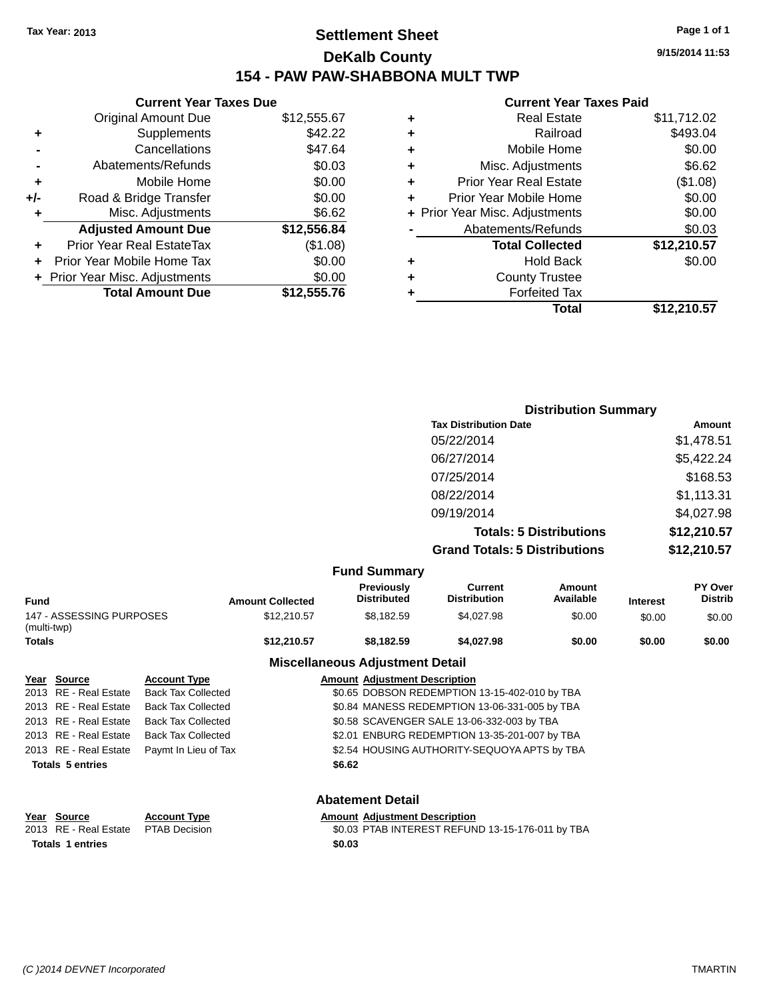## **Settlement Sheet Tax Year: 2013 Page 1 of 1 DeKalb County 154 - PAW PAW-SHABBONA MULT TWP**

**Current Year Taxes Due** Original Amount Due \$12,555.67 **+** Supplements \$42.22 **-** Cancellations \$47.64 **-** Abatements/Refunds \$0.03 **+** Mobile Home \$0.00 **+/-** Road & Bridge Transfer \$0.00 **+** Misc. Adjustments \$6.62 **Adjusted Amount Due \$12,556.84 +** Prior Year Real EstateTax (\$1.08) **+** Prior Year Mobile Home Tax \$0.00 **+ Prior Year Misc. Adjustments**  $$0.00$ **Total Amount Due \$12,555.76**

#### **Current Year Taxes Paid +** Real Estate \$11,712.02 **+** Railroad \$493.04 **+** Mobile Home \$0.00 **+** Misc. Adjustments \$6.62 **+** Prior Year Real Estate (\$1.08) **+** Prior Year Mobile Home \$0.00 **+** Prior Year Misc. Adjustments  $$0.00$ Abatements/Refunds \$0.03 **Total Collected \$12,210.57 +** Hold Back \$0.00 **+** County Trustee **+** Forfeited Tax **Total \$12,210.57**

|                     | <b>Distribution Summary</b>          |                                |                |  |
|---------------------|--------------------------------------|--------------------------------|----------------|--|
|                     | <b>Tax Distribution Date</b>         |                                | Amount         |  |
|                     | 05/22/2014                           |                                | \$1,478.51     |  |
|                     | 06/27/2014                           |                                | \$5,422.24     |  |
|                     | 07/25/2014                           |                                | \$168.53       |  |
|                     | 08/22/2014                           |                                | \$1,113.31     |  |
|                     | 09/19/2014                           |                                | \$4,027.98     |  |
|                     |                                      | <b>Totals: 5 Distributions</b> | \$12,210.57    |  |
|                     | <b>Grand Totals: 5 Distributions</b> |                                | \$12,210.57    |  |
| <b>Fund Summary</b> |                                      |                                |                |  |
| <b>Previously</b>   | <b>Current</b>                       | Amount                         | <b>PY Over</b> |  |

| Fund                                    | <b>Amount Collected</b>                | <b>Previously</b><br><b>Distributed</b> | Current<br><b>Distribution</b> | Amount<br>Available | <b>Interest</b> | PY Over<br><b>Distrib</b> |
|-----------------------------------------|----------------------------------------|-----------------------------------------|--------------------------------|---------------------|-----------------|---------------------------|
| 147 - ASSESSING PURPOSES<br>(multi-twp) | \$12,210.57                            | \$8.182.59                              | \$4.027.98                     | \$0.00              | \$0.00          | \$0.00                    |
| Totals                                  | \$12,210.57                            | \$8.182.59                              | \$4,027.98                     | \$0.00              | \$0.00          | \$0.00                    |
|                                         | <b>Miscellaneous Adjustment Detail</b> |                                         |                                |                     |                 |                           |

#### **Year Source Account Type Amount Adjustment Description** 2013 RE - Real Estate Back Tax Collected \$0.65 DOBSON REDEMPTION 13-15-402-010 by TBA 2013 RE - Real Estate Back Tax Collected \$0.84 MANESS REDEMPTION 13-06-331-005 by TBA 2013 RE - Real Estate Back Tax Collected \$0.58 SCAVENGER SALE 13-06-332-003 by TBA 2013 RE - Real Estate Back Tax Collected \$2.01 ENBURG REDEMPTION 13-35-201-007 by TBA 2013 RE - Real Estate Paymt In Lieu of Tax \$2.54 HOUSING AUTHORITY-SEQUOYA APTS by TBA

#### **Totals 5 entries \$6.62**

**Abatement Detail**

**Year Source Account Type Amount Adjustment Description** 2013 RE - Real Estate PTAB Decision \$0.03 PTAB INTEREST REFUND 13-15-176-011 by TBA **Totals 1 entries \$0.03**

**9/15/2014 11:53**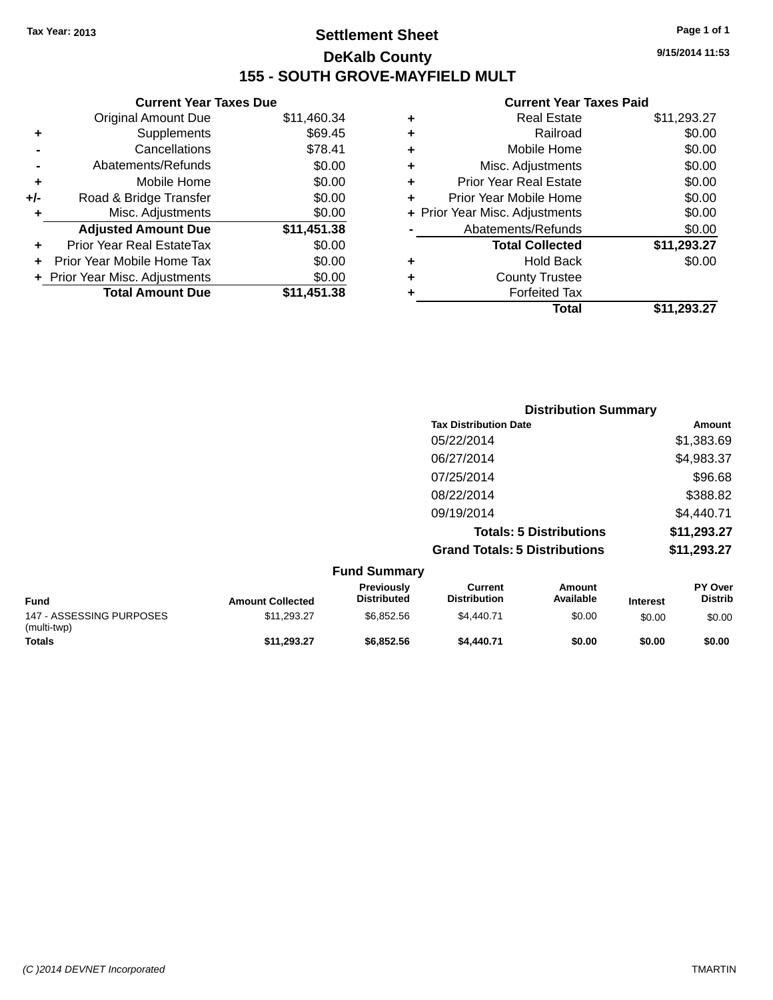## **Settlement Sheet Tax Year: 2013 Page 1 of 1 DeKalb County 155 - SOUTH GROVE-MAYFIELD MULT**

**9/15/2014 11:53**

#### **Current Year Taxes Paid**

| \$11,460.34                                                                                             |
|---------------------------------------------------------------------------------------------------------|
|                                                                                                         |
|                                                                                                         |
|                                                                                                         |
|                                                                                                         |
|                                                                                                         |
|                                                                                                         |
|                                                                                                         |
| \$11,451.38                                                                                             |
|                                                                                                         |
|                                                                                                         |
|                                                                                                         |
|                                                                                                         |
| \$69.45<br>\$78.41<br>\$0.00<br>\$0.00<br>\$0.00<br>\$0.00<br>\$0.00<br>\$0.00<br>\$0.00<br>\$11.451.38 |

| ٠ | <b>Real Estate</b>             | \$11,293.27 |
|---|--------------------------------|-------------|
| ٠ | Railroad                       | \$0.00      |
| ٠ | Mobile Home                    | \$0.00      |
| ٠ | Misc. Adjustments              | \$0.00      |
| ٠ | <b>Prior Year Real Estate</b>  | \$0.00      |
| ÷ | Prior Year Mobile Home         | \$0.00      |
|   | + Prior Year Misc. Adjustments | \$0.00      |
|   | Abatements/Refunds             | \$0.00      |
|   | <b>Total Collected</b>         | \$11,293.27 |
| ٠ | <b>Hold Back</b>               | \$0.00      |
| ٠ | <b>County Trustee</b>          |             |
| ٠ | <b>Forfeited Tax</b>           |             |
|   | Total                          | \$11,293.27 |
|   |                                |             |

| <b>Distribution Summary</b>          |             |
|--------------------------------------|-------------|
| <b>Tax Distribution Date</b>         | Amount      |
| 05/22/2014                           | \$1,383.69  |
| 06/27/2014                           | \$4,983.37  |
| 07/25/2014                           | \$96.68     |
| 08/22/2014                           | \$388.82    |
| 09/19/2014                           | \$4,440.71  |
| <b>Totals: 5 Distributions</b>       | \$11,293.27 |
| <b>Grand Totals: 5 Distributions</b> | \$11,293.27 |

|                                         |                         | <b>Fund Summary</b>                     |                                |                     |                 |                                  |
|-----------------------------------------|-------------------------|-----------------------------------------|--------------------------------|---------------------|-----------------|----------------------------------|
| <b>Fund</b>                             | <b>Amount Collected</b> | <b>Previously</b><br><b>Distributed</b> | Current<br><b>Distribution</b> | Amount<br>Available | <b>Interest</b> | <b>PY Over</b><br><b>Distrib</b> |
| 147 - ASSESSING PURPOSES<br>(multi-twp) | \$11.293.27             | \$6.852.56                              | \$4,440.71                     | \$0.00              | \$0.00          | \$0.00                           |
| <b>Totals</b>                           | \$11,293.27             | \$6,852.56                              | \$4,440.71                     | \$0.00              | \$0.00          | \$0.00                           |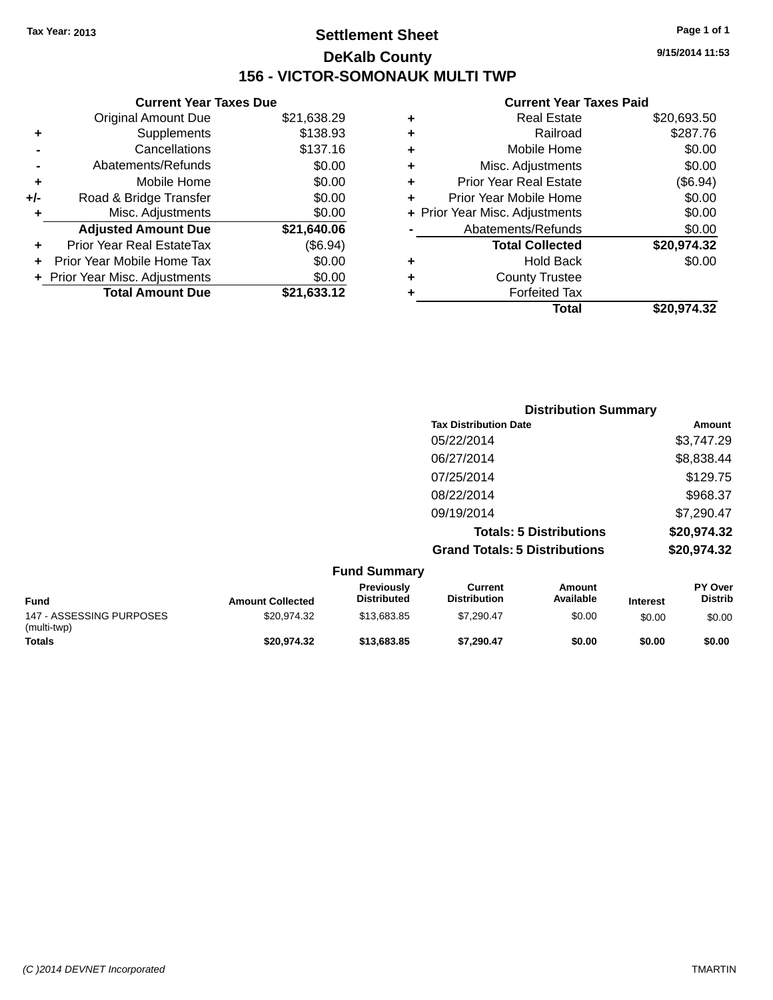## **Settlement Sheet Tax Year: 2013 Page 1 of 1 DeKalb County 156 - VICTOR-SOMONAUK MULTI TWP**

**9/15/2014 11:53**

|     | <b>Current Year Taxes Due</b> |             |  |  |  |
|-----|-------------------------------|-------------|--|--|--|
|     | <b>Original Amount Due</b>    | \$21,638.29 |  |  |  |
| ٠   | Supplements                   | \$138.93    |  |  |  |
|     | Cancellations                 | \$137.16    |  |  |  |
|     | Abatements/Refunds            | \$0.00      |  |  |  |
| ٠   | Mobile Home                   | \$0.00      |  |  |  |
| +/- | Road & Bridge Transfer        | \$0.00      |  |  |  |
| ٠   | Misc. Adjustments             | \$0.00      |  |  |  |
|     | <b>Adjusted Amount Due</b>    | \$21,640.06 |  |  |  |
| ÷   | Prior Year Real EstateTax     | (\$6.94)    |  |  |  |
|     | Prior Year Mobile Home Tax    | \$0.00      |  |  |  |
|     | Prior Year Misc. Adjustments  | \$0.00      |  |  |  |
|     | <b>Total Amount Due</b>       | \$21,633.12 |  |  |  |

| ٠ | Mobile Home                    | \$0.00      |
|---|--------------------------------|-------------|
| ٠ | Misc. Adjustments              | \$0.00      |
| ÷ | <b>Prior Year Real Estate</b>  | (\$6.94)    |
| ٠ | Prior Year Mobile Home         | \$0.00      |
|   | + Prior Year Misc. Adjustments | \$0.00      |
|   | Abatements/Refunds             | \$0.00      |
|   | <b>Total Collected</b>         | \$20,974.32 |
| ٠ | Hold Back                      | \$0.00      |
| ٠ | <b>County Trustee</b>          |             |
| ٠ | <b>Forfeited Tax</b>           |             |
|   | Total                          | \$20,974.32 |
|   |                                |             |

| <b>Distribution Summary</b>          |               |
|--------------------------------------|---------------|
| <b>Tax Distribution Date</b>         | <b>Amount</b> |
| 05/22/2014                           | \$3,747.29    |
| 06/27/2014                           | \$8,838.44    |
| 07/25/2014                           | \$129.75      |
| 08/22/2014                           | \$968.37      |
| 09/19/2014                           | \$7,290.47    |
| <b>Totals: 5 Distributions</b>       | \$20,974.32   |
| <b>Grand Totals: 5 Distributions</b> | \$20,974.32   |
|                                      |               |

|                                         |                         | <b>Fund Summary</b>              |                                |                     |                 |                                  |
|-----------------------------------------|-------------------------|----------------------------------|--------------------------------|---------------------|-----------------|----------------------------------|
| Fund                                    | <b>Amount Collected</b> | Previously<br><b>Distributed</b> | Current<br><b>Distribution</b> | Amount<br>Available | <b>Interest</b> | <b>PY Over</b><br><b>Distrib</b> |
| 147 - ASSESSING PURPOSES<br>(multi-twp) | \$20.974.32             | \$13,683,85                      | \$7.290.47                     | \$0.00              | \$0.00          | \$0.00                           |
| <b>Totals</b>                           | \$20.974.32             | \$13,683,85                      | \$7.290.47                     | \$0.00              | \$0.00          | \$0.00                           |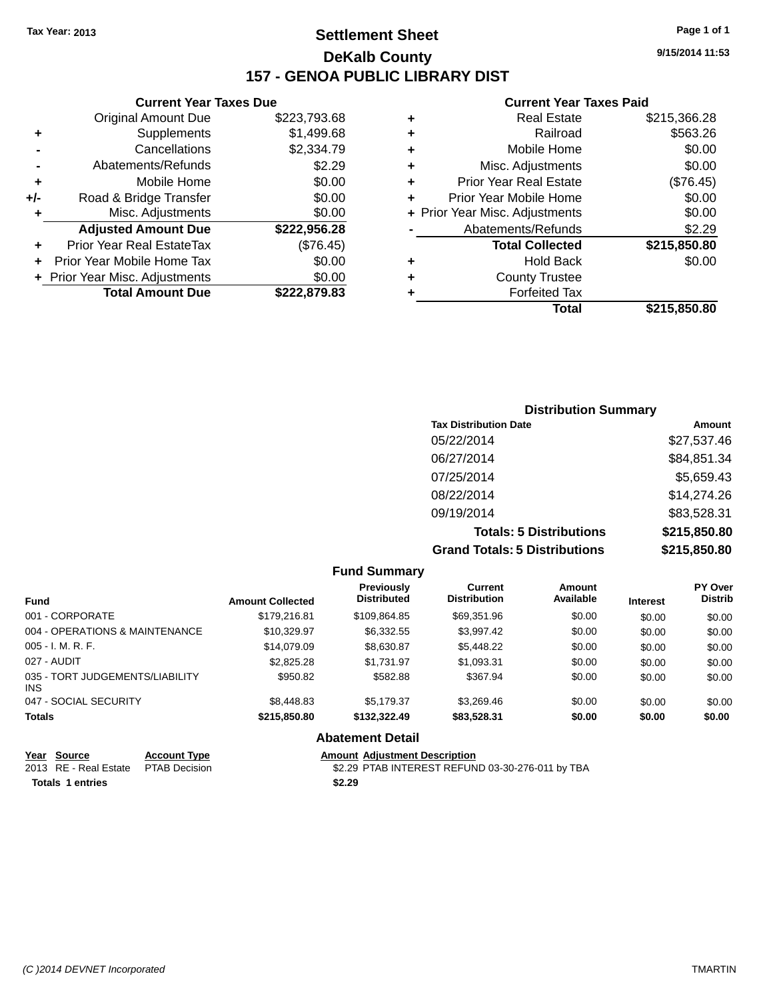## **Settlement Sheet Tax Year: 2013 Page 1 of 1 DeKalb County 157 - GENOA PUBLIC LIBRARY DIST**

**Current Year Taxes Due**

| <b>Original Amount Due</b> | \$223,793.68                   |
|----------------------------|--------------------------------|
| Supplements                | \$1,499.68                     |
| Cancellations              | \$2,334.79                     |
| Abatements/Refunds         | \$2.29                         |
| Mobile Home                | \$0.00                         |
| Road & Bridge Transfer     | \$0.00                         |
| Misc. Adjustments          | \$0.00                         |
| <b>Adjusted Amount Due</b> | \$222,956.28                   |
| Prior Year Real EstateTax  | (\$76.45)                      |
| Prior Year Mobile Home Tax | \$0.00                         |
|                            | \$0.00                         |
| <b>Total Amount Due</b>    | \$222,879.83                   |
|                            | + Prior Year Misc. Adjustments |

|   | <b>Real Estate</b>             | \$215,366.28 |
|---|--------------------------------|--------------|
| ٠ | Railroad                       | \$563.26     |
| ٠ | Mobile Home                    | \$0.00       |
| ٠ | Misc. Adjustments              | \$0.00       |
| ٠ | <b>Prior Year Real Estate</b>  | (\$76.45)    |
| ٠ | Prior Year Mobile Home         | \$0.00       |
|   | + Prior Year Misc. Adjustments | \$0.00       |
|   | Abatements/Refunds             | \$2.29       |
|   | <b>Total Collected</b>         | \$215,850.80 |
| ٠ | <b>Hold Back</b>               | \$0.00       |
| ٠ | <b>County Trustee</b>          |              |
| ٠ | <b>Forfeited Tax</b>           |              |
|   | Total                          | \$215,850.80 |
|   |                                |              |

| <b>Distribution Summary</b>          |              |
|--------------------------------------|--------------|
| <b>Tax Distribution Date</b>         | Amount       |
| 05/22/2014                           | \$27,537.46  |
| 06/27/2014                           | \$84,851.34  |
| 07/25/2014                           | \$5,659.43   |
| 08/22/2014                           | \$14,274.26  |
| 09/19/2014                           | \$83,528.31  |
| <b>Totals: 5 Distributions</b>       | \$215,850.80 |
| <b>Grand Totals: 5 Distributions</b> | \$215,850.80 |

|                                         |                         | <b>Fund Summary</b>                     |                                       |                     |                 |                                  |
|-----------------------------------------|-------------------------|-----------------------------------------|---------------------------------------|---------------------|-----------------|----------------------------------|
| <b>Fund</b>                             | <b>Amount Collected</b> | <b>Previously</b><br><b>Distributed</b> | <b>Current</b><br><b>Distribution</b> | Amount<br>Available | <b>Interest</b> | <b>PY Over</b><br><b>Distrib</b> |
| 001 - CORPORATE                         | \$179,216.81            | \$109.864.85                            | \$69.351.96                           | \$0.00              | \$0.00          | \$0.00                           |
| 004 - OPERATIONS & MAINTENANCE          | \$10.329.97             | \$6,332.55                              | \$3.997.42                            | \$0.00              | \$0.00          | \$0.00                           |
| $005 - I. M. R. F.$                     | \$14.079.09             | \$8.630.87                              | \$5,448.22                            | \$0.00              | \$0.00          | \$0.00                           |
| 027 - AUDIT                             | \$2,825,28              | \$1.731.97                              | \$1,093.31                            | \$0.00              | \$0.00          | \$0.00                           |
| 035 - TORT JUDGEMENTS/LIABILITY<br>INS. | \$950.82                | \$582.88                                | \$367.94                              | \$0.00              | \$0.00          | \$0.00                           |
| 047 - SOCIAL SECURITY                   | \$8,448.83              | \$5.179.37                              | \$3.269.46                            | \$0.00              | \$0.00          | \$0.00                           |
| <b>Totals</b>                           | \$215,850.80            | \$132,322,49                            | \$83,528.31                           | \$0.00              | \$0.00          | \$0.00                           |
|                                         |                         | <b>Abatement Detail</b>                 |                                       |                     |                 |                                  |

|                         | <u>Year Source</u>                   | <b>Account Type</b> | <b>Amount Adiustment Description</b>             |
|-------------------------|--------------------------------------|---------------------|--------------------------------------------------|
|                         | 2013 RE - Real Estate  PTAB Decision |                     | \$2.29 PTAB INTEREST REFUND 03-30-276-011 by TBA |
| <b>Totals 1 entries</b> |                                      |                     | \$2.29                                           |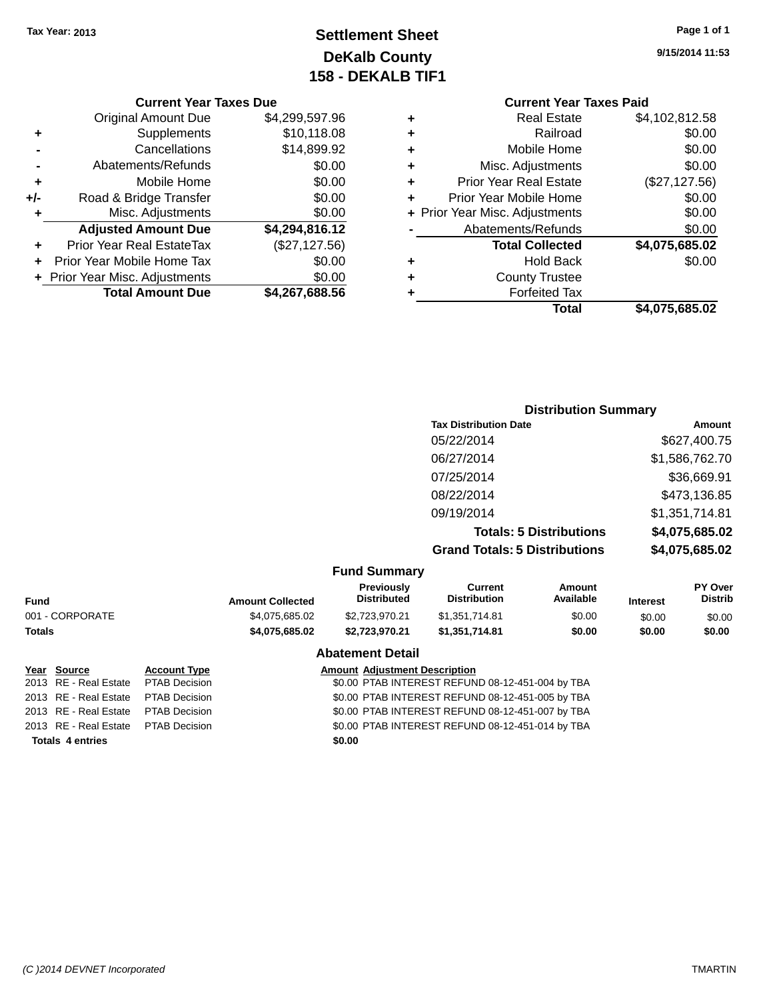## **Settlement Sheet Tax Year: 2013 Page 1 of 1 DeKalb County 158 - DEKALB TIF1**

**9/15/2014 11:53**

#### **Current Year Taxes Due**

|     | <b>Original Amount Due</b>     | \$4,299,597.96 |
|-----|--------------------------------|----------------|
| ٠   | Supplements                    | \$10,118.08    |
|     | Cancellations                  | \$14,899.92    |
|     | Abatements/Refunds             | \$0.00         |
| ٠   | Mobile Home                    | \$0.00         |
| +/- | Road & Bridge Transfer         | \$0.00         |
| ٠   | Misc. Adjustments              | \$0.00         |
|     | <b>Adjusted Amount Due</b>     | \$4,294,816.12 |
|     | Prior Year Real EstateTax      | (\$27,127.56)  |
|     | Prior Year Mobile Home Tax     | \$0.00         |
|     | + Prior Year Misc. Adjustments | \$0.00         |
|     | <b>Total Amount Due</b>        | \$4,267,688.56 |

## **Current Year Taxes Paid +** Real Estate \$4,102,812.58

|   | Total                          | \$4,075,685.02 |
|---|--------------------------------|----------------|
|   | <b>Forfeited Tax</b>           |                |
| ٠ | <b>County Trustee</b>          |                |
| ٠ | <b>Hold Back</b>               | \$0.00         |
|   | <b>Total Collected</b>         | \$4,075,685.02 |
|   | Abatements/Refunds             | \$0.00         |
|   | + Prior Year Misc. Adjustments | \$0.00         |
| ٠ | Prior Year Mobile Home         | \$0.00         |
| ٠ | <b>Prior Year Real Estate</b>  | (\$27,127.56)  |
| ٠ | Misc. Adjustments              | \$0.00         |
| ÷ | Mobile Home                    | \$0.00         |
|   | Railroad                       | \$0.00         |
|   |                                |                |

## **Distribution Summary Tax Distribution Date Amount** 05/22/2014 \$627,400.75 06/27/2014 \$1,586,762.70 07/25/2014 \$36,669.91 08/22/2014 \$473,136.85 09/19/2014 \$1,351,714.81 **Totals: 5 Distributions \$4,075,685.02 Grand Totals: 5 Distributions \$4,075,685.02**

#### **Fund Summary**

| Fund            | <b>Amount Collected</b> | <b>Previously</b><br><b>Distributed</b> | Current<br><b>Distribution</b> | Amount<br>Available | <b>Interest</b> | <b>PY Over</b><br><b>Distrib</b> |
|-----------------|-------------------------|-----------------------------------------|--------------------------------|---------------------|-----------------|----------------------------------|
| 001 - CORPORATE | \$4.075.685.02          | \$2,723,970.21                          | \$1,351,714.81                 | \$0.00              | \$0.00          | \$0.00                           |
| Totals          | \$4.075.685.02          | \$2,723,970.21                          | \$1,351,714.81                 | \$0.00              | \$0.00          | \$0.00                           |
|                 |                         | <b>Abatement Detail</b>                 |                                |                     |                 |                                  |

# **Totals 4 entries \$0.00**

#### **Year Source Account Type Amount Adjustment Description**

2013 RE - Real Estate PTAB Decision \$0.00 PTAB INTEREST REFUND 08-12-451-004 by TBA 2013 RE - Real Estate PTAB Decision \$0.00 PTAB INTEREST REFUND 08-12-451-005 by TBA 2013 RE - Real Estate PTAB Decision \$0.00 PTAB INTEREST REFUND 08-12-451-007 by TBA 2013 RE - Real Estate PTAB Decision \$0.00 PTAB INTEREST REFUND 08-12-451-014 by TBA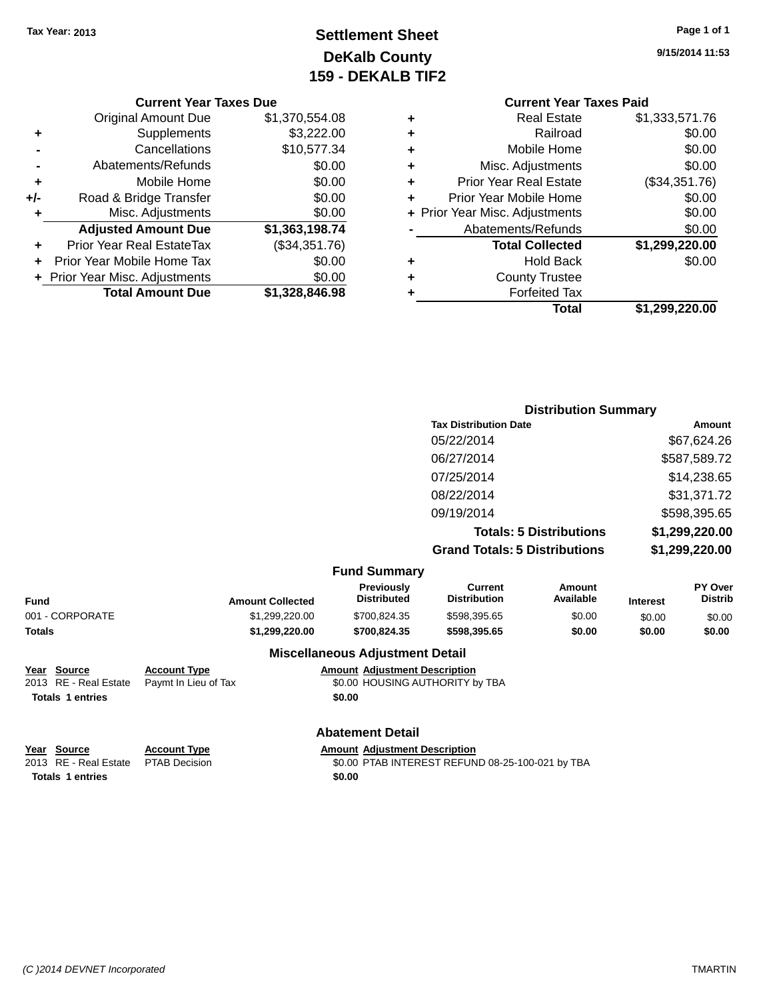## **Settlement Sheet Tax Year: 2013 Page 1 of 1 DeKalb County 159 - DEKALB TIF2**

**9/15/2014 11:53**

| <b>Current Year Taxes Due</b> |  |  |  |
|-------------------------------|--|--|--|
|-------------------------------|--|--|--|

|     | <b>Original Amount Due</b>       | \$1,370,554.08 |
|-----|----------------------------------|----------------|
| ٠   | Supplements                      | \$3,222.00     |
|     | Cancellations                    | \$10,577.34    |
|     | Abatements/Refunds               | \$0.00         |
| ÷   | Mobile Home                      | \$0.00         |
| +/- | Road & Bridge Transfer           | \$0.00         |
| ٠   | Misc. Adjustments                | \$0.00         |
|     | <b>Adjusted Amount Due</b>       | \$1,363,198.74 |
|     | <b>Prior Year Real EstateTax</b> | (\$34,351.76)  |
|     | Prior Year Mobile Home Tax       | \$0.00         |
|     | + Prior Year Misc. Adjustments   | \$0.00         |
|     | <b>Total Amount Due</b>          | \$1,328,846.98 |

#### **Current Year Taxes Paid +** Real Estate \$1,333,571.76

|   | Total                          | \$1,299,220.00               |
|---|--------------------------------|------------------------------|
|   | <b>Forfeited Tax</b>           |                              |
| ٠ | <b>County Trustee</b>          |                              |
| ٠ | <b>Hold Back</b>               | \$0.00                       |
|   | <b>Total Collected</b>         | \$1,299,220.00               |
|   | Abatements/Refunds             | \$0.00                       |
|   | + Prior Year Misc. Adjustments | \$0.00                       |
|   | Prior Year Mobile Home         | \$0.00                       |
| ٠ | <b>Prior Year Real Estate</b>  | (\$34,351.76)                |
| ٠ | Misc. Adjustments              | \$0.00                       |
| ÷ | Mobile Home                    | \$0.00                       |
| ÷ | Railroad                       | \$0.00                       |
|   |                                | $v_1, v_2, v_1, \ldots, v_n$ |

## **Distribution Summary Tax Distribution Date Amount** 05/22/2014 \$67,624.26 06/27/2014 \$587,589.72 07/25/2014 \$14,238.65 08/22/2014 \$31,371.72 09/19/2014 \$598,395.65 **Totals: 5 Distributions \$1,299,220.00 Grand Totals: 5 Distributions \$1,299,220.00**

| <b>Fund Summary</b> |  |
|---------------------|--|
|---------------------|--|

| <b>Distrib</b>                      |
|-------------------------------------|
| \$0.00                              |
| \$0.00                              |
| <b>Interest</b><br>\$0.00<br>\$0.00 |

#### **Miscellaneous Adjustment Detail**

**Year Source Account Type Amount Adjustment Description** 2013 RE - Real Estate Paymt In Lieu of Tax \$0.00 HOUSING AUTHORITY by TBA **Totals 1 entries \$0.00**

## **Abatement Detail**

2013 RE - Real Estate PTAB Decision \$0.00 PTAB INTEREST REFUND 08-25-100-021 by TBA

**Totals 1 entries \$0.00**

**Year Source Account Type Amount Adjustment Description**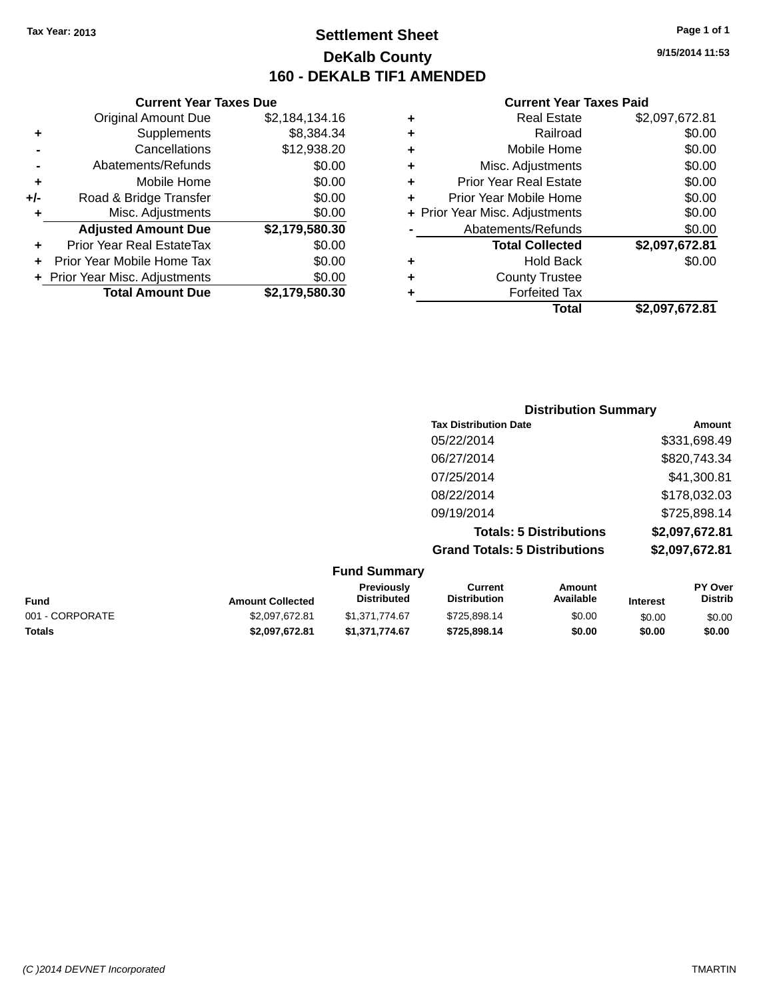## **Settlement Sheet Tax Year: 2013 Page 1 of 1 DeKalb County 160 - DEKALB TIF1 AMENDED**

**9/15/2014 11:53**

|     | <b>Current Year Taxes Due</b>  |                |
|-----|--------------------------------|----------------|
|     | <b>Original Amount Due</b>     | \$2,184,134.16 |
| ٠   | Supplements                    | \$8,384.34     |
|     | Cancellations                  | \$12,938.20    |
|     | Abatements/Refunds             | \$0.00         |
| ٠   | Mobile Home                    | \$0.00         |
| +/- | Road & Bridge Transfer         | \$0.00         |
| ٠   | Misc. Adjustments              | \$0.00         |
|     | <b>Adjusted Amount Due</b>     | \$2,179,580.30 |
| ٠   | Prior Year Real EstateTax      | \$0.00         |
| ÷   | Prior Year Mobile Home Tax     | \$0.00         |
|     | + Prior Year Misc. Adjustments | \$0.00         |
|     | <b>Total Amount Due</b>        | \$2,179,580.30 |
|     |                                |                |

|   | <b>Real Estate</b>             | \$2,097,672.81 |
|---|--------------------------------|----------------|
| ٠ | Railroad                       | \$0.00         |
| ٠ | Mobile Home                    | \$0.00         |
| ٠ | Misc. Adjustments              | \$0.00         |
| ٠ | <b>Prior Year Real Estate</b>  | \$0.00         |
| ٠ | Prior Year Mobile Home         | \$0.00         |
|   | + Prior Year Misc. Adjustments | \$0.00         |
|   | Abatements/Refunds             | \$0.00         |
|   | <b>Total Collected</b>         | \$2,097,672.81 |
| ٠ | <b>Hold Back</b>               | \$0.00         |
| ٠ | <b>County Trustee</b>          |                |
| ٠ | <b>Forfeited Tax</b>           |                |
|   | Total                          | \$2,097,672.81 |
|   |                                |                |

| <b>Distribution Summary</b>          |                |
|--------------------------------------|----------------|
| <b>Tax Distribution Date</b>         | Amount         |
| 05/22/2014                           | \$331,698.49   |
| 06/27/2014                           | \$820,743.34   |
| 07/25/2014                           | \$41,300.81    |
| 08/22/2014                           | \$178,032.03   |
| 09/19/2014                           | \$725,898.14   |
| <b>Totals: 5 Distributions</b>       | \$2,097,672.81 |
| <b>Grand Totals: 5 Distributions</b> | \$2,097,672.81 |

| <b>Fund Summary</b> |                         |                           |                                |                     |                 |                           |
|---------------------|-------------------------|---------------------------|--------------------------------|---------------------|-----------------|---------------------------|
| Fund                | <b>Amount Collected</b> | Previously<br>Distributed | Current<br><b>Distribution</b> | Amount<br>Available | <b>Interest</b> | PY Over<br><b>Distrib</b> |
| 001 - CORPORATE     | \$2,097,672.81          | \$1.371.774.67            | \$725.898.14                   | \$0.00              | \$0.00          | \$0.00                    |
| <b>Totals</b>       | \$2,097.672.81          | \$1,371,774.67            | \$725,898.14                   | \$0.00              | \$0.00          | \$0.00                    |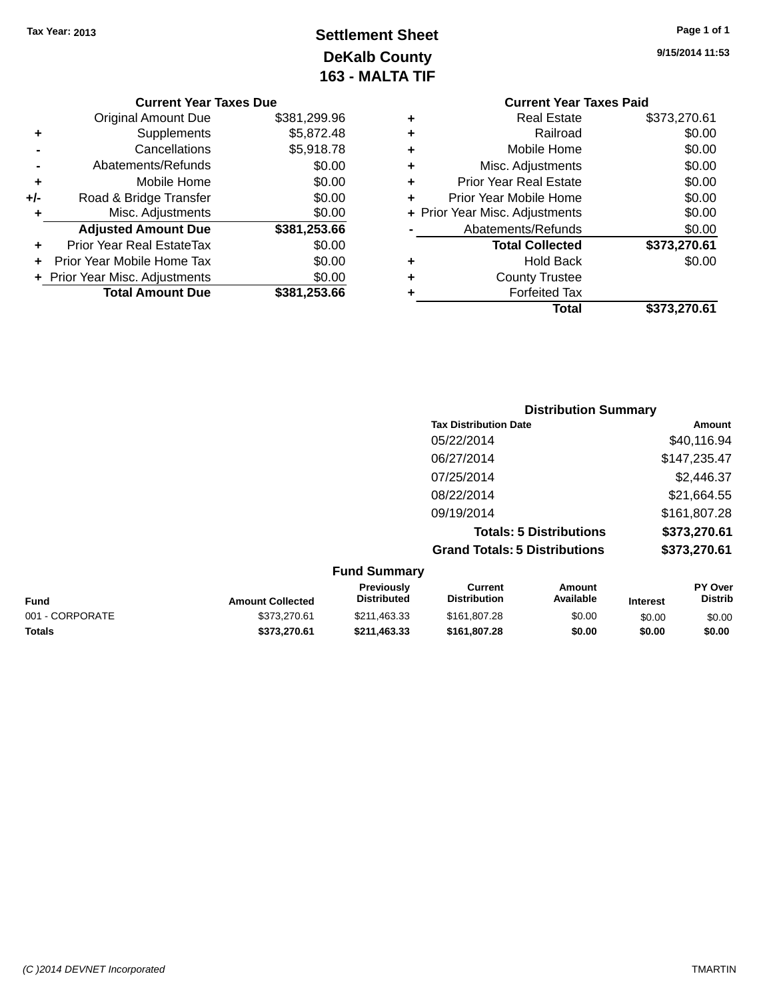## **Settlement Sheet Tax Year: 2013 Page 1 of 1 DeKalb County 163 - MALTA TIF**

**9/15/2014 11:53**

|   | <b>Current Year Taxes Paid</b>   |              |  |  |  |
|---|----------------------------------|--------------|--|--|--|
| ٠ | <b>Real Estate</b>               | \$373,270.61 |  |  |  |
| ٠ | Railroad                         | \$0.00       |  |  |  |
| ٠ | Mobile Home                      | \$0.00       |  |  |  |
| ٠ | Misc. Adjustments                | \$0.00       |  |  |  |
| ٠ | <b>Prior Year Real Estate</b>    | \$0.00       |  |  |  |
| ٠ | \$0.00<br>Prior Year Mobile Home |              |  |  |  |
|   | + Prior Year Misc. Adjustments   | \$0.00       |  |  |  |
|   | Abatements/Refunds               | \$0.00       |  |  |  |
|   | <b>Total Collected</b>           | \$373,270.61 |  |  |  |
| ٠ | <b>Hold Back</b>                 | \$0.00       |  |  |  |
| ٠ | <b>County Trustee</b>            |              |  |  |  |
|   | <b>Forfeited Tax</b>             |              |  |  |  |
|   | Total                            | \$373,270.61 |  |  |  |
|   |                                  |              |  |  |  |

#### **Current Year Taxes Due** Original Amount Due \$381,299.96 **+** Supplements \$5,872.48 **-** Cancellations \$5,918.78 **-** Abatements/Refunds \$0.00 **+** Mobile Home \$0.00 **+/-** Road & Bridge Transfer \$0.00<br> **+** Misc. Adjustments \$0.00 **+** Misc. Adjustments **Adjusted Amount Due \$381,253.66 +** Prior Year Real EstateTax \$0.00 **+** Prior Year Mobile Home Tax \$0.00 **+ Prior Year Misc. Adjustments**  $$0.00$ **Total Amount Due \$381,253.66**

| <b>Distribution Summary</b>          |              |
|--------------------------------------|--------------|
| <b>Tax Distribution Date</b>         | Amount       |
| 05/22/2014                           | \$40,116.94  |
| 06/27/2014                           | \$147,235.47 |
| 07/25/2014                           | \$2,446.37   |
| 08/22/2014                           | \$21,664.55  |
| 09/19/2014                           | \$161,807.28 |
| <b>Totals: 5 Distributions</b>       | \$373,270.61 |
| <b>Grand Totals: 5 Distributions</b> | \$373,270.61 |

| <b>Amount Collected</b> | <b>Previously</b><br><b>Distributed</b> | Current<br><b>Distribution</b> | Amount<br>Available | <b>Interest</b> | <b>PY Over</b><br><b>Distrib</b> |
|-------------------------|-----------------------------------------|--------------------------------|---------------------|-----------------|----------------------------------|
| \$373,270.61            | \$211,463,33                            | \$161.807.28                   | \$0.00              | \$0.00          | \$0.00                           |
| \$373,270.61            | \$211.463.33                            | \$161.807.28                   | \$0.00              | \$0.00          | \$0.00                           |
|                         |                                         | <b>Fund Summary</b>            |                     |                 |                                  |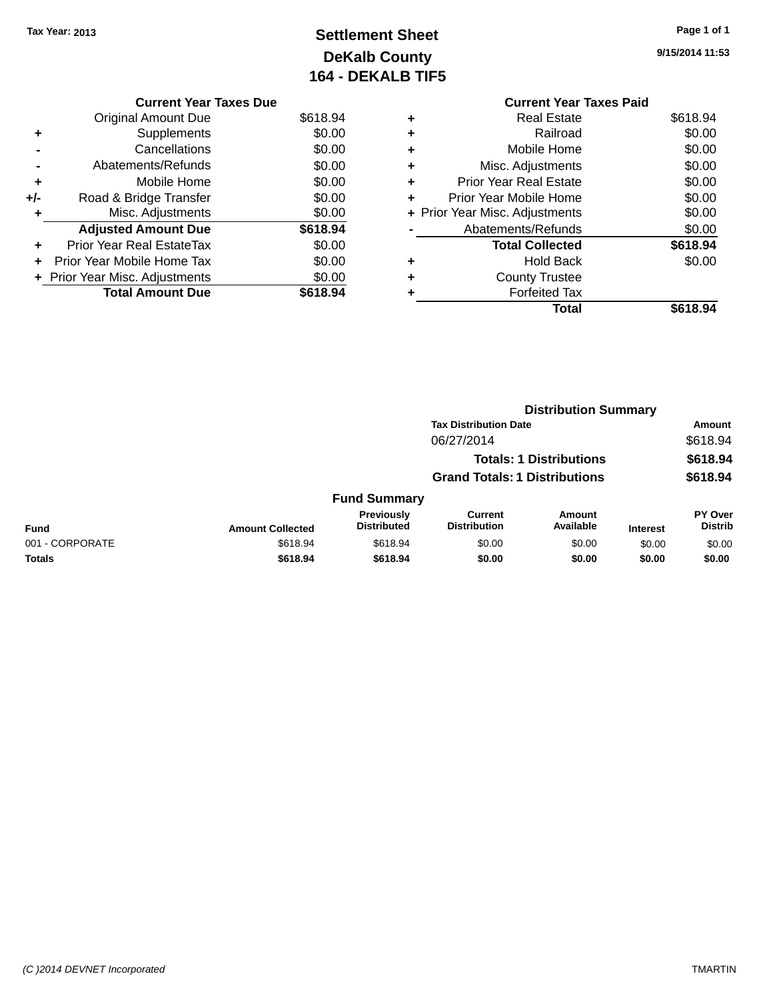## **Settlement Sheet Tax Year: 2013 Page 1 of 1 DeKalb County 164 - DEKALB TIF5**

**9/15/2014 11:53**

|     | <b>Current Year Taxes Due</b>  |          |
|-----|--------------------------------|----------|
|     | <b>Original Amount Due</b>     | \$618.94 |
| ٠   | Supplements                    | \$0.00   |
|     | Cancellations                  | \$0.00   |
|     | Abatements/Refunds             | \$0.00   |
| ٠   | Mobile Home                    | \$0.00   |
| +/- | Road & Bridge Transfer         | \$0.00   |
| ٠   | Misc. Adjustments              | \$0.00   |
|     | <b>Adjusted Amount Due</b>     | \$618.94 |
| ٠   | Prior Year Real EstateTax      | \$0.00   |
| ÷   | Prior Year Mobile Home Tax     | \$0.00   |
|     | + Prior Year Misc. Adjustments | \$0.00   |
|     | <b>Total Amount Due</b>        | \$618.94 |

#### **Current Year Taxes Paid +** Real Estate \$618.94 **+** Railroad \$0.00 **+** Mobile Home \$0.00 **+** Misc. Adjustments \$0.00 **+** Prior Year Real Estate \$0.00 **+** Prior Year Mobile Home \$0.00 **+ Prior Year Misc. Adjustments \$0.00 -** Abatements/Refunds \$0.00 Total Collected **\$618.94 +** Hold Back \$0.00 **+** County Trustee **+** Forfeited Tax **Total \$618.94**

|                 |                         | <b>Distribution Summary</b>      |                                       |                                |                 |                                  |
|-----------------|-------------------------|----------------------------------|---------------------------------------|--------------------------------|-----------------|----------------------------------|
|                 |                         |                                  | <b>Tax Distribution Date</b>          |                                |                 | <b>Amount</b>                    |
|                 |                         |                                  | 06/27/2014                            |                                |                 | \$618.94                         |
|                 |                         |                                  |                                       | <b>Totals: 1 Distributions</b> |                 | \$618.94                         |
|                 |                         |                                  | <b>Grand Totals: 1 Distributions</b>  |                                |                 | \$618.94                         |
|                 |                         | <b>Fund Summary</b>              |                                       |                                |                 |                                  |
| Fund            | <b>Amount Collected</b> | Previously<br><b>Distributed</b> | <b>Current</b><br><b>Distribution</b> | <b>Amount</b><br>Available     | <b>Interest</b> | <b>PY Over</b><br><b>Distrib</b> |
| 001 - CORPORATE | \$618.94                | \$618.94                         | \$0.00                                | \$0.00                         | \$0.00          | \$0.00                           |
| Totals          | \$618.94                | \$618.94                         | \$0.00                                | \$0.00                         | \$0.00          | \$0.00                           |
|                 |                         |                                  |                                       |                                |                 |                                  |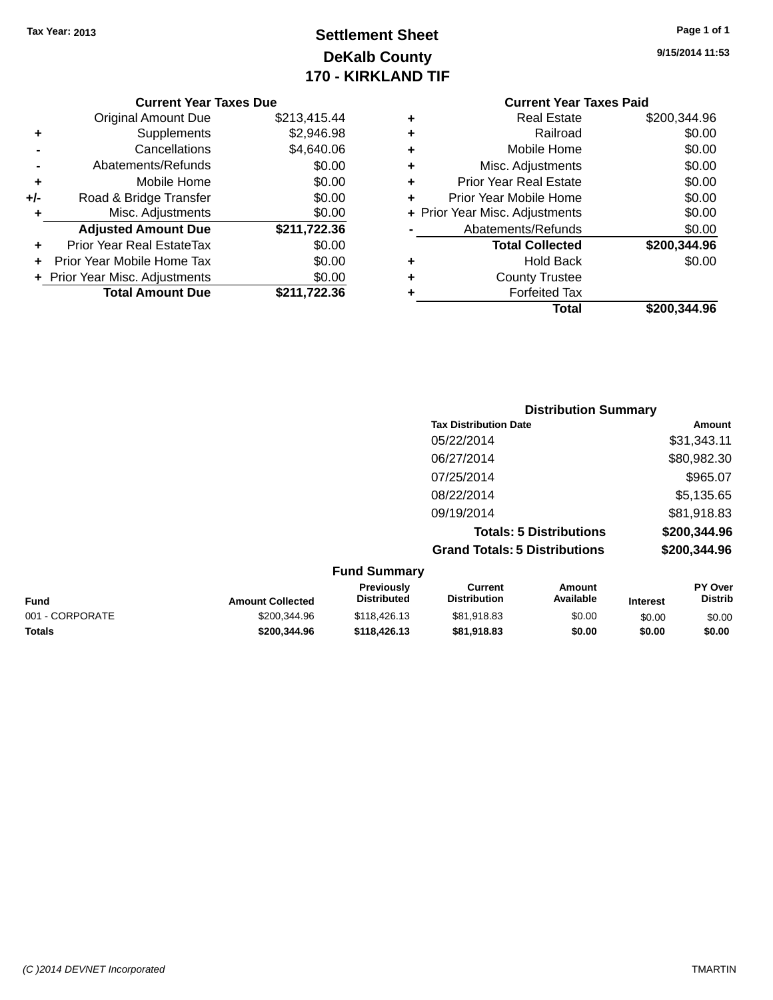## **Settlement Sheet Tax Year: 2013 Page 1 of 1 DeKalb County 170 - KIRKLAND TIF**

**9/15/2014 11:53**

| <b>Current Year Taxes Due</b> |  |  |  |
|-------------------------------|--|--|--|
|-------------------------------|--|--|--|

|     | <b>Original Amount Due</b>     | \$213,415.44 |
|-----|--------------------------------|--------------|
| ٠   | Supplements                    | \$2,946.98   |
|     | Cancellations                  | \$4,640.06   |
|     | Abatements/Refunds             | \$0.00       |
| ÷   | Mobile Home                    | \$0.00       |
| +/- | Road & Bridge Transfer         | \$0.00       |
| ٠   | Misc. Adjustments              | \$0.00       |
|     | <b>Adjusted Amount Due</b>     | \$211,722.36 |
| ÷   | Prior Year Real EstateTax      | \$0.00       |
|     | Prior Year Mobile Home Tax     | \$0.00       |
|     | + Prior Year Misc. Adjustments | \$0.00       |
|     | <b>Total Amount Due</b>        | \$211,722.36 |

|   | <b>Real Estate</b>             | \$200,344.96 |
|---|--------------------------------|--------------|
| ٠ | Railroad                       | \$0.00       |
| ٠ | Mobile Home                    | \$0.00       |
| ٠ | Misc. Adjustments              | \$0.00       |
| ٠ | <b>Prior Year Real Estate</b>  | \$0.00       |
| ٠ | Prior Year Mobile Home         | \$0.00       |
|   | + Prior Year Misc. Adjustments | \$0.00       |
|   | Abatements/Refunds             | \$0.00       |
|   | <b>Total Collected</b>         | \$200,344.96 |
| ٠ | <b>Hold Back</b>               | \$0.00       |
| ٠ | <b>County Trustee</b>          |              |
| ٠ | <b>Forfeited Tax</b>           |              |
|   | Total                          | \$200.344.96 |
|   |                                |              |

| <b>Distribution Summary</b>          |              |
|--------------------------------------|--------------|
| <b>Tax Distribution Date</b>         | Amount       |
| 05/22/2014                           | \$31,343.11  |
| 06/27/2014                           | \$80,982.30  |
| 07/25/2014                           | \$965.07     |
| 08/22/2014                           | \$5,135.65   |
| 09/19/2014                           | \$81,918.83  |
| <b>Totals: 5 Distributions</b>       | \$200,344.96 |
| <b>Grand Totals: 5 Distributions</b> | \$200,344.96 |

| <b>Fund Summary</b> |                         |                                  |                                |                     |                 |                           |
|---------------------|-------------------------|----------------------------------|--------------------------------|---------------------|-----------------|---------------------------|
| <b>Fund</b>         | <b>Amount Collected</b> | <b>Previously</b><br>Distributed | Current<br><b>Distribution</b> | Amount<br>Available | <b>Interest</b> | PY Over<br><b>Distrib</b> |
| 001 - CORPORATE     | \$200,344.96            | \$118,426.13                     | \$81,918.83                    | \$0.00              | \$0.00          | \$0.00                    |
| <b>Totals</b>       | \$200,344.96            | \$118,426.13                     | \$81,918.83                    | \$0.00              | \$0.00          | \$0.00                    |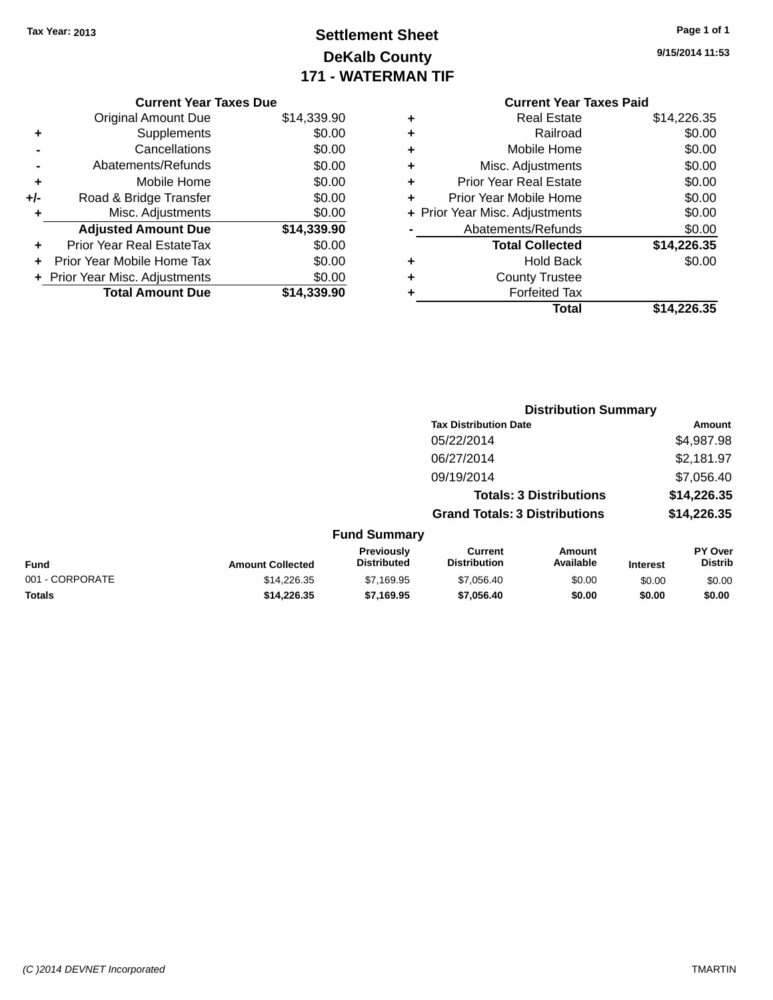## **Settlement Sheet Tax Year: 2013 Page 1 of 1 DeKalb County 171 - WATERMAN TIF**

**9/15/2014 11:53**

## **Current Year Taxes Paid +** Real Estate \$14,226.35

|     | <b>Original Amount Due</b>       | \$14,339.90 |
|-----|----------------------------------|-------------|
|     | Supplements                      | \$0.00      |
|     | Cancellations                    | \$0.00      |
|     | Abatements/Refunds               | \$0.00      |
| ٠   | Mobile Home                      | \$0.00      |
| +/- | Road & Bridge Transfer           | \$0.00      |
|     | Misc. Adjustments                | \$0.00      |
|     | <b>Adjusted Amount Due</b>       | \$14,339.90 |
|     | <b>Prior Year Real EstateTax</b> | \$0.00      |
|     | Prior Year Mobile Home Tax       | \$0.00      |
|     | + Prior Year Misc. Adjustments   | \$0.00      |
|     | <b>Total Amount Due</b>          | \$14.339.90 |

**Current Year Taxes Due**

|   | Total                          | \$14,226.35 |
|---|--------------------------------|-------------|
|   | <b>Forfeited Tax</b>           |             |
| ٠ | <b>County Trustee</b>          |             |
| ٠ | <b>Hold Back</b>               | \$0.00      |
|   | <b>Total Collected</b>         | \$14,226.35 |
|   | Abatements/Refunds             | \$0.00      |
|   | + Prior Year Misc. Adjustments | \$0.00      |
| ٠ | Prior Year Mobile Home         | \$0.00      |
| ٠ | <b>Prior Year Real Estate</b>  | \$0.00      |
| ٠ | Misc. Adjustments              | \$0.00      |
| ٠ | Mobile Home                    | \$0.00      |
| ٠ | Railroad                       | \$0.00      |
|   |                                | .           |

| <b>Tax Distribution Date</b>                                                                                                                                  | Amount                    |
|---------------------------------------------------------------------------------------------------------------------------------------------------------------|---------------------------|
|                                                                                                                                                               |                           |
| 05/22/2014                                                                                                                                                    | \$4,987.98                |
| 06/27/2014                                                                                                                                                    | \$2,181.97                |
| 09/19/2014                                                                                                                                                    | \$7,056.40                |
| <b>Totals: 3 Distributions</b>                                                                                                                                | \$14,226.35               |
| <b>Grand Totals: 3 Distributions</b>                                                                                                                          | \$14,226.35               |
| <b>Fund Summary</b>                                                                                                                                           |                           |
| Previously<br><b>Current</b><br>Amount<br><b>Distributed</b><br>Available<br><b>Distribution</b><br><b>Fund</b><br><b>Amount Collected</b><br><b>Interest</b> | PY Over<br><b>Distrib</b> |
| 001 - CORPORATE<br>\$14,226.35<br>\$7,169.95<br>\$7,056.40<br>\$0.00<br>\$0.00                                                                                | \$0.00                    |
| <b>Totals</b><br>\$14.226.35<br>\$7,169.95<br>\$7,056.40<br>\$0.00<br>\$0.00                                                                                  | \$0.00                    |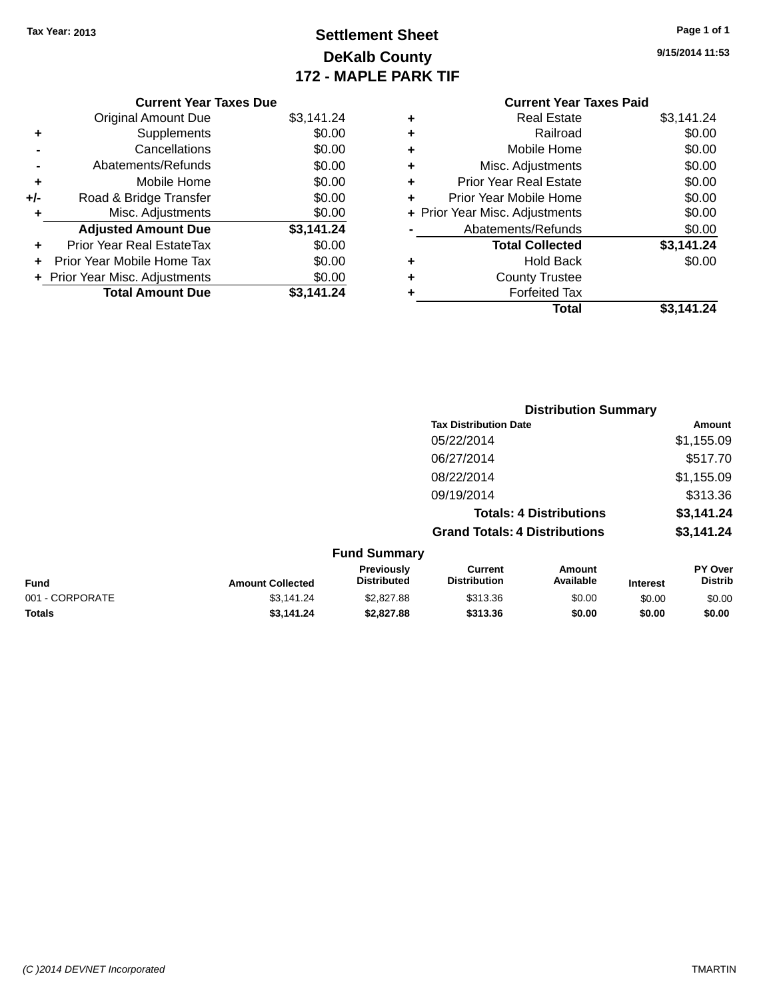## **Settlement Sheet Tax Year: 2013 Page 1 of 1 DeKalb County 172 - MAPLE PARK TIF**

**9/15/2014 11:53**

| <b>Current Year Taxes Paid</b> |            |
|--------------------------------|------------|
| <b>Real Estate</b>             | \$3,141.24 |
| Railroad                       | \$0.00     |
| Mobile Home                    | \$0.00     |
| Misc. Adjustments              | \$0.00     |
| <b>Prior Year Real Estate</b>  | \$0.00     |
| Prior Year Mobile Home         | \$0.00     |
| + Prior Year Misc. Adjustments | \$0.00     |
| Abatements/Refunds             | \$0.00     |
| <b>Total Collected</b>         | \$3,141.24 |
| <b>Hold Back</b>               | \$0.00     |
| <b>County Trustee</b>          |            |
| <b>Forfeited Tax</b>           |            |
|                                |            |
|                                |            |

| <b>Current Year Taxes Due</b>    |            |
|----------------------------------|------------|
| <b>Original Amount Due</b>       | \$3,141.24 |
| Supplements                      | \$0.00     |
| Cancellations                    | \$0.00     |
| Abatements/Refunds               | \$0.00     |
| Mobile Home                      | \$0.00     |
| Road & Bridge Transfer           | \$0.00     |
| Misc. Adjustments                | \$0.00     |
| <b>Adjusted Amount Due</b>       | \$3,141.24 |
| <b>Prior Year Real EstateTax</b> | \$0.00     |
| Prior Year Mobile Home Tax       | \$0.00     |
| + Prior Year Misc. Adjustments   | \$0.00     |
| <b>Total Amount Due</b>          | \$3.141.24 |
|                                  |            |

|                         |                                  | <b>Distribution Summary</b>          |                                |                 |                                  |
|-------------------------|----------------------------------|--------------------------------------|--------------------------------|-----------------|----------------------------------|
|                         |                                  | <b>Tax Distribution Date</b>         |                                |                 | Amount                           |
|                         |                                  | 05/22/2014                           |                                |                 | \$1,155.09                       |
|                         |                                  | 06/27/2014                           |                                |                 | \$517.70                         |
|                         |                                  | 08/22/2014                           |                                |                 | \$1,155.09                       |
|                         |                                  | 09/19/2014                           |                                |                 | \$313.36                         |
|                         |                                  |                                      | <b>Totals: 4 Distributions</b> |                 | \$3,141.24                       |
|                         |                                  | <b>Grand Totals: 4 Distributions</b> |                                |                 | \$3,141.24                       |
|                         | <b>Fund Summary</b>              |                                      |                                |                 |                                  |
| <b>Amount Collected</b> | Previously<br><b>Distributed</b> | Current<br><b>Distribution</b>       | Amount<br>Available            | <b>Interest</b> | <b>PY Over</b><br><b>Distrib</b> |

|                 |                         | Previouslv         | Current             | Amount    |                 | PY Over |
|-----------------|-------------------------|--------------------|---------------------|-----------|-----------------|---------|
| <b>Fund</b>     | <b>Amount Collected</b> | <b>Distributed</b> | <b>Distribution</b> | Available | <b>Interest</b> | Distrib |
| 001 - CORPORATE | \$3.141.24              | \$2,827.88         | \$313.36            | \$0.00    | \$0.00          | \$0.00  |
| <b>Totals</b>   | \$3.141.24              | \$2,827.88         | \$313.36            | \$0.00    | \$0.00          | \$0.00  |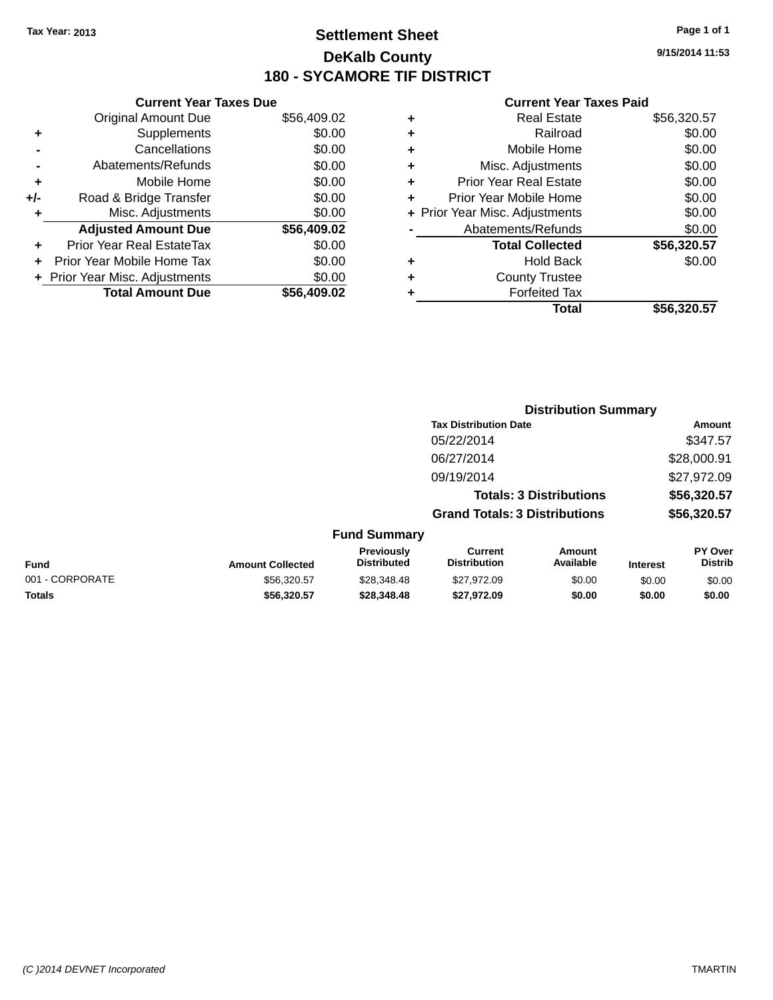## **Settlement Sheet Tax Year: 2013 Page 1 of 1 DeKalb County 180 - SYCAMORE TIF DISTRICT**

**9/15/2014 11:53**

#### **Current Year Taxes Paid**

| \$56,409.02<br>\$0.00                                                             |
|-----------------------------------------------------------------------------------|
|                                                                                   |
|                                                                                   |
| \$0.00                                                                            |
|                                                                                   |
|                                                                                   |
|                                                                                   |
|                                                                                   |
| \$56,409.02                                                                       |
|                                                                                   |
|                                                                                   |
|                                                                                   |
|                                                                                   |
| \$0.00<br>\$0.00<br>\$0.00<br>\$0.00<br>\$0.00<br>\$0.00<br>\$0.00<br>\$56.409.02 |

|   | <b>Real Estate</b>             | \$56,320.57 |
|---|--------------------------------|-------------|
| ٠ | Railroad                       | \$0.00      |
| ٠ | Mobile Home                    | \$0.00      |
| ٠ | Misc. Adjustments              | \$0.00      |
| ٠ | <b>Prior Year Real Estate</b>  | \$0.00      |
| ٠ | Prior Year Mobile Home         | \$0.00      |
|   | + Prior Year Misc. Adjustments | \$0.00      |
|   | Abatements/Refunds             | \$0.00      |
|   | <b>Total Collected</b>         | \$56,320.57 |
| ٠ | <b>Hold Back</b>               | \$0.00      |
| ٠ | <b>County Trustee</b>          |             |
|   | <b>Forfeited Tax</b>           |             |
|   | Total                          | \$56,320.57 |
|   |                                |             |

|                 | <b>Distribution Summary</b> |                                  |                                       |                                |                 |                                  |  |
|-----------------|-----------------------------|----------------------------------|---------------------------------------|--------------------------------|-----------------|----------------------------------|--|
|                 |                             |                                  | <b>Tax Distribution Date</b>          |                                |                 | Amount                           |  |
|                 |                             |                                  | 05/22/2014                            |                                |                 | \$347.57                         |  |
|                 |                             |                                  | 06/27/2014                            |                                |                 | \$28,000.91                      |  |
|                 |                             |                                  | 09/19/2014                            |                                |                 | \$27,972.09                      |  |
|                 |                             |                                  |                                       | <b>Totals: 3 Distributions</b> |                 | \$56,320.57                      |  |
|                 |                             |                                  | <b>Grand Totals: 3 Distributions</b>  |                                |                 | \$56,320.57                      |  |
|                 |                             | <b>Fund Summary</b>              |                                       |                                |                 |                                  |  |
| <b>Fund</b>     | <b>Amount Collected</b>     | Previously<br><b>Distributed</b> | <b>Current</b><br><b>Distribution</b> | <b>Amount</b><br>Available     | <b>Interest</b> | <b>PY Over</b><br><b>Distrib</b> |  |
| 001 - CORPORATE | \$56,320.57                 | \$28,348.48                      | \$27,972.09                           | \$0.00                         | \$0.00          | \$0.00                           |  |
|                 |                             |                                  |                                       |                                |                 |                                  |  |

**Totals \$56,320.57 \$28,348.48 \$27,972.09 \$0.00 \$0.00 \$0.00**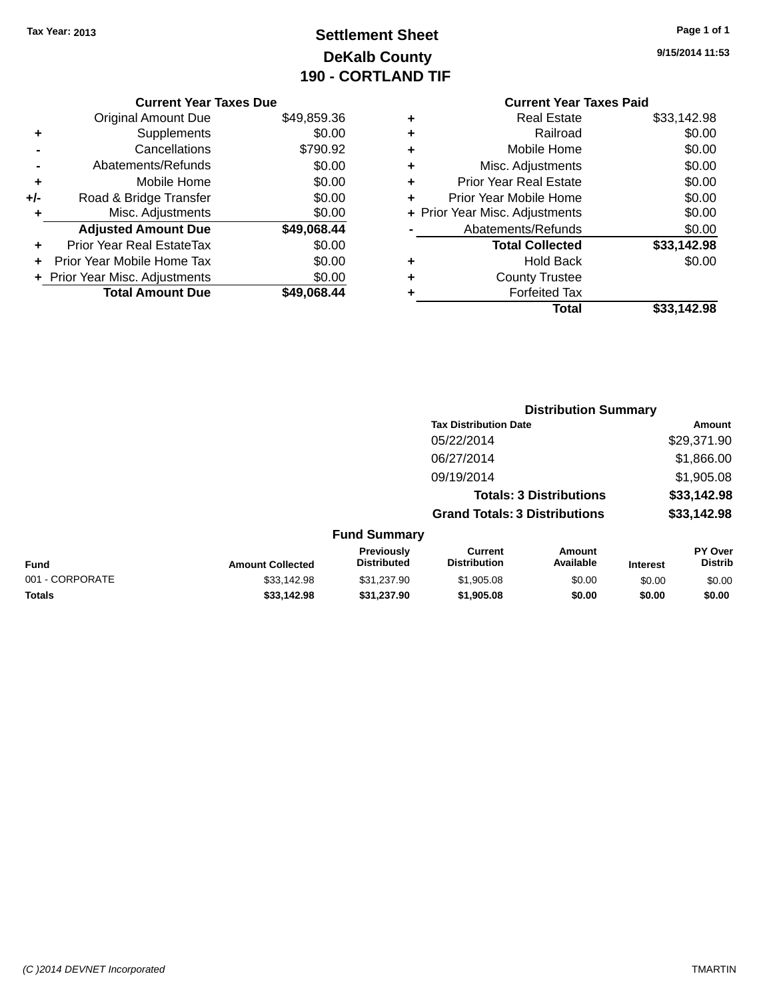## **Settlement Sheet Tax Year: 2013 Page 1 of 1 DeKalb County 190 - CORTLAND TIF**

**9/15/2014 11:53**

|     | <b>Current Year Taxes Due</b>    |             |  |  |  |  |
|-----|----------------------------------|-------------|--|--|--|--|
|     | <b>Original Amount Due</b>       | \$49,859.36 |  |  |  |  |
| ٠   | Supplements                      | \$0.00      |  |  |  |  |
|     | Cancellations                    | \$790.92    |  |  |  |  |
|     | Abatements/Refunds               | \$0.00      |  |  |  |  |
| ٠   | Mobile Home                      | \$0.00      |  |  |  |  |
| +/- | Road & Bridge Transfer           | \$0.00      |  |  |  |  |
| ٠   | Misc. Adjustments                | \$0.00      |  |  |  |  |
|     | <b>Adjusted Amount Due</b>       | \$49,068.44 |  |  |  |  |
| ٠   | <b>Prior Year Real EstateTax</b> | \$0.00      |  |  |  |  |
| ÷   | Prior Year Mobile Home Tax       | \$0.00      |  |  |  |  |
|     | + Prior Year Misc. Adjustments   | \$0.00      |  |  |  |  |
|     | <b>Total Amount Due</b>          | \$49,068.44 |  |  |  |  |
|     |                                  |             |  |  |  |  |

## **Current Year Taxes Paid +** Real Estate \$33,142.98 **+** Railroad \$0.00 **+** Mobile Home \$0.00 **+** Misc. Adjustments \$0.00 **+** Prior Year Real Estate \$0.00 **+** Prior Year Mobile Home \$0.00 **+ Prior Year Misc. Adjustments**  $$0.00$ **-** Abatements/Refunds \$0.00 **Total Collected \$33,142.98 +** Hold Back \$0.00 **+** County Trustee **+** Forfeited Tax **Total \$33,142.98**

**Distribution Summary**

|                 |                         |                                  | <b>Tax Distribution Date</b>          |                                |                 | <b>Amount</b>             |
|-----------------|-------------------------|----------------------------------|---------------------------------------|--------------------------------|-----------------|---------------------------|
|                 |                         |                                  | 05/22/2014                            |                                |                 | \$29,371.90               |
|                 |                         |                                  | 06/27/2014                            |                                |                 | \$1,866.00                |
|                 |                         |                                  | 09/19/2014                            |                                |                 | \$1,905.08                |
|                 |                         |                                  |                                       | <b>Totals: 3 Distributions</b> |                 | \$33,142.98               |
|                 |                         |                                  | <b>Grand Totals: 3 Distributions</b>  |                                |                 | \$33,142.98               |
|                 |                         | <b>Fund Summary</b>              |                                       |                                |                 |                           |
| Fund            | <b>Amount Collected</b> | Previously<br><b>Distributed</b> | <b>Current</b><br><b>Distribution</b> | Amount<br>Available            | <b>Interest</b> | PY Over<br><b>Distrib</b> |
| 001 - CORPORATE | \$33,142.98             | \$31,237.90                      | \$1,905.08                            | \$0.00                         | \$0.00          | \$0.00                    |
| <b>Totals</b>   | \$33,142.98             | \$31,237.90                      | \$1,905.08                            | \$0.00                         | \$0.00          | \$0.00                    |
|                 |                         |                                  |                                       |                                |                 |                           |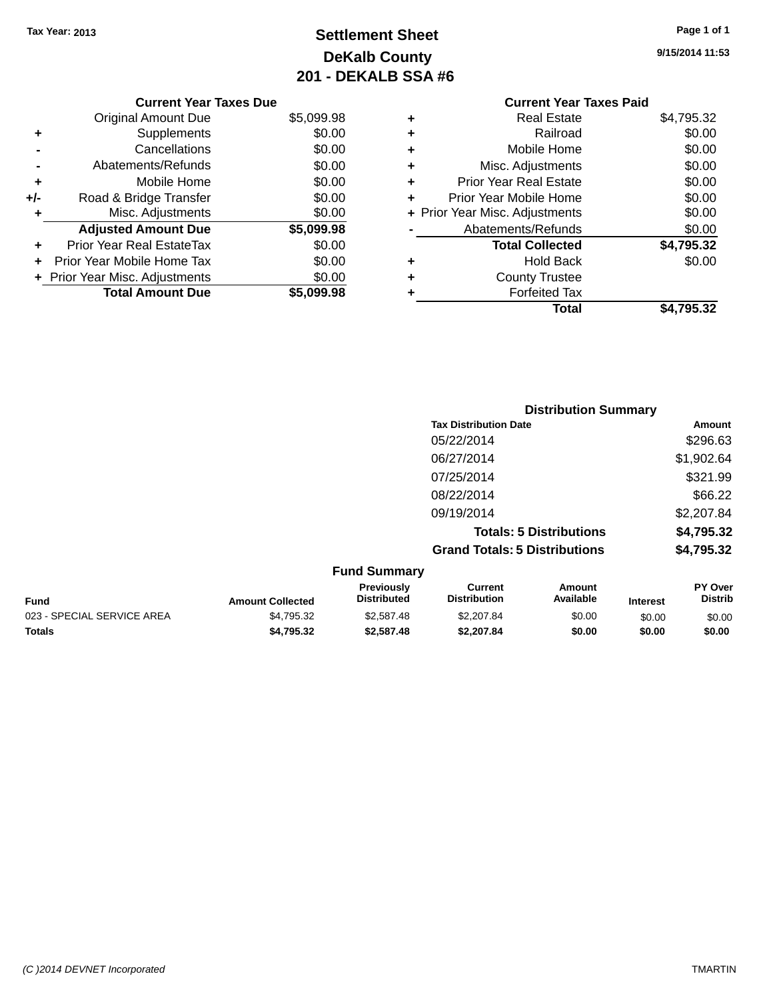## **Settlement Sheet Tax Year: 2013 Page 1 of 1 DeKalb County 201 - DEKALB SSA #6**

**9/15/2014 11:53**

|       | <b>Current Year Taxes Due</b>  |            |  |  |  |  |  |
|-------|--------------------------------|------------|--|--|--|--|--|
|       | <b>Original Amount Due</b>     | \$5,099.98 |  |  |  |  |  |
| ٠     | Supplements                    | \$0.00     |  |  |  |  |  |
|       | Cancellations                  | \$0.00     |  |  |  |  |  |
|       | Abatements/Refunds             | \$0.00     |  |  |  |  |  |
| ٠     | Mobile Home                    | \$0.00     |  |  |  |  |  |
| $+/-$ | Road & Bridge Transfer         | \$0.00     |  |  |  |  |  |
| ٠     | Misc. Adjustments              | \$0.00     |  |  |  |  |  |
|       | <b>Adjusted Amount Due</b>     | \$5,099.98 |  |  |  |  |  |
| ÷     | Prior Year Real EstateTax      | \$0.00     |  |  |  |  |  |
|       | Prior Year Mobile Home Tax     | \$0.00     |  |  |  |  |  |
|       | + Prior Year Misc. Adjustments | \$0.00     |  |  |  |  |  |
|       | <b>Total Amount Due</b>        | \$5.099.98 |  |  |  |  |  |

#### **Current Year Taxes Paid +** Real Estate \$4,795.32 **+** Railroad \$0.00<br>▲ Mobile Home \$0.00 **+** Mobile Home \$0.00

|   | Total                          | \$4,795.32   |
|---|--------------------------------|--------------|
| ٠ | <b>Forfeited Tax</b>           |              |
| ÷ | <b>County Trustee</b>          |              |
| ٠ | <b>Hold Back</b>               | \$0.00       |
|   | <b>Total Collected</b>         | \$4,795.32   |
|   | Abatements/Refunds             | \$0.00       |
|   | + Prior Year Misc. Adjustments | \$0.00       |
| ÷ | Prior Year Mobile Home         | \$0.00       |
| ٠ | <b>Prior Year Real Estate</b>  | \$0.00       |
| ÷ | Misc. Adjustments              | \$0.00       |
| ٠ | <b>MODILE HOME</b>             | <b>DU.UU</b> |

| <b>Distribution Summary</b>          |            |
|--------------------------------------|------------|
| <b>Tax Distribution Date</b>         | Amount     |
| 05/22/2014                           | \$296.63   |
| 06/27/2014                           | \$1,902.64 |
| 07/25/2014                           | \$321.99   |
| 08/22/2014                           | \$66.22    |
| 09/19/2014                           | \$2,207.84 |
| <b>Totals: 5 Distributions</b>       | \$4,795.32 |
| <b>Grand Totals: 5 Distributions</b> | \$4,795.32 |

| <b>Fund Summary</b>        |                         |                                         |                                |                     |                 |                                  |
|----------------------------|-------------------------|-----------------------------------------|--------------------------------|---------------------|-----------------|----------------------------------|
| <b>Fund</b>                | <b>Amount Collected</b> | <b>Previously</b><br><b>Distributed</b> | Current<br><b>Distribution</b> | Amount<br>Available | <b>Interest</b> | <b>PY Over</b><br><b>Distrib</b> |
| 023 - SPECIAL SERVICE AREA | \$4.795.32              | \$2,587.48                              | \$2,207.84                     | \$0.00              | \$0.00          | \$0.00                           |
| <b>Totals</b>              | \$4.795.32              | \$2,587.48                              | \$2,207.84                     | \$0.00              | \$0.00          | \$0.00                           |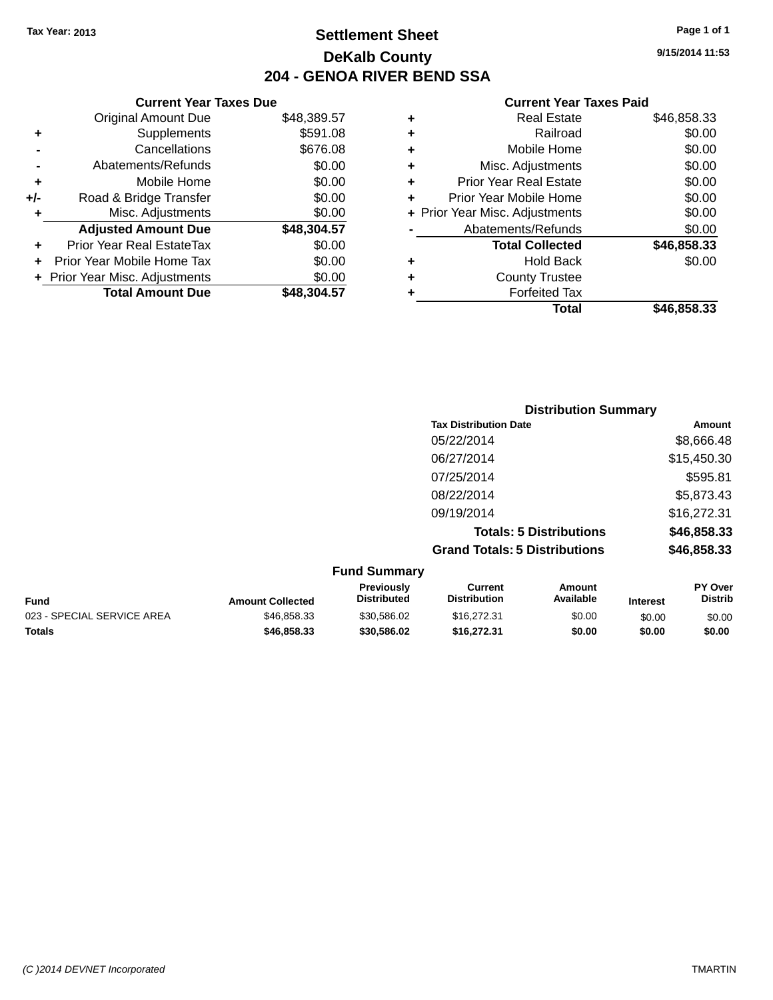**Current Year Taxes Due** Original Amount Due \$48,389.57

**Adjusted Amount Due \$48,304.57**

**Total Amount Due \$48,304.57**

**+** Supplements \$591.08 **-** Cancellations \$676.08 **-** Abatements/Refunds \$0.00 **+** Mobile Home \$0.00 **+/-** Road & Bridge Transfer \$0.00 **+** Misc. Adjustments \$0.00

**+** Prior Year Real EstateTax \$0.00 **+** Prior Year Mobile Home Tax \$0.00 **+ Prior Year Misc. Adjustments**  $$0.00$ 

## **Settlement Sheet Tax Year: 2013 Page 1 of 1 DeKalb County 204 - GENOA RIVER BEND SSA**

**9/15/2014 11:53**

|   | Total                          | \$46.858.33 |
|---|--------------------------------|-------------|
|   | <b>Forfeited Tax</b>           |             |
| ٠ | <b>County Trustee</b>          |             |
| ٠ | <b>Hold Back</b>               | \$0.00      |
|   | <b>Total Collected</b>         | \$46,858.33 |
|   | Abatements/Refunds             | \$0.00      |
|   | + Prior Year Misc. Adjustments | \$0.00      |
| ٠ | Prior Year Mobile Home         | \$0.00      |
| ٠ | <b>Prior Year Real Estate</b>  | \$0.00      |
| ٠ | Misc. Adjustments              | \$0.00      |
| ٠ | Mobile Home                    | \$0.00      |
| ٠ | Railroad                       | \$0.00      |
|   | <b>Real Estate</b>             | \$46,858.33 |

| <b>Distribution Summary</b>          |             |  |  |
|--------------------------------------|-------------|--|--|
| <b>Tax Distribution Date</b>         | Amount      |  |  |
| 05/22/2014                           | \$8,666.48  |  |  |
| 06/27/2014                           | \$15,450.30 |  |  |
| 07/25/2014                           | \$595.81    |  |  |
| 08/22/2014                           | \$5,873.43  |  |  |
| 09/19/2014                           | \$16,272.31 |  |  |
| <b>Totals: 5 Distributions</b>       | \$46,858.33 |  |  |
| <b>Grand Totals: 5 Distributions</b> | \$46,858.33 |  |  |
| <b>Fund Summary</b>                  |             |  |  |

| <b>Fund</b>                | <b>Amount Collected</b> | Previously<br><b>Distributed</b> | Current<br><b>Distribution</b> | Amount<br>Available | <b>Interest</b> | <b>PY Over</b><br><b>Distrib</b> |
|----------------------------|-------------------------|----------------------------------|--------------------------------|---------------------|-----------------|----------------------------------|
| 023 - SPECIAL SERVICE AREA | \$46.858.33             | \$30.586.02                      | \$16,272.31                    | \$0.00              | \$0.00          | \$0.00                           |
| <b>Totals</b>              | \$46,858,33             | \$30,586.02                      | \$16,272,31                    | \$0.00              | \$0.00          | \$0.00                           |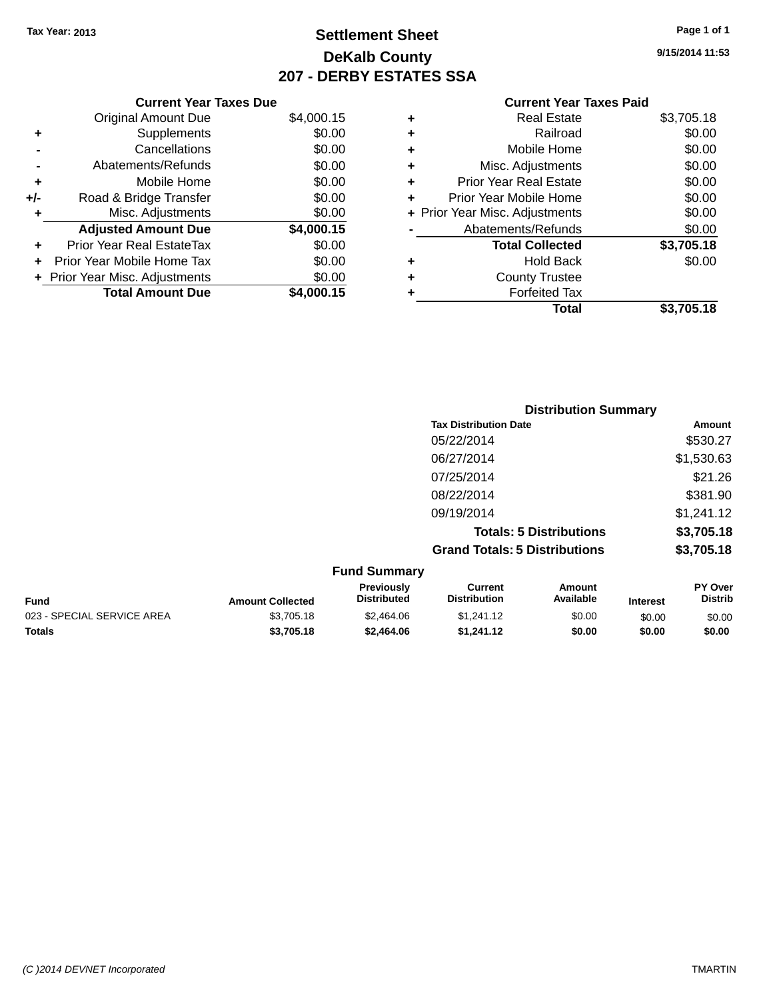## **Settlement Sheet Tax Year: 2013 Page 1 of 1 DeKalb County 207 - DERBY ESTATES SSA**

**9/15/2014 11:53**

|     | <b>Current Year Taxes Due</b>  |            |
|-----|--------------------------------|------------|
|     | <b>Original Amount Due</b>     | \$4,000.15 |
| ٠   | Supplements                    | \$0.00     |
|     | Cancellations                  | \$0.00     |
|     | Abatements/Refunds             | \$0.00     |
| ٠   | Mobile Home                    | \$0.00     |
| +/- | Road & Bridge Transfer         | \$0.00     |
| ٠   | Misc. Adjustments              | \$0.00     |
|     | <b>Adjusted Amount Due</b>     | \$4,000.15 |
| ٠   | Prior Year Real EstateTax      | \$0.00     |
|     | Prior Year Mobile Home Tax     | \$0.00     |
|     | + Prior Year Misc. Adjustments | \$0.00     |
|     | <b>Total Amount Due</b>        | \$4,000.15 |
|     |                                |            |

|   | <b>Current Year Taxes Paid</b> |            |
|---|--------------------------------|------------|
| ٠ | <b>Real Estate</b>             | \$3,705.18 |
| ٠ | Railroad                       | \$0.00     |
| ٠ | Mobile Home                    | \$0.00     |
| ٠ | Misc. Adjustments              | \$0.00     |
|   |                                | $\cdots$   |

|           | Total                          | \$3,705.18 |
|-----------|--------------------------------|------------|
|           | <b>Forfeited Tax</b>           |            |
| ÷         | <b>County Trustee</b>          |            |
|           | <b>Hold Back</b>               | \$0.00     |
|           | <b>Total Collected</b>         | \$3,705.18 |
|           | Abatements/Refunds             | \$0.00     |
|           | + Prior Year Misc. Adjustments | \$0.00     |
| ÷         | Prior Year Mobile Home         | \$0.00     |
| $\ddot{}$ | <b>Prior Year Real Estate</b>  | \$0.00     |
|           |                                |            |

|                              | <b>Distribution Summary</b>          |            |  |
|------------------------------|--------------------------------------|------------|--|
| <b>Tax Distribution Date</b> |                                      | Amount     |  |
| 05/22/2014                   |                                      | \$530.27   |  |
| 06/27/2014                   |                                      | \$1,530.63 |  |
| 07/25/2014                   |                                      | \$21.26    |  |
| 08/22/2014                   |                                      | \$381.90   |  |
| 09/19/2014                   |                                      | \$1,241.12 |  |
|                              | <b>Totals: 5 Distributions</b>       | \$3,705.18 |  |
|                              | <b>Grand Totals: 5 Distributions</b> | \$3,705.18 |  |
| <b>Fund Summary</b>          |                                      |            |  |

| Fund                       | <b>Amount Collected</b> | <b>Previously</b><br><b>Distributed</b> | Current<br><b>Distribution</b> | Amount<br>Available | <b>Interest</b> | <b>PY Over</b><br><b>Distrib</b> |
|----------------------------|-------------------------|-----------------------------------------|--------------------------------|---------------------|-----------------|----------------------------------|
| 023 - SPECIAL SERVICE AREA | \$3,705.18              | \$2,464.06                              | \$1.241.12                     | \$0.00              | \$0.00          | \$0.00                           |
| <b>Totals</b>              | \$3,705.18              | \$2,464.06                              | \$1.241.12                     | \$0.00              | \$0.00          | \$0.00                           |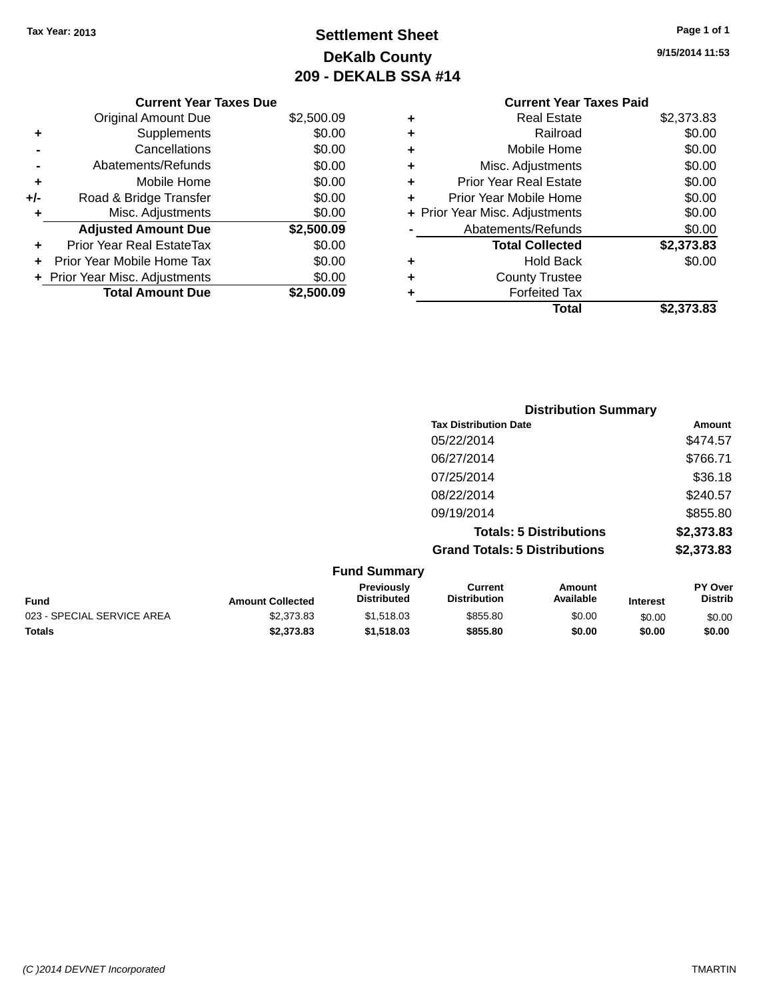**Current Year Taxes Due** Original Amount Due \$2,500.09

**Adjusted Amount Due \$2,500.09**

**Total Amount Due \$2,500.09**

**+** Supplements \$0.00 **-** Cancellations \$0.00 **-** Abatements/Refunds \$0.00 **+** Mobile Home \$0.00 **+/-** Road & Bridge Transfer \$0.00 **+** Misc. Adjustments \$0.00

**+** Prior Year Real EstateTax \$0.00 **+** Prior Year Mobile Home Tax \$0.00 **+** Prior Year Misc. Adjustments  $$0.00$ 

## **Settlement Sheet Tax Year: 2013 Page 1 of 1 DeKalb County 209 - DEKALB SSA #14**

**9/15/2014 11:53**

#### **Current Year Taxes Paid +** Real Estate \$2,373.83 **+** Railroad \$0.00 **+** Mobile Home \$0.00 **+** Misc. Adjustments \$0.00 **+** Prior Year Real Estate \$0.00 **+** Prior Year Mobile Home \$0.00 **+** Prior Year Misc. Adjustments  $$0.00$ Abatements/Refunds \$0.00 **Total Collected \$2,373.83 +** Hold Back \$0.00 **+** County Trustee **+** Forfeited Tax **Total \$2,373.83**

|                            |                         | <b>Distribution Summary</b>      |                                       |                                |                 |                           |
|----------------------------|-------------------------|----------------------------------|---------------------------------------|--------------------------------|-----------------|---------------------------|
|                            |                         |                                  | <b>Tax Distribution Date</b>          |                                |                 | Amount                    |
|                            |                         |                                  | 05/22/2014                            |                                |                 | \$474.57                  |
|                            |                         |                                  | 06/27/2014                            |                                |                 | \$766.71                  |
|                            |                         |                                  | 07/25/2014                            |                                |                 | \$36.18                   |
|                            |                         |                                  | 08/22/2014                            |                                |                 | \$240.57                  |
|                            |                         |                                  | 09/19/2014                            |                                |                 | \$855.80                  |
|                            |                         |                                  |                                       | <b>Totals: 5 Distributions</b> |                 | \$2,373.83                |
|                            |                         |                                  | <b>Grand Totals: 5 Distributions</b>  |                                |                 | \$2,373.83                |
|                            |                         | <b>Fund Summary</b>              |                                       |                                |                 |                           |
| <b>Fund</b>                | <b>Amount Collected</b> | Previously<br><b>Distributed</b> | <b>Current</b><br><b>Distribution</b> | <b>Amount</b><br>Available     | <b>Interest</b> | PY Over<br><b>Distrib</b> |
| 023 - SPECIAL SERVICE AREA | \$2,373.83              | \$1,518.03                       | \$855.80                              | \$0.00                         | \$0.00          | \$0.00                    |

**Totals \$2,373.83 \$1,518.03 \$855.80 \$0.00 \$0.00 \$0.00**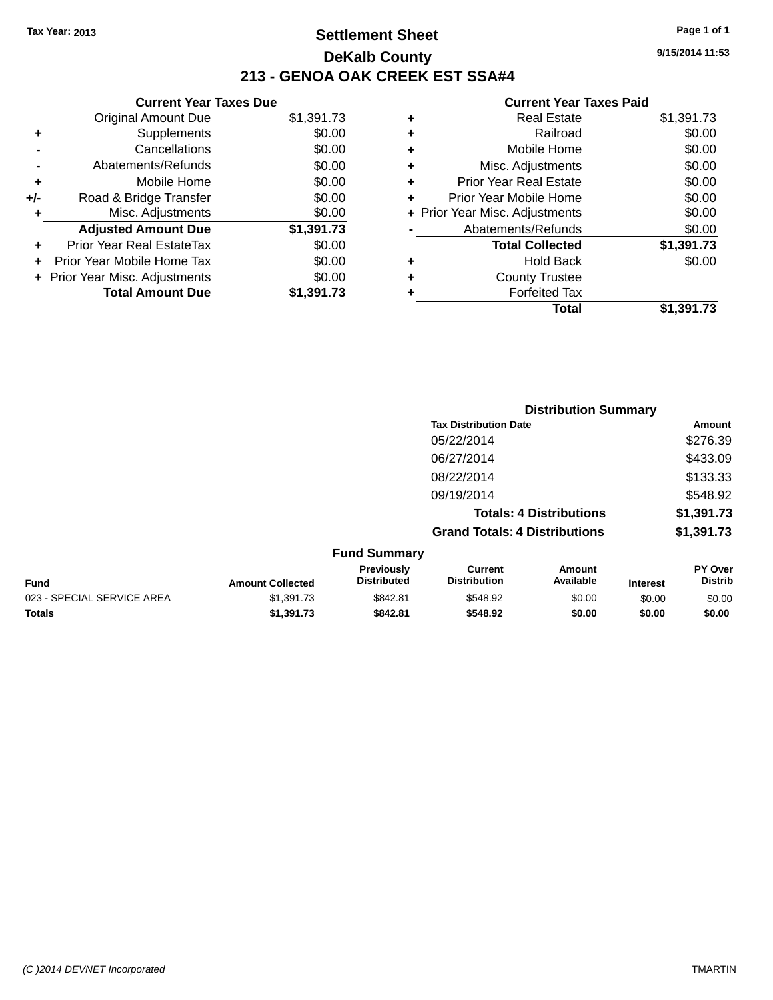## **Settlement Sheet Tax Year: 2013 Page 1 of 1 DeKalb County 213 - GENOA OAK CREEK EST SSA#4**

|       | <b>Current Year Taxes Due</b>    |            |
|-------|----------------------------------|------------|
|       | <b>Original Amount Due</b>       | \$1,391.73 |
|       | Supplements                      | \$0.00     |
|       | Cancellations                    | \$0.00     |
|       | Abatements/Refunds               | \$0.00     |
| ÷     | Mobile Home                      | \$0.00     |
| $+/-$ | Road & Bridge Transfer           | \$0.00     |
| ٠     | Misc. Adjustments                | \$0.00     |
|       | <b>Adjusted Amount Due</b>       | \$1,391.73 |
|       | <b>Prior Year Real EstateTax</b> | \$0.00     |
|       | Prior Year Mobile Home Tax       | \$0.00     |
|       | + Prior Year Misc. Adjustments   | \$0.00     |
|       | <b>Total Amount Due</b>          | \$1,391.73 |

| ٠ | <b>Real Estate</b>             | \$1,391.73 |
|---|--------------------------------|------------|
| ٠ | Railroad                       | \$0.00     |
| ٠ | Mobile Home                    | \$0.00     |
| ٠ | Misc. Adjustments              | \$0.00     |
| ٠ | <b>Prior Year Real Estate</b>  | \$0.00     |
| ÷ | Prior Year Mobile Home         | \$0.00     |
|   | + Prior Year Misc. Adjustments | \$0.00     |
|   | Abatements/Refunds             | \$0.00     |
|   | <b>Total Collected</b>         | \$1,391.73 |
| ٠ | Hold Back                      | \$0.00     |
| ٠ | <b>County Trustee</b>          |            |
| ٠ | <b>Forfeited Tax</b>           |            |
|   | Total                          | \$1,391.73 |
|   |                                |            |

|                            |                         | <b>Distribution Summary</b>      |                                       |                                |                 |                           |
|----------------------------|-------------------------|----------------------------------|---------------------------------------|--------------------------------|-----------------|---------------------------|
|                            |                         |                                  | <b>Tax Distribution Date</b>          |                                |                 | Amount                    |
|                            |                         |                                  | 05/22/2014                            |                                |                 | \$276.39                  |
|                            |                         |                                  | 06/27/2014                            |                                |                 | \$433.09                  |
|                            |                         |                                  | 08/22/2014                            |                                |                 | \$133.33                  |
|                            |                         |                                  | 09/19/2014                            |                                |                 | \$548.92                  |
|                            |                         |                                  |                                       | <b>Totals: 4 Distributions</b> |                 | \$1,391.73                |
|                            |                         |                                  | <b>Grand Totals: 4 Distributions</b>  |                                |                 | \$1,391.73                |
|                            |                         | <b>Fund Summary</b>              |                                       |                                |                 |                           |
| <b>Fund</b>                | <b>Amount Collected</b> | Previously<br><b>Distributed</b> | <b>Current</b><br><b>Distribution</b> | <b>Amount</b><br>Available     | <b>Interest</b> | PY Over<br><b>Distrib</b> |
| 023 - SPECIAL SERVICE AREA | \$1,391.73              | \$842.81                         | \$548.92                              | \$0.00                         | \$0.00          | \$0.00                    |
| <b>Totals</b>              | \$1,391.73              | \$842.81                         | \$548.92                              | \$0.00                         | \$0.00          | \$0.00                    |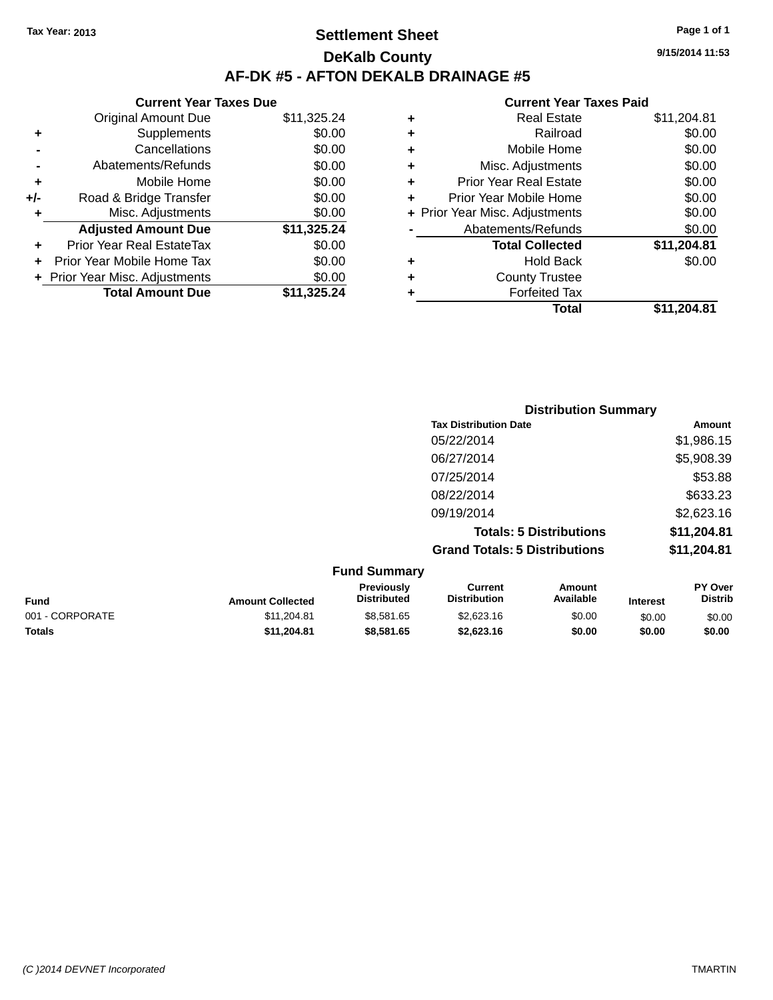## **Settlement Sheet Tax Year: 2013 Page 1 of 1 DeKalb County AF-DK #5 - AFTON DEKALB DRAINAGE #5**

|     | <b>Current Year Taxes Due</b>  |             |
|-----|--------------------------------|-------------|
|     | <b>Original Amount Due</b>     | \$11,325.24 |
| ٠   | Supplements                    | \$0.00      |
|     | Cancellations                  | \$0.00      |
|     | Abatements/Refunds             | \$0.00      |
| ٠   | Mobile Home                    | \$0.00      |
| +/- | Road & Bridge Transfer         | \$0.00      |
| ٠   | Misc. Adjustments              | \$0.00      |
|     | <b>Adjusted Amount Due</b>     | \$11,325.24 |
| ÷   | Prior Year Real EstateTax      | \$0.00      |
|     | Prior Year Mobile Home Tax     | \$0.00      |
|     | + Prior Year Misc. Adjustments | \$0.00      |
|     | <b>Total Amount Due</b>        | \$11,325.24 |

| ٠ | <b>Real Estate</b>             | \$11,204.81 |
|---|--------------------------------|-------------|
| ٠ | Railroad                       | \$0.00      |
| ٠ | Mobile Home                    | \$0.00      |
| ٠ | Misc. Adjustments              | \$0.00      |
| ٠ | <b>Prior Year Real Estate</b>  | \$0.00      |
| ٠ | Prior Year Mobile Home         | \$0.00      |
|   | + Prior Year Misc. Adjustments | \$0.00      |
|   | Abatements/Refunds             | \$0.00      |
|   | <b>Total Collected</b>         | \$11,204.81 |
| ٠ | Hold Back                      | \$0.00      |
| ٠ | <b>County Trustee</b>          |             |
| ٠ | <b>Forfeited Tax</b>           |             |
|   | Total                          | \$11,204.81 |
|   |                                |             |

| <b>Distribution Summary</b>          |             |
|--------------------------------------|-------------|
| <b>Tax Distribution Date</b>         | Amount      |
| 05/22/2014                           | \$1,986.15  |
| 06/27/2014                           | \$5,908.39  |
| 07/25/2014                           | \$53.88     |
| 08/22/2014                           | \$633.23    |
| 09/19/2014                           | \$2,623.16  |
| <b>Totals: 5 Distributions</b>       | \$11,204.81 |
| <b>Grand Totals: 5 Distributions</b> | \$11,204.81 |

| <b>Fund Summary</b> |                         |                                         |                                |                     |                 |                           |
|---------------------|-------------------------|-----------------------------------------|--------------------------------|---------------------|-----------------|---------------------------|
| Fund                | <b>Amount Collected</b> | <b>Previously</b><br><b>Distributed</b> | Current<br><b>Distribution</b> | Amount<br>Available | <b>Interest</b> | PY Over<br><b>Distrib</b> |
| 001 - CORPORATE     | \$11,204.81             | \$8,581.65                              | \$2,623.16                     | \$0.00              | \$0.00          | \$0.00                    |
| <b>Totals</b>       | \$11,204.81             | \$8,581.65                              | \$2,623.16                     | \$0.00              | \$0.00          | \$0.00                    |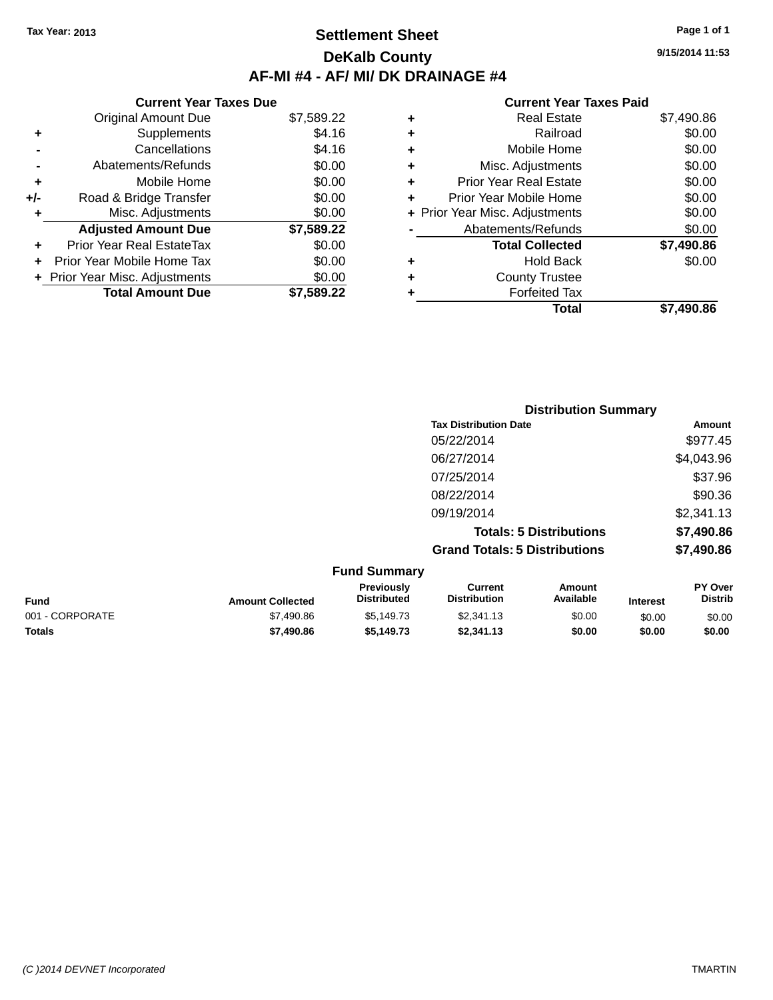## **Settlement Sheet Tax Year: 2013 Page 1 of 1 DeKalb County AF-MI #4 - AF/ MI/ DK DRAINAGE #4**

**9/15/2014 11:53**

|       | <b>Current Year Taxes Due</b>  |            |
|-------|--------------------------------|------------|
|       | <b>Original Amount Due</b>     | \$7,589.22 |
| ٠     | Supplements                    | \$4.16     |
|       | Cancellations                  | \$4.16     |
|       | Abatements/Refunds             | \$0.00     |
| ٠     | Mobile Home                    | \$0.00     |
| $+/-$ | Road & Bridge Transfer         | \$0.00     |
| ٠     | Misc. Adjustments              | \$0.00     |
|       | <b>Adjusted Amount Due</b>     | \$7,589.22 |
|       | Prior Year Real EstateTax      | \$0.00     |
|       | Prior Year Mobile Home Tax     | \$0.00     |
|       | + Prior Year Misc. Adjustments | \$0.00     |
|       | <b>Total Amount Due</b>        | \$7.589.22 |

|   | Total                          | \$7,490.86 |
|---|--------------------------------|------------|
| ٠ | <b>Forfeited Tax</b>           |            |
| ٠ | <b>County Trustee</b>          |            |
| ٠ | <b>Hold Back</b>               | \$0.00     |
|   | <b>Total Collected</b>         | \$7,490.86 |
|   | Abatements/Refunds             | \$0.00     |
|   | + Prior Year Misc. Adjustments | \$0.00     |
| ٠ | Prior Year Mobile Home         | \$0.00     |
| ÷ | <b>Prior Year Real Estate</b>  | \$0.00     |
| ٠ | Misc. Adjustments              | \$0.00     |
| ٠ | Mobile Home                    | \$0.00     |
| ٠ | Railroad                       | \$0.00     |
| ٠ | <b>Real Estate</b>             | \$7,490.86 |
|   |                                |            |

|                     | <b>Distribution Summary</b>          |            |  |  |  |
|---------------------|--------------------------------------|------------|--|--|--|
|                     | <b>Tax Distribution Date</b>         | Amount     |  |  |  |
|                     | 05/22/2014                           | \$977.45   |  |  |  |
|                     | 06/27/2014                           | \$4,043.96 |  |  |  |
|                     | 07/25/2014                           | \$37.96    |  |  |  |
|                     | 08/22/2014                           | \$90.36    |  |  |  |
|                     | 09/19/2014                           | \$2,341.13 |  |  |  |
|                     | <b>Totals: 5 Distributions</b>       | \$7,490.86 |  |  |  |
|                     | <b>Grand Totals: 5 Distributions</b> | \$7,490.86 |  |  |  |
| <b>Fund Summary</b> |                                      |            |  |  |  |

| , טווט טעווווועו א |                         |                                         |                                |                     |                 |                                  |
|--------------------|-------------------------|-----------------------------------------|--------------------------------|---------------------|-----------------|----------------------------------|
| <b>Fund</b>        | <b>Amount Collected</b> | <b>Previously</b><br><b>Distributed</b> | Current<br><b>Distribution</b> | Amount<br>Available | <b>Interest</b> | <b>PY Over</b><br><b>Distrib</b> |
| 001 - CORPORATE    | \$7,490.86              | \$5,149.73                              | \$2.341.13                     | \$0.00              | \$0.00          | \$0.00                           |
| <b>Totals</b>      | \$7,490.86              | \$5,149.73                              | \$2,341.13                     | \$0.00              | \$0.00          | \$0.00                           |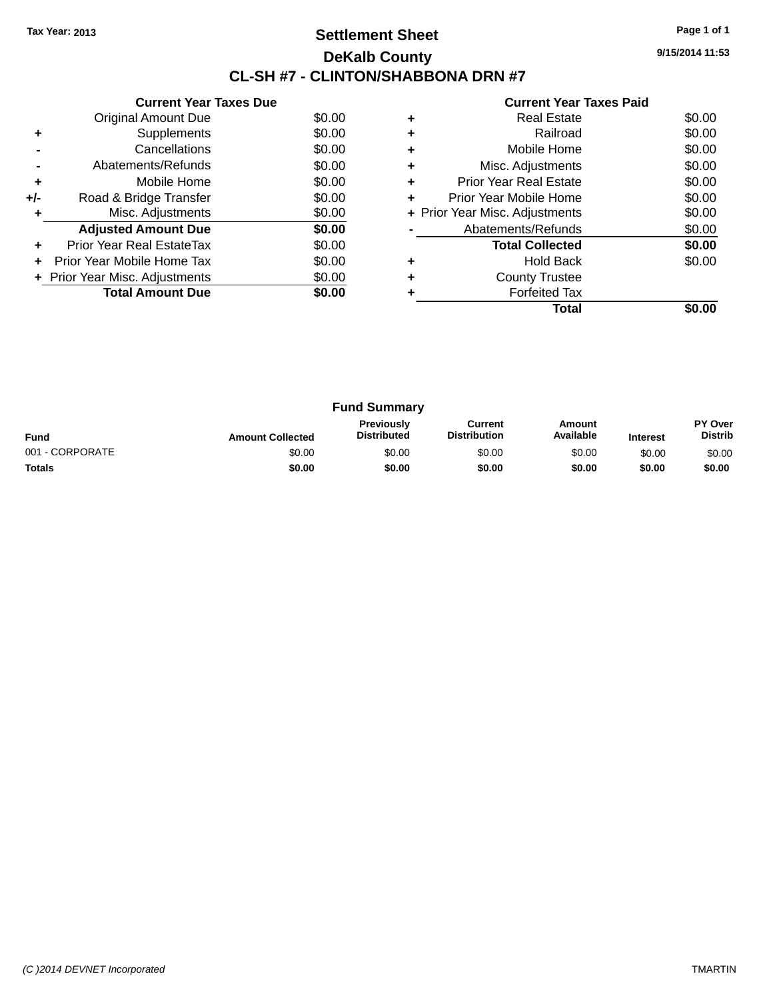## **Settlement Sheet Tax Year: 2013 Page 1 of 1 DeKalb County CL-SH #7 - CLINTON/SHABBONA DRN #7**

**9/15/2014 11:53**

|       | <b>Current Year Taxes Due</b>  |        |  |  |  |  |  |
|-------|--------------------------------|--------|--|--|--|--|--|
|       | Original Amount Due            | \$0.00 |  |  |  |  |  |
| ٠     | Supplements                    | \$0.00 |  |  |  |  |  |
|       | Cancellations                  | \$0.00 |  |  |  |  |  |
|       | Abatements/Refunds             | \$0.00 |  |  |  |  |  |
| ٠     | Mobile Home                    | \$0.00 |  |  |  |  |  |
| $+/-$ | Road & Bridge Transfer         | \$0.00 |  |  |  |  |  |
|       | Misc. Adjustments              | \$0.00 |  |  |  |  |  |
|       | <b>Adjusted Amount Due</b>     | \$0.00 |  |  |  |  |  |
|       | Prior Year Real EstateTax      | \$0.00 |  |  |  |  |  |
|       | Prior Year Mobile Home Tax     | \$0.00 |  |  |  |  |  |
|       | + Prior Year Misc. Adjustments | \$0.00 |  |  |  |  |  |
|       | <b>Total Amount Due</b>        | \$0.00 |  |  |  |  |  |
|       |                                |        |  |  |  |  |  |

| ٠ | <b>Real Estate</b>             | \$0.00 |
|---|--------------------------------|--------|
|   | Railroad                       | \$0.00 |
| ٠ | Mobile Home                    | \$0.00 |
| ٠ | Misc. Adjustments              | \$0.00 |
| ٠ | Prior Year Real Estate         | \$0.00 |
| ٠ | Prior Year Mobile Home         | \$0.00 |
|   | + Prior Year Misc. Adjustments | \$0.00 |
|   | Abatements/Refunds             | \$0.00 |
|   | <b>Total Collected</b>         | \$0.00 |
| ٠ | <b>Hold Back</b>               | \$0.00 |
| ٠ | <b>County Trustee</b>          |        |
|   | <b>Forfeited Tax</b>           |        |
|   | Total                          |        |

| <b>Fund Summary</b> |                         |                                         |                                |                     |                 |                                  |
|---------------------|-------------------------|-----------------------------------------|--------------------------------|---------------------|-----------------|----------------------------------|
| <b>Fund</b>         | <b>Amount Collected</b> | <b>Previously</b><br><b>Distributed</b> | Current<br><b>Distribution</b> | Amount<br>Available | <b>Interest</b> | <b>PY Over</b><br><b>Distrib</b> |
| 001 - CORPORATE     | \$0.00                  | \$0.00                                  | \$0.00                         | \$0.00              | \$0.00          | \$0.00                           |
| <b>Totals</b>       | \$0.00                  | \$0.00                                  | \$0.00                         | \$0.00              | \$0.00          | \$0.00                           |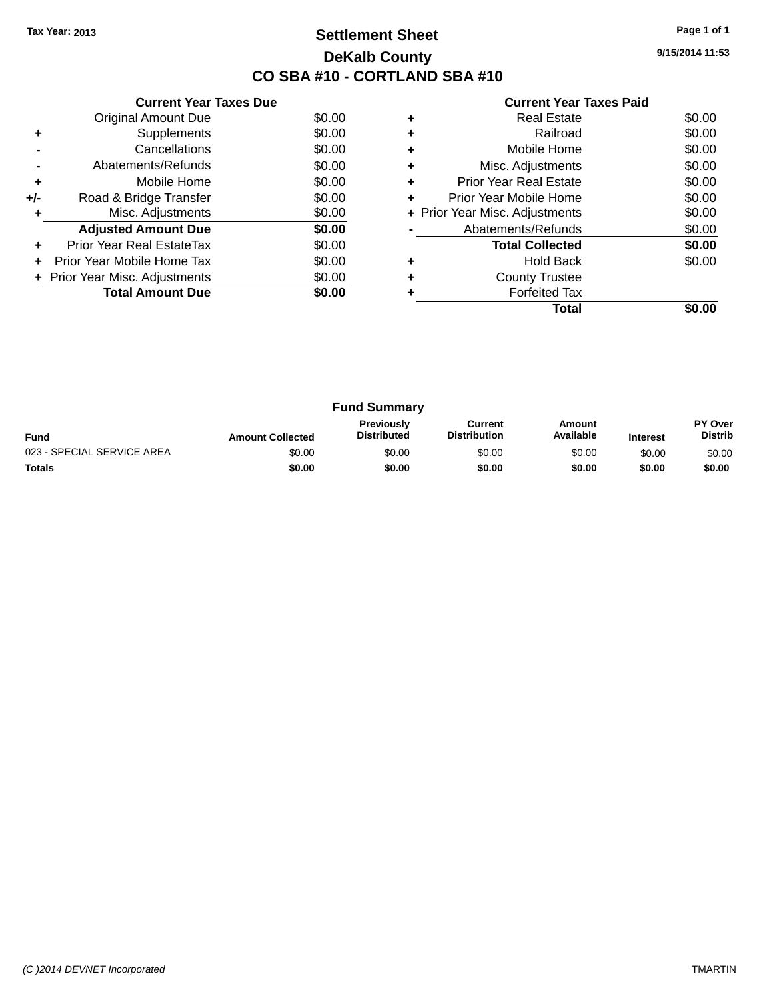## **Settlement Sheet Tax Year: 2013 Page 1 of 1 DeKalb County CO SBA #10 - CORTLAND SBA #10**

**9/15/2014 11:53**

|     | <b>Current Year Taxes Due</b>  |        |
|-----|--------------------------------|--------|
|     | <b>Original Amount Due</b>     | \$0.00 |
| ٠   | Supplements                    | \$0.00 |
|     | Cancellations                  | \$0.00 |
|     | Abatements/Refunds             | \$0.00 |
| ٠   | Mobile Home                    | \$0.00 |
| +/- | Road & Bridge Transfer         | \$0.00 |
| ٠   | Misc. Adjustments              | \$0.00 |
|     | <b>Adjusted Amount Due</b>     | \$0.00 |
| ٠   | Prior Year Real EstateTax      | \$0.00 |
| ÷   | Prior Year Mobile Home Tax     | \$0.00 |
|     | + Prior Year Misc. Adjustments | \$0.00 |
|     | <b>Total Amount Due</b>        | \$0.00 |
|     |                                |        |

|   | <b>Real Estate</b>             | \$0.00 |
|---|--------------------------------|--------|
| ٠ | Railroad                       | \$0.00 |
| ٠ | Mobile Home                    | \$0.00 |
| ٠ | Misc. Adjustments              | \$0.00 |
| ٠ | <b>Prior Year Real Estate</b>  | \$0.00 |
| ٠ | Prior Year Mobile Home         | \$0.00 |
|   | + Prior Year Misc. Adjustments | \$0.00 |
|   | Abatements/Refunds             | \$0.00 |
|   | <b>Total Collected</b>         | \$0.00 |
|   | <b>Hold Back</b>               | \$0.00 |
| ٠ | <b>County Trustee</b>          |        |
|   | <b>Forfeited Tax</b>           |        |
|   | Total                          |        |

|                            |                         | <b>Fund Summary</b>                     |                                |                     |                 |                           |
|----------------------------|-------------------------|-----------------------------------------|--------------------------------|---------------------|-----------------|---------------------------|
| <b>Fund</b>                | <b>Amount Collected</b> | <b>Previously</b><br><b>Distributed</b> | Current<br><b>Distribution</b> | Amount<br>Available | <b>Interest</b> | PY Over<br><b>Distrib</b> |
| 023 - SPECIAL SERVICE AREA | \$0.00                  | \$0.00                                  | \$0.00                         | \$0.00              | \$0.00          | \$0.00                    |
| <b>Totals</b>              | \$0.00                  | \$0.00                                  | \$0.00                         | \$0.00              | \$0.00          | \$0.00                    |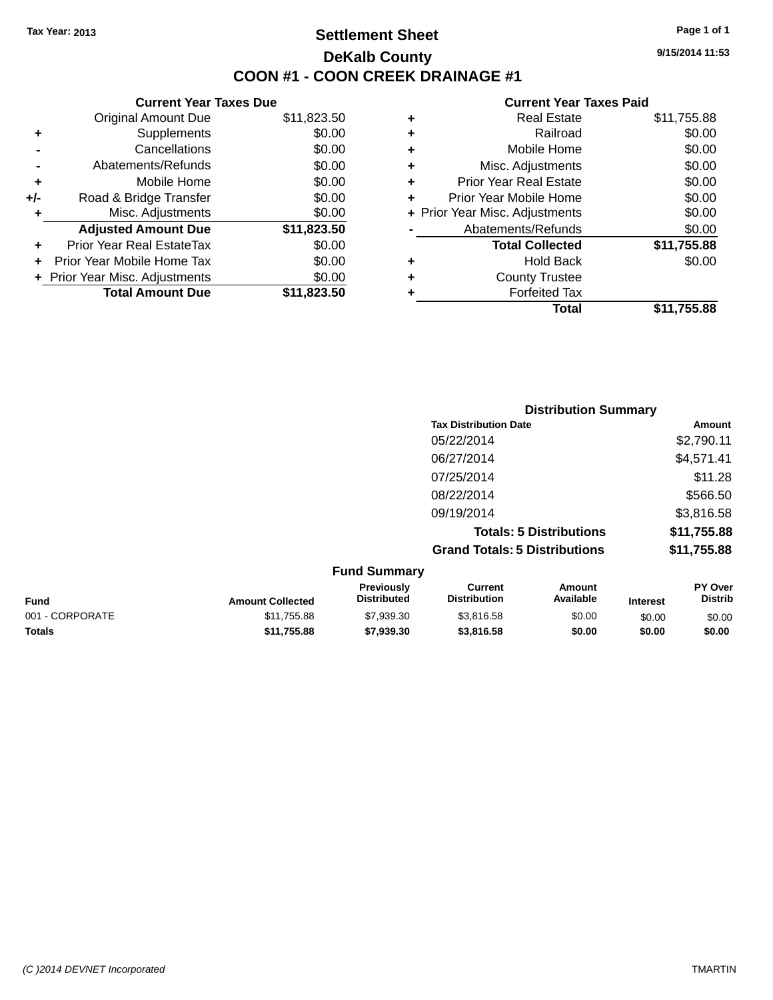## **Settlement Sheet Tax Year: 2013 Page 1 of 1 DeKalb County COON #1 - COON CREEK DRAINAGE #1**

**9/15/2014 11:53**

|     | <b>Current Year Taxes Due</b>  |             |
|-----|--------------------------------|-------------|
|     | <b>Original Amount Due</b>     | \$11,823.50 |
| ٠   | Supplements                    | \$0.00      |
|     | Cancellations                  | \$0.00      |
|     | Abatements/Refunds             | \$0.00      |
| ٠   | Mobile Home                    | \$0.00      |
| +/- | Road & Bridge Transfer         | \$0.00      |
| ٠   | Misc. Adjustments              | \$0.00      |
|     | <b>Adjusted Amount Due</b>     | \$11,823.50 |
| ÷   | Prior Year Real EstateTax      | \$0.00      |
|     | Prior Year Mobile Home Tax     | \$0.00      |
|     | + Prior Year Misc. Adjustments | \$0.00      |
|     | <b>Total Amount Due</b>        | \$11,823,50 |

| ٠ | <b>Real Estate</b>             | \$11,755.88 |
|---|--------------------------------|-------------|
| ٠ | Railroad                       | \$0.00      |
| ٠ | Mobile Home                    | \$0.00      |
| ٠ | Misc. Adjustments              | \$0.00      |
| ٠ | <b>Prior Year Real Estate</b>  | \$0.00      |
| ٠ | Prior Year Mobile Home         | \$0.00      |
|   | + Prior Year Misc. Adjustments | \$0.00      |
|   | Abatements/Refunds             | \$0.00      |
|   | <b>Total Collected</b>         | \$11,755.88 |
| ٠ | <b>Hold Back</b>               | \$0.00      |
| ٠ | <b>County Trustee</b>          |             |
| ٠ | <b>Forfeited Tax</b>           |             |
|   | Total                          | \$11,755.88 |
|   |                                |             |

| <b>Distribution Summary</b>          |             |
|--------------------------------------|-------------|
| <b>Tax Distribution Date</b>         | Amount      |
| 05/22/2014                           | \$2,790.11  |
| 06/27/2014                           | \$4,571.41  |
| 07/25/2014                           | \$11.28     |
| 08/22/2014                           | \$566.50    |
| 09/19/2014                           | \$3,816.58  |
| <b>Totals: 5 Distributions</b>       | \$11,755.88 |
| <b>Grand Totals: 5 Distributions</b> | \$11,755.88 |

|                 |                         | <b>Fund Summary</b>              |                                |                     |                 |                           |
|-----------------|-------------------------|----------------------------------|--------------------------------|---------------------|-----------------|---------------------------|
| <b>Fund</b>     | <b>Amount Collected</b> | <b>Previously</b><br>Distributed | Current<br><b>Distribution</b> | Amount<br>Available | <b>Interest</b> | PY Over<br><b>Distrib</b> |
| 001 - CORPORATE | \$11,755.88             | \$7,939.30                       | \$3.816.58                     | \$0.00              | \$0.00          | \$0.00                    |
| <b>Totals</b>   | \$11,755.88             | \$7,939,30                       | \$3,816,58                     | \$0.00              | \$0.00          | \$0.00                    |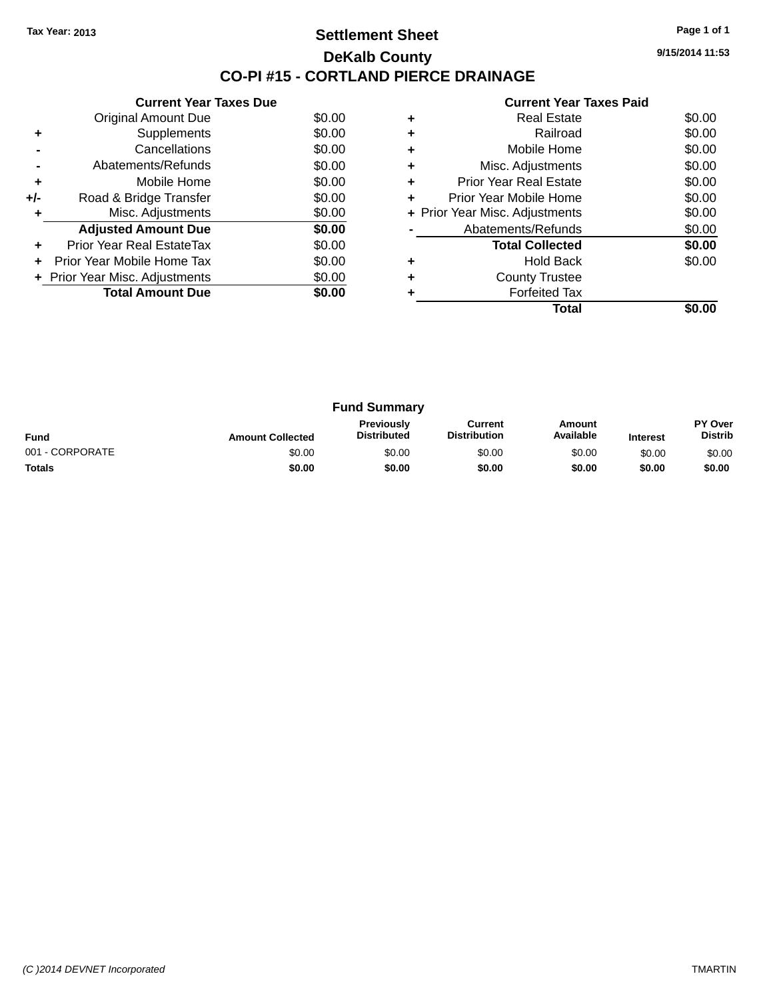## **Settlement Sheet Tax Year: 2013 Page 1 of 1 DeKalb County CO-PI #15 - CORTLAND PIERCE DRAINAGE**

**9/15/2014 11:53**

|     | <b>Current Year Taxes Due</b>  |        |
|-----|--------------------------------|--------|
|     | Original Amount Due            | \$0.00 |
| ٠   | Supplements                    | \$0.00 |
|     | Cancellations                  | \$0.00 |
|     | Abatements/Refunds             | \$0.00 |
| ٠   | Mobile Home                    | \$0.00 |
| +/- | Road & Bridge Transfer         | \$0.00 |
| ٠   | Misc. Adjustments              | \$0.00 |
|     | <b>Adjusted Amount Due</b>     | \$0.00 |
| ٠   | Prior Year Real EstateTax      | \$0.00 |
| ÷   | Prior Year Mobile Home Tax     | \$0.00 |
|     | + Prior Year Misc. Adjustments | \$0.00 |
|     | <b>Total Amount Due</b>        | \$0.00 |
|     |                                |        |

|   | <b>Real Estate</b>             | \$0.00 |
|---|--------------------------------|--------|
|   | Railroad                       | \$0.00 |
| ٠ | Mobile Home                    | \$0.00 |
| ٠ | Misc. Adjustments              | \$0.00 |
| ٠ | Prior Year Real Estate         | \$0.00 |
| ٠ | Prior Year Mobile Home         | \$0.00 |
|   | + Prior Year Misc. Adjustments | \$0.00 |
|   | Abatements/Refunds             | \$0.00 |
|   | <b>Total Collected</b>         | \$0.00 |
|   | <b>Hold Back</b>               | \$0.00 |
|   | <b>County Trustee</b>          |        |
|   | <b>Forfeited Tax</b>           |        |
|   | Total                          |        |

|                 |                         | <b>Fund Summary</b>                     |                                |                     |                 |                           |
|-----------------|-------------------------|-----------------------------------------|--------------------------------|---------------------|-----------------|---------------------------|
| <b>Fund</b>     | <b>Amount Collected</b> | <b>Previously</b><br><b>Distributed</b> | Current<br><b>Distribution</b> | Amount<br>Available | <b>Interest</b> | PY Over<br><b>Distrib</b> |
| 001 - CORPORATE | \$0.00                  | \$0.00                                  | \$0.00                         | \$0.00              | \$0.00          | \$0.00                    |
| <b>Totals</b>   | \$0.00                  | \$0.00                                  | \$0.00                         | \$0.00              | \$0.00          | \$0.00                    |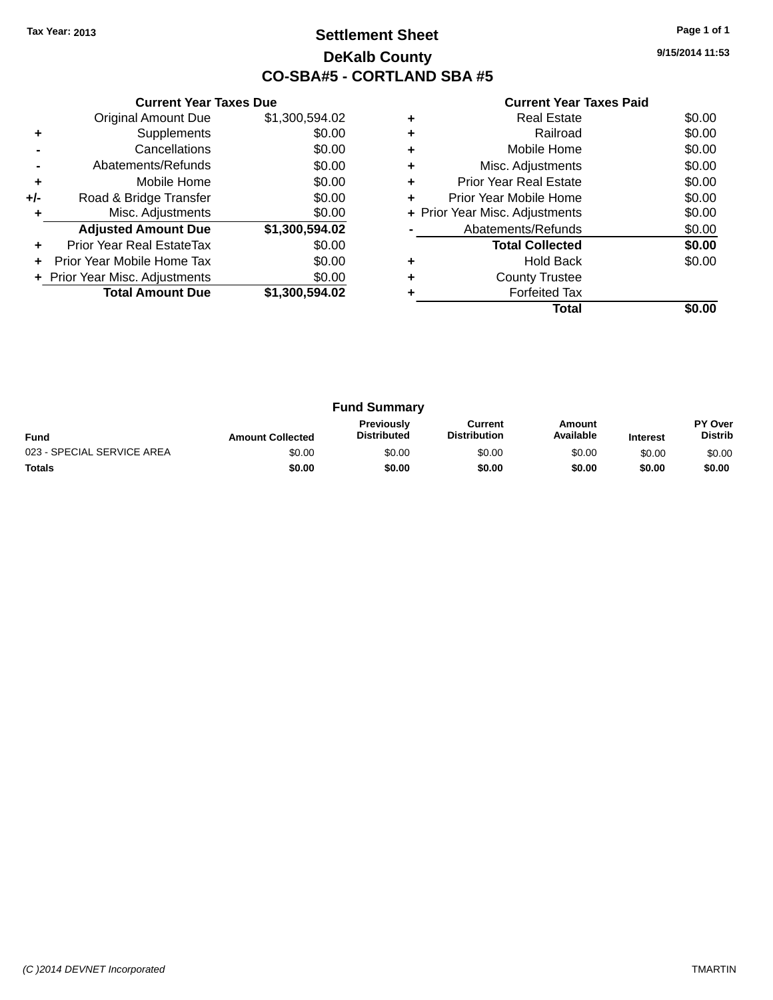## **Settlement Sheet Tax Year: 2013 Page 1 of 1 DeKalb County CO-SBA#5 - CORTLAND SBA #5**

**9/15/2014 11:53**

|     | <b>Current Year Taxes Due</b>  |                |  |  |  |
|-----|--------------------------------|----------------|--|--|--|
|     | <b>Original Amount Due</b>     | \$1,300,594.02 |  |  |  |
| ٠   | Supplements                    | \$0.00         |  |  |  |
|     | Cancellations                  | \$0.00         |  |  |  |
|     | Abatements/Refunds             | \$0.00         |  |  |  |
| ٠   | Mobile Home                    | \$0.00         |  |  |  |
| +/- | Road & Bridge Transfer         | \$0.00         |  |  |  |
| ٠   | Misc. Adjustments              | \$0.00         |  |  |  |
|     | <b>Adjusted Amount Due</b>     | \$1,300,594.02 |  |  |  |
| ÷   | Prior Year Real EstateTax      | \$0.00         |  |  |  |
| ÷   | Prior Year Mobile Home Tax     | \$0.00         |  |  |  |
|     | + Prior Year Misc. Adjustments | \$0.00         |  |  |  |
|     | <b>Total Amount Due</b>        | \$1,300,594.02 |  |  |  |
|     |                                |                |  |  |  |

|   | <b>Real Estate</b>             | \$0.00 |
|---|--------------------------------|--------|
| ÷ | Railroad                       | \$0.00 |
| ٠ | Mobile Home                    | \$0.00 |
|   | Misc. Adjustments              | \$0.00 |
|   | <b>Prior Year Real Estate</b>  | \$0.00 |
|   | Prior Year Mobile Home         | \$0.00 |
|   | + Prior Year Misc. Adjustments | \$0.00 |
|   | Abatements/Refunds             | \$0.00 |
|   | <b>Total Collected</b>         | \$0.00 |
|   | <b>Hold Back</b>               | \$0.00 |
|   | <b>County Trustee</b>          |        |
|   | <b>Forfeited Tax</b>           |        |
|   | Total                          |        |
|   |                                |        |

|                            |                         | <b>Fund Summary</b>                     |                                |                     |                 |                                  |
|----------------------------|-------------------------|-----------------------------------------|--------------------------------|---------------------|-----------------|----------------------------------|
| <b>Fund</b>                | <b>Amount Collected</b> | <b>Previously</b><br><b>Distributed</b> | Current<br><b>Distribution</b> | Amount<br>Available | <b>Interest</b> | <b>PY Over</b><br><b>Distrib</b> |
| 023 - SPECIAL SERVICE AREA | \$0.00                  | \$0.00                                  | \$0.00                         | \$0.00              | \$0.00          | \$0.00                           |
| <b>Totals</b>              | \$0.00                  | \$0.00                                  | \$0.00                         | \$0.00              | \$0.00          | \$0.00                           |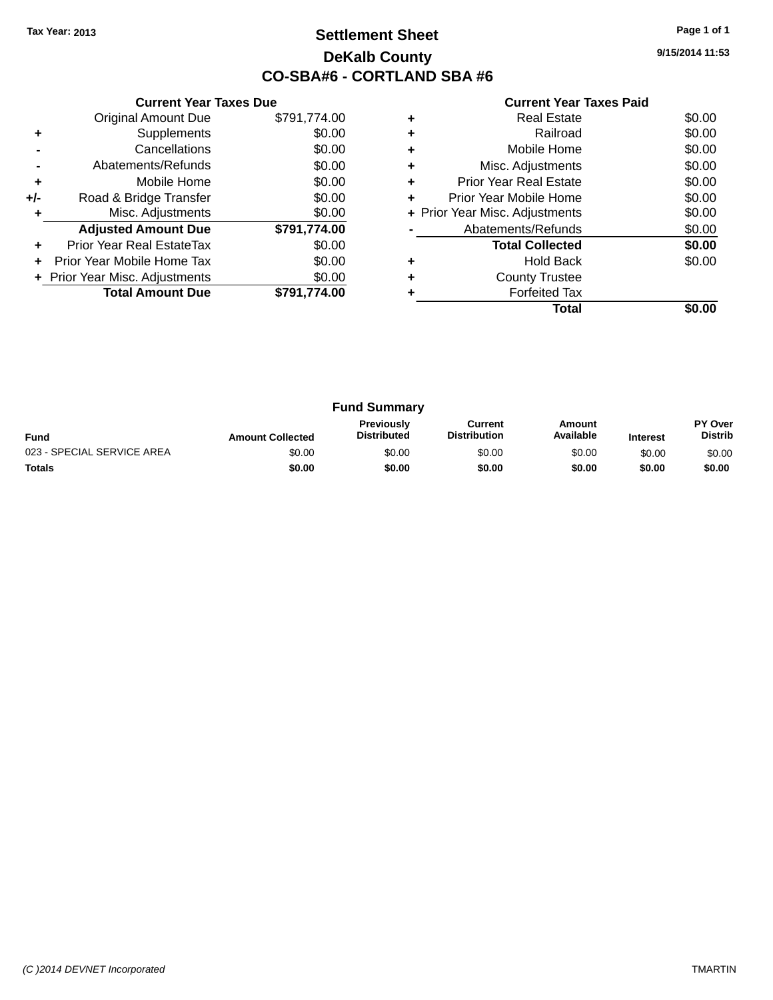## **Settlement Sheet Tax Year: 2013 Page 1 of 1 DeKalb County CO-SBA#6 - CORTLAND SBA #6**

**9/15/2014 11:53**

| <b>Current Year Taxes Paid</b> |  |  |  |
|--------------------------------|--|--|--|
|--------------------------------|--|--|--|

|     | <b>Current Year Taxes Due</b>  |              |
|-----|--------------------------------|--------------|
|     | Original Amount Due            | \$791,774.00 |
| ٠   | Supplements                    | \$0.00       |
|     | Cancellations                  | \$0.00       |
|     | Abatements/Refunds             | \$0.00       |
| ٠   | Mobile Home                    | \$0.00       |
| +/- | Road & Bridge Transfer         | \$0.00       |
| ٠   | Misc. Adjustments              | \$0.00       |
|     | <b>Adjusted Amount Due</b>     | \$791,774.00 |
| ٠   | Prior Year Real EstateTax      | \$0.00       |
| ÷   | Prior Year Mobile Home Tax     | \$0.00       |
|     | + Prior Year Misc. Adjustments | \$0.00       |
|     | <b>Total Amount Due</b>        | \$791.774.00 |
|     |                                |              |

|   | Real Estate                    | \$0.00 |
|---|--------------------------------|--------|
|   | Railroad                       | \$0.00 |
|   | Mobile Home                    | \$0.00 |
|   | Misc. Adjustments              | \$0.00 |
| ÷ | <b>Prior Year Real Estate</b>  | \$0.00 |
| ÷ | Prior Year Mobile Home         | \$0.00 |
|   | + Prior Year Misc. Adjustments | \$0.00 |
|   | Abatements/Refunds             | \$0.00 |
|   | <b>Total Collected</b>         | \$0.00 |
|   | <b>Hold Back</b>               | \$0.00 |
|   | <b>County Trustee</b>          |        |
|   | <b>Forfeited Tax</b>           |        |
|   | Total                          |        |

|                            |                         | <b>Fund Summary</b>                     |                                |                     |                 |                           |
|----------------------------|-------------------------|-----------------------------------------|--------------------------------|---------------------|-----------------|---------------------------|
| <b>Fund</b>                | <b>Amount Collected</b> | <b>Previously</b><br><b>Distributed</b> | Current<br><b>Distribution</b> | Amount<br>Available | <b>Interest</b> | PY Over<br><b>Distrib</b> |
| 023 - SPECIAL SERVICE AREA | \$0.00                  | \$0.00                                  | \$0.00                         | \$0.00              | \$0.00          | \$0.00                    |
| <b>Totals</b>              | \$0.00                  | \$0.00                                  | \$0.00                         | \$0.00              | \$0.00          | \$0.00                    |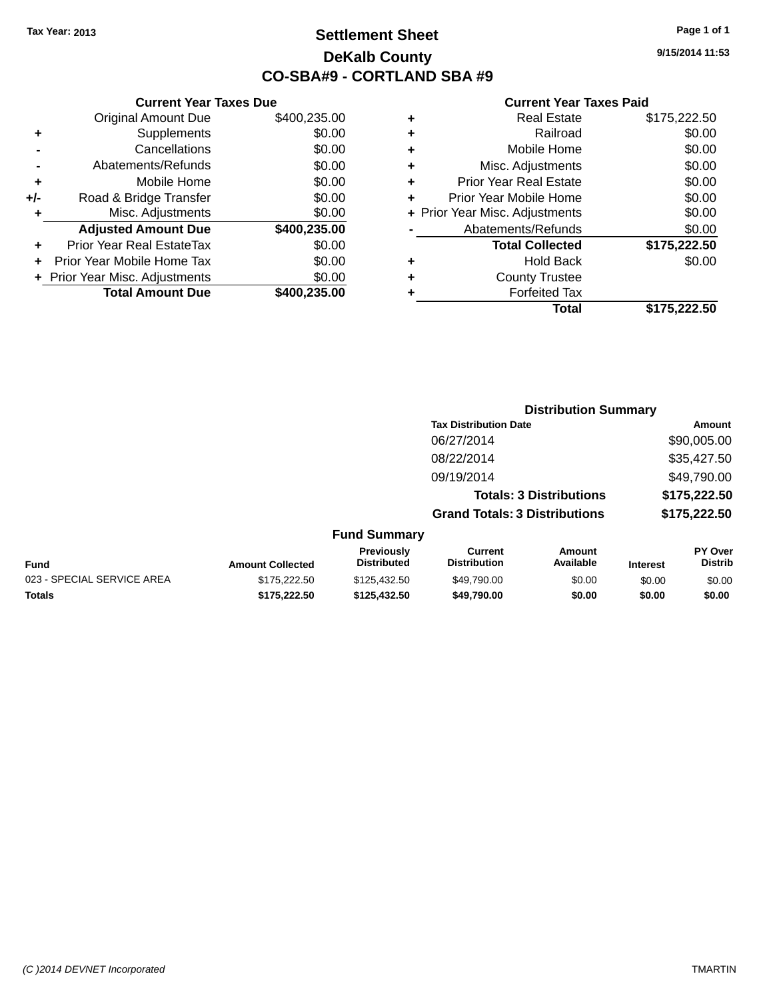## **Settlement Sheet Tax Year: 2013 Page 1 of 1 DeKalb County CO-SBA#9 - CORTLAND SBA #9**

**9/15/2014 11:53**

|     | <b>Current Year Taxes Due</b>  |              |
|-----|--------------------------------|--------------|
|     | <b>Original Amount Due</b>     | \$400,235.00 |
| ٠   | Supplements                    | \$0.00       |
|     | Cancellations                  | \$0.00       |
|     | Abatements/Refunds             | \$0.00       |
| ٠   | Mobile Home                    | \$0.00       |
| +/- | Road & Bridge Transfer         | \$0.00       |
| ٠   | Misc. Adjustments              | \$0.00       |
|     | <b>Adjusted Amount Due</b>     | \$400,235.00 |
|     | Prior Year Real EstateTax      | \$0.00       |
|     | Prior Year Mobile Home Tax     | \$0.00       |
|     | + Prior Year Misc. Adjustments | \$0.00       |
|     | <b>Total Amount Due</b>        | \$400,235.00 |
|     |                                |              |

|   | <b>Real Estate</b>             | \$175,222.50 |
|---|--------------------------------|--------------|
| ٠ | Railroad                       | \$0.00       |
| ٠ | Mobile Home                    | \$0.00       |
| ٠ | Misc. Adjustments              | \$0.00       |
| ٠ | <b>Prior Year Real Estate</b>  | \$0.00       |
| ٠ | Prior Year Mobile Home         | \$0.00       |
|   | + Prior Year Misc. Adjustments | \$0.00       |
|   | Abatements/Refunds             | \$0.00       |
|   | <b>Total Collected</b>         | \$175,222.50 |
| ٠ | <b>Hold Back</b>               | \$0.00       |
| ٠ | <b>County Trustee</b>          |              |
| ٠ | <b>Forfeited Tax</b>           |              |
|   | Total                          | \$175,222.50 |
|   |                                |              |

|                            |                         |                                  | <b>Distribution Summary</b>           |                                |                 |                           |  |
|----------------------------|-------------------------|----------------------------------|---------------------------------------|--------------------------------|-----------------|---------------------------|--|
|                            |                         |                                  | <b>Tax Distribution Date</b>          |                                |                 | <b>Amount</b>             |  |
|                            |                         |                                  | 06/27/2014                            |                                |                 | \$90,005.00               |  |
|                            |                         |                                  | 08/22/2014                            |                                |                 | \$35,427.50               |  |
|                            |                         |                                  | 09/19/2014                            |                                |                 | \$49,790.00               |  |
|                            |                         |                                  |                                       | <b>Totals: 3 Distributions</b> |                 | \$175,222.50              |  |
|                            |                         |                                  | <b>Grand Totals: 3 Distributions</b>  |                                |                 | \$175,222.50              |  |
|                            |                         | <b>Fund Summary</b>              |                                       |                                |                 |                           |  |
| <b>Fund</b>                | <b>Amount Collected</b> | Previously<br><b>Distributed</b> | <b>Current</b><br><b>Distribution</b> | Amount<br>Available            | <b>Interest</b> | PY Over<br><b>Distrib</b> |  |
| 023 - SPECIAL SERVICE AREA | \$175,222.50            | \$125,432.50                     | \$49,790.00                           | \$0.00                         | \$0.00          | \$0.00                    |  |
| <b>Totals</b>              | \$175,222.50            | \$125,432.50                     | \$49,790.00                           | \$0.00                         | \$0.00          | \$0.00                    |  |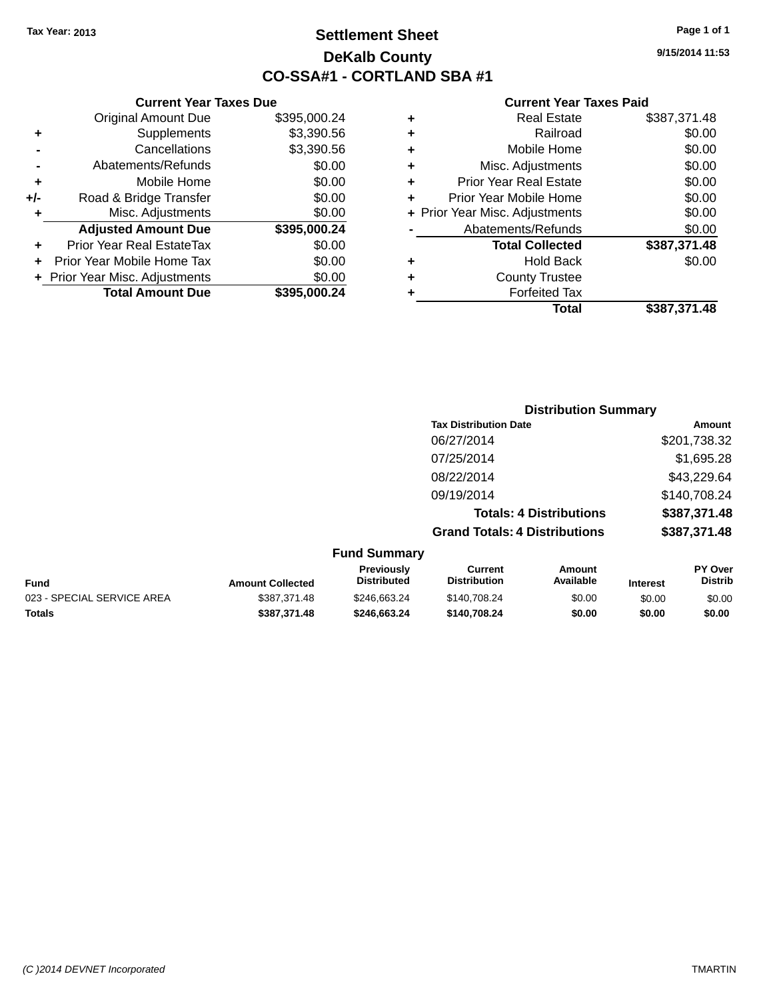## **Settlement Sheet Tax Year: 2013 Page 1 of 1 DeKalb County CO-SSA#1 - CORTLAND SBA #1**

**9/15/2014 11:53**

|   | <b>Real Estate</b>             | \$387,371.48 |
|---|--------------------------------|--------------|
| ٠ | Railroad                       | \$0.00       |
| ٠ | Mobile Home                    | \$0.00       |
| ٠ | Misc. Adjustments              | \$0.00       |
| ٠ | <b>Prior Year Real Estate</b>  | \$0.00       |
| ٠ | Prior Year Mobile Home         | \$0.00       |
|   | + Prior Year Misc. Adjustments | \$0.00       |
|   | Abatements/Refunds             | \$0.00       |
|   | <b>Total Collected</b>         | \$387,371.48 |
| ٠ | <b>Hold Back</b>               | \$0.00       |
| ٠ | <b>County Trustee</b>          |              |
|   | <b>Forfeited Tax</b>           |              |
|   | Total                          | \$387,371.48 |

|     | <b>Current Year Taxes Due</b>  |              |
|-----|--------------------------------|--------------|
|     | <b>Original Amount Due</b>     | \$395,000.24 |
| ٠   | Supplements                    | \$3,390.56   |
|     | Cancellations                  | \$3,390.56   |
|     | Abatements/Refunds             | \$0.00       |
| ٠   | Mobile Home                    | \$0.00       |
| +/- | Road & Bridge Transfer         | \$0.00       |
| ٠   | Misc. Adjustments              | \$0.00       |
|     | <b>Adjusted Amount Due</b>     | \$395,000.24 |
| ٠   | Prior Year Real EstateTax      | \$0.00       |
|     | Prior Year Mobile Home Tax     | \$0.00       |
|     | + Prior Year Misc. Adjustments | \$0.00       |
|     | <b>Total Amount Due</b>        | \$395,000.24 |
|     |                                |              |

|   | <b>Distribution Summary</b>          |              |
|---|--------------------------------------|--------------|
|   | <b>Tax Distribution Date</b>         | Amount       |
|   | 06/27/2014                           | \$201,738.32 |
|   | 07/25/2014                           | \$1,695.28   |
|   | 08/22/2014                           | \$43,229.64  |
|   | 09/19/2014                           | \$140,708.24 |
|   | <b>Totals: 4 Distributions</b>       | \$387,371.48 |
|   | <b>Grand Totals: 4 Distributions</b> | \$387,371.48 |
| . |                                      |              |

|  |  | <b>Fund Summary</b> |
|--|--|---------------------|
|--|--|---------------------|

| Fund                       | <b>Amount Collected</b> | Previously<br><b>Distributed</b> | Current<br><b>Distribution</b> | Amount<br>Available | <b>Interest</b> | <b>PY Over</b><br><b>Distrib</b> |
|----------------------------|-------------------------|----------------------------------|--------------------------------|---------------------|-----------------|----------------------------------|
| 023 - SPECIAL SERVICE AREA | \$387.371.48            | \$246.663.24                     | \$140.708.24                   | \$0.00              | \$0.00          | \$0.00                           |
| Totals                     | \$387.371.48            | \$246.663.24                     | \$140.708.24                   | \$0.00              | \$0.00          | \$0.00                           |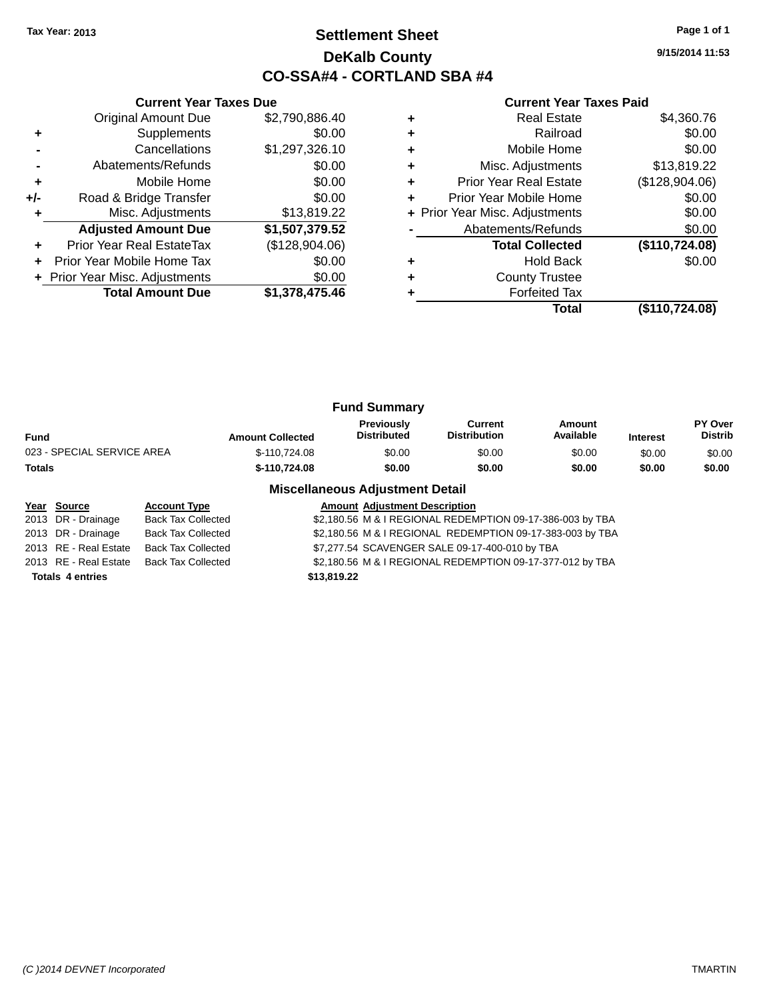## **Settlement Sheet Tax Year: 2013 Page 1 of 1 DeKalb County CO-SSA#4 - CORTLAND SBA #4**

**9/15/2014 11:53**

#### **Current Year Taxes Paid**

|     | <b>Current Year Taxes Due</b>  |                |  |  |  |  |  |
|-----|--------------------------------|----------------|--|--|--|--|--|
|     | <b>Original Amount Due</b>     | \$2,790,886.40 |  |  |  |  |  |
| ٠   | Supplements                    | \$0.00         |  |  |  |  |  |
|     | Cancellations                  | \$1,297,326.10 |  |  |  |  |  |
|     | Abatements/Refunds             | \$0.00         |  |  |  |  |  |
| ٠   | Mobile Home                    | \$0.00         |  |  |  |  |  |
| +/- | Road & Bridge Transfer         | \$0.00         |  |  |  |  |  |
|     | Misc. Adjustments              | \$13,819.22    |  |  |  |  |  |
|     | <b>Adjusted Amount Due</b>     | \$1,507,379.52 |  |  |  |  |  |
| ٠   | Prior Year Real EstateTax      | (\$128,904.06) |  |  |  |  |  |
|     | Prior Year Mobile Home Tax     | \$0.00         |  |  |  |  |  |
|     | + Prior Year Misc. Adjustments | \$0.00         |  |  |  |  |  |
|     | <b>Total Amount Due</b>        | \$1,378,475.46 |  |  |  |  |  |

|   | <b>Real Estate</b>             | \$4,360.76     |
|---|--------------------------------|----------------|
|   | Railroad                       | \$0.00         |
|   | Mobile Home                    | \$0.00         |
| ٠ | Misc. Adjustments              | \$13,819.22    |
| ٠ | <b>Prior Year Real Estate</b>  | (\$128,904.06) |
| ÷ | Prior Year Mobile Home         | \$0.00         |
|   | + Prior Year Misc. Adjustments | \$0.00         |
|   | Abatements/Refunds             | \$0.00         |
|   | <b>Total Collected</b>         | (\$110,724.08) |
|   | <b>Hold Back</b>               | \$0.00         |
|   | <b>County Trustee</b>          |                |
|   | <b>Forfeited Tax</b>           |                |
|   | Total                          | (\$110,724.08) |

| <b>Fund Summary</b>        |                         |                                         |                                |                     |                 |                           |
|----------------------------|-------------------------|-----------------------------------------|--------------------------------|---------------------|-----------------|---------------------------|
| Fund                       | <b>Amount Collected</b> | <b>Previously</b><br><b>Distributed</b> | Current<br><b>Distribution</b> | Amount<br>Available | <b>Interest</b> | PY Over<br><b>Distrib</b> |
| 023 - SPECIAL SERVICE AREA | \$-110,724.08           | \$0.00                                  | \$0.00                         | \$0.00              | \$0.00          | \$0.00                    |
| Totals                     | \$-110.724.08           | \$0.00                                  | \$0.00                         | \$0.00              | \$0.00          | \$0.00                    |

#### **Miscellaneous Adjustment Detail**

| Year Source             | <b>Account Type</b>       | <b>Amount Adjustment Description</b>                      |
|-------------------------|---------------------------|-----------------------------------------------------------|
| 2013 DR - Drainage      | <b>Back Tax Collected</b> | \$2,180.56 M & I REGIONAL REDEMPTION 09-17-386-003 by TBA |
| 2013 DR - Drainage      | <b>Back Tax Collected</b> | \$2,180.56 M & I REGIONAL REDEMPTION 09-17-383-003 by TBA |
| 2013 RE - Real Estate   | <b>Back Tax Collected</b> | \$7,277.54 SCAVENGER SALE 09-17-400-010 by TBA            |
| 2013 RE - Real Estate   | Back Tax Collected        | \$2,180.56 M & I REGIONAL REDEMPTION 09-17-377-012 by TBA |
| <b>Totals 4 entries</b> |                           | \$13,819.22                                               |
|                         |                           |                                                           |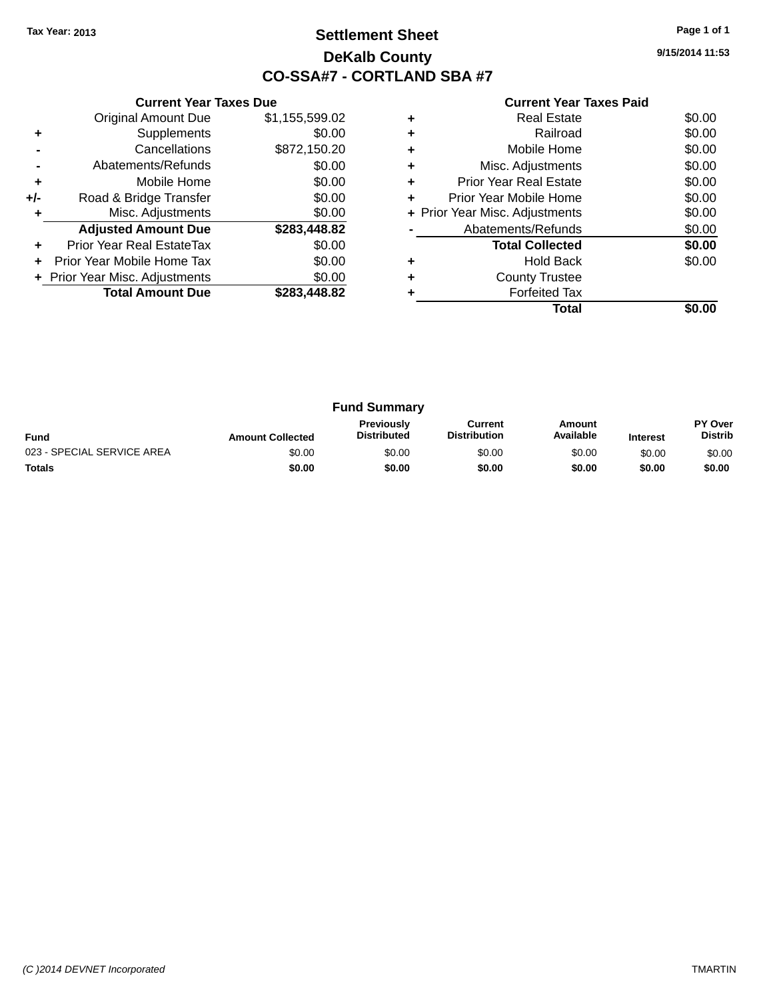## **Settlement Sheet Tax Year: 2013 Page 1 of 1 DeKalb County CO-SSA#7 - CORTLAND SBA #7**

**9/15/2014 11:53**

|     | <b>Current Year Taxes Due</b>  |                |
|-----|--------------------------------|----------------|
|     | <b>Original Amount Due</b>     | \$1,155,599.02 |
| ٠   | Supplements                    | \$0.00         |
|     | Cancellations                  | \$872,150.20   |
|     | Abatements/Refunds             | \$0.00         |
| ٠   | Mobile Home                    | \$0.00         |
| +/- | Road & Bridge Transfer         | \$0.00         |
|     | Misc. Adjustments              | \$0.00         |
|     | <b>Adjusted Amount Due</b>     | \$283,448.82   |
|     | Prior Year Real EstateTax      | \$0.00         |
|     | Prior Year Mobile Home Tax     | \$0.00         |
|     | + Prior Year Misc. Adjustments | \$0.00         |
|     | <b>Total Amount Due</b>        | \$283.448.82   |
|     |                                |                |

|   | <b>Real Estate</b>             | \$0.00 |
|---|--------------------------------|--------|
| ٠ | Railroad                       | \$0.00 |
| ٠ | Mobile Home                    | \$0.00 |
| ٠ | Misc. Adjustments              | \$0.00 |
| ٠ | <b>Prior Year Real Estate</b>  | \$0.00 |
| ٠ | Prior Year Mobile Home         | \$0.00 |
|   | + Prior Year Misc. Adjustments | \$0.00 |
|   | Abatements/Refunds             | \$0.00 |
|   | <b>Total Collected</b>         | \$0.00 |
|   | <b>Hold Back</b>               | \$0.00 |
| ٠ | <b>County Trustee</b>          |        |
|   | <b>Forfeited Tax</b>           |        |
|   | Total                          |        |

| <b>Fund Summary</b>        |                         |                                  |                                |                     |                 |                                  |
|----------------------------|-------------------------|----------------------------------|--------------------------------|---------------------|-----------------|----------------------------------|
| <b>Fund</b>                | <b>Amount Collected</b> | Previously<br><b>Distributed</b> | Current<br><b>Distribution</b> | Amount<br>Available | <b>Interest</b> | <b>PY Over</b><br><b>Distrib</b> |
| 023 - SPECIAL SERVICE AREA | \$0.00                  | \$0.00                           | \$0.00                         | \$0.00              | \$0.00          | \$0.00                           |
| <b>Totals</b>              | \$0.00                  | \$0.00                           | \$0.00                         | \$0.00              | \$0.00          | \$0.00                           |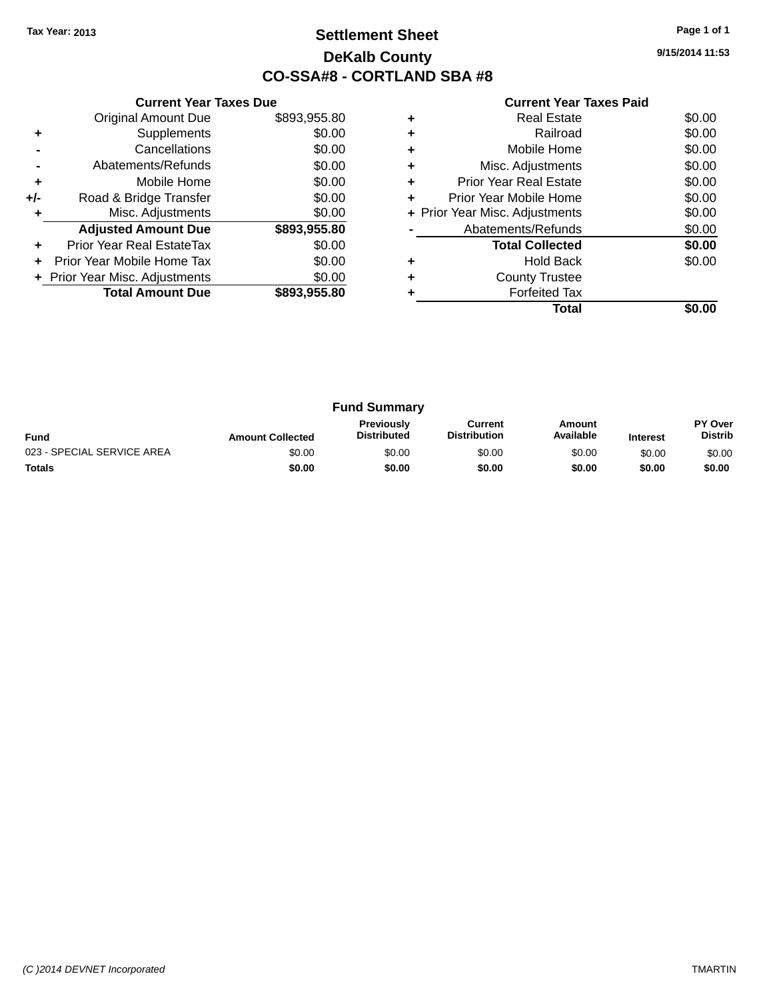## **Settlement Sheet Tax Year: 2013 Page 1 of 1 DeKalb County CO-SSA#8 - CORTLAND SBA #8**

**9/15/2014 11:53**

|     | <b>Current Year Taxes Due</b>  |              |
|-----|--------------------------------|--------------|
|     | <b>Original Amount Due</b>     | \$893,955.80 |
| ٠   | Supplements                    | \$0.00       |
|     | Cancellations                  | \$0.00       |
|     | Abatements/Refunds             | \$0.00       |
| ٠   | Mobile Home                    | \$0.00       |
| +/- | Road & Bridge Transfer         | \$0.00       |
|     | Misc. Adjustments              | \$0.00       |
|     | <b>Adjusted Amount Due</b>     | \$893,955.80 |
|     | Prior Year Real EstateTax      | \$0.00       |
|     | Prior Year Mobile Home Tax     | \$0.00       |
|     | + Prior Year Misc. Adjustments | \$0.00       |
|     | <b>Total Amount Due</b>        | \$893,955.80 |
|     |                                |              |

| Real Estate                   | \$0.00                         |
|-------------------------------|--------------------------------|
| Railroad                      | \$0.00                         |
| Mobile Home                   | \$0.00                         |
| Misc. Adjustments             | \$0.00                         |
| <b>Prior Year Real Estate</b> | \$0.00                         |
| Prior Year Mobile Home        | \$0.00                         |
|                               | \$0.00                         |
| Abatements/Refunds            | \$0.00                         |
| <b>Total Collected</b>        | \$0.00                         |
| <b>Hold Back</b>              | \$0.00                         |
| <b>County Trustee</b>         |                                |
| <b>Forfeited Tax</b>          |                                |
| Total                         |                                |
|                               | + Prior Year Misc. Adjustments |

| <b>Fund Summary</b>        |                         |                                         |                                |                     |                 |                           |
|----------------------------|-------------------------|-----------------------------------------|--------------------------------|---------------------|-----------------|---------------------------|
| <b>Fund</b>                | <b>Amount Collected</b> | <b>Previously</b><br><b>Distributed</b> | Current<br><b>Distribution</b> | Amount<br>Available | <b>Interest</b> | PY Over<br><b>Distrib</b> |
| 023 - SPECIAL SERVICE AREA | \$0.00                  | \$0.00                                  | \$0.00                         | \$0.00              | \$0.00          | \$0.00                    |
| <b>Totals</b>              | \$0.00                  | \$0.00                                  | \$0.00                         | \$0.00              | \$0.00          | \$0.00                    |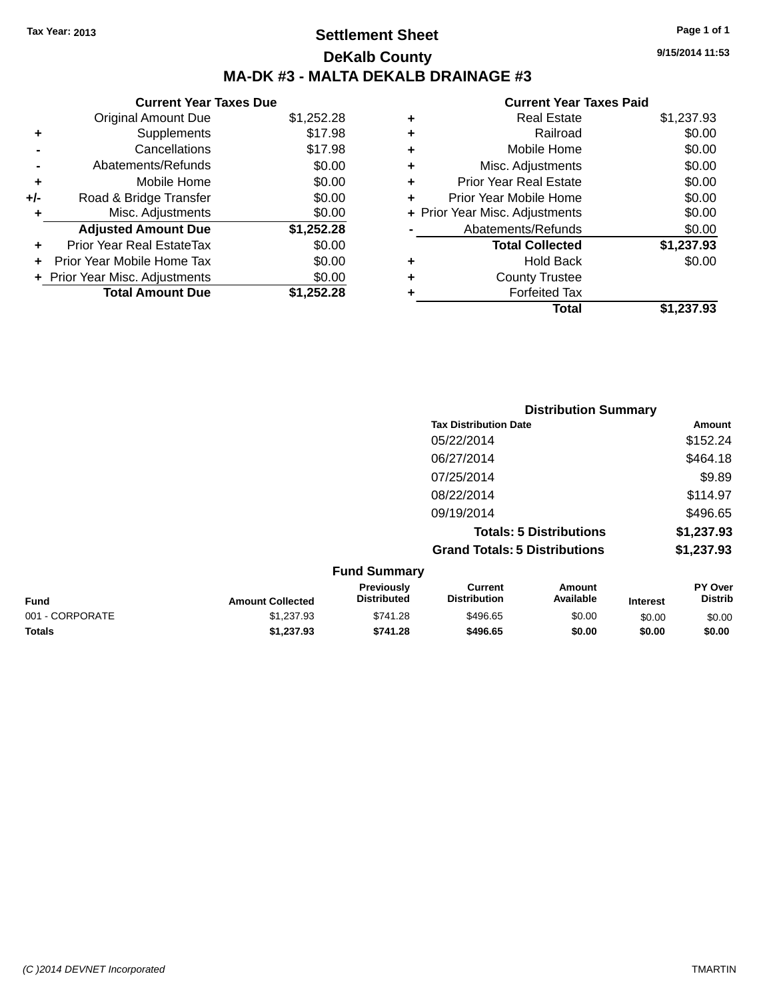## **Settlement Sheet Tax Year: 2013 Page 1 of 1 DeKalb County MA-DK #3 - MALTA DEKALB DRAINAGE #3**

#### **Current Year Taxes Due**

|     | <b>Original Amount Due</b>       | \$1,252.28 |
|-----|----------------------------------|------------|
| ٠   | Supplements                      | \$17.98    |
|     | Cancellations                    | \$17.98    |
|     | Abatements/Refunds               | \$0.00     |
| ٠   | Mobile Home                      | \$0.00     |
| +/- | Road & Bridge Transfer           | \$0.00     |
| ٠   | Misc. Adjustments                | \$0.00     |
|     | <b>Adjusted Amount Due</b>       | \$1,252.28 |
|     | <b>Prior Year Real EstateTax</b> | \$0.00     |
|     | Prior Year Mobile Home Tax       | \$0.00     |
|     | + Prior Year Misc. Adjustments   | \$0.00     |
|     | <b>Total Amount Due</b>          | \$1,252.28 |

|   | <b>Real Estate</b>             | \$1,237.93 |
|---|--------------------------------|------------|
| ٠ | Railroad                       | \$0.00     |
| ٠ | Mobile Home                    | \$0.00     |
| ٠ | Misc. Adjustments              | \$0.00     |
| ٠ | <b>Prior Year Real Estate</b>  | \$0.00     |
| ٠ | Prior Year Mobile Home         | \$0.00     |
|   | + Prior Year Misc. Adjustments | \$0.00     |
|   | Abatements/Refunds             | \$0.00     |
|   | <b>Total Collected</b>         | \$1,237.93 |
| ٠ | <b>Hold Back</b>               | \$0.00     |
| ٠ | <b>County Trustee</b>          |            |
| ٠ | <b>Forfeited Tax</b>           |            |
|   | Total                          | \$1,237.93 |
|   |                                |            |

|     | <b>Distribution Summary</b>          |            |
|-----|--------------------------------------|------------|
|     | <b>Tax Distribution Date</b>         | Amount     |
|     | 05/22/2014                           | \$152.24   |
|     | 06/27/2014                           | \$464.18   |
|     | 07/25/2014                           | \$9.89     |
|     | 08/22/2014                           | \$114.97   |
|     | 09/19/2014                           | \$496.65   |
|     | <b>Totals: 5 Distributions</b>       | \$1,237.93 |
|     | <b>Grand Totals: 5 Distributions</b> | \$1,237.93 |
| --- |                                      |            |

| <b>Fund Summary</b> |                         |                                         |                                |                     |                 |                                  |
|---------------------|-------------------------|-----------------------------------------|--------------------------------|---------------------|-----------------|----------------------------------|
| <b>Fund</b>         | <b>Amount Collected</b> | <b>Previously</b><br><b>Distributed</b> | Current<br><b>Distribution</b> | Amount<br>Available | <b>Interest</b> | <b>PY Over</b><br><b>Distrib</b> |
| 001 - CORPORATE     | \$1,237.93              | \$741.28                                | \$496.65                       | \$0.00              | \$0.00          | \$0.00                           |
| <b>Totals</b>       | \$1,237.93              | \$741.28                                | \$496.65                       | \$0.00              | \$0.00          | \$0.00                           |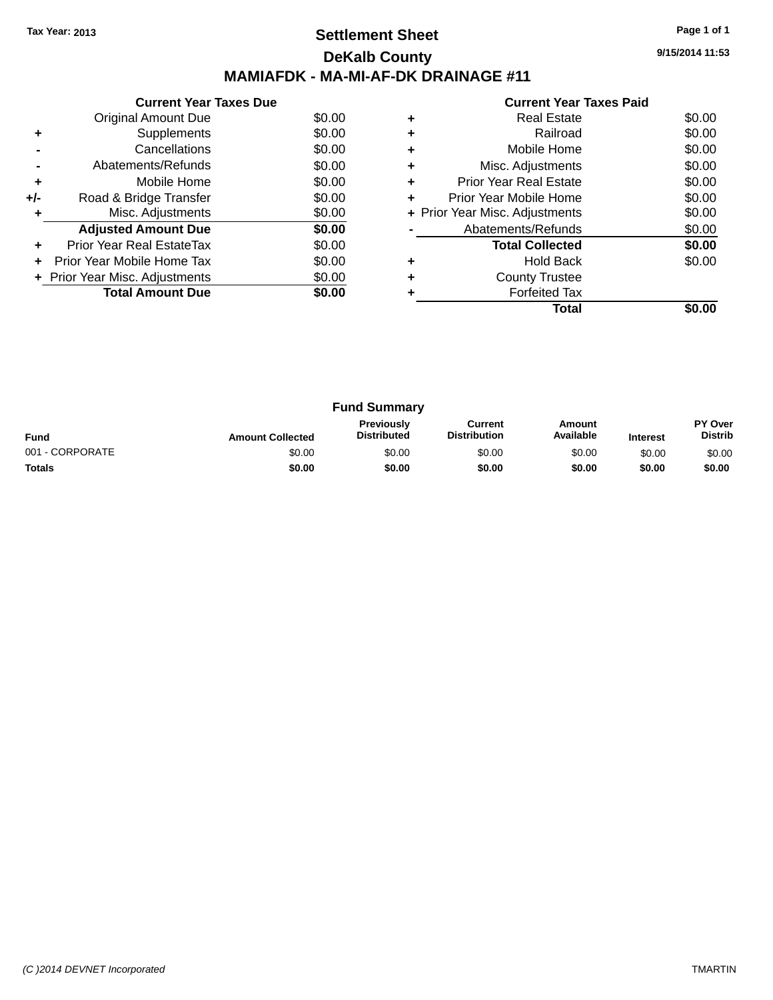## **Settlement Sheet Tax Year: 2013 Page 1 of 1 DeKalb County MAMIAFDK - MA-MI-AF-DK DRAINAGE #11**

**9/15/2014 11:53**

| \$0.00<br>Original Amount Due<br>\$0.00<br>Supplements<br>÷<br>\$0.00<br>Cancellations<br>\$0.00<br>Abatements/Refunds<br>\$0.00<br>Mobile Home<br>÷<br>\$0.00<br>Road & Bridge Transfer<br>+/-<br>Misc. Adjustments<br>\$0.00<br>\$0.00<br><b>Adjusted Amount Due</b><br>Prior Year Real EstateTax<br>\$0.00<br>٠<br>\$0.00<br>Prior Year Mobile Home Tax | <b>Current Year Taxes Due</b> |  |
|------------------------------------------------------------------------------------------------------------------------------------------------------------------------------------------------------------------------------------------------------------------------------------------------------------------------------------------------------------|-------------------------------|--|
|                                                                                                                                                                                                                                                                                                                                                            |                               |  |
|                                                                                                                                                                                                                                                                                                                                                            |                               |  |
|                                                                                                                                                                                                                                                                                                                                                            |                               |  |
|                                                                                                                                                                                                                                                                                                                                                            |                               |  |
|                                                                                                                                                                                                                                                                                                                                                            |                               |  |
|                                                                                                                                                                                                                                                                                                                                                            |                               |  |
|                                                                                                                                                                                                                                                                                                                                                            |                               |  |
|                                                                                                                                                                                                                                                                                                                                                            |                               |  |
|                                                                                                                                                                                                                                                                                                                                                            |                               |  |
|                                                                                                                                                                                                                                                                                                                                                            |                               |  |
| \$0.00<br>+ Prior Year Misc. Adjustments                                                                                                                                                                                                                                                                                                                   |                               |  |
| <b>Total Amount Due</b><br>\$0.00                                                                                                                                                                                                                                                                                                                          |                               |  |

|   | <b>Current Year Taxes Paid</b> |        |
|---|--------------------------------|--------|
| ٠ | <b>Real Estate</b>             | \$0.00 |
|   | Railroad                       | \$0.00 |
|   | Mobile Home                    | \$0.00 |
| ٠ | Misc. Adjustments              | \$0.00 |
|   | Prior Year Real Estate         | \$0.00 |
|   | Prior Year Mobile Home         | \$0.00 |
|   | + Prior Year Misc. Adjustments | \$0.00 |
|   | Abatements/Refunds             | \$0.00 |
|   | <b>Total Collected</b>         | \$0.00 |
|   | <b>Hold Back</b>               | \$0.00 |
|   | <b>County Trustee</b>          |        |
|   | <b>Forfeited Tax</b>           |        |
|   | Total                          |        |

| <b>Fund Summary</b> |                         |                                         |                                |                     |                 |                           |
|---------------------|-------------------------|-----------------------------------------|--------------------------------|---------------------|-----------------|---------------------------|
| <b>Fund</b>         | <b>Amount Collected</b> | <b>Previously</b><br><b>Distributed</b> | Current<br><b>Distribution</b> | Amount<br>Available | <b>Interest</b> | PY Over<br><b>Distrib</b> |
| 001 - CORPORATE     | \$0.00                  | \$0.00                                  | \$0.00                         | \$0.00              | \$0.00          | \$0.00                    |
| <b>Totals</b>       | \$0.00                  | \$0.00                                  | \$0.00                         | \$0.00              | \$0.00          | \$0.00                    |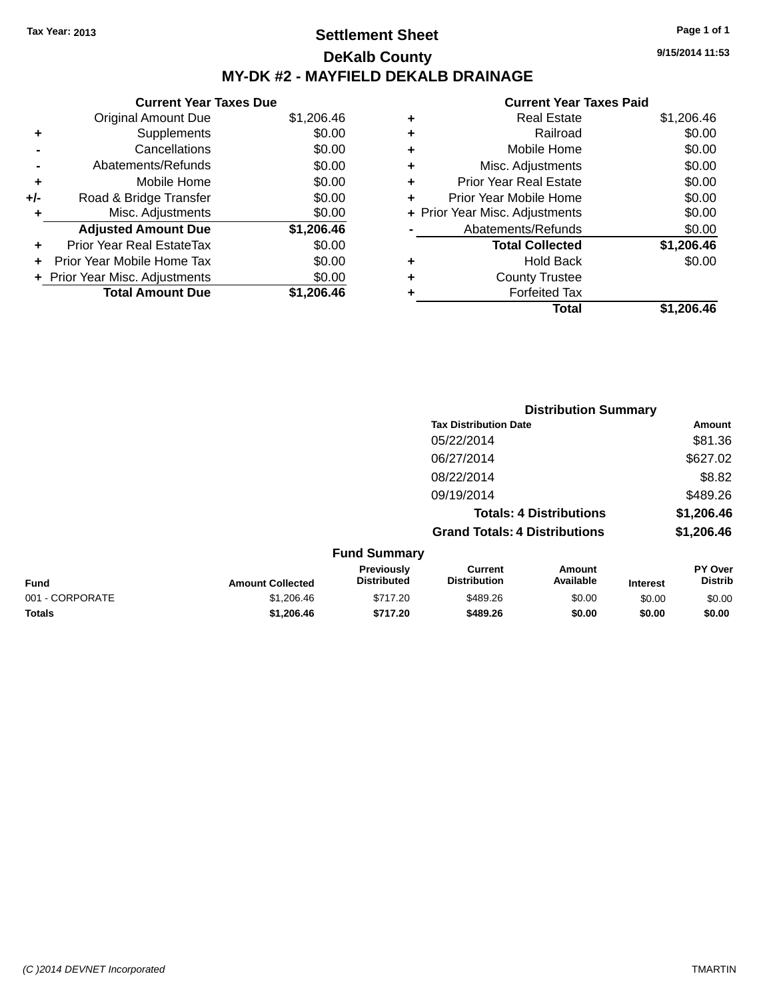## **Settlement Sheet Tax Year: 2013 Page 1 of 1 DeKalb County MY-DK #2 - MAYFIELD DEKALB DRAINAGE**

**Current Year Taxes Due** Original Amount Due \$1,206.46 **+** Supplements \$0.00 **-** Cancellations \$0.00 **-** Abatements/Refunds \$0.00 **+** Mobile Home \$0.00 **+/-** Road & Bridge Transfer \$0.00 **+** Misc. Adjustments \$0.00 **Adjusted Amount Due \$1,206.46 +** Prior Year Real EstateTax \$0.00 **+** Prior Year Mobile Home Tax \$0.00 **+ Prior Year Misc. Adjustments**  $$0.00$ **Total Amount Due \$1,206.46**

| ٠ | <b>Real Estate</b>             | \$1,206.46 |
|---|--------------------------------|------------|
| ÷ | Railroad                       | \$0.00     |
| ٠ | Mobile Home                    | \$0.00     |
| ٠ | Misc. Adjustments              | \$0.00     |
| ٠ | <b>Prior Year Real Estate</b>  | \$0.00     |
| ٠ | Prior Year Mobile Home         | \$0.00     |
|   | + Prior Year Misc. Adjustments | \$0.00     |
|   | Abatements/Refunds             | \$0.00     |
|   | <b>Total Collected</b>         | \$1,206.46 |
| ٠ | <b>Hold Back</b>               | \$0.00     |
| ٠ | <b>County Trustee</b>          |            |
| ٠ | <b>Forfeited Tax</b>           |            |
|   | Total                          | \$1.206.46 |
|   |                                |            |

|                 |                         |                                  |                                       | <b>Distribution Summary</b>    |                 |                           |
|-----------------|-------------------------|----------------------------------|---------------------------------------|--------------------------------|-----------------|---------------------------|
|                 |                         |                                  | <b>Tax Distribution Date</b>          |                                |                 | Amount                    |
|                 |                         |                                  | 05/22/2014                            |                                |                 | \$81.36                   |
|                 |                         |                                  | 06/27/2014                            |                                |                 | \$627.02                  |
|                 |                         |                                  | 08/22/2014                            |                                |                 | \$8.82                    |
|                 |                         |                                  | 09/19/2014                            |                                |                 | \$489.26                  |
|                 |                         |                                  |                                       | <b>Totals: 4 Distributions</b> |                 | \$1,206.46                |
|                 |                         |                                  | <b>Grand Totals: 4 Distributions</b>  |                                |                 | \$1,206.46                |
|                 |                         | <b>Fund Summary</b>              |                                       |                                |                 |                           |
| Fund            | <b>Amount Collected</b> | Previously<br><b>Distributed</b> | <b>Current</b><br><b>Distribution</b> | Amount<br>Available            | <b>Interest</b> | PY Over<br><b>Distrib</b> |
| 001 - CORPORATE | \$1,206.46              | \$717.20                         | \$489.26                              | \$0.00                         | \$0.00          | \$0.00                    |
| <b>Totals</b>   | \$1,206,46              | \$717.20                         | \$489.26                              | \$0.00                         | \$0.00          | \$0.00                    |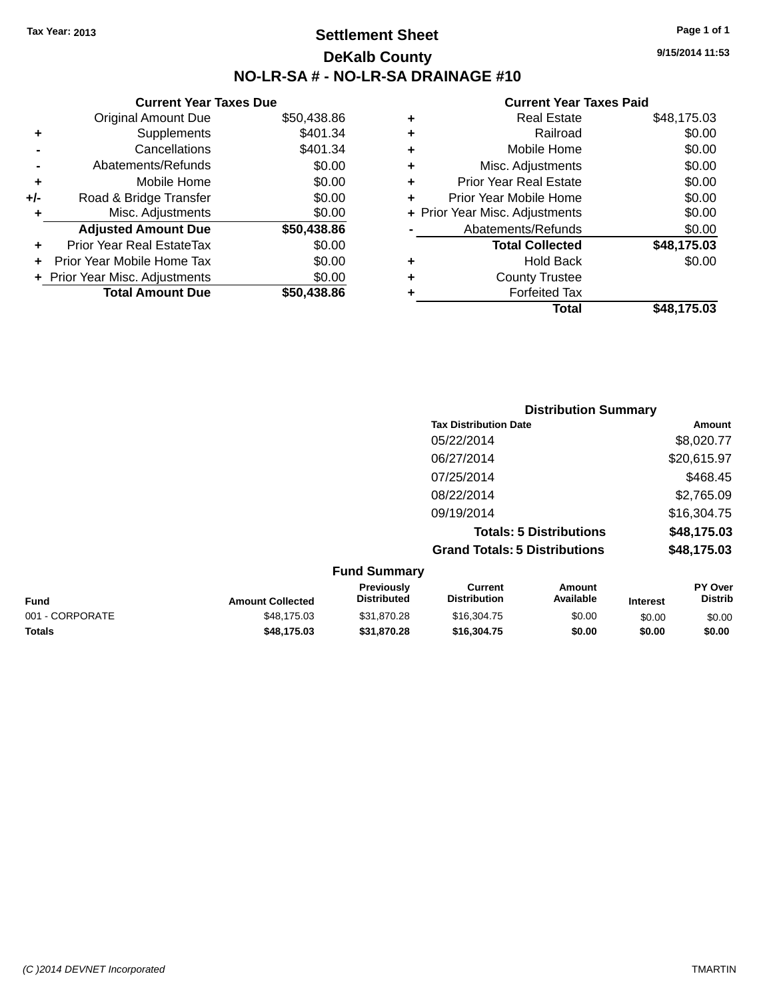## **Settlement Sheet Tax Year: 2013 Page 1 of 1 DeKalb County NO-LR-SA # - NO-LR-SA DRAINAGE #10**

**9/15/2014 11:53**

|     | <b>Current Year Taxes Due</b>  |             |
|-----|--------------------------------|-------------|
|     | <b>Original Amount Due</b>     | \$50,438.86 |
| ٠   | Supplements                    | \$401.34    |
|     | Cancellations                  | \$401.34    |
|     | Abatements/Refunds             | \$0.00      |
| ٠   | Mobile Home                    | \$0.00      |
| +/- | Road & Bridge Transfer         | \$0.00      |
| ٠   | Misc. Adjustments              | \$0.00      |
|     | <b>Adjusted Amount Due</b>     | \$50,438.86 |
| ٠   | Prior Year Real EstateTax      | \$0.00      |
| ÷   | Prior Year Mobile Home Tax     | \$0.00      |
|     | + Prior Year Misc. Adjustments | \$0.00      |
|     | <b>Total Amount Due</b>        | \$50.438.86 |

| <b>Real Estate</b>             | \$48,175.03 |
|--------------------------------|-------------|
| Railroad                       | \$0.00      |
| Mobile Home                    | \$0.00      |
| Misc. Adjustments              | \$0.00      |
| <b>Prior Year Real Estate</b>  | \$0.00      |
| Prior Year Mobile Home         | \$0.00      |
| + Prior Year Misc. Adjustments | \$0.00      |
| Abatements/Refunds             | \$0.00      |
| <b>Total Collected</b>         | \$48,175.03 |
| <b>Hold Back</b>               | \$0.00      |
| <b>County Trustee</b>          |             |
| <b>Forfeited Tax</b>           |             |
| Total                          | \$48,175.03 |
|                                |             |

|         | <b>Distribution Summary</b>          |             |
|---------|--------------------------------------|-------------|
|         | <b>Tax Distribution Date</b>         | Amount      |
|         | 05/22/2014                           | \$8,020.77  |
|         | 06/27/2014                           | \$20,615.97 |
|         | 07/25/2014                           | \$468.45    |
|         | 08/22/2014                           | \$2,765.09  |
|         | 09/19/2014                           | \$16,304.75 |
|         | <b>Totals: 5 Distributions</b>       | \$48,175.03 |
|         | <b>Grand Totals: 5 Distributions</b> | \$48,175.03 |
| $E_{t}$ |                                      |             |

| <b>Fund Summary</b> |                         |                                         |                                |                     |                 |                                  |
|---------------------|-------------------------|-----------------------------------------|--------------------------------|---------------------|-----------------|----------------------------------|
| <b>Fund</b>         | <b>Amount Collected</b> | <b>Previously</b><br><b>Distributed</b> | Current<br><b>Distribution</b> | Amount<br>Available | <b>Interest</b> | <b>PY Over</b><br><b>Distrib</b> |
| 001 - CORPORATE     | \$48,175,03             | \$31,870.28                             | \$16,304.75                    | \$0.00              | \$0.00          | \$0.00                           |
| <b>Totals</b>       | \$48,175,03             | \$31.870.28                             | \$16,304,75                    | \$0.00              | \$0.00          | \$0.00                           |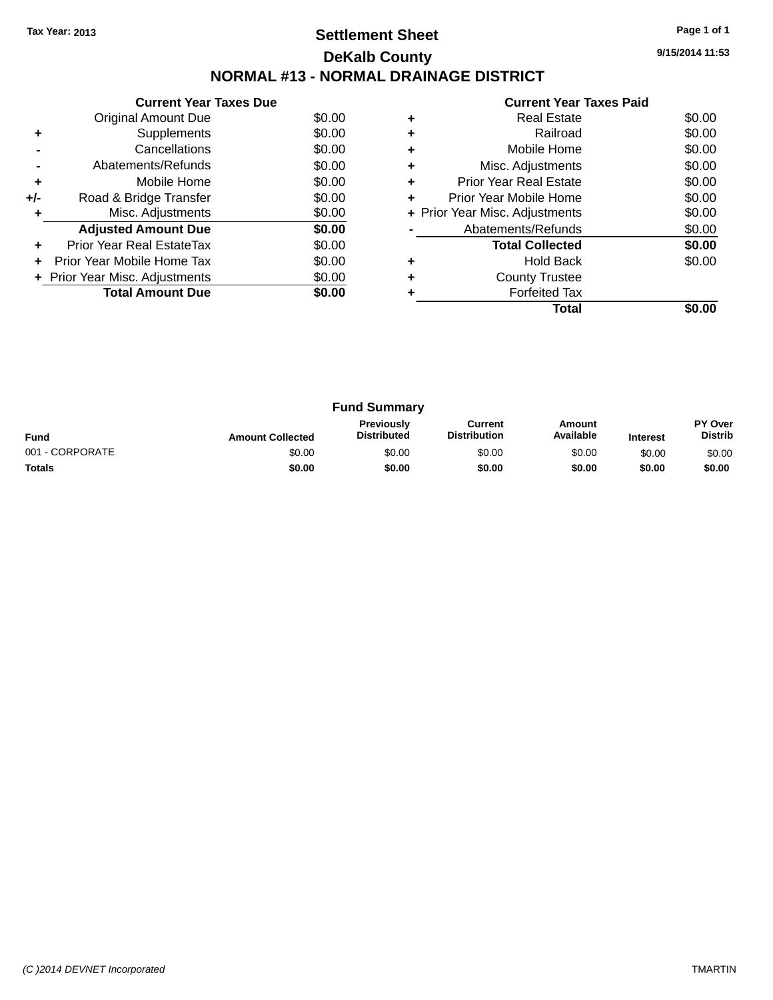## **Settlement Sheet Tax Year: 2013 Page 1 of 1 DeKalb County NORMAL #13 - NORMAL DRAINAGE DISTRICT**

**9/15/2014 11:53**

|     | <b>Current Year Taxes Due</b>  |        |
|-----|--------------------------------|--------|
|     | Original Amount Due            | \$0.00 |
| ٠   | Supplements                    | \$0.00 |
|     | Cancellations                  | \$0.00 |
|     | Abatements/Refunds             | \$0.00 |
| ٠   | Mobile Home                    | \$0.00 |
| +/- | Road & Bridge Transfer         | \$0.00 |
|     | Misc. Adjustments              | \$0.00 |
|     | <b>Adjusted Amount Due</b>     | \$0.00 |
|     | Prior Year Real EstateTax      | \$0.00 |
|     | Prior Year Mobile Home Tax     | \$0.00 |
|     | + Prior Year Misc. Adjustments | \$0.00 |
|     | <b>Total Amount Due</b>        | \$0.00 |
|     |                                |        |

|   | <b>Real Estate</b>             | \$0.00 |
|---|--------------------------------|--------|
|   | Railroad                       | \$0.00 |
| ٠ | Mobile Home                    | \$0.00 |
|   | Misc. Adjustments              | \$0.00 |
| ٠ | <b>Prior Year Real Estate</b>  | \$0.00 |
| ٠ | Prior Year Mobile Home         | \$0.00 |
|   | + Prior Year Misc. Adjustments | \$0.00 |
|   | Abatements/Refunds             | \$0.00 |
|   | <b>Total Collected</b>         | \$0.00 |
|   | <b>Hold Back</b>               | \$0.00 |
| ٠ | <b>County Trustee</b>          |        |
|   | <b>Forfeited Tax</b>           |        |
|   | Total                          |        |
|   |                                |        |

| <b>Fund Summary</b> |                         |                                  |                                |                            |                 |                                  |
|---------------------|-------------------------|----------------------------------|--------------------------------|----------------------------|-----------------|----------------------------------|
| <b>Fund</b>         | <b>Amount Collected</b> | Previously<br><b>Distributed</b> | Current<br><b>Distribution</b> | <b>Amount</b><br>Available | <b>Interest</b> | <b>PY Over</b><br><b>Distrib</b> |
| 001 - CORPORATE     | \$0.00                  | \$0.00                           | \$0.00                         | \$0.00                     | \$0.00          | \$0.00                           |
| <b>Totals</b>       | \$0.00                  | \$0.00                           | \$0.00                         | \$0.00                     | \$0.00          | \$0.00                           |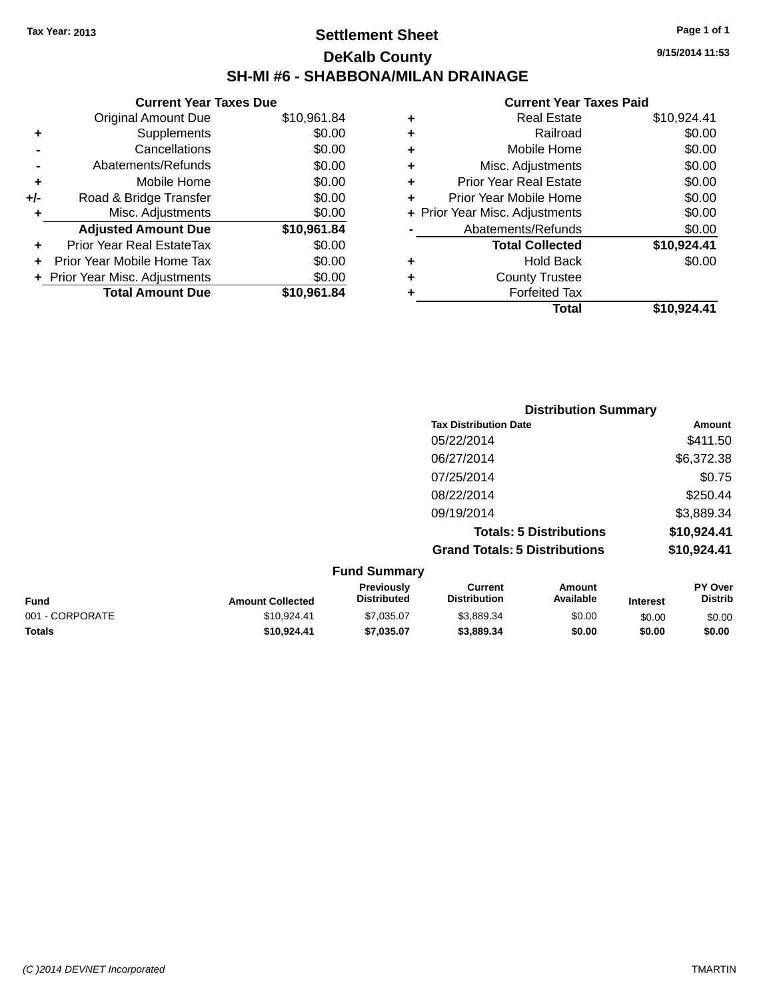## **Settlement Sheet Tax Year: 2013 Page 1 of 1 DeKalb County SH-MI #6 - SHABBONA/MILAN DRAINAGE**

| <b>Current Year Taxes Due</b>  |             |
|--------------------------------|-------------|
| <b>Original Amount Due</b>     | \$10,961.84 |
| Supplements                    | \$0.00      |
| Cancellations                  | \$0.00      |
| Abatements/Refunds             | \$0.00      |
| Mobile Home                    | \$0.00      |
| Road & Bridge Transfer         | \$0.00      |
| Misc. Adjustments              | \$0.00      |
| <b>Adjusted Amount Due</b>     | \$10,961.84 |
| Prior Year Real EstateTax      | \$0.00      |
| Prior Year Mobile Home Tax     | \$0.00      |
| + Prior Year Misc. Adjustments | \$0.00      |
|                                |             |
|                                |             |

|   | <b>Real Estate</b>             | \$10,924.41 |
|---|--------------------------------|-------------|
| ٠ | Railroad                       | \$0.00      |
| ٠ | Mobile Home                    | \$0.00      |
| ٠ | Misc. Adjustments              | \$0.00      |
| ٠ | <b>Prior Year Real Estate</b>  | \$0.00      |
| ÷ | Prior Year Mobile Home         | \$0.00      |
|   | + Prior Year Misc. Adjustments | \$0.00      |
|   | Abatements/Refunds             | \$0.00      |
|   | <b>Total Collected</b>         | \$10,924.41 |
| ٠ | <b>Hold Back</b>               | \$0.00      |
| ٠ | <b>County Trustee</b>          |             |
| ٠ | <b>Forfeited Tax</b>           |             |
|   | Total                          | \$10,924.41 |
|   |                                |             |

| <b>Distribution Summary</b>          |             |
|--------------------------------------|-------------|
| <b>Tax Distribution Date</b>         | Amount      |
| 05/22/2014                           | \$411.50    |
| 06/27/2014                           | \$6,372.38  |
| 07/25/2014                           | \$0.75      |
| 08/22/2014                           | \$250.44    |
| 09/19/2014                           | \$3,889.34  |
| <b>Totals: 5 Distributions</b>       | \$10,924.41 |
| <b>Grand Totals: 5 Distributions</b> | \$10,924.41 |

| <b>Fund Summary</b>     |                                  |                                |                     |                 |                                  |
|-------------------------|----------------------------------|--------------------------------|---------------------|-----------------|----------------------------------|
| <b>Amount Collected</b> | Previously<br><b>Distributed</b> | Current<br><b>Distribution</b> | Amount<br>Available | <b>Interest</b> | <b>PY Over</b><br><b>Distrib</b> |
| \$10.924.41             | \$7,035.07                       | \$3.889.34                     | \$0.00              | \$0.00          | \$0.00                           |
| \$10,924.41             | \$7.035.07                       | \$3,889,34                     | \$0.00              | \$0.00          | \$0.00                           |
|                         |                                  |                                |                     |                 |                                  |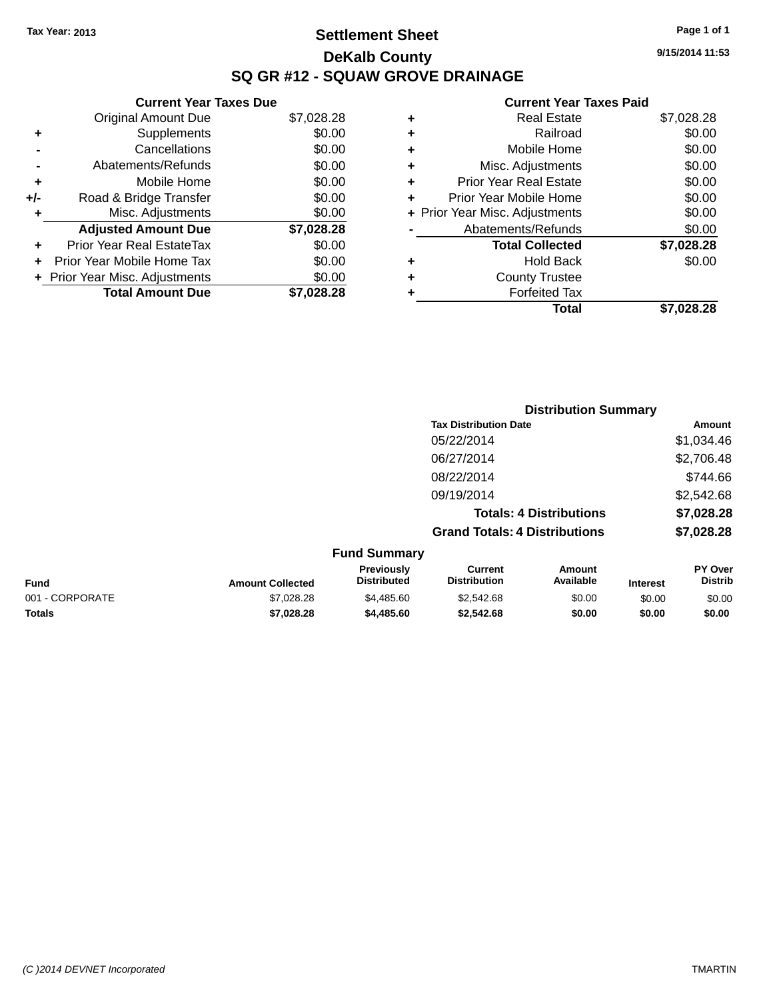# **Settlement Sheet Tax Year: 2013 Page 1 of 1 DeKalb County SQ GR #12 - SQUAW GROVE DRAINAGE**

**9/15/2014 11:53**

|     | <b>Current Year Taxes Due</b>  |            |  |  |  |  |
|-----|--------------------------------|------------|--|--|--|--|
|     | <b>Original Amount Due</b>     | \$7,028.28 |  |  |  |  |
| ٠   | Supplements                    | \$0.00     |  |  |  |  |
|     | Cancellations                  | \$0.00     |  |  |  |  |
|     | Abatements/Refunds             | \$0.00     |  |  |  |  |
| ٠   | Mobile Home                    | \$0.00     |  |  |  |  |
| +/- | Road & Bridge Transfer         | \$0.00     |  |  |  |  |
| ٠   | Misc. Adjustments              | \$0.00     |  |  |  |  |
|     | <b>Adjusted Amount Due</b>     | \$7,028.28 |  |  |  |  |
| ÷   | Prior Year Real EstateTax      | \$0.00     |  |  |  |  |
| ÷   | Prior Year Mobile Home Tax     | \$0.00     |  |  |  |  |
|     | + Prior Year Misc. Adjustments | \$0.00     |  |  |  |  |
|     | <b>Total Amount Due</b>        | \$7,028.28 |  |  |  |  |

|   | <b>Real Estate</b>             | \$7,028.28 |
|---|--------------------------------|------------|
| ٠ | Railroad                       | \$0.00     |
| ٠ | Mobile Home                    | \$0.00     |
| ٠ | Misc. Adjustments              | \$0.00     |
| ٠ | <b>Prior Year Real Estate</b>  | \$0.00     |
| ÷ | Prior Year Mobile Home         | \$0.00     |
|   | + Prior Year Misc. Adjustments | \$0.00     |
|   | Abatements/Refunds             | \$0.00     |
|   | <b>Total Collected</b>         | \$7,028.28 |
| ٠ | <b>Hold Back</b>               | \$0.00     |
| ٠ | <b>County Trustee</b>          |            |
| ٠ | <b>Forfeited Tax</b>           |            |
|   | Total                          | \$7.028.28 |
|   |                                |            |

|                         |                                  |                                      | <b>Distribution Summary</b>    |                 |                           |
|-------------------------|----------------------------------|--------------------------------------|--------------------------------|-----------------|---------------------------|
|                         |                                  | <b>Tax Distribution Date</b>         |                                |                 | Amount                    |
|                         |                                  | 05/22/2014                           |                                |                 | \$1,034.46                |
|                         |                                  | 06/27/2014                           |                                |                 | \$2,706.48                |
|                         |                                  | 08/22/2014                           |                                |                 | \$744.66                  |
|                         |                                  | 09/19/2014                           |                                |                 | \$2,542.68                |
|                         |                                  |                                      | <b>Totals: 4 Distributions</b> |                 | \$7,028.28                |
|                         |                                  | <b>Grand Totals: 4 Distributions</b> |                                |                 | \$7,028.28                |
|                         | <b>Fund Summary</b>              |                                      |                                |                 |                           |
| <b>Amount Collected</b> | Previously<br><b>Distributed</b> | Current<br><b>Distribution</b>       | Amount<br>Available            | <b>Interest</b> | PY Over<br><b>Distrib</b> |

| Fund            | <b>Amount Collected</b> | Previously<br><b>Distributed</b> | Current<br><b>Distribution</b> | Amount<br>Available | Interest | <b>PY Over</b><br>Distrib |
|-----------------|-------------------------|----------------------------------|--------------------------------|---------------------|----------|---------------------------|
| 001 - CORPORATE | \$7.028.28              | \$4,485.60                       | \$2.542.68                     | \$0.00              | \$0.00   | \$0.00                    |
| <b>Totals</b>   | \$7,028,28              | \$4,485.60                       | \$2.542.68                     | \$0.00              | \$0.00   | \$0.00                    |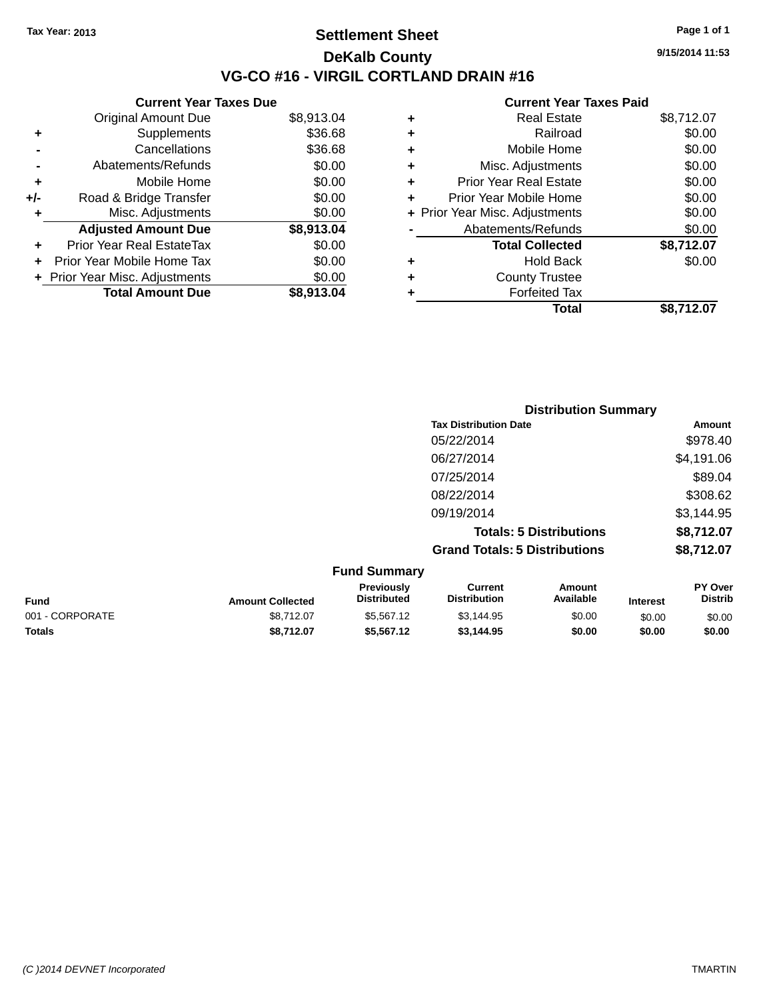### **Settlement Sheet Tax Year: 2013 Page 1 of 1 DeKalb County VG-CO #16 - VIRGIL CORTLAND DRAIN #16**

**9/15/2014 11:53**

|       | <b>Current Year Taxes Due</b>  |            |  |  |  |  |
|-------|--------------------------------|------------|--|--|--|--|
|       | <b>Original Amount Due</b>     | \$8,913.04 |  |  |  |  |
|       | Supplements                    | \$36.68    |  |  |  |  |
|       | Cancellations                  | \$36.68    |  |  |  |  |
|       | Abatements/Refunds             | \$0.00     |  |  |  |  |
| ٠     | Mobile Home                    | \$0.00     |  |  |  |  |
| $+/-$ | Road & Bridge Transfer         | \$0.00     |  |  |  |  |
| ٠     | Misc. Adjustments              | \$0.00     |  |  |  |  |
|       | <b>Adjusted Amount Due</b>     | \$8,913.04 |  |  |  |  |
| ÷     | Prior Year Real EstateTax      | \$0.00     |  |  |  |  |
| ÷     | Prior Year Mobile Home Tax     | \$0.00     |  |  |  |  |
|       | + Prior Year Misc. Adjustments | \$0.00     |  |  |  |  |
|       | <b>Total Amount Due</b>        | \$8,913.04 |  |  |  |  |
|       |                                |            |  |  |  |  |

| <b>Forfeited Tax</b>          | \$8,712.07                              |
|-------------------------------|-----------------------------------------|
| <b>County Trustee</b>         |                                         |
| Hold Back                     | \$0.00                                  |
| <b>Total Collected</b>        | \$8,712.07                              |
| Abatements/Refunds            | \$0.00                                  |
|                               | \$0.00                                  |
| Prior Year Mobile Home        | \$0.00                                  |
| <b>Prior Year Real Estate</b> | \$0.00                                  |
| Misc. Adjustments             | \$0.00                                  |
| Mobile Home                   | \$0.00                                  |
| Railroad                      | \$0.00                                  |
| <b>Real Estate</b>            | \$8,712.07                              |
|                               | + Prior Year Misc. Adjustments<br>Total |

|        | <b>Distribution Summary</b>          |            |
|--------|--------------------------------------|------------|
|        | <b>Tax Distribution Date</b>         | Amount     |
|        | 05/22/2014                           | \$978.40   |
|        | 06/27/2014                           | \$4,191.06 |
|        | 07/25/2014                           | \$89.04    |
|        | 08/22/2014                           | \$308.62   |
|        | 09/19/2014                           | \$3,144.95 |
|        | <b>Totals: 5 Distributions</b>       | \$8,712.07 |
|        | <b>Grand Totals: 5 Distributions</b> | \$8,712.07 |
| — IA — |                                      |            |

| <b>Fund Summary</b> |                         |                                         |                                |                     |                 |                           |
|---------------------|-------------------------|-----------------------------------------|--------------------------------|---------------------|-----------------|---------------------------|
| <b>Fund</b>         | <b>Amount Collected</b> | <b>Previously</b><br><b>Distributed</b> | Current<br><b>Distribution</b> | Amount<br>Available | <b>Interest</b> | PY Over<br><b>Distrib</b> |
| 001 - CORPORATE     | \$8.712.07              | \$5,567.12                              | \$3.144.95                     | \$0.00              | \$0.00          | \$0.00                    |
| <b>Totals</b>       | \$8.712.07              | \$5,567.12                              | \$3,144,95                     | \$0.00              | \$0.00          | \$0.00                    |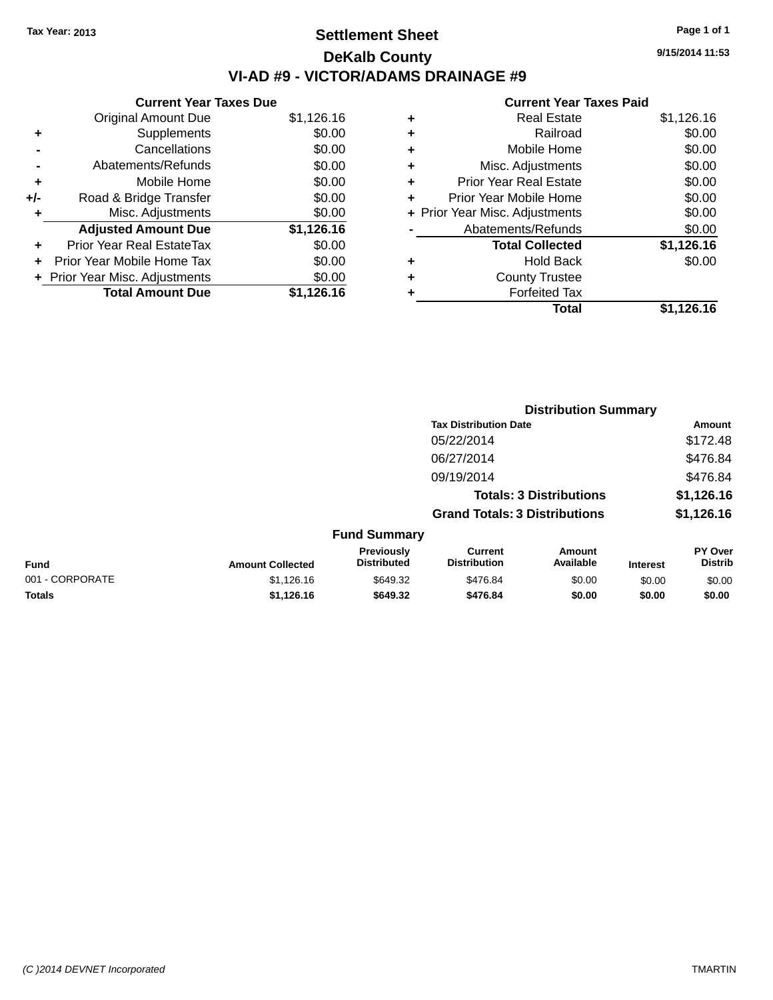# **Settlement Sheet Tax Year: 2013 Page 1 of 1 DeKalb County VI-AD #9 - VICTOR/ADAMS DRAINAGE #9**

**Current Year Taxes Due** Original Amount Due \$1,126.16 **+** Supplements \$0.00 **-** Cancellations \$0.00 **-** Abatements/Refunds \$0.00 **+** Mobile Home \$0.00 **+/-** Road & Bridge Transfer \$0.00 **+** Misc. Adjustments \$0.00 **Adjusted Amount Due \$1,126.16 +** Prior Year Real EstateTax \$0.00 **+** Prior Year Mobile Home Tax \$0.00 **+ Prior Year Misc. Adjustments**  $$0.00$ **Total Amount Due \$1,126.16**

#### **Current Year Taxes Paid**

| ٠ | <b>Real Estate</b>             | \$1,126.16 |
|---|--------------------------------|------------|
| ÷ | Railroad                       | \$0.00     |
| ÷ | Mobile Home                    | \$0.00     |
| ٠ | Misc. Adjustments              | \$0.00     |
| ٠ | <b>Prior Year Real Estate</b>  | \$0.00     |
| ٠ | Prior Year Mobile Home         | \$0.00     |
|   | + Prior Year Misc. Adjustments | \$0.00     |
|   | Abatements/Refunds             | \$0.00     |
|   | <b>Total Collected</b>         | \$1,126.16 |
| ٠ | <b>Hold Back</b>               | \$0.00     |
| ٠ | <b>County Trustee</b>          |            |
| ٠ | <b>Forfeited Tax</b>           |            |
|   | Total                          | \$1,126.16 |
|   |                                |            |

**Distribution Summary**

|                 |                         |                                  | <b>Tax Distribution Date</b>          |                                |                 | Amount                    |
|-----------------|-------------------------|----------------------------------|---------------------------------------|--------------------------------|-----------------|---------------------------|
|                 |                         |                                  | 05/22/2014<br>06/27/2014              |                                |                 | \$172.48                  |
|                 |                         |                                  |                                       |                                |                 | \$476.84                  |
|                 |                         |                                  | 09/19/2014                            |                                |                 | \$476.84                  |
|                 |                         |                                  |                                       | <b>Totals: 3 Distributions</b> |                 | \$1,126.16                |
|                 |                         |                                  | <b>Grand Totals: 3 Distributions</b>  |                                |                 | \$1,126.16                |
|                 |                         | <b>Fund Summary</b>              |                                       |                                |                 |                           |
| <b>Fund</b>     | <b>Amount Collected</b> | Previously<br><b>Distributed</b> | <b>Current</b><br><b>Distribution</b> | Amount<br>Available            | <b>Interest</b> | PY Over<br><b>Distrib</b> |
| 001 - CORPORATE | \$1,126.16              | \$649.32                         | \$476.84                              | \$0.00                         | \$0.00          | \$0.00                    |
| <b>Totals</b>   | \$1,126.16              | \$649.32                         | \$476.84                              | \$0.00                         | \$0.00          | \$0.00                    |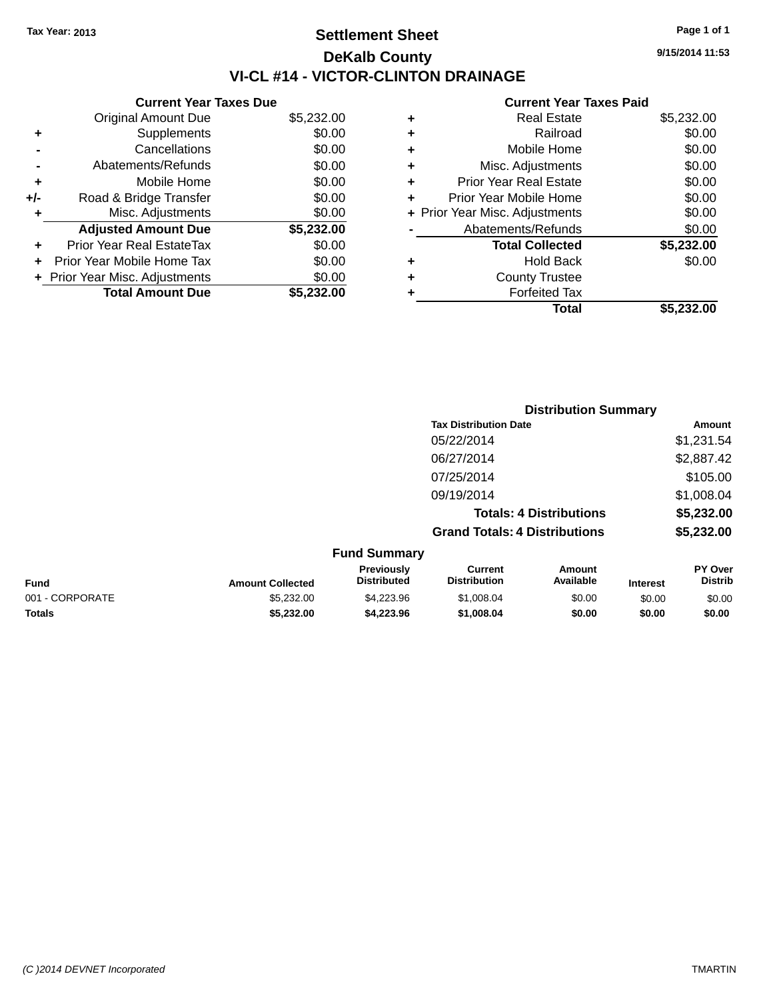# **Settlement Sheet Tax Year: 2013 Page 1 of 1 DeKalb County VI-CL #14 - VICTOR-CLINTON DRAINAGE**

**Current Year Taxes Due** Original Amount Due \$5,232.00 **+** Supplements \$0.00 **-** Cancellations \$0.00 **-** Abatements/Refunds \$0.00 **+** Mobile Home \$0.00 **+/-** Road & Bridge Transfer \$0.00 **+** Misc. Adjustments \$0.00 **Adjusted Amount Due \$5,232.00 +** Prior Year Real EstateTax \$0.00 **+** Prior Year Mobile Home Tax \$0.00 **+ Prior Year Misc. Adjustments**  $$0.00$ **Total Amount Due \$5,232.00**

|   | <b>Real Estate</b>             | \$5,232.00 |
|---|--------------------------------|------------|
| ٠ | Railroad                       | \$0.00     |
| ٠ | Mobile Home                    | \$0.00     |
| ٠ | Misc. Adjustments              | \$0.00     |
| ٠ | <b>Prior Year Real Estate</b>  | \$0.00     |
| ٠ | Prior Year Mobile Home         | \$0.00     |
|   | + Prior Year Misc. Adjustments | \$0.00     |
|   | Abatements/Refunds             | \$0.00     |
|   | <b>Total Collected</b>         | \$5,232.00 |
| ٠ | <b>Hold Back</b>               | \$0.00     |
| ٠ | <b>County Trustee</b>          |            |
| ٠ | <b>Forfeited Tax</b>           |            |
|   | Total                          | \$5,232.00 |
|   |                                |            |

|                 |                         | <b>Distribution Summary</b>      |                                       |                                |                 |                                  |  |
|-----------------|-------------------------|----------------------------------|---------------------------------------|--------------------------------|-----------------|----------------------------------|--|
|                 |                         |                                  | <b>Tax Distribution Date</b>          |                                |                 | Amount                           |  |
|                 |                         |                                  | 05/22/2014                            |                                |                 | \$1,231.54                       |  |
|                 |                         |                                  | 06/27/2014                            |                                |                 | \$2,887.42                       |  |
|                 |                         |                                  | 07/25/2014                            |                                |                 | \$105.00                         |  |
|                 |                         |                                  | 09/19/2014                            |                                |                 | \$1,008.04                       |  |
|                 |                         |                                  |                                       | <b>Totals: 4 Distributions</b> |                 | \$5,232.00                       |  |
|                 |                         |                                  | <b>Grand Totals: 4 Distributions</b>  |                                |                 | \$5,232.00                       |  |
|                 |                         | <b>Fund Summary</b>              |                                       |                                |                 |                                  |  |
| <b>Fund</b>     | <b>Amount Collected</b> | Previously<br><b>Distributed</b> | <b>Current</b><br><b>Distribution</b> | Amount<br>Available            | <b>Interest</b> | <b>PY Over</b><br><b>Distrib</b> |  |
| 001 - CORPORATE | \$5,232.00              | \$4,223.96                       | \$1,008.04                            | \$0.00                         | \$0.00          | \$0.00                           |  |
| <b>Totals</b>   | \$5,232.00              | \$4,223.96                       | \$1,008.04                            | \$0.00                         | \$0.00          | \$0.00                           |  |